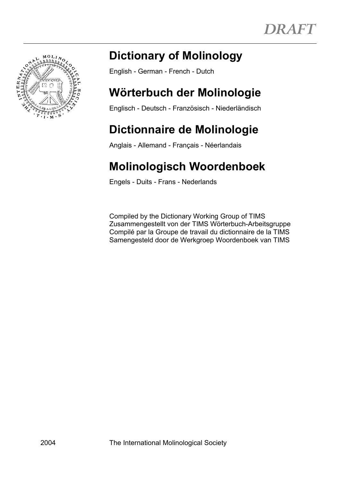

# **Dictionary of Molinology**

English - German - French - Dutch

# **Wörterbuch der Molinologie**

Englisch - Deutsch - Französisch - Niederländisch

# **Dictionnaire de Molinologie**

Anglais - Allemand - Français - Néerlandais

# **Molinologisch Woordenboek**

Engels - Duits - Frans - Nederlands

 Compiled by the Dictionary Working Group of TIMS Zusammengestellt von der TIMS Wörterbuch-Arbeitsgruppe Compilé par la Groupe de travail du dictionnaire de la TIMS Samengesteld door de Werkgroep Woordenboek van TIMS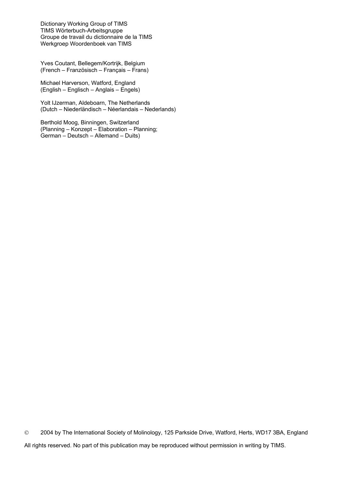Dictionary Working Group of TIMS TIMS Wörterbuch-Arbeitsgruppe Groupe de travail du dictionnaire de la TIMS Werkgroep Woordenboek van TIMS

 Yves Coutant, Bellegem/Kortrijk, Belgium (French – Französisch – Français – Frans)

 Michael Harverson, Watford, England (English – Englisch – Anglais – Engels)

 Yolt IJzerman, Aldeboarn, The Netherlands (Dutch – Niederländisch – Néerlandais – Nederlands)

 Berthold Moog, Binningen, Switzerland (Planning – Konzept – Elaboration – Planning; German – Deutsch – Allemand – Duits)

 2004 by The International Society of Molinology, 125 Parkside Drive, Watford, Herts, WD17 3BA, England All rights reserved. No part of this publication may be reproduced without permission in writing by TIMS.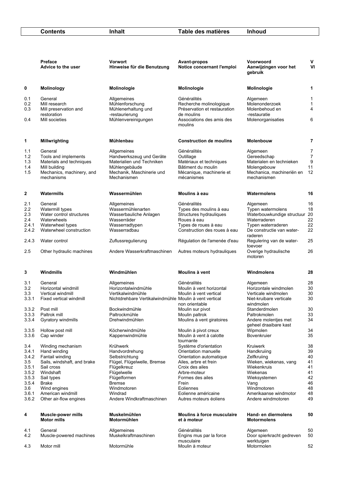**Contents** Inhalt Table des matières Inhoud

|                | Preface<br>Advice to the user                   | <b>Vorwort</b><br>Hinweise für die Benutzung           | <b>Avant-propos</b><br>Notice concernant l'emploi    | Voorwoord<br>Aanwijzingen voor het<br>gebruik              | V<br>V <sub>l</sub> |
|----------------|-------------------------------------------------|--------------------------------------------------------|------------------------------------------------------|------------------------------------------------------------|---------------------|
| 0              | <b>Molinology</b>                               | Molinologie                                            | Molinologie                                          | Molinologie                                                | 1                   |
| 0.1            | General                                         | Allgemeines                                            | Généralités                                          | Algemeen                                                   | 1                   |
| 0.2            | Mill research                                   | Mühlenforschung                                        | Recherche molinologique                              | Molenonderzoek                                             | 1                   |
| 0.3            | Mill preservation and<br>restoration            | Mühlenerhaltung und                                    | Préservation et restauration                         | Molenbehoud en                                             | 4                   |
| 0.4            | Mill societies                                  | -restaurierung<br>Mühlenvereinigungen                  | de moulins<br>Associations des amis des<br>moulins   | -restauratie<br>Molenorganisaties                          | 6                   |
| 1              | <b>Millwrighting</b>                            | Mühlenbau                                              | <b>Construction de moulins</b>                       | <b>Molenbouw</b>                                           | 7                   |
| 1.1            | General                                         | Allgemeines                                            | Généralités                                          | Algemeen                                                   | 7                   |
| $1.2$          | Tools and implements                            | Handwerkszeug und Geräte                               | Outillage                                            | Gereedschap                                                | 7                   |
| 1.3            | Materials and techniques                        | Materialien und Techniken                              | Matériaux et techniques                              | Materialen en technieken                                   | 9                   |
| 1.4<br>1.5     | Mill building<br>Mechanics, machinery, and      | Mühlengebäude<br>Mechanik, Maschinerie und             | Bâtiment du moulin<br>Mécanique, machinerie et       | Molengebouw<br>Mechanica, machineriën en                   | 11<br>12            |
|                | mechanisms                                      | Mechanismen                                            | mécanismes                                           | mechanismen                                                |                     |
| $\mathbf 2$    | Watermills                                      | Wassermühlen                                           | Moulins à eau                                        | Watermolens                                                | 16                  |
| 2.1            | General                                         | Allgemeines                                            | Généralités                                          | Algemeen                                                   | 16                  |
| 2.2            | Watermill types                                 | Wassermühlenarten                                      | Types des moulins à eau                              | Typen watermolens                                          | 18                  |
| 2.3            | Water control structures                        | Wasserbauliche Anlagen                                 | Structures hydrauliques                              | Waterbouwkundige structuur                                 | 20                  |
| 2.4            | Waterwheels                                     | Wasserräder                                            | Roues à eau                                          | Waterraderen                                               | 22                  |
| 2.4.1<br>2.4.2 | Waterwheel types<br>Waterwheel construction     | Wasserradtypen<br>Wasserradbau                         | Types de roues à eau<br>Construction des roues à eau | Typen waterraderen<br>De constructie van water-<br>raderen | 22<br>22            |
| 2.4.3          | Water control                                   | Zuflussregulierung                                     | Régulation de l'amenée d'eau                         | Regulering van de water-<br>toevoer                        | 25                  |
| 2.5            | Other hydraulic machines                        | Andere Wasserkraftmaschinen                            | Autres moteurs hydrauliques                          | Overige hydraulische<br>motoren                            | 26                  |
| 3              | Windmills                                       | Windmühlen                                             | Moulins à vent                                       | Windmolens                                                 | 28                  |
| 3.1            | General                                         | Allgemeines                                            | Généralités                                          | Algemeen                                                   | 28                  |
| 3.2            | Horizontal windmill                             | Horizontalwindmühle                                    | Moulin à vent horizontal                             | Horizontale windmolen                                      | 30                  |
| 3.3            | Vertical windmill                               | Vertikalwindmühle                                      | Moulin à vent vertical                               | Verticale windmolen                                        | 30                  |
| 3.3.1          | Fixed vertical windmill                         | Nichtdrehbare Vertikalwindmühle Moulin à vent vertical | non orientable                                       | Niet-kruibare verticale<br>windmolen                       | 30                  |
| 3.3.2          | Post mill                                       | Bockwindmühle                                          | Moulin sur pivot                                     | Standerdmolen                                              | 30                  |
| 3.3.3          | Paltrok mill                                    | Paltrockmühle                                          | Moulin paltrok                                       | Paltrokmolen                                               | 33                  |
| 3.3.4          | Gyratory windmills                              | Drehwindmühlen                                         | Moulins à vent giratoires                            | Andere molenties met<br>geheel draaibare kast              | 34                  |
| 3.3.5          | Hollow post mill                                | Köcherwindmühle                                        | Moulin à pivot creux                                 | Wipmolen                                                   | 34                  |
| 3.3.6          | Cap winder                                      | Kappenwindmühle                                        | Moulin à vent à calotte<br>tournante                 | Bovenkruier                                                | 35                  |
| 3.4<br>3.4.1   | Winding mechanism<br>Hand winding               | Krühwerk<br>Handvordrehung                             | Système d'orientation<br>Orientation manuelle        | Kruiwerk<br>Handkruiing                                    | 38<br>39            |
| 3.4.2          | Fantail winding                                 | Selbstrichtung                                         | Orientation automatique                              | Zelfkruiing                                                | 40                  |
| 3.5            | Sails, windshaft, and brake                     | Flügel, Flügelwelle, Bremse                            | Ailes, arbre et frein                                | Wieken, wiekenas, vang                                     | 41                  |
| 3.5.1          | Sail cross                                      | Flügelkreuz                                            | Croix des ailes                                      | Wiekenkruis                                                | 41                  |
| 3.5.2          | Windshaft                                       | Flügelwelle                                            | Arbre-moteur                                         | Wiekenas                                                   | 41                  |
| 3.5.3          | Sail types                                      | Flügelformen                                           | Formes des ailes                                     | Wieksystemen                                               | 42                  |
| 3.5.4          | <b>Brake</b>                                    | <b>Bremse</b>                                          | Frein                                                | Vang                                                       | 46                  |
| 3.6<br>3.6.1   | Wind engines<br>American windmill               | Windmotoren<br>Windrad                                 | Eoliennes<br>Eolienne américaine                     | Windmotoren<br>Amerikaanse windmotor                       | 48<br>48            |
| 3.6.2          | Other air-flow engines                          | Andere Windkraftmaschinen                              | Autres moteurs éoliens                               | Andere windmotoren                                         | 49                  |
| 4              | <b>Muscle-power mills</b><br><b>Motor mills</b> | Muskelmühlen<br>Motormühlen                            | Moulins à force musculaire<br>et à moteur            | Hand- en diermolens<br><b>Motormolens</b>                  | 50                  |
| 4.1            | General                                         | Allgemeines                                            | Généralités                                          | Algemeen                                                   | 50                  |
| 4.2            | Muscle-powered machines                         | Muskelkraftmaschinen                                   | Engins mus par la force                              | Door spierkracht gedreven                                  | 50                  |
|                |                                                 |                                                        | musculaire                                           | werktuigen                                                 |                     |
| 4.3            | Motor mill                                      | Motormühle                                             | Moulin à moteur                                      | Motormolen                                                 | 52                  |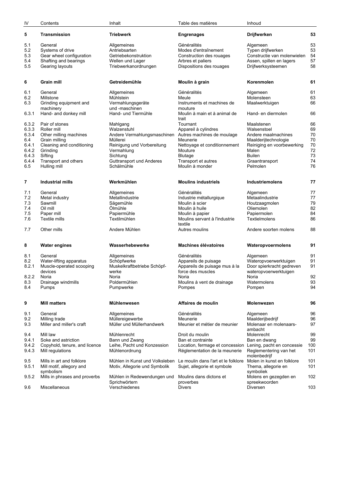| IV           | Contents                             | Inhalt                                 | Table des matières                                                              | Inhoud                                 |          |
|--------------|--------------------------------------|----------------------------------------|---------------------------------------------------------------------------------|----------------------------------------|----------|
| 5            | <b>Transmission</b>                  | <b>Triebwerk</b>                       | <b>Engrenages</b>                                                               | <b>Drijfwerken</b>                     | 53       |
| 5.1          | General                              | Allgemeines                            | Généralités                                                                     | Algemeen                               | 53       |
| 5.2          | Systems of drive                     | Antriebsarten                          | Modes d'entraînement                                                            | Typen drijfwerken                      | 53       |
| 5.3          | Gear wheel configuration             | Getriebekonstruktion                   | Construction des rouages                                                        | Constructie van molenwielen            | 54       |
| 5.4          | Shafting and bearings                | Wellen und Lager                       | Arbres et paliers                                                               | Assen, spillen en lagers               | 57       |
| 5.5          | Gearing layouts                      | Triebwerkanordnungen                   | Dispositions des rouages                                                        | Drijfwerksysteemen                     | 58       |
|              |                                      |                                        |                                                                                 |                                        |          |
| 6            | <b>Grain mill</b>                    | Getreidemühle                          | Moulin à grain                                                                  | Korenmolen                             | 61       |
| 6.1          | General                              | Allgemeines                            | Généralités                                                                     | Algemeen                               | 61       |
| 6.2          | Millstone                            | Mühlstein                              | Meule                                                                           | Molensteen                             | 63       |
| 6.3          | Grinding equipment and<br>machinery  | Vermahlungsgeräte<br>und -maschinen    | Instruments et machines de<br>mouture                                           | Maalwerktuigen                         | 66       |
| 6.3.1        | Hand- and donkey mill                | Hand- und Tiermühle                    | Moulin à main et à animal de<br>trait                                           | Hand- en diermolen                     | 66       |
| 6.3.2        | Pair of stones                       | Mahlgang                               | Tournant                                                                        | Maalstenen                             | 66       |
| 6.3.3        | Roller mill                          | Walzenstuhl                            | Appareil à cylindres                                                            | Walsenstoel                            | 69       |
| 6.3.4        | Other milling machines               | Andere Vermahlungsmaschinen            | Autres machines de moulage                                                      | Andere maalmachines                    | 70       |
| 6.4          | Grain milling                        | Müllerei                               | Meunerie                                                                        | Maalderijtechnologie                   | 70       |
| 6.4.1        | Cleaning and conditioning            | Reinigung und Vorbereitung             | Nettoyage et conditionnement                                                    | Reiniging en voorbewerking             | 70       |
| 6.4.2        | Grinding                             | Vermahlung                             | Mouture                                                                         | Malen                                  | 72       |
| 6.4.3        | Sifting                              | Sichtung                               | Blutage                                                                         | <b>Builen</b>                          | 73       |
| 6.4.4<br>6.5 | Transport and others<br>Hulling mill | Guttransport und Anderes<br>Schälmühle | Transport et autres<br>Moulin à monder                                          | Graantransport<br>Pelmolen             | 74<br>76 |
|              |                                      |                                        |                                                                                 |                                        |          |
| 7            | <b>Industrial mills</b>              | Werkmühlen                             | <b>Moulins industriels</b>                                                      | <b>Industriemolens</b>                 | 77       |
| 7.1          | General                              | Allgemeines                            | Généralités                                                                     | Algemeen                               | 77       |
| 7.2          | Metal industry                       | Metallindustrie                        | Industrie métallurgique                                                         | Metaalindustrie                        | 77       |
| 7.3          | Sawmill                              | Sägemühle                              | Moulin à scier                                                                  | Houtzaagmolen                          | 79       |
| 7.4          | Oil mill                             | Ölmühle                                | Moulin à huile                                                                  | Oliemolen                              | 82       |
| 7.5          | Paper mill                           | Papiermühle                            | Moulin à papier                                                                 | Papiermolen                            | 84       |
| 7.6          | <b>Textile mills</b>                 | Textilmühlen                           | Moulins servant à l'industrie<br>textile                                        | Textielmolens                          | 86       |
| 7.7          | Other mills                          | Andere Mühlen                          | Autres moulins                                                                  | Andere soorten molens                  | 88       |
| 8            | <b>Water engines</b>                 | Wasserhebewerke                        | <b>Machines élévatoires</b>                                                     | Wateropvoermolens                      | 91       |
| 8.1          | General                              | Allgemeines                            | Généralités                                                                     | Algemeen                               | 91       |
| 8.2          | Water-lifting apparatus              | Schöpfwerke                            | Appareils de puisage                                                            | Wateropvoerwerktuigen                  | 91       |
| 8.2.1        | Muscle-operated scooping             | Muskelkraftbetriebe Schöpf-            | Appareils de puisage mus à la                                                   | Door spierkracht gedreven              | 91       |
|              | devices                              | werke                                  | force des muscles                                                               | wateropvoerwerktuigen                  |          |
| 8.2.2        | Noria                                | Noria                                  | Noria                                                                           | Noria                                  | 92       |
| 8.3          | Drainage windmills                   | Poldermühlen                           | Moulins à vent de drainage                                                      | Watermolens                            | 93       |
| 8.4          | Pumps                                | Pumpwerke                              | Pompes                                                                          | Pompen                                 | 94       |
| 9            | <b>Mill matters</b>                  | Mühlenwesen                            | Affaires de moulin                                                              | <b>Molenwezen</b>                      | 96       |
| 9.1          | General                              | Allgemeines                            | Généralités                                                                     | Algemeen                               | 96       |
| 9.2          | Milling trade                        | Müllereigewerbe                        | Meunerie                                                                        | Maalderijbedrijf                       | 96       |
| 9.3          | Miller and miller's craft            | Müller und Müllerhandwerk              | Meunier et métier de meunier                                                    | Molenaar en molenaars-                 | 97       |
|              |                                      |                                        |                                                                                 | ambacht                                |          |
| 9.4<br>9.4.1 | Mill law<br>Soke and astriction      | Mühlenrecht<br>Bann und Zwang          | Droit du moulin                                                                 | Molenrecht                             | 99<br>99 |
| 9.4.2        | Copyhold, tenure, and licence        | Leihe, Pacht und Konzession            | Ban et contrainte<br>Location, fermage et concession Lening, pacht en concessie | Ban en dwang                           | 100      |
| 9.4.3        | Mill regulations                     | Mühlenordnung                          | Réglementation de la meunerie                                                   | Reglementering van het<br>molenbedrijf | 101      |
| 9.5          | Mills in art and folklore            | Mühlen in Kunst und Volksleben         | Le moulin dans l'art et le folklore                                             | Molen in kunst en folklore             | 101      |
| 9.5.1        | Mill motif, allegory and             | Motiv, Allegorie und Symbolik          | Sujet, allegorie et symbole                                                     | Thema, allegorie en                    | 101      |
|              | symbolism                            |                                        |                                                                                 | symboliek                              |          |
| 9.5.2        | Mills in phrases and proverbs        | Mühlen in Redewendungen und            | Moulins dans dictons et                                                         | Molens en gezegden en                  | 102      |
|              |                                      | Sprichwörtern                          | proverbes                                                                       | spreekwoorden                          |          |
| 9.6          | Miscellaneous                        | Verschiedenes                          | Divers                                                                          | Diversen                               | 103      |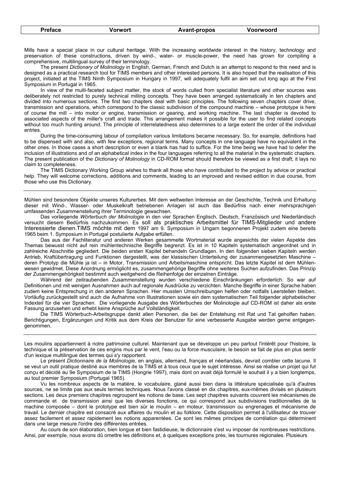|  | <b>Preface</b> | Vorwort | <b>Avant-propos</b> | Voorwoord |  |
|--|----------------|---------|---------------------|-----------|--|
|--|----------------|---------|---------------------|-----------|--|

Mills have a special place in our cultural heritage. With the increasing worldwide interest in the history, technology and preservation of these constructions, driven by wind-, water- or muscle-power, the need has grown for compiling a comprehensive, multilingual survey of their terminology.

 The present *Dictionary of Molinology* in English, German, French and Dutch is an attempt to respond to this need and is designed as a practical research tool for TIMS members and other interested persons. It is also hoped that the realisation of this project, initiated at the TIMS Ninth Symposium in Hungary in 1997, will adequately fulfil an aim set out long ago at the First Symposium in Portugal in 1965.

 In view of the multi-faceted subject matter, the stock of words culled from specialist literature and other sources was deliberately not restricted to purely technical milling concepts. They have been arranged systematically in ten chapters and divided into numerous sections. The first two chapters deal with basic principles. The following seven chapters cover drive, transmission and operations, which correspond to the classic subdivision of the compound machine – whose prototype is here of course the mill – into motor or engine, transmission or gearing, and working machine. The last chapter is devoted to associated aspects of the miller's craft and trade. This arrangement makes it possible for the user to find related concepts without too much hunting around. The principle of interrelatedness also determines to a large extent the order of the individual entries.

 During the time-consuming labour of compilation various limitations became necessary. So, for example, definitions had to be dispensed with and also, with few exceptions, regional terms. Many concepts in one language have no equivalent in the other ones. In those cases a short description or even a blank has had to suffice. For the time being we have had to defer the inclusion of illustrations and of an alphabetical index in the four languages referring to all the material in the systematic chapters. The present publication of the *Dictionary of Molinology* in CD-ROM format should therefore be viewed as a first draft; it lays no claim to completeness.

 The TIMS Dictionary Working Group wishes to thank all those who have contributed to the project by advice or practical help. They will welcome corrections, additions and comments, leading to an improved and revised edition in due course, from those who use this Dictionary.

Mühlen sind besondere Objekte unseres Kulturerbes. Mit dem weltweiten Interesse an der Geschichte, Technik und Erhaltung dieser mit Wind-, Wasser- oder Muskelkraft betriebenen Anlagen ist auch das Bedürfnis nach einer mehrsprachigen umfassenden Zusammenstellung ihrer Terminologie gewachsen.

 Das vorliegende *Wörterbuch der Molinologie* in den vier Sprachen Englisch, Deutsch, Französisch und Niederländisch versucht diesem Bedürfnis nachzukommen. Es soll als praktisches Arbeitsmittel für TIMS-Mitglieder und andere Interessierte dienen.TIMS möchte mit dem 1997 am 9. Symposium in Ungarn begonnenen Projekt zudem eine bereits 1965 beim 1. Symposium in Portugal postulierte Aufgabe erfüllen.

 Das aus der Fachliteratur und anderen Werken gesammelte Wortmaterial wurde angesichts der vielen Aspekte des Themas bewusst nicht auf rein mühlentechnische Begriffe begrenzt. Es ist in 10 Kapiteln systematisch angeordnet und in zahlreiche Abschnitte gegliedert. Die beiden ersten Kapitel behandeln Grundlagen. In den folgenden sieben Kapiteln werden Antrieb, Kraftübertragung und Funktionen dargestellt, was der klassischen Unterteilung der zusammengesetzten Maschine – deren Prototyp die Mühle ja ist – in Motor, Transmission und Arbeitsmaschine entspricht. Das letzte Kapitel ist dem Mühlenwesen gewidmet. Diese Anordnung ermöglicht es, zusammengehörige Begriffe ohne weiteres Suchen aufzufinden. Das Prinzip der Zusammengehörigkeit bestimmt auch weitgehend die Reihenfolge der einzelnen Einträge.

 Während der zeitraubenden Zusammenstellung wurden verschiedene Einschränkungen erforderlich. So war auf Definitionen und mit wenigen Ausnahmen auch auf regionale Ausdrücke zu verzichten. Manche Begriffe in einer Sprache haben zudem keine Entsprechung in den anderen Sprachen. Hier mussten Umschreibungen helfen oder notfalls Leerstellen bleiben. Vorläufig zurückgestellt sind auch die Aufnahme von Illustrationen sowie ein dem systematischen Teil folgender alphabetischer Indexteil für die vier Sprachen. Die vorliegende Ausgabe des Wörterbuches der Molinologie auf CD-ROM ist daher als erste Fassung anzusehen und erhebt keine Ansprüche auf Vollständigkeit.

Die TIMS Wörterbuch-Arbeitsgruppe dankt allen Personen, die bei der Entstehung mit Rat und Tat geholfen haben. Berichtigungen, Ergänzungen und Kritik aus dem Kreis der Benutzer für eine verbesserte Ausgabe werden gerne entgegengenommen.

Les moulins appartiennent à notre patrimoine culturel. Maintenant que se développe un peu partout l'intérêt pour l'histoire, la technique et la préservation de ces engins mus par le vent, l'eau ou la force musculaire, le besoin se fait de plus en plus sentir d'un lexique multilingue des termes qui s'y rapportent.

 Le présent *Dictionnaire de la Molinologie*, en anglais, allemand, français et néerlandais, devrait combler cette lacune. Il se veut un outil pratique destiné aux membres de la TIMS et à tous ceux que le sujet intéresse. Ainsi se réalise un projet qui fut conçu et décidé au 9e Symposium de la TIMS (Hongrie 1997), mais dont on avait déjà formulé le souhait il y a bien longtemps, au tout premier Symposium (Portugal 1965).

 Vu les nombreux aspects de la matière, le vocabulaire, glané aussi bien dans la littérature spécialisée qu'à d'autres sources, ne se limite pas aux seuls termes techniques. Nous l'avons classé en dix chapitres, eux-mêmes divisés en plusieurs sections. Les deux premiers chapitres regroupent les notions de base. Les sept chapitres suivants couvrent les mécanismes de commande et de transmission ainsi que les diverses fonctions, ce qui correspond aux subdivisions traditionnelles de la machine composée – dont le prototype est bien sûr le moulin – en moteur, transmission ou engrenages et mécanisme de travail. Le dernier chapitre est consacré aux affaires du moulin et au folklore. Cette disposition permet à l'utilisateur de trouver assez facilement et assez rapidement les notions apparentées. Ce sont les mêmes principes de corrélation qui déterminent dans une large mesure l'ordre des différentes entrées.

 Au cours de son élaboration, bien longue et bien fastidieuse, le dictionnaire s'est vu imposer de nombreuses restrictions. Ainsi, par exemple, nous avons dû omettre les définitions et, à quelques exceptions près, les tournures régionales. Plusieurs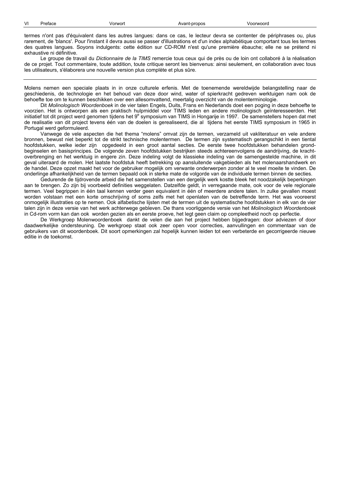| VI<br>Voorwoord<br>Vorwort<br>Avant-propos<br>Preface |  |
|-------------------------------------------------------|--|
|-------------------------------------------------------|--|

termes n'ont pas d'équivalent dans les autres langues: dans ce cas, le lecteur devra se contenter de périphrases ou, plus rarement, de 'blancs'. Pour l'instant il devra aussi se passer d'illustrations et d'un index alphabétique comportant tous les termes des quatres langues. Soyons indulgents: cette édition sur CD-ROM n'est qu'une première ébauche; elle ne se prétend ni exhaustive ni définitive.

 Le groupe de travail du *Dictionnaire de la TIMS* remercie tous ceux qui de près ou de loin ont collaboré à la réalisation de ce projet. Tout commentaire, toute addition, toute critique seront les bienvenus: ainsi seulement, en collaboration avec tous les utilisateurs, s'élaborera une nouvelle version plus complète et plus sûre.

Molens nemen een speciale plaats in in onze culturele erfenis. Met de toenemende wereldwijde belangstelling naar de geschiedenis, de technologie en het behoud van deze door wind, water of spierkracht gedreven werktuigen nam ook de behoefte toe om te kunnen beschikken over een allesomvattend, meertalig overzicht van de molenterminologie.

 Dit *Molinologisch Woordenboek* in de vier talen Engels, Duits, Frans en Nederlands doet een poging in deze behoefte te voorzien. Het is ontworpen als een praktisch hulpmiddel voor TIMS leden en andere molinologisch geïnteresseerden. Het initiatief tot dit project werd genomen tijdens het 9<sup>e</sup> symposium van TIMS in Hongarije in 1997. De samenstellers hopen dat met de realisatie van dit project tevens één van de doelen is gerealiseerd, die al tijdens het eerste TIMS symposium in 1965 in Portugal werd geformuleerd.

 Vanwege de vele aspecten die het thema "molens" omvat zijn de termen, verzameld uit vakliteratuur en vele andere bronnen, bewust niet beperkt tot de strikt technische molentermen. De termen zijn systematisch gerangschikt in een tiental hoofdstukken, welke ieder zijn opgedeeld in een groot aantal secties. De eerste twee hoofdstukken behandelen grondbeginselen en basisprincipes. De volgende zeven hoofdstukken bestrijken steeds achtereenvolgens de aandrijving, de krachtoverbrenging en het werktuig in engere zin. Deze indeling volgt de klassieke indeling van de samengestelde machine, in dit geval uiteraard de molen. Het laatste hoofdstuk heeft betrekking op aansluitende vakgebieden als het molenaarshandwerk en de handel. Deze opzet maakt het voor de gebruiker mogelijk om verwante onderwerpen zonder al te veel moeite te vinden. De onderlinge afhankelijkheid van de termen bepaald ook in sterke mate de volgorde van de individuele termen binnen de secties.

 Gedurende de tijdrovende arbeid die het samenstellen van een dergelijk werk kostte bleek het noodzakelijk beperkingen aan te brengen. Zo zijn bij voorbeeld definities weggelaten. Datzelfde geldt, in verregaande mate, ook voor de vele regionale termen. Veel begrippen in één taal kennen verder geen equivalent in één of meerdere andere talen. In zulke gevallen moest worden volstaan met een korte omschrijving of soms zelfs met het openlaten van de betreffende term. Het was vooreerst onmogelijk illustraties op te nemen. Ook alfabetische lijsten met de termen uit de systematische hoofdstukken in elk van de vier talen zijn in deze versie van het werk achterwege gebleven. De thans voorliggende versie van het *Molinologisch Woordenboek*  in Cd-rom vorm kan dan ook worden gezien als en eerste proeve, het legt geen claim op compleetheid noch op perfectie.

 De Werkgroep Molenwoordenboek dankt de velen die aan het project hebben bijgedragen: door adviezen of door daadwerkelijke ondersteuning. De werkgroep staat ook zeer open voor correcties, aanvullingen en commentaar van de gebruikers van dit woordenboek. Dit soort opmerkingen zal hopelijk kunnen leiden tot een verbeterde en gecorrigeerde nieuwe editie in de toekomst.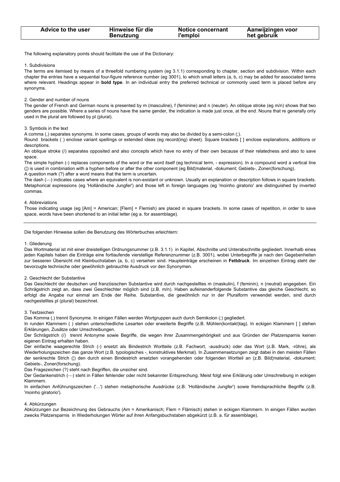| Advice to the user | Hinweise für die | Notice concernant | Aanwijzingen voor |
|--------------------|------------------|-------------------|-------------------|
|                    | <b>Benutzung</b> | l'emploi          | het gebruik       |
|                    |                  |                   |                   |

The following explanatory points should facilitate the use of the Dictionary:

### 1. Subdivisions

The terms are itemised by means of a threefold numbering system (eg 3.1.1) corresponding to chapter, section and subdivision. Within each chapter the entries have a sequential four-figure reference number (eg 3001), to which small letters (a, b, c) may be added for associated terms where relevant. Headings appear in **bold type**. In an individual entry the preferred technical or commonly used term is placed before any synonyms.

### 2. Gender and number of nouns

The gender of French and German nouns is presented by m (masculine), f (feminine) and n (neuter). An oblique stroke (eg m/n) shows that two genders are possible. Where a series of nouns have the same gender, the indication is made just once, at the end. Nouns that re generally only used in the plural are followed by pl (plural).

### 3. Symbols in the text

A comma (,) separates synonyms. In some cases, groups of words may also be divided by a semi-colon (;).

Round brackets ( ) enclose variant spellings or extended ideas (eg record(ing) sheet). Square brackets [ ] enclose explanations, additions or descriptions.

An oblique stroke (/) separates opposited and also concepts which have no entry of their own because of their relatedness and also to save space.

The simple hyphen (-) replaces components of the word or the word itself (eg technical term, - expression). In a compound word a vertical line (¦) is used in combination with a hyphen before or after the other component (eg Bild¦material, -dokument; Gebiets-, Zonen¦forschung). A question mark (?) after a word means that the term is uncertain.

The dash (-) indicates cases where an equivalent is non-existant or unknown. Usually an explanation or description follows in square brackets. Metaphorical expressions (eg 'Holländische Jungfer') and those left in foreign languages (eg 'moinho giratorio' are distinguished by inverted commas.

### 4. Abbreviations

Those indicating usage (eg [Am] = American; [Flem] = Flemish) are placed in square brackets. In some cases of repetition, in order to save space, words have been shortened to an initial letter (eg a. for assemblage).

Die folgenden Hinweise sollen die Benutzung des Wörterbuches erleichtern:

### 1. Gliederung

Das Wortmaterial ist mit einer dreistelligen Ordnungsnummer (z.B. 3.1.1) in Kapitel, Abschnitte und Unterabschnitte gegliedert. Innerhalb eines jeden Kapitels haben die Einträge eine fortlaufende vierstellige Referenznummer (z.B. 3001), wobei Unterbegriffe je nach den Gegebenheiten zur besseren Übersicht mit Kleinbuchstaben (a, b, c) versehen sind. Haupteinträge erscheinen in **Fettdruck**. Im einzelnen Eintrag steht der bevorzugte technische oder gewöhnlich gebrauchte Ausdruck vor den Synonymen.

### 2. Geschlecht der Substantive

Das Geschlecht der deutschen und französischen Substantive wird durch nachgestelltes m (maskulin), f (feminin), n (neutral) angegeben. Ein Schrägstrich zeigt an, dass zwei Geschlechter möglich sind (z.B. m/n). Haben aufeinanderfolgende Substantive das gleiche Geschlecht, so erfolgt die Angabe nur einmal am Ende der Reihe. Substantive, die gewöhnlich nur in der Pluralform verwendet werden, sind durch nachgestelltes pl (plural) bezeichnet.

### 3. Textzeichen

Das Komma (,) trennt Synonyme. In einigen Fällen werden Wortgruppen auch durch Semikolon (;) gegliedert.

In runden Klammern ( ) stehen unterschiedliche Lesarten oder erweiterte Begriffe (z.B. Mühlen(kontakt)tag). In eckigen Klammern [ ] stehen Erklärungen, Zusätze oder Umschreibungen.

Der Schrägstrich (/) trennt Antonyme sowie Begriffe, die wegen ihrer Zusammengehörigkeit und aus Gründen der Platzersparnis keinen eigenen Eintrag erhalten haben.

Der einfache waagerechte Strich (-) ersetzt als Bindestrich Wortteile (z.B. Fachwort, -ausdruck) oder das Wort (z.B. Mark, -röhre), als Wiederholungszeichen das ganze Wort (z.B. typologisches -, konstruktives Merkmal). In Zusammensetzungen zeigt dabei in den meisten Fällen der senkrechte Strich (¦) den durch einen Bindestrich ersetzten vorangehenden oder folgenden Wortteil an (z.B. Bild¦material, -dokument; Gebiets-, Zonen¦forschung).

Das Fragezeichen (?) steht nach Begriffen, die unsicher sind.

Der Gedankenstrich (-) steht in Fällen fehlender oder nicht bekannter Entsprechung. Meist folgt eine Erklärung oder Umschreibung in eckigen Klammern.

In einfachen Anführungszeichen ('...') stehen metaphorische Ausdrücke (z.B. 'Holländische Jungfer') sowie fremdsprachliche Begriffe (z.B. 'moinho giratorio').

### 4. Abkürzungen

Abkürzungen zur Bezeichnung des Gebrauchs (Am = Amerikanisch; Flem = Flämisch) stehen in eckigen Klammern. In einigen Fällen wurden zwecks Platzersparnis in Wiederholungen Wörter auf ihren Anfangsbuchstaben abgekürzt (z.B. a. für assemblage).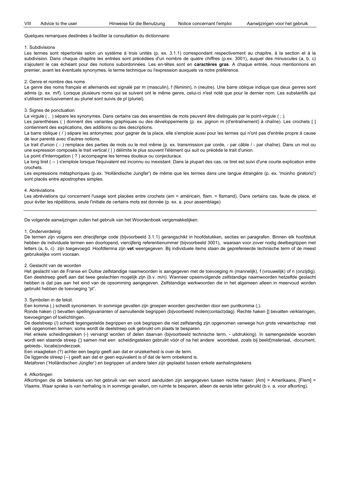### Quelques remarques destinées à faciliter la consultation du dictionnaire:

### 1. Subdivisions

Les termes sont répertoriés selon un système à trois unités (p. ex. 3.1.1) correspondant respectivement au chapitre, à la section et à la subdivision. Dans chaque chapitre les entrées sont précédées d'un nombre de quatre chiffres (p.ex. 3001), auquel des minuscules (a, b, c) s'ajoutent le cas échéant pour des notions subordonnées. Les en-têtes sont en **caractères gras**. A chaque entrée, nous mentionnons en premier, avant les éventuels synonymes, le terme technique ou l'expression auxquels va notre préférence.

### 2. Genre et nombre des noms

Le genre des noms français et allemands est signalé par m (masculin), f (féminin), n (neutre). Une barre oblique indique que deux genres sont admis (p. ex. m/f). Lorsque plusieurs noms qui se suivent ont le même genre, celui-ci n'est noté que pour le dernier nom. Les substantifs qui s'utilisent exclusivement au pluriel sont suivis de pl (pluriel).

### 3. Signes de ponctuation

La virgule (, ) sépare les synonymes. Dans certains cas des ensembles de mots peuvent être distingués par le point-virgule (; ).

Les parenthèses () donnent des variantes graphiques ou des développements (p. ex. pignon m (d'entraînement) à chaîne). Les crochets [] contiennent des explications, des additions ou des descriptions.

La barre oblique ( / ) sépare les antonymes; pour gagner de la place, elle s'emploie aussi pour les termes qui n'ont pas d'entrée propre à cause de leur parenté avec d'autres notions.

Le trait d'union ( - ) remplace des parties de mots ou le mot même (p. ex. transmission par corde, - par câble / - par chaîne). Dans un mot ou une expression composés le trait vertical ( | ) délimite le plus souvent l'élément qui suit ou précède le trait d'union.

Le point d'interrogation ( ? ) accompagne les termes douteux ou conjecturaux.

Le long tiret ( -- ) s'emploie lorsque l'équivalent est inconnu ou inexistant. Dans la plupart des cas, ce tiret est suivi d'une courte explication entre crochets.

Les expressions métaphoriques (p.ex. 'Holländische Jungfer') de même que les termes dans une langue étrangère (p. ex. 'moinho giratorio') sont placés entre apostrophes simples.

### 4. Abréviations

Les abréviations qui concernent l'usage sont placées entre crochets (am = américain, flam. = flamand). Dans certains cas, faute de place, et pour éviter les répétitions, seule l'initiale de certains mots est donnée (p. ex. a. pour assemblage)

De volgende aanwijzingen zullen het gebruik van het Woordenboek vergemakkelijken:

### 1. Onderverdeling

De termen zijn volgens een driecijferige code (bijvoorbeeld 3.1.1) gerangschikt in hoofdstukken, secties en paragrafen. Binnen elk hoofdstuk hebben de individuele termen een doorlopend, viercijferig referentienummer (bijvoorbeeld 3001), waaraan voor zover nodig deelbegrippen met letters (a, b, c) zijn toegevoegd. Hoofdlemna zijn **vet** weergegeven. Bij individuele items staan de geprefereerde technische term of de meest gebruikelijke vorm vooraan.

### 2. Geslacht van de woorden

Het geslacht van de Franse en Duitse zelfstandige naamwoorden is aangegeven met de toevoeging m (mannelijk), f (vrouwelijk) of n (onzijdig). Een deelstreep geeft aan dat twee geslachten mogelijk zijn (b.v. m/n). Wanneer opeenvolgende zelfstandige naamwoorden hetzelfde geslacht hebben is dat pas aan het eind van de opsomming aangegeven. Zelfstandige werkwoorden die in het algemeen alleen in meervoud worden gebruikt hebben de toevoeging "pl".

### 3. Symbolen in de tekst.

Een komma (,) scheidt synoniemen. In sommige gevallen zijn groepen woorden gescheiden door een puntkomma (;).

Ronde haken () bevatten spellingsvarianten of aanvullende begrippen (bijvoorbeeld molen(contact)dag). Rechte haken [] bevatten verklaringen, toevoegingen of toelichtingen.

De deelstreep (/) scheidt tegengestelde begrippen en ook begrippen die niet zelfstandig zijn opgenomen vanwege hun grote verwantschap met wél opgenomen termen; soms wordt de deelstreep ook gebruikt om plaats te besparen.

Het enkele scheidingsteken (-) vervangt worden of delen daarvan (bijvoorbeeld technische term, - uitdrukking). In samengestelde woorden wordt een staande streep (¦) samen met een scheidingsteken gebruikt vóór of na het andere woorddeel, zoals bij beeld¦materiaal, -document, gebieds-, locatie¦onderzoek.

Een vraagteken (?) achter een begrip geeft aan dat er onzekerheid is over de term.

De liggende streep (--) geeft aan dat er geen equivalent is of dat de term onbekend is.

Metaforen ('Holländischen Jüngfer') en begrippen uit andere talen zijn geplaatst tussen enkele aanhalingstekens

### 4. Afkortingen

Afkortingen die de betekenis van het gebruik van een woord aanduiden zijn aangegeven tussen rechte haken: [Am] = Amerikaans, [Flem] = Vlaams. Waar sprake is van herhaling is in sommige gevallen, om ruimte te besparen, alleen de eerste letter gebruikt (b.v. a. voor afkorting).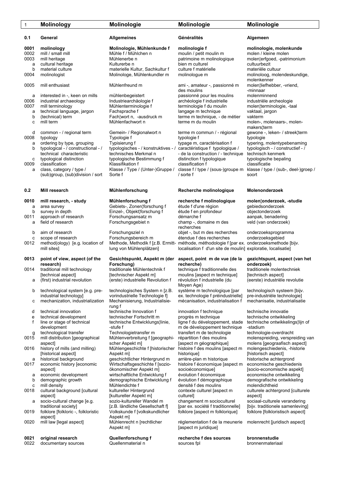| $\mathbf{1}$ | <b>Molinology</b>                                                | Molinologie                                                      | Molinologie                                                                                 | Molinologie                                                                             |
|--------------|------------------------------------------------------------------|------------------------------------------------------------------|---------------------------------------------------------------------------------------------|-----------------------------------------------------------------------------------------|
| 0.1          | General                                                          | Allgemeines                                                      | Généralités                                                                                 | Algemeen                                                                                |
| 0001         | molinology                                                       | Molinologie, Mühlenkunde f                                       | molinologie f                                                                               | molinologie, molenkunde                                                                 |
| 0002<br>0003 | mill / small mill<br>mill heritage                               | Mühle f / Mühlchen n<br>Mühlenerbe n                             | moulin / petit moulin m<br>patrimoine m molinologique                                       | molen / kleine molen<br>molen¦erfgoed, -patrimonium                                     |
| a            | cultural heritage                                                | Kulturerbe n                                                     | bien m culturel                                                                             | cultuurbezit                                                                            |
| b            | material culture                                                 | materielle Kultur, Sachkultur f                                  | culture f matérielle                                                                        | materiële cultuur                                                                       |
| 0004         | molinologist                                                     | Molinologe, Mühlenkundler m                                      | molinologue m                                                                               | molinoloog, molendeskundige,<br>molenkenner                                             |
| 0005         | mill enthusiast                                                  | Mühlenfreund m                                                   | ami -, amateur -, passionné m                                                               | molen¦liefhebber, -vriend,                                                              |
|              |                                                                  |                                                                  | des moulins                                                                                 | -minnaar                                                                                |
| а<br>0006    | interested in -, keen on mills<br>industrial archaeology         | mühlenbegeistert<br>Industriearchäologie f                       | passionné pour les moulins<br>archéologie f industrielle                                    | molenminnend<br>industriële archeologie                                                 |
| 0007         | mill terminology                                                 | Mühlenterminologie f                                             | terminologie f du moulin                                                                    | molen¦terminologie, -taal                                                               |
| a            | technical language, jargon                                       | Fachsprache f                                                    | langage m technique                                                                         | vaktaal, jargon                                                                         |
| b            | (technical) term<br>mill term                                    | Fach¦wort n, -ausdruck m<br>Mühlenfachwort n                     | terme m technique, - de métier<br>terme m du moulin                                         | vakterm                                                                                 |
| c            |                                                                  |                                                                  |                                                                                             | molen-, molenaars-, molen-<br>makers¦term                                               |
| d            | common - / regional term                                         | Gemein- / Regionalwort n                                         | terme m commun / - régional                                                                 | gewone -, leken- / streek¦term                                                          |
| 0008         | typology                                                         | Typologie f                                                      | typologie f                                                                                 | typologie                                                                               |
| а<br>b       | ordering by type, grouping<br>typological - / constructional - / | Typisierung f<br>typologisches - / konstruktives - /             | typage m, caractérisation f<br>caractéristique f typologique /                              | typering, molentypebenaming<br>typologisch - / constructief - /                         |
|              | technical characteristic                                         | technisches Merkmal n                                            | - de la construction / - technique                                                          | technisch kenmerk                                                                       |
| с            | typological distinction                                          | typologische Bestimmung f                                        | distinction f typologique                                                                   | typologische bepaling                                                                   |
| 0009<br>а    | classification<br>class, category / type /                       | Klassifikation f<br>Klasse / Type / (Unter-)Gruppe /             | classification f                                                                            | classificatie<br>classe f / type / (sous-)groupe m klasse / type / (sub-, deel-)groep / |
|              | (sub)group, (sub)division / sort                                 | Sorte f                                                          | / sorte f                                                                                   | soort                                                                                   |
|              |                                                                  |                                                                  |                                                                                             |                                                                                         |
| 0.2          | Mill research                                                    | Mühlenforschung                                                  | Recherche molinologique                                                                     | Molenonderzoek                                                                          |
| 0010         | mill research, - study                                           | Mühlenforschung f                                                | recherche f molinologique                                                                   | molen¦onderzoek, -studie                                                                |
| a<br>b       | area survey<br>survey in depth                                   | Gebiets-, Zonen¦forschung f<br>Einzel-, Objekt¦forschung f       | étude f d'une région<br>étude f en profondeur                                               | gebiedsonderzoek<br>objectonderzoek                                                     |
| 0011         | approach of research                                             | Forschungsansatz m                                               | démarche f                                                                                  | aanpak, benadering                                                                      |
| а            | field of research                                                | Forschungsgebiet n                                               | champ -, domaine m des                                                                      | veld (van onderzoek)                                                                    |
|              | aim of research                                                  |                                                                  | recherches                                                                                  |                                                                                         |
| b<br>С       | scope of research                                                | Forschungsziel n<br>Forschungsbereich m                          | objet -, but m des recherches<br>étendue f des recherches                                   | onderzoeksprogramma<br>onderzoeksgebied                                                 |
| 0012         | method(ology) [e.g. location of                                  |                                                                  | Methode, Methodik f [z.B. Ermitt- méthode, méthodologie f [par ex. onderzoeksmethode [bijv. |                                                                                         |
|              | mill sites]                                                      | lung von Mühlenplätzen]                                          | localisation f d'un site de moulin] exploratie, localisatie]                                |                                                                                         |
| 0013         | point of view, aspect (of the                                    | Gesichtspunkt, Aspekt m (der aspect, point m de vue (de la       |                                                                                             | gezichtspunt, aspect (van het                                                           |
| 0014         | research)<br>traditional mill technology                         | Forschung)<br>traditionale Mühlentechnik f                       | recherche)<br>technique f traditionnelle des                                                | onderzoek)<br>traditionele molentechniek                                                |
|              | [technical aspect]                                               | [technischer Aspekt m]                                           | moulins [aspect m technique]                                                                | [technisch aspect]                                                                      |
| а            | (first) industrial revolution                                    | (erste) industrielle Revolution f                                | révolution f industrielle (du                                                               | (eerste) industriële revolutie                                                          |
|              |                                                                  |                                                                  | Moyen Age)                                                                                  |                                                                                         |
| b            | technological system [e.g. pre-<br>industrial technology]        | technologisches System n [z.B.<br>vorindustrielle Technologie f] | système m technologique [par<br>ex. technologie f préindustrielle]                          | technologisch systeem [bijv.<br>pre-industriële technologie]                            |
| с            | mechanization, industrialization                                 | Mechanisierung, Industrialisie-                                  | mécanisation, industrialisation f                                                           | mechanisatie, industrialisatie                                                          |
|              |                                                                  | rung f                                                           |                                                                                             |                                                                                         |
| d<br>е       | technical innovation<br>technical development                    | technische Innovation f<br>technischer Fortschritt m             | innovation f technique<br>progrès m technique                                               | technische innovatie<br>technische ontwikkeling                                         |
| f            | line or stage of technical                                       | technische Entwicklungs¦linie,                                   | ligne f du développement, stade                                                             | technische ontwikkelings¦lijn of                                                        |
|              | development                                                      | -stufe f                                                         | m de développement technique                                                                | -stadium                                                                                |
| g<br>0015    | technological transfer<br>mill distribution [geographical        | Technologietransfer m<br>Mühlenverbreitung f [geographi-         | transfert m de technologie<br>répartition f des moulins                                     | technologie-overdracht<br>molenspreiding, verspreiding van                              |
|              | aspectl                                                          | scher Aspekt m]                                                  | [aspect m géographique]                                                                     | molens [geograafisch aspect]                                                            |
| 0016         | history of mills (and milling)                                   | Mühlengeschichte f [historischer                                 | histoire f des moulins [aspect m                                                            | molengeschiedenis, -historie                                                            |
| а            | [historical aspect]<br>historical background                     | Aspekt m]<br>geschichtlicher Hintergrund m                       | historique]<br>arrière-plan m historique                                                    | [historisch aspect]<br>historische achtergrond                                          |
| 0017         | economic history [economic                                       | Wirtschaftsgeschichte f [sozio-                                  | histoire f économique [aspect m                                                             | economische geschiedenis                                                                |
|              | aspect]                                                          | ökonomischer Aspekt m]                                           | socioéconomique]                                                                            | [socio-economische aspekt]                                                              |
| а            | economic development<br>demographic growth                       | wirtschaftliche Entwicklung f                                    | évolution f économique<br>évolution f démographique                                         | economische ontwikkeling<br>demografische ontwikkeling                                  |
| b<br>с       | mill density                                                     | demographische Entwicklung f<br>Mühlendichte f                   | densité f des moulins                                                                       | molendichtheid                                                                          |
| 0018         | cultural background [cultural                                    | kultureller Hintergrund                                          | contexte culturel [aspect m                                                                 | culturele achtergrond [culturele                                                        |
|              | aspect]                                                          | [kultureller Aspekt m]                                           | culturel]                                                                                   | aspect]                                                                                 |
| а            | socio-cultural change [e.g.<br>traditional society]              | sozio-kultureller Wandel m<br>[z.B. ländliche Gesellschaft f]    | changement m socioculturel<br>[par ex. société f traditionnelle]                            | sociaal-culturele verandering<br>[bijv. traditionele samenleving]                       |
| 0019         | folklore [folkloric -, folkloristic                              | Volkskunde f [volkskundlicher                                    | folklore [aspect m folklorique]                                                             | folklore [folkloristisch aspect]                                                        |
|              | aspect]                                                          | Aspekt m]                                                        |                                                                                             |                                                                                         |
| 0020         | mill law [legal aspect]                                          | Mühlenrecht n [rechtlicher<br>Aspekt m]                          | réglementation f de la meunerie<br>[aspect m juridique]                                     | molenrecht [juridisch aspect]                                                           |
| 0021         | original research                                                | Quellenforschung f                                               | recherche f des sources                                                                     | bronnenstudie                                                                           |
| 0022         | documentary sources                                              | Quellenmaterial n                                                | sources fpl                                                                                 | bronnenmateriaal                                                                        |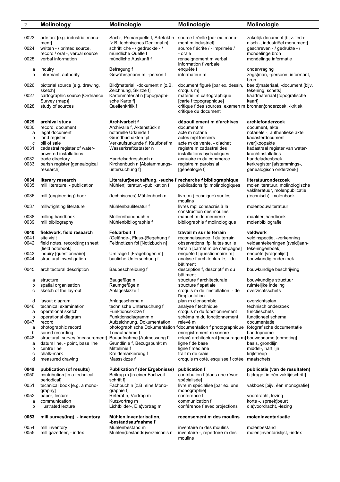| $\overline{2}$ | <b>Molinology</b>                                          | Molinologie                                                                                     | Molinologie                                                                          | Molinologie                                                                              |
|----------------|------------------------------------------------------------|-------------------------------------------------------------------------------------------------|--------------------------------------------------------------------------------------|------------------------------------------------------------------------------------------|
| 0023           | artefact [e.g. industrial monu-                            | Sach-, Primärquelle f, Artefakt n                                                               | source f réelle [par ex. monu-                                                       | zakelijk document [bijv. tech-                                                           |
| 0024           | mentl<br>written - / printed source,                       | [z.B. technisches Denkmal n]<br>schriftliche - / gedruckte - /                                  | ment m industriel]<br>source f écrite / - imprimée /                                 | nisch -, industriëel monument]<br>qeschreven - / gedrukte - /                            |
| 0025           | record / oral -, verbal source<br>verbal information       | mündliche Quelle f<br>mündliche Auskunft f                                                      | - orale<br>renseignement m verbal,                                                   | mondelinge bron<br>mondelinge informatie                                                 |
| a              | inguiry                                                    | Befragung f                                                                                     | information f verbale<br>enquête f                                                   | ondervraging                                                                             |
| b              | informant, authority                                       | Gewährs¦mann m, -person f                                                                       | informateur m                                                                        | zegs¦man, -persoon, informant,<br>bron                                                   |
| 0026           | pictorial source [e.g. drawing,<br>sketch]                 | Bild¦material, -dokument n [z.B.<br>Zeichnung, Skizze f]                                        | document figuré [par ex. dessin,<br>croquis m]                                       | beeld¦materiaal, -document [bijv.<br>tekening, schets]                                   |
| 0027           | cartographic source [Ordnance<br>Survey (map)]             | Kartenmaterial n [topographi-<br>sche Karte f                                                   | matériel m cartographique<br>[carte f topographique]                                 | kaartmateriaal [topografische<br>kaart]                                                  |
| 0028           | study of sources                                           | Quellenkritik f                                                                                 | critique f des sources, examen m bronnen¦onderzoek, -kritiek<br>critique du document |                                                                                          |
| 0029           | archival study                                             | <b>Archivarbeit f</b>                                                                           | dépouillement m d'archives                                                           | archiefonderzoek                                                                         |
| 0030           | record, document                                           | Archivalie f, Aktenstück n                                                                      | document m                                                                           | document, akte                                                                           |
| a              | legal document                                             | notarielle Urkunde f                                                                            | acte m notarié                                                                       | notariële -, authentieke akte                                                            |
| b<br>c         | land register<br>bill of sale                              | Grundbuchakten fol<br>Verkaufsurkunde f, Kaufbrief m                                            | actes mpl fonciers                                                                   | kadasterdocument                                                                         |
| 0031           | cadastral register of water-                               | Wasserkraftkataster n                                                                           | acte m de vente, - d'achat<br>registre m cadastral des                               | (ver) koopakte<br>kadastraal register van water-                                         |
|                | powered installations                                      |                                                                                                 | installations hydrauliques                                                           | krachtinstallaties                                                                       |
| 0032           | trade directory                                            | Handelsadressbuch n                                                                             | annuaire m du commerce                                                               | handeladresboek                                                                          |
| 0033           | parish register [genealogical                              | Kirchenbuch n [Abstammungs-                                                                     | registre m paroissial                                                                | kerkregister [afstammings-,                                                              |
|                | research]                                                  | untersuchung f]                                                                                 | [généalogie f]                                                                       | genealogisch onderzoek]                                                                  |
| 0034<br>0035   | literary research<br>mill literature, - publication        | Literatur¦beschaffung, -suche f recherche f bibliographique<br>Mühlen¦literatur, -publikation f | publications fpl molinologiques                                                      | literatuuronderzoek<br>molenliteratuur, molinologische<br>vakliteratuur, molenpublicatie |
| 0036           | mill (engineering) book                                    | (technisches) Mühlenbuch n                                                                      | livre m (technique) sur les<br>moulins                                               | (technisch) molenboek                                                                    |
| 0037           | millwrighting literature                                   | Mühlenbauliteratur f                                                                            | livres mpl consacrés à la<br>construction des moulins                                | molenbouwliteratuur                                                                      |
| 0038           | milling handbook                                           | Müllereihandbuch n                                                                              | manuel m de meunerie                                                                 | maalderijhandboek                                                                        |
| 0039           | mill bibliography                                          | Mühlenbibliographie f                                                                           | bibliographie f molinologique                                                        | molenbibliografie                                                                        |
| 0040           | fieldwork, field research                                  | <b>Feldarbeit f</b>                                                                             | travail m sur le terrain                                                             | veldwerk                                                                                 |
| 0041<br>0042   | site visit<br>field notes, record(ing) sheet               | (Gelände-, Fluss-)Begehung f<br>Feldnotizen fpl [Notizbuch n]                                   | reconnaissance f du terrain<br>observations fpl faites sur le                        | veldinspectie, -verkenning<br>veldaantekeningen [(veld)aan-                              |
|                | [field notebook]                                           |                                                                                                 | terrain [carnet m de campagne]                                                       | tekeningenboek]                                                                          |
| 0043           | inquiry [questionnaire]                                    | Umfrage f [Fragebogen m]                                                                        | enquête f [questionnaire m]                                                          | enquête [vragenlijst]                                                                    |
| 0044           | structural investigation                                   | bauliche Untersuchung f                                                                         | analyse f architecturale, - du                                                       | bouwkundig onderzoek                                                                     |
| 0045           | architectural description                                  | Baubeschreibung f                                                                               | bâtiment<br>description f, descriptif m du<br>bâtiment                               | bouwkundige beschrijving                                                                 |
| а              | structure                                                  | Baugefüge n                                                                                     | structure f architecturale                                                           | bouwkundige structuur                                                                    |
| b              | spatial organisation                                       | Raumgefüge n                                                                                    | structure f spatiale                                                                 | ruimtelijke indeling                                                                     |
| с              | sketch of the lay-out                                      | Anlageskizze f                                                                                  | croquis m de l'installation, - de<br><b>l'implantation</b>                           | overzichtsschets                                                                         |
| d              | layout diagram                                             | Anlageschema n                                                                                  | plan m d'ensemble                                                                    | overzichtsplan                                                                           |
| 0046           | technical examination                                      | technische Untersuchung f                                                                       | analyse f technique                                                                  | technisch onderzoek                                                                      |
| a              | operational sketch                                         | Funktionsskizze f                                                                               | croquis m du fonctionnement                                                          | functieschets                                                                            |
| b<br>0047      | operational diagram<br>record                              | Funktionsdiagramm n<br>Aufzeichnung, Dokumentation                                              | schéma m du fonctionnement<br>relevé m                                               | functioneel schema<br>documentatie                                                       |
| a              | photographic record                                        |                                                                                                 | photographische Dokumentation f documentation f photographique                       | fotografische documentatie                                                               |
| b              | sound recording                                            | Tonaufnahme f                                                                                   | enregistrement m sonore                                                              | bandopname                                                                               |
| 0048           | structural survey [measurement] Bauaufnahme [Aufmessung f] |                                                                                                 | relevé architectural [mesurage m] bouwopname [opmeting]                              |                                                                                          |
| a              | datum line, - point, base line                             | Grundlinie f, Bezugspunkt m                                                                     | ligne f de base                                                                      | basis, grondlijn                                                                         |
| b              | centre line                                                | Mittellinie f                                                                                   | ligne f médiane                                                                      | middel-, hart¦lijn                                                                       |
| c              | chalk-mark                                                 | Kreidemarkierung f                                                                              | trait m de craie                                                                     | krijtstreep                                                                              |
| d              | measured drawing                                           | Massskizze f                                                                                    | croquis m coté, esquisse f cotée                                                     | maatschets                                                                               |
| 0049           | publication (of results)                                   | <b>Publikation f (der Ergebnisse)</b>                                                           | publication f                                                                        | publicatie (van de resultaten)                                                           |
| 0050           | contribution [in a technical                               | Beitrag m [in einer Fachzeit-                                                                   | contribution f [dans une révue                                                       | bijdrage [in één vaktijdschrift]                                                         |
| 0051           | periodical]<br>technical book [e.g. a mono-                | schrift f]<br>Fachbuch n [z.B. eine Mono-                                                       | spécialisée]<br>livre m spécialisé [par ex. une                                      | vakboek [bijv. één monografie]                                                           |
|                | graphy]                                                    | graphie f                                                                                       | monographie]                                                                         |                                                                                          |
| 0052           | paper, lecture                                             | Referat n, Vortrag m                                                                            | conférence f                                                                         | voordracht, lezing                                                                       |
| a<br>b         | communication<br>illustrated lecture                       | Kurzvortrag m<br>Lichtbilder-, Dia¦vortrag m                                                    | communication f<br>conférence f avec projections                                     | korte -, spreek¦beurt<br>dia¦voordracht, -lezing                                         |
|                |                                                            |                                                                                                 |                                                                                      |                                                                                          |
| 0053           | mill survey(ing), - inventory                              | Mühlen¦inventarisation,<br>-bestandsaufnahme f                                                  | recensement m des moulins                                                            | moleninventarisatie                                                                      |
| 0054<br>0055   | mill inventory<br>mill gazetteer, - index                  | Mühlenbestand m<br>Mühlen(bestands)verzeichnis n                                                | inventaire m des moulins<br>inventaire -, répertoire m des<br>moulins                | molenbestand<br>molen¦inventarislijst, -index                                            |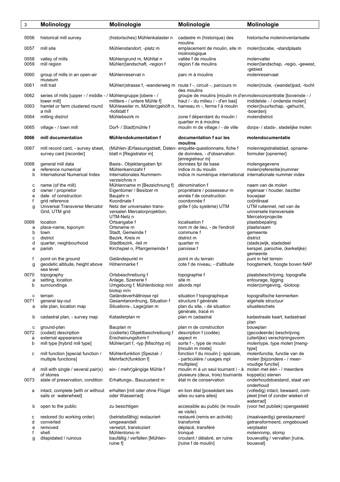| 3            | <b>Molinology</b>                                                   | Molinologie                                                                                                 | Molinologie                                                                        | Molinologie                                                                     |
|--------------|---------------------------------------------------------------------|-------------------------------------------------------------------------------------------------------------|------------------------------------------------------------------------------------|---------------------------------------------------------------------------------|
| 0056         | historical mill survey                                              | (historisches) Mühlenkataster n                                                                             | cadastre m (historique) des<br>moulins                                             | historische moleninventarisatie                                                 |
| 0057         | mill site                                                           | Mühlenstandort, -platz m                                                                                    | emplacement de moulin, site m<br>molinologique                                     | molen¦locatie, -standplaats                                                     |
| 0058<br>0059 | valley of mills<br>mill region                                      | Mühlengrund m, Mühltal n<br>Mühlen¦landschaft, -region f                                                    | vallée f de moulins<br>région f de moulins                                         | molenvallei<br>molen¦landschap, -regio, -gewest,<br>-gebied                     |
| 0060         | group of mills in an open-air<br>museum                             | Mühlenreservat n                                                                                            | parc m à moulins                                                                   | molenreservaat                                                                  |
| 0061         | mill trail                                                          | Mühlen¦strasse f, -wanderweg m route f -, circuit -, parcours m                                             | des moulins                                                                        | molen¦route, -(wandel)pad, -tocht                                               |
| 0062         | series of mills [upper - / middle - / Mühlengruppe [obere - /       |                                                                                                             | groupe de moulins [moulin m d'enmolenconcentratie [bovenste - /                    |                                                                                 |
| 0063         | lower mill]<br>hamlet or farm clustered round<br>a mill             | mittlere - / untere Mühle f]<br>Mühleweiler m, Mühlen¦gehöft n, hameau m -, ferme f à moulin<br>-hofstatt f | haut / - du milieu / - d'en bas]                                                   | middelste - / onderste molen]<br>molen¦buurtschap, -gehucht,<br>-boerderij      |
| 0064         | milling district                                                    | Mühlebezirk m                                                                                               | zone f dépendant du moulin /<br>quartier m à moulins                               | molendistrict                                                                   |
| 0065         | village - / town mill                                               | Dorf- / Stadt¦mühle f                                                                                       | moulin m de village / - de ville                                                   | dorps- / stads-, stedelijke molen                                               |
| 0066         | mill documentation                                                  | Mühlendokumentation f                                                                                       | documentation f sur les<br>moulins                                                 | molendocumentatie                                                               |
| 0067         | mill record card, - survey sheet,<br>survey card [recorder]         | (Mühlen-)Erfassungsblatt, Daten- enquête-questionnaire, fiche f<br>blatt n [Registrator m]                  | de données, - d'observation<br>[enregistreur m]                                    | molenregistratieblad, opname-<br>formulier [opnemer]                            |
| 0068         | general mill data                                                   | Basis-, Objektangaben fpl                                                                                   | données fpl de base                                                                | molengegevens                                                                   |
| a<br>b       | reference numerical<br>International Numerical Index                | Mühlenkennzahl f<br>Internationales Nummern-<br>verzeichnis n                                               | indice m du moulin<br>indice m numérique international internationale nummer index | molen(referentie)nummer                                                         |
| с            | name (of the mill)                                                  | Mühlenname m [Bezeichnung f]                                                                                | dénomination f                                                                     | naam van de molen                                                               |
| d<br>e       | owner / proprietor<br>date of construction                          | Eigentümer / Besitzer m<br>Baujahr n                                                                        | propriétaire / possesseur m<br>année f de construction                             | eigenaar / houder, bezitter<br>bouwjaar                                         |
| f            | grid reference                                                      | Koordinate f                                                                                                | coordonnée f                                                                       | coördinaat                                                                      |
| g            | Universal Transverse Mercator<br>Grid, UTM grid                     | Netz der universalen trans-<br>versalen Mercatorprojektion,<br>UTM-Netz n                                   | grille f (du système) UTM                                                          | UTM ruitennet, net van de<br>universele transversale<br>Mercatorprojectie       |
| 0069         | location                                                            | Ortsangabe f                                                                                                | localisation f                                                                     | plaatsbepaling                                                                  |
| а            | place-name, toponym                                                 | Ortsname m                                                                                                  | nom m de lieu, - de l'endroit                                                      | plaatsnaam                                                                      |
| b<br>с       | town<br>district                                                    | Stadt, Gemeinde f<br>Bezirk, Kreis m                                                                        | commune f<br>district m                                                            | gemeente<br>district                                                            |
| d            | quarter, neighbourhood                                              | Stadtbezirk, -teil m                                                                                        | quartier m                                                                         | (stads)wijk, stadsdeel                                                          |
| е            | parish                                                              | Kirchspiel n, Pfarrgemeinde f                                                                               | paroisse f                                                                         | kerspel, parochie, (kerkelijke)<br>gemeente                                     |
| f<br>g       | point on the ground<br>geodetic altitude, height above<br>sea level | Geländepunkt m<br>Höhenmarke f                                                                              | point m du terrain<br>cote f de niveau, - d'altitude                               | punt in het terrein<br>hoogtemerk, hoogte boven NAP                             |
| 0070         | topography                                                          | Ortsbeschreibung f                                                                                          | topographie f                                                                      | plaatsbeschrijving, topografie                                                  |
| а            | setting, location                                                   | Anlage, Szenerie f                                                                                          | site m                                                                             | entourage, ligging                                                              |
| b<br>c       | surroundings<br>terrain                                             | Umgebung f, Mühlenbiotop m/n<br>biotop m/n<br>Geländeverhältnisse npl                                       | abords mpl<br>situation f topographique                                            | molen¦omgeving, -biotoop<br>topografische kenmerken                             |
| 0071         | general lay-out                                                     | Gesamtanordnung, Situation f                                                                                | structure f générale                                                               | algehele structuur                                                              |
| a            | site plan, location map                                             | Situations-, Lage¦plan m                                                                                    | plan du site, - de situation<br>générale, tracé m                                  | situatieschets                                                                  |
| b            | cadastral plan, - survey map                                        | Katasterplan m                                                                                              | plan m cadastral                                                                   | kadastraale kaart, kadastraal<br>plan                                           |
| с<br>0072    | ground-plan<br>(coded) description                                  | Bauplan m<br>(codierte) Objektbeschreibung f                                                                | plan m de construction<br>description f (codée)                                    | bouwplan<br>(gecodeerde) beschrijving                                           |
| а            | external appearance                                                 | Erscheinungsform f                                                                                          | aspect m                                                                           | (uiterlijke) verschijningsvorm                                                  |
| b            | mill type [hybrid mill type]                                        | Mühlen¦art f, -typ [Mischtyp m]                                                                             | sorte f -, type de moulin<br>[moulin m mixte]                                      | molentype, type molen [meng-<br>type]                                           |
| с            | mill function [special function /<br>multiple functions]            | Mühlenfunktion [Spezial- /<br>Mehrfach¦funktion f]                                                          | fonction f du moulin [- spéciale,<br>- particulière / usages mpl<br>multiples]     | molenfunctie, functie van de<br>molen [bijzondere - / meer-<br>voudige functie] |
| d            | mill with single / several pair(s)<br>of stones                     | ein- / mehr¦gängige Mühle f                                                                                 | moulin m à un seul tournant / - à<br>plusieurs (deux, trois) tournants             | molen met één - / meerdere<br>koppel(s) stenen                                  |
| 0073         | state of preservation, condition                                    | Erhaltungs-, Bauzustand m                                                                                   | état m de conservation                                                             | onderhoudstoestand, staat van<br>onderhoud                                      |
| а            | intact, complete [with or without<br>sails or waterwheel]           | erhalten [mit oder ohne Flügel<br>oder Wasserrad]                                                           | en bon état [possédant ses<br>ailes ou sans ailes]                                 | (volledig) intact, bewaard, com-<br>pleet [met of zonder wieken of<br>waterrad] |
| b            | open to the public                                                  | zu besichtigen                                                                                              | accessible au public (le moulin<br>se visite)                                      | (voor het publiek) opengesteld                                                  |
| с            | restored (to working order)                                         | (betriebsfähig) restauriert                                                                                 | restauré (remis en activité)                                                       | (maalvaardig) gerestaureerd                                                     |
| d<br>e       | converted<br>removed                                                | umgewandelt<br>versetzt, transloziert                                                                       | transformé<br>déplacé, transféré                                                   | getransformeerd, omgebouwd<br>verplaatst                                        |
| f            | shell                                                               | Mühlentorso m                                                                                               | trongué                                                                            | molenromp, stomp                                                                |
| g            | dilapidated / ruinous                                               | baufällig / verfallen [Mühlen-                                                                              | croulant / délabré, en ruine                                                       | bouwvallig / vervallen [ruine,                                                  |
|              |                                                                     | ruine f]                                                                                                    | [ruine f de moulin]                                                                | bouwval]                                                                        |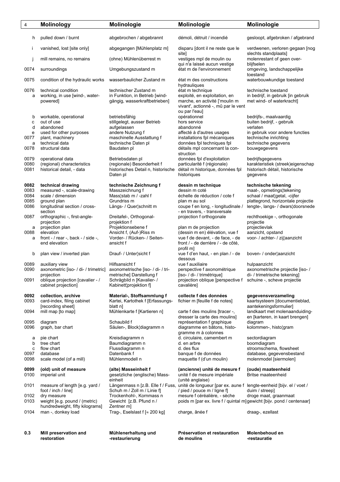| 4              | <b>Molinology</b>                                                                       | Molinologie                                                                               | Molinologie                                                                                                                                 | <b>Molinologie</b>                                                                          |
|----------------|-----------------------------------------------------------------------------------------|-------------------------------------------------------------------------------------------|---------------------------------------------------------------------------------------------------------------------------------------------|---------------------------------------------------------------------------------------------|
| h              | pulled down / burnt                                                                     | abgebrochen / abgebrannt                                                                  | démoli, détruit / incendié                                                                                                                  | gesloopt, afgebroken / afgebrand                                                            |
| Ť              | vanished, lost [site only]                                                              | abgegangen [Mühlenplatz m]                                                                | disparu [dont il ne reste que le<br>sitel                                                                                                   | verdwenen, verloren gegaan [nog<br>slechts standplaats]                                     |
|                | mill remains, no remains                                                                | (ohne) Mühlenüberrest m                                                                   | vestiges mpl de moulin ou<br>qui n'a laissé aucun vestige                                                                                   | molenrestant of geen over-<br>blijfselen                                                    |
| 0074           | surroundings                                                                            | Umgebungszustand m                                                                        | état m de l'environnement                                                                                                                   | omgeving, landschappelijke<br>toestand                                                      |
| 0075           | condition of the hydraulic works                                                        | wasserbaulicher Zustand m                                                                 | état m des constructions<br>hydrauliques                                                                                                    | waterbouwkundige toestand                                                                   |
| 0076<br>a      | technical condition<br>working, in use [wind-, water-<br>powered]                       | technischer Zustand m<br>in Funktion, in Betrieb [wind-<br>gängig, wasserkraftbetrieben]  | état m technique<br>exploité, en exploitation, en<br>marche, en activité ['moulin m<br>vivant', actionné -, mû par le vent<br>ou par l'eau] | technische toestand<br>in bedrijf, in gebruik [in gebruik]<br>met wind- of waterkracht]     |
| b<br>c         | workable, operational<br>out of use                                                     | betriebsfähig<br>stillgelegt, ausser Betrieb                                              | opérationnel<br>hors service                                                                                                                | bedrijfs-, maalvaardig<br>buiten bedrijf, - gebruik                                         |
| d              | abandoned                                                                               | aufgelassen                                                                               | abandonné                                                                                                                                   | verlaten                                                                                    |
| e              | used for other purposes                                                                 | andere Nutzung f                                                                          | affecté à d'autres usages                                                                                                                   | in gebruik voor andere functies                                                             |
| 0077<br>а      | plant, machinery<br>technical data                                                      | maschinelle Ausstattung f<br>technische Daten pl                                          | installations fpl mécaniques<br>données fpl techniques fpl                                                                                  | technische inrichting<br>technische gegevens                                                |
| 0078           | structural data                                                                         | Baudaten pl                                                                               | détails mpl concernant la con-<br>struction                                                                                                 | bouwgegevens                                                                                |
| 0079           | operational data                                                                        | Betriebsdaten pl                                                                          | données fpl d'exploitation                                                                                                                  | bedrijfsgegevens                                                                            |
| 0080<br>0081   | (regional) characteristics<br>historical detail, - data                                 | (regionale) Besonderheit f<br>historisches Detail n, historische<br>Daten pl              | particularité f (régionale)<br>détail m historique, données fpl<br>historiques                                                              | karakteristiek (streek)eigenschap<br>historisch détail, historische<br>gegevens             |
| 0082           | technical drawing                                                                       | technische Zeichnung f                                                                    | dessin m technique                                                                                                                          | technische tekening                                                                         |
| 0083<br>0084   | measured -, scale-drawing<br>scale / dimension                                          | Masszeichnung f<br>Mass¦stab m / -zahl f                                                  | dessin m coté<br>échelle de réduction / cote f                                                                                              | maat-, opmetings¦tekening<br>schaal / maat¦getal, -cijfer                                   |
| 0085           | ground plan                                                                             | Grundriss m                                                                               | plan m au sol                                                                                                                               | plattegrond, horizontale projectie                                                          |
| 0086           | longitudinal section / cross-<br>section                                                | Längs- / Quer¦schnitt m                                                                   | coupe f en long, - longitudinale /<br>- en travers, - transversale                                                                          | lengte-, langs- / dwars¦doorsnede                                                           |
| 0087           | orthographic -, first-angle-<br>projection                                              | Dreitafel-, Orthogonal-<br>projektion f                                                   | projection f orthogonale                                                                                                                    | rechthoekige -, orthogonale<br>projectie                                                    |
| а<br>0088<br>a | projection plan<br>elevation<br>front - $/$ rear -, back - $/$ side -,<br>end elevation | Projektionsebene f<br>Ansicht f, (Auf-)Riss m<br>Vorder- / Rücken- / Seiten-<br>ansicht f | plan m de projection<br>(dessin m en) élévation, vue f<br>vue f de devant, - de face, - de<br>front / - de derrière / - de côté,            | projectievlak<br>aanzicht, opstand<br>voor- / achter- / zij¦aanzicht                        |
| b              | plan view / inverted plan                                                               | Drauf- / Unter¦sicht f                                                                    | profil m]<br>vue f d'en haut, - en plan / - de<br>dessous                                                                                   | boven- / onder¦aanzicht                                                                     |
| 0089           | auxiliary view                                                                          | Hilfsansicht f                                                                            | vue f auxiliaire                                                                                                                            | hulpaanzicht                                                                                |
| 0090           | axonometric [iso- / di- / trimetric] axonometrische [iso- / di- / tri-                  |                                                                                           | perspective f axonométrique                                                                                                                 | axonometrische projectie [iso- /                                                            |
| 0091           | projection<br>oblique projection [cavalier - /<br>cabinet projection]                   | metrische] Darstellung f<br>Schrägbild n [Kavalier- /<br>Kabinett¦projektion f]           | [iso- / di- / trimétrique]<br>projection oblique [perspective f schuine -, scheve projectie<br>cavalière]                                   | di- / trimetrische tekening]                                                                |
| 0092<br>0093   | collection, archive<br>card-index, filing cabinet                                       | Material-, Stoffsammlung f<br>Kartei, Kartothek f [Erfassungs-                            | collecte f des données<br>fichier m [feuille f de notes]                                                                                    | gegevensverzameling<br>kaartsysteem [documentieblad,                                        |
| 0094           | [recording sheet]<br>mill map [to map]                                                  | blatt n]<br>Mühlenkarte f [Kartieren n]                                                   | carte f des moulins [tracer -,<br>dresser la carte des moulins]                                                                             | aantekeningsformulier]<br>landkaart met molenaanduiding-<br>en [karteren, in kaart brengen] |
| 0095<br>0096   | diagram<br>graph, bar chart                                                             | Schaubild f<br>Säulen-, Block¦diagramm n                                                  | représentation f graphique<br>diagramme en bâtons, histo-<br>gramme m à colonnes                                                            | diagram<br>kolommen-, histo¦gram                                                            |
| а              | pie chart                                                                               | Kreisdiagramm n                                                                           | d. circulaire, camembert m                                                                                                                  | sectordiagram                                                                               |
| b              | tree chart                                                                              | Baumdiagramm n                                                                            | d. en arbre                                                                                                                                 | boomdiagram                                                                                 |
| C<br>0097      | flow chart<br>database                                                                  | Flussdiagramm n<br>Datenbank f                                                            | d. des flux<br>banque f de données                                                                                                          | stroomschema, flowsheet<br>database, gegevensbestand                                        |
| 0098           | scale model (of a mill)                                                                 | Mühlenmodell n                                                                            | maquette f (d'un moulin)                                                                                                                    | molenmodel [siermolen]                                                                      |
| 0099<br>0100   | (old) unit of measure<br>imperial unit                                                  | (alte) Masseinheit f<br>gesetzliche (englische) Mass-<br>einheit                          | (ancienne) unité de mesure f<br>unité f de mesure impériale<br>(unité anglaise)                                                             | (oude) maateenheid<br>Britse maateenheid                                                    |
| 0101           | measure of length [e.g. yard /                                                          |                                                                                           | Längenmass n [z.B. Elle f / Fuss, unité de longueur [par ex. aune f lengte-eenheid [bijv. el / voet /                                       |                                                                                             |
| 0102           | foot / inch / line]<br>dry measure                                                      | Schuh m / Zoll m / Linie f]<br>Trockenhohl-, Kornmass n                                   | / pied / pouce m / ligne f<br>mesure f céréalière, - sèche                                                                                  | duim / streep]<br>droge maat, graanmaat                                                     |
| 0103           | weight [e.g. pound / (metric)<br>hundredweight, fifty kilograms]                        | Gewicht [z.B. Pfund n /<br>Zentner m]                                                     | poids m [par ex. livre f / quintal m] gewicht [bijv. pond / centenaar]                                                                      |                                                                                             |
| 0104           | man -, donkey load                                                                      | Trag-, Eselslast f $\left[\approx 200 \text{ kg}\right]$                                  | charge, ânée f                                                                                                                              | draag-, ezellast                                                                            |
| 0.3            | Mill preservation and<br>restoration                                                    | Mühlenerhaltung und<br>-restaurierung                                                     | Préservation et restauration<br>de moulins                                                                                                  | Molenbehoud en<br>-restauratie                                                              |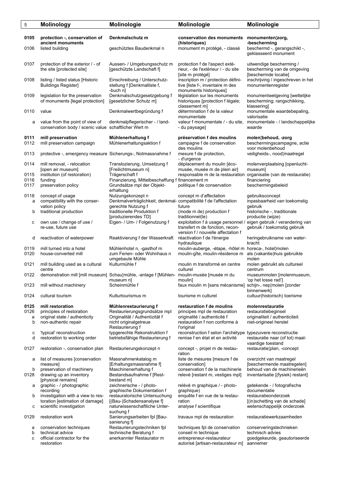| 5            | Molinology                                                                              | Molinologie                                                                                            | Molinologie                                                                                                               | Molinologie                                                                       |
|--------------|-----------------------------------------------------------------------------------------|--------------------------------------------------------------------------------------------------------|---------------------------------------------------------------------------------------------------------------------------|-----------------------------------------------------------------------------------|
| 0105         | protection -, conservation of                                                           | Denkmalschutz m                                                                                        | conservation des monuments                                                                                                | monumenten¦zorg,                                                                  |
| 0106         | ancient monuments<br>listed building                                                    | geschütztes Baudenkmal n                                                                               | (historiques)<br>monument m protégé, - classé                                                                             | -bescherming<br>beschermd -, gerangschikt -,<br>geklasseerd monument              |
| 0107         | protection of the exterior / - of<br>the site (protected site)                          | Aussen- / Umgebungsschutz m<br>[geschützte Landschaft f]                                               | protection f de l'aspect exté-<br>rieur, - de l'extérieur / - du site<br>[site m protégé]                                 | uitwendige bescherming /<br>bescherming van de omgeving<br>[beschermde locatie]   |
| 0108         | listing / listed status [Historic<br><b>Buildings Register]</b>                         | Einschreibung / Unterschutz-<br>stellung f [Denkmalliste f,<br>-buch n]                                | inscription m / protection défini-<br>tive [liste f-, inventaire m des<br>monuments historiques]                          | inschrijving / ingeschreven in het<br>monumentenregister                          |
| 0109         | legislation for the preservation<br>of monuments [legal protection]                     | Denkmalschutzgesetzgebung f<br>[gesetzlicher Schutz m]                                                 | législation sur les monuments<br>historiques [protection f légale;<br>classement m]                                       | monumentwetgeving [wettelijke<br>bescherming; rangschikking,<br>klassering]       |
| 0110         | value                                                                                   | Denkmalwertbegründung f                                                                                | détermination f de la valeur<br>monumentale                                                                               | monumentale waardebepaling,<br>valorisatie                                        |
| a            | value from the point of view of<br>conservation body / scenic value schaftlicher Wert m | denkmalpflegerischer - / land-                                                                         | valeur f monumentale / - du site,<br>- du paysage]                                                                        | monumentale - / landschappelijke<br>waarde                                        |
| 0111<br>0112 | mill preservation<br>mill preservation campaign                                         | Mühlenerhaltung f<br>Mühlenerhaltungsaktion f                                                          | préservation f des moulins<br>campagne f de conservation<br>des moulins                                                   | molen¦behoud, -zorg<br>beschermingscampagne, actie<br>voor molenbehoud            |
| 0113         | protective -, emergency measure Sicherungs-, Notmassnahme f                             |                                                                                                        | mesure f de protection,<br>- d'urgence                                                                                    | veiligheids-, nood¦maatregel                                                      |
| 0114         | mill removal, - relocation<br>[open air museum]                                         | Translozierung, Umsetzung f<br>[Freilichtmuseum n]                                                     | déplacement du moulin [éco-<br>musée, musée m de plein air]                                                               | molenverplaatsing [openlucht-<br>museum]                                          |
| 0115         | institution (of restoration)                                                            | Trägerschaft f                                                                                         | responsable m de la restauration                                                                                          | organisatie (van de restauratie)                                                  |
| 0116<br>0117 | funding<br>preservation policy                                                          | Finanzierung, Mittelbeschaffung f financement m<br>Grundsätze mpl der Objekt-                          | politique f de conservation                                                                                               | financiering<br>beschermingsbeleid                                                |
|              |                                                                                         | erhaltung                                                                                              |                                                                                                                           |                                                                                   |
| 0118<br>a    | concept of usage<br>compatibility with the conser-                                      | Nutzungskonzept n<br>Denkmalverträglichkeit, denkmal-compatibilité f de l'affectation                  | concept m d'affectation                                                                                                   | gebruiksconcept<br>inpasbaarheid van toekomstig                                   |
| b            | vation policy<br>traditional production                                                 | gerechte Nutzung f<br>traditionelle Produktion f                                                       | future<br>(mode m de) production f                                                                                        | gebruik<br>historische -, traditionale                                            |
| с            | own use / change of use /<br>re-use, future use                                         | [produzierendes TD]<br>Eigen- / Um- / Folgenutzung f                                                   | traditionnel(le)<br>exploitation f à usage personnel / eigen gebruik / verandering van<br>transfert m de fonction, recon- | productie (wijze)<br>gebruik / toekomstig gebruik                                 |
| d            | reactivation of waterpower                                                              | Reaktivierung f der Wasserkraft                                                                        | version f / nouvelle affectation f<br>réactivation f de l'énergie<br>hydraulique                                          | heringebruikname van water-<br>kracht                                             |
| 0119<br>0120 | mill turned into a hotel<br>house-converted mill                                        | Mühlenhotel n, -gasthof m<br>zum Ferien- oder Wohnhaus n<br>umgebaute Mühle                            | moulin-auberge, -étape, -hôtel m horeca-, hotellmolen<br>moulin-gîte, moulin-résidence m                                  | als (vakantie) huis gebruikte<br>molen                                            |
| 0121         | mill building used as a cultural<br>centre                                              | Kulturmühle f                                                                                          | moulin m transformé en centre<br>culturel                                                                                 | molen gebruikt als cultureel<br>centrum                                           |
| 0122         |                                                                                         | demonstration mill [mill museum] Schau¦mühle, -anlage f [Mühlen- moulin-musée [musée m du<br>museum nj | moulin                                                                                                                    | museummolen [molenmuseum,<br>op het losse rad J                                   |
| 0123         | mill without machinery                                                                  | Scheinmühle f                                                                                          | faux moulin m [sans mécanisme] schijn-, nep¦molen [zonder                                                                 | binnenwerk]                                                                       |
| 0124         | cultural tourism                                                                        | Kulturtourismus m                                                                                      | tourisme m culturel                                                                                                       | cultuur(historisch) toerisme                                                      |
| 0125         | mill restoration<br>principles of restoration                                           | Mühlenrestaurierung f                                                                                  | restauration f de moulins                                                                                                 | molenrestauratie<br>restauratiebeginsel                                           |
| 0126<br>a    | original state / authenticity                                                           | Restaurierungsgrundsätze mpl<br>Originalität / Authentizität f                                         | principes mpl de restauration<br>originalité / authenticité f                                                             | originaliteit / authenticiteit                                                    |
| b            | non-authentic repair                                                                    | nicht originalgetreue<br>Restaurierung f                                                               | restauration f non conforme à<br>l'original                                                                               | niet-origineel herstel                                                            |
| с<br>d       | 'typical' reconstruction<br>restoration to working order                                | typgerechte Rekonstruktion f<br>betriebsfähige Restaurierung f                                         | reconstruction f selon l'archétype<br>remise f en état et en activité                                                     | typezuivere reconstructie<br>restauratie naar (of tot) maal-<br>vaardige toestand |
| 0127         | restoration -, conservation plan                                                        | Restaurierungskonzept n                                                                                | concept -, projet m de restau-<br>ration                                                                                  | restauratie¦plan, -concept                                                        |
| а            | list of measures [conservation<br>measure]                                              | Massnahmenkatalog m<br>[Erhaltungsmassnahme f]                                                         | liste de mesures [mesure f de<br>conservation]                                                                            | overzicht van maatregel<br>[beschermende maatregelen]                             |
| b<br>0128    | preservation of machinery<br>drawing up an inventory                                    | Maschinenerhaltung f<br>Bestandsaufnahme f [Rest-                                                      | conservation f de la machinerie<br>relevé [restant m, vestiges mpl]                                                       | behoud van de machinerieën<br>inventarisatie [(fysiek) restant]                   |
| а            | [physical remains]<br>graphic - / photographic                                          | bestand m]<br>zeichnerische - / photo-                                                                 | relévé m graphique / - photo-                                                                                             | getekende - / fotografische                                                       |
| b            | recording<br>investigation with a view to res-                                          | graphische Dokumentation f<br>restauratorische Untersuchung                                            | graphique)<br>enquête f en vue de la restau-                                                                              | documentatie<br>restauratieonderzoek                                              |
|              | toration [estimation of damage]                                                         | [(Bau-)Schadensanalyse f]                                                                              | ration                                                                                                                    | [(in)schetting van de schade]                                                     |
| с            | scientific investigation                                                                | naturwissenschaftliche Unter-<br>suchung f                                                             | analyse f scientifique                                                                                                    | wetenschappelijk onderzoek                                                        |
| 0129         | restoration work                                                                        | Sanierungsarbeiten fpl [Bau-<br>sanierung f]                                                           | travaux mpl de restauration                                                                                               | restauratiewerkzaamheden                                                          |
| а            | conservation techniques<br>technical advice                                             | Restaurierungstechniken fpl<br>technische Beratung f                                                   | techniques fpl de conservation<br>conseil m technique                                                                     | conserveringstechnieken<br>technisch advies                                       |
| b<br>с       | official contractor for the<br>restoration                                              | anerkannter Restaurator m                                                                              | entrepreneur-restaurateur<br>autorisé [artisan-restaurateur m]                                                            | goedgekeurde, geautoriseerde<br>aannemer                                          |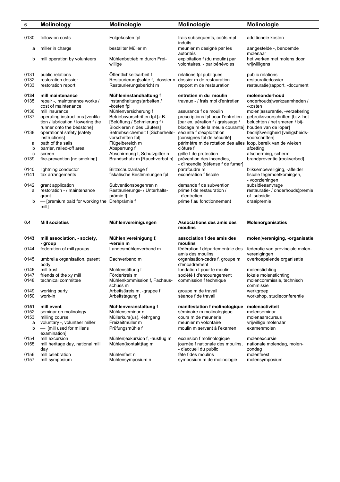| 6            | <b>Molinology</b>                            | Molinologie                                                 | Molinologie                                                    | Molinologie                                 |
|--------------|----------------------------------------------|-------------------------------------------------------------|----------------------------------------------------------------|---------------------------------------------|
|              |                                              |                                                             |                                                                |                                             |
| 0130         | follow-on costs                              | Folgekosten fpl                                             | frais subséquents, coûts mpl<br>induits                        | additionele kosten                          |
| а            | miller in charge                             | bestallter Müller m                                         | meunier m designé par les<br>autorités                         | aangestelde -, benoemde<br>molenaar         |
| b            | mill operation by volunteers                 | Mühlenbetrieb m durch Frei-<br>willige                      | exploitation f (du moulin) par<br>volontaires, - par bénévoles | het werken met molens door<br>vrijwilligens |
| 0131         | public relations                             | Öffentlichkeitsarbeit f                                     | relations fpl publiques                                        | public relations                            |
| 0132         | restoration dossier                          | Restaurierung¦sakte f, -dossier n dossier m de restauration |                                                                | restauratiedossier                          |
| 0133         | restoration report                           | Restaurierungsbericht m                                     | rapport m de restauration                                      | restauratie¦rapport, -document              |
| 0134         | mill maintenance                             | Mühleninstandhaltung f                                      | entretien m du moulin                                          | molenonderhoud                              |
| 0135         | repair -, maintenance works /                | Instandhaltungs¦arbeiten /                                  | travaux - / frais mpl d'entretien                              | onderhouds¦werkzaamheden /                  |
|              | cost of maintenance                          | -kosten fpl                                                 |                                                                | -kosten                                     |
| 0136         | mill insurance                               | Mühlenversicherung f                                        | assurance f de moulin                                          | molen¦assurantie, -verzekering              |
| 0137         | operating instructions [ventila-             | Betriebsvorschriften fpl [z.B.                              | prescriptions fpl pour l'entretien                             | gebruiksvoorschriften [bijv. het            |
|              | tion / lubrication / lowering the            | [Belüftung / Schmierung f /                                 | [par ex. aération f / graissage /                              | beluchten / het smeren / bij-               |
|              | runner onto the bedstone]                    | Blockieren n des Läufers]                                   | blocage m de la meule courante]                                | houden van de loper]                        |
| 0138         | operational safety [safety                   | Betriebssicherheit f [Sicherheits-                          | sécurité f d'exploitation                                      | bedrijfsveiligheid [veiligsheids-           |
|              | instructions]                                | vorschriften fpl]                                           | [consignes fpl de sécurité]                                    | voorschriften]                              |
| a            | path of the sails                            | Flügelbereich m                                             | périmètre m de rotation des ailes loop, bereik van de wieken   |                                             |
| b            | barrier, railed-off area                     | Absperrung f                                                | clôture f                                                      | afzetting                                   |
| с            | screen                                       | Abschirmung f, Schutzgitter n                               | grille f de protection                                         | afscherming, scherm                         |
| 0139         | fire-prevention [no smoking]                 | Brandschutz m [Rauchverbot n]                               | prévention des incendies.                                      | brandpreventie [rookverbod]                 |
|              |                                              |                                                             | - d'incendie [défense f de fumer]                              |                                             |
| 0140         | lightning conductor                          | Blitzschutzanlage f                                         | parafoudre m                                                   | bliksembeveiliging, -afleider               |
| 0141         | tax arrangements                             | fiskalische Bestimmungen fpl                                | exonération f fiscale                                          | fiscale tegemoetkomingen,                   |
|              |                                              |                                                             |                                                                | - voorzieningen                             |
| 0142         | grant application                            | Subventionsbegehren n                                       | demande f de subvention                                        | subsidieaanvrage                            |
| a            | restoration - / maintenance                  | Restaurierungs- / Unterhalts-                               | prime f de restauration /                                      | restauratie- / onderhouds¦premie            |
|              | grant                                        | prämie f                                                    | - d'entretien                                                  | of -subsidie                                |
| b            | - [premium paid for working the Drehprämie f |                                                             | prime f au fonctionnement                                      | draaipremie                                 |
|              | mill]                                        |                                                             |                                                                |                                             |
|              |                                              |                                                             |                                                                |                                             |
| 0.4          | <b>Mill societies</b>                        | Mühlenvereinigungen                                         | Associations des amis des                                      | Molenorganisaties                           |
|              |                                              |                                                             | moulins                                                        |                                             |
| 0143         | mill association, - society,                 | Mühlen¦vereinigung f,                                       | association f des amis des                                     | molen¦vereniging, -organisatie              |
| 0144         | - group<br>federation of mill groups         | -verein m<br>Landesmühlenverband m                          | moulins<br>fédération f départementale des                     | federatie van provinciale molen-            |
| 0145         | umbrella organisation, parent                | Dachverband m                                               | amis des moulins<br>organisation-cadre f, groupe m             | verenigingen<br>overkoepelende organisatie  |
| 0146         | body<br>mill trust                           | Mühlenstiftung f                                            | d'encadrement                                                  |                                             |
| 0147         |                                              | Förderkreis m                                               | fondation f pour le moulin                                     | molenstichting<br>lokale molenstichting     |
|              | friends of the xy mill                       | Mühlenkommission f, Fachaus-                                | société f d'encouragement                                      |                                             |
| 0148         | technical committee                          | schuss m                                                    | commission f technique                                         | molencommissie, technisch<br>commissie      |
| 0149         | working party                                | Arbeits¦kreis m, -gruppe f                                  | groupe m de travail                                            | werkgroep                                   |
| 0150         | work-in                                      | Arbeitstagung f                                             | séance f de travail                                            | workshop, studieconferentie                 |
|              |                                              |                                                             |                                                                |                                             |
| 0151         |                                              | Mühlenveranstaltung f                                       | manifestation f molinologique                                  | molenactiviteit                             |
| 0152         |                                              |                                                             |                                                                |                                             |
|              | mill event                                   |                                                             |                                                                |                                             |
|              | seminar on molinology                        | Mühlenseminar n                                             | séminaire m molinologique                                      | molenseminar                                |
| 0153         | milling course                               | Müllerkurs(us), -lehrgang                                   | cours m de meunerie                                            | molenaarscursus                             |
| а            | voluntary -, volunteer miller                | Freizeitmüller m                                            | meunier m volontaire                                           | vrijwillige molenaar                        |
| b            | - [mill used for miller's                    | Prüfungsmühle f                                             | moulin m servant à l'examen                                    | examenmolen                                 |
|              | examination]                                 |                                                             |                                                                |                                             |
| 0154         | mill excursion                               | Mühlen¦exkursion f, -ausflug m                              | excursion f molinologique                                      | molenexcursie                               |
| 0155         | mill heritage day, national mill             | Mühlen(kontakt)tag m                                        | journée f nationale des moulins,                               | nationale molendag, molen-                  |
|              | day                                          |                                                             | - d'accueil du public                                          | zondag                                      |
| 0156<br>0157 | mill celebration<br>mill symposium           | Mühlenfest n<br>Mühlensymposium n                           | fête f des moulins<br>symposium m de molinologie               | molenfeest<br>molensymposium                |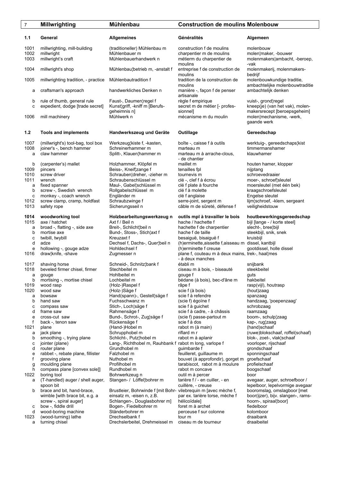## 7 **Millwrighting Mühlenbau Construction de moulins Molenbouw 1.1 General Allgemeines Généralités Algemeen**

1001 millwrighting, mill-building (traditioneller) Mühlenbau m construction f de moulins molenbouw<br>1002 millwright molen¦make Mühlenbauer m charpentier m de moulins molen¦make 1002 millwright Mühlenbauer m charpentier m de moulins molen¦maker, -bouwer 1003 millwright's craft Mühlenbauerhandwerk n métierm du charpentier de molenmakers¦ambacht, -beroep, moulins -vak 1004 millwright's shop Mühlenbau¦betrieb m, -anstalt f entreprise f de construction de molenmakerij, molenmakers moulins bedrijf 1005 millwrighting tradition, - practice Mühlenbautradition f tradition de la construction de molenbouwkundige traditie, moulins ambachtelijke molenbouwtraditie<br>craftsman's approach handwerkliches Denken n manière -, façon f de penser ambachtelijk denken a craftsman's approach handwerkliches Denken n manière -, façon f de penser

b rule of thumb, general rule Faust-, Daumen¦regel f règle f empirique vuist-, grond¦regel<br>c expedient, dodge [trade secret] Kunst¦griff, -kniff m [Berufs- secret m de métier [- profes- kneep(ie) (van het vak), molenc expedient, dodge [trade secret]

### **1.2 Tools and implements Handwerkszeug und Geräte Outillage Gereedschap**

1007 (millwright's) tool-bag, tool box Werkzeug¦kiste f, -kasten, boîte -, caisse f à outils werktuig-, gereedschaps¦kist<br>1008 ioiner's - bench hammer Schreinerhammer m marteau m marteau m timmermanshamer joiner's -, bench hammer a claw hammer Splitt-, Klauen¦hammer m marteau m à arrache-clous, klauwhamer

- nation of the tension of the tension pincers for the tension of the tension of the tension of the tension of te<br>
and the tension of the tension of the tension of the tension of the tension of the tension of the tension of
- 
- 
- b screw -, Swedish wrench Rollgabelschlüssel m clé f à molette
- 
- 

a broad -, flatting -, side axe

- 
- 
- 1018 beveled firmer chisel, firmer Stechbeitel m ciseau m à bois, biseauté steekbeitel a gouge extending the Hohlbeitel metal of gouge for the gouge for the guts
- 
- 
- 
- 
- 
- 
- 

- 
- 
- 
- 
- e rabbet -, rebate plane, fillister<br>f grooving plane
- 
- 
- 
- 
- a (T-handled) auger / shell auger, Stangen- / Lotell<sub>i</sub>bohrer m tarière f / en cuillere, creuse
- 
- 
- 
- d wood-boring machine<br>1023 (wood-turning) lathe
	-

artisanale

 - de chantier b (carpenter's) mallet Holzhammer, Klöpfel m maillet m maillet m houten hamer, klopper<br>1009 pincers mailles houten beiss-. Kneif!zange f m tenailles fol mintang mintang 1010 screw driver eine Schrauben¦dreher, -zieher muit durnevis muit dur der schroevedraaier<br>1011 wrench schroef¦sleutel Schraubenschlüssel muit de -, clef f à écrou moer-, schroef¦sleutel 1011 wrench schraubenschlüssel m clé -, clef f à écrou moet clé -, clef f à écrou moet control de Schraubenschlüssel m<br>Clé f plate à fourche a fixed spanner **Maul-, Gabel¦schlüssel m** clé f plate à fourche moersleutel (met één bek)<br>
b screw -, Swedish wrench Rollgabelschlüssel m clé f à molette **moetie** kraagschroefsleutel 1012 screw clamp, cramp, holdfast Schraubzwinge f serre-joint, sergent m lijm<sup>i</sup>schroef, -klem, sergeant m serre-joint, sergent m lijm<sup>i</sup>schroef, -klem, sergeant m served met start med met sergent met met met met met met m câble m de sûreté, défense f

Axt f / Beil n<br>
1115 achette f de charpentier bijl [lange - / korte steel]<br>
1215 Breit-, Schlicht¦beil n hachette f de charpentier slecht-, bree¦bijl b mortise axe Bund-, Stoss-, Stich¦axt f hache f de taille steekbijl, snik, snek c twibill, twybill **Kreuzaxt f** besaiguë, bisaiguë f kruisbijl<br>d adze **bisaiguë f besaiguë f kruisbijl** d adze f aisseau m dissel kantbijl d adze Dechsel f, Dachs-, Quer¦beil n (h)erminette,aissette f,aisseau m dissel, kantbijl<br>e hollowing -, gouge adze Hohldechsel f (h)erminette f creuse gootdissel, holle dissel e hollowing -, gouge adze Hohldechsel f (h)erminette f creuse<br>1016 draw¦knife, -shave Zugmesser n blane f, couteau m à plane f, couteau m à deux mains, trek-, haal¦mes - à deux manches<br>1017 shaving horse **1017 shaving horse** Schneid-, Schnitz¦bank f<sup>2</sup> établi m 1017 shaving horse Schneid-, Schnitz¦bank f établi m snijbank b mortising -, mortise chisel Lochbeitel m bédane (à bois), bec-d'âne m hakbeitel<br>1019 wood rasp (Holz-)Raspel f ape f râpe f rasp(vijl), 1019 wood rasp (Holz-)Raspel f râpe f rasp(vijl), houtrasp scie f (à bois)<br>scie f à refendre a bowsaw Hand(spann)-, Gestell¦säge f scie f à refendre spanzaag b hand saw Fuchsschwanz m (scie f) égoïne f handzaag, 'poepenzaag' c compass saw Stich-, Loch¦säge f scie f à guichet schrobzaag schrobzaag d frame saw **Rahmensäge f** scie f à cadre, - à châssis raamzaag de ress-cut saw Bund-, Schrot-, Zug¦säge f (scie f) passe-partout m boom-, schulp¦zaag e cross-cut saw Bund-, Schrot-, Zug¦säge f (scie f) pass<br>f back -, tenon saw Rückensäge f scie f à dos f back -, tenon saw Rückensäge f scie få dos kap-, rug¦zaag kap-, rug¦zaag 1021 plane (Hand-)Hobel m rabot m (à main) (hand)schaaf a jack plane Schrupphobel m riflard m r (ruwe)blokschaaf, roffel(schaaf)<br>
b smoothing -, trying plane Schlicht-, Putz¦hobel m rabot m à aplanir blok-, zoet-, vlak¦schaaf b smoothing -, trying plane Schlicht-, Putz¦hobel m rabot m à aplanir blok-, zoet-, vlak¦schaaf c iointer (plane) Lang-, Richthobel m, Rauhbank f rabot m long, varlope f voorloper, riischaaf c jointer (plane) Lang-, Richthobel m, Rauhbank f rabot m long, varlope f voorloper, rijschaaf voorloper, rijs<br>d router plane Grundhobel m guimbarde f grondschaaf d router plane and Grundhobel m and guimbarde f grondschaaf grondschaaf grondschaaf grondschaaf grondschaaf grondschaaf grondschaaf grondschaaf grondschaaf grondschaaf grondschaaf grondschaaf grondschaaf grondschaaf gronds f grooving plane **Nuthobel m** bouvet (à approfondir), gorget m groefschaaf g moulding plane **m** Profilhobel m bouvet (à approfondir), gorget m groefschaaf g moulding plane **Profilhobel m** tarabiscot, rabot m à moulure h compass plane [convex sole]] Rundhobel m rabot m concave boogschaaf<br>
1022 boring tool Bohrwerkzeug n boor boor boor boring tool **1022** boring tool Bohrwerkzeug n outil m à percer boor boor<br>(T-handled) auger / shell auger, Stangen- / Löffel¦bohrer m tarière f / - en cuiller, - en avegaar, auger, schroefboor spoon bit<br>b cuillère, - creuse lepelboor, lepelvormige avegaar<br>b cuillère, - creuse lepelboor, lepelvormige avegaar<br>b cuillère, - creuse lepelboor, lepelvormige avegaar<br>b coromslag, omslagboor [met Brustleier, Bohrwinde f [mit Bohr- vilebrequin m [avec mèche f, wimble [with brace bit, e.g. a einsatz m, -eisen n, z.B. par ex. tarière torse, mèche f boor(ijzer), bijv. slangen-, rams screw -, spiral auger] Schlangen-, Douglasbohrer m] hélicoïdale] hoorn-, spiraal¦boor]<br>
bow -, fiddle drill sogen-, Fiedelbohrer m foret m à archet fiedelboor fiedelboor c bow -, fiddle drill  $\overline{\phantom{a}}$  Bogen-, Fiedelbohrer m foret m à archet fiedelboor<br>d wood-boring machine Ständerbohrer m fierceuse f sur colonne kolomboor (wood-turning) lathe Drechselbank f tour m tour m draaibank turning chisel<br>turning chisel Drechslerbeitel, Drehmeissel m ciseau m de tourneur draaibeitel a turning chisel Drechslerbeitel, Drehmeissel m ciseau m de tourneur

geheimnis n] sionnel] makersrecept [beroepsgeheim] 1006 mill machinery **1006 mill machinery** metal mühlwerk n mecanisme m du moulin molen¦mechanisme, -werk, metal<br>gaande werk gaande werk is die 19de eeu n.C. In 19de eeu n.C. In 19de eeu n.C. In 19de eeu n.C. In 19de eeu n.C. In 19de e

c monkey -, coach wrench Engländer m clé f anglaise Clé f anglaise Engelse sleutel<br>1012 screw clamp, cramp, holdfast Schraubzwinge f serre-joint, sergent m lijm, schroef, -klem, sergeant

**1014 woodworking tool holzbearbeitungswerkzeug n outils mpl à travailler le bois houtbewerkingsgereedschap <br>1015 axe / hatchet bijl [lange - / korte steel]**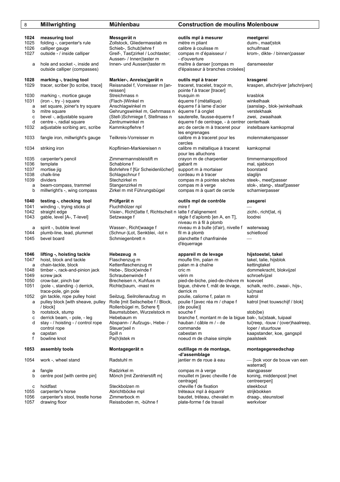| 8            | Millwrighting                                 | Munienbau                                                  | <b>Construction de moulins Molenbou</b>                       |                              |
|--------------|-----------------------------------------------|------------------------------------------------------------|---------------------------------------------------------------|------------------------------|
| 1024         |                                               |                                                            |                                                               |                              |
| 1025         | measuring tool<br>folding -, carpenter's rule | Messgerät n<br>Zollstock, Gliedermasstab m                 | outils mpl à mesurer<br>mètre m pliant                        | meetgerei<br>duim-, maat¦st  |
| 1026         | calliper gauge                                | Schieb-, Schub¦lehre f                                     | calibre à coulisse m                                          | schuifmaat                   |
| 1027         | outside - / inside calliper                   | Greif-, Tast¦zirkel / Lochtaster;                          | compas m d'épaisseur /                                        | krom-, dikte-/               |
|              |                                               | Aussen- / Innen¦taster m                                   | - d'ouverture                                                 |                              |
| a            | hole and socket -, inside and                 | Innen- und Aussen¦taster m                                 | maître à danser [compas m                                     | dansmeester                  |
|              | outside calliper (compasses)                  |                                                            | d'épaisseur à branches croisées]                              |                              |
|              |                                               |                                                            |                                                               |                              |
| 1028         | marking -, tracing tool                       | Markier-, Anreiss¦gerät n                                  | outils mpl à tracer                                           | krasgerei                    |
| 1029         | tracer, scriber [to scribe, trace]            | Reissnadel f, Vorreisser m [an-                            | traceret, tracelet, traçoir m,                                | kraspen, afscl               |
|              |                                               | reissenl                                                   | pointe f à tracer [tracer]                                    |                              |
| 1030         | marking -, mortice gauge                      | Streichmass n                                              | trusquin m                                                    | krasblok                     |
| 1031         | (iron -, try -) square                        | (Flach-)Winkel m                                           | équerre f (métallique)                                        | winkelhaak                   |
| a            | set square, joiner's try square               | Anschlagwinkel m                                           | équerre f à lame d'acier                                      | (aanslag-, blo               |
| b            | mitre square                                  | Gehrungswinkel m, Gehrmass n                               | équerre f à onglet                                            | verstekhaak                  |
| C            | bevel -, adjustable square                    | (Stell-)Schmiege f, Stellmass n                            | sauterelle, fausse-équerre f                                  | zwei, zwaaiha                |
| d            | centre -, radial square                       | Zentrumwinkel m                                            | équerre f de centrage, - à centrer centerhaak                 |                              |
| 1032         | adjustable scribing arc, scribe               | Kammkopflehre f                                            | arc de cercle m à traceret pour                               | instelbaare ka               |
|              |                                               |                                                            | les engrenages                                                |                              |
| 1033         | fangle iron, millwright's gauge               | Teilkreis-Vorreisser m                                     | calibre m à traceret pour les                                 | molenmakers                  |
|              |                                               |                                                            | cercles                                                       |                              |
| 1034         | striking iron                                 | Kopflinien-Markiereisen n                                  | calibre m métallique à traceret                               | kamkopmal                    |
|              |                                               | Zimmermannsbleistift m                                     | pour les alluchons                                            |                              |
| 1035<br>1036 | carpenter's pencil<br>template                | Schablone f                                                | crayon m de charpentier<br>qabarit m                          | timmermansp<br>mal, sjabloon |
| 1037         | mortise jig                                   | Bohrlehre f [für Scheidenlöcher]                           | support m à mortaiser                                         | boorstand                    |
| 1038         | chalk-line                                    | Schlagschnur f                                             | cordeau m à tracer                                            | slaglijn                     |
| 1039         | dividers                                      | Stechzirkel m                                              | compas m à pointes sèches                                     | steek-, meet¦p               |
| a            | beam-compass, trammel                         | Stangenzirkel m                                            | compas m à verge                                              | stok-, stang-,               |
| b            | millwright's -, wing compass                  | Zirkel m mit Führungsbügel                                 | compas m à quart de cercle                                    | scharnierpass                |
|              |                                               |                                                            |                                                               |                              |
| 1040         | testing -, checking tool                      | Prüfgerät n                                                | outils mpl de contrôle                                        | pasgerei                     |
| 1041         | winding -, trying sticks pl                   | Fluchthölzer npl                                           | mire f                                                        |                              |
| 1042         | straight edge                                 | Visier-, Richt¦latte f, Richtscheit n latte f d'alignement |                                                               | zicht-, richt¦lat            |
| 1043         | gable, level [A-, T-level]                    | Setzwaage f                                                | règle f d'aplomb [en A, en T],                                | loodrei                      |
|              | spirit -, bubble level                        | Wasser-, Richt¦waage f                                     | niveau m à fil à plomb<br>niveau m à bulle (d'air), nivelle f | waterwaag                    |
| а<br>1044    | plumb-line, lead, plummet                     | (Schnur-)Lot, Senkblei, -lot n                             | fil m à plomb                                                 | schietlood                   |
| 1045         | bevel board                                   | Schmiegenbrett n                                           | planchette f chanfrainée                                      |                              |
|              |                                               |                                                            | d'équerrage                                                   |                              |
|              |                                               |                                                            |                                                               |                              |
| 1046         | lifting -, hoisting tackle                    | Hebezeug n                                                 | appareil m de levage                                          | hijstoestel, ta              |
| 1047         | hoist, block and tackle                       | Flaschenzug m                                              | moufle f/m, palan m                                           | takel, talie, hij            |
| a            | chain-tackle, block                           | Kettenflaschenzug m                                        | palan m à chaîne                                              | kettingtakel                 |
| 1048         | timber -, rack-and-pinion jack                | Hebe-, Stock¦winde f                                       | cric m                                                        | dommekracht.                 |
| 1049         | screw jack                                    | Schraubenwinde f                                           | vérin m                                                       | schroefvijzel                |
| 1050         | crow-bar, pinch bar                           | Brecheisen n, Kuhfuss m                                    | pied-de-biche, pied-de-chèvre m koevoet                       |                              |
| 1051         | (pole -, standing -) derrick,                 | Richte¦baum, -mast m                                       | bigue, chèvre f, mât de levage,                               | schalk, recht-,              |
|              | trace-pole, gin pole                          |                                                            | derrick m                                                     | tui¦mast                     |
| 1052         | gin tackle, rope pulley hoist                 | Seilzug, Seilrollenaufzug m                                | poulie, caliorne f, palan m                                   | katrol                       |
| а            | pulley block [with sheave, pulley             | Rolle [mit Seilscheibe f / Block,                          | poulie f [avec réa m / chape f                                | katrol [met tou              |
|              | / block]<br>rootstock, stump                  | Rollenbügel m, Schere f]                                   | (de poulie)]<br>souche f                                      |                              |
| b            | derrick beam, - pole, - leg                   | Baumstubben, Wurzelstock m<br>Hebebaum m                   | branche f, montant m de la bigue bak-, tui¦staak              | stob(be)                     |
| с<br>d       | stay - / hoisting - / control rope            | Abspann- / Aufzugs-, Hebe- /                               | hauban / câble m / - de                                       | tui¦reep, -touw              |
|              | control rope                                  | Steuer¦seil n                                              | commande                                                      | loper / stuurto              |
| е            | capstan                                       | Spill n                                                    | cabestan m                                                    | kaapstander,                 |
| f            | bowline knot                                  | Pa(h) stek m                                               | noeud m de chaise simple                                      | paalsteek                    |
|              |                                               |                                                            |                                                               |                              |
| 1053         | assembly tools                                | Montagegerät n                                             | outillage m de montage,                                       | montagegere                  |
|              |                                               |                                                            | -d'assemblage                                                 |                              |
| 1054         | work -, wheel stand                           | Radstuhl m                                                 | jantier m de roue à eau                                       | — [bok voor d                |
|              |                                               | Radzirkel m                                                |                                                               | waterrad]                    |
| а<br>b       | fangle<br>centre post [with centre pin]       | Mönch [mit Zentrierstift m]                                | compas m à verge<br>mouillet m [avec cheville f de            | stangpasser<br>koning, midde |
|              |                                               |                                                            | centrage]                                                     | centreerpen]                 |
| с            | holdfast                                      | Steckbolzen m                                              | cheville f de fixation                                        | steekbout                    |
| 1055         | carpenter's horse                             | Abrichtböcke mpl                                           | tréteaux mpl à équarrir                                       | strijkbokken                 |
| 1056         | carpenter's stool, trestle horse              | Zimmerbock m                                               | baudet, tréteau, chevalet m                                   | draag-, steuns               |
| 1057         | drawing floor                                 | Reissboden m, -bühne f                                     | plate-forme f de travail                                      | werkvloer                    |
|              |                                               |                                                            |                                                               |                              |

## 8 **Millwrighting Mühlenbau Construction de moulins Molenbouw**

**1024 measuring tool Messgerät n outils mpl à mesurer meetgerei**  1025 foliedermasstab m indictie metre metre metre metre m metre m metre duim-, maat¦stok<br>1025 folyient duim-, maat¦stok, calibre a coulisse m metre m schuifmaat Schub¦lehre f calibre à coulisse m<br>ast¦zirkel / Lochtaster; compas m d'épaisse compas m d'épaisseur / krom-, dikte- / binnen¦passer / Innen¦taster m - d'ouverture nd Aussen¦taster m maître à danser [compas m dansmeester d'épaisseur à branches croisées]

**1028 Mareiss¦gerät netter-outils mpl à tracer fracer de lance de lance et lance de lance et antissaire et anti**<br>del f, Vorreisser m [an-bitraceret, tracelet, traçoir m, bitraspen, a pointe f à tracer [tracer] 1031 Vinkel m in the squerre f (métallique) winkelhaak a set spuare fra spuare d'acier (aanslag-, blok-)winkelhaak **iswinkel m, Gehrmass n** équerre f à onglet verstekhaak chmiege f, Stellmass n sauterelle, fausse-équerre f zwei, zwaaihaak winkel m <sup>équerre f de centrage, - à centrer centerhaak de centrage, - à centrer centerhaak<br>Alterne fille sanc de cercle m à traceret pour dinstelbaare kamkopmal</sup> arc de cercle m à traceret pour les engrenages 1033 Vorreisser million, millione m à traceret pour les immolenmakerspasser n-Markiereisen n in calibre m métallique à traceret i kamkopmal pour les alluchons<br>nannsbleistift mannsbleistift m crayon m de charpentier timmermanspotlood e f Ifür Scheidenlöcher] support m à mortaiser boorstand 1039 chalk-line Schlag cordeau m à tracer slaglijn<br>1038 compas m à pointes sèches steek-, meet¦passer 1039 kel m compas m à pointes sèches<br>1939 dividers stechart steek-, meet pointes seches a beam-compass, trammel Stangenzirkel m compas m à verge stok-, stang-, staaf¦passer compas m à quart de cercle scharnierpasser

### **1040 testing -, checking tool Prüfgerät n outils mpl de contrôle pasgerei**

### **1046 lifting -, hoisting tackle Hebezeug n appareil m de levage hijstoestel, takel**

12ug m 1047 moufle f/m, palan m 1047 hoistel, talie, hijsblok<br>1047 hoistenzug m 1047 hoisten m a chaîne 1047 hoistettingtakel palan m à chaîne kettingtakel 1105 tock¦winde f cric mode is took-and-pinion in the dommekracht, blokvijzel<br>11 the verin m dommetracht, blokvijzel 1050 crow-bar, pinch bar Brecheisen n, Kuhfuss m pied-de-biche, pied-de-chèvre m koevoet 1051 (pole -, standing -) derrick, Richte¦baum, -mast m bigue, chèvre f, mât de levage, schalk, recht-, zwaai-, hijs-, Seilrollenaufzug m poulie, caliorne f, palan m katrol it Seilscheibe f / Block, poulie f [avec réa m / chape f katrol [met touwschijf / blok] igel m, Schere f] (de poulie)]<br>ubben\_Wurzelstock m souche f b rootstock music is the souche f studies of stob(be) stob(be) im m com, or deram, or deram, or anche f, montant m de la bigue bak-, tui¦staak, tuipaal<br>In Aufzugs-, Hebe- / cable m / - de cabi¦reep, -touw / (over) cabestan m kaapstander, koe, gangspil k m noeud m de chaise simple paalsteek

## **-d'assemblage**

mouillet m [avec cheville f de centrage] cheville f de fixation cheville f de fixation cheville steekhout zen m cheville f de fixation 1055 ocke mpl<br>1055 carpenter's horse tréteaux mpl à équarrir strijkbokken<br>1055 carpenter de la draag-, steunstoel bouwdter tréteau, chevalet m baudet, tréteau, chevalet m 1057 den m, -bühne f metal plate-forme f de travail werkvloer

kraspen, afschrijver [afschrijven]

d stating - / Aufzugs-, Hebe- / hauban / câble m / - de tui¦reep, -touw / (over)haalreep, -touw / (over)haalreep, -touw / (over)haalreep, loper / stuurtouw

### **1053 assembly tools Montagegerät n outillage m de montage, montagegereedschap**

m intier m de roue à eau  $-$  [bok voor de bouw van een el m in the compas m à verge in the stangpasser<br>All mit Zentrierstift m in the mouillet m [avec cheville f de koning, middenpost [met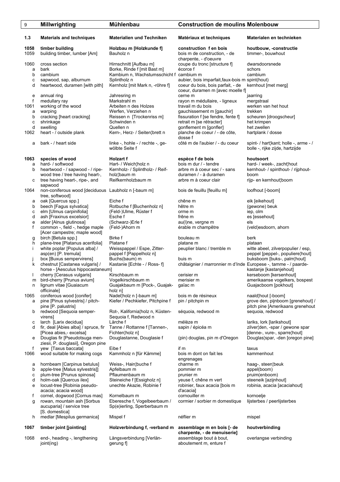| 9                                          | Millwrighting                                                                                                                                                                                                                                                              | <b>Mühlenbau</b>                                                                                                                                                                                | <b>Construction de moulins Molenbouw</b>                                                                                                                                                                                           |                                                                                                                                                       |
|--------------------------------------------|----------------------------------------------------------------------------------------------------------------------------------------------------------------------------------------------------------------------------------------------------------------------------|-------------------------------------------------------------------------------------------------------------------------------------------------------------------------------------------------|------------------------------------------------------------------------------------------------------------------------------------------------------------------------------------------------------------------------------------|-------------------------------------------------------------------------------------------------------------------------------------------------------|
| 1.3                                        | <b>Materials and techniques</b>                                                                                                                                                                                                                                            | <b>Materialien und Techniken</b>                                                                                                                                                                | Matériaux et techniques                                                                                                                                                                                                            | Materialen en technieken                                                                                                                              |
| 1058<br>1059                               | timber building<br>building timber, lumber [Am]                                                                                                                                                                                                                            | Holzbau m [Holzkunde f]<br>Bauholz n                                                                                                                                                            | construction f en bois<br>bois m de construction, - de                                                                                                                                                                             | houtbouw, -constructie<br>timmer-, bouwhout                                                                                                           |
| 1060<br>a<br>b<br>C<br>d                   | cross section<br>bark<br>cambium<br>sapwood, sap, alburnum<br>heartwood, duramen [with pith]                                                                                                                                                                               | Hirnschnitt [Aufbau m]<br>Borke, Rinde f [mit Bast m]<br>Kambium n, Wachstumsschicht f cambium m<br>Splintholz n<br>Kernholz [mit Mark n, -röhre f]                                             | charpente, - d'oeuvre<br>coupe du tronc [structure f]<br>écorce f<br>aubier, bois imparfait, faux-bois m spint(hout)<br>coeur du bois, bois parfait, - de<br>coeur, duramen m [avec moelle f]                                      | dwarsdoorsnede<br>schors<br>cambium<br>kernhout [met merg]                                                                                            |
| е<br>f<br>1061<br>a<br>b<br>C<br>d<br>1062 | annual ring<br>medullary ray<br>working of the wood<br>warping<br>cracking [heart cracking]<br>shrinkage<br>swelling<br>heart - / outside plank                                                                                                                            | Jahresring m<br>Markstrahl m<br>Arbeiten n des Holzes<br>Werfen, Verziehen n<br>Reissen n [Trockenriss m]<br>Schwinden n<br>Quellen n<br>Kern-, Herz- / Seiten¦brett n                          | cerne m<br>rayon m médullaire, - ligneux<br>travail m du bois<br>gauchissement m [gauchir]<br>fissuration f [se fendre, fente f]<br>retrait m [se rétracter]<br>gonflement m [gonfler]<br>planche de coeur / - de côte,<br>dosse f | jaarring<br>mergstraal<br>werken van het hout<br>trekken<br>scheuren [droogscheur]<br>het krimpen<br>het zwellen<br>hartplank / dosse                 |
| a                                          | bark - / heart side                                                                                                                                                                                                                                                        | linke -, hohle - / rechte -, ge-<br>wölbte Seite f                                                                                                                                              | côté m de l'aubier / - du coeur                                                                                                                                                                                                    | spint- / hart¦kant; holle -, arme - /<br>bolle -, rijke zijde, hartzijde                                                                              |
| 1063<br>a<br>b<br>с<br>1064                | species of wood<br>hard- / softwood<br>heartwood - / sapwood - / ripe-<br>wood tree / tree having heart-,<br>tree having heart-, ripe-, and<br>sapwood<br>non-coniferous wood [deciduous Laubholz n [-baum m]                                                              | <b>Holzart f</b><br>Hart- / Weich¦holz n<br>Kernholz- / Splintholz- / Reif-<br>holz¦baum m<br>Reifkernholzbaum m                                                                                | espèce f de bois<br>bois m dur / - tendre<br>arbre m à coeur sec / - sans<br>duramen / - à duramen<br>arbre m à coeur clair<br>bois de feuillu [feuillu m]                                                                         | houtsoort<br>hard- / week-, zacht¦hout<br>kernhout- / spinthout- / rijphout-<br>boom<br>rijp- en kernhout¦boom<br>loofhout [-boom]                    |
| а                                          | tree, softwood]<br>oak [Quercus spp.]                                                                                                                                                                                                                                      | Eiche f                                                                                                                                                                                         | chêne m                                                                                                                                                                                                                            | eik [eikehout]                                                                                                                                        |
| b<br>с<br>d<br>e<br>f                      | beech [Fagus sylvatica]<br>elm [Ulmus carpinifolia]<br>ash [Fraxinus excelsior]<br>alder [Alnus glutinosa]<br>common -, field -, hedge maple                                                                                                                               | Rotbuche f [Buchenholz n]<br>(Feld-)Ulme, Rüster f<br>Esche f<br>(Schwarz-)Erle f<br>(Feld-)Ahorn m                                                                                             | hêtre m<br>orme m<br>frêne m<br>au(I)ne, vergne m<br>érable m champêtre                                                                                                                                                            | (gewone) beuk<br>iep, olm<br>es [essehout]<br>els<br>(veld)esdoorn, ahorn                                                                             |
| g<br>h<br>т                                | [Acer campestre; maple wood]<br>birch [Betula spp.]<br>plane-tree [Platanus acerifolia]<br>white poplar [Populus alba] /<br>asp(en) [P. tremula]                                                                                                                           | Birke f<br>Platane f<br>Weisspappel / Espe, Zitter-<br>pappel f [Pappelholz n]                                                                                                                  | bouleau m<br>platane m<br>peuplier blanc / tremble m                                                                                                                                                                               | berk<br>plataan<br>witte abeel, zilverpopulier / esp,<br>peppel [peppel-, populiere]hout]                                                             |
| k                                          | box [Buxus sempervirens]<br>chestnut [Castanea vulgaris] /<br>horse - [Aesculus hippocastaneum]                                                                                                                                                                            | Buchs(baum) m<br>Kastanie [Echte - / Ross- f]                                                                                                                                                   | buis m<br>châtaignier / marronnier m d'Inde Europese -, tamme - / paarde-                                                                                                                                                          | buksboom [buks-, palm¦hout]<br>kastanje [kastanjehout]                                                                                                |
| m<br>n                                     | cherry [Cerasus vulgaris]<br>bird-cherry [Prunus avium]<br>lignum vitae [Guaiacum<br>officinale]                                                                                                                                                                           | Kirschbaum m<br>Vogelkirschbaum m<br>Guajakbaum m [Pock-, Guajak-<br>holz n]                                                                                                                    | cerisier m<br>merisier m<br>gaïac m                                                                                                                                                                                                | kerseboom [kersenhout]<br>amerikaanse vogelkers, bospest<br>Guajacboom [pokhout]                                                                      |
| 1065<br>a<br>b                             | coniferous wood [conifer]<br>pine [Pinus sylvestris] / pitch-<br>pine [P. palustris]<br>redwood [Sequoia semper-                                                                                                                                                           | Nadel¦holz n [-baum m]<br>Kiefer / Pechkiefer, Pitchpine f<br>Rot-, Kalifornia¦holz n, Küsten-                                                                                                  | bois m de résineux<br>pin / pitchpin m<br>séquoia, redwood m                                                                                                                                                                       | naald¦hout [-boom]<br>grove den, pijnboom [grenehout] /<br>pitch pine [Amerikaans grenehout<br>sequoia, redwood                                       |
| с                                          | virens]<br>larch [Larix decidua]                                                                                                                                                                                                                                           | Seguoia f, Redwood n<br>Lärche f                                                                                                                                                                | mélèze m                                                                                                                                                                                                                           | lariks, lork [larikshout]                                                                                                                             |
| d<br>е                                     | fir, deal [Abies alba] / spruce, fir<br>[Picea abies,- excelsa]<br>Douglas fir [Pseudotsuga men-                                                                                                                                                                           | Tanne / Rottanne f [Tannen-,<br>Fichten¦holz n]<br>Douglastanne, Douglasie f                                                                                                                    | sapin / épicéa m<br>(pin) douglas, pin m d'Oregon                                                                                                                                                                                  | zilver¦den, -spar / gewone spar<br>[denne-, vure-, sparre¦hout]<br>Douglas¦spar, -den [oregon pine]                                                   |
| f<br>1066                                  | ziesii, P. douglasii], Oregon pine<br>yew [Taxus baccata]<br>wood suitable for making cogs                                                                                                                                                                                 | Eibe f<br>Kammholz n [für Kämme]                                                                                                                                                                | if m<br>bois m dont on fait les                                                                                                                                                                                                    | taxus<br>kammenhout                                                                                                                                   |
| а<br>b<br>с<br>d<br>е<br>f<br>g            | hornbeam [Carpinus betulus]<br>apple-tree [Malus sylvestris]]<br>plum-tree [Prunus spinosa]<br>holm-oak [Quercus ilex]<br>locust-tree [Robinia pseudo-<br>acacia; acacia wood]<br>cornel, dogwood [Cornus mas]<br>rowan, mountain ash [Sorbus<br>aucuparia] / service tree | Weiss-, Hain¦buche f<br>Apfelbaum m<br>Pflaumenbaum m<br>Steineiche f [Essigholz n]<br>unechte Akazie, Robinie f<br>Kornelbaum m<br>Eberesche f, Vogelbeerbaum /<br>Sp(e)ierling, Sperberbaum m | engrenages<br>charme m<br>pommier m<br>prunier m<br>yeuse f, chêne m vert<br>robinier, faux acacia [bois m<br>d'acacia]<br>cornouiller m<br>cormier / sorbier m domestique                                                         | haag-, steen¦beuk<br>appel(boom)<br>pruim(enboom)<br>steeneik [azijnhout]<br>robinia, acacia [acaciahout]<br>kornoelje<br>lijsterbes / peerlijsterbes |
| h                                          | [S. domestica]<br>medlar [Mespilus germanica]                                                                                                                                                                                                                              | Mispel f                                                                                                                                                                                        | néflier m                                                                                                                                                                                                                          | mispel                                                                                                                                                |
| 1067                                       | timber joint [jointing]                                                                                                                                                                                                                                                    | Holzverbindung f, -verband m                                                                                                                                                                    | assemblage m en bois [- de<br>charpente, - de menuiserie]                                                                                                                                                                          | houtverbinding                                                                                                                                        |
| 1068                                       | end-, heading -, lengthening<br>joint(ing)                                                                                                                                                                                                                                 | Längsverbindung [Verlän-<br>gerung f]                                                                                                                                                           | assemblage bout à bout,<br>aboutement m, enture f                                                                                                                                                                                  | overlangse verbinding                                                                                                                                 |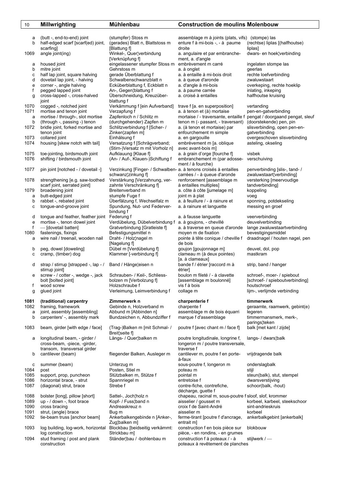| 10           | <b>Millwrighting</b>                             | <b>Mühlenbau</b>                                                 | <b>Construction de moulins Molenbouw</b>                      |                                                                       |
|--------------|--------------------------------------------------|------------------------------------------------------------------|---------------------------------------------------------------|-----------------------------------------------------------------------|
|              |                                                  |                                                                  |                                                               |                                                                       |
| а            | (butt -, end-to-end) joint                       | (stumpfer) Stoss m                                               | assemblage m à joints (plats, vifs) (stompe) las              |                                                                       |
| b            | half-edged scarf (scarf(ed) joint,               | (gerades) Blatt n, Blattstoss m                                  | enture f à mi-bois -, - à paume                               | (rechtse) liplas [(halfhoutse)                                        |
|              | scarfing                                         | [Blattung f]                                                     | droite                                                        | liplas]                                                               |
| 1069         | angle joint(ing)                                 | Winkel-, Quer¦verbindung                                         | a. angulaire et par embranche-                                | dwars- en hoek¦verbinding                                             |
|              |                                                  | [Verknüpfung f]                                                  | ment, a. d'angle                                              |                                                                       |
| а            | housed joint                                     | eingelassener stumpfer Stoss m                                   | embrèvement m carré                                           | ingelaten stompe las                                                  |
| b            | mitre joint                                      | Gehrstoss m                                                      | a. à onglet                                                   | geerlas                                                               |
| с            | half lap joint, square halving                   | gerade Überblattung f                                            | a. à entaille à mi-bois droit                                 | rechte loefverbinding                                                 |
| d            | dovetail lap joint, - halving                    | Schwalbenschwanzblatt n                                          | a. à queue d'aronde                                           | zwaluwstaart                                                          |
| e            | corner -, angle halving                          | Ecküberblattung f, Eckblatt n                                    | a. d'angle à mi-bois                                          | overkeping, rechte hoeklip                                            |
| f            | pegged lapped joint                              | An-, Gegen¦blattung f                                            | a. à paume carrée                                             | inlating, inkeping                                                    |
| g            | cross-lapped -, cross-halved                     | Überschneidung, Kreuzüber-                                       | a. croisé à entailles                                         | halfhoutse kruising                                                   |
|              | joint                                            | blattung f                                                       |                                                               |                                                                       |
| 1070         | cogged -, notched joint                          | Verkämmung f [ein Aufverband]                                    | trave f [a. en superposition]                                 | vertanding                                                            |
| 1071         | mortise and tenon joint                          | Verzapfung f                                                     | a. à tenon et (à) mortaise                                    | pen-en-gatverbinding                                                  |
| a            | mortise / through-, slot mortise                 | Zapfenloch n / Schlitz m                                         |                                                               | mortaise / - traversante, entaille f pengat / doorgaand pengat, sleuf |
| b            | (through -, passing -) tenon                     | (durchgehender) Zapfen m                                         | tenon m (- passant, - traversant)                             | (doorstekende) pen, pin                                               |
| 1072         | bridle joint, forked mortise and                 | Schlitzverbindung f [Scher- /                                    | a. (à tenon et mortaise) par                                  | slisverbinding, open pen-en-                                          |
|              | tenon joint                                      | Zinken¦zapfen m]                                                 | enfourchement m simple                                        | gatverbinding                                                         |
| 1073<br>1074 | collared joint<br>housing [skew notch with tail] | Einhälsung f                                                     | a. en gargouille<br>embrèvement m [a. oblique                 | overgeschoven slisverbinding<br>asteling, okseling                    |
|              |                                                  | Versatzung f [Schrägverband;<br>(Stirn-)Versatz m mit Vorholz n] | avec avant-bois m]                                            |                                                                       |
| 1075         | toe-jointing, birdsmouth joint                   |                                                                  |                                                               | visbek                                                                |
| 1076         | shifting / birdsmouth joint                      | Aufklauung [Klaue f]                                             | a. à grain d'orge [fourche f]<br>embranchement m (par adosse- |                                                                       |
|              |                                                  | (An- / Auf-, Klauen-)Schiftung f                                 | ment / à fourche)                                             | verschuiving                                                          |
| 1077         | pin joint [notched - / dovetail -]               | Verzinkung [Finger- / Schwalben- a. à tenons croisés à entailles |                                                               | penverbinding [slis-, tand-/                                          |
|              |                                                  | schwanz¦zinkung f]                                               | carrées / - à queue d'aronde                                  | zwaluwstaart¦verbinding]                                              |
| 1078         | strengthening [e.g. saw-toothed                  | Verstärkung [Verzahnung, ver-                                    | renforcement [assemblage m                                    | versterking [meervoudige                                              |
|              | scarf joint, serrated joint]                     | zahnte Verschränkung fl                                          | à entailles multiples]                                        | tandverbinding                                                        |
| 1079         | broadening joint                                 | Breitenverband m                                                 | a. côte à côte [jumelage m]                                   | koppeling                                                             |
| a            | butt-edged joint                                 | stumpfe Fuge f                                                   | joint m à plat                                                | voeg                                                                  |
| b            | rabbet -, rebated joint                          | Überfälzung f, Wechselfalz m                                     | a. à feuillure / - à rainure et                               | sponning, potdekseling                                                |
| с            | tongue-and-groove joint                          | Spundung, Nut- und Federver-                                     | a. à rainure et languette                                     | messing en groef                                                      |
|              |                                                  | bindung f                                                        |                                                               |                                                                       |
| d            | tongue and feather, feather joint                | Federung f                                                       | a. à fausse languette                                         | veerverbinding                                                        |
| e            | mortise -, tenon dowel joint                     | Verdübelung, Dübelverbindung f                                   | a. à goujons, - chevillé                                      | deuvelverbinding                                                      |
| f            | - [dovetail batten]                              | Gratverbindung [Gratleiste f]                                    | a. à traverse en queue d'aronde                               | lange zwaluwstaartverbinding                                          |
| 1080         | fastenings, fixings                              | Befestigungsmittel n                                             | moyen m de fixation                                           | bevestigingsmiddel                                                    |
| a            | wire nail / treenail, wooden nail                | Draht- / Holz¦nagel m                                            | pointe à tête conique / cheville f                            | draadnagel / houten nagel, pen                                        |
|              |                                                  | [Nagelung f]                                                     | de bois                                                       |                                                                       |
| b            | peg, dowel [doweling]                            | Dübel m [Verdübelung f]                                          | goujon [goujonnage m]                                         | deuvel, dol, pop                                                      |
| с            | cramp, (timber) dog                              | Klammer [-verbindung f]                                          | clameau m (à deux pointes)                                    | mastkram                                                              |
|              |                                                  |                                                                  | [a. à clameaux]                                               |                                                                       |
| d            | strap / stirrup [strapped -, lap - /             | Band / Hänge¦eisen n                                             | bande f / étrier [raccord m à                                 | strip, band / hanger                                                  |
|              | stirrup joint]                                   |                                                                  | étrier]                                                       |                                                                       |
| е            | screw - / cotter -, wedge -, jack                | Schrauben- / Keil-, Schliess-                                    | boulon m fileté / - à clavette                                | schroef-, moer- / spiebout                                            |
|              | bolt [bolted joint]                              | bolzen m [Verbolzung f]                                          | [assemblage m boulonné]                                       | [schroef- / spieboutverbinding]                                       |
| f            | wood screw                                       | Holzschraube f<br>Verleimung, Leimverbindung f                   | vis f à bois                                                  | houtschroef<br>lijm-, verlijmde verbinding                            |
| g            | glued joint                                      |                                                                  | collage m                                                     |                                                                       |
| 1081         | (traditional) carpentry                          | Zimmerwerk n                                                     | charpenterie f                                                | timmerwerk                                                            |
| 1082         | framing, framework                               | Gebinde n, Holzverband m                                         | charpente f                                                   | geraamte, raamwerk, gebint(e)                                         |
| a            | joint, assembly [assembling]                     | Abbund m [Abbinden n]                                            | assemblage m de bois équarri                                  | legeren                                                               |
| b            | carpenters' -, assembly mark                     | Bundzeichen n, Abbundziffer f                                    | marque f d'assemblage                                         | timmermansmerk, merk-,                                                |
|              |                                                  |                                                                  |                                                               | parings¦teken                                                         |
| 1083         | beam, girder [with edge / face]                  | (Trag-)Balken m [mit Schmal- /                                   | poutre f [avec chant m / face f]                              | balk [met kant / zijde]                                               |
|              |                                                  | Breit¦seite f]                                                   |                                                               |                                                                       |
| а            | longitudinal beam, - girder /                    | Längs- / Quer¦balken m                                           | poutre longitudinale, longrine f,                             | langs- / dwars¦balk                                                   |
|              | cross-beam, -piece, -girder,                     |                                                                  | longeron m / poutre transversale,                             |                                                                       |
|              | transom, transversal girder                      |                                                                  | traverse f                                                    |                                                                       |
| b            | cantilever (beam)                                | fliegender Balken, Ausleger m                                    | cantilever m, poutre f en porte-<br>à-faux                    | vrijdragende balk                                                     |
| с            | summer (beam)                                    | Unterzug m                                                       | sous-poutre f, longeron m                                     | onderslagbalk                                                         |
| 1084         | post                                             | Posten, Stiel m                                                  | poteau m                                                      | stijl                                                                 |
| 1085         | support, prop, puncheon                          | Stützbalken m, Stütze f                                          | pointal m                                                     | steun(balk), stut, stempel                                            |
| 1086         | horizontal brace, - strut                        | Spannriegel m                                                    | entretoise f                                                  | dwarsverstijving                                                      |
| 1087         | (diagonal) strut, brace                          | Strebe f                                                         | contre-fiche, contrefiche,                                    | schoor(balk, -hout)                                                   |
|              |                                                  |                                                                  | décharge, guette f                                            |                                                                       |
| 1088         | bolster [long], pillow [short]                   | Sattel-, Joch¦holz n                                             | chapeau, racinal m, sous-poutre f sloof, slof, krommer        |                                                                       |
| 1089         | up - / down -, foot brace                        | Kopf- / Fuss¦band n                                              | aisselier / gousset m                                         | korbeel, karbeel, steekschoor                                         |
| 1090         | cross bracing                                    | Andreaskreuz n                                                   | croix f de Saint-André                                        | sint-andrieskruis                                                     |
| 1091         | strut, (angle) brace                             | Bug m                                                            | aisselier m                                                   | korbeel                                                               |
| 1092         | tie-beam truss [anchor beam]                     | Ankerbalkengebinde n [Anker-,                                    | ferme-tirant [poutre f d'ancrage,                             | ankerbalkgebint [ankerbalk]                                           |
|              |                                                  | Zug¦balken m]                                                    | entrait m]                                                    |                                                                       |
| 1093         | log building, log-work, horizontal               | Blockbau [beidseitig verkämmt:                                   | construction f en bois pièce sur                              | blokbouw                                                              |
|              | log construction                                 | Strickbau m]                                                     | pièce, - en rondins, - en grumes                              |                                                                       |
| 1094         | stud framing / post and plank                    | Ständer¦bau / -bohlenbau m                                       | construction f à poteaux / - à                                | stijlwerk / $-$                                                       |
|              | construction                                     |                                                                  | poteaux à revêtement de planches                              |                                                                       |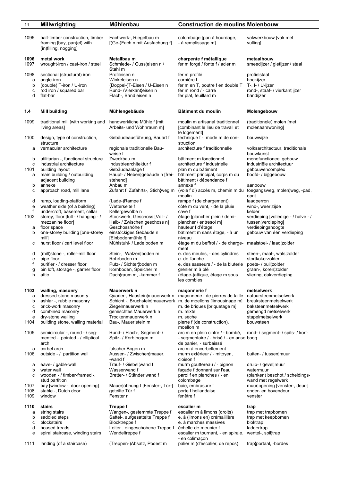| 11                                    | <b>Millwrighting</b>                                                                                                                                                                                         | <b>Mühlenbau</b>                                                                                                                                                                    | <b>Construction de moulins Molenbouw</b>                                                                                                                                                      |                                                                                                                                                          |
|---------------------------------------|--------------------------------------------------------------------------------------------------------------------------------------------------------------------------------------------------------------|-------------------------------------------------------------------------------------------------------------------------------------------------------------------------------------|-----------------------------------------------------------------------------------------------------------------------------------------------------------------------------------------------|----------------------------------------------------------------------------------------------------------------------------------------------------------|
| 1095                                  | half-timber construction, timber<br>framing [bay, pan(el) with<br>(in)filling, nogging]                                                                                                                      | Fachwerk-, Riegelbau m<br>[(Ge-)Fach n mit Ausfachung f]                                                                                                                            | colombage [pan à hourdage,<br>- à remplissage m]                                                                                                                                              | vakwerkbouw [vak met<br>vulling]                                                                                                                         |
| 1096<br>1097                          | metal work<br>wrought-iron / cast-iron / steel                                                                                                                                                               | Metallbau m<br>Schmiede- / Guss¦eisen n /                                                                                                                                           | charpente f métallique<br>fer m forgé / fonte f / acier m                                                                                                                                     | metaalbouw<br>smeedijzer / gietijzer / staal                                                                                                             |
| 1098<br>a<br>b<br>С<br>d              | sectional (structural) iron<br>angle-iron<br>(double) T-iron / U-iron<br>rod iron / squared bar<br>flat-bar                                                                                                  | Stahl m<br>Profileisen n<br>Winkeleisen n<br>(Doppel-)T-Eisen / U-Eisen n<br>Rund- /Vierkant¦eisen n<br>Flach-, Band¦eisen n                                                        | fer m profilé<br>cornière f<br>fer m en T, poutre f en double T<br>fer m rond / - carré<br>fer plat, feuillard m                                                                              | profielstaal<br>hoekijzer<br>T-, I- / U-ijzer<br>rond-, staaf- / vierkant¦ijzer<br>bandijzer                                                             |
| 1.4                                   | <b>Mill building</b>                                                                                                                                                                                         | Mühlengebäude                                                                                                                                                                       | Bâtiment du moulin                                                                                                                                                                            | Molengebouw                                                                                                                                              |
| 1099                                  | traditional mill [with working and<br>living areas]                                                                                                                                                          | handwerkliche Mühle f [mit<br>Arbeits- und Wohnraum m]                                                                                                                              | moulin m artisanal traditionnel<br>(combinant le lieu de travail et<br>le logement]                                                                                                           | (traditionele) molen [met<br>molenaarswoning]                                                                                                            |
| 1100                                  | design, type of construction,<br>structure                                                                                                                                                                   | Gebäudeausführung, Bauart f                                                                                                                                                         | technique f -, mode m de con-<br>struction                                                                                                                                                    | bouwwijze                                                                                                                                                |
| а                                     | vernacular architecture                                                                                                                                                                                      | regionale traditionelle Bau-<br>weise f<br>Zweckbau m                                                                                                                               | architecture f traditionnelle<br>bâtiment m fonctionnel                                                                                                                                       | volksarchitectuur, traditionale<br>bouwkunst                                                                                                             |
| b<br>c<br>1101<br>а                   | utilitarian -, functional structure<br>industrial architecture<br>building layout<br>main building / outbuilding,<br>adjacent building                                                                       | Industriearchitektur f<br>Gebäudeanlage f<br>Haupt- / Neben¦gebäude n [frei-<br>stehend]                                                                                            | architecture f industrielle<br>plan m du bâtiment<br>bâtiment principal, corps m du<br>bâtiment / dépendance f                                                                                | monofunctioneel gebouw<br>industriële architectuur<br>gebouwencomplex<br>hoofd- / bij¦gebouw                                                             |
| b<br>с                                | annexe<br>approach road, mill lane                                                                                                                                                                           | Anbau m<br>Zufahrt f, Zufahrts-, Stich¦weg m                                                                                                                                        | annexe f<br>(voie f d') accès m, chemin m du toegangsweg, molen¦weg, -pad,<br>moulin                                                                                                          | aanbouw<br>oprit                                                                                                                                         |
| d<br>e<br>f<br>1102<br>а<br>b         | ramp, loading-platform<br>weather side (of a building)<br>undercroft, basement, cellar<br>storey, floor [full - / hanging - /<br>mezzanine floor]<br>floor space<br>one-storey building [one-storey<br>mill] | (Lade-)Rampe f<br>Wetterseite f<br>Kellergewölbe n<br>Stockwerk, Geschoss [Voll- /<br>Halb- / Zwischen¦geschoss n]<br>Geschosshöhe f<br>einstöckiges Gebäude n<br>[Einbodenmühle f] | rampe f (de chargement)<br>côté m du vent, - de la pluie<br>cave f<br>étage [plancher plein / demi-<br>plancher / entresol m]<br>hauteur f d'étage<br>bâtiment m sans étage, - à un<br>niveau | laadperron<br>wind-, weer¦zijde<br>kelder<br>verdieping [volledige - / halve - /<br>tussen¦verdieping]<br>verdiepingshoogte<br>gebouw van één verdieping |
| с                                     | hurst floor / cart level floor                                                                                                                                                                               | Mühlstuhl- / Lade¦boden m                                                                                                                                                           | étage m du beffroi / - de charge- maalstoel- / laad¦zolder<br>ment                                                                                                                            |                                                                                                                                                          |
| d<br>е<br>f<br>g<br>h                 | (mill)stone -, roller-mill floor<br>pipe floor<br>purifier - / dresser floor<br>bin loft, storage -, garner floor<br>attic                                                                                   | Stein-, Walzen¦boden m<br>Rohrboden m<br>Putz- / Sichter¦boden m<br>Kornboden, Speicher m<br>Dach¦raum m, -kammer f                                                                 | e. des meules, - des cylindres<br>e. de l'anche<br>e. des sasseurs / - de la bluterie<br>grenier m à blé<br>(étage-)attique, étage m sous<br>les combles                                      | steen-, maal-, wals¦zolder<br>stortkokerzolder<br>poets- / buil¦zolder<br>graan-, koren¦zolder<br>vliering, dakverdieping                                |
| 1103<br>a<br>b<br>C<br>d<br>е<br>1104 | walling, masonry<br>dressed-stone masonry<br>ashlar -, rubble masonry<br>brick-work masonry<br>combined masonry<br>dry-stone walling<br>building stone, walling material                                     | Mauerwerk n<br>Quader-, Haustein¦mauerwerk n<br>Schicht -, Bruchstein¦mauerwerk<br>Ziegelmauerwerk n<br>gemischtes Mauerwerk n<br>Trockenmauerwerk n<br>Bau-, Mauer¦stein m         | maçonnerie f<br>maçonnerie f de pierres de taille<br>m. de moellons [limousinage m]<br>m. de briques [briquetage m]<br>m. mixte<br>m. sèche<br>pierre f (de construction),                    | metselwerk<br>natuursteenmetselwerk<br>breuksteenmetselwerk<br>baksteenmetselwerk<br>gemengd metselwerk<br>stapelmetselwerk<br>bouwsteen                 |
| 1105                                  | semicircular -, round - / seg-<br>mented - pointed - / elliptical<br>arch                                                                                                                                    | Rund- / Flach-, Segment- /<br>Spitz- / Korb¦bogen m                                                                                                                                 | moellon m<br>arc m en plein cintre / - bombé,<br>- segmentaire / - brisé / - en anse boog<br>de panier, - surbaissé                                                                           | rond- / segment- / spits- / korf-                                                                                                                        |
| а<br>1106                             | corbel arch<br>outside - / partition wall                                                                                                                                                                    | falscher Bogen m<br>Aussen- / Zwischen¦mauer,<br>-wand f                                                                                                                            | arc m à encorbellement<br>murm extérieur / - mitoyen,<br>cloison f                                                                                                                            | buiten- / tussen¦muur                                                                                                                                    |
| а<br>b<br>c<br>1107                   | eave- / gable-wall<br>water wall<br>wooden - / timber-framed -,<br>stud partition<br>bay [window -, door opening]                                                                                            | Trauf- / Giebel¦wand f<br>Wasserwand f<br>Bretter- / Ständer¦wand f<br>Mauer¦öffnung f [Fenster-, Tür-]                                                                             | murm gouttereau / - pignon<br>façade f donnant sur l'eau<br>paroi f en planches / - en<br>colombage<br>baie, embrasure f                                                                      | druip- / gevel¦muur<br>watermuur<br>(planken) beschot / scheidings-<br>wand met regelwerk<br>muur¦opening [venster-, deur-]                              |
| 1108<br>1109                          | stable -, Dutch door<br>window                                                                                                                                                                               | geteilte Tür f<br>Fenster n                                                                                                                                                         | porte f hollandaise<br>fenêtre f                                                                                                                                                              | onder- en bovendeur<br>venster                                                                                                                           |
| 1110<br>а<br>b<br>с<br>d<br>е         | stairs<br>string stairs<br>saddled steps<br>blockstairs<br>housed treads<br>spiral staircase, winding stairs                                                                                                 | Treppe f<br>Wangen-, gestemmte Treppe f<br>Sattel-, aufgesattelte Treppe f<br>Blocktreppe f<br>Leiter-, eingeschobene Treppe f<br>Wendeltreppe f                                    | escalier m<br>escalier m à limons (droits)<br>e. à (limons en) crémaiillère<br>e. à marches massives<br>échelle-de-meunier f<br>escalier m tournant, - en spirale,<br>- en colimaçon          | trap<br>trap met trapbomen<br>trap met keepbomen<br>bloktrap<br>laddertrap<br>wentel-, spilltrap                                                         |

1111 landing (of a staircase) (Treppen-)Absatz, Podest m palier m (d'escalier, de repos) trap¦portaal, -bordes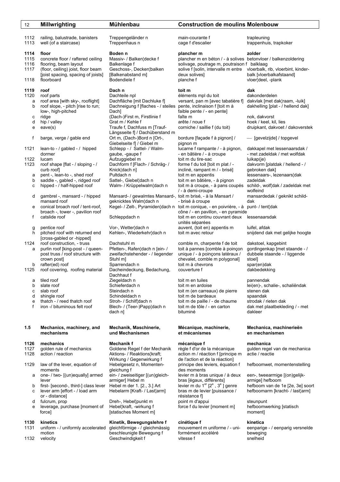| 12           | <b>Millwrighting</b>                                    | Mühlenbau                                                                               | <b>Construction de moulins Molenbouw</b>                                                            |                                                  |
|--------------|---------------------------------------------------------|-----------------------------------------------------------------------------------------|-----------------------------------------------------------------------------------------------------|--------------------------------------------------|
| 1112         |                                                         | Treppengeländer n                                                                       | main-courante f                                                                                     | trapleuning                                      |
| 1113         | railing, balustrade, banisters<br>well (of a staircase) | Treppenhaus n                                                                           | cage f d'escalier                                                                                   | trappenhuis, trapkoker                           |
| 1114         | floor                                                   | Boden <sub>n</sub>                                                                      | plancher m                                                                                          | zolder                                           |
| 1115         | concrete floor / raftered ceiling                       | Massiv- / Balken¦decke f                                                                | plancher m en béton / - à solives betonvloer / balkenzoldering                                      |                                                  |
| 1116         | flooring, beam layout                                   | Balkenlage f                                                                            | solivage, poutrage m, poutraison f balklaag                                                         |                                                  |
| 1117         | (floor, ceiling) joist, floor beam                      | Geschoss-, Decken¦balken                                                                | solive f [solin, intervalle m entre                                                                 | vloerbalk, rib, vloerbint, kinder-               |
| 1118         | [joist spacing, spacing of joists]<br>floorboard        | [Balkenabstand m]<br>Bodendiele f                                                       | deux solives]<br>planche f                                                                          | balk [vloerbalkafstaand]<br>vloer¦deel, -plank   |
| 1119         | roof                                                    | Dach n                                                                                  | toit m                                                                                              | dak                                              |
| 1120         | roof parts                                              | Dachteile npl                                                                           | éléments mpl du toit                                                                                | dakonderdelen                                    |
| a            | roof area [with sky-, rooflight]                        | Dachfläche [mit Dachluke f]                                                             | versant, pan m [avec tabatière f]                                                                   | dakvlak [met dak¦raam, -luik]                    |
| b            | roof slope, - pitch [rise to run;<br>low-, high-pitched | Dachneigung f [flaches - / steiles<br>Dach]                                             | pente, inclinaison f [toit m à<br>faible pente / - en pente]                                        | dakhelling [plat - / hellend dak]                |
| с            | ridge                                                   | (Dach-)First m, Firstlinie f                                                            | faîte m                                                                                             | nok, dakvorst                                    |
| d            | hip / valley                                            | Grat m / Kehle f                                                                        | arête / noue f                                                                                      | hoek / keel, kil, lies                           |
| е            | eave(s)                                                 | Traufe f, Dachfuss m [Trauf-                                                            | corniche / saillie f (du toit)                                                                      | druipkant, dakvoet / dakoverstek                 |
|              |                                                         | Längsseite f] / Dachüberstand m                                                         |                                                                                                     |                                                  |
| f            | barge, verge / gable end                                | Ort m, (Dach-)Bord n [Ort-,<br>Giebelseite f] / Giebel m                                | bordure [façade f à pignon] /<br>pignon m                                                           | - [gevelzijde] / topgevel                        |
| 1121         | lean-to - / gabled - / hipped                           | Schlepp - / Sattel- / Walm-                                                             | lucarne f rampante / - à pignon,                                                                    | dakkapel met lessenaarsdak /                     |
|              | dormer                                                  | gaube, -gaupe f                                                                         | - en bâtière / - à croupe                                                                           | - met zadeldak / met wolfdak                     |
| 1122         | lucam                                                   | Aufzuggiebel m                                                                          | toit m du tire-sac                                                                                  | lukap(je)                                        |
| 1123         | roof shape [flat - / sloping - /                        | Dachform f [Flach- / Schräg- /                                                          | forme f du toit [toit m plat / -                                                                    | dakvorm [platdak / hellend - /                   |
|              | curb roof                                               | Knick¦dach n]                                                                           | incliné, rampant m / - brisé]                                                                       | gebroken dak]                                    |
| а            | pent -, lean-to -, shed roof                            | Pultdach n                                                                              | toit m en appentis                                                                                  | lessenaars-, lezenaars¦dak                       |
| b            | saddle -, gabled -, ridged roof                         | Sattel-, Giebel¦dach n                                                                  | toit m en bâtière, - à pignon                                                                       | zadeldak                                         |
| с            | hipped - / half-hipped roof                             | Walm- / Krüppelwalm¦dach n                                                              | toit m à croupe, - à pans coupés<br>/ - à demi-croupe                                               | schild-, wolf¦dak / zadeldak met<br>wolfeind     |
| d            | gambrel -, mansard - / hipped                           | Mansard- / gewalmtes Mansard-, toit m brisé, - à la Mansart /                           |                                                                                                     | mansardedak / geknikt schild-                    |
|              | mansard roof                                            | geknicktes Walm¦dach n                                                                  | - brisé à croupe                                                                                    | dak                                              |
| е            | conical broach roof / tent-roof,                        |                                                                                         | Kegel- / Zelt-, Pyramiden¦dach n toit m conique, - en poivrière, - à punt- / tent¦dak               |                                                  |
|              | broach -, tower -, pavilion roof                        |                                                                                         | cône / - en pavillon, - en pyramide                                                                 |                                                  |
| f            | catslide roof                                           | Schleppdach n                                                                           | toit m en continu couvrant deux lessenaarsdak<br>unités séparées                                    |                                                  |
| g            | pentice roof                                            | Vor-, Wetter¦dach n                                                                     | auvent, (toit en) appentis m                                                                        | luifel, afdak                                    |
| h.           | pitched roof with returned end                          | Kehlen-, Wiederkehr¦dach n                                                              | toit m avec retour                                                                                  | snijdend dak met gelijke hoogte                  |
|              | [cross-gabled or -hipped]                               |                                                                                         |                                                                                                     |                                                  |
| 1124         | roof construction, - truss                              | Dachstuhl m                                                                             | comble m, charpente f de toit                                                                       | dakstoel, kapgebint                              |
| a            | purlin roof [king-post - / queen-                       | Pfetten-, Rafen¦dach n [ein- /                                                          | toit à pannes [comble à poinçon                                                                     | gordingenkap [met staande - /                    |
|              | post truss / roof structure with                        | zweifachstehender - / liegender                                                         | unique / - à poinçons latéraux /                                                                    | dubbele staande - / liggende                     |
|              | crown post]                                             | Stuhl m                                                                                 | chevalet, comble m polygonal]                                                                       | stoel]                                           |
| b<br>1125    | rafter(ed) roof<br>roof covering, roofing material      | Sparrendach n<br>Dacheindeckung, Bedachung,                                             | toit m à chevrons<br>couverture f                                                                   | spar(en)dak<br>dakbedekking                      |
|              |                                                         | Dachhaut f                                                                              |                                                                                                     |                                                  |
| а            | tiled roof                                              | Ziegeldach n                                                                            | toit m en tuiles                                                                                    | pannendak                                        |
| b            | slate roof                                              | Schieferdach n                                                                          | toit m en ardoise                                                                                   | lei(en)-, schalie-, schaliëndak                  |
| с            | slab roof                                               | Steindach n                                                                             | toit m (en carreaux) de pierre                                                                      | stenen dak                                       |
| d            | shingle roof                                            | Schindeldach n                                                                          | toit m de bardeaux                                                                                  | spaandak                                         |
| е            | thatch - / reed thatch roof                             | Stroh- / Schilf¦dach n                                                                  | toit m de paille / - de chaume                                                                      | strodak / rieten dak                             |
| f            | iron -/ bituminous felt roof                            | Blech- / (Teer-)Papp¦dach n<br>dach nl                                                  | toit m de tôle / - en carton<br>bituminé                                                            | dak met plaatbekleding / - met<br>dakleer        |
| 1.5          | Mechanics, machinery, and<br>mechanisms                 | Mechanik, Maschinerie,<br>und Mechanismen                                               | Mécanique, machinerie,                                                                              | Mechanica, machinerieën                          |
|              |                                                         |                                                                                         | et mécanismes                                                                                       | en mechanismen                                   |
| 1126         | mechanics                                               | Mechanik f                                                                              | mécanique f                                                                                         | mechanica                                        |
| 1127<br>1128 | golden rule of mechanics<br>action / reaction           | Goldene Regel f der Mechanik<br>Aktions- / Reaktions¦kraft;<br>Wirkung / Gegenwirkung f | règle f d'or de la mécanique<br>action m / réaction f [principe m<br>de l'action et de la réaction] | gulden regel van de mechanica<br>actie / reactie |

- 1129 law of the lever, equation of Hebelgesetz n, Momenten- principe des leviers, équation f hefboomwet, momentenstelling
- a one- / two- [(un)equally] armed ein- / zweiseitiger [(un)gleich- levier m à bras unique / à deux een-, tweearmige [(on)gelijk lever armiger] Hebel m bras [égaux, différents] armige] hefboom ande 1 armiger] Hebel m<br>b first- [second-, third-] class lever Hebel m der 1. [2., 3.] Art levier m du 1<sup>er</sup> [2<sup>e</sup>, 3<sup>e</sup>] genre hefboom van de 1
	- lever armiger] Hebel m<br>b first- [second-, third-] class lever Hebel m der 1. [2., 3.] Art<br>c lever arm [effort / load arm Hebelarm [Kraft- / Last¦arm] c lever arm [effort - / load arm Hebelarm [Kraft- / Last¦arm] bras m de levier [puissance / hefboomarm [kracht- / last¦arm]
	-
	-
	- e leverage, purchase [moment of force] **[statisches Moment m]** moment] moment]

- **1130 kinetics Kinetik, Bewegungslehre f cinétique f kinetica kinetica 1131** uniform / uniformly accelerated gleichförmige / gleichmässig mouvement m uniforme / uni- eenparig motion beschleunigte Bewegung f formément accéléré beweging
- 

## or - distance] résistance f] d fulcrum, prop **Dreh-, Hebel**¦punkt m point m d'appui steunpunt steunpunt<br>
e leverage, purchase [moment of Hebel¦kraft, -wirkung f storce f du levier [moment m] hefboomwerking [statisch

des moments

hefboom van de 1e [2e, 3e] soort

eenparige - / eenparig versnelde

1132 velocity **Geschwindigkeit f** vitesse f snelheid snelheid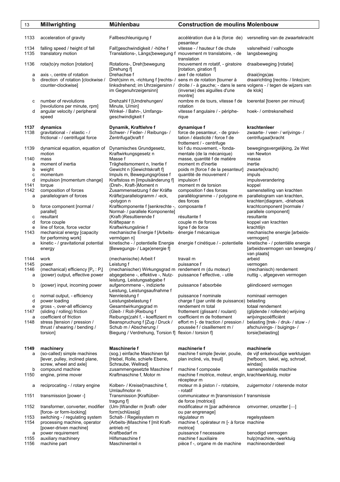| 13           | <b>Millwrighting</b>                                                                   | Mühlenbau                                                                                                                                               | <b>Construction de moulins Molenbouw</b>                                                                                              |                                                                                     |
|--------------|----------------------------------------------------------------------------------------|---------------------------------------------------------------------------------------------------------------------------------------------------------|---------------------------------------------------------------------------------------------------------------------------------------|-------------------------------------------------------------------------------------|
| 1133         | acceleration of gravity                                                                | Fallbeschleunigung f                                                                                                                                    | accélération due à la (force de) versnelling van de zwaartekracht<br>pesanteur                                                        |                                                                                     |
| 1134<br>1135 | falling speed / height of fall<br>translatory motion                                   | Fall¦geschwindigkeit / -höhe f<br>Translations-, Längs¦bewegung f                                                                                       | vitesse - / hauteur f de chute<br>mouvement m translatoire, - de<br>translation                                                       | valsnelheid / valhoogte<br>langsbeweging                                            |
| 1136         | rota(to)ry motion [rotation]                                                           | Rotations-, Dreh¦bewegung<br>[Drehung f]                                                                                                                | mouvement m rotatif, - giratoire<br>[rotation, giration f]                                                                            | draaibeweging [rotatie]                                                             |
| а<br>b       | axis -, centre of rotation<br>direction of rotation [clockwise /<br>counter-clockwise] | Drehachse f<br>Dreh¦sinn m, -richtung f [rechts- / sens m de rotation [tourner à<br>linksdrehend; im Uhrzeigersinn /<br>im Gegenuhrzeigersinn]          | axe f de rotation<br>droite / - à gauche; - dans le sens volgens - / tegen de wijzers van<br>(inverse) des aiguilles d'une<br>montrel | draai(ings)as<br>draairichting [rechts- / links¦om;<br>de klok]                     |
| с            | number of revolutions<br>[revolutions per minute, rpm]                                 | Drehzahl f [Umdrehungen/<br>Minute, U/min]                                                                                                              | nombre m de tours, vitesse f de<br>rotation                                                                                           | toerental [toeren per minuut]                                                       |
| d            | angular velocity / peripheral<br>speed                                                 | Winkel- / Bahn-, Umfangs-<br>geschwindigkeit f                                                                                                          | vitesse f angulaire / - périphe-<br>rique                                                                                             | hoek- / omtreksnelheid                                                              |
| 1137         | dynamics                                                                               | Dynamik, Kraftlehre f                                                                                                                                   | dynamique f                                                                                                                           | krachtenleer                                                                        |
| 1138         | gravitational - / elastic - /<br>frictional - / centrifugal force                      | Schwer- / Feder- / Reibungs- /<br>Zentrifugal¦kraft f                                                                                                   | force de pesanteur, - de gravi-<br>tation / élasticité / force f de<br>frottement / - centrifuge                                      | zwaarte- / veer- / wrijvings- /<br>centrifugaal¦kracht                              |
| 1139         | dynamical equation, equation of<br>motion                                              | Dynamisches Grundgesetz,<br>Kraftwirkungsgesetz n                                                                                                       | loi f du mouvement, - fonda-<br>mentale (de la mécanique)                                                                             | bewegingsvergelijking, 2e Wet<br>van Newton                                         |
| 1140         | mass                                                                                   | Masse f                                                                                                                                                 | masse, quantité f de matière                                                                                                          | massa                                                                               |
| a<br>b       | moment of inertia<br>weight                                                            | Trägheitsmoment n, Inertie f<br>Gewicht n [Gewichtskraft f]                                                                                             | moment m d'inertie<br>poids m [force f de la pesanteur]                                                                               | inertie<br>zwaarte(kracht)                                                          |
| C            | momentum                                                                               | Impuls m, Bewegungsgrösse f                                                                                                                             | quantité de mouvement /                                                                                                               | impuls                                                                              |
| d            | impulsion [momentum change]                                                            | Kraftstoss m [Impulsänderung f]                                                                                                                         | impulsion f                                                                                                                           | impulsverandering                                                                   |
| 1141         | torque                                                                                 | (Dreh-, Kraft-)Moment n                                                                                                                                 | moment m de torsion                                                                                                                   | koppel                                                                              |
| 1142         | composition of forces                                                                  | Zusammensetzung f der Kräfte                                                                                                                            | composition f des forces                                                                                                              | samenstelling van krachten                                                          |
| a            | parallelogram of forces                                                                | Kräfte¦parallelogramm / -eck,<br>-polygon n                                                                                                             | parallélogramme - / polygone m<br>des forces                                                                                          | parallelogram van krachten,<br>krachten¦diagram, -driehoek                          |
| b            | force component [normal /                                                              | Kraftkomponente f [senkrechte -,                                                                                                                        | composante f                                                                                                                          | krachtcomponent [normale /                                                          |
|              | parallel]                                                                              | Normal- / parallele Komponente]                                                                                                                         |                                                                                                                                       | parallele component]                                                                |
| с            | resultant                                                                              | (Kraft-)Resultierende f                                                                                                                                 | résultante f                                                                                                                          | resultante                                                                          |
| d            | force couple                                                                           | Kräftepaar n                                                                                                                                            | couple m de forces                                                                                                                    | koppel van krachten                                                                 |
| е            | line of force, force vector                                                            | Kraftwirkungslinie f                                                                                                                                    | ligne f de force                                                                                                                      | krachtlijn                                                                          |
| 1143         | mechanical energy [capacity<br>for performing work]                                    | mechanische Energie f [Arbeits-<br>vermögen n]                                                                                                          | énergie f mécanique                                                                                                                   | mechanische energie [arbeids-<br>vermogen]                                          |
| а            | kinetic - / gravitational potential<br>energy                                          | kinetische - / potentielle Energie énergie f cinétique / - potentielle<br>[Bewegungs- / Lage energie f]                                                 |                                                                                                                                       | kinetische - / potentiële energie<br>[arbeidsvermogen van beweging /<br>van plaats] |
| 1144         | work                                                                                   | (mechanische) Arbeit f                                                                                                                                  | travail m                                                                                                                             | arbeid                                                                              |
| 1145         | power                                                                                  | Leistung f                                                                                                                                              | puissance f                                                                                                                           | vermogen                                                                            |
| 1146<br>a    | (mechanical) efficiency $[P_0: P_1]$<br>(power) output, effective power                | (mechanischer) Wirkungsgrad m rendement m (du moteur)<br>abgegebene -, effektive -, Nutz- puissance f effective, - utile<br>leistung, Leistungsabgabe f |                                                                                                                                       | (mechanisch) rendement<br>nuttig -, afgegeven vermogen                              |
| b            | (power) input, incoming power                                                          | aufgenommene -, indizierte<br>Leistung, Leistungsaufnahme f                                                                                             | puissance f absorbée                                                                                                                  | gëindiceerd vermogen                                                                |
| с<br>d       | normal output, - efficiency<br>power loading                                           | Nennleistung f<br>Leistungsbelastung f                                                                                                                  | puissance f nominale<br>charge f (par unité de puissance) belasting                                                                   | nominaal vermogen                                                                   |
| е            | gross -, over-all efficiency                                                           | Gesamtwirkungsgrad m                                                                                                                                    | rendement m total                                                                                                                     | totaal rendement                                                                    |
| 1147<br>a    | (sliding / rolling) friction<br>coefficient of friction                                | (Gleit- / Roll-)Reibung f<br>Reibungs¦zahl f, - koeffizient m                                                                                           | frottement (glissant / roulant)<br>coefficient m de frottement                                                                        | (glijdende / rollende) wrijving<br>wrijvingscoëfficiënt                             |
| 1148         | stress [tension / pression /                                                           | Beanspruchung f [Zug / Druck /                                                                                                                          | effort m [- de traction / pression /                                                                                                  | belasting [trek- / druk- / stuw - /                                                 |
|              | thrust / shearing / bending /<br>torsion]                                              | Schub m / Abscherung /<br>Biegung / Verdrehung, Torsion f] flexion / torsion f]                                                                         | poussée f / cisaillement m /                                                                                                          | afschuivings- / buigings- /<br>torsie¦belasting]                                    |
|              |                                                                                        |                                                                                                                                                         |                                                                                                                                       |                                                                                     |
| 1149<br>a    | machinery<br>(so-called) simple machines<br>[lever, pulley, inclined plane,            | <b>Maschinerie f</b><br>(sog.) einfache Maschinen fpl<br>[Hebel, Rolle, schiefe Ebene,                                                                  | machinerie f<br>machine f simple [levier, poulie,<br>plan incliné, vis, treuil]                                                       | machinerie<br>de vijf enkelvoudige werktuigen<br>[hefboom, takel, wig, schroef,     |
|              | screw, wheel and axle]                                                                 | Schraube, Wellrad]                                                                                                                                      |                                                                                                                                       | windas]                                                                             |
| b<br>1150    | compound machine<br>engine, prime mover                                                | zusammengesetzte Maschine f<br>Kraftmaschine f, Motor m                                                                                                 | machine f composée<br>machine f motrice, moteur, engin, krachtwerktuig, motor<br>récepteur m                                          | samengestelde machine                                                               |
| а            | reciprocating - / rotary engine                                                        | Kolben- / Kreisel¦maschine f,<br>Umlaufmotor m                                                                                                          | moteur m à piston / - rotatoire,<br>- rotatif                                                                                         | zuigermotor / roterende motor                                                       |
| 1151         | transmission [power -]                                                                 | Transmission [Kraftüber-<br>tragung f]                                                                                                                  | communicateur m [transmission f transmissie<br>de force (motrice)]                                                                    |                                                                                     |
| 1152         | transformer, converter, modifier<br>[force- or form-locking]                           | (Um-)Wandler m [kraft- oder<br>form¦schlüssig]                                                                                                          | modificateur m [par adhérence<br>ou par engrenage]                                                                                    | omvormer, omzetter [-                                                               |
| 1153         | switching - / regulating system                                                        | Schalt- / Regelsystem m                                                                                                                                 | régulateur m                                                                                                                          | regelsysteem                                                                        |
| 1154         | processing machine, operator                                                           | (Arbeits-)Maschine f [mit Kraft-                                                                                                                        | machine f, opérateur m [- à force machine                                                                                             |                                                                                     |
| а            | [power-driven machine]<br>power requirement                                            | antrieb m]<br>Kraftbedarf m                                                                                                                             | motricel<br>puissance f necessaire                                                                                                    | benodigd vermogen                                                                   |
| 1155<br>1156 | auxiliary machinery<br>machine part                                                    | Hilfsmaschine f<br>Maschinenteil n                                                                                                                      | machine f auxiliaire<br>pièce f -, organe m de machine                                                                                | hulp¦machine, -werktuig<br>machineonderdeel                                         |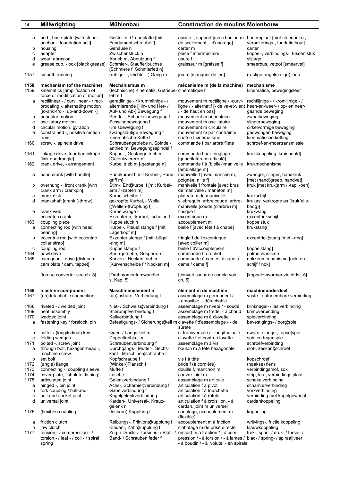| 14           | <b>Millwrighting</b>                                                                           | <b>Mühlenbau</b>                                                                                 | <b>Construction de moulins Molenbouw</b>                                                                                                 |                                                          |
|--------------|------------------------------------------------------------------------------------------------|--------------------------------------------------------------------------------------------------|------------------------------------------------------------------------------------------------------------------------------------------|----------------------------------------------------------|
|              |                                                                                                |                                                                                                  |                                                                                                                                          |                                                          |
| а            | bed-, base-plate [with stone -,<br>anchor -, foundation bolt]                                  | Gestell n, Grundplatte [mit]<br>Fundamentschraube f]                                             | assise f, support [avec boulon m bodemplaat [met steenanker,<br>de scellement, - d'ancrage]                                              | verankerings-, fundatie¦bout]                            |
| b<br>C       | housing<br>adapter                                                                             | Gehäuse n<br>Zwischenstück n                                                                     | carter m<br>pièce f intermédiaire                                                                                                        | carter<br>koppel-, verbindings-, tussen¦stuk             |
| d            | wear, abrasion                                                                                 | Abrieb m. Abnutzung f                                                                            | usure f                                                                                                                                  | slijtage                                                 |
| е            | grease cup, - box [black grease]                                                               | Schmier-, Stauffer¦buchse<br>[Schmiere f, Schmierfett n]                                         | graisseur m [graisse f]                                                                                                                  | smeerbus, vetpot [smeervet]                              |
| 1157         | smooth running                                                                                 | (ruhiger -, leichter -) Gang m                                                                   | jeu m [manquer de jeu]                                                                                                                   | (rustige, regelmatige) loop                              |
| 1158<br>1159 | mechanism (of the machine)<br>kinematics [amplification of<br>force or modification of motion] | Mechanismus m<br>(technische) Kinematik, Getriebe- cinématique f<br>lehre f                      | mécanisme m (de la machine)                                                                                                              | mechanisme<br>kinematica, bewegingsleer                  |
| а            | rectilinear - / curvilinear - / reci-<br>procating -, alternating motion                       | geradlinige - / krummlinige - /<br>alternierende [Hin- und Her- /                                | mouvement m rectiligne / -curvi- rechtlijnige - / kromlijnige - /<br>ligne / - alternatif [- de va-et-vient heen-en-weer- / op- en neer- |                                                          |
| b            | [to-and-fro -, up-and-down -]<br>pendular motion                                               | Auf- und Ab-] Bewegung f<br>Pendel-, Schaukelbewegung f                                          | / - de haut en bas]<br>mouvement m pendulaire                                                                                            | gaande beweging<br>zwaaibeweging                         |
| C            | oscillatory motion                                                                             | Schwingbewegung f                                                                                | mouvement m oscillatoire                                                                                                                 | slingerbeweging                                          |
| d<br>е       | circular motion, gyration<br>constrained -, positive motion                                    | Kreisbewegung f<br>zwangsläufige Bewegung f                                                      | mouvement m circulaire<br>mouvement m par contrainte                                                                                     | cirkelvormige beweging<br>gedwongen beweging             |
| f            | train                                                                                          | kinematische Kette f                                                                             | chaîne f cinématique                                                                                                                     | kinematische ketting                                     |
| 1160         | screw -, spindle drive                                                                         | Schraubengetriebe n, Spindel-<br>antrieb m, Bewegungsspindel f                                   | commande f par arbre fileté                                                                                                              | schroef-en-moertransmissie                               |
| 1161         | linkage drive, four bar linkage<br>[link quadrangle]                                           | Kuppel-, Gestänge¦trieb m<br>[Gelenkviereck n]                                                   | commande f par tringlage<br>[quadrilatère m articulé]                                                                                    | kruiskoppeling [kruishoofd]                              |
| 1162         | crank drive, - arrangement                                                                     | Kurbel¦trieb m [-gestänge n]                                                                     | commande f à (bielle-)manivelle<br>[embiellage m]                                                                                        | krukmechanisme                                           |
| а            | hand crank [with handle]                                                                       | Handkurbel f [mit Kurbel-, Hand-<br>griff m]                                                     | manivelle f [avec manche m,<br>poignée, nille f]                                                                                         | zwengel, slinger, handkruk<br>[met (hand)greep, handvat] |
| b            | overhung -, front crank [with<br>crank arm / crankpin]                                         | Stirn-, End¦kurbel f [mit Kurbel-<br>$arm / -zapfen$ m]                                          | manivelle f frontale [avec bras<br>de manivelle / maneton m]                                                                             | kruk [met kruk¦arm / -tap, -pen]                         |
| с            | crank disk                                                                                     | Kurbelscheibe f                                                                                  | plateau m de manivelle                                                                                                                   | krukschijf                                               |
| d            | crankshaft [crank (-throw)                                                                     | gekröpfte Kurbel, - Welle<br>[(Wellen-)Kröpfung f]                                               | vilebrequin, arbre coudé, arbre-<br>manivelle [coude (d'arbre) m]                                                                        | krukas, verkropte as [kruk(elle-<br>boog)]               |
| e            | crank web                                                                                      | Kurbelwange f                                                                                    | flasque f                                                                                                                                | krukwang                                                 |
| f<br>1163    | eccentric crank<br>coupling piece                                                              | Exzenter n, -kurbel, -scheibe f<br>Kuppelstück n                                                 | excentrique m<br>accouplement m                                                                                                          | excentriekschijf<br>koppelstuk                           |
| a            | connecting rod [with head                                                                      | Kurbel-, Pleuel¦stange f [mit                                                                    | bielle f [avec tête f à chape]                                                                                                           | krukstang                                                |
|              | bearing                                                                                        | Lagerkopf m]                                                                                     |                                                                                                                                          |                                                          |
| b            | eccentric rod [with eccentric<br>collar strap]                                                 | Exzenter¦stange f [mit -bügel,<br>-ring m]                                                       | tringle f de l'excentrique<br>[avec collier m]                                                                                           | excentriek¦stang [met -ring]                             |
| с            | coupling rod                                                                                   | Kuppelstange f                                                                                   | bielle f d'accouplement                                                                                                                  | koppelstang]                                             |
| 1164<br>1165 | pawl drive<br>cam gear, - drive [disk cam,                                                     | Sperrgetriebe, Gesperre n<br>Kurven-, Nocken¦trieb m                                             | commande f à rochet<br>commande à cames [disque à                                                                                        | palmechanisme<br>nokkenmechanisme [nokken-               |
|              | cam plate / cam, tappet]                                                                       | [Kurvenscheibe f / Nocken m]                                                                     | came / came f]                                                                                                                           | schijf / nok]                                            |
|              | [torque converter see ch. 5]                                                                   | [Drehmomentumwandler<br>s. Kap. 5]                                                               | [convertisseur de couple voir<br>cn. 5]                                                                                                  | [koppelomvormer zie hfdst. 5]                            |
| 1166<br>1167 | machine component<br>(un)detachable connection                                                 | Maschinenelement n<br>(un)lösbare Verbindung f                                                   | élément m de machine<br>assemblage m permanent /                                                                                         | machineonderdeel<br>vaste - / afneembare verbinding      |
| 1168         | riveted - / welded joint                                                                       | Niet- / Schweiss¦verbindung f                                                                    | - amovible, - détachable<br>assemblage m riveté / - soudé                                                                                | klinknagel- / las¦verbinding                             |
| 1169         | heat assembly                                                                                  | Schrumpfverbindung f                                                                             | assemblage m fretté, - à chaud                                                                                                           | krimpverbinding                                          |
| 1170<br>а    | wedged joint<br>fastening key / forelock, pin                                                  | Keilverbindung f<br>Befestigungs- / Sicherungs¦keil m clavette f d'assemblage / - de             | assemblage m à clavette<br>sûreté                                                                                                        | spieverbinding<br>bevestigings- / borg¦spie              |
| b            | cotter / (longitudinal) key                                                                    | Quer- / Längs¦keil m                                                                             | c. transversale / - longitudinale                                                                                                        | dwars- / langs-, tapse¦spie                              |
| с<br>1171    | folding wedges<br>bolted -, screw joint                                                        | Doppeltreibkeil m<br>Schraubenverbindung f                                                       | clavette f et contre-clavette<br>assemblage m à vis                                                                                      | spie en tegenspie<br>schroefverbinding                   |
| а            | through bolt, hexagon-head -,                                                                  | Durchgangs-, Mutter-, Sechs-                                                                     | boulon m à tête hexagonale                                                                                                               | slot-, zeskant¦schroef                                   |
| b            | machine screw<br>set bolt                                                                      | kant-, Maschinen¦schraube f<br>Kopfschraube f                                                    | vis f à tête                                                                                                                             | kopschroef                                               |
| 1172         | (angle) flange                                                                                 | (Winkel-)Flansch f                                                                               | bride f (à cornière)                                                                                                                     | (haakse) flens                                           |
| 1173<br>1174 | connecting -, coupling sleeve<br>cover plate, fishplate [fishing]                              | Muffe f<br>Lasche f                                                                              | douille f, manchon m<br>couvre-joint m                                                                                                   | verbindingsmof, sok<br>strip, las-, verbindings plaat    |
| 1175         | articulated joint                                                                              | Gelenkverbindung f                                                                               | assemblage m articulé                                                                                                                    | schakelverbinding                                        |
| a            | hinged -, pin joint                                                                            | Achs-, Scharnier¦verbindung f                                                                    | articulation f à pivot                                                                                                                   | scharnierverbinding                                      |
| b<br>с       | fork coupling / ball-and-<br>ball-and-socket joint                                             | Gabelverbindung f<br>Kugelgelenkverbindung f                                                     | articulation f à fourchette<br>articulation f à rotule                                                                                   | vorkverbinding<br>verbinding met kogelgewricht           |
| d            | universal joint                                                                                | Kardan-, Universal-, Kreuz-                                                                      | articulation f à croisillon, - à                                                                                                         | cardankoppeling                                          |
| 1176         | (flexible) coupling                                                                            | gelenk n<br>(lösbare) Kupplung f                                                                 | cardan, joint m universel<br>couplage, accouplement m<br>(flexible)                                                                      | koppeling                                                |
| а            | friction clutch                                                                                | Reibungs-, Friktions¦kupplung f                                                                  | accouplement m à friction                                                                                                                | wrijvings-, frictie¦koppeling                            |
| b<br>1177    | jaw clutch<br>tension - / compression - /                                                      | Klauen-, Zahn¦kupplung f<br>Zug- / Druck- / Torsions- / Blatt- / ressort m à traction / - à com- | clabotage m de prise directe                                                                                                             | klauwkoppeling<br>trek-, span- / druk- / torsie- /       |
|              | torsion - / leaf - / coil - / spiral<br>spring                                                 | Band- / Schrauben¦feder f                                                                        | pression / - à torsion / - à lames / blad- / spring- / spiraal¦veer<br>- à boudin / - à volute, - en spirale                             |                                                          |
|              |                                                                                                |                                                                                                  |                                                                                                                                          |                                                          |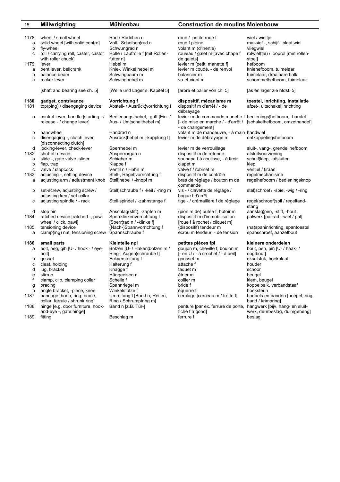| 15                  | <b>Millwrighting</b>                                                                                        | <b>Mühlenbau</b>                                                                                | <b>Construction de moulins Molenbouw</b>                                                                                                            |                                                                                                        |
|---------------------|-------------------------------------------------------------------------------------------------------------|-------------------------------------------------------------------------------------------------|-----------------------------------------------------------------------------------------------------------------------------------------------------|--------------------------------------------------------------------------------------------------------|
| 1178<br>a<br>b<br>c | wheel / small wheel<br>solid wheel [with solid centre]<br>fly-wheel<br>roll / carrying roll, caster, castor | Rad / Rädchen n<br>Voll-, Scheiben¦rad n<br>Schwungrad n<br>Rolle / Laufrolle f [mit Rollen-    | roue / petite roue f<br>roue f pleine<br>volant m (d'inertie)<br>rouleau / galet m [avec chape f                                                    | wiel / wieltje<br>massief -, schijf-, plaat¦wiel<br>vliegwiel<br>rolwiel(tje) / looprol [met rollen-   |
| 1179<br>a<br>b<br>c | with roller chuck]<br>lever<br>bent lever, bellcrank<br>balance beam<br>rocker lever                        | futter n]<br>Hebel m<br>Knie-, Winkel¦hebel m<br>Schwingbaum m<br>Schwinghebel m                | de galets]<br>levier m [petit: manette f]<br>levier m coudé, - de renvoi<br>balancier m<br>va-et-vient m                                            | stoel]<br>hefboom<br>kniehefboom, tuimelaar<br>tuimelaar, draaibare balk<br>schommelhefboom, tuimelaar |
|                     | [shaft and bearing see ch. 5]                                                                               | [Welle und Lager s. Kapitel 5]                                                                  | [arbre et palier voir ch. 5]                                                                                                                        | [as en lager zie hfdst. 5]                                                                             |
| 1180<br>1181        | gadget, contrivance<br>top(ping) / disengaging device                                                       | Vorrichtung f<br>Abstell- / Ausrück¦vorrichtung f                                               | dispositif, mécanisme m<br>dispositif m d'arrêt / - de<br>débrayage                                                                                 | toestel, inrichting, installatie<br>afzet-, uitschakel¦inrichting                                      |
| a                   | control lever, handle [starting - /<br>release - / change lever]                                            | Bedienungs¦hebel, -griff [Ein- /<br>Aus- / Um¦schalthebel m]                                    | levier m de commande, manette f bedienings¦hefboom, -handel<br>[- de mise en marche / - d'arrêt / [schakelhefboom, omzethandel]<br>- de changement] |                                                                                                        |
| b<br>с              | handwheel<br>disengaging -, clutch lever<br>[disconnecting clutch]                                          | Handrad n<br>Ausrück¦hebel m [-kupplung f]                                                      | volant m de manoeuvre, - à main handwiel<br>levier m de débrayage m                                                                                 | ontkoppelingshefboom                                                                                   |
| d<br>1182<br>a      | locking-lever, check-lever<br>shut-off device<br>slide -, gate valve, slider                                | Sperrhebel m<br>Absperrorgan n<br>Schieber m                                                    | levier m de verrouillage<br>dispositif m de retenue<br>soupape f à coulisse, - à tiroir                                                             | sluit-, vang-, grendel¦hefboom<br>afsluitvoorziening<br>schuif¦klep, -afsluiter                        |
| b<br>c              | flap, trap<br>valve / stopcock                                                                              | Klappe f<br>Ventil n / Hahn m                                                                   | clapet m<br>valve f / robinet m                                                                                                                     | klep<br>ventiel / kraan                                                                                |
| 1183<br>a           | adjusting -, setting device<br>adjusting arm / adjustment knob                                              | Stell-, Regel¦vorrichtung f<br>Stell¦hebel / -knopf m                                           | dispositif m de contrôle<br>bras de réglage / bouton m de<br>commande                                                                               | regelmechanisme<br>regelhefboom / bedieningsknop                                                       |
| b                   | set-screw, adjusting screw /<br>adjusting key / set collar                                                  | Stell¦schraube f / -keil / -ring m                                                              | vis - / clavette de réglage /<br>bague f d'arrêt                                                                                                    | stel¦schroef / -spie, -wig / -ring                                                                     |
| с                   | adjusting spindle / - rack                                                                                  | Stell¦spindel / -zahnstange f                                                                   | tige - / crémaillère f de réglage                                                                                                                   | regel(schroef)spil / regeltand-<br>stang                                                               |
| d<br>1184           | stop pin<br>ratched device [ratched -, pawl<br>wheel / click, pawl]                                         | Anschlag(stift), -zapfen m<br>Sperrklinkenvorrichtung f<br>[Sperr¦rad n / -klinke f]            | (pion m de) butée f, butoir m<br>dispositif m d'immobilisation<br>[roue f à rochet / cliquet m]                                                     | aanslag¦pen, -stift, -bout<br>palwerk [pal¦rad, -wiel / pal]                                           |
| 1185<br>a           | tensioning device<br>clamp(ing) nut, tensioning screw                                                       | (Nach-)Spannvorrichtung f<br>Spannschraube f                                                    | (dispositif) tendeur m<br>écrou m tendeur, - de tension                                                                                             | (na)spaninrichting, spantoestel<br>spanschroef, aanzetbout                                             |
| 1186<br>a           | small parts<br>bolt, peg, gib [U- / hook - / eye-<br>bolt]                                                  | Kleinteile npl<br>Bolzen [U- / Haken¦bolzen m /<br>Ring-, Augen¦schraube f]<br>Eckversteifung f | petites pièces fpl<br>goujon m, cheville f, boulon m<br>[- en U / - à crochet / - à oeil]                                                           | kleinere onderdelen<br>bout, pen, pin [U- / haak- /<br>oog¦bout]<br>okselstuk, hoekplaat               |
| b<br>c<br>d         | gusset<br>cleat, holding<br>lug, bracket                                                                    | Halterung f<br>Knagge f                                                                         | gousset m<br>attache f<br>taquet m                                                                                                                  | houder<br>schoor                                                                                       |
| е<br>f              | stirrup<br>clamp, clip, clamping collar                                                                     | Hängeeisen n<br>Schelle f                                                                       | étrier m<br>collier m                                                                                                                               | beugel<br>klem, beugel                                                                                 |
| g<br>h              | bracing<br>angle bracket, -piece, knee                                                                      | Spannriegel m<br>Winkelstütze f                                                                 | bride f<br>équerre f                                                                                                                                | koppelbalk, verbandstaaf<br>hoeksteun                                                                  |
| 1187                | bandage [hoop, ring, brace,<br>collar, ferrule / shrunk ring]                                               | Umreifung f [Band n, Reifen,<br>Ring / Schrumpfring m]                                          | cerclage [cerceau m / frette f]                                                                                                                     | hoepels en banden [hoepel, ring,<br>band / krimpring]                                                  |
| 1188                | hinge [e.g. door furniture, hook-<br>and-eye -, gate hinge]                                                 | Band n [z.B. Tür-]                                                                              | penture [par ex. ferrure de porte,<br>fiche f à gond]                                                                                               | hangwerk [bijv. hang- en sluit-<br>werk, deurbeslag, duimgeheng]                                       |
| 1189                | fitting                                                                                                     | Beschlag m                                                                                      | ferrure f                                                                                                                                           | beslag                                                                                                 |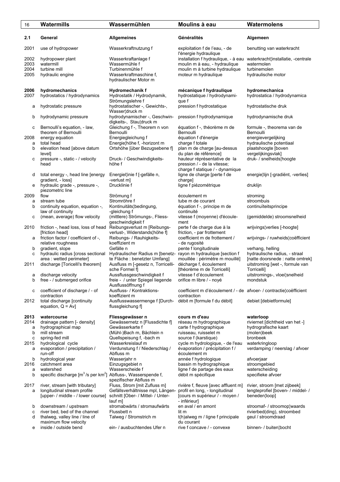| 16           | Watermills                                                               | Wassermühlen                                                       | Moulins à eau                                                                     | Watermolens                                      |
|--------------|--------------------------------------------------------------------------|--------------------------------------------------------------------|-----------------------------------------------------------------------------------|--------------------------------------------------|
| 2.1          | General                                                                  | <b>Allgemeines</b>                                                 | Généralités                                                                       | Algemeen                                         |
| 2001         | use of hydropower                                                        | Wasserkraftnutzung f                                               | exploitation f de l'eau, - de<br>l'énergie hydraulique                            | benutting van waterkracht                        |
| 2002<br>2003 | hydropower plant<br>watermill                                            | Wasserkraftanlage f<br>Wassermühle f                               | installation f hydraulique, - à eau<br>moulin m à eau, - hydraulique              | waterkracht¦installatie, -centrale<br>watermolen |
| 2004         | turbine mill                                                             | Turbinenmühle f                                                    | moulin m à turbine hydraulique                                                    | turbinemolen                                     |
| 2005         | hydraulic engine                                                         | Wasserkraftmaschine f,                                             | moteur m hydraulique                                                              | hydraulische motor                               |
|              |                                                                          | hydraulischer Motor m                                              |                                                                                   |                                                  |
| 2006<br>2007 | hydromechanics<br>hydrostatics / hydrodynamics                           | Hydromechanik f<br>Hydrostatik / Hydrodynamik,<br>Strömungslehre f | mécanique f hydraulique<br>hydrostatique / hydrodynami-<br>que f                  | hydromechanica<br>hydrostatica / hydrodynamica   |
| а            | hydrostatic pressure                                                     | hydrostatischer -, Gewichts-,<br>Wasser¦druck m                    | pression f hydrostatique                                                          | hydrostatische druk                              |
| b            | hydrodynamic pressure                                                    | hydrodynamischer -, Geschwin-<br>digkeits-, Stau¦druck m           | pression f hydrodynamique                                                         | hydrodynamische druk                             |
| с            | Bernoulli's equation, - law,                                             | Gleichung f -, Theorem n von                                       | équation f -, théorème m de                                                       | formule -, theorema van de                       |
|              | theorem of Bernoulli                                                     | Bernoulli                                                          | Bernoulli                                                                         | Bernoulli                                        |
| 2008<br>a    | energy equation<br>total head                                            | Energiegleichung f<br>Energie¦höhe f, -horizont m                  | équation f d'énergie<br>charge f totale                                           | energievergelijking<br>hydraulische potentiaal   |
| b            | elevation head [above datum                                              | Ortshöhe [über Bezugsebene f]                                      | plan m de charge [au-dessus                                                       | plaatshoogte [boven                              |
|              | level]                                                                   |                                                                    | du plan de référence]                                                             | vergelijkingsvlak]                               |
| с            | pressure -, static - / velocity<br>head                                  | Druck- / Geschwindigkeits-<br>höhe f                               | hauteur réprésentative de la<br>pression / - de la vitesse;                       | druk- / snelheids¦hoogte                         |
| d            | total energy -, head line [energy                                        | Energiel¦inie f [-gefälle n,                                       | charge f statique / - dynamique<br>ligne de charge [perte f de                    | energie¦lijn [-gradiënt, -verlies]               |
|              | gradient, - loss]                                                        | -verlust m]                                                        | charge]                                                                           |                                                  |
| е            | hydraulic grade -, pressure -,<br>piezometric line                       | Drucklinie f                                                       | ligne f piézométrique                                                             | druklijn                                         |
| 2009         | flow                                                                     | Strömung f                                                         | écoulement m                                                                      | stroming                                         |
| а            | stream tube                                                              | Stromröhre f                                                       | tube m de courant                                                                 | stroombuis                                       |
| b            | continuity equation, equation -,<br>law of continuity                    | Kontinuitäts¦bedingung,<br>-gleichung f                            | équation f -, principe m de<br>continuité                                         | continuïteitsprincipe                            |
| с            | (mean, average) flow velocity                                            | (mittlere) Strömungs-, Fliess-<br>geschwindigkeit f                | vitesse f (moyenne) d'écoule-<br>ment                                             | (gemiddelde) stroomsnelheid                      |
| 2010         | friction -, head loss, loss of head                                      | Reibungsverlust m [Reibungs-                                       | perte f de charge due à la                                                        | wrijvings¦verlies [-hoogte]                      |
|              | [friction head]                                                          | verlust-, Widerstands¦höhe f]                                      | friction, - par frottement                                                        |                                                  |
| а            | friction factor / coefficient of -,                                      | Reibungs- / Rauhigkeits-                                           | coefficient m de frottement /                                                     | wrijvings- / ruwheids¦coëfficient                |
| b            | relative roughness<br>gradient, slope                                    | koeffizient m<br>Gefälle n                                         | - de rugosité<br>pente f longitudinale                                            | verhang, helling                                 |
| c            | hydraulic radius [cross sectional                                        | Hydraulischer Radius m [benetz- rayon m hydraulique [section f     |                                                                                   | hydraulische radius, - straal                    |
|              | area : wetted perimeter]                                                 | te Fläche : benetzter Umfang]                                      | mouillée : périmètre m mouillé]                                                   | [natte doorsnede : natte omtrek]                 |
| 2011         | discharge [Toricelli's theorem]                                          | Ausfluss m [-gesetz n, Torricelli-                                 | décharge f, écoulement                                                            | uitstroming [wet -, formule van                  |
|              | discharge velocity                                                       | sche Formel fl<br>Aussflussgeschwindigkeit f                       | [théorème m de Torricelli]<br>vitesse f d'écoulement                              | Torricelli]<br>uitstromings-, vloei¦snelheid     |
| а<br>b       | free - / submerged orifice                                               | freie - / unter Spiegel liegende                                   | orifice m libre / - noyé                                                          | mondstuk                                         |
|              |                                                                          | Ausflussöffnung f                                                  |                                                                                   |                                                  |
| c            | coefficient of discharge / - of<br>contraction                           | Ausfluss- / Kontraktions-<br>koeffizient m                         | coefficient m d'écoulement / - de afvoer- / contractielcoefficient<br>contraction |                                                  |
| 2012         | total discharge [continuity                                              | Ausflusswassermenge f [Durch-                                      | débit m [formule f du débit]                                                      | debiet [debietformule]                           |
|              | equation, $Q = Av$ ]                                                     | flussgleichung f]                                                  |                                                                                   |                                                  |
| 2013         | watercourse                                                              | Fliessgewässer n                                                   | cours m d'eau                                                                     | waterloop                                        |
| 2014         | drainage pattern [- density]                                             | Gewässernetz n [Flussdichte f]                                     | réseau m hydrographique                                                           | riviernet [dichtheid van het -]                  |
| a            | hydrographical map                                                       | Gewässerkarte f                                                    | carte f hydrographique                                                            | hydrografische kaart                             |
| b            | mill stream                                                              | (Mühl-)Bach m, Bächlein n                                          | ruisseau, ruisselet m                                                             | (molen)beek<br>bronbeek                          |
| с<br>2015    | spring-fed mill<br>hydrological cycle                                    | Quellspeisung f, -bach m<br>Wasserkreislauf m                      | source f (karstique)<br>cycle m hydrologique, - de l'eau                          | waterkringloop                                   |
| a            | evaporation / precipitation /                                            | Verdunstung f / Niederschlag /                                     | évaporation / précipitation f /                                                   | verdamping / neerslag / afvoer                   |
|              | run-off                                                                  | Abfluss m                                                          | écoulement m                                                                      |                                                  |
| b            | hydrological year                                                        | Wasserjahr n                                                       | année f hydrologique                                                              | afvoerjaar                                       |
| 2016         | catchment area                                                           | Einzugsgebiet n                                                    | bassin m hydrographique                                                           | stroomgebied                                     |
| a<br>b       | watershed<br>specific discharge [m <sup>3</sup> /s per km <sup>2</sup> ] | Wasserscheide f<br>Abfluss-, Wasserspende f,                       | ligne f de partage des eaux<br>débit m spécifique                                 | waterscheiding<br>specifieke afvoer              |
|              |                                                                          | spezifischer Abfluss m                                             |                                                                                   |                                                  |
| 2017         | river, stream [with tributary]                                           | Fluss, Strom [mit Zufluss m]                                       | rivière f, fleuve [avec affluent m]                                               | rivier, stroom [met zijbeek]                     |
| a            | longitudinal stream profile                                              | Gefällsverhältnisse mpl, Längen-                                   | profil en long, - longitudinal                                                    | lengteprofiel [boven- / middel- /                |
|              | [upper- / middle - / lower course]                                       | schnitt [Ober- / Mittel- / Unter-                                  | [cours m supérieur / - moyen /                                                    | beneden¦loop]                                    |
| b            | downstream / upstream                                                    | lauf m]<br>stromabwärts / stromaufwärts                            | - inférieur]<br>en aval / en amont                                                | stroomaf- / stroomop¦waards                      |
| с            | river bed, bed of the channel                                            | Flussbett n                                                        | lit m                                                                             | rivierbed(ding), stroombed                       |
| d            | thalweg, valley line / line of                                           | Talweg / Stromstrich m                                             | t(h)alweg m / ligne f principale                                                  | geul / stroomdraad                               |
|              | maximum flow velocity                                                    |                                                                    | du courant                                                                        |                                                  |
| е            | inside / outside bend                                                    | ein- / ausbuchtendes Ufer n                                        | rive f concave / - convexe                                                        | binnen- / buiten bocht                           |
|              |                                                                          |                                                                    |                                                                                   |                                                  |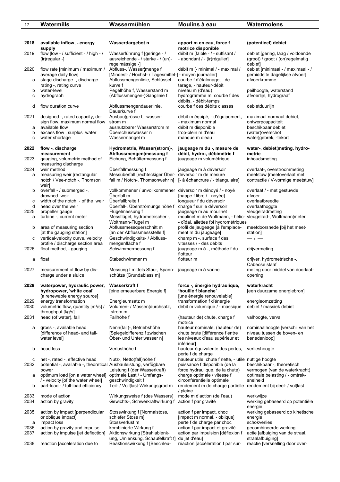| 2018         | available inflow, - energy<br>supply                                                                        | Wasserdargebot n                                                                                                            | apport m en eau, force f<br>motrice disponible                                                                           | (potentieel) debiet                                                                |
|--------------|-------------------------------------------------------------------------------------------------------------|-----------------------------------------------------------------------------------------------------------------------------|--------------------------------------------------------------------------------------------------------------------------|------------------------------------------------------------------------------------|
| 2019         | flow [low - / sufficient - / high - /<br>(ir) regular -]                                                    | Wasserführung f [geringe - /<br>ausreichende - / starke - / (un)-<br>regelmässige -]                                        | débit m [faible - / - suffisant /<br>- abondant / - (ir) régulier]                                                       | debiet [gering, laag / voldoende<br>(groot) / groot / (on) regelmatig<br>debiet]   |
| 2020<br>а    | flow rate [minimum / maximum /<br>average daily flow]<br>stage-discharge -, discharge-                      | Abfluss-, Wasser¦menge f<br>[Mindest- / Höchst- / Tagesmittel-] - moyen journalier]<br>Abflussmengenlinie, Schlüssel-       | débit m [- minimal / - maximal /<br>courbe f d'étalonage, - de                                                           | debiet [minimaal - / maximaal - /<br>gemiddelte dagelijkse afvoer]<br>afvoerkromme |
|              | rating -, rating curve                                                                                      | kurve f                                                                                                                     | tarage, - hauteur-débit                                                                                                  |                                                                                    |
| b<br>с       | water-level<br>hydrograph                                                                                   | Pegelhöhe f, Wasserstand m<br>(Abflussmengen-)Ganglinie f                                                                   | niveau m (d'eau)<br>hydrogramme m, courbe f des<br>débits, - débit-temps                                                 | peilhoogte, waterstand<br>afvoerlijn, hydrograaf                                   |
| d            | flow duration curve                                                                                         | Abflussmengendauerlinie,<br>Dauerkurve f                                                                                    | courbe f des débits classés                                                                                              | debietduurlijn                                                                     |
| 2021         | designed -, rated capacity, de-<br>sign flow, maximum normal flow                                           | Ausbau¦grösse f, -wasser-<br>strom m                                                                                        | débit m équipé, - d'équipement,<br>- maximum normal                                                                      | maximaal normaal debiet,<br>ontwerpcapaciteit                                      |
| а            | available flow                                                                                              | ausnutzbarer Wasserstrom m                                                                                                  | débit m disponible                                                                                                       | beschikbaar debiet                                                                 |
| b<br>c       | excess flow, surplus water<br>water shortage                                                                | Uberschusswasser n<br>Wassermangel m                                                                                        | trop-plein m d'eau<br>manque m d'eau                                                                                     | (water) overschot<br>water¦gebrek, -tekort                                         |
| 2022         | flow -, discharge<br>measurement                                                                            | Hydrometrie, Wasser(strom)-,<br>Abflussmengen¦messung f                                                                     | jaugeage m du -, mesure de<br>débit, hydro-, débimétrie f                                                                | water-, debiet¦meting, hydro-<br>metrie                                            |
| 2023         | gauging, volumetric method of<br>measuring discharge                                                        | Eichung, Behältermessung f                                                                                                  | jaugeage m volumétrique                                                                                                  | inhoudsmeting                                                                      |
| 2024         | weir method                                                                                                 | Überfallmessung f                                                                                                           | jaugeage m à déversoir                                                                                                   | overlaat-, overstroommeting                                                        |
| a            | measuring weir [rectangular<br>notch / Vee-notch -, Thomson<br>weir]                                        | Messüberfall [rechteckiger Über- déversoir m de mesure<br>fall m / Notch-, Thomsonwehr n] [- à échancrure / - triangulaire] |                                                                                                                          | meetstuw [meetoverlaat met<br>contractie / V-vormige meetstuw]                     |
| b            | overfall - / submerged -,                                                                                   | vollkommener / unvollkommener déversoir m dénoyé / - noyé                                                                   |                                                                                                                          | overlaat / - met gestuwde                                                          |
| с            | drowned weir<br>width of the notch, - of the weir                                                           | Überfall m<br>Überfallbreite f                                                                                              | [nappe f libre / - noyée]<br>longueur f du déversoir                                                                     | afvoer<br>overlaatbreedte                                                          |
| d            | head over the weir                                                                                          | Überfall-, Überströmungs¦höhe f charge f sur le déversoir                                                                   |                                                                                                                          | overlaathoggte                                                                     |
| 2025         | propeller gauge                                                                                             | Flügelmessung f                                                                                                             | jaugeage m au moulinet                                                                                                   | vleugelradmeting                                                                   |
| a            | turbine -, current meter                                                                                    | Messflügel, hydrometrischer -,<br>Woltmann-Flügel m                                                                         | moulinet m de Woltmann, - hélic- vleugelrad-, Woltmann¦meter<br>- oïdal, ailettes fpl hydrométriques                     |                                                                                    |
| b            | area of measuring section<br>[at the gauging station]                                                       | Abflussmessquerschnitt m<br>[an der Abflussmessstelle f]                                                                    | profil de jaugeage [à l'emplace-<br>ment m du jaugeage]                                                                  | meetdoorsnede [bij het meet-<br>station]                                           |
| с            | vertical-velocity curve, velocity<br>profile / discharge section area                                       | Geschwindigkeits- / Abfluss-<br>mengenfläche f                                                                              | champ m -, surface f des<br>vitesses / - des débits                                                                      | $-1-$                                                                              |
| 2026         | float method, - gauging                                                                                     | Schwimmermessung f                                                                                                          | jaugeage m à -, méthode f du<br>flotteur                                                                                 | drijvermeting                                                                      |
| a            | float                                                                                                       | Stabschwimmer m                                                                                                             | flotteur m                                                                                                               | drijver, hydrometrische -,<br>Cabeose staaf                                        |
| 2027         | measurement of flow by dis-<br>charge under a sluice                                                        | Messung f mittels Stau-, Spann- jaugeage m à vanne<br>schütze [Grundablass m]                                               |                                                                                                                          | meting door middel van doorlaat-<br>opening                                        |
| 2028         | waterpower, hydraulic power, Wasserkraft f<br>hydropower, 'white coal'                                      | [eine erneuerbare Energie f]                                                                                                | force -, énergie hydraulique,<br>'houille f blanche'                                                                     | waterkracht<br>[een duurzame energiebron]                                          |
| 2029         | [a renewable energy source]<br>energy transformation                                                        | Energieumsatz m                                                                                                             | [une énergie renouvelable]<br>transformation f d'énergie                                                                 | energieomzetting                                                                   |
| 2030         | volumetric flow, quantity [m <sup>3</sup> /s] /<br>throughput [kg/s]                                        | Volumen- / Massen¦durchsatz,<br>-strom m                                                                                    | débit m volumique / - massique                                                                                           | debiet / massiek debiet                                                            |
| 2031         | head (of water), fall                                                                                       | Fallhöhe f                                                                                                                  | (hauteur de) chute, charge f<br>motrice                                                                                  | valhoogte, verval                                                                  |
| а            | gross -, available head<br>[difference of head- and tail-<br>water level]                                   | Nenn(fall)-, Betriebshöhe<br>[Spiegeldifferenz f zwischen<br>Ober- und Unter¦wasser n]                                      | hauteur nominale, (hauteur de)<br>chute brute [différence f entre<br>les niveaux d'eau supérieur et<br>inférieur]        | nominaalhoogte [verschil van het<br>niveau tussen de boven- en<br>benedenloop]     |
| b            | head loss                                                                                                   | Verlusthöhe f                                                                                                               | hauteur équivalente des pertes,<br>perte f de charge                                                                     | verlieshoogte                                                                      |
| с<br>2032    | net -, rated -, effective head<br>potential -, available -, theoretical Ausbauleistung, verfügbare<br>power | Nutz-, Netto(fall)höhe f<br>Leistung f (der Wasserkraft)                                                                    | hauteur utile, chute f nette, - utile nuttige hoogte<br>puissance f disponible (de la<br>force hydraulique, de la chute) | beschikbaar -, theoretisch<br>vermogen (van de waterkracht)                        |
| а            | optimum load [on a water wheel] optimale Last / - Umfangs-                                                  |                                                                                                                             | charge optimale / vitesse f                                                                                              | optimale belasting / - omtrek-                                                     |
| b            | / - velocity [of the water wheel]<br>part-load - / full-load efficiency                                     | geschwindigkeit f<br>Teil- / Voll¦last-Wirkungsgrad m                                                                       | circonférentielle optimale<br>rendement m de charge partielle rendement bij deel- / vol¦last<br>/ pleine                 | snelheid                                                                           |
| 2033<br>2034 | mode of action<br>action by gravity                                                                         | Wirkungsweise f (des Wassers)<br>Gewichts-, Schwerkraftwirkung f                                                            | mode m d'action (de l'eau)<br>action f par gravité                                                                       | werkwijze<br>werking gebaseerd op potentiële<br>energie                            |
| 2035         | action by impact [perpendicular<br>or oblique impact]                                                       | Stosswirkung f [Normalstoss,<br>schiefer Stoss m]                                                                           | action f par impact, choc<br>[impact m normal, - oblique]                                                                | werking gebaseerd op kinetische<br>energie                                         |
| а            | impact loss                                                                                                 | Stossverlust m                                                                                                              | perte f de charge par choc                                                                                               | schokverlies                                                                       |
| 2036<br>2037 | action by gravity and impulse<br>action by impulse [jet deflection]                                         | kombinierte Wirkung f<br>Aktionswirkung [Strahlablenk-                                                                      | action f par impact et gravité<br>action par impulsion [déflexion f                                                      | gecombineerde werking<br>actie [afbuiging van de straal,                           |
| 2038         | reaction [acceleration due to                                                                               | ung, Umlenkung, Schaufelkraft f]<br>Reaktionswirkung f [Beschleu-                                                           | du jet d'eau]<br>réaction [accéleration f par sur-                                                                       | straalafbuiging<br>reactie [versnelling door over-                                 |
|              |                                                                                                             |                                                                                                                             |                                                                                                                          |                                                                                    |

17 **Watermills Wassermühlen Moulins à eau Watermolens**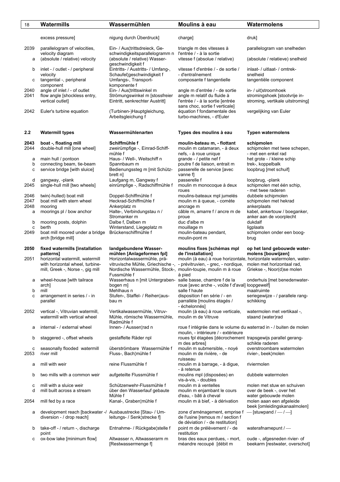| 18           | Watermills                                                                              | Wassermühlen                                                                                       | Moulins à eau                                                                                       | Watermolens                                                 |
|--------------|-----------------------------------------------------------------------------------------|----------------------------------------------------------------------------------------------------|-----------------------------------------------------------------------------------------------------|-------------------------------------------------------------|
|              |                                                                                         |                                                                                                    |                                                                                                     |                                                             |
|              | excess pressure]                                                                        | nigung durch Überdruck]                                                                            | charge]                                                                                             | druk]                                                       |
| 2039         | parallelogram of velocities,                                                            | Ein- / Aus¦trittsdreieck, Ge-                                                                      | triangle m des vitesses à                                                                           | parallelogram van snelheden                                 |
| а            | velocity diagram<br>(absolute / relative) velocity                                      | schwindigkeitsparallelogramm n<br>(absolute / relative) Wasser-                                    | l'entrée / - à la sortie<br>vitesse f (absolue / relative)                                          | (absolute / relatieve) snelheid                             |
| b            | inlet - / outlet - / peripheral                                                         | geschwindigkeit f<br>Eintritts- / Austritts- / Umfang-,                                            | vitesse f d'entrée / - de sortie /                                                                  | inlaat- / uitlaat- / omtrek-                                |
|              | velocity                                                                                | Schaufel¦geschwindigkeit f                                                                         | - d'entraînement                                                                                    | snelheid                                                    |
| с            | tangential -, peripheral<br>component                                                   | Umfangs-, Transport-<br>komponente f                                                               | composante f tangentielle                                                                           | tangentiële component                                       |
| 2040         | angle of inlet / - of outlet                                                            | Ein- / Aus¦trittswinkel m                                                                          | angle m d'entrée / - de sortie                                                                      | in- / uit¦stroomhoek                                        |
| 2041         | flow angle [shockless entry,                                                            | Strömungswinkel m [stossfreier                                                                     | angle m relatif du fluide à                                                                         | stromingshoek [stootvrije in-                               |
|              | vertical outlet]                                                                        | Eintritt, senkrechter Austritt]                                                                    | l'entrée / - à la sortie [entrée<br>sans choc, sortie f verticale]                                  | stroming, vertikale uitstroming]                            |
| 2042         | Euler's turbine equation                                                                | (Turbinen-)Hauptgleichung,<br>Arbeitsgleichung f                                                   | équation f fondamentale des<br>turbo-machines, - d'Euler                                            | vergelijking van Euler                                      |
|              |                                                                                         |                                                                                                    |                                                                                                     |                                                             |
| 2.2          | <b>Watermill types</b>                                                                  | Wassermühlenarten                                                                                  | Types des moulins à eau                                                                             | <b>Typen watermolens</b>                                    |
| 2043         | boat -, floating mill                                                                   | Schiffmühle f                                                                                      | moulin-bateau m, - flottant                                                                         | schipmolen                                                  |
| 2044         | double-hull mill [one wheel]                                                            | zweirümpfige -, Einrad-Schiff-                                                                     | moulin m catamaran, - à deux                                                                        | schipmolen met twee schepen.                                |
| а            | main hull / pontoon                                                                     | mühle f<br>Haus- / Well-, Weitschiff n                                                             | nefs, - à roue unique<br>grande - / petite nef f                                                    | - met een enkel rad<br>het grote - / kleine schip           |
| b            | connecting beam, tie-beam                                                               | Spannbaum m                                                                                        | poutre f de liaison, entrait m                                                                      | trek-, koppelbalk                                           |
| с            | service bridge [with sluice]                                                            | Bedienungssteg m [mit Schütz-                                                                      | passerelle de service [avec                                                                         | loopbrug [met schuif]                                       |
| d            | gangway, -plank                                                                         | brett nl<br>Laufgang m, Gangway f                                                                  | vanne fl<br>passerelle f                                                                            | loopbrug, -plank                                            |
| 2045         | single-hull mill [two wheels]                                                           | einrümpfige -, Radschiffmühle f                                                                    | moulin m monocoque à deux                                                                           | schipmolen met één schip.                                   |
|              |                                                                                         |                                                                                                    | roues                                                                                               | - met twee raderen                                          |
| 2046<br>2047 | twin(-hulled) boat mill<br>boat mill with stern wheel                                   | Doppel-Schiffmühle f<br>Heckrad-Schiffmühle f                                                      | moulins-bateaux mpl jumelés<br>moulin m à queue, - comète                                           | dubbele schipmolen<br>schipmolen met hekrad                 |
| 2048         | mooring                                                                                 | Ankerplatz m                                                                                       | ancrage m                                                                                           | ankerplaats                                                 |
| a            | moorings pl / bow anchor                                                                | Halte-, Verbindungstau n /                                                                         | câble m, amarre f / ancre m de                                                                      | kabel, ankertouw / boeganker,                               |
| b            | mooring posts, dolphin                                                                  | Stromanker m<br>Dalbe f, Dalben m                                                                  | proue<br>duc d'albe m                                                                               | anker aan de voorplecht<br>dukdalf                          |
| c            | berth                                                                                   | Winterstand, Liegeplatz m                                                                          | mouillage m                                                                                         | ligplaats                                                   |
| 2049         | boat mill moored under a bridge<br>arch [bridge mill]                                   | Brückenschiffmühle f                                                                               | moulin-bateau pendant,<br>moulin-pont m                                                             | schipmolen onder een boog-<br>brug                          |
| 2050         | fixed watermills [installation                                                          | landgebundene Wasser-                                                                              | moulins fixes [schémas mpl                                                                          | op het land gebouwde water-                                 |
|              | patterns]                                                                               | mühlen [Anlageformen fpl]                                                                          | de l'installation]                                                                                  | molens [bouwijzen]                                          |
| 2051         | horizontal watermill, watermill                                                         | Horizontalwassermühle, prä-                                                                        | moulin (à eau) à roue horizontale, horizontale watermolen, water-                                   |                                                             |
|              | with horizontal wheel, turbine-<br>mill, Greek -, Norse -, gig mill                     | vitruvische Mühle, Griechische -,<br>Nordische Wassermühle, Stock-, moulin-toupie, moulin m à roue | - prévitruvien, - grec, - nordique,                                                                 | molen met horizontaal rad,<br>Griekse -, Noor(d)se molen    |
|              |                                                                                         | Fussmühle f<br>Wasserhaus n [mit Untergraben- salle basse, chambre f de la                         | à pied                                                                                              |                                                             |
| а            | wheel-house [with tailrace<br>arch]                                                     | bogen m                                                                                            | roue [avec arche -, voûte f d'aval] loopgewelf]                                                     | onderhuis [met benedenwater-                                |
| b            | mill                                                                                    | Mehlhaus n                                                                                         | salle f haute                                                                                       | maalruimte                                                  |
| с            | arrangement in series / - in<br>parallel                                                | Stufen-, Staffel- / Reihen¦aus-<br>bau m                                                           | disposition f en série / - en<br>parrallèle [moulins étagés /                                       | seriegewijze - / parallele rang-<br>schikking               |
|              |                                                                                         |                                                                                                    | - échelonnés]                                                                                       |                                                             |
| 2052         | vertical -, Vitruvian watermill,                                                        | Vertikalwassermühle, Vitruv-                                                                       | moulin (à eau) à roue verticale,                                                                    | watermolen met vertikaal -,                                 |
|              | watermill with vertical wheel                                                           | Mühle, römische Wassermühle,<br>Radmühle f                                                         | moulin m de Vitruve                                                                                 | staand (water)rad                                           |
| а            | internal - / external wheel                                                             | Innen- / Aussen¦rad n                                                                              | roue f intégrée dans le volume du waterrad in - / buiten de molen                                   |                                                             |
| b            | staggered -, offset wheels                                                              | gestaffelte Räder npl                                                                              | moulin, - intérieure / - extérieure<br>roues fpl étagées [décrochement trapsgewijs parallel gerang- |                                                             |
|              |                                                                                         |                                                                                                    | m des arbres]                                                                                       | schikte raderen                                             |
| с<br>2053    | seasonally flooded watermill<br>river mill                                              | überströmbare Wassermühle f<br>Fluss-, Bach¦mühle f                                                | moulin m submersible, - noyé<br>moulin m de rivière, - de                                           | overstroombare watermolen<br>rivier-, beek¦molen            |
|              |                                                                                         |                                                                                                    | ruisseau                                                                                            |                                                             |
| а            | mill with weir                                                                          | reine Flussmühle f                                                                                 | moulin m à barrage, - à digue,<br>- à retenue                                                       | riviermolen                                                 |
| b            | two mills with a common weir                                                            | aufgeteilte Flussmühle f                                                                           | moulins mpl (disposées) en<br>vis-à-vis, - doubles                                                  | dubbele watermolen                                          |
| с            | mill with a sluice weir                                                                 | Schützenwehr-Flussmühle f                                                                          | moulin m à ventelles                                                                                | molen met stuw en schuiven                                  |
| d            | mill built across a stream                                                              | über den Wasserlauf gebaute<br>Mühle f                                                             | moulin m enjambant le cours<br>d'eau, - bâti à cheval                                               | over de beek -, over het<br>water gebouwde molen            |
| 2054         | mill fed by a race                                                                      | Kanal-, Graben¦mühle f                                                                             | moulin m à bief, - à dérivation                                                                     | molen aaan een afgeleide                                    |
|              |                                                                                         |                                                                                                    |                                                                                                     | beek [omleidingskanaalmolen]<br>$-$ [stuwpand $/ -$ / $-$ ] |
| а            | development reach [backwater -/ Ausbaustrecke [Stau- / Um-<br>diversion - / drop reach] | leitungs- / Senk¦strecke f]                                                                        | zone d'aménagement, emprise f<br>de l'usine [remous m / section f                                   |                                                             |
|              |                                                                                         |                                                                                                    | de déviation / - de restitution]                                                                    |                                                             |
| b            | take-off - / return -, discharge<br>point                                               | Entnahme- / Rückgabe¦stelle f                                                                      | point m de prélèvement / - de<br>restitution                                                        | waterafnamepunt /-                                          |
| с            | ox-bow lake [minimum flow]                                                              | Altwasser n, Altwasserarm m                                                                        | bras des eaux perdues, - mort,                                                                      | oude -, afgesneden rivier- of                               |
|              |                                                                                         | [Restwassermenge f]                                                                                | méandre recoupé [débit m                                                                            | beekarm [restwater, overschot]                              |
|              |                                                                                         |                                                                                                    |                                                                                                     |                                                             |
|              |                                                                                         |                                                                                                    |                                                                                                     |                                                             |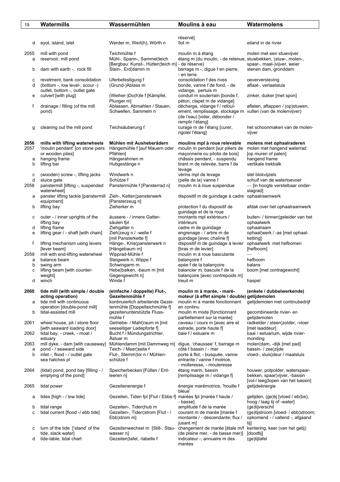| 19     | Watermills                                                    | Wassermühlen                                                    | Moulins à eau                                                                                   | Watermolens                                                        |
|--------|---------------------------------------------------------------|-----------------------------------------------------------------|-------------------------------------------------------------------------------------------------|--------------------------------------------------------------------|
|        |                                                               |                                                                 |                                                                                                 |                                                                    |
|        |                                                               |                                                                 | réservé]                                                                                        |                                                                    |
| d      | eyot, island, islet                                           | Werder m, Wert(h), Wörth n                                      | îlot m                                                                                          | eiland in de rivier                                                |
|        |                                                               |                                                                 |                                                                                                 |                                                                    |
| 2055   | mill with pond<br>reservoir, mill pond                        | Teichmühle f<br>Mühl-, Spann-, Sammel¦teich                     | moulin m à étang<br>étang m (du moulin, - de retenue, stuwbekken, (stuw-, molen-,               | molen met een stuwvijver                                           |
| а      |                                                               | [Bergbau: Kunst-, Hütten¦teich m] - de réserve)                 |                                                                                                 | spaar-, maal-)vijver, weier                                        |
| b      | dam with earth -, rock fill                                   | Stein-, Erd¦damm m                                              | barrage m -, digue f en pierre,                                                                 | stenen dam, gronddam                                               |
|        |                                                               |                                                                 | - en terre                                                                                      |                                                                    |
| с      | revetment, bank consolidation                                 | Uferbefestigung f                                               | consolidation f des rives                                                                       | oeverversteving                                                    |
| d      | (bottom -, low level-, scour -)                               | (Grund-)Ablass m                                                | bonde, vanne f de fond, - de                                                                    | aflaat-, verlaatsluis                                              |
| e      | outlet, bottom -, outlet gate<br>culvert [with plug]          | (Weiher-)Do(h)le f [Kämpfel,                                    | vidange, pertuis m<br>conduit m souterrain [bonde f,                                            | zinker, duiker [met spon]                                          |
|        |                                                               | Plunger m]                                                      | péton, clapet m de vidange]                                                                     |                                                                    |
| f      | drainage / filling (of the mill                               | Ablassen, Abmahlen / Stauen,                                    | décharge, vidange f / refoul-                                                                   | aflaten, aftappen / (op)stuwen,                                    |
|        | pond)                                                         | Schwellen, Sammeln n                                            | ement, remplissage, stockage m vullen (van de molenvijver)                                      |                                                                    |
|        |                                                               |                                                                 | (de l'eau) [vider, débonder /                                                                   |                                                                    |
| g      | cleaning out the mill pond                                    | Teichsäuberung f                                                | remplir l'étang]<br>curage m de l'étang [curer,                                                 | het schoonmaken van de molen-                                      |
|        |                                                               |                                                                 | rigoler l'étang]                                                                                | vijver                                                             |
|        |                                                               |                                                                 |                                                                                                 |                                                                    |
| 2056   | mills with lifting waterwheels                                | Mühlen mit Ausheberädern                                        | moulins mpl à roue relevable                                                                    | molens met ophaalraderen                                           |
| 2057   | 'moulin pendant' [on stone piers                              | Hängemühle f [auf Mauern oder                                   | moulin m pendant [sur piliers de                                                                | molen met hangend waterrad                                         |
| а      | or wooden piles]<br>hanging frame                             | Pfählen1<br>Hängerahmen m                                       | maçonnerie ou pilotis de bois]<br>châssis pendant, - suspendu                                   | [op muren of palen]<br>hangend frame                               |
| b      | lifting bar                                                   | Hubgestänge n                                                   | tirant m de relevée, barre f de                                                                 | vertikale trekbalk                                                 |
|        |                                                               |                                                                 | levage                                                                                          |                                                                    |
| c      | (wooden) screw -, lifting jacks                               | Windwerk n                                                      | vérins mpl de levage                                                                            | stel blokvijzels                                                   |
| d      | sluice gate                                                   | Schütze f                                                       | (pelle de la) vanne f                                                                           | schuif van de watertoevoer                                         |
| 2058   | panstermill [lifting -, suspended<br>waterwheel]              | Panstermühle f [Pansterrad n]                                   | moulin m à roue suspendue                                                                       | - [in hoogte verstelbaar onder-<br>slagrad]                        |
| а      | panster lifting tackle [panstermill                           | Zieh-, Ketten¦pansterwerk                                       | dispositif m de guindage à cadre ophaalraamwerk                                                 |                                                                    |
|        | equipment]                                                    | [Pansterzeug n]                                                 |                                                                                                 |                                                                    |
| b      | lifting bay                                                   | Zieherker m                                                     | protection f du dispositif de                                                                   | afdak over het ophaalraamwerk                                      |
| с      | outer - / inner uprights of the                               | äussere - / innere Gatter-                                      | guindage et de la roue<br>montants mpl extérieurs /                                             | buiten- / binnen¦geleider van het                                  |
|        | lifting bay                                                   | säulen fpl                                                      | intérieurs                                                                                      | ophaalwerk                                                         |
| d      | lifting frame                                                 | Ziehgatter n                                                    | cadre m de guindage                                                                             | ophaalraam                                                         |
| e      | lifting gear / - shaft [with chain]                           | Zieh¦zeug n / -welle f                                          | engrenage - / arbre m de                                                                        | ophaal¦werk / -as [met ophaal-                                     |
| f      |                                                               | [mit Pansterkette f]                                            | guindage [avec chaîine f]                                                                       | ketting]                                                           |
|        | lifting mechanism using levers<br>[lever beam]                | Hänge-, Knie¦pansterwerk n<br>[Hängebaum m]                     | dispositif m de guindage à levier<br>[bras m de levier]                                         | ophaalwerk met hefbomen<br>[hefboom]                               |
| 2059   | mill with end-lifting waterwheel                              | Wipprad-Mühle f                                                 | moulin m à roue basculante                                                                      |                                                                    |
| a      | balance beam                                                  | Steigwerk n, Wippe f                                            | balançoire f                                                                                    | hefboom                                                            |
| b      | swing arm                                                     | Schwingarm <sub>m</sub>                                         | epée f de la balançoire<br>balancier m, bascule f de la                                         | balans                                                             |
| C      | lifting beam [with counter-<br>weight]                        | Hebelbalken, -baum m [mit<br>Gegengewicht n]                    | balançoire [avec contrepoids m]                                                                 | boom [met contragewicht]                                           |
| d      | winch                                                         | Winde f                                                         | treuil m                                                                                        | haspel                                                             |
|        |                                                               |                                                                 |                                                                                                 |                                                                    |
| 2060   | tide mill (with simple / double                               | (einfache / doppelte) Flut-,                                    | moulin m à marée, - maré-                                                                       | (enkele / dubbelwerkende)                                          |
|        | acting operation)<br>tide mill with continuous                | Gezeitenmühle f<br>kontinuierlich arbeitende Gezei-             | moteur (à effet simple / double) getijdemolen<br>moulin m à marée fonctionnant                  | getijdemolen met continubedrijf                                    |
| а      | operation [double-pond mill]                                  | tenmühle [Doppelteichmühle f]                                   | en continu                                                                                      |                                                                    |
| b      | tidal-assisted mill                                           | gezeitenunterstützte Fluss-                                     | moulin m mixte [fonctionnant                                                                    | gecombineerde rivier- en                                           |
|        |                                                               | mühle f                                                         | partiellement sur la marée]                                                                     | getijdemolen                                                       |
| 2061   | wheel house, pit / stone floor<br>[with seaward loading door] | Getriebe- / Mahl¦raum m [mit]<br>seeseitiger Ladepforte f]      | caveau / cours m [avec aire et<br>estrade, porte haute f]                                       | radkelder / steen¦zolder, -vloer<br>[met laaddeur]                 |
| 2062   | tidal bay, - creek, - moat /                                  | Bucht f / Mündungstrichter,                                     | baie f / estuaire m                                                                             | baai / estuarium, wijde rivier-                                    |
|        | estuary                                                       | Astuar m                                                        |                                                                                                 | monding                                                            |
| 2063   | mill dyke, - dam [with causeway]                              | Mühlendamm [mit Dammweg m]                                      | digue, 'chaussee' f, barrage m                                                                  | molen¦dam, -dijk [met pad]                                         |
| а<br>b | pond - / seaward side<br>inlet -, flood - / outlet gate       | Teich- / Meer¦seite f<br>Flut-, Stemm¦tor n / Mühlen-           | côté f bassin / - mer<br>porte à flot, - busquée, vanne                                         | bassin- / zee¦zijde<br>vloed-, sluis¦deur / maalsluis              |
|        | sea hatches pl                                                | schütze f                                                       | entrante / vanne f motrice,                                                                     |                                                                    |
|        |                                                               |                                                                 | - molleresse, - mouleresse                                                                      |                                                                    |
| 2064   | (tidal) pond, pond bay [filling - /                           | Speicherbecken [Füllen / Ent-                                   | étang marin, bassin                                                                             | houwer, potpolder, waterspaar-                                     |
|        | emptying of the pond]                                         | leeren n]                                                       | [remplissage m / vidange f]                                                                     | bekken, spaar¦vijver, -bassin<br>[vol-/ leeg lopen van het bassin] |
| 2065   | tidal power                                                   | Gezeitenenergie f                                               | énergie marémotrice, 'houille f                                                                 | getijdeënergie                                                     |
|        |                                                               |                                                                 | bleue'                                                                                          |                                                                    |
| а      | tides [high - / low tide]                                     | Gezeiten, Tiden fpl [Flut / Ebbe f] marées fpl [marée f haute / |                                                                                                 | getijden, (ge)tij [vloed / eb(be);                                 |
|        |                                                               |                                                                 | - bassel                                                                                        | hoog / laag tij of -water]                                         |
| b<br>с | tidal range<br>tidal current [flood -/ ebb tide]              | Gezeiten-, Tiden¦hub m<br>Gezeiten-, Tiden¦strom [Flut - /      | amplitude f de la marée<br>courant m de marée [marée f                                          | (ge)tijverschil<br>(ge)tijstroom [vloed- / ebb¦stroom;             |
|        |                                                               | Ebb¦strom m]                                                    | montante / - descendante; flux /                                                                | opkomend - / vallend -, afgaand                                    |
|        |                                                               |                                                                 | jusant m]                                                                                       | tij]                                                               |
| с      | turn of the tide ['stand' of the                              |                                                                 | Gezeitenwechsel m [Still-, Stau- changement de marée [étale m/f kentering, keer (van het getij) |                                                                    |
| d      | tide, slack water]<br>tide-table, tidal chart                 | wasser n]<br>Gezeiten¦tafel, -tabelle f                         | (de pleine mer, - de basse mer)]<br>indicateur -, annuaire m des                                | [doodtij]<br>(ge)tijtafel                                          |
|        |                                                               |                                                                 | marées                                                                                          |                                                                    |
|        |                                                               |                                                                 |                                                                                                 |                                                                    |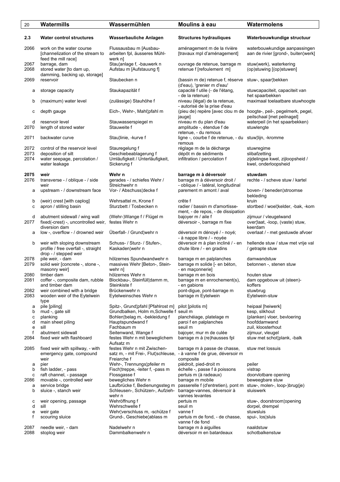| 20                   | Watermills                                                                                            | Wassermühlen                                                                                                       | Moulins à eau                                                                                 | Watermolens                                                                                      |
|----------------------|-------------------------------------------------------------------------------------------------------|--------------------------------------------------------------------------------------------------------------------|-----------------------------------------------------------------------------------------------|--------------------------------------------------------------------------------------------------|
| 2.3                  | <b>Water control structures</b>                                                                       | <b>Wasserbauliche Anlagen</b>                                                                                      | <b>Structures hydrauliques</b>                                                                | Waterbouwkundige structuur                                                                       |
| 2066                 | work on the water course<br>[channelization of the stream to                                          | Flussausbau m [Ausbau-<br>arbeiten fpl, äusseres Mühl-                                                             | aménagement m de la rivière<br>[travaux mpl d'aménagement]                                    | waterbouwkundige aanpassingen<br>aan de rivier [grond-, buiten¦werk]                             |
| 2067<br>2068         | feed the mill race]<br>barrage, dam<br>stored water [to dam up,                                       | werk nl<br>Stau¦anlage f, -bauwerk n<br>Aufstau m [Aufstauung f]                                                   | ouvrage de retenue, barrage m<br>retenue f [refoulement_m]                                    | stuw(werk), waterkering<br>(op)stuwing [(op)stuwen]                                              |
| 2069                 | damming, backing up, storage]<br>reservoir                                                            | Staubecken n                                                                                                       | (bassin m de) retenue f, réserve                                                              | stuw-, spaar¦bekken                                                                              |
| а                    | storage capacity                                                                                      | Staukapazität f                                                                                                    | (d'eau), 'grenier m d'eau'<br>capacité f utile (- de l'étang,<br>- de la retenue)             | stuwcapaciteit, capaciteit van<br>het spaarbekken                                                |
| b                    | (maximum) water level                                                                                 | (zulässige) Stauhöhe f                                                                                             | niveau (légal) de la retenue,<br>- autorisé de la prise d'eau                                 | maximaal toelaatbare stuwhoogte                                                                  |
| с                    | depth gauge                                                                                           | Eich-, Wehr-, Mahl¦pfahl m                                                                                         | jauge]                                                                                        | (pieu de) repère [avec clou m de hoogte-, peil-, pegelmerk, pegel,<br>peilschaal [met peilnagel] |
| d<br>2070            | reservoir level<br>length of stored water                                                             | Stauwasserspiegel m<br>Stauweite f                                                                                 | niveau m du plan d'eau<br>amplitude -, étendue f de<br>retenue, - du remous                   | waterpeil (in het spaarbekken)<br>stuwlengte                                                     |
| 2071                 | backwater curve                                                                                       | Stau¦linie, -kurve f                                                                                               | ligne -, courbe f de retenue, - du stuwllijn, -kromme<br>remous                               |                                                                                                  |
| 2072<br>2073<br>2074 | control of the reservoir level<br>deposition of silt<br>water seepage, percolation /<br>water leakage | Stauregelung f<br>Geschiebeablagerung f<br>Umläufigkeit / Unterläufigkeit,<br>Sickerung f                          | réglage m de la décharge<br>dépôt m de sédiments<br>infiltration / percolation f              | stuwregime<br>slibafzetting<br>zijdelingse kwel, zijloopsheid /<br>kwel, onderloopsheid          |
| 2075<br>2076         | weir<br>transverse - / oblique - / side<br>weir                                                       | Wehr n<br>gerades - / schiefes Wehr /<br>Streichwehr n                                                             | barrage m à déversoir<br>barrage m à déversoir droit /<br>- oblique / - latéral, longitudinal | stuwdam<br>rechte - / scheve stuw / kartel                                                       |
| a                    | upstream - / downstream face                                                                          | Vor- / Abschuss¦decke f                                                                                            | parement m amont / aval                                                                       | boven- / beneden¦stroomse<br>bekleding                                                           |
| b<br>c               | (weir) crest [with caplog]<br>apron / stilling basin                                                  | Wehrsattel m, Krone f<br>Sturzbett / Tosbecken n                                                                   | crête f<br>radier / bassin m d'amortisse-<br>ment, - de repos, - de dissipation               | kruin<br>stortbed / woel; kelder, -bak, -kom                                                     |
| d<br>2077            | abutment sidewall / wing wall<br>fixed(-crest) -, uncontrolled weir, festes Wehr n<br>diversion dam   | (Wehr-)Wange f / Flügel m                                                                                          | bajoyer m / aile f<br>déversoir -, barrage m fixe                                             | zijmuur / vleugelwand<br>over¦laat, -loop, (vaste) stuw,<br>keerdam                              |
| a                    | low -, overflow - / drowned weir                                                                      | Überfall- / Grund¦wehr n                                                                                           | déversoir m dénoyé / - noyé;<br>- à nappe libre / - noyée                                     | overlaat / - met gestuwde afvoer                                                                 |
| b                    | weir with sloping downstream<br>profile / free overfall -, straight<br>drop - / stepped weir          | Schuss- / Sturz- / Stufen-,<br>Kaskaden¦wehr n                                                                     | déversoir m à plan incliné / - en<br>chute libre / - en gradins                               | hellende stuw / stuw met vrije val<br>/ getrapte stuw                                            |
| 2078<br>2079         | pile weir, - dam<br>solid weir [concrete -, stone -,<br>masonry weir]                                 | hölzernes Spundwandwehr n<br>massives Wehr [Beton-, Stein-<br>wehr nl                                              | barrage m en palplanches<br>barrage m solide [- en béton,<br>- en maçonnerie]                 | damwandstuw<br>betonnen -, stenen stuw                                                           |
| 2080<br>2081         | timber dam<br>coffer -, composite dam, rubble                                                         | hölzernes Wehr n<br>Blockbau-, Steinfüll¦damm m,                                                                   | barrage m en bois<br>barrage m en enrochement(s),                                             | houten stuw<br>dam opgebouw uit (steen)-                                                         |
| 2082                 | and timber dam<br>weir combined with a bridge                                                         | Steinkiste f<br>Brückenwehr n                                                                                      | - en gabions<br>pont-digue, pont-barrage m                                                    | koffers<br>stuwbrug                                                                              |
| 2083                 | wooden weir of the Eytelwein<br>type                                                                  | Eytelweinsches Wehr n                                                                                              | barrage m Eytelwein                                                                           | Eytelwein-stuw                                                                                   |
| a<br>b               | pile [piling]<br>mud -, gate sill                                                                     | Spitz-, Grund¦pfahl [Pfahlrost m]<br>Grundbalken, Holm m, Schwelle f seuil m                                       | pilot [pilotis m]                                                                             | heipaal [heiwerk]<br>kesp, slikhout                                                              |
| с<br>d               | planking<br>main sheet piling                                                                         | Bohlen¦belag m, -bekleidung f<br>Hauptspundwand f                                                                  | planchéiage, platelage m<br>paroi f en palplanches                                            | (planken) vloer, bevloering<br>hoofddamwand                                                      |
| e<br>f               | sill<br>abutment sidewall                                                                             | Fachbaum m<br>Seitenwand, Wange f                                                                                  | seuil m<br>bajoyer, mur m de culée                                                            | zuil, kloosterhout<br>zijmuur, vleugel                                                           |
| 2084                 | fixed weir with flashboard                                                                            | festes Wehr n mit beweglichem<br>Aufsatz m                                                                         | barrage m à (re)hausses fpl                                                                   | stuw met schot¦plank, -balk                                                                      |
| 2085                 | fixed weir with spillway, - with<br>emergency gate, compound<br>weir                                  | festes Wehr n mit Zwischen-<br>satz m, - mit Frei-, Flut¦schleuse, - à vanne f de grue, déversoir m<br>Freiarche f | barrage m à passe de chasse,<br>composite                                                     | stuw met lossuis                                                                                 |
| a<br>b               | pier<br>fish ladder, - pass                                                                           | Wehr-, Trennungs¦pfeiler m<br>Fisch¦treppe, -leiter f, -pass m                                                     | piédroit, pied-droit m<br>échelle -, passe f à poissons                                       | peiler<br>vistrap                                                                                |
| с                    | raft channel, - passage                                                                               | Flossgasse f                                                                                                       | pertuis m (à radeaux)                                                                         | doorvlotbare opening                                                                             |
| 2086<br>a            | movable -, controlled weir<br>service bridge                                                          | bewegliches Wehr n<br>Laufbrücke f, Bedienungssteg m                                                               | barrage m mobile<br>passerelle f (d'entretien), pont m stuw-, molen-, loop-)brug(je)          | beweegbare stuw                                                                                  |
| b                    | sluice -, stanch weir                                                                                 | Schleusen-, Schützen-, Aufzieh-<br>wehr n                                                                          | barrage-vannes, déversoir à<br>vannes levantes                                                | sluiswerk                                                                                        |
| с<br>d               | weir opening, passage<br>sill                                                                         | Wehröffnung f<br>Wehrschwelle f                                                                                    | pertuis m<br>seuil m                                                                          | stuw-, doorstroom¦opening<br>dorpel, drempel                                                     |
| e                    | weir gate                                                                                             | Wehr¦verschluss m, -schütze f                                                                                      | vanne f                                                                                       | stuwsluis                                                                                        |
| f                    | scouring sluice                                                                                       | Grund-, Geschiebe¦ablass m                                                                                         | pertuis m de fond, - de chasse,<br>vanne f de fond                                            | spui-, los¦sluis                                                                                 |
| 2087<br>2088         | needle weir, - dam<br>stoplog weir                                                                    | Nadelwehr n<br>Dammbalkenwehr n                                                                                    | barrage m à aiguilles<br>déversoir m en batardeaux                                            | naaldstuw<br>schotbalkenstuw                                                                     |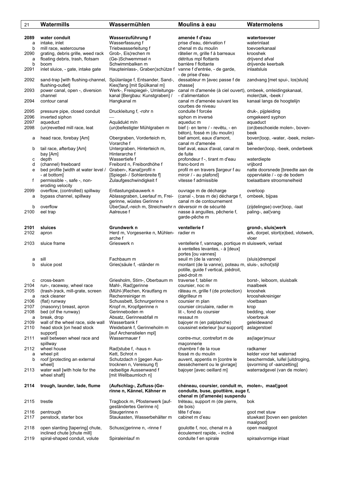| 21           | Watermills                                  | Wassermühlen                                                  | Moulins à eau                                                                                | Watermolens                                                |
|--------------|---------------------------------------------|---------------------------------------------------------------|----------------------------------------------------------------------------------------------|------------------------------------------------------------|
|              |                                             |                                                               |                                                                                              |                                                            |
| 2089         | water conduit                               | Wasserzuführung f                                             | amenée f d'eau                                                                               | watertoevoer                                               |
| a            | intake, inlet                               | Wasserfassung f                                               | prise d'eau, dérivation f                                                                    | waterinlaat                                                |
| b            | mill race, watercourse                      | Triebwasserleitung f                                          | chenal m du moulin                                                                           | toevoerkanaal                                              |
| 2090         | grating, debris grille, weed rack           | Grob-, Eis¦rechen m                                           | râtelier m, grille f à barreaux                                                              | krooshek                                                   |
| a            | floating debris, trash, flotsam             | (Ge-)Schwemmsel n                                             | détritus mpl flottants                                                                       | drijvend afval                                             |
| b            | boom                                        | Schwimmbalken m                                               | barrière f flottante                                                                         | drijvende keerbalk                                         |
| 2091         | inlet sluice, - gate, intake gate           | Haupteinlass-, Graben¦schütze f vanne f d'entrée, - de garde, | - de prise d'eau                                                                             | inlaatsluis                                                |
| 2092         | sand-trap [with flushing-channel,           | Spülanlage f, Entsander, Sand-,                               | dessableur m [avec passe f de                                                                | zandvang [met spui-, los¦sluis]                            |
|              | flushing-outlet]                            | Kies¦fang [mit Spülkanal m]                                   | chassel                                                                                      |                                                            |
| 2093         | power canal, open -, diversion              | Werk-, Freispiegel-, Umleitungs-                              | canal m d'amenée (à ciel ouvert), ombeek, omleidingskanaal,                                  |                                                            |
|              | channel                                     | kanal [Bergbau: Kunstgraben] /                                | - d'alimentation                                                                             | molen¦tak, -beek /                                         |
| 2094         | contour canal                               | Hangkanal m                                                   | canal m d'amenée suivant les                                                                 | kanaal langs de hoogtelijn                                 |
|              |                                             |                                                               | courbes de niveau                                                                            |                                                            |
| 2095<br>2096 | pressure pipe, closed conduit               | Druckleitung f, -rohr n                                       | conduite f forcée                                                                            | druk-, pijpleiding                                         |
| 2097         | inverted siphon<br>aqueduct                 | Aquädukt m/n                                                  | siphon m inversé<br>aqueduc m                                                                | omgekeerd syphon<br>aquaduct                               |
| 2098         | (un)revetted mill race, leat                | (un) befestigter Mühlgraben m                                 | bief (- en terre / - revêtu, - en                                                            | (on)beschoeide molen-, boven-                              |
|              |                                             |                                                               | béton), fossé m (du moulin)                                                                  | beek                                                       |
| а            | head race, forebay [Am]                     | Obergraben, Vorderteich m,                                    | bief amont, eaux d'amont,                                                                    | boven¦loop, -water, -beek, molen-                          |
|              |                                             | Vorarche f                                                    | canal m d'amenée                                                                             | tak                                                        |
| b            | tail race, afterbay [Am]                    | Untergraben, Hinterteich m,                                   | bief aval, eaux d'aval, canal m                                                              | beneden¦loop, -beek, onderbeek                             |
|              | bay [Am]                                    | Hinterarche f                                                 | de fuite                                                                                     |                                                            |
| с            | depth                                       | Wassertiefe f                                                 | profondeur f -, tirant m d'eau                                                               | waterdiepte                                                |
| d            | (channel) freeboard                         | Freibord n, Freibordhöhe f                                    | franc-bord m                                                                                 | vrijbord                                                   |
| е            | bed profile [width at water level /         | Graben-, Kanal¦profil n                                       | profil m en travers [largeur f au                                                            | natte doorsnede [breedte aan de                            |
| f            | - at bottom]<br>permissible -, safe -, non- | [Spiegel- / Sohlenbreite f]<br>Zulaufgeschwindigkeit f        | miroir / - au plafond]<br>vitesse f admissible                                               | oppervlakte / - op de bodem<br>toelaatbare stroomsnelheid  |
|              | eroding velocity                            |                                                               |                                                                                              |                                                            |
| 2099         | overflow, (controlled) spillway             | Entlastungsbauwerk n                                          | ouvrage m de décharge                                                                        | overloop                                                   |
| a            | bypass channel, spillway                    | Ablassgraben, Leerlauf m, Frei-                               | (canal -, bras m de) décharge f,                                                             | ombeek, bijpas                                             |
|              |                                             | gerinne, wüstes Gerinne n                                     | canal m de contournement                                                                     |                                                            |
| b            | overflow                                    | Über¦lauf,-reich m, Streichwehr n déversoir m de sécurité     |                                                                                              | (zijdelingse) over¦loop, -laat                             |
| 2100         | eel trap                                    | Aalreuse f                                                    | nasse à anguilles, pêcherie f,                                                               | paling-, aal¦vang                                          |
|              |                                             |                                                               | garde-pêche m                                                                                |                                                            |
| 2101         | sluices                                     | Grundwerk n                                                   | ventellerie f                                                                                | grond-, sluis¦werk                                         |
| 2102         | apron                                       | Herd m, Vorgesenke n, Mühlen- radier m                        |                                                                                              | ark, dorpel, stort(e)bed, vlotwerk,                        |
|              |                                             | arche f                                                       |                                                                                              | vloer                                                      |
| 2103         | sluice frame                                | Grieswerk n                                                   | ventellerie f, vannage, portique m sluiswerk, verlaat                                        |                                                            |
|              |                                             |                                                               | à ventelles levantes, - à [deux]                                                             |                                                            |
|              |                                             |                                                               | portes [ou vannes]                                                                           |                                                            |
| а            | sill                                        | Fachbaum m                                                    | seuil m (de la vanne)                                                                        | (sluis)drempel                                             |
| b            | sluice post                                 | Gries¦säule f, -ständer m                                     | montant (de la vanne), poteau m, sluis-, schot¦stijl<br>potille, guide f vertical, piédroit, |                                                            |
|              |                                             |                                                               | pied-droit m                                                                                 |                                                            |
| с            | cross-beam                                  | Griesholm, Stirn-, Oberbaum m                                 | traverse f, tablier m                                                                        | borst-, leiboom, sluisbalk                                 |
| 2104         | run-, raceway, wheel race                   | Mahl-, Rad¦gerinne                                            | coursier, noc m                                                                              | maalbeek                                                   |
| 2105         | (trash-)rack, mill-grate, screen            | (Mühl-)Rechen, Krautfang m                                    | râteau m, grille f (de protection)                                                           | krooshek                                                   |
| a            | rack cleaner                                | Rechenreiniger m                                              | dégrilleur m                                                                                 | krooshekreiniger                                           |
| 2106         | (flat) runway                               | Schussbett, Schnurgerinne n                                   | coursier m plan                                                                              | vloetbaan                                                  |
| 2107         | (masonry) breast, apron                     | Kropf m, Kropfgerinne n                                       | coursier circulaire, radier m                                                                | krop                                                       |
| 2108<br>a    | bed (of the runway)<br>break, drop          | Gerinneboden m<br>Absatz, Gerinneabfall m                     | lit -, fond du coursier<br>ressaut m                                                         | bedding, vloer<br>vloerbreuk                               |
| 2109         | wall of the wheel race, side wall           | Wasserbank f                                                  | bajoyer m (en palplanche)                                                                    | geleidewand                                                |
| 2110         | head stock [on head stock]                  | Weidebank f, Gerinneholm m                                    | coussinet exterieur [sur support]                                                            | aslagerstoel                                               |
|              | support]                                    | [auf Archenstielen mpl]                                       |                                                                                              |                                                            |
| 2111         | wall between wheel race and                 | Wassermauer f                                                 | contre-mur, contrefort m de                                                                  | as(lager)muur                                              |
|              | spillway                                    |                                                               | maçonnerie                                                                                   |                                                            |
| 2112         | wheel house                                 | Rad¦stube f, -haus n                                          | chambre f de la roue                                                                         | radkamer                                                   |
| a            | wheel pit                                   | Kett, Schrot n                                                | fossé m du moulin                                                                            | kelder voor het waterrad                                   |
| b            | roof [protecting an external<br>wheel]      | Schutzdach n [gegen Aus-                                      | auvent, appentis m [contre le                                                                | beschermdak, luifel [uitdroging,                           |
| 2113         | water wall [with hole for the               | trocknen n, Vereisung f]<br>radseitige Aussenwand f           | dessèchement ou le givrage]<br>bajoyer [avec oeillard m]                                     | ijsvorming of -aanzetting]<br>waterradgevel (van de molen) |
|              | wheel shaft]                                | [mit Wellbaumloch n]                                          |                                                                                              |                                                            |
|              |                                             |                                                               |                                                                                              |                                                            |
| 2114         | trough, launder, lade, flume                | (Aufschlag-, Zufluss-)Ge-                                     | chéneau, coursier, conduit m,                                                                | molen-, maal goot                                          |
|              |                                             | rinne n, Kännel, Kähner m                                     | conduite, buse, gouttière, auge f,                                                           |                                                            |
|              |                                             |                                                               | chenal m (d'amenée) suspendu                                                                 |                                                            |
| 2115         | trestle                                     | Tragbock m, Pfostenwerk [auf-<br>geständertes Gerinne n]      | tréteau, support m (de pierre,<br>de bois)                                                   | bok                                                        |
| 2116         | pentrough                                   | Staugerinne n                                                 | tête f d'eau                                                                                 | goot met stuw                                              |
| 2117         | penstock, starter box                       | Staukasten, Wasserbehälter m                                  | cabinet m d'eau                                                                              | stuwkast [boven een gesloten                               |
|              |                                             |                                                               |                                                                                              | maalgoot]                                                  |
| 2118         | open slanting [tapering] chute,             | Schuss¦gerinne n, -rinne f                                    | goulotte f, noc, chenal m à                                                                  | open maalgoot                                              |
|              | inclined chute [chute mill]                 |                                                               | écoulement rapide, - incliné                                                                 |                                                            |
| 2119         | spiral-shaped conduit, volute               | Spiraleinlauf m                                               | conduite f en spirale                                                                        | spiraalvormige inlaat                                      |
|              |                                             |                                                               |                                                                                              |                                                            |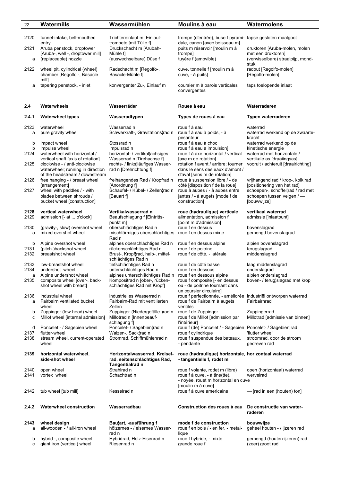| 22           | Watermills                                                      | Wassermühlen                                                                        | Moulins à eau                                                                              | Watermolens                                             |
|--------------|-----------------------------------------------------------------|-------------------------------------------------------------------------------------|--------------------------------------------------------------------------------------------|---------------------------------------------------------|
| 2120         | funnel-intake, bell-mouthed                                     | Trichtereinlauf m, Einlauf-                                                         | trompe (d'entrée), buse f pyrami- tapse gesloten maalgoot                                  |                                                         |
|              | entry                                                           | trompete [mit Tülle f]                                                              | dale, canon [avec boisseau m]                                                              |                                                         |
| 2121         | Aruba penstock, droptower                                       | Druckschacht m [Arubah-                                                             | puits m réservoir [moulin m à                                                              | druktoren [Aruba-molen, molen                           |
| a            | [Aruba-, well -, droptower mill]<br>(replaceable) nozzle        | Mühle fl<br>(auswechselbare) Düse f                                                 | trompel<br>tuyère f (amovible)                                                             | met een druktoren]<br>(verwisselbare) straalpijp, mond- |
|              |                                                                 |                                                                                     |                                                                                            | stuk                                                    |
| 2122         | wheel pit, cylindrical (wheel)<br>chamber [Regolfo -, Basacle   | Radschacht m [Regolfo-,<br>Basacle-Mühle f]                                         | cuve, tonnelle f [moulin m à<br>cuve, - à puits]                                           | radput [Regolfo-molen]<br>[Regolfo-molen]               |
| a            | mill]<br>tapering penstock, - inlet                             | konvergenter Zu-, Einlauf m                                                         | coursier m à parois verticales<br>convergentes                                             | taps toelopende inlaat                                  |
|              |                                                                 |                                                                                     |                                                                                            |                                                         |
| 2.4          | Waterwheels                                                     | Wasserräder                                                                         | Roues à eau                                                                                | Waterraderen                                            |
| 2.4.1        | <b>Waterwheel types</b>                                         | Wasseradtypen                                                                       | Types de roues à eau                                                                       | Typen waterraderen                                      |
| 2123<br>a    | waterwheel<br>pure gravity wheel                                | Wasserrad n<br>Schwerkraft-, Gravitations¦rad n                                     | roue f à eau<br>roue f à eau à poids, - à                                                  | waterrad<br>waterrad werkend op de zwaarte-             |
|              |                                                                 |                                                                                     | pesanteur                                                                                  | kracht                                                  |
| b            | impact wheel                                                    | Stossrad n                                                                          | roue f à eau à choc                                                                        | waterrad werkend op de                                  |
| b<br>2124    | impulse wheel<br>waterwheel with horizontal /                   | Impulsrad n<br>horizontal- / vertikal¦achsiges                                      | roue f à eau à impulsion]<br>roue f à axe horizontal / vertical                            | kinetische energie<br>waterrad met horizontale /        |
|              | vertical shaft [axis of rotation]                               | Wasserrad n [Drehachse f]                                                           | [axe m de rotation]                                                                        | vertikale as [draaiingsas]                              |
| 2125         | clockwise - / anti-clockwise                                    | rechts- / links läufiges Wasser-                                                    | rotation f avant / arrière; tourner                                                        | vooruit / achteruit [draairichting]                     |
|              | waterwheel; running in direction                                | rad n [Drehrichtung f]                                                              | dans le sens des eaux d'amont /                                                            |                                                         |
| 2126         | of the headstream / downstream<br>free hanging - / breast wheel | freihängendes Rad / Kropfrad n                                                      | d'aval [sens m de rotation]<br>roue à suspension libre / - de                              | vrijhangend rad / krop-, kolk¦rad                       |
|              | [arrangement]                                                   | [Anordnung f]                                                                       | côté [disposition f de la roue]                                                            | [positionering van het rad]                             |
| 2127         | wheel with paddles / - with                                     | Schaufel- / Kübel- / Zellen¦rad n                                                   | roue à aubes / - à aubes entre                                                             | schoepen-, schoffel¦rad / rad met                       |
|              | blades between shrouds /                                        | [Bauart f]                                                                          | jantes / - à augets [mode f de                                                             | schoepen tussen velgen /-                               |
|              | bucket wheel [construction]                                     |                                                                                     | construction]                                                                              | [bouwwijze]                                             |
| 2128         | vertical waterwheel                                             | Vertikalwasserrad n                                                                 | roue (hydraulique) verticale                                                               | vertikaal waterrad                                      |
| 2129         | admission [- at  o'clock]                                       | Beaufschlagung f [Eintritts-                                                        | alimentation, admission f                                                                  | admissie [inlaatpunt]                                   |
| 2130         | (gravity-, slow) overshot wheel                                 | punkt m]<br>oberschlächtiges Rad n                                                  | [point m d'admission]<br>roue f en dessus                                                  | bovenslagrad                                            |
| a            | mixed overshot wheel                                            | mischförmiges oberschlächtiges                                                      | roue f en dessus mixte                                                                     | gemengd bovenslagrad                                    |
|              |                                                                 | Rad n                                                                               |                                                                                            |                                                         |
| b<br>2131    | Alpine overshot wheel                                           | alpines oberschlächtiges Rad n<br>rückenschlächtiges Rad n                          | roue f en dessus alpine<br>roue f de poitrine                                              | alpien bovenslagrad                                     |
| 2132         | (pitch-)backshot wheel<br>breastshot wheel                      | Brust-, Kropf¦rad, halb-, mittel-                                                   | roue f de côté, - latérale                                                                 | terugslagrad<br>middenslagrad                           |
|              |                                                                 | schlächtiges Rad n                                                                  |                                                                                            |                                                         |
| 2133         | low-breastshot wheel                                            | tiefschlächtiges Rad n                                                              | roue f de côté basse                                                                       | laag middenslagrad                                      |
| 2134<br>a    | undershot wheel<br>Alpine undershot wheel                       | unterschlächtiges Rad n<br>alpines unterschlächtiges Rad n roue f en dessous alpine | roue f en dessous                                                                          | onderslagrad<br>alpien onderslagrad                     |
| 2135         | composite wheel [over-, back-                                   | Kompositrad n [ober-, rücken-                                                       | roue f composite [- en dessus                                                              | boven- / terug¦slagrad met krop                         |
|              | shot wheel with breast]                                         | schlächtiges Rad mit Kropf                                                          | ou - de poitrine tournant dans                                                             |                                                         |
| 2136         | industrial wheel                                                | industrielles Wasserrad n                                                           | un coursier circulaire]<br>roue f perfectionnée, - améliorée industriël ontworpen waterrad |                                                         |
| a            | Fairbairn ventilated bucket                                     | Fairbairn-Rad mit ventilierten                                                      | roue f de Fairbairn à augets                                                               | Fairbairnrad                                            |
|              | wheel                                                           | Zellen                                                                              | ventilés                                                                                   |                                                         |
| b            | Zuppinger (low-head) wheel                                      | Zuppinger-(Niedergefälle-)rad n                                                     | roue f de Zuppinger                                                                        | Zuppingerrad                                            |
| c            | Millot wheel [internal admission]                               | Millotrad n [Innenbeauf-<br>schlagung fl                                            | roue f de Millot [admission par<br>l'intérieur]                                            | Millotrad [admissie van binnen]                         |
| d            | Poncelet - / Sagebien wheel                                     | Poncelet- / Sagebien¦rad n                                                          | roue f (de) Poncelet / - Sagebien Poncelet- / Sagebien¦rad                                 |                                                         |
| 2137         | flutter-wheel                                                   | Walzen-, Sack¦rad n                                                                 | roue f cylindrique                                                                         | 'flutter wheel'                                         |
| 2138         | stream wheel, current-operated<br>wheel                         | Stromrad, Schiffmühlenrad n                                                         | roue f suspendue des bateaux,<br>- pendante                                                | stroomrad, door de stroom<br>gedreven rad               |
| 2139         | horizontal waterwheel,                                          | Horizontalwasserrad, Kreisel-                                                       | roue (hydraulique) horizontale, horizontaal waterrad                                       |                                                         |
|              | side-shot wheel                                                 | rad, seitenschlächtiges Rad,                                                        | - tangentielle f, rodet m                                                                  |                                                         |
|              |                                                                 | Tangentialrad n                                                                     |                                                                                            |                                                         |
| 2140<br>2141 | open wheel<br>vortex wheel                                      | Strahlrad n<br>Schachtrad n                                                         | roue f volante, rodet m (libre)<br>roue f à cuve, - à tine(tte),                           | open (horizontaal) waterrad<br>wervelrad                |
|              |                                                                 |                                                                                     | - noyée, rouet m horizontal en cuve                                                        |                                                         |
|              |                                                                 |                                                                                     | [moulin m à cuve]                                                                          |                                                         |
| 2142         | tub wheel [tub mill]                                            | Kesselrad n                                                                         | roue f à cuve americaine                                                                   | - [rad in een (houten) ton]                             |
| 2.4.2        | <b>Waterwheel construction</b>                                  | Wasserradbau                                                                        | Construction des roues à eau                                                               | De constructie van water-                               |
|              |                                                                 |                                                                                     |                                                                                            | raderen                                                 |
| 2143         | wheel design                                                    | Bau¦art, -ausführung f                                                              | mode f de construction                                                                     | bouwwijze                                               |
| a            | all-wooden - / all-iron wheel                                   | hölzernes - / eisernes Wasser-                                                      | roue f en bois / - en fer, - metal-                                                        | geheel houten - / ijzeren rad                           |
|              |                                                                 | rad n                                                                               | lique                                                                                      |                                                         |
| b            | hybrid -, composite wheel<br>giant iron (vertical) wheel        | Hybridrad, Holz-Eisenrad n<br>Riesenrad n                                           | roue f hybride, - mixte<br>grande roue f                                                   | gemengd (houten-ijzeren) rad<br>(zeer) groot rad        |
| с            |                                                                 |                                                                                     |                                                                                            |                                                         |
|              |                                                                 |                                                                                     |                                                                                            |                                                         |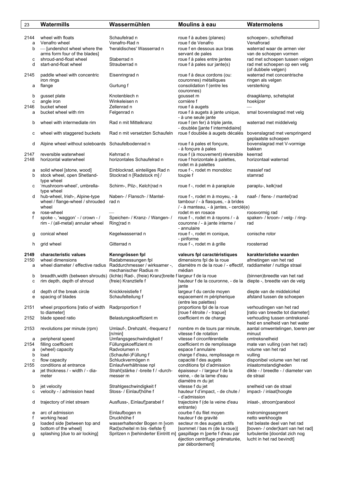| 23           | Watermills                                                      | Wassermühlen                                                                                | Moulins à eau                                                    | Watermolens                                       |
|--------------|-----------------------------------------------------------------|---------------------------------------------------------------------------------------------|------------------------------------------------------------------|---------------------------------------------------|
|              |                                                                 |                                                                                             |                                                                  |                                                   |
| 2144         | wheel with floats                                               | Schaufelrad n                                                                               | roue f à aubes (planes)                                          | schoepen-, schoffelrad                            |
| a            | Venafro wheel                                                   | Venafro-Rad n                                                                               | roue f de Venafro                                                | Venafrorad                                        |
| b            | - [undershot wheel where the                                    | 'heraldisches' Wasserrad n                                                                  | roue f en dessous aux bras                                       | waterrad waar de armen vier                       |
|              | arms form four of the blades]                                   |                                                                                             | servant de pales                                                 | van de schoepen vormen                            |
| с            | shroud-and-float wheel                                          | Staberrad n                                                                                 | roue f à pales entre jantes                                      | rad met schoepen tussen velgen                    |
| d            | start-and-float wheel                                           | Strauberrad n                                                                               | roue f à pales sur jante(s)                                      | rad met schoepen op een velg                      |
|              |                                                                 |                                                                                             |                                                                  | (of dubbele velgen)                               |
| 2145         | paddle wheel with concentric                                    | Eisenringrad n                                                                              | roue f à deux cordons (ou:                                       | waterrad met concentrische                        |
|              | iron rings                                                      |                                                                                             | couronnes) métalliques                                           | ringen als velgen                                 |
| а            | flange                                                          | Gurtung f                                                                                   | consolidation f (entre les                                       | versterking                                       |
|              |                                                                 |                                                                                             | couronnes)                                                       |                                                   |
| b            | gusset plate                                                    | Knotenblech n<br>Winkeleisen n                                                              | gousset m<br>cornière f                                          | draagklamp, schetsplat<br>hoekijzer               |
| с<br>2146    | angle iron<br>bucket wheel                                      | Zellenrad n                                                                                 | roue f à augets                                                  |                                                   |
| а            | bucket wheel with rim                                           | Felgenrad n                                                                                 | roue f à augets à jante unique,                                  | smal bovenslagrad met velg                        |
|              |                                                                 |                                                                                             | - à une seule jante                                              |                                                   |
| b            | wheel with intermediate rim                                     | Rad n mit Mittelkranz                                                                       | roue f (en fer) à triple jante,                                  | waterrad met middelvelg                           |
|              |                                                                 |                                                                                             | - doublée [jante f intermédiaire]                                |                                                   |
| с            | wheel with staggered buckets                                    | Rad n mit versetzten Schaufeln                                                              | roue f doublée à augets décalés                                  | bovenslagrad met verspringend                     |
|              |                                                                 |                                                                                             |                                                                  | geplaatste schoepen                               |
| d            | Alpine wheel without soleboards Schaufelbodenrad n              |                                                                                             | roue f à pales et fonçure,                                       | bovenslagrad met V-vormige                        |
|              |                                                                 |                                                                                             | - à foncure à pales                                              | bakken                                            |
| 2147         | reversible waterwheel                                           | Kehrrad n                                                                                   | roue f (à mouvement) réversible                                  | keerrad                                           |
| 2148         | horizontal waterwheel                                           | horizontales Schaufelrad n                                                                  | roue f horizontale à palettes,                                   | horizontaal waterrad                              |
|              |                                                                 |                                                                                             | rodet m à palettes                                               |                                                   |
| а            | solid wheel [stone, wood]                                       | Einblockrad, einteiliges Rad n                                                              | roue f -, rodet m monobloc                                       | massief rad                                       |
| b            | stock wheel, open Shetland-                                     | Stockrad n [Radstock m] /                                                                   | toupie f                                                         | stamrad                                           |
| с            | type wheel<br>'mushroom-wheel', umbrella-                       | Schirm-, Pilz-, Kelch¦rad n                                                                 | roue f -, rodet m à parapluie                                    | paraplu-, kelk¦rad                                |
|              | type wheel                                                      |                                                                                             |                                                                  |                                                   |
| d            | hub-wheel, Irish-, Alpine-type                                  | Naben- / Flansch- / Mantel-                                                                 | roue f -, rodet m à moyeu, - à                                   | naaf- / flens- / mantel¦rad                       |
|              | wheel / flange-wheel / shrouded                                 | rad n                                                                                       | tambour / - à flasques, - à brides                               |                                                   |
|              | wheel                                                           |                                                                                             | / - à manteau, - à jantes, - cerclé(e)                           |                                                   |
| e            | rose-wheel                                                      |                                                                                             | rodet m en rosace                                                | roosvormig rad                                    |
| f            | spoke -, 'waggon' - / crown - /                                 | Speichen- / Kranz- / Wangen- /                                                              | roue f -, rodet m à rayons / - à                                 | spaken- / kroon- / velg- / ring-                  |
|              | rim - / (all-metal) annular wheel                               | Ring¦rad n                                                                                  | couronne / - à jante interne /                                   | rad                                               |
|              |                                                                 |                                                                                             | - annulaire                                                      |                                                   |
| g            | conical wheel                                                   | Kegelwasserrad n                                                                            | roue f -, rodet m conique,                                       | conische rotor                                    |
|              |                                                                 |                                                                                             | - piriforme                                                      |                                                   |
| h            | grid wheel                                                      | Gitterrad n                                                                                 | roue f -, rodet m à grille                                       | roosterrad                                        |
|              |                                                                 |                                                                                             |                                                                  |                                                   |
| 2149<br>2150 | characteristic values<br>wheel dimensions                       | Kenngrössen fpl<br>Radabmessungen fpl                                                       | valeurs fpl caractéristiques<br>dimensions fpl de la roue        | karakteristieke waarden<br>afmetingen van het rad |
| a            | wheel diameter / effective radius Raddurchmesser / wirksamer -, |                                                                                             | diamètre m de la roue / - effectif, raddiameter / nuttige straal |                                                   |
|              |                                                                 | mechanischer Radius m                                                                       | médian                                                           |                                                   |
| b            |                                                                 | breadth, width (between shrouds) (lichte) Rad-, (freie) Kranz¦breite f largeur f de la roue |                                                                  | (binnen)breedte van het rad                       |
| с            | rim depth, depth of shroud                                      | (freie) Kranztiefe f                                                                        | hauteur f de la couronne, - de la diepte -, breedte van de velg  |                                                   |
|              |                                                                 |                                                                                             | jante                                                            |                                                   |
| d            | depth of the break circle                                       | Knickkreistiefe f                                                                           | largeur f du cercle moyen                                        | diepte van de middelcirkel                        |
| е            | spacing of blades                                               | Schaufelteilung f                                                                           | espacement m péripherique                                        | afstand tussen de schoepen                        |
|              |                                                                 |                                                                                             | (entre les palettes)                                             |                                                   |
| 2151         | wheel proportions [ratio of width                               | Radproportion f                                                                             | proportions fpl de la roue                                       | verhoudingen van het rad                          |
|              | to diameter]                                                    |                                                                                             | [roue f étroite / - trapue]                                      | [ratio van breedte tot diameter]                  |
| 2152         | blade speed ratio                                               | Belastungskoeffizient m                                                                     | coefficient m de charge                                          | verhouding tussen omtreksnel-                     |
|              |                                                                 |                                                                                             |                                                                  | heid en snelheid van het water                    |
| 2153         | revolutions per minute (rpm)                                    | Umlauf-, Drehzahl, -frequenz f<br>[n/min]                                                   | nombre m de tours par minute,<br>vitesse f de rotation           | aantal omwentelingen, toeren per<br>minuut        |
| а            | peripheral speed                                                | Umfangsgeschwindigkeit f                                                                    | vitesse f circonférentielle                                      | omtreksnelheid                                    |
| 2154         | filling coefficient                                             | Füllungskoeffizient m                                                                       | coefficient m de remplissage                                     | mate van vulling (van het rad)                    |
| а            | (wheel) capacity                                                | Radvolumen n                                                                                | espace f annulaire                                               | volume van het rad                                |
| b            | load                                                            | (Schaufel-)Füllung f                                                                        | charge f d'eau, remplissage m                                    | vulling                                           |
| c            | flow capacity                                                   | Schluckvermögen n                                                                           | capacité f des augets                                            | disponibel volume van het rad                     |
| 2155         | conditions at entrance                                          | Einlaufverhältnisse npl                                                                     | conditions fpl d'admission                                       | inlaatomstandigheden                              |
| a            | jet thickness / - width / - dia-                                | Strahl¦stärke / -breite f / -durch-                                                         | épaisseur - / largeur f de la                                    | dikte - / breedte - / diameter van                |
|              | meter                                                           | messer m                                                                                    | veine, - de la lame d'eau                                        | de straal                                         |
|              |                                                                 |                                                                                             | diamètre m du jet                                                |                                                   |
| b            | jet velocity                                                    | Strahlgeschwindigkeit f                                                                     | vitesse f du jet                                                 | snelheid van de straal                            |
| с            | velocity - / admission head                                     | Stoss- / Einlauf¦höhe f                                                                     | hauteur f d'impact, - de chute /                                 | impact- / inlaat¦hoogte                           |
|              |                                                                 |                                                                                             | - d'admission                                                    |                                                   |
| d            | trajectory of inlet stream                                      | Ausfluss-, Einlauf¦parabel f                                                                | trajectoire f (de la veine d'eau                                 | inlaat-, stroom¦parabool                          |
| e            | arc of admission                                                | Einlaufbogen m                                                                              | entrante)<br>courbe f du filet moyen                             | instromingssegment                                |
| f            | working head                                                    | Druckhöhe f                                                                                 | hauteur f de gravité                                             | netto werkhoogte                                  |
| g            | loaded side [between top and                                    | wasserhaltender Bogen m [vom                                                                | secteur m des augets actifs                                      | het belaste deel van het rad                      |
|              | bottom of the wheel]                                            | Rad¦scheitel m bis -tiefste f]                                                              | [sommet / bas m (de la roue)]                                    | [boven- / onder¦kant van het rad]                 |
| g            | splashing [due to air locking]                                  | Spritzen n [behinderter Eintritt m] gaspillage m [perte f d'eau par                         |                                                                  | turbulentie [doordat zich nog                     |
|              |                                                                 |                                                                                             | éjection centrifuge prématurée,<br>par débordement]              | lucht in het rad bevindt]                         |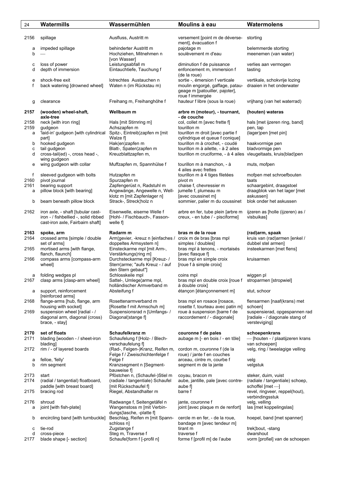| 24                          | Watermills                                                                                                                                | Wassermühlen                                                                                                                                             | Moulins à eau                                                                                                                                                                               | Watermolens                                                                                                                      |
|-----------------------------|-------------------------------------------------------------------------------------------------------------------------------------------|----------------------------------------------------------------------------------------------------------------------------------------------------------|---------------------------------------------------------------------------------------------------------------------------------------------------------------------------------------------|----------------------------------------------------------------------------------------------------------------------------------|
| 2156                        | spillage                                                                                                                                  | Ausfluss, Austritt m                                                                                                                                     | versement [point m de déverse-<br>ment], évacuation f                                                                                                                                       | storting                                                                                                                         |
| а<br>b                      | impeded spillage                                                                                                                          | behinderter Austritt m<br>Hochziehen, Mitnehmen n<br>[von Wasser]                                                                                        | pajotage m<br>soulèvement m d'eau                                                                                                                                                           | belemmerde storting<br>meenemen (van water)                                                                                      |
| c<br>d                      | loss of power<br>depth of immersion                                                                                                       | Leistungsabfall m<br>Eintauchtiefe, Tauchung f                                                                                                           | diminution f de puissance<br>enfoncement m, immersion f<br>(de la roue)                                                                                                                     | verlies aan vermogen<br>tasting                                                                                                  |
| e<br>f                      | shock-free exit<br>back watering [drowned wheel]                                                                                          | lotrechtes Austauchen n<br>Waten n (im Rückstau m)                                                                                                       | sortie -, émersion f verticale<br>moulin engorgé, gaffage, patau-<br>geage m [patouiller, pajoter],<br>roue f immergée                                                                      | vertikale, schokvrije lozing<br>draaien in het onderwater                                                                        |
| g                           | clearance                                                                                                                                 | Freihang m, Freihanghöhe f                                                                                                                               | hauteur f libre (sous la roue)                                                                                                                                                              | vrijhang (van het waterrad)                                                                                                      |
| 2157                        | (wooden) wheel-shaft,<br>axle-tree                                                                                                        | Wellbaum m                                                                                                                                               | arbre m (moteur), - tournant,<br>- de couche                                                                                                                                                | (houten) wateras                                                                                                                 |
| 2158<br>2159<br>a<br>b<br>C | neck [with iron ring]<br>gudgeon<br>'laid-in' gudgeon [with cylindrical<br>part]<br>hooked gudgeon<br>tail gudgeon                        | Hals [mit Stirnring m]<br>Achszapfen m<br>Spitz-, Eintreib¦zapfen m [mit<br>Walze fl<br>Hak(en)zapfen m<br>Blatt-, Spaten¦zapfen m                       | col, collet m [avec frette f]<br>tourillon m<br>tourillon m droit [avec partie f<br>cylindrique et queue f conique]<br>tourillon m à crochet, - coudé<br>tourillon m à ailette, - à 2 ailes | hals [met ijzeren ring, band]<br>pen, tap<br>(lager)pen [met pin]<br>haakvormige pen<br>bladvormige pen                          |
| d                           | cross-tail(ed) -, cross head -,<br>wing gudgeon                                                                                           | Kreuzblattzapfen m,                                                                                                                                      | tourillon m cruciforme, - à 4 ailes                                                                                                                                                         | vleugeltaats, kruis(blad)pen                                                                                                     |
| e<br>f<br>2160              | wing gudgeon with collar<br>sleeved gudgeon with bolts<br>pivot journal                                                                   | Muffzapfen m, Spannhülse f<br>Hutzapfen m<br>Spurzapfen m                                                                                                | tourillon m à manchon, - à<br>4 ailes avec frettes<br>tourillon m à 4 tiges filetées<br>pivot m                                                                                             | muts, mofpen<br>mofpen met schroefbouten<br>taats                                                                                |
| 2161<br>а                   | bearing support<br>pillow block [with bearing]                                                                                            | Zapfengerüst n, Radstuhl m<br>Angewänge, Angewelle n, Well-<br>klotz m [mit Zapfenlager n]                                                               | chaise f, chevressier m<br>jumelle f, plumeau m<br>[avec coussinet m]                                                                                                                       | schaargebint, draagstoel<br>draagblok van het lager [met<br>askussen]                                                            |
| b                           | beam beneath pillow block                                                                                                                 | Strack-, Streck¦holz n                                                                                                                                   | sommier, palier m du coussinet                                                                                                                                                              | blok onder het askussen                                                                                                          |
| 2162                        | iron axle, - shaft [tubular cast-<br>iron - / fishbellied -, solid ribbed<br>cast-iron axle, Fairbairn shaft]                             | Eisenwelle, eiserne Welle f<br>[Hohl- / Fischbauch-, Fasson-<br>welle f                                                                                  | arbre en fer, tube plein [arbre m<br>creux, - en tube / - pisciforme]                                                                                                                       | ijzeren as [holle (ijzeren) as /<br>visbuikas]                                                                                   |
| 2163<br>2164<br>2165        | spoke, arm<br>crossed arms [simple / double<br>set of arms]<br>mortised arms [with flange,<br>flanch, flaunch]                            | Radarm m<br>Arm¦gevier, -kreuz n [einfaches / croix m de bras [bras mpl<br>doppeltes Armsystem n]<br>Einsteckarme mpl [mit Arm-,<br>Verstärkungs¦ring m] | bras m de la roue<br>simples / doubles]<br>bras mpl à tenons, - mortaisés<br>[avec flasque f]                                                                                               | (rad)arm, spaak<br>kruis van (rad) armen [enkel /<br>dubbel stel armen]<br>insteekarmen [met flens]                              |
| 2166                        | compass arms [compass-arm<br>wheel]                                                                                                       | Durchsteckarme mpl [Kreuz- /<br>Stern¦arme; "aufs Kreuz - / auf<br>den Stern gebaut"]                                                                    | bras mpl en simple croix<br>[roue f à simple croix]                                                                                                                                         | kruisarmen                                                                                                                       |
| a<br>2167                   | folding wedges pl<br>clasp arms [clasp-arm wheel]                                                                                         | Schlosskeile mpl<br>Sattel-, Umlege¦arme mpl,<br>holländischer Armverband m                                                                              | coins mpl<br>bras mpl en double croix [roue f stroparmen [stropwiel]<br>à double croix]                                                                                                     | wiggen pl                                                                                                                        |
| а                           | support, reinforcement<br>[reinforced arms]                                                                                               | Absteifung f                                                                                                                                             | étançon [étançonnement m]                                                                                                                                                                   | stut, schoor                                                                                                                     |
| 2168<br>2169                | flange-arms [hub, flange, arm<br>housing with socket]<br>suspension wheel [radial - /<br>diagonal arm, diagonal (cross)<br>brace, - stay] | Rosettenarmverband m<br>[Rosette f mit Armschuh m]<br>Suspensionsrad n [Umfangs-/<br>Diagonal¦stange f]                                                  | bras mpl en rosace [rosace,<br>rosette f, tourteau avec patin m]<br>roue à suspension [barre f de<br>raccordement / - diagonale]                                                            | flensarmen [naaf(krans) met<br>schoen]<br>suspensierad, opgespannen rad<br>[radiale - / diagonale stang of<br>versteviging       |
| 2170<br>2171                | set of floats<br>blading [wooden - / sheet-iron<br>blading]                                                                               | Schaufelkranz m<br>Schaufelung f [Holz- / Blech-<br>verschaufelung f                                                                                     | couronne f de pales<br>aubage m [- en bois / - en tôle]                                                                                                                                     | schoepenkrans<br>- [houten - / plaatijzeren krans<br>van schoepen]                                                               |
| 2172                        | rim / - of layered boards                                                                                                                 | (Rad-, Felgen-)Kranz, Reifen m,<br>Felge f / Zweischichtenfelge f                                                                                        | cordon m, couronne f (de la<br>roue) / jante f en couches                                                                                                                                   | velg, ring / tweelagige velling                                                                                                  |
| а<br>b                      | felloe, 'felly'<br>rim segment                                                                                                            | Felge f<br>Kranzsegment n [Segment-<br>bauweise f                                                                                                        | arceau, cintre m, courbe f<br>segment m de la jante                                                                                                                                         | velg<br>velgstuk                                                                                                                 |
| 2173<br>2174<br>2175        | start<br>(radial / tangential) floatboard,<br>paddle [with breast board]<br>bracing rod                                                   | Pföstchen n, (Schaufel-)Stiel m<br>(radiale / tangentiale) Schaufel<br>[mit Rückschaufel f]<br>Riegel, Abstandhalter m                                   | coyau, bracon m<br>aube, jantille, pale [avec contre-<br>aube f]<br>barre f                                                                                                                 | steker, duim, vuist<br>(radiale / tangentiale) schoep,<br>schoffel $[met-]$<br>revel, ringveer, reppel(hout),<br>verbindingsstuk |
| 2176<br>а                   | shroud<br>joint [with fish-plate]                                                                                                         | Radwange f, Seitengetäfel n<br>Wangenstoss m [mit Verbin-<br>dungs¦lasche, -platte f]                                                                    | jante, couronne f<br>joint [avec plaque m de renfort]                                                                                                                                       | velg, velling<br>las [met koppelingslas]                                                                                         |
| b<br>c                      | encircling band [with turnbuckle]<br>tie-rod                                                                                              | Beschlag, Reifen m [mit Spann-<br>schloss n]<br>Zugstange f                                                                                              | cercle m en fer, - de la roue,<br>bandage m [avec tendeur m]<br>tirant m                                                                                                                    | hoepel, band [met spanner]<br>trek¦bout, -stang                                                                                  |
| d<br>2177                   | cross-piece<br>blade shape [- section]                                                                                                    | Steg m, Traverse f<br>Schaufel¦form f [-profil n]                                                                                                        | traverse f<br>forme f [profil m] de l'aube                                                                                                                                                  | dwarshout<br>vorm [profiel] van de schoepen                                                                                      |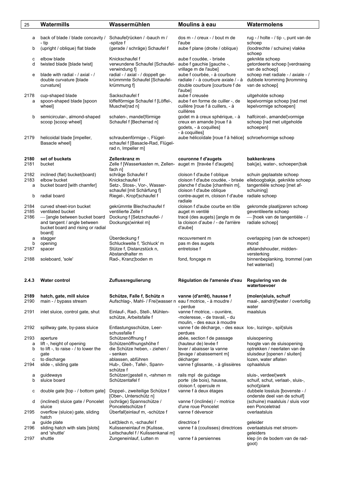| 25           | Watermills                                         | Wassermühlen                                            | Moulins à eau                                                               | Watermolens                                                      |
|--------------|----------------------------------------------------|---------------------------------------------------------|-----------------------------------------------------------------------------|------------------------------------------------------------------|
|              |                                                    |                                                         |                                                                             |                                                                  |
| а            | back of blade / blade concavity /                  | Schaufel¦rücken / -bauch m /                            | dos m - / creux - / bout m de                                               | rug - / holte - / tip -, punt van de                             |
| b            | - tip<br>(upright / oblique) flat blade            | -spitze f<br>(gerade / schräge) Schaufel f              | l'aube<br>aube f plane (droite / oblique)                                   | schoep<br>(loodrechte / schuine) vlakke                          |
|              |                                                    |                                                         |                                                                             | schoep                                                           |
| с            | elbow blade                                        | Knickschaufel f                                         | aube f coudée, - brisée                                                     | geknikte schoep                                                  |
| d            | twisted blade [blade twist]                        | verwundene Schaufel [Schaufel-<br>verwindung f]         | aube f gauchie [gauche -,<br>vrillage m de l'aube]                          | getordeerte schoep [verdraaing<br>van de schoep]                 |
| e            | blade with radial - / axial - /                    | radial - / axial - / doppelt ge-                        | aube f courbée, - à courbure                                                | schoep met radiale - / axiale - /                                |
|              | double curvature [blade                            | krümmmte Schaufel [Schaufel-                            | radiale / - à courbure axiale / - à                                         | dubbele kromming [kromming                                       |
|              | curvature]                                         | krümmung f]                                             | double courbure [courbure f de<br>l'aube]                                   | van de schoep]                                                   |
| 2178         | cup-shaped blade                                   | Sackschaufel f                                          | aube f creusée                                                              | uitgeholde schoep                                                |
| a            | spoon-shaped blade [spoon                          | löffelförmige Schaufel f [Löffel-,                      | aube f en forme de cuiller -, de                                            | lepelvormige schoep [rad met                                     |
|              | wheel]                                             | Muschel¦rad n]                                          | cuillère [roue f à cuillers, - à<br>cuillères                               | lepelvormige schoepen]                                           |
| b            | semicircular-, almond-shaped                       | schalen-, mandel¦förmige                                | godet m à creux sphérique, - à                                              | halfcircel-, amandel¦vormige                                     |
|              | scoop [scoop wheel]                                | Schaufel f [Becherrad n]                                | creux en amande [roue f à                                                   | schoep [rad met uitgeholde                                       |
|              |                                                    |                                                         | godets, - à coquilles]                                                      | schoepen]                                                        |
| 2179         | helicoidal blade [impeller,                        | schraubenförmige -, Flügel-                             | - à coquilles]<br>aube hélicoïdale [roue f à hélice] schroefvormige schoep  |                                                                  |
|              | Basacle wheel]                                     | schaufel f [Basacle-Rad, Flügel-                        |                                                                             |                                                                  |
|              |                                                    | rad n, Impeller m]                                      |                                                                             |                                                                  |
| 2180         | set of buckets                                     | Zellenkranz m                                           | couronne f d'augets                                                         | bakkenkrans                                                      |
| 2181         | bucket                                             | Zelle f [Wasserkasten m, Zellen-                        | auget m [travée f d'augets]                                                 | bak(je), water-, schoepen¦bak                                    |
| 2182         | inclined (flat) bucket(board)                      | fach n]<br>schräge Schaufel f                           | cloison f d'aube f oblique                                                  | schuin geplaatste schoep                                         |
| 2183         | elbow bucket                                       | Knickschaufel f                                         | cloison f d'aube coudée, - brisée                                           | elleboogbakje, geknikte schoep                                   |
| a            | bucket board [with chamfer]                        | Setz-, Stoss-, Vor-, Wasser-                            | planche f d'aube [chanfrein m],                                             | tangentiële schoep [met af-                                      |
| b            | radial board                                       | schaufel [mit Schärfung f]<br>Riegel-, Kropf¦schaufel f | cloison f d'aube oblique<br>contre-auget m, cloison f d'aube radiale schoep | schuining]                                                       |
|              |                                                    |                                                         | radiale                                                                     |                                                                  |
| 2184         | curved sheet-iron bucket                           | gekrümmte Blechschaufel f                               | cloison f d'aube courbe en tôle                                             | gekromde plaatijzeren schoep                                     |
| 2185<br>2186 | ventilated bucket<br>- [angle between bucket board | ventilierte Zelle f<br>Dockung f [Setzschaufel- /       | auget m ventilé<br>tracé (des augets) [angle m de                           | geventileerte schoep<br>- [hoek van de tangentiële - /           |
|              | and tangent / angle between                        | Dockungs winkel m]                                      | la cloison d'aube / - de l'arrière                                          | radiale schoep]                                                  |
|              | bucket board and rising or radial                  |                                                         | d'aube]                                                                     |                                                                  |
|              | board]<br>stagger                                  | Überdeckung f                                           | recouvrement m                                                              | overlapping (van de schoepen)                                    |
| а<br>b       | opening                                            | Schluckweite f, 'Schluck' m                             | pas m des augets                                                            | mond                                                             |
| 2187         | spacer                                             | Stütze f, Distanzstück n,                               | entretoise f                                                                | afstandshouder, midden-                                          |
| 2188         | soleboard, 'sole'                                  | Abstandhalter m<br>Rad-, Kranz¦boden m                  | fond, fonçage m                                                             | versterking<br>binnenbeplanking, trommel (van                    |
|              |                                                    |                                                         |                                                                             | het waterrad)                                                    |
| 2.4.3        | <b>Water control</b>                               | Zuflussregulierung                                      | Régulation de l'amenée d'eau                                                | Regulering van de<br>watertoevoer                                |
|              |                                                    |                                                         |                                                                             |                                                                  |
| 2189         | hatch, gate, mill sluice                           | Schütze, Falle f, Schütz n                              | vanne (d'arrêt), hausse f                                                   | (molen) sluis, schuif                                            |
| 2190         | main - / bypass stream                             | Aufschlag-, Mahl- / Frei¦wasser n                       | eau f motrice, - à moudre /<br>- perdue                                     | maal-, aandrijf¦water / overtollig<br>water                      |
| 2191         | inlet sluice, control gate, shut                   | Einlauf-, Rad-, Stell-, Mühlen-                         | vanne f motrice, - ouvrière,                                                | maalsluis                                                        |
|              |                                                    | schütze, Arbeitsfalle f                                 | -moleresse, - de travail, - du                                              |                                                                  |
| 2192         | spillway gate, by-pass sluice                      | Entlastungsschütze, Leer-                               | moulin, - des eaux à moudre<br>vanne f de décharge, - des eaux              | los-, lozings-, spil¦sluis                                       |
|              |                                                    | schussfalle f                                           | perdues                                                                     |                                                                  |
| 2193<br>а    | aperture<br>lift -, height of opening              | Schützenöffnung f<br>Schützenöffnungshöhe f             | abée, section f de passage<br>(hauteur de) levée f                          | sluisopening<br>hoogte van de sluisopening                       |
| b            | to lift -, to raise - / to lower the               | die Schütze heben, - ziehen /                           | lever / abaisser la vanne                                                   | optrekken / neerlaten van de                                     |
|              | gate<br>to discharge                               | - senken<br>ablassen, abführen                          | [levage / abaissement m]<br>décharger                                       | sluisdeur [openen / sluiten]<br>lozen, water aflaten             |
| с<br>2194    | slide -, sliding gate                              | Hub-, Gleit-, Tafel-, Spann-                            | vanne f glissante, - à glissières                                           | ophaalsluis                                                      |
|              |                                                    | schütze f                                               |                                                                             |                                                                  |
| а<br>b       | guideways<br>sluice board                          | Schützen¦gestell n, -rahmen m<br>Schützentafel f        | rails mpl de guidage<br>porte (de bois), hausse,                            | sluis-, verdeel¦werk<br>schuif, schut, verlaat-, sluis-,         |
|              |                                                    |                                                         | cloison f, opercule m                                                       | schot¦plank                                                      |
| с            | double gate [top - / bottom gate]                  | Doppel-, zweiteilige Schütze f                          | vanne f à deux étages                                                       | dubbele lossluis [bovenste - /                                   |
| d            | (inclined) sluice gate / Poncelet                  | [Ober-, Unterschütz n]<br>(schräge) Spannschütze /      | vanne f (inclinée) / - motrice                                              | onderste deel van de schuif]<br>(schuine) maalsluis / sluis voor |
|              | sluice                                             | Ponceletschütze f                                       | d'une roue Poncelet                                                         | een Ponceletrad                                                  |
| 2195         | overflow (sluice) gate, sliding                    | Überfall¦einlauf m, -schütze f                          | vanne f déversoir                                                           | overlaatsluis                                                    |
| а            | hatch<br>guide plate                               | Leit¦blech n, -schaufel f                               | directrice f                                                                | geleider                                                         |
| 2196         | sliding hatch with slats [slots]                   | Kulisseneinlauf m [Kulisse,                             | vanne f à (coulisses) directrices                                           | overlaatsluis met stroom-                                        |
|              | and 'shuttle'                                      | Leitschaufel f / Kulissenkanal m]                       |                                                                             | geleiders                                                        |
| 2197         | shuttle                                            | Zungeneinlauf, Lutten m                                 | vanne f à persiennes                                                        | klep (in de bodem van de rad-<br>goot)                           |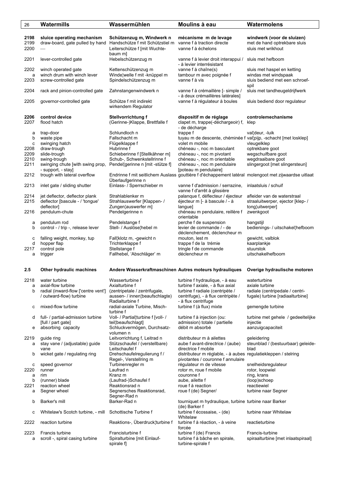| 26   | Watermills                               | Wassermühlen                                            | Moulins à eau                                                                                        | Watermolens                        |
|------|------------------------------------------|---------------------------------------------------------|------------------------------------------------------------------------------------------------------|------------------------------------|
|      |                                          |                                                         |                                                                                                      |                                    |
| 2198 | sluice operating mechanism               | Schützenzug m, Windwerk n                               | mécanisme m de levage                                                                                | windwerk (voor de sluizen)         |
| 2199 | draw-board, gate pulled by hand          | Handschütze f mit Schützstiel m                         | vanne f à traction directe                                                                           | met de hand optrekbare sluis       |
| 2200 |                                          | Leiterschütze f [mit Wuchte-                            | vanne f à échelons                                                                                   | sluis met wrikhout                 |
|      |                                          | baum m]                                                 |                                                                                                      |                                    |
| 2201 | lever-controlled gate                    | Hebelschützenzug m                                      | vanne f à levier droit interappui /                                                                  | sluis met hefboom                  |
|      |                                          |                                                         | - à levier interrésistant                                                                            |                                    |
| 2202 | winch operated gate                      | Kettenschützenzug m                                     | vanne f à chaîne(s)                                                                                  | sluis met haspel en ketting        |
| a    | winch drum with winch lever              | Winde¦welle f mit -knüppel m                            | tambour m avec poignée f                                                                             | windas met windspaak               |
| 2203 | screw-controlled gate                    | Spindelschützenzug m                                    | vanne f à vis                                                                                        | sluis bediend met een schroef-     |
|      |                                          |                                                         |                                                                                                      | spil                               |
| 2204 | rack and pinion-controlled gate          | Zahnstangenwindwerk n                                   | vanne f à crémaillère [- simple /                                                                    | sluis met tandheugeldrijfwerk      |
|      | governor-controlled gate                 |                                                         | - à deux crémaillères latérales]                                                                     | sluis bediend door regulateur      |
| 2205 |                                          | Schütze f mit indirekt<br>wirkendem Regulator           | vanne f à régulateur à boules                                                                        |                                    |
|      |                                          |                                                         |                                                                                                      |                                    |
| 2206 | control device                           | Stellvorrichtung f                                      | dispositif m de réglage                                                                              | controlemechanisme                 |
| 2207 | flood hatch                              | (Gerinne-)Klappe, Brettfalle f                          | clapet m, trappe(-déchargeoir) f,                                                                    | klep                               |
|      |                                          |                                                         | - de décharge                                                                                        |                                    |
| а    | trap-door                                | Schlundloch n                                           | trappe f                                                                                             | val¦deur, -luik                    |
| b    | waste pipe                               | Fallschacht m                                           | tuyau m de descente, chéminée f val¦pijp, -schacht [met losklep]                                     |                                    |
| c    | swinging hatch                           | Flügelklappe f                                          | volet m mobile                                                                                       | vleugelklep                        |
| 2208 | draw-trough                              | Hubrinne f                                              | chéneau -, noc m basculant                                                                           | optrekbare goot                    |
| 2209 | slide-trough                             | Schieberinne f [Stellkähner m]                          | chéneau -, noc m pivotant                                                                            | wegschuifbare goot                 |
| 2210 | swing-trough                             | Schub-, Schwenkstellrinne f                             | chéneau -, noc m orientable                                                                          | wegdraaibare goot                  |
| 2211 | swinging chute [with swing prop,         | Pendel¦gerinne n [mit -stütze f]                        | chéneau -, noc m pendulaire                                                                          | slingergoot [met slingersteun]     |
|      | - support, - stay]                       |                                                         | [poteau m pendulaire]                                                                                |                                    |
| 2212 | trough with lateral overflow             |                                                         | Endrinne f mit seitlichem Auslass gouttière f d'échappement latéral molengoot met zijwaardse uitlaat |                                    |
|      |                                          | Überlaufgerinne n                                       |                                                                                                      |                                    |
| 2213 | inlet gate / sliding shutter             | Einlass- / Sperrschieber m                              | vanne f d'admission / serrazine,<br>vanne f d'arrêt à glissière                                      | inlaatsluis / schuif               |
| 2214 | jet deflector, deflector plank           | Strahlablenker m                                        | palanque f, déflecteur / éjecteur                                                                    | afleider van de waterstraal        |
| 2215 | deflector [bascule - / 'tongue'          | Strahlauswerfer [Klappen- /                             | éjecteur m [- à bascule / - à                                                                        | straaluitwerper, ejector [klep- /  |
|      | deflector]                               | Zungen¦auswerfer m]                                     | langue]                                                                                              | tong¦uitwerper]                    |
| 2216 | pendulum-chute                           | Pendelgerinne n                                         | chéneau m pendulaire, reillère f                                                                     | zwenkgoot                          |
|      |                                          |                                                         | orientable                                                                                           |                                    |
| а    | pendulum rod                             | Pendelstange f                                          | perche f de suspension                                                                               | hangstijl                          |
| b    | control - / trip -, release lever        | Stell- / Auslöse¦hebel m                                | levier de commande / - de                                                                            | bedienings- / uitschakel¦hefboom   |
|      |                                          |                                                         | déclenchement, déclencheur m                                                                         |                                    |
| с    | falling weight, monkey, tup              | Fall¦klotz m, -gewicht n                                | mouton, lest m                                                                                       | gewicht, valblok                   |
| d    | hopper flap                              | Trichterklappe f                                        | trappe f de la trémie                                                                                | kaarplankje                        |
| 2217 | control pole                             | Stellstange f                                           | tringle f de commande                                                                                | stuurstok                          |
| a    | trigger                                  | Fallhebel, 'Abschläger' m                               | déclencheur m                                                                                        | uitschakelhefboom                  |
|      |                                          |                                                         |                                                                                                      |                                    |
| 2.5  | Other hydraulic machines                 | Andere Wasserkraftmaschinen Autres moteurs hydrauliques |                                                                                                      | Overige hydraulische motoren       |
|      |                                          |                                                         |                                                                                                      |                                    |
| 2218 | water turbine                            | Wasserturbine f                                         | turbine f hydraulique, - à eau                                                                       | waterturbine                       |
| а    | axial-flow turbine                       | Axialturbine f                                          | turbine f axiale, - à flux axial                                                                     | axiale turbine                     |
| b    | radial (inward-flow ['centre vent']      | (zentripetale / zentrifugale,                           | turbine f radiale (centripète /                                                                      | radiale (centripedale / centri-    |
|      | / outward-flow) turbine                  | aussen- / innen¦beaufschlagte)                          | centrifuge), - à flux centripète /                                                                   | fugale) turbine [radiaalturbine]   |
|      |                                          | Radialturbine f                                         | - à flux centrifuge                                                                                  |                                    |
| с    | mixed-flow turbine                       | radial-axiale Turbine, Misch-                           | turbine f (à flux) mixte                                                                             | gemengde turbine                   |
|      |                                          | turbine f                                               |                                                                                                      |                                    |
| d    | full- / partial-admission turbine        | Voll- / Partial¦turbine f [voll- /                      | turbine f à injection (ou:                                                                           | turbine met gehele / gedeeltelijke |
|      | [full / part gate]<br>absorbing capacity | teil¦beaufschlagt]<br>Schluckvermögen, Durchsatz-       | admission) totale / partielle<br>débit m absorbé                                                     | injectie                           |
| е    |                                          | volumen n                                               |                                                                                                      | aanzuigcapaciteit                  |
| 2219 | guide ring                               | Leitvorrichtung f, Leitrad n                            | distributeur m à ailettes                                                                            | geleidering                        |
| а    | stay vane / (adjustable) guide           | Stützschaufel / (verstellbare)                          | aube f avant-directrice / (aube)                                                                     | steunblad / (bestuurbaar) geleide- |
|      | vane                                     | Leitschaufel f                                          | directrice f mobile                                                                                  | blad                               |
| b    | wicket gate / regulating ring            | Drehschaufelregulierung f /                             | distributeur m réglable, - à aubes regulatiekleppen / stelring                                       |                                    |
|      |                                          | Regel-, Verstellring m                                  | pivotantes / couronne f annulaire                                                                    |                                    |
| с    | speed governor                           | Turbinenregler m                                        | régulateur m de vitesse                                                                              | snelheidsregulateur                |
| 2220 | runner                                   | Laufrad n                                               | rotor m, roue f mobile                                                                               | rotor, loopwiel                    |
| а    | rim                                      | Kranz m                                                 | couronne f                                                                                           | ring, krans                        |
| b    | (runner) blade                           | (Laufrad-)Schaufel f                                    | aube, ailette f                                                                                      | (loop)schoep                       |
| 2221 | reaction wheel                           | Reaktionsrad n                                          | roue f à reaction                                                                                    | reactiewiel                        |
| а    | Segner wheel                             | Segnersches Reaktionsrad,                               | roue f (de) Segner/                                                                                  | turbine naar Segner                |
|      |                                          | Segner-Rad n                                            |                                                                                                      |                                    |
| b    | Barker's mill                            | Barker-Rad n                                            | tourniquet m hydraulique, turbine turbine naar Barker                                                |                                    |
| с    | Whitelaw's Scotch turbine, - mill        | Schottische Turbine f                                   | (de) Barker f<br>turbine f écossaise, - (de)                                                         | turbine naar Whitelaw              |
|      |                                          |                                                         | Whitelaw                                                                                             |                                    |
| 2222 | reaction turbine                         | Reaktions-, Uberdruck¦turbine f                         | turbine f à réaction, - à veine                                                                      | reactieturbine                     |
|      |                                          |                                                         | forcée                                                                                               |                                    |
| 2223 | Francis turbine                          | Francisturbine f                                        | turbine f (de) Francis                                                                               | Francis-turbine                    |
| а    | scroll -, spiral casing turbine          | Spiralturbine [mit Einlauf-                             | turbine f à bâche en spirale,                                                                        | spiraalturbine [met inlaatspiraal] |
|      |                                          | spirale f                                               | turbine-spirale f                                                                                    |                                    |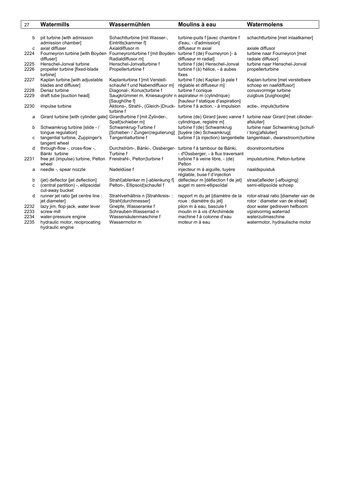| 27   | Watermills                          | Wassermühlen                                                         | Moulins à eau                                                                                    | Watermolens                                                            |
|------|-------------------------------------|----------------------------------------------------------------------|--------------------------------------------------------------------------------------------------|------------------------------------------------------------------------|
|      |                                     |                                                                      |                                                                                                  |                                                                        |
| b    | pit turbine [with admission         | Schachtturbine [mit Wasser-,                                         | turbine-puits f [avec chambre f                                                                  | schachtturbine [met inlaatkamer]                                       |
|      | admission chamber]                  | Eintritts¦kammer fl                                                  | d'eau, - d'admission]                                                                            |                                                                        |
| C    | axial diffuser                      | Axialdiffusor m                                                      | diffuseur m axial                                                                                | axiale diffusor                                                        |
| 2224 | Fourneyron turbine [with Boyden     | Fourneyronturbine f [mit Boyden-                                     | turbine f (de) Fourneyron [- à                                                                   | turbine naar Fourneyron [met                                           |
|      | diffuser1                           | Radialdiffusor m]                                                    | diffuseur m radial]                                                                              | radiale diffusor]                                                      |
| 2225 | Henschel-Jonval turbine             | Henschel-Jonvalturbine f                                             | turbine f (de) Henschel-Jonval                                                                   | turbine naar Henschel-Jonval                                           |
| 2226 | propeller turbine [fixed-blade      | Propellerturbine f                                                   | turbine f (à) hélice, - à aubes                                                                  | propellerturbine                                                       |
|      | turbinel                            |                                                                      | fixes                                                                                            |                                                                        |
| 2227 | Kaplan turbine [with adjustable     | Kaplanturbine f [mit Verstell-                                       | turbine f (de) Kaplan [à pale f                                                                  | Kaplan-turbine [met verstelbare                                        |
|      | blades and diffuser]                | schaufel f und Nabendiffusor m]                                      | réglable et diffuseur m]                                                                         | schoep en naafdiffusor]                                                |
| 2228 | Deriaz turbine                      | Diagonal-, Konus¦turbine f                                           | turbine f conique                                                                                | conusvormige turbine                                                   |
| 2229 | draft tube [suction head]           | Saugkrümmer m, Kniesaugrohr n aspirateur m (cylindrique)             |                                                                                                  | zuigbuis [zuighoogte]                                                  |
|      |                                     | [Saughöhe f]                                                         | [hauteur f statique d'aspiration]                                                                |                                                                        |
| 2230 | impulse turbine                     | Aktions-, Strahl-, (Gleich-)Druck- turbine f à action, - à impulsion |                                                                                                  | actie-, impuls¦turbine                                                 |
|      |                                     | turbine f                                                            |                                                                                                  |                                                                        |
| a    | Girard turbine [with cylinder gate] | Girardturbine f [mit Zylinder-,<br>Spalt¦schieber m]                 | turbine (de) Girard Javec vanne f turbine naar Girard Jmet cilinder-<br>cylindrique, registre m] | afsluiter]                                                             |
| b    | Schwamkrug turbine [slide - /       | Schwamkrug-Turbine f                                                 | turbine f (de) Schwamkrug                                                                        | turbine naar Schwamkrug [schuif-                                       |
|      | tongue regulation]                  | [Schieber- / Zungen¦regulierung]                                     | [tuyère (de) Schwamkrug]                                                                         | / tonglafsluiter]                                                      |
| c    | tangential turbine, Zuppinger's     | Tangentialturbine f                                                  |                                                                                                  | turbine f (à injection) tangentielle tangentiaal-, dwarsstroom¦turbine |
|      | tangent wheel                       |                                                                      |                                                                                                  |                                                                        |
| d    | through-flow -, cross-flow -,       | Durchström-, Bánki-, Ossberger- turbine f à tambour de Bánki,        |                                                                                                  | doorstroomturbine                                                      |
|      | Bánki turbine                       | Turbine f                                                            | - d'Ossberger, - à flux traversant                                                               |                                                                        |
| 2231 | free jet (impulse) turbine, Pelton  | Freistrahl-, Pelton¦turbine f                                        | turbine f à veine libre, - (de)                                                                  | impulsturbine, Pelton-turbine                                          |
|      | wheel                               |                                                                      | Pelton                                                                                           |                                                                        |
| a    | needle -, spear nozzle              | Nadeldüse f                                                          | injecteur m à aiguille, tuyère                                                                   | naaldspuistuk                                                          |
|      |                                     |                                                                      | réglable, buse f d'injection                                                                     |                                                                        |
| b    | (jet) deflector [jet deflection]    | Strahl¦ablenker m [-ablenkung f]                                     | déflecteur m [déflection f de jet]                                                               | straal¦afleider [-afbuiging]                                           |
| C    | (central partition) -, ellipsoidal  | Pelton-, Ellipsoid¦schaufel f                                        | auget m semi-ellipsoïdal                                                                         | semi-ellipsoïde schoep                                                 |
|      | cut-away bucket                     |                                                                      |                                                                                                  |                                                                        |
| d    | runner jet ratio [jet centre line : | Strahlverhältnis n [Strahlkreis-:                                    | rapport m du jet [diamètre de la                                                                 | rotor-straal ratio [diameter van de                                    |
|      | jet diameter]                       | Strahl¦durchmesser]                                                  | roue : diamètre du jet]                                                                          | rotor : diameter van de straal]                                        |
| 2232 | lazy jim, flop-jack, water lever    | Gnepfe, Wasseranke f                                                 | pilon m à eau, bascule f                                                                         | door water gedreven hefboom                                            |
| 2233 | screw mill                          | Schrauben-Wasserrad n                                                | moulin m à vis d'Archimède                                                                       | vijzelvormig waterrad                                                  |
| 2234 | water-pressure engine               | Wassersäulenmaschine f                                               | machine f à colonne d'eau                                                                        | waterzuilmaschine                                                      |
| 2235 | hydraulic motor, reciprocating      | Wassermotor m                                                        | moteur m à eau                                                                                   | watermotor, hydraulische motor                                         |
|      | hydraulic engine                    |                                                                      |                                                                                                  |                                                                        |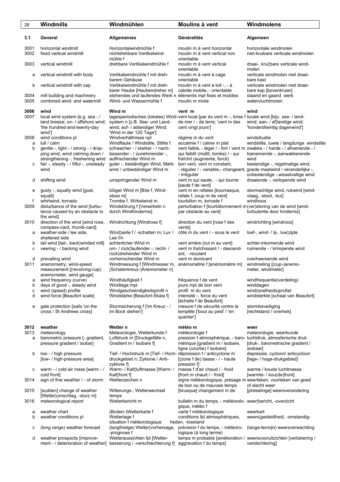| 28                  | Windmills                                                                                                                                                                                                  | Windmühlen                                                                                                                                                                                                                                          | Moulins à vent                                                                                                                                                                                                              | Windmolens                                                                                                                                                                                                       |
|---------------------|------------------------------------------------------------------------------------------------------------------------------------------------------------------------------------------------------------|-----------------------------------------------------------------------------------------------------------------------------------------------------------------------------------------------------------------------------------------------------|-----------------------------------------------------------------------------------------------------------------------------------------------------------------------------------------------------------------------------|------------------------------------------------------------------------------------------------------------------------------------------------------------------------------------------------------------------|
| 3.1                 | General                                                                                                                                                                                                    | <b>Allgemeines</b>                                                                                                                                                                                                                                  | Généralités                                                                                                                                                                                                                 | Algemeen                                                                                                                                                                                                         |
| 3001<br>3002        | horizontal windmill<br>fixed vertical windmill                                                                                                                                                             | Horizontalwindmühle f<br>nichtdrehbare Vertikalwind-<br>mühle f                                                                                                                                                                                     | moulin m à vent horizontal<br>moulin m à vent vertical non<br>orientable                                                                                                                                                    | horizontale windmolen<br>niet-kruibare verticale windmolen                                                                                                                                                       |
| 3003                | vertical windmill                                                                                                                                                                                          | drehbare Vertikalwindmühle f                                                                                                                                                                                                                        | moulin m à vent vertical<br>orientable                                                                                                                                                                                      | draai-, krui¦bare verticale wind-<br>molen                                                                                                                                                                       |
| а                   | vertical windmill with body                                                                                                                                                                                | Vertikalwindmühle f mit dreh-<br>barem Gehäuse                                                                                                                                                                                                      | moulin m à vent à cage<br>orientable                                                                                                                                                                                        | verticale windmolen met draai-<br>bare kast                                                                                                                                                                      |
| b                   | vertical windmill with cap                                                                                                                                                                                 | Vertikalwindmühle f mit dreh-<br>barer Haube [Haubendreher m]                                                                                                                                                                                       | moulin m à vent à toit -, - à<br>calotte mobile, - orientable                                                                                                                                                               | verticale windmolen met draai-<br>bare kap [bovenkruier]                                                                                                                                                         |
| 3004<br>3005        | mill building and machinery<br>combined wind- and watermill                                                                                                                                                | stehendes und laufendes Werk n éléments mpl fixes et mobiles<br>Wind- und Wassermühle f                                                                                                                                                             | moulin m mixte                                                                                                                                                                                                              | staand en gaand werk<br>watervluchtmolen                                                                                                                                                                         |
| 3006<br>3007        | wind<br>local wind system [e.g. sea - /<br>land breeze; on- / offshore wind;<br>'the hundred-and-twenty-day                                                                                                | Wind m<br>system n [z.B. See- und Land-<br>wind; auf- / ablandiger Wind;                                                                                                                                                                            | vent m<br>tagesperiodisches (lokales) Wind-vent local [par éx.vent m -, brise f locale wind [bijv. zee- / land-<br>de mer / - de terre; 'vent m des<br>cent vingt jours']                                                   | wind<br>wind; aan- / af¦landige wind;<br>'honderdtwintig dagenwind']                                                                                                                                             |
| 3008<br>а<br>b<br>с | wind']<br>wind conditions pl<br>lull / calm<br>gentle -, light - / strong - / drop-<br>ping wind, wind calming down /<br>strengthening -, freshening wind<br>fair -, steady - / fitful -, unsteady<br>wind | 'Wind m der 120 Tage']<br>Windverhältnisse npl<br>Windflaute / Windstille, Stillte f<br>schwacher - / starker - / nach-<br>lassender - / zunehmender -,<br>auffrischender Wind m<br>guter -, beständiger Wind, Mahl-<br>wind / unbeständiger Wind m | régime m du vent<br>accalmie f / calme m plat<br>qui faiblit (mollit, tombe) / - qui<br>fraîchit (augmente, forcit)<br>bon vent, vent m constant,<br>- régulier / - variable,- changeant, goede maalwind / veranderlijke -, | windsituatie<br>windstilte, luwte / langdurige windstilte<br>vent faible, - léger / - fort / vent m zwakke - / harde - / afnemende - /<br>toenemende -, aanwakkerende<br>wind<br>bestendige -, regelmatige wind, |
| d                   | shifting wind                                                                                                                                                                                              | umspringender Wind m                                                                                                                                                                                                                                | - irrégulier<br>vent m qui saute, - qui tourne<br>[saute f de vent]                                                                                                                                                         | onbestendige -,wisselvallige wind<br>draaiende -, verlopende wind                                                                                                                                                |
| е<br>f<br>3009      | gusty -, squally wind [gust,<br>squall]<br>whirlwind, tornado<br>disturbance of the wind [turbu-                                                                                                           | böiger Wind m [Böe f, Wind-<br>stoss m<br>Trombe f, Wirbelwind m<br>Windstörung f [Verwirbeln n                                                                                                                                                     | vent m en rafales [bourrasque,<br>rafale f, coup m de vent]<br>tourbillon m, tornade f<br>perturbation f [tourbillonnement m (ver)storing van de wind [wind-                                                                | stormachtige wind, rukwind [wind-<br>vlaag, -stoot, -bui]<br>windhoos                                                                                                                                            |
| 3010                | lence caused by an obstacle to<br>the wind]<br>direction of the wind [wind rose,                                                                                                                           | durch Windhindernis]<br>Windrichtung [Windrose f]                                                                                                                                                                                                   | par obstacle au vent]<br>direction du vent [rose f des                                                                                                                                                                      | turbulentie door hindernis]<br>windrichting [windroos]                                                                                                                                                           |
| a                   | compass-card, rhumb-card]<br>weather-side / lee side,<br>sheltered side                                                                                                                                    | Wind¦seite f / -schatten m; Luv /<br>Lee $f/n$                                                                                                                                                                                                      | ventsl<br>côté m du vent / - sous le vent                                                                                                                                                                                   | loef-, wind- / lij-, luw¦zijde                                                                                                                                                                                   |
| b<br>с              | tail wind [tail-, back¦winded mill]<br>veering - / backing wind                                                                                                                                            | achterlicher Wind m<br>um- / rück¦laufender -; recht- /<br>rück¦drehender Wind m                                                                                                                                                                    | vent arrière [cul m au vent]<br>vent m fraîchissant / - descend-<br>ant, - reculant                                                                                                                                         | achter-inkomende wind<br>ruimende - / krimpende wind                                                                                                                                                             |
| d<br>3011           | prevailing wind<br>anemometry, wind-speed<br>measurement [(revolving-cup)<br>anemometer, wind gauge]                                                                                                       | vorherrschender Wind m<br>Windmessung f [Windmesser m, anémométrie f [anémomètre m]<br>(Schalenkreuz-)Anemometer n]                                                                                                                                 | vent m dominant                                                                                                                                                                                                             | overheersende wind<br>windmeting [(cup-)anemo-<br>meter, windmeter]                                                                                                                                              |
| а<br>b              | wind frequency (curve)<br>days of good -, steady wind                                                                                                                                                      | Windhäufigkeit f<br>Windtage mpl                                                                                                                                                                                                                    | fréquence f de vent<br>jours mpl de bon vent                                                                                                                                                                                | windfrequentie(verdeling)<br>winddagen                                                                                                                                                                           |
| С<br>d              | wind (speed) profile<br>wind force [Beaufort scale]                                                                                                                                                        | Windgeschwindigkeitsprofil n<br>Windstärke [Beaufort-Skala f]                                                                                                                                                                                       | profil m du vent<br>intensité -, force du vent<br>[échelle f de Beaufort]                                                                                                                                                   | wind(snelheids)profiel<br>windsterkte [schaal van Beaufort]                                                                                                                                                      |
| е                   | gale protection [sails 'on the<br>cross / St Andrews cross]                                                                                                                                                | Sturmsicherung f ['im Kreuz - /<br>im Bock stehen']                                                                                                                                                                                                 | mesure f de sécurité contre la<br>tempête ['bout au pied' / 'en<br>quartier']                                                                                                                                               | stormbeveiliging<br>[rechtstand / overhek]                                                                                                                                                                       |
| 3012<br>3013        | weather<br>meteorology                                                                                                                                                                                     | Wetter n<br>Meteorologie, Wetterkunde f                                                                                                                                                                                                             | météo m<br>météorologie f                                                                                                                                                                                                   | weer<br>meteorologie, weerkunde                                                                                                                                                                                  |
| a                   | barometric pressure [- gradient,<br>pressure gradient / isobar]                                                                                                                                            | Luftdruck m [Druckgefälle n,<br>Gradient m / Isobare f                                                                                                                                                                                              | pression f atmosphérique, - baro-luchtdruk, atmosferische druk<br>métrique [gradient m / isobare,<br>ligne (courbe) f isobare]                                                                                              | [druk-, barometrische gradient /<br>isobaar]                                                                                                                                                                     |
| b                   | low - / high pressure<br>[low- / high-pressure area]                                                                                                                                                       | Tief- / Hochdruck m [Tief- / Hoch- dépression f / anticyclone m<br>druckgebiet n; Zyklone / Anti-<br>zyklone f]                                                                                                                                     | [(zone f de) basse - / - haute<br>pression f                                                                                                                                                                                | depressie, cycloon/ anticycloon<br>[lage- / hoge-drukgebied]                                                                                                                                                     |
| с                   | warm - / cold air mass [warm - /<br>cold front]                                                                                                                                                            | Warm- / Kalt¦luftmasse [Warm- /<br>Kalt¦front f]                                                                                                                                                                                                    | masse f d'air chaud / - froid<br>[front m chaud / - froid]                                                                                                                                                                  | warme / koude luchtmassa<br>[warmte- / kou(de)front]                                                                                                                                                             |
| 3014                | sign of fine weather / - of storm                                                                                                                                                                          | Wetterzeichen n                                                                                                                                                                                                                                     | signe météorologique, présage m weerteken, voorteken van goed<br>de bon ou de mauvais temps                                                                                                                                 | of slecht weer                                                                                                                                                                                                   |
| 3015                | [sudden] change of weather<br>[Wetter umschlag, -sturz m]                                                                                                                                                  | Witterungs-, Wetterwechsel<br>temps                                                                                                                                                                                                                 | [brusque] changement m de                                                                                                                                                                                                   | [plotselinge] weersverandering                                                                                                                                                                                   |
| 3016<br>а           | meteorological report<br>weather chart                                                                                                                                                                     | Wetterbericht m<br>(Boden-)Wetterkarte f                                                                                                                                                                                                            | bulletin m du temps, - météorolo- weer¦bericht, -overzicht<br>gique, météo f<br>carte f météorologique                                                                                                                      | weerkart                                                                                                                                                                                                         |
| b                   | weather conditions pl                                                                                                                                                                                      | Wetterlage f<br>situation f météorologique                                                                                                                                                                                                          | conditions fpl atmosphériques,<br>heden, -toestand                                                                                                                                                                          | weers¦gesteldheid, -omstandig-                                                                                                                                                                                   |
| с                   | (long range) weather forecast                                                                                                                                                                              | (langfristige) Wetter¦vorhersage, prévision f du temps, - météoro-<br>-prognose f                                                                                                                                                                   | logique (à long terme)                                                                                                                                                                                                      | (lange-termijn) weersverwachting                                                                                                                                                                                 |
| d                   | weather prospects [improve-<br>ment - / deterioration of weather]                                                                                                                                          | Wetteraussichten fpl [Wetter-<br>besserung / -verschlechterung f]                                                                                                                                                                                   | aggravation f du temps]                                                                                                                                                                                                     | temps m probable [amélioration / weersvooruitzichten [verbetering /<br>verslechtering]                                                                                                                           |
|                     |                                                                                                                                                                                                            |                                                                                                                                                                                                                                                     |                                                                                                                                                                                                                             |                                                                                                                                                                                                                  |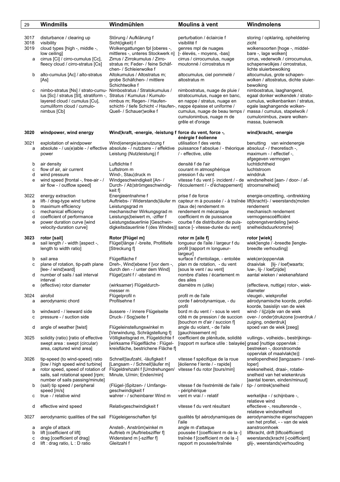| 29           | Windmills                                                                                                                                                                                | Windmühlen                                                                                                                                                | Moulins à vent                                                                                                                                                                    | Windmolens                                                                                                                                                                                                           |
|--------------|------------------------------------------------------------------------------------------------------------------------------------------------------------------------------------------|-----------------------------------------------------------------------------------------------------------------------------------------------------------|-----------------------------------------------------------------------------------------------------------------------------------------------------------------------------------|----------------------------------------------------------------------------------------------------------------------------------------------------------------------------------------------------------------------|
| 3017         | disturbance / clearing up                                                                                                                                                                | Störung / Aufklärung f                                                                                                                                    | perturbation / éclaircie f                                                                                                                                                        | storing / opklaring, opheldering                                                                                                                                                                                     |
| 3018<br>3019 | visibility<br>cloud types [high -, middle -,                                                                                                                                             | Sicht(igkeit) f<br>Wolkengattungen fpl [oberes -,                                                                                                         | visibilité f<br>genres mpl de nuages                                                                                                                                              | zicht<br>wolkensoorten [hoge -, middel-                                                                                                                                                                              |
|              | low ceiling]                                                                                                                                                                             | mittleres -, unteres Stockwerk n]                                                                                                                         | [- élevés, - moyens, -bas]                                                                                                                                                        | bare -, lage wolken]                                                                                                                                                                                                 |
| a            | cirrus [Ci] / cirro-cumulus [Cc],<br>fleecy cloud / cirro-stratus [Cs]                                                                                                                   | Zirrus / Zirrokumulus / Zirro-<br>stratus m; Feder- / feine Schäf-<br>chen- / Schleierwolke f                                                             | cirrus / cirrocumulus, nuage<br>moutonné / cirrostratus m                                                                                                                         | cirrus, vederwolk / cirrocumulus,<br>schapenwolkjes / cirrostratus,<br>lichte sluierbewolking                                                                                                                        |
| b            | alto-cumulus [Ac] / alto-stratus<br>[As]                                                                                                                                                 | Altokumulus / Altostratus m;<br>grobe Schäfchen- / mittlere<br>Schichtwolke f                                                                             | altocumulus, ciel pommelé /<br>altostratus m                                                                                                                                      | altocumulus, grote schapen-<br>wolken / altostratus, dichte sluier-<br>bewolking                                                                                                                                     |
| с            | nimbo-stratus [Ns] / strato-cumu- Nimbostratus / Stratokumulus /<br>lus [Sc] / stratus [St], stratiform -,<br>layered cloud / cumulus [Cu],<br>cumuliform cloud / cumulo-<br>nimbus [Cb] | Stratus / Kumulus / Kumulo-<br>nimbus m; Regen- / Haufen-<br>schicht- / tiefe Schicht -/ Haufen-, nappe épaisse et uniforme /<br>Quell- / Schauer¦wolke f | nimbostratus, nuage de pluie /<br>stratocumulus, nuage en banc,<br>en nappe / stratus, nuage en<br>cumulus, nuage de beau temps /<br>cumulonimbus, nuage m de<br>grêle et d'orage | nimbostratus, laaghangend,<br>egaal donker wolkendek / strato-<br>cumulus, wolkenbanken / stratus,<br>egale laaghangende wolken-<br>massa / cumulus, stapelwolk /<br>cumulonimbus, zware wolken-<br>massa, buienwolk |
| 3020         | windpower, wind energy                                                                                                                                                                   | Wind¦kraft, -energie, -leistung f force du vent, force -,                                                                                                 | énérgie f éolienne                                                                                                                                                                | wind¦kracht, -energie                                                                                                                                                                                                |
| 3021<br>a    | exploitation of windpower<br>power                                                                                                                                                       | Wind(energie) ausnutzung f<br>absolute - / us(e)able - / effective absolute - / nutzbare - / effektive<br>Leistung (Nutzleistung) f                       | utilisation f des vents<br>puissance f absolue / - théorique absoluut - / theoretisch -,<br>/ - effective, utile                                                                  | benutting van windenergie<br>maximum - / effectief -,<br>afgegeven vermogen                                                                                                                                          |
| b            | air density<br>flow of air, air current                                                                                                                                                  | Luftdichte f<br>Luftstrom m                                                                                                                               | densité f de l'air<br>courant m atmosphérique                                                                                                                                     | luchtdichtheid<br>luchtstroom                                                                                                                                                                                        |
| c<br>d       | wind pressure                                                                                                                                                                            | Wind-, Stau¦druck m                                                                                                                                       | pression f du vent                                                                                                                                                                | winddruk                                                                                                                                                                                                             |
| e            | wind speed [frontal -, free-air - /<br>air flow - / outflow speed]                                                                                                                       | Windgeschwindigkeit [An- /<br>Durch- / Ab¦strömgeschwindig-<br>keit f]                                                                                    | vitesse f du vent [- incident / - de windsnelheid [aan- / door- / af-<br>l'écoulement / - d'échappement]                                                                          | stroomsnelheid]                                                                                                                                                                                                      |
| 3022<br>а    | energy extraction<br>lift- / drag-type wind turbine                                                                                                                                      | Energieentnahme f                                                                                                                                         | prise f de force<br>Auftriebs- / Widerstands¦läufer m capteur m à poussée / - à traînée lift(kracht)- / weerstands¦molen                                                          | energie-omzetting, -onttrekking                                                                                                                                                                                      |
| b            | maximum efficiency                                                                                                                                                                       | Leistungsgrad m                                                                                                                                           | (taux de) rendement m                                                                                                                                                             | rendement                                                                                                                                                                                                            |
| С<br>d       | mechanical efficiency<br>coefficient of performance                                                                                                                                      | mechanischer Wirkungsgrad m<br>Leistungs¦beiwert m, -ziffer f                                                                                             | rendement m mécanique<br>coefficient m de puissance                                                                                                                               | mechanisch rendement<br>vermogenscoëfficiënt                                                                                                                                                                         |
| e            | power duration curve [wind<br>velocity-duration curve]                                                                                                                                   | Leistungsdauerlinie [Geschwin-<br>digkeitsdauerlinie f (des Windes)] sance [- vitesse-durée du vent]                                                      | courbe f de distribution de puis-                                                                                                                                                 | opbrengstverdeling [wind-<br>snelheidsduurkromme]                                                                                                                                                                    |
| 3023<br>a    | rotor [sail]<br>sail length / - width [aspect -,<br>length to width ratio]                                                                                                               | Rotor [Flügel m]<br>Flügel¦länge / -breite, Profiltiefe<br>[Streckung f]                                                                                  | rotor m [aile f]<br>longueur de l'aile / largeur f du<br>profil [rapport m longueur-<br>largeur]                                                                                  | rotor [wiek]<br>wiek¦lengte / -breedte [lengte-<br>breedte verhouding]                                                                                                                                               |
| b            | sail area                                                                                                                                                                                | Flügelfläche f                                                                                                                                            | surface f d'entoilage, - entoilée                                                                                                                                                 | wiek(en)oppervlak                                                                                                                                                                                                    |
| c<br>d       | plane of rotation, tip-path plane<br>[lee- / wind¦ward]<br>number of sails / sail interval                                                                                               | Dreh-, Wind¦ebene f [vor dem -,<br>durch den - / unter dem Wind]<br>Flügel¦zahl f / -abstand m                                                            | plan m de rotation, - du vent<br>[sous le vent / au vent]<br>nombre d'ailes / écartement m                                                                                        | draaivlak [lij- / loef¦waarts;<br>luw-, lij- / loef¦zijde]<br>aantal wieken / wiekenafstand                                                                                                                          |
| е            | interval<br>(effective) rotor diameter                                                                                                                                                   | (wirksamer) Flügeldurch-                                                                                                                                  | des ailes<br>diamètre m (utile)                                                                                                                                                   | (effectieve, nuttige) rotor-, wiek-                                                                                                                                                                                  |
| 3024         | airofoil                                                                                                                                                                                 | messer m<br>Flügelprofil n                                                                                                                                | profil m de l'aile                                                                                                                                                                | diameter<br>vleugel-, wiekprofiel                                                                                                                                                                                    |
| a            | aerodynamic chord                                                                                                                                                                        | Profilsehne f                                                                                                                                             | corde f aérodynamique, - du<br>profil                                                                                                                                             | aërodynamische koorde, profiel-<br>koorde, basislijn van de wiek                                                                                                                                                     |
| b<br>с       | windward - / leeward side<br>pressure - / suction side                                                                                                                                   | äussere - / innere Flügelseite<br>Druck- / Sog¦seite f                                                                                                    | bord m du vent / - sous le vent<br>côté m de pression / de succion<br>[bouchon m d'air / succion f]                                                                               | wind- / lij¦zijde van de wiek<br>over- / onder¦drukzone [overdruk /<br>zuiging, onderdruk]                                                                                                                           |
| d            | angle of weather [twist]                                                                                                                                                                 | Flügeleinstellungswinkel m<br>[Verwindung, Schrägstellung f]                                                                                              | angle du volant, - de l'aile<br>[gauchissement m]                                                                                                                                 | spoed van de wiek [zeeg]                                                                                                                                                                                             |
| 3025         | solidity (ratio) [ratio of effective<br>swept area : swept (circular)<br>area, captured wind area]                                                                                       | Völligkeitsgrad m, Flügeldichte f<br>[wirksame Flügelfläche: Flügel-<br>kreisfläche, bestrichene Fläche f]                                                | coefficient de plénitude, solidité<br>[rapport m surface utile : balayée] graad [nuttige oppervlak :                                                                              | vullings-, volheids-, bestrijkings-<br>bestreken -, doorstroomde<br>oppervlak of maalvlak(te)]                                                                                                                       |
| 3026         | tip-speed (to wind-speed) ratio                                                                                                                                                          | Schnell¦laufzahl, -läufigkeit f                                                                                                                           | vitesse f spécifique de la roue                                                                                                                                                   | snellopendheid [langzaam- / snel-                                                                                                                                                                                    |
| a            | [low / high speed wind turbine]<br>rotor speed, speed of rotation of<br>sails, sail rotational speed [rpm;                                                                               | [Langsam - / Schnell¦läufer m]<br>Flügeldrehzahl f [Umdrehungen/<br>Minute, U/min; Enden/min]                                                             | [éolienne f lente / - rapide]<br>vitesse f du rotor [tours/min]                                                                                                                   | loper]<br>wieksnelheid, draai-, rotatie-<br>snelheid van het wiekenkruis                                                                                                                                             |
| b            | number of sails passing/minute]<br>(sail) tip speed / peripheral                                                                                                                         | (Flügel-)Spitzen- / Umfangs-                                                                                                                              | vitesse f de l'extrémité de l'aile /                                                                                                                                              | [aantal toeren, einden/minuut]<br>tip- / omtrek¦snelheid                                                                                                                                                             |
| с            | speed [m/s]<br>true - / relative wind                                                                                                                                                    | geschwindigkeit f<br>wahrer - / scheinbarer Wind m                                                                                                        | - périphérique<br>vent m vrai / - relatif                                                                                                                                         | werkelijke - / schijnbare -,                                                                                                                                                                                         |
| d            | effective wind speed                                                                                                                                                                     | Relativgeschwindigkeit f                                                                                                                                  | vitesse f du vent résultant                                                                                                                                                       | relatieve wind<br>effectieve -, resulterende -,                                                                                                                                                                      |
| 3027         | aerodynamic qualities of the sail                                                                                                                                                        | Flügeleigenschaften fpl                                                                                                                                   | qualités fpl aérodynamiques de<br>l'aile                                                                                                                                          | relatieve windsnelheid<br>aerodynamische eigenschappen<br>van het profiel, - - van de wiek                                                                                                                           |
| а            | angle of attack                                                                                                                                                                          | Anstell-, Anström¦winkel m                                                                                                                                | angle m d'attaque                                                                                                                                                                 | aanstroomhoek                                                                                                                                                                                                        |
| b<br>С<br>d  | lift [coefficient of lift]<br>drag [coefficient of drag]<br>lift : drag ratio, L : D ratio                                                                                               | Auftrieb m [Auftriebsziffer f]<br>Widerstand m [-sziffer f]<br>Gleitzahl f                                                                                | poussée f [coefficient m de la -]<br>traînée f [coefficient m de la -]<br>rapport m poussée/traînée                                                                               | liftkracht, drift [liftcoëfficient]<br>weerstands¦kracht [-coëfficient]<br>glij-, weerstands¦verhouding                                                                                                              |
|              |                                                                                                                                                                                          |                                                                                                                                                           |                                                                                                                                                                                   |                                                                                                                                                                                                                      |

٦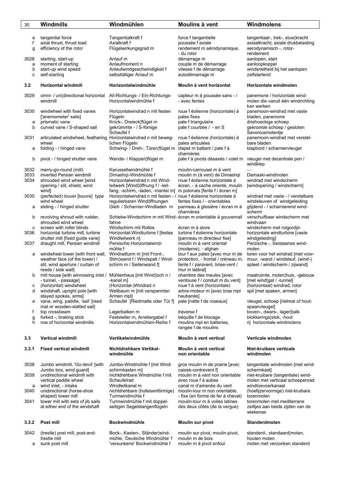| 30                   | Windmills                                                                                                                | Windmühlen                                                                                                                                              | Moulins à vent                                                                                                                                                    | Windmolens                                                                                                     |
|----------------------|--------------------------------------------------------------------------------------------------------------------------|---------------------------------------------------------------------------------------------------------------------------------------------------------|-------------------------------------------------------------------------------------------------------------------------------------------------------------------|----------------------------------------------------------------------------------------------------------------|
| e<br>f<br>g          | tangential force<br>axial thrust, thrust load<br>efficiency of the rotor                                                 | Tangentialkraft f<br>Axialkraft f<br>Flügelwirkungsgrad m                                                                                               | force f tangentielle<br>poussée f axiale<br>rendement m aérodynamique,                                                                                            | tangentiaal-, trek-, stuw¦kracht<br>axiaalkracht, axiale drukbelasting<br>aerodynamisch -, rotor-              |
| 3028<br>a<br>b<br>C  | starting, start-up<br>moment of starting<br>start-up wind speed<br>self-starting                                         | Anlauf m<br>Anlaufmoment n<br>Anlaufwindgeschwindigkeit f<br>selbsttätiger Anlauf m                                                                     | - du rotor<br>démarrage m<br>couple m de démarrage<br>vitesse f de démarrage<br>autodémarrage m                                                                   | rendement<br>aanlopen, start<br>aanloopkoppel<br>windsnelheid bij het aanlopen<br>zelfstartend                 |
| 3.2                  | Horizontal windmill                                                                                                      | Horizontalwindmühle                                                                                                                                     | Moulin à vent horizontal                                                                                                                                          | Horizontale windmolen                                                                                          |
| 3029                 | omni- / uni¦directional horizontal<br>windmill                                                                           | All-Richtungs- / Ein-Richtungs-<br>Horizontalwindmühle f                                                                                                | capteur m à poussée sans - /<br>- avec fentes                                                                                                                     | panemone / horizontale wind-<br>molen die vanuit één windrichting<br>kan werken                                |
| 3030<br>a            | windwheel with fixed vanes<br>['anemometer' sails]<br>prismatic vane                                                     | Horizontalwindrad n mit festen<br>Flügeln<br>Knick-, Dreieck¦flügel m                                                                                   | roue f éolienne (horizontale) à<br>pales fixes<br>pale f triangulaire                                                                                             | panemoon-windrad met vaste<br>bladen, panemone<br>driehoeckige schoep                                          |
| b                    | curved vane / S-shaped sail                                                                                              | gekrümmte - / S-fömige<br>Schaufel f                                                                                                                    | pale f courbée / - en S                                                                                                                                           | gekromde schoep / gesloten<br>Savoniusmolentje                                                                 |
| 3031                 | articulated windwheel, feathering Horizontalwindrad n mit beweg-<br>wheel                                                | lichen Flügeln                                                                                                                                          | roue f éolienne (horizontale) à<br>pales articulées                                                                                                               | panemoon-windrad met verstel-<br>bare bladen                                                                   |
| а                    | folding - / hinged vane                                                                                                  | Schwing- / Dreh-, Türen¦flügel m clapet m battant / pale f à                                                                                            | charnières                                                                                                                                                        | klapbord / scharniervleugel                                                                                    |
| b                    | pivot - / hinged shutter vane                                                                                            | Wende- / Klappen¦flügel m                                                                                                                               | pale f à pivots désaxés / volet m                                                                                                                                 | vleugel met decentrale pen /<br>windklep                                                                       |
| 3032<br>3033<br>3034 | merry-go-round (mill)<br>inverted Persian windmill<br>shrouded wind wheel [wind<br>opening / slit, shield, wind<br>wind] | Karussellwindmühle f<br>Dimashqi-Windmühle f<br>Horizontalwindrad n mit Wind-<br>leitwerk [Wind¦öffnung f / -leit-<br>fang, -schirm, -laden, -mantel m] | moulin-carrousel m à vent<br>moulin m (à vent) de Dimashqi<br>roue f éolienne horizontale à<br>écran, - à cache orienté, moulin<br>m polonais [fente f / écran m] | Damaski-windmolen<br>windrad met windscherm<br>[windopening / windscherm]                                      |
| 3035<br>а            | (perfected) louver [louvre] type<br>wind wheel<br>sliding - / hinged shutter                                             | Horizontalwindrad n mit festen - / roue f éolienne horizontale à<br>regulierbaren Windöffnungen<br>Gleit- / Scharnier-Windladen m                       | fentes fixes / - orientables<br>panneau à glissière / écran m à<br>charnières                                                                                     | windrad met vaste - / verstelbare<br>windsleuven of windgeleiding<br>glijdend - / scharnierend wind-<br>scherm |
| b                    | revolving shroud with rudder,<br>shrouded wind wheel                                                                     | Schiebe-Windschirm m mit Wind- écran m orientable à gouvernail<br>fahne<br>Windschirm mit Rollos                                                        |                                                                                                                                                                   | verschuifbaar windscherm met<br>windvaan                                                                       |
| c<br>3036            | screen with roller blinds<br>horizontal turbine mill, turbine<br>shutter mill [fixed guide vane]                         | Horizontal-Windturbine f [festes<br>Windleitwerk n]                                                                                                     | écran m à store<br>turbine f éolienne horizontale<br>[panneau m directeur fixe]                                                                                   | windscherm met rolgordijn<br>horizontale windturbine [vaste<br>windgeleiding]                                  |
| 3037<br>a            | draught mill, Persian windmill<br>windwheel tower [with front wall,                                                      | Persische Horizontalwind-<br>mühle f<br>Windradturm m [mit Front-,                                                                                      | moulin m à vent oriental<br>(moderne), - afghan<br>tour f aux pales [avec mur m de                                                                                | Perzische -, Seistaanse wind-<br>molen<br>toren voor het windrad [met voor-                                    |
|                      | weather face (of the tower) /<br>slit, wind aperture / curtain of<br>reeds / side wall]                                  | Stirn¦wand f / Windspalt / Wind-<br>schirm m / Seitenwand f]                                                                                            | protection, - frontal / créneau m,<br>fente f / paravent, brise-vent /<br>mur m latéral]                                                                          | muur, -wand / windsleuf, (wind-)<br>spleet / windscherm / zijwand]                                             |
| b                    | mill house [with winnowing inlet / Mühlenhaus [mit Wind loch n /<br>- tunnel, - passage]                                 | -kanal m]                                                                                                                                               | chambre des meules [avec<br>ventouse f / conduit m du vent]                                                                                                       | maalruimte, molen¦huis, -gebouw<br>[met wind gat / -tunnel]                                                    |
| с<br>d               | (horizontal) windwheel<br>windshaft, upright pole [with<br>stayed spokes, arms]                                          | (Horizontal-)Windrad n<br>Wellbaum m [mit verspannten<br>Armen mpl]                                                                                     | roue f à vent (horizontale)<br>arbre-moteur m [avec bras mpl<br>haubanés]                                                                                         | (horizontaal) windrad, rotor<br>spil [met spaken, armen]                                                       |
| е                    | vane, wing, paddle, 'sail' [reed<br>mat or wooden-slatted sail]                                                          | Schaufel [Riedmatte oder Tür f]                                                                                                                         | pale [natte f de roseaux]                                                                                                                                         | vleugel, schoep [rietmat of hout-<br>spaanvleugel]                                                             |
| f<br>g<br>h          | top crossbeam<br>forked -, braking stick<br>row of horizontal windmills                                                  | Lagerbalken m<br>Feststeller m, Arretiergabel f<br>Horizontalwindmühlen-Reihe f                                                                         | traverse f<br>béquille f de blocage<br>moulins mpl en batteries,<br>rangée f de moulins                                                                           | boven-, dwars-, lager¦balk<br>blokkerings¦stok, -hout<br>rij horizontale windmolens                            |
| 3.3                  | <b>Vertical windmill</b>                                                                                                 | Vertikalwindmühle                                                                                                                                       | Moulin à vent vertical                                                                                                                                            | Verticale windmolen                                                                                            |
| 3.3.1                | <b>Fixed vertical windmill</b>                                                                                           | Nichtdrehbare Vertikal-<br>windmühle                                                                                                                    | Moulin à vent vertical<br>non orientable                                                                                                                          | Niet-kruibare verticale<br>windmolen                                                                           |
| 3038                 | Jumbo windmill, 'Go-devil' [with<br>Jumbo box, wind guard]                                                               | Jumbo-Windmühle f [mit Wind-<br>schirmkasten m]                                                                                                         | gros moulin m de prairie [avec<br>caisse-contrevent f                                                                                                             | tangentiale windmolen [met wind-<br>schermkast                                                                 |
| 3039                 | unidirectional windmill with<br>vertical paddle wheel                                                                    | nichtdrehbare Windmühle f mit<br>Schaufelrad                                                                                                            | moulin m à vent non orientable<br>avec roue f à aubes                                                                                                             | niet-kruibare (tangentiale) wind-<br>molen met verticaal schoepenrad                                           |
| а<br>3040            | wind inlet, - intake<br>unidirectional (horse-shoe<br>shaped) tower mill                                                 | Windleitkanal m<br>nichtdrehbare (hufeisenförmige)<br>Turmwindmühle f                                                                                   | canal m d'amenée du vent<br>moulin-tour m non orientable,<br>- fixe (en forme de fer à cheval)                                                                    | windtoevoerkanaal<br>(hoefijzervormige) niet-kruibare<br>torenmolen                                            |
| 3041                 | tower mill with sets of jib sails<br>at either end of the windshaft                                                      | Turmwindmühle f mit doppel-<br>seitigen Segelstangenflügeln                                                                                             | moulin-tour m à voiles latines<br>des deux côtés (de la vergue)                                                                                                   | torenmolen met mediterrane<br>zeiltjes aan beide zijden van de<br>wiekenas                                     |
| 3.3.2                | Post mill                                                                                                                | Bockwindmühle                                                                                                                                           | Moulin sur pivot                                                                                                                                                  | Standerdmolen                                                                                                  |

- 3042 (trestle) post mill, post-and- Bock-, Kasten-, Ständer¦wind- moulin sur pivot, moulin-pivot, standerd-, standaard¦molen, trestle mill mühle, 'Deutsche Windmühle' f moulin m de bois houten molen
	-

a sunk post mill 'versunkene' Bockwindmühle f moulin m à pivot enfoui molen met verzonken standerd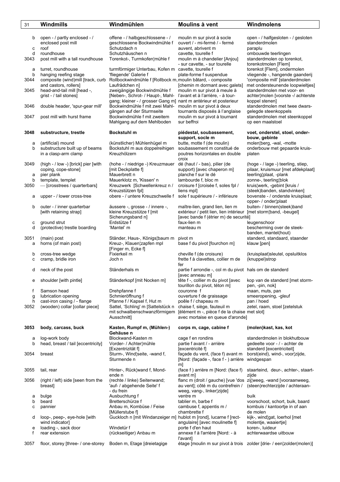| 31                     | Windmills                                                                                                                                                          | Windmühlen                                                                                                                                                                                                  | Moulins à vent                                                                                                                                                                         | Windmolens                                                                                                                                                                                                                        |
|------------------------|--------------------------------------------------------------------------------------------------------------------------------------------------------------------|-------------------------------------------------------------------------------------------------------------------------------------------------------------------------------------------------------------|----------------------------------------------------------------------------------------------------------------------------------------------------------------------------------------|-----------------------------------------------------------------------------------------------------------------------------------------------------------------------------------------------------------------------------------|
| b<br>с<br>d<br>3043    | open - / partly enclosed - /<br>enclosed post mill<br>roof<br>roundhouse<br>post mill with a tall roundhouse                                                       | offene - / halbgeschlossene - /<br>geschlossene Bockwindmühle f<br>Schutzdach n<br>Schutzhäuschen n<br>Torenkot-, Turmkofen¦mühle f                                                                         | moulin m sur pivot à socle<br>ouvert / - mi-fermé / - fermé<br>auvent, abrivent m<br>cavette, tourelle f<br>moulin m à chandelier [Anjou]                                              | open - / halfgesloten - / gesloten<br>standerdmolen<br>paraplu<br>ombouwde teerlingen<br>standerdmolen op torenkot.                                                                                                               |
| a<br>b<br>3044<br>3045 | turret, roundhouse<br>hanging reefing stage<br>composite (wind)mill [track, curb<br>and castors, rollers]<br>head-and-tail mill [head -,<br>grist - / tail stones] | turmförmiger Unterbau, Kofen m<br>'fliegende' Galerie f<br>Rollbockwindmühle f [Rollbock m, moulin bâtard, - composite<br>Laufrädchen n]<br>zweigängige Bockwindmühle f<br>[Neben-, Schrot- / Haupt-, Mahl- | - sur cavette, - sur tourelle<br>cavette, tourelle f<br>plate-forme f suspendue<br>[chemin m dormant avec galets]<br>moulin m sur pivot à meule à<br>l'avant et à l'arrière, - à tour- | torenkotmolen [Flem]<br>torenkot [Flem], ondermolen<br>vliegende -, hangende gaanderij<br>'composite mill' [standerdmolen<br>met ondersteunende loopwieltjes]<br>standerdmolen met voor- en<br>achter¦molen [voorste -/ achterste |
| 3046                   | double header, 'spur-gear mill'                                                                                                                                    | gang; kleiner - / grosser Gang m] nant m antérieur et posterieur<br>Bockwindmühle f mit zwei Mahl-<br>gängen auf der Sturmseite                                                                             | moulin m sur pivot à deux<br>tournants disposés à l'anglaise                                                                                                                           | koppel stenen]<br>standerdmolen met twee dwars-<br>gelegde steenkoppels                                                                                                                                                           |
| 3047                   | post mill with hurst frame                                                                                                                                         | Bockwindmühle f mit zweitem<br>Mahlgang auf dem Mehlboden                                                                                                                                                   | moulin m sur pivot à tournant<br>sur beffroi                                                                                                                                           | standerdmolen met steenkoppel<br>op een maalstoel                                                                                                                                                                                 |
| 3048                   | substructure, trestle                                                                                                                                              | <b>Bockstuhl</b> m                                                                                                                                                                                          | piédestal, soubassement,<br>support, socle m                                                                                                                                           | voet, onderstel, stoel, onder-<br>bouw, gebinte                                                                                                                                                                                   |
| а<br>b                 | (artificial) mound<br>substructure built up of beams<br>in a clasp-arm clamp                                                                                       | (künstlicher) Mühlenhügel m<br>Bockstuhl m aus doppelreihigen<br>Kreuzhölzern                                                                                                                               | butte, motte f (de moulin)<br>soubassement m constitué de<br>poutres horizontales en double<br>croix                                                                                   | molen¦berg, -wal, -motte<br>onderbouw met gepaarde kruis-<br>platen                                                                                                                                                               |
| 3049<br>а<br>b<br>3050 | (high - / low -) [brick] pier [with<br>coping, cope-stone]<br>pier plank<br>template, templet<br>- [crosstrees / quarterbars]                                      | (hohe - / niedrige -) Kreuzmauer<br>[mit Deckplatte f]<br>Mauerbrett n<br>Mauerklotz m, 'Kissen' n<br>Kreuzwerk [Schwellenkreuz n /                                                                         | dé (haut / - bas), pilier (de<br>support) [avec chaperon m]<br>planche f sur le dé<br>lambourde f, bloc m<br>croisure f [croisée f, soles fpl /                                        | (hoge - / lage -) teerling, stiep,<br>pilaar, kruismuur [met afdekplaat]<br>teerling   plaat, -plank<br>zonne-, teerling¦blok<br>kruis¦werk, -gebint [kruis /                                                                     |
| а                      | upper - / lower cross-tree                                                                                                                                         | Kreuzstützen fpl]<br>obere - / untere Kreuzschwelle f                                                                                                                                                       | liens mpl]<br>sole f supérieure / - inférieure                                                                                                                                         | (steek)banden, standvinken]<br>bovenste - / onderste kruisplaat;<br>opper- / onder plaat                                                                                                                                          |
| b                      | outer - / inner quarterbar<br>[with retaining strap]                                                                                                               | äussere -, grosse - / innere -,<br>kleine Kreuzstütze f [mit<br>Sicherungsband n]                                                                                                                           | maître-lien, grand lien, lien m<br>extérieur / petit lien, lien intérieur [met storm¦band, -beugel]<br>[avec bande f (étrier m) de securité]                                           | buiten- / binnen(steek)band                                                                                                                                                                                                       |
| с<br>d                 | ground strut<br>(protective) trestle boarding                                                                                                                      | Erdstütze f<br>'Mantel' m                                                                                                                                                                                   | faux-lien m<br>manteau m                                                                                                                                                               | leugenschoor<br>bescherming over de steek-<br>banden, mantel(hout)                                                                                                                                                                |
| 3051<br>а              | (main) post<br>horns (of main post)                                                                                                                                | Ständer, Haus-, Königs¦baum m<br>Kreuz-, Klauen¦zapfen mpl<br>[Finger m, Ecke f]                                                                                                                            | pivot m<br>base f du pivot [fourchon m]                                                                                                                                                | standerd, standaard, staander<br>klauw [pen]                                                                                                                                                                                      |
| b<br>C                 | cross-tree wedge<br>cramp, bridle iron                                                                                                                             | Fixierkeil m<br>Joch n                                                                                                                                                                                      | cheville f (de croisure)<br>frette f à clavettes, collier m de<br>fer                                                                                                                  | (kruisplaat) sleutel, opsluitklos<br>(knuppel)strop                                                                                                                                                                               |
| d                      | neck of the post                                                                                                                                                   | Ständerhals m                                                                                                                                                                                               | partie f arrondie -, col m du pivot hals om de standerd<br>[avec anneau m]                                                                                                             |                                                                                                                                                                                                                                   |
| e                      | shoulder [with pintle]                                                                                                                                             | Ständerkopf [mit Nocken m]                                                                                                                                                                                  | tête f -, collier m du pivot [avec<br>tourillon du pivot, téton m]                                                                                                                     | kop van de standerd [met storm-<br>pen, -pin, nok]                                                                                                                                                                                |
| f<br>g<br>h<br>3052    | Samson head<br>lubrication opening<br>cast-iron casing / - flange<br>(wooden) collar [collar piece]                                                                | Drehpfanne f<br>Schmieröffnung f<br>Pfanne f / Kapsel f, Hut m<br>Sattel, 'Schling' m [Sattelstück n<br>mit schwalbenschwanzförmigem<br>Ausschnitt]                                                         | couronne f<br>ouverture f de graissage<br>poêle f / chapeau m<br>chaise f, siège, fauteuil m<br>[élément m -, pièce f de la chaise met slot]<br>avec mortaise en queue d'aronde]       | maan, muts, pan<br>smeeropening, -gleuf<br>pan / hoed<br>zetel, raam, stoel [zetelstuk                                                                                                                                            |
| 3053                   | body, carcass, buck                                                                                                                                                | Kasten, Rumpf m, (Mühlen-)<br>Gehäuse n                                                                                                                                                                     | corps m, cage, cabine f                                                                                                                                                                | (molen)kast, kas, kot                                                                                                                                                                                                             |
| а<br>b                 | log-work body<br>head, breast / tail [eccentricity]                                                                                                                | Blockwand-Kasten m<br>Vorder- / Achter¦mühle                                                                                                                                                                | cage f en rondins<br>partie f avant / - arrière                                                                                                                                        | standerdmolen in blokhutbouw<br>gedeelte voor - / - achter de                                                                                                                                                                     |
| 3054                   | breast                                                                                                                                                             | [Exzentrizität f]<br>Sturm-, Wind¦seite, -wand f,<br>Sturmende n                                                                                                                                            | [excentricité f]<br>façade du vent, (face f) avant m<br>[Nord: (façade -, face f - ) arrière windgespan<br>m                                                                           | standerd [excentriciteit]<br>borst(eind), wind-, voor¦zijde,                                                                                                                                                                      |
| 3055                   | tail, rear                                                                                                                                                         | Hinter-, Rück¦wand f, Mond-<br>ende n                                                                                                                                                                       | (face f) arrière m [Nord: (face f)<br>avant m]                                                                                                                                         | staarteind, deur-, achter-, staart-<br>zijde                                                                                                                                                                                      |
| 3056                   | (right / left) side [seen from the<br>breast]                                                                                                                      | (rechte / linke) Seitenwand;<br>'auf- / abgehende Seite' f<br>- du frein                                                                                                                                    | flanc m (droit / gauche) [vue 'dos zij weeg, -wand [vooraanweeg,<br>au vent]; côté m du contrefrein /<br>weeg, vang-, linker¦zijde]                                                    | (steen)rechterzijde / achteraan-                                                                                                                                                                                                  |
| а<br>b                 | bulge<br>beard                                                                                                                                                     | Ausbuchtung f<br>Bretterschürze f                                                                                                                                                                           | ventre m<br>tablier m, barbe f                                                                                                                                                         | buik<br>voorschoot, schort, buik, baard                                                                                                                                                                                           |
| c                      | pannier                                                                                                                                                            | Anbau m, Kombüse / Feise<br>[Müllerstube f]                                                                                                                                                                 | cambuse f, appentis m /<br>chambrette f                                                                                                                                                | kombuis / kantoortje in of aan<br>de molen                                                                                                                                                                                        |
| d<br>e                 | loop-, peep-, eye-hole [with]<br>wind indicator]<br>loading -, sack door                                                                                           | Guckloch n [mit Windanzeiger m] hublot m [rond], lucarne f [rect-<br>Windetür f                                                                                                                             | angulaire] [avec moulinette f]<br>porte f d'en haut                                                                                                                                    | kijk-, wind¦gat, loerhol [met<br>molentje, waaiertje]<br>koren-, luideur                                                                                                                                                          |
| f                      | rear extension                                                                                                                                                     | (rückseitiger) Anbau m                                                                                                                                                                                      | annexe f à l'arrière [Nord: - à<br>l'avant]                                                                                                                                            | achterwaardse uitbouw                                                                                                                                                                                                             |
| 3057                   | floor, storey [three- / one-storey                                                                                                                                 | Boden m, Etage [dreietagige                                                                                                                                                                                 | étage [moulin m sur pivot à trois zolder [drie- / een  zolder(molen)]                                                                                                                  |                                                                                                                                                                                                                                   |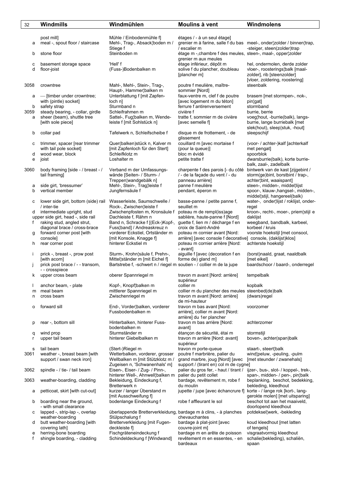| 32           | Windmills                                                        | Windmühlen                                                           | Moulins à vent                                                                    | Windmolens                                                                |
|--------------|------------------------------------------------------------------|----------------------------------------------------------------------|-----------------------------------------------------------------------------------|---------------------------------------------------------------------------|
|              |                                                                  |                                                                      |                                                                                   |                                                                           |
|              | post mill]                                                       | Mühle / Einbodenmühle f]                                             | étages / - à un seul étage]                                                       |                                                                           |
| а            | meal -, spout floor / staircase                                  | Mehl-, Trag-, Absack¦boden m /                                       |                                                                                   | grenier m à farine, salle f du bas meel-, onder   zolder / binnen   trap, |
|              |                                                                  | Stiege f                                                             | / escalier m                                                                      | -steiger, steen(zolder)trap                                               |
| b            | stone floor                                                      | Steinboden m                                                         | étage m -, chambre f des meules, steen-, maal-, opper aolder                      |                                                                           |
|              |                                                                  |                                                                      | grenier m aux meules<br>étage inférieur, dépôt m                                  |                                                                           |
| с<br>d       | basement storage space<br>floor-joist                            | 'Hell' f<br>(Fuss-)Bodenbalken m                                     | solive f du plancher, doubleau                                                    | hel, ondermolen, derde zolder<br>vloer-, roosterings¦balk [maal-          |
|              |                                                                  |                                                                      | [plancher m]                                                                      | zolder], rib [steenzolder]                                                |
|              |                                                                  |                                                                      |                                                                                   | [vloer, zoldering, roostering]                                            |
| 3058         | crowntree                                                        | Mahl-, Mehl-, Stein-, Trag-,                                         | poutre f meulière, maître-                                                        | steenbalk                                                                 |
|              |                                                                  | Haupt-, Hammer¦balken m                                              | sommier [Nord]                                                                    |                                                                           |
| а            | - [timber under crowntree;                                       | Unterblattung f [mit Zapfen-                                         | faux-ventre m, clef f de poutre                                                   | brasem [met stormpen-, nok-,                                              |
|              | with (pintle) socket]                                            | local n<br>Sturmband n                                               | [avec logement m du téton]                                                        | pin¦gat]<br>stormband                                                     |
| b<br>3059    | safety strap<br>steady bearing, - collar, girdle                 | Schleifrahmen m                                                      | ferrure f antirenversement<br>civière f                                           | burrie, berrie                                                            |
| a            | sheer (beam), shuttle tree                                       | Sattel-, Fug¦balken m, Wende-                                        | tratte f, sommier m de civière                                                    | voeg¦hout, -burrie(balk), langs-                                          |
|              | [with sole piece]                                                | leiste f [mit Sohlstück n]                                           | [avec semelle f]                                                                  | burrie, lange burriebalk [met                                             |
|              |                                                                  |                                                                      |                                                                                   | slek(hout), sleep¦stuk, -hout]                                            |
| b            | collar pad                                                       | Tafelwerk n, Schleifscheibe f                                        | disque m de frottement, - de                                                      | sleepschijf                                                               |
|              | trimmer, spacer [rear trimmer                                    | Quer(balken)stück n, Kalver m                                        | glissement<br>couillard m [avec mortaise f                                        | (voor- / achter-)kalf [achterkalf                                         |
| с            | with tail pole socket]                                           | [mit Zapfenloch für den Stert]                                       | (pour la queue)]                                                                  | met pengat]                                                               |
| d            | wood wear, block                                                 | Schleifklotz m                                                       | bloc m évidé                                                                      | spoorblok                                                                 |
| е            | joist                                                            | Loshalter m                                                          | petite tratte f                                                                   | dwarsburrie(balk), korte burrie-                                          |
|              |                                                                  |                                                                      |                                                                                   | balk, zaal-, zadelbalk                                                    |
| 3060         | body framing [side - / breast - /                                | Verband m der Umfassungs-                                            | charpente f des parois [- du côté                                                 | bintwerk van de kast [zijgebint /                                         |
|              | tail framing]                                                    | wände [Seiten- / Sturm- /                                            | / - de la façade du vent / - du<br>panneau arrière]                               | storm(ge)bint, borstbint / trap-,                                         |
| а            | side girt, 'bressumer'                                           | Treppen¦wandgebälk n]<br>Mehl-, Stein-, Trag¦leiste f                | panne f meulière                                                                  | achter¦bint, waaispant]<br>steen-, midden-, middel¦lijst                  |
| b            | vertical member                                                  | Jungfernsäule f                                                      | pendant, éperon m                                                                 | spoor-, klauw-, hangsel-, midden-,                                        |
|              |                                                                  |                                                                      |                                                                                   | middel¦stijl, hangereel(balk)                                             |
| с            | lower side girt, bottom (side) rail                              | Wasserleiste, Saumschwelle /                                         | basse-panne / petite panne f,                                                     | water-, onder¦lijst / roklijst, onder-                                    |
|              | / inter-tie                                                      | Rock-, Zwischen¦leiste f                                             | seuillet m                                                                        | regel                                                                     |
| d            | intermediate upright, stud                                       | Zwischenpfosten m, Kronsäule f<br>Dachleiste f, Rähm n               | poteau m de rempl(iss)age                                                         | kroon-, recht-, moer-, priem¦stijl e                                      |
| f            | upper side girt, head -, side rail<br>raking stud, angled strut, | Band n, Schracke f [(Eck-)Kopf-,                                     | sablière, haute-panne f [Nord]<br>guette f, lien m / décharge f en                | daklijst<br>weegband, bandbalk, karbeel,                                  |
|              | diagonal brace / cross-brace                                     | Fuss¦band] / Andreaskreuz n                                          | croix de Saint-André                                                              | korbeel / kruis                                                           |
| g            | forward corner post [with                                        | vorderer Eckstiel, Ortständer m                                      | poteau m cornier avant [Nord:                                                     | voorste hoekstijl [met consool,                                           |
|              | console]                                                         | [mit Konsole, Knagge f]                                              | arrière] [avec console f decorative] console, (daklijst)klos]                     |                                                                           |
| h            | rear corner post                                                 | hinterer Eckstiel m                                                  | poteau m cornier arrière [Nord:                                                   | achterste hoekstijl                                                       |
| Ť            | prick -, breast -, prow post                                     | Sturm-, Krohn¦säule f, Prehn-,                                       | - avant]<br>aiguille f [avec (decoration f en                                     | (borst)naald, graat, naaldbalk                                            |
|              | [with acorn]                                                     | Mittel¦ständer m [mit Eichel f]                                      | forme de) gland m]                                                                | [met eikel]                                                               |
| $\mathbf{I}$ | prick post brace / - - transom,                                  | Bartstrebe f, -schwert n / riegel m soutien - / collier m de la jupe |                                                                                   | baardschoor / baard-, onderregel                                          |
|              | --crosspiece                                                     |                                                                      |                                                                                   |                                                                           |
| k.           | upper cross beam                                                 | oberer Spannriegel m                                                 | travon m avant [Nord: arrière]                                                    | tempelbalk                                                                |
|              |                                                                  | Kopf-, Knopf¦balken m                                                | supérieur<br>collier m                                                            | kopbalk                                                                   |
| m            | anchor beam, - plate<br>meal beam                                | mittlerer Spannriegel m                                              | collier m du plancher des meules steenbed(de)balk                                 |                                                                           |
| n            | cross beam                                                       | Zwischenriegel m                                                     | travon m avant [Nord: arrière]                                                    | (dwars) regel                                                             |
|              |                                                                  |                                                                      | de mi-hauteur                                                                     |                                                                           |
| о            | forward sill                                                     | End-, Vorder¦balken, vorderer                                        | travon m bas avant [Nord:                                                         | voorzomer                                                                 |
|              |                                                                  | Fussbodenbalken m                                                    | arrière], collier m avant [Nord:                                                  |                                                                           |
| p            | rear -, bottom sill                                              | Hinterbalken, hinterer Fuss-                                         | arrière] du 1er plancher<br>travon m bas arrière [Nord:                           | achterzomer                                                               |
|              |                                                                  | bodenbalken m                                                        | avant]                                                                            |                                                                           |
| q            | wind prop                                                        | Sturmständer m                                                       | étançon de sécurité, étai m                                                       | stormstijl                                                                |
| r            | upper tail beam                                                  | hinterer Giebelbalken m                                              | travon m arrière [Nord: avant]                                                    | boven-, achter(span)balk                                                  |
|              |                                                                  |                                                                      | supérieur                                                                         |                                                                           |
| s<br>3061    | tail beam<br>weather -, breast beam [with                        | (Stert-)Riegel m<br>Wetterbalken, vorderer, grosser                  | travon m porte-queue<br>poutre f marbrière, palier du                             | staart-, steert¦balk<br>wind¦peluw, -peuling, -pulm                       |
|              | support / swan neck iron]                                        | Wellbalken m [mit Stützklotz m /                                     | grand marbre, joug [Nord] [avec                                                   | [met steunder / zwanehals]                                                |
|              |                                                                  | Zugeisen n, 'Schwanenhals' m]                                        | support / (tirant en) col m de cygne]                                             |                                                                           |
| 3062         | spindle - / tie- / tail beam                                     | Eisen-, Eiser- / Zug- / Pinn-,                                       | palier du gros fer, - haut / tirant /                                             | ijzer-, bus-, slot- / koppel-, trek-,                                     |
|              |                                                                  | hinterer Well-, Ahnwell¦balken m                                     | palier du petit collet                                                            | span-, midden- / pen-, pin¦balk                                           |
| 3063         | weather-boarding, cladding                                       | Bekleidung, Eindeckung f,                                            | bardage, revêtement m, robe f                                                     | beplanking, beschot, bedekking,                                           |
|              | petticoat, skirt [with cut-out]                                  | Bretterwerk n<br>kurzer / langer Überstand m                         | du moulin<br>jupette / jupe [avec échancrure f] korte - / lange rok [kort-, lang- | bekleding, kleedhout                                                      |
| а            |                                                                  | [mit Ausschweifung f]                                                |                                                                                   | gerokte molen] [met uitsparing]                                           |
| b            | boarding near the ground,                                        | bodenlange Eindeckung f                                              | robe f affleurant le sol                                                          | beschot tot aan het maaiveld,                                             |
|              | - with small clearance                                           |                                                                      |                                                                                   | doorlopend kleedhout                                                      |
| с            | lapped -, strip-lap -, overlap                                   | überlappende Bretterverkleidung, bardage m à clins, - à planches     |                                                                                   | potdeksel¦werk, -bekleding                                                |
|              | weather-boarding                                                 | Stülpschalung f                                                      | chevauchantes                                                                     |                                                                           |
| d            | butt weather-boarding [with<br>covering lath]                    | Bretterverkleidung [mit Fugen-<br>deckleiste f]                      | bardage à plat-joint [avec<br>couvre-joint m]                                     | koud kleedhout [met latten<br>of tengels]                                 |
| е            | herring-bone boarding                                            | Fischgräteneindeckung f                                              | bardage m en arête de poisson                                                     | visgraatvormig kleedhout                                                  |
| f            | shingle boarding, - cladding                                     | Schindeldeckung f [Windwand]                                         | revêtement m en essentes, - en                                                    | schalie(bekleding), schaliën,                                             |
|              |                                                                  |                                                                      | bardeaux                                                                          | spaan                                                                     |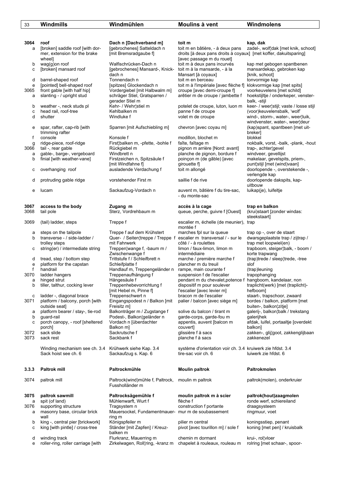| 33        | Windmills                                             | Windmühlen                                                                         | Moulins à vent                                                   | Windmolens                                                    |
|-----------|-------------------------------------------------------|------------------------------------------------------------------------------------|------------------------------------------------------------------|---------------------------------------------------------------|
|           |                                                       |                                                                                    |                                                                  |                                                               |
|           |                                                       |                                                                                    |                                                                  |                                                               |
| 3064      | roof                                                  | Dach n [Dachverband m]                                                             | toit m                                                           | kap, dak                                                      |
| a         | [broken] saddle roof [with dor-                       | [gebrochenes] Satteldach n                                                         | toit m en bâtière, - à deux pans                                 | zadel-, wolf¦dak [met knik, schoot]                           |
|           | mer, extension for the brake                          | [mit Bremsradgaube f]                                                              | droits [à deux pans droits à coyaux] [met koffer, dakuitsparing] |                                                               |
| b         | wheel]<br>wag(g)on roof                               | Walfischrücken-Dach n                                                              | [avec passage m du rouet]<br>toit m à deux pans incurvés         | kap met gebogen spantbenen                                    |
| c         | [broken] mansard roof                                 | [gebrochenes] Mansard-, Knick-                                                     | toit m à la mansarde, - à la                                     | mansardekap, gebroken kap                                     |
|           |                                                       | dach n                                                                             | Mansart [à coyaux]                                               | [knik, schoot]                                                |
| d         | barrel-shaped roof                                    | Tonnendach n                                                                       | toit m en berceau                                                | tonvormige kap                                                |
| е         | [pointed] bell-shaped roof                            | [spitzes] Glockendach n                                                            | toit m à l'impériale [avec flèche f]                             | klokvormige kap [met spits]                                   |
| 3065      | front gable [with half hip]                           | Vordergiebel [mit Halbwalm m]<br>schräger Stiel, Gratsparren /                     | croupe [avec demi-croupe f]                                      | voorkeuvelens [met schild]                                    |
| а         | slanting - / upright stud                             | gerader Stiel m                                                                    | arêtier m de croupe / jambette f                                 | hoekstijltje / onderkeper, venster-<br>balk, -stijl           |
| b         | weather -, neck studs pl                              | Kehr- / Wehr¦stiel m                                                               | potelet de croupe, luton, luon m                                 | keer- / weer¦stijl; vaste / losse stijl                       |
| c         | head rail, roof-tree                                  | Kehlbalken m                                                                       | panne f de croupe                                                | (voor)keuvelensbalk, 'wolf'                                   |
| d         | shutter                                               | Windluke f                                                                         | volet m de croupe                                                | wind-, storm-, water-, weer¦luik,                             |
|           |                                                       |                                                                                    |                                                                  | windvenster, water-, weer¦deur                                |
| e         | spar, rafter, cap-rib [with<br>trimming rafter        | Sparren [mit Aufschiebling m]                                                      | chevron [avec coyau m]                                           | (kap) spant, spantbeen [met uit-<br>breker]                   |
| f         | console                                               | Konsole f                                                                          | modillon, blochet m                                              | blokkel                                                       |
| g         | ridge-piece, roof-ridge                               | First¦balken m, -pfette, -bohle f                                                  | faîte, faîtage m                                                 | nokbalk, vorst, -balk, -plank, -hout                          |
| 3066      | tail -, rear gable                                    | Rückgiebel m                                                                       | pignon m arrière [Nord: avant]                                   | trap-, achter¦gevel                                           |
| a         | gable-, barge-, vergeboard                            | Windbrett n                                                                        | planche de pignon, bordure f                                     | windveer, gevellijst                                          |
| b         | finial [with weather-vane]                            | Firstzeichen n, Spitzsäule f                                                       | poinçon m (de gâble) [avec                                       | makelaar, gevelspits, priem-,                                 |
|           | overhanging roof                                      | [mit Windfahne f]<br>ausladende Verdachung f                                       | girouette f<br>toit m allongé                                    | punt¦stijl [met (wind)vaan]<br>doorlopende -, overstekende -, |
| с         |                                                       |                                                                                    |                                                                  | verlengde kap                                                 |
| d         | protruding gable ridge                                | vorstehender First m                                                               | saillie f de rive                                                | doorlopende dakspits, kap-                                    |
|           |                                                       |                                                                                    |                                                                  | uitbouw                                                       |
| е         | lucam                                                 | Sackaufzug-Vordach n                                                               | auvent m, bâtière f du tire-sac,                                 | luikap(je), luifeltje                                         |
|           |                                                       |                                                                                    | - du monte-sac                                                   |                                                               |
| 3067      | access to the body                                    | Zugang m                                                                           | accès à la cage                                                  |                                                               |
| 3068      | tail pole                                             | Sterz, Vordrehbaum m                                                               | queue, perche, guivre f [Ouest]                                  | trap en balkon<br>(krui)staart [zonder windas:                |
|           |                                                       |                                                                                    |                                                                  | steekstaart]                                                  |
| 3069      | (tail) ladder, steps                                  | Treppe f                                                                           | escalier m, échelle (de meunier),                                | trap                                                          |
|           |                                                       |                                                                                    | montée f                                                         |                                                               |
| а         | steps on the tailpole                                 | Treppe f auf dem Krühstert                                                         | marches fpl sur la queue                                         | trap op -, over de staart                                     |
| b         | transverse - / side-ladder /<br>trolley steps         | Quer- / Seiten¦treppe / Treppe f escalier m transversal / - sur le<br>mit Fahrwerk | côté / - à roulettes                                             | dwarsgeplaatste trap / zijtrap /<br>trap met loopwiel(en)     |
| с         | string(er) / intermediate string                      | Treppen¦wange f, -baum m /                                                         | limon / faux-limon, limon m                                      | trapboom, steiger¦balk, - boom /                              |
|           |                                                       | Zwischenwange f                                                                    | intermédiaire                                                    | korte trapwang                                                |
| d         | tread, step / bottom step                             | Trittstufe f / Schleifbrett n                                                      | marche / première marche f                                       | (trap)trede / sleep¦trede, -tree                              |
| e         | platform for the capstan                              | Schleifplatte f                                                                    | plancher m du treuil                                             | slof                                                          |
| f<br>3070 | handrail<br>ladder hangers                            | Handlauf m, Treppengeländer n<br>Treppenaufhängung f                               | rampe, main courante f<br>suspension f de l'escalier             | (trap)leuning<br>trapophanging                                |
| а         | hinged strut                                          | Hängesäule f                                                                       | pendant m du chevalet,potence f hangboom, kandelaar, non         |                                                               |
| b         | tiller, talthur, cocking lever                        | Treppenhebevorrichtung f                                                           | dispositif m pour soulever                                       | traplicht(werk) [met (traplicht)-                             |
|           |                                                       | [mit Hebel m, Pinne f]                                                             | l'escalier [avec levier m]                                       | hefboom]                                                      |
| с         | ladder -, diagonal brace                              | Treppenschwert n                                                                   | bracon m de l'escalier                                           | staart-, trapschoor, zwaard                                   |
| 3071      | platform / balcony, porch [with]                      | Eingangspodest n / Balkon [mit                                                     | palier / balcon [avec siège m]                                   | bordes / balkon, platform [met<br>buiten-, balkon¦zitie]      |
| а         | outside seat]<br>platform bearer / stay-, tie-rod     | Freisitz m]<br>Balkonträger m / Zugstange f                                        | solive du balcon / tirant m                                      | galerij-, balkon¦balk / trekstang                             |
| b         | guard-rail                                            | Podest-, Balkon¦geländer n                                                         | garde-corps, garde-fou m                                         | qalerijhek                                                    |
| с         | porch canopy, - roof [sheltered                       | Vordach n [überdachter                                                             | appentis, auvent [balcon m                                       | afdak, luifel, portaaltje [overdekt                           |
|           | porch]                                                | Balkon m]                                                                          | couvert]                                                         | balkon]                                                       |
| 3072      | sack slide                                            | Sackrutsche f                                                                      | glissière f à sacs                                               | zakken-, glij¦goot, zakkenglijbaan                            |
| 3073      | sack rest                                             | Sackbank f                                                                         | planche f à sacs                                                 | zakkenezel                                                    |
|           | Winding mechanism see ch. 3.4 Krühwerk siehe Kap. 3.4 |                                                                                    | système d'orientation voir ch. 3.4 kruiwerk zie hfdst. 3.4       |                                                               |
|           | Sack hoist see ch. 6                                  | Sackaufzug s. Kap. 6                                                               | tire-sac voir ch. 6                                              | luiwerk zie hfdst. 6                                          |
|           |                                                       |                                                                                    |                                                                  |                                                               |
|           |                                                       |                                                                                    |                                                                  |                                                               |
| 3.3.3     | <b>Paltrok mill</b>                                   | Paltrockmühle                                                                      | <b>Moulin paltrok</b>                                            | Paltrokmolen                                                  |
| 3074      | paltrok mill                                          | Paltrock(wind)mühle f, Paltrock,                                                   | moulin m paltrok                                                 | paltrok(molen), onderkruier                                   |
|           |                                                       | Fussholländer m                                                                    |                                                                  |                                                               |
|           |                                                       |                                                                                    |                                                                  |                                                               |
| 3075      | paltrok sawmill                                       | Paltrocksägemühle f                                                                | moulin paltrok m à scier                                         | paltrok(hout)zaagmolen                                        |
| а         | spit (of land)                                        | Mühlenwarft, Wurt f                                                                | flèche f                                                         | ronde werf, schiereiland                                      |
| 3076      | supporting structure<br>masonry base, circular brick  | Tragsystem n<br>Mauersockel, Fundamentmauer- mur m de soubassement                 | construction f portante                                          | draagsysteem<br>ringmuur, voet                                |
| а         | wall                                                  | ring m                                                                             |                                                                  |                                                               |
| b         | king -, central pier [brickwork]                      | Königspfeiler m                                                                    | pilier m central                                                 | koningsstiep, penant                                          |
| c         | king [with pintle] / cross-tree                       | Ständer [mit Zapfen] / Kreuz-                                                      | pivot [avec tourillon m] / sole f                                | koning [met pen] / kruisbalk                                  |
|           |                                                       | balken m                                                                           |                                                                  |                                                               |
| d         | winding track                                         | Flurkranz, Mauerring m                                                             | chemin m dormant                                                 | krui-, rol¦vloer                                              |
| e         | roller-ring, roller carriage [with                    | Zirkelwagen, Roll¦ring, -kranz m                                                   | chapelet à rouleaux, rouleau m                                   | rolring [met schaar-, spoor-                                  |
|           |                                                       |                                                                                    |                                                                  |                                                               |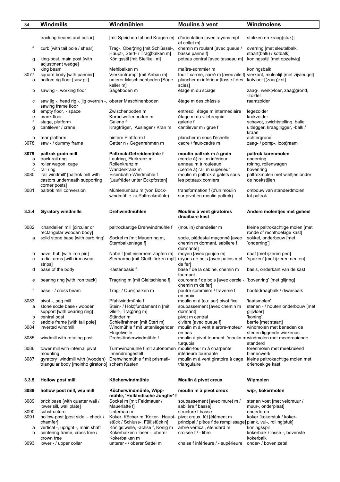| 34     | Windmills                                                           | Windmühlen                                                                  | Moulins à vent                                                                    | Windmolens                                                                |
|--------|---------------------------------------------------------------------|-----------------------------------------------------------------------------|-----------------------------------------------------------------------------------|---------------------------------------------------------------------------|
|        |                                                                     |                                                                             |                                                                                   |                                                                           |
|        | tracking beams and collar]                                          | [mit Speichen fpl und Kragen m]                                             | d'orientation [avec rayons mpl<br>et collet m]                                    | stokken en kraag(stuk)]                                                   |
| f      | curb [with tail pole / shear]                                       | Trag-, Ober¦ring [mit Schlüssel-,<br>Haupt-, Stert- / Trag¦balken m]        | chemin m roulant [avec queue /<br>basse panne fl                                  | overring [met sleutelbalk,<br>staart(balk) / kotbalk]                     |
| g      | king-post, main post [with<br>adjustment wedge]                     | Königsstil [mit Stellkeil m]                                                | poteau central [avec tasseau m]                                                   | koningsstijl [met opzetwig]                                               |
| h      | king beam                                                           | Mehlbalken m                                                                | maître-sommier m                                                                  | koningsbalk                                                               |
| 3077   | square body [with pannier]                                          | Vierkantrumpf [mit Anbau m]                                                 |                                                                                   | tour f carrée, carré m [avec aile f] vierkant, molenlijf [met zijvleugel] |
| а      | bottom rig floor [saw pit]                                          | unterer Maschinenboden [Säge-                                               | plancher m inférieur [fosse f des kotvloer [(zaag)kot]                            |                                                                           |
| b      | sawing -, working floor                                             | keller m]<br>Sägeboden m                                                    | scies]<br>étage m du sciage                                                       | zaag-, werk¦vloer, zaag¦grond,                                            |
| с      | saw jig -, head rig -, jig overrun -, oberer Maschinenboden         |                                                                             | étage m des châssis                                                               | -zolder<br>raamzolder                                                     |
| d      | sawing frame floor<br>empty floor, - space                          | Zwischenboden m                                                             | entresol, étage m intermédiaire                                                   | legezolder                                                                |
| e      | crank floor                                                         | Kurbelwellenboden m                                                         | étage m du vilebrequin                                                            | krukzolder                                                                |
| f      | stage, platform                                                     | Galerie f                                                                   | galerie f                                                                         | schavot, zwichtstelling, balie                                            |
| g      | cantilever / crane                                                  | Kragträger, Ausleger / Kran m                                               | cantilever m / grue f                                                             | uitlegger, kraag¦ligger, -balk /<br>kraan                                 |
| h      | rear platform                                                       | hintere Plattform f                                                         | plancher m sous l'échelle                                                         | achtergrond                                                               |
| 3078   | saw - / dummy frame                                                 | Gatter n / Gegenrahmen m                                                    | cadre / faux-cadre m                                                              | zaag- / pomp-, loos¦raam                                                  |
| 3079   | paltrok grain mill                                                  | Paltrock-Getreidemühle f                                                    | moulin paltrok m à grain                                                          | paltrok korenmolen                                                        |
| а      | track rail ring                                                     | Laufring, Flurkranz m                                                       | (cercle à) rail m inférieur                                                       | onderring                                                                 |
| b      | roller wagon, cage                                                  | Rollenkranz m                                                               | anneau m à rouleaux                                                               | rolring, rollenwagen                                                      |
| c      | rail ring                                                           | Wanderkranz m                                                               | (cercle à) rail m supérieur                                                       | bovenring                                                                 |
| 3080   | 'rail windmill' [paltrok mill with<br>castors underneath supporting | Eisenbahn-Windmühle f<br>[Laufräder unter Eckpfosten]                       | moulin m paltrok à galets sous<br>les poteaux corniers                            | paltrokmolen met wieltjes onder<br>de hoekstijlen                         |
|        | corner posts]                                                       |                                                                             |                                                                                   |                                                                           |
| 3081   | paltrok mill conversion                                             | Mühlenumbau m (von Bock-<br>windmühle zu Paltrockmühle)                     | transformation f (d'un moulin                                                     | ombouw van standerdmolen                                                  |
|        |                                                                     |                                                                             | sur pivot en moulin paltrok)                                                      | tot paltrok                                                               |
|        |                                                                     |                                                                             |                                                                                   |                                                                           |
| 3.3.4  | <b>Gyratory windmills</b>                                           | Drehwindmühlen                                                              | Moulins à vent giratoires<br>draaibare kast                                       | Andere molentjes met geheel                                               |
|        |                                                                     |                                                                             |                                                                                   |                                                                           |
| 3082   | 'chandelier' mill [circular or                                      | paltrockartige Drehwindmühle f                                              | (moulin) chandelier m                                                             | kleine paltrokachtige molen [met                                          |
|        | rectangular wooden body]                                            |                                                                             |                                                                                   | ronde of rechthoekige kast]                                               |
| а      | solid stone base [with curb ring]                                   | Sockel m [mit Mauerring m,<br>Sternbalkenlage f]                            | socle, piédestal maçonné [avec<br>chemin m dormant, sablière f                    | sokkel, onderbouw [met<br>'onderring']                                    |
| b      | nave, hub [with iron pin]                                           | Nabe f [mit eisernem Zapfen m]                                              | dormante]<br>moyeu [avec goujon m]                                                | naaf [met ijzeren pen]                                                    |
| c      | radial arms [with iron wear                                         | Sternarme [mit Gleitblöcken mpl] rayons de bois [avec patins mpl            |                                                                                   | 'spaken' [met ijzeren neuten]                                             |
|        | strips]                                                             |                                                                             | de fer]                                                                           |                                                                           |
| d      | base of the body                                                    | Kastenbasis f                                                               | base f de la cabine, chemin m                                                     | basis, onderkant van de kast                                              |
|        |                                                                     |                                                                             | tournant                                                                          |                                                                           |
| е      | bearing ring [with iron track]                                      | Tragring m [mit Gleitschiene f]                                             | couronne f de bois [avec cercle -, 'bovenring' [met glijring]<br>chemin m de fer] |                                                                           |
| f      | base - / cross beam                                                 | Trag- / Quer¦balken m                                                       | poutre sommière / traverse f                                                      | hoofddraagbalk / dwarsbalk                                                |
| 3083   | pivot -, peg mill                                                   | Pfahlwindmühle f                                                            | en croix<br>moulin m à [ou: sur] pivot fixe                                       | 'taatsmolen'                                                              |
| a      | stone socle base / wooden                                           | Stein- / Holz¦fundament n [mit                                              | soubassement [avec chemin m                                                       | stenen - / houten onderbouw [met                                          |
|        | support [with bearing ring]                                         | Gleit-, Trag¦ring m]                                                        | dormant]                                                                          | glijvloer]                                                                |
| b      | central post                                                        | Ständer m                                                                   | pivot m central                                                                   | 'koning'                                                                  |
| c      | saddle frame [with tail pole]                                       | Schleifrahmen [mit Stert m]                                                 | civière [avec queue f]                                                            | berrie [met staart]                                                       |
| 3084   | inverted windmill                                                   | Windmühle f mit untenliegender                                              | moulin m à vent à arbre-moteur                                                    | windmolen met beneden de                                                  |
| 3085   | windmill with rotating post                                         | Flügelwelle<br>Drehständerwindmühle f                                       | en bas<br>moulin à pivot tournant, 'moulin m windmolen met meedraaiende           | stenen liggende wiekenas                                                  |
|        |                                                                     |                                                                             | turquois'                                                                         | standerd                                                                  |
| 3086   | tower mill with internal pivot<br>mounting                          | Turmwindmühle f mit autonomen moulin-tour m à charpente<br>Innendrehgestell | intérieure tournante                                                              | torenmolen met meekruiend<br>binnenwerk                                   |
| 3087   | gyratory windmill with (wooden)                                     | Drehwindmühle f mit prismati-                                               | moulin m à vent giratoire à cage                                                  | kleine paltrokachtige molen met                                           |
|        | triangular body [moinho giratorio] schem Kasten                     |                                                                             | triangulaire                                                                      | driehoekige kast                                                          |
|        |                                                                     |                                                                             |                                                                                   |                                                                           |
| 3.3.5  | Hollow post mill                                                    | Köcherwindmühle                                                             | Moulin à pivot creux                                                              | Wipmolen                                                                  |
| 3088   | hollow post mill, wip mill                                          | Köcherwindmühle, Wipp-<br>mühle, 'Holländische Jungfer' f                   | moulin m à pivot creux                                                            | wip-, kokermolen                                                          |
| 3089   | brick base [with quarter wall /<br>lower sill, wall plate]          | Sockel m [mit Feldmauer /<br>Mauerlatte f                                   | soubassement [avec muret m /<br>sablière f basse]                                 | stenen voet [met veldmuur /<br>muur-, onderplaat]                         |
| 3090   | substructure                                                        | Unterbau m                                                                  | structure f basse                                                                 | ondertoren                                                                |
| 3091   | hollow-post [post side, - check /                                   | Koker, Köcher m [Koker-, Haupt-                                             | pivot creux, fût [élément m                                                       | koker [kokerstuk / koker-                                                 |
|        | chamfer]                                                            | stück / Schluss-, Füll¦stück n]                                             | principal / pièce f de remplissage] plank, vul-, rolling¦stuk]                    |                                                                           |
| а<br>b | vertical -, upright -, main shaft<br>centering frame, cross tree /  | Königs¦welle, -achse f, König m<br>Kokerbalken / loser -, oberer            | arbre vertical, étendard m<br>croisée f / - libre                                 | koningsspil<br>kokerbalk / losse -, bovenste                              |
|        | crown tree                                                          | Kokerbalken m                                                               |                                                                                   | kokerbalk                                                                 |
| 3093   | lower - / upper collar                                              | unterer - / oberer Sattel m                                                 | chaise f inférieure / - supérieure                                                | onder- / boven¦zetel                                                      |
|        |                                                                     |                                                                             |                                                                                   |                                                                           |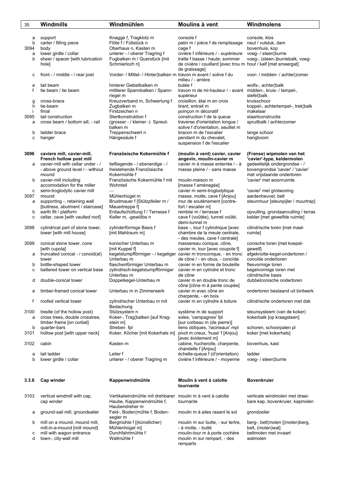| 35    | Windmills                         | Windmühlen                                                         | Moulins à vent                                                 | Windmolens                          |
|-------|-----------------------------------|--------------------------------------------------------------------|----------------------------------------------------------------|-------------------------------------|
|       |                                   |                                                                    |                                                                |                                     |
| а     | support                           | Knagge f, Tragklotz m                                              | console f                                                      | console, klos                       |
| b     | carter / filling piece            | Flöte f / Füllstück n                                              | patin m / pièce f de remplissage                               | neut / vulstuk, dam                 |
| 3094  | body                              | Oberhaus n, Kasten m                                               | cage f                                                         | bovenhuis, kop                      |
| a     | lower girdle / collar             | unterer - / oberer Tragring f                                      | civière f inférieure / - supérieure                            | voeg- / steen¦burrie                |
| b     | sheer / spacer [with lubrication  | Fugbalken m / Querstück [mit                                       | tratte f basse / haute; sommier                                | voeg-, (steen-)burriebalk, voeg-    |
|       | hole]                             | Schmierloch n]                                                     | de civière / couillard [avec trou m hout / kalf [met smeergat] |                                     |
|       |                                   |                                                                    | de graissage]                                                  |                                     |
| с     | front - / middle - / rear joist   | Vorder- / Mittel- / Hinter¦balken m travon m avant / solive f du   |                                                                | voor- / midden- / achter¦zomer      |
|       |                                   |                                                                    | milieu / - arrière                                             |                                     |
| e     | tail beam                         | hinterer Giebelbalken m                                            | butée f                                                        | wolfs-, achter¦balk                 |
| f     | tie beam / tie beam               | mittlerer Spannbalken / Spann-                                     | travon m de mi-hauteur / - avant                               | midden-, kruis- / tempel-,          |
|       |                                   | riegel m                                                           | supérieur                                                      | stefel¦balk                         |
| g     | cross-brace                       | Kreuzverband m, Schwertung f                                       | croisillon, étai m en croix                                    | kruisschoor                         |
| h     | tie-beam                          | Zugbalken m                                                        | tirant, entrait m                                              | koppel-, achtertempel-, trek¦balk   |
| Ť     | finial                            | Firstzeichen n                                                     | poinçon m décoratif                                            | makelaar                            |
| 3095  | tail construction                 | Stertkonstruktion f                                                | construction f de la queue                                     | staartconstructie                   |
| a     | cross beam / bottom sill, - rail  | (grosser - / kleiner -) Spreut-                                    | traverse d'orientation longue /                                | spruitbalk / achterzomer            |
|       |                                   | balken m                                                           | solive f d'orientation, seuillet m                             |                                     |
| b     | ladder brace                      | Treppenschwert n                                                   | bracon m de l'escalier                                         | lange schoor                        |
| с     | hanger                            | Hängesäule f                                                       | pendant m du chevalet,                                         | hangboom                            |
|       |                                   |                                                                    | suspension f de l'escalier                                     |                                     |
|       |                                   |                                                                    |                                                                |                                     |
| 3096  | caviere mill, cavier-mill,        | Französische Kokermühle f                                          | (moulin à vent) cavier, cavier                                 | (Franse) wipmolen van het           |
|       | French hollow post mill           |                                                                    | angevin, moulin-cavier m                                       | 'cavier'-type, keldermolen          |
| а     | cavier-mill with cellar under - / | tiefliegende - / ebenerdige - /                                    | cavier m à masse enterrée / - à                                | gedeeltelijk ondergrondse - /       |
|       | - above ground level / - without  | freistehende Französische                                          | masse pleine / - sans masse                                    | bovengrondse 'cavier' / 'cavier'    |
|       | mound                             | Kokermühle f                                                       |                                                                | met vrijstaande ondertoren          |
| b     | cavier-mill including             | Französische Kokermühle f mit                                      | moulin-maison m                                                | 'cavier' met woonruimte             |
|       | accomodation for the miller       | Wohnteil                                                           | [masse f aménagée]                                             |                                     |
| c     | semi-troglodytic cavier mill      |                                                                    | cavier m semi-troglodytique                                    | 'cavier' met grotwoning             |
| 3097  | mound                             | Mühlenhügel m                                                      | masse, motte, cave f [Anjou]                                   | aardenheuvel, belt                  |
| a     | supporting -, retaining wall      | Brustmauer f [Stützpfeiler m /                                     | mur de soutènement [contre-                                    | steunmuur [steunpijler / muurtrap]  |
|       | [buttress, abutment / staircase]  | Mauertreppe f                                                      | fort / escalier m]                                             |                                     |
| b     | earth fill / platform             | Erdaufschüttung f / Terrasse f                                     | remblai m / terrasse f                                         | opvulling, grondaanvulling / terras |
| с     | cellar, cave [with vaulted roof]  | Keller m, -gewölbe n                                               | cave f (voûtée), tunnel voûté,                                 | kelder [met gewelfde ruimte]        |
|       |                                   |                                                                    | demi-tunnel m                                                  |                                     |
| 3098  | cylindrical part of stone tower,  | zylinderförmige Basis f                                            | base -, tour f cylindrique [avec                               | cilindrische toren [met maal-       |
|       | tower [with mill house]           | [mit Mahlraum m]                                                   | chambre de la meule centrale,                                  | ruimte]                             |
|       |                                   |                                                                    | - des meules, cave f centrale]                                 |                                     |
| 3099  | conical stone tower, cone         | konischer Unterbau m                                               | massereau conique, cône,                                       | conische toren [met koepel-         |
|       | [with cupola]                     | [mit Kuppel f]                                                     | cavier m, tour [avec coupole f]                                | gewelf]                             |
| а     | truncated conical - / conoid(al)  | kegelstumpfförmiger - / kegeliger cavier m tronconique, - en tronc |                                                                | afgeknotte-kegel-ondertoren /       |
|       | tower                             | Unterbau m                                                         | de cône / - en obus, - conoïde                                 | conoïde ondertoren                  |
| b     | bottle-shaped tower               | flaschenförmiger Unterbau m                                        | cavier m en forme de bouteille                                 | flesvormige toren                   |
| c     | battered tower on vertical base   | zylindrisch-kegelstumpfförmiger                                    | cavier m en cylindre et tronc                                  | kegelvormige toren met              |
|       |                                   | Unterbau m                                                         | de cône                                                        | cilindrische basis                  |
| d     | double-conical tower              | Doppelkegel-Unterbau m                                             | cavier m en double tronc de                                    | dubbelconische ondertoren           |
|       |                                   |                                                                    | cône [cône m à pente coupée]                                   |                                     |
| e     | timber-framed conical tower       | Unterbau m in Zimmerwerk                                           | cavier m avec cône en                                          | ondertoren bestaand uit bintwerk    |
|       |                                   |                                                                    | charpente, - en bois                                           |                                     |
| f     | roofed vertical tower             | zylindrischer Unterbau m mit                                       | cavier m en cylindre à toiture                                 | cilindrische ondertoren met dak     |
|       |                                   | Bedachung                                                          |                                                                |                                     |
| 3100  | trestle (of the hollow post)      | Stützsystem n                                                      | système m de support                                           | steunsysteem (van de koker)         |
| a     | cross trees, double crosstree,    | Koker-, Trag¦balken [auf Krag-                                     | soles, 'campagnes' fpl                                         | kokerbalk [op kraagsteen]           |
|       | timber frame [on corbel]          | stein m]                                                           | [sur corbeau m (de pierre)]                                    |                                     |
| b     | quarter-bars                      | Streben fpl                                                        | liens obliques, 'racineaux' mpl                                | schoren, schoorpalen pl             |
| 3101  | hollow post [with upper neck]     | Koker, Köcher [mit Kokerhals m]                                    | pivot m creux, 'huse' f [Anjou]                                | koker [met kokerhals]               |
|       |                                   |                                                                    | [avec évidement m]                                             |                                     |
| 3102  | cabin                             | Kasten m                                                           | cabine, hucherolle, charpente,                                 | bovenhuis, kast                     |
|       |                                   |                                                                    | chandelle f [Anjou]                                            |                                     |
| а     | tail ladder                       | Leiter f                                                           | échelle-queue f (d'orientation)                                | ladder                              |
| b     | lower girdle / collar             | unterer - / oberer Tragring m                                      | civière f inférieure / - moyenne                               | voeg- / steen¦burrie                |
|       |                                   |                                                                    |                                                                |                                     |
| 3.3.6 | Cap winder                        | Kappenwindmühle                                                    | Moulin à vent à calotte                                        | <b>Bovenkruier</b>                  |
|       |                                   |                                                                    | tournante                                                      |                                     |
|       |                                   |                                                                    |                                                                |                                     |
| 3103  | vertical windmill with cap,       | Vertikalwindmühle mit drehbarer moulin m à vent à calotte          |                                                                | verticale windmolen met draai-      |

- 
- 
- 
- 

Haubendreher m<br>Feld-, Boden¦mühle f, Boden a ground-sail mill, groundsailer Feld-, Boden¦mühle f, Boden- moulin m à ailes rasant le sol grondzeiler segler m<br>b mill on a mound, mound mill, Bergmühle f [(künstlicher) bergmühle f [(künstlicher) moulin m sur butte, - sur tertre, berg-, belt¦molen [(molen)berg, Mühlenhügel m] - à motte, - butté belt, (molen)wal] mill-in-a-mound [mill mound] - Mühlenhügel m]<br>- mill with wagon entrance - burchfahrtmühle f

c mill with wagon entrance Durchfahrtmühle f moulin-tour m à porte cochère beltmolen met invaart<br>d town-, city-wall mill wallmühle f moulin m sur rempart, - des walmolen d town-, city-wall mill Wallmühle f moulin m sur rempart, - des walmolen remparts

cap winder Haube, Kappenwindmühle f, tournante bare kap, bovenkruier, kapmolen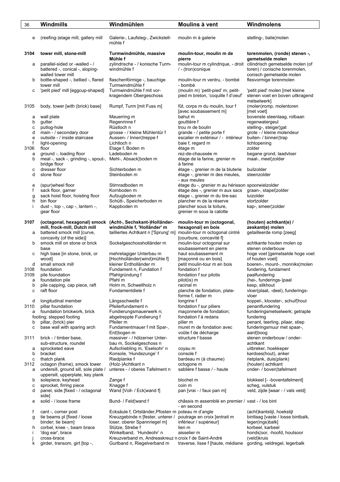| 36     | Windmills                                                                             | Windmühlen                                            | Moulins à vent                                                                      | Windmolens                                                                                                                                           |
|--------|---------------------------------------------------------------------------------------|-------------------------------------------------------|-------------------------------------------------------------------------------------|------------------------------------------------------------------------------------------------------------------------------------------------------|
| е      | (reefing-)stage mill, gallery mill                                                    | Galerie-, Laufsteg-, Zwickstell-<br>mühle f           | moulin m à galerie                                                                  | stelling-, balie¦molen                                                                                                                               |
| 3104   | tower mill, stone-mill                                                                | Turmwindmühle, massive<br>Mühle f                     | moulin-tour, moulin m de<br>pierre                                                  | torenmolen, (ronde) stenen -,                                                                                                                        |
| а      | parallel-sided or -walled - /<br>battered -, conical -, sloping-<br>walled tower mill | zylindrische - / konische Turm-<br>windmühle f        | / - (tron)conique                                                                   | gemetselde molen<br>moulin-tour m cylindrique, - droit cilindrisch gemetselde molen (of<br>toren) / conische torenmolen,<br>conisch gemetselde molen |
| b      | bottle-shaped -, bellied -, flared<br>tower mill                                      | flaschenförmige -, bauchige<br>Turmwindmühle f        | moulin-tour m ventru, - bombé<br>- bombé                                            | flesvormige torenmolen                                                                                                                               |
| с      | 'petit pied' mill [eggcup-shaped]                                                     | Turmwindmühle f mit vor-<br>kragendem Obergeschoss    | (moulin m) 'petit-pied' m, petit-<br>pied m breton, 'coquille f d'oeuf'             | 'petit pied' molen [met kleine<br>stenen voet en boven uitkragend<br>metselwerk]                                                                     |
| 3105   | body, tower [with (brick) base]                                                       | Rumpf, Turm [mit Fuss m]                              | fût, corps m du moulin, tour f<br>[avec soubassement m]                             | (molen)romp, molentoren<br>[met voet]                                                                                                                |
| а<br>b | wall plate<br>gutter                                                                  | Mauerring m<br>Regenrinne f                           | bahut m<br>gouttière f                                                              | bovenste steenlaag, rolbaan<br>regenwatergeul                                                                                                        |
| c      | putlog-hole                                                                           | Rüstloch n                                            | trou m de boulin                                                                    | stelling-, steiger¦gat                                                                                                                               |
| d      | main - / secondary door                                                               | grosse - / kleine Mühlentür f                         | grande - / petite porte f                                                           | grote - / kleine molendeur                                                                                                                           |
| e      | outside - / inside staircase                                                          | Aussen- / Innen¦treppe f                              | escalier m extérieur / - intérieur                                                  | buiten- / binnen¦trap                                                                                                                                |
| f      | light-opening                                                                         | Lichtloch n                                           | baie f, regard m                                                                    | lichtopening                                                                                                                                         |
| 3106   | floor                                                                                 | Etage f, Boden m                                      | étage m                                                                             | zolder                                                                                                                                               |
| a<br>b | ground -, loading floor<br>meal -, sack -, grinding -, spout-,                        | Ladeboden m<br>Mehl-, Absack¦boden m                  | rez-de-chaussée m<br>étage de la farine, grenier m                                  | begane grond, laadvloer<br>maal-, meel¦zolder                                                                                                        |
| с      | bridge floor<br>dresser floor                                                         | Sichterboden m                                        | à farine                                                                            | builzolder                                                                                                                                           |
| d      | stone floor                                                                           | Steinboden m                                          | étage -, grenier m de la bluterie<br>étage -, grenier m des meules,<br>- aux meules | steenzolder                                                                                                                                          |
| e      | (spur)wheel floor                                                                     | Stirnradboden m                                       | étage du -, grenier m au hérisson spoorwielzolder                                   |                                                                                                                                                      |
| f      | sack floor, garner                                                                    | Kornboden m                                           | étage des -, grenier m aux sacs                                                     | graan-, stapel¦zolder                                                                                                                                |
| g<br>h | sack hoist floor, hoisting floor<br>bin floor                                         | Aufzugboden m<br>Schütt-, Speicherboden m             | étage -, grenier m du tire-sac<br>plancher m de la réserve                          | luizolder<br>stortzolder                                                                                                                             |
|        | dust -, top -, cap -, lantern -,                                                      | Kappboden m                                           | plancher sous la toiture,                                                           | kap-, smeer zolder                                                                                                                                   |
|        | gear floor                                                                            |                                                       | grenier m sous la calotte                                                           |                                                                                                                                                      |
| 3107   | (octagonal, hexagonal) smock                                                          | (Acht-, Sechskant-)Holländer-                         | moulin-tour m (octogonal,                                                           | (houten) achtkant(e) /                                                                                                                               |
|        | mill, frock-mill, Dutch mill                                                          | windmühle f, 'Holländer' m                            | hexagonal) en bois                                                                  | zeskant(e) molen                                                                                                                                     |
| а      | battered smock mill [curve,                                                           | tailliertes Achtkant n ['Sprung' m]                   | moulin-tour m octogonal cintré                                                      | getailleerde romp [zeeg]                                                                                                                             |
|        | concavity (of the side)]                                                              |                                                       | [courbure, concavité f]                                                             |                                                                                                                                                      |
| b      | smock mill on stone or brick<br>base                                                  | Sockelgeschossholländer m                             | moulin-tour octogonal sur<br>soubassement en pierre                                 | achtkante houten molen op<br>stenen onderbouw                                                                                                        |
| с      | high base [in stone, brick, or                                                        | mehretagiger Unterbau m                               | haut soubassement m                                                                 | hoge voet [gemetselde hoge voet                                                                                                                      |
|        | [wood                                                                                 | [Hochholländer(wind)mühle f]                          | [maçonné ou en bois]                                                                | of houten voet]                                                                                                                                      |
| d      | small smock mill                                                                      | kleiner Erdholländer m                                | petit moulin-tour m en bois                                                         | boeren-, mount-, monniks¦molen                                                                                                                       |
| 3108   | foundation                                                                            | Fundament n, Fundation f                              | fondation f                                                                         | fundering, fundament                                                                                                                                 |
| 3109   | pile foundation                                                                       | Pfahlgründung f                                       | fondation f sur pilotis                                                             | paalfundering                                                                                                                                        |
| а      | foundation pile                                                                       | Ptahl m                                               | $pilot(1s)$ m                                                                       | (hei-, funderings-)paal                                                                                                                              |
| b<br>c | pile capping, cap piece, raft<br>raft floor                                           | Holm m, Schwellholz n<br>Fundamentdiele f             | racinal m<br>planche de fondation, plate-                                           | kesp, slikhout<br>vloer(plaat, -deel), funderings-                                                                                                   |
|        |                                                                                       |                                                       | forme f, radier m                                                                   | vloer                                                                                                                                                |
| d      | longitudinal member                                                                   | Längsschwelle f                                       | longrine f                                                                          | koppel-, klooster-, schuif¦hout                                                                                                                      |
| 3110   | pillar foundation                                                                     | Pfeilerfundament n                                    | fondation f sur piliers                                                             | penantfundering                                                                                                                                      |
| а      | foundation brickwork, brick                                                           | Fundierungsmauerwerk n;                               | maçonnerie de fondation;                                                            | funderingsmetselwerk; getrapte                                                                                                                       |
|        | footing; stepped footing                                                              | abgetreppte Fundierung f<br>Pfeiler m                 | fondation f à redans                                                                | fundering                                                                                                                                            |
| b<br>с | pillar, (brick) pier<br>base wall with sparing arch                                   | Fundamentmauer f mit Spar-,                           | pilier m<br>muret m de fondation avec                                               | penant, teerling, pilaar, stiep<br>funderingsmuur met spaar-,                                                                                        |
|        |                                                                                       | Erd¦bogen m                                           | voûte f de décharge                                                                 | aard¦boog                                                                                                                                            |
| 3111   | brick - / timber base,                                                                | massiver - / hölzerner Unter-                         | structure f basse                                                                   | stenen onderbouw / onder-                                                                                                                            |
|        | sub-structure, roundel                                                                | bau m, Sockelgeschoss n                               |                                                                                     | achtkant                                                                                                                                             |
| а      | sprocketed eave                                                                       | Aufschiebling m, 'Eselsohr' n                         | coyau m                                                                             | uitbreker, hoekkeper                                                                                                                                 |
| b<br>с | bracket<br>thatch plank                                                               | Konsole, 'Hundezunge' f<br>Riedplanke f               | console f<br>bardeau m (à chaume)                                                   | kardoes(hout), anker<br>rietplank, duis(plank)                                                                                                       |
| 3112   | octagon (frame), smock tower                                                          | (Holz-)Achtkant n                                     | octogone m                                                                          | (houten) achtkant                                                                                                                                    |
| а      | undersill, ground sill, sole plate /                                                  | unteres - / oberes Tafelment n                        | sablière f basse / - haute                                                          | onder- / boven¦tafelment                                                                                                                             |
|        | uppersill, upperplate, key plank                                                      |                                                       |                                                                                     |                                                                                                                                                      |
| b      | solepiece, keyhead                                                                    | Zange f                                               | blochet m                                                                           | blokkeel [- -boventafelment]                                                                                                                         |
| C      | sprocket, firring piece                                                               | Knagge f                                              | coin m                                                                              | scheg, vulstuk                                                                                                                                       |
| d      | panel, side [fixed - / octagonal]<br>side]                                            | Wand [Voll- / Eck¦wand f]                             | pan [vrai - / faux pan m]                                                           | veld, zijde [waar - / vals veld]                                                                                                                     |
| е      | solid - / loose frame                                                                 | Bund- / Feld¦wand f                                   | châssis m assemblé en premier / vast - / los bint<br>- en second                    |                                                                                                                                                      |
| f      | cant -, corner post                                                                   | Ecksäule f, Ortständer, Pfosten m poteau m d'angle    |                                                                                     | (acht)kantstijl, hoekstijl                                                                                                                           |
| g      | tie beams pl [fixed / loose                                                           | Kreuzgebinde n [fester, unterer /                     | poutrage en croix [entrait m                                                        | bintlaag [vaste / losse bintbalk,                                                                                                                    |
|        | binder; tie beam]                                                                     | loser, oberer Spannriegel m]                          | inférieur / supérieur]                                                              | leger(ings)balk]                                                                                                                                     |
| h      | corbel, knee -, beam brace                                                            | Stütze, Strebe f                                      | lien m                                                                              | korbeel, karbeel                                                                                                                                     |
|        | 'dog ear', brace                                                                      | Winkelband, 'Hundeohr' n                              | aisselier m                                                                         | honds¦oor, -hoofd, houtsoor                                                                                                                          |
|        | cross-brace                                                                           | Kreuzverband m, Andreaskreuz n croix f de Saint-André |                                                                                     | (veld)kruis                                                                                                                                          |
| k      | girder, transom, girt [top -,                                                         | Gurtband n, Riegelverband m                           | traverse, lisse f [haute, médiane]                                                  | gording, veldregel, legerbalk                                                                                                                        |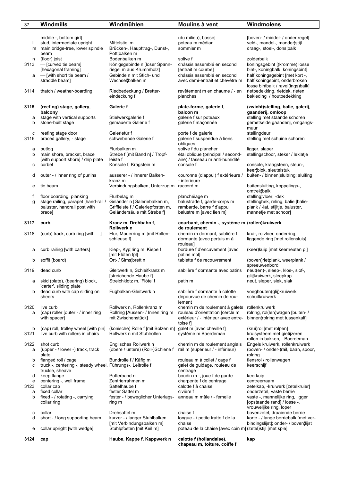| 37                       | <b>Windmills</b>                                                                                                      | Windmühlen                                                                                                                | Moulins à vent                                                                                                                     | Windmolens                                                                                                                                                                              |
|--------------------------|-----------------------------------------------------------------------------------------------------------------------|---------------------------------------------------------------------------------------------------------------------------|------------------------------------------------------------------------------------------------------------------------------------|-----------------------------------------------------------------------------------------------------------------------------------------------------------------------------------------|
|                          | middle -, bottom girt]<br>stud, intermediate upright<br>m main bridge-tree, lower spindle<br>beam                     | Mittelstiel m<br>Brücken-, Haupttrag-, Dunst-,<br>Pott¦balken m                                                           | (du milieu), basse]<br>poteau m médian<br>sommier m                                                                                | [boven- / middel- / onder¦regel]<br>veld-, mandel-, mander¦stijl<br>draag-, stoel-, dons¦balk                                                                                           |
| n<br>3113                | (floor) joist<br>- [curved tie beam]<br>[hexagonal framing]<br>$a$ -[with short tie beam /<br>straddle beam]          | Bodenbalken m<br>Königsgebinde n [loser Spann-<br>riegel m aus Krummholz]<br>Gebinde n mit Stich- und<br>Wechsel¦balken m | solive f<br>châssis assemblé en second<br>[entrait m courbe]<br>châssis assemblé en second<br>avec demi-entrait et chevêtre m      | zolderbalk<br>koningsgebint [(kromme) losse<br>bint-, koningbalk, koningsbint]<br>half koningsgebint [met kort -,<br>half koningsbint, onderbroken                                      |
| 3114                     | thatch / weather-boarding                                                                                             | Riedbedeckung / Bretter-<br>eindeckung f                                                                                  | revêtement m en chaume / - en<br>planches                                                                                          | losse bintbalk / ravel(ings)balk]<br>rietbedekking, rietdek, rieten<br>bekleding / houtbedekking                                                                                        |
| 3115                     | (reefing) stage, gallery,<br>balcony                                                                                  | Galerie f                                                                                                                 | plate-forme, galerie f,<br>balcon m                                                                                                | (zwicht)stelling, balie, galerij,<br>gaanderij, omloop                                                                                                                                  |
| а<br>b                   | stage with vertical supports<br>stone-built stage                                                                     | Stielwerkgalerie f<br>gemauerte Galerie f                                                                                 | galerie f sur poteaux<br>galerie f maçonnée                                                                                        | stelling met staande schoren<br>gemetselde gaanderij, omgangs-<br>muur                                                                                                                  |
| с<br>3116                | reefing stage door<br>braced gallery, - stage                                                                         | Galerietür f<br>schwebende Galerie f                                                                                      | porte f de galerie<br>galerie f suspendue à liens<br>obliques                                                                      | stellingdeur<br>stelling met schuine schoren                                                                                                                                            |
| а<br>b<br>с              | putlog<br>main shore, bracket, brace<br>[with support shore] / drip plate<br>corbel                                   | Flurbalken m<br>Strebe f [mit Band n] / Tropf-<br>leiste f<br>Konsole f, Kragstein m                                      | solive f du plancher<br>étai oblique (principal / second-<br>aire) / tasseau m anti-humidité<br>console f                          | ligger, slaper<br>stellingschoor, steker / leklatje<br>console, kraagsteen, steun-,                                                                                                     |
| d                        | outer - / inner ring of purlins                                                                                       | äusserer - / innerer Balken-<br>kranz m                                                                                   | couronne (d'appui) f extérieure /<br>- intérieure                                                                                  | keer¦blok, sleutelstuk<br>buiten- / binnen¦sluitring; sluiting                                                                                                                          |
| е                        | tie beam                                                                                                              | Verbindungsbalken, Unterzug m raccord m                                                                                   |                                                                                                                                    | buitensluiting, koppelings-,<br>omtrek¦balk                                                                                                                                             |
| f<br>g                   | floor boarding, planking<br>stage railing, parapet [hand-rail /<br>baluster, handrail post with<br>brace]             | Flurbelag m<br>Geländer n [Galeriebalken m,<br>Griffleiste f / Galeriepfosten m,<br>Geländersäule mit Strebe f]           | planchéiage m<br>balustrade f, garde-corps m<br>rambarde, barre f d'appui<br>balustre m [avec lien m]                              | stelling¦vloer, -dek<br>stellinghek, reling, balie [balie-<br>plank / -lat, stijltje, baluster,<br>mannetje met schoor]                                                                 |
| 3117                     | curb                                                                                                                  | Kranz m, Drehbahn f,<br>Rollwerk n                                                                                        | courbant, chemin -, système m (rollen)kruiwerk<br>de roulement                                                                     |                                                                                                                                                                                         |
| 3118                     | (curb) track, curb ring [with -                                                                                       | Flur, Mauerring m [mit Rollen-<br>schleuse f]                                                                             | chemin m dormant, sablière f<br>dormante [avec pertuis m à<br><i>rouleaul</i>                                                      | krui-, rolvloer, onderring,<br>liggende ring [met rollensluis]                                                                                                                          |
| а                        | curb railing [with carters]                                                                                           | Kiep-, Kyp¦ring m, Kiepe f<br>[mit Flöten fpl]                                                                            | bordure f d'encuvement [avec<br>patins mpl]                                                                                        | (keer)kuip [met keerneuten pl]                                                                                                                                                          |
| b                        | soffit (board)                                                                                                        | Ort- / Sims¦brett n                                                                                                       | tablette f de recouvrement                                                                                                         | (boven)rietplank, weerplank /<br>spreeuwenbord                                                                                                                                          |
| 3119<br>а                | dead curb<br>skid (plate), (bearing) block,                                                                           | Gleitwerk n, Schleifkranz m<br>[streichende Haube f]<br>Streichklotz m, 'Flöte' f                                         | sablière f dormante avec patins<br>patin m                                                                                         | neut(en)-, sleep-, klos-, slof-,<br>glij¦kruiwerk, sleepkap<br>neut, sleper, slek, slak                                                                                                 |
| b                        | 'carter', sliding plate<br>dead curb with cap sliding on<br>sheers                                                    | Fugbalken-Gleitwerk n                                                                                                     | sablière f dormante à calotte<br>dépourvue de chemin de rou-<br>lement                                                             | voeghouten(glij)kruiwerk,<br>schuifkruiwerk                                                                                                                                             |
| 3120<br>а                | live curb<br>(cap) roller [outer - / inner ring<br>with spacer]                                                       | Rollwerk n, Rollenkranz m<br>Rollring [Aussen- / Innen¦ring m<br>mit Zwischenstück]                                       | chemin m de roulement à galets rollenkruiwerk<br>rouleau d'orientation [cercle m<br>extérieur / - intérieur avec entre-<br>toise f | rolring, rol(len)wagen [buiten- /<br>binnen¦rolring met tussenkalf                                                                                                                      |
| b<br>3121                | (cap) roll, trolley wheel [with pin]<br>live curb with rollers in chairs                                              | (konische) Rolle f [mit Bolzen m]<br>Rollwerk n mit Stuhlrollen                                                           | galet m [avec cheville f]<br>système m Baerdeman                                                                                   | (krui)rol [met rolpen]<br>kruisysteem met gietijzeren<br>rollen in bakken, - Baerdeman                                                                                                  |
| 3122<br>а                | shot curb<br>(upper - / lower -) track, track<br>plate                                                                | Englisches Rollwerk n<br>(obere / untere) (Roll-)Schiene f                                                                | chemin m de roulement anglais<br>rail m (supérieur / - inférieur)                                                                  | Engels kruiwerk, rollenkruiwerk<br>(boven- / onder-)rail, baan, spoor,<br>rolring                                                                                                       |
| b<br>с                   | flanged roll / cage<br>truck -, centering -, steady wheel, Führungs-, Leitrolle f<br>truckle, sheave                  | Bundrolle f / Käfig m                                                                                                     | rouleau m à collet / cage f<br>galet de guidage, rouleau de<br>centrage                                                            | flensrol / rollenwagen<br>keerschijf                                                                                                                                                    |
| d<br>е<br>3123<br>а<br>b | keep flange<br>centering -, well frame<br>collar cap<br>fixed collar<br>fixed - / rotating -, carrying<br>collar ring | Pufferband n<br>Zentrierrahmen m<br>Sattelhaube f<br>fester Sattel m<br>fester - / beweglicher Unterlags-<br>ring m       | boudin m -, joue f de garde<br>charpente f de centrage<br>calotte f à chaise<br>civière f<br>anneau m mâle / - femelle             | keerkuip<br>centreerraam<br>zetelkap, -kruiwerk [zetelkruier]<br>onderzetel, vaste berrie<br>vaste -, mannelijke ring, ligger<br>[opstaande rand] / losse -,<br>vrouwelijke ring, loper |
| с<br>d                   | collar<br>short - / long supporting beam                                                                              | Drehsattel m<br>kurzer - / langer Stuhlbalken<br>[mit Verbindungsbalken m]                                                | chaise f<br>longue - / petite tratte f de la<br>chaise                                                                             | bovenzetel, draaiende berrie<br>korte - / lange berriebalk [met ver-<br>bindingslijst]; onder- / boven¦lijst                                                                            |
| е                        | collar upright [with wedge]                                                                                           | Stuhlpfosten [mit Keil m]                                                                                                 | poteau de la chaise [avec coin m] (zetel)stijl [met spie]                                                                          |                                                                                                                                                                                         |
| 3124                     | cap                                                                                                                   | Haube, Kappe f, Kappwerk n                                                                                                | calotte f (hollandaise),<br>chapeau m, toiture, coiffe f                                                                           | kap                                                                                                                                                                                     |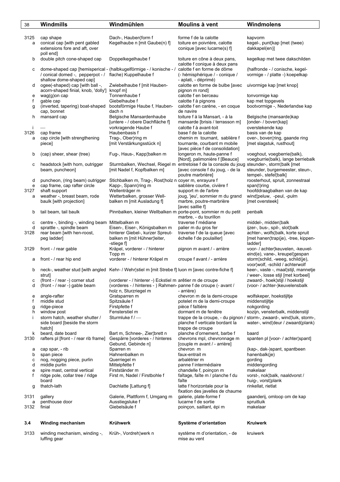| 38        | Windmills                                        | Windmühlen                                                                                        | Moulins à vent                                                                               | Windmolens                                                             |
|-----------|--------------------------------------------------|---------------------------------------------------------------------------------------------------|----------------------------------------------------------------------------------------------|------------------------------------------------------------------------|
|           |                                                  |                                                                                                   |                                                                                              |                                                                        |
| 3125      | cap shape                                        | Dach-, Hauben¦form f                                                                              | forme f de la calotte                                                                        | kapvorm                                                                |
| a         | conical cap [with pent gabled                    | Kegelhaube n [mit Gaube(n) f]                                                                     | toiture en poivrière, calotte                                                                | kegel-, punt¦kap [met (twee)                                           |
|           | extensions fore and aft, over                    |                                                                                                   | conique [avec lucarne(s) f]                                                                  | dakkapel(en)]                                                          |
|           | poll end]<br>double pitch cone-shaped cap        | Doppelkegelhaube f                                                                                | toiture en cône à deux pans,                                                                 | kegelkap met twee dakschilden                                          |
| b         |                                                  |                                                                                                   | calotte f conique à deux pans                                                                |                                                                        |
| с         |                                                  | dome-shaped cap [hemisperical - (halbkugelförmige - / konische - /                                | calotte f en forme de dôme                                                                   | (halfronde - / conische, kegel-                                        |
|           | / conical domed -, pepperpot - /                 | flache) Kuppelhaube f                                                                             | (- hémisphérique / - conique /                                                               | vormige - / platte -) koepelkap                                        |
|           | shallow dome-shaped cap]                         |                                                                                                   | - aplati, - déprimé)                                                                         |                                                                        |
| d         | ogee(-shaped) cap [with ball -,                  | Zwiebelhaube f [mit Hauben-                                                                       | calotte en forme de bulbe [avec                                                              | uivormige kap [met knop]                                               |
|           | acorn-shaped finial, knob, 'dolly']              | knopf m]                                                                                          | pignon m rond]                                                                               |                                                                        |
| e<br>f    | wag(g)on cap<br>gable cap                        | Tonnenhaube f<br>Giebelhaube f                                                                    | calotte f en berceau<br>calotte f à pignons                                                  | tonvormige kap<br>kap met topgevels                                    |
| g         | (inverted, tapering) boat-shaped                 | bootsförmige Haube f, Hauben-                                                                     | calotte f en carène, - en coque                                                              | bootvormige -, Nederlandse kap                                         |
|           | cap, bonnet                                      | dach n                                                                                            | de navire                                                                                    |                                                                        |
| h         | mansard cap                                      | Belgische Mansardenhaube                                                                          | toiture f à la Mansart, - à la                                                               | Belgische (mansarde)kap                                                |
|           |                                                  | [untere - / obere Dachfläche f]                                                                   | mansarde [brisis / terrasson m]                                                              | [onder- / boven¦kap]                                                   |
| Ť         |                                                  | vorkragende Haube f                                                                               | calotte f à avant-toit                                                                       | overstekende kap                                                       |
| 3126      | cap frame<br>cap circle [with strengthening      | Haubenbasis f                                                                                     | base f de la calotte                                                                         | basis van de kap<br>over-, boven¦ring, gaande ring                     |
| a         | piece]                                           | Trag-, Ober¦ring m<br>[mit Verstärkungsstück n]                                                   | chemin m tournant, sablière f<br>tournante, courbant m mobile                                | [met slagstuk, rusthout]                                               |
|           |                                                  |                                                                                                   | [avec pièce f de consolidation]                                                              |                                                                        |
| b         | (cap) sheer, shear (tree)                        | Fug-, Haus-, Kapp¦balken m                                                                        | longeron m, haute-panne f                                                                    | voeghout, voegberrie(balk),                                            |
|           |                                                  |                                                                                                   | [Nord], palimonière f [Beauce]                                                               | voegburrie(balk), lange berriebalk                                     |
| с         | headstock [with horn, outrigger                  |                                                                                                   | Sturmbalken, Wechsel, Riegel m entretoise f de la console du joug steunder-, storm¦balk [met |                                                                        |
|           | beam, puncheon]                                  | [mit Nadel f, Kopfbalken m]                                                                       | [avec console f du joug, - de la                                                             | steunder, burgemeester, steun-,                                        |
| d         | puncheon, (ring beam) outrigger                  | Stichbalken m, Trag-, Rost¦holz n coyer m, enrayure f                                             | poutre marbrière]                                                                            | tempel-, stefel balk]<br>roosterhout, spruit, zonnestraal              |
| e         | cap frame, cap rafter circle                     | Kapp-, Spann¦ring m                                                                               | sablière courbe, civière f                                                                   | span(t)ring                                                            |
| 3127      | shaft support                                    | Wellenträger m                                                                                    | support m de l'arbre                                                                         | hoofddraagbalken van de kap                                            |
| а         | weather -, breast beam, rode                     | Wetterbalken, grosser Well-                                                                       | joug, 'jeu', sommier m du grand                                                              | wind¦peluw, -peul, -pulm                                               |
|           | baulk [with projection]                          | balken m [mit Ausladung f]                                                                        | marbre, poutre-marbrière                                                                     | [met oversteek]                                                        |
|           |                                                  |                                                                                                   | [avec saillie f]                                                                             |                                                                        |
| b         | tail beam, tail baulk                            | Pinnbalken, kleiner Wellbalken m porte-pont, sommier m du petit                                   |                                                                                              | penbalk                                                                |
| с         | centre -, binding -, winding beam Mittelbalken m |                                                                                                   | marbre, - du tourillon<br>traverse f médiane                                                 | middel-, midden¦balk                                                   |
| d         | sprattle -, spindle beam                         | Eisen-, Eiser-, Königsbalken m                                                                    | palier m du gros fer                                                                         | ijzer-, bus-, spil-, slot¦balk                                         |
| 3128      | rear beam [with hen-roost,                       | hinterer Giebel-, kurzer Spreut-                                                                  | traverse f de la queue [avec                                                                 | achter-, wolfs¦balk, korte spruit                                      |
|           | peg ladder]                                      | balken m [mit Hühner¦leiter,                                                                      | échelle f de poulailler]                                                                     | [met hanen¦trap(je), -tree, kippen-                                    |
|           |                                                  | -stiege f]                                                                                        |                                                                                              | ladder]                                                                |
| 3129      | front - / rear gable                             | Kräpel, vorderer - / hinterer                                                                     | pignon m avant / - arrière                                                                   | voor- / achter¦keuvelen, -keuvel-<br>eind(e), vane-, kreupel¦gespan    |
| а         | front - / rear hip end                           | Topp m<br>vorderer - / hinterer Kräpel m                                                          | croupe f avant / - arrière                                                                   | storm¦schild, -weeg, schild(je),                                       |
|           |                                                  |                                                                                                   |                                                                                              | voor¦wolf, -schild / achterwolf                                        |
| b         |                                                  | neck-, weather stud [with angled Kehr- / Wehr¦stiel m [mit Strebe f] luon m [avec contre-fiche f] |                                                                                              | keer-, vaste -, maal¦stijl, mannetje                                   |
|           | strut]                                           |                                                                                                   |                                                                                              | / weer-, losse stijl [met korbeel]                                     |
| с         | (front - / rear -) corner stud                   | (vorderer - / hinterer -) Eckstiel m arêtier m de croupe                                          |                                                                                              | zwaard-, hoek¦stijl / hoekstijl                                        |
| d         | (front - / rear -) gable beam                    | (vorderes - / hinteres - ) Rahmen- panne f de croupe (- avant /                                   | - arrière)                                                                                   | (voor- / achter-)keuvelensbalk                                         |
| e         | angle-rafter                                     | holz n, Sturzriegel m<br>Gratsparren m                                                            | chevron m de la demi-croupe                                                                  | wolfskeper, hoekstijltje                                               |
| f         | middle stud                                      | Spitzsäule f                                                                                      | potelet m de la demi-croupe                                                                  | middenstijltje                                                         |
| g         | ridge-piece                                      | Firstpfette f                                                                                     | pièce f faîtière                                                                             | nokgording                                                             |
| h         | window post                                      | Fensterstiel m                                                                                    | dormant m de fenêtre                                                                         | kozijn, vensterbalk, middenstijl                                       |
| Ť         | storm hatch, weather shutter /                   | Sturmluke $f$ / $-$                                                                               |                                                                                              | trappe de la croupe, - du pignon / storm-, zwaard-, wind luik, storm-, |
|           | side board [beside the storm                     |                                                                                                   | planche f verticale bordant la                                                               | water-, wind deur / zwaard (plank)                                     |
| k         | hatch]<br>beard, date board                      | Bart m, Schnee-, Zier¦brett n                                                                     | trappe de croupe<br>planche d'ornement, barbe f                                              | baard                                                                  |
| 3130      | rafters pl [front - / rear rib frame]            | Gespärre [vorderes - / hinteres                                                                   | chevrons mpl, chevronnage m                                                                  | spanten pl [voor- / achter spant]                                      |
|           |                                                  | Gebund, Gebinde n]                                                                                | [couple m avant / - arrière]                                                                 |                                                                        |
| а         | cap spar, - rib                                  | Sparren m                                                                                         | chevron m                                                                                    | (kap-, dak-)spant, spantbeen                                           |
| b         | span piece                                       | Hahnenbalken m                                                                                    | faux-entrait m                                                                               | hanenbalk(je)                                                          |
| с<br>d    | nog, nogging piece, purlin<br>middle purlin      | Querriegel m<br>Mittelpfette f                                                                    | arbalétrier m<br>panne f intermédiaire                                                       | gording<br>middengording                                               |
| e         | spire mast, central vertical                     | Firstständer m                                                                                    | chandelle f, poinçon m                                                                       | makelaar                                                               |
| f         | ridge pole, collar tree / ridge                  | First m, Nadel / Firstbohle f                                                                     | faîtage, faîte m / planche f du                                                              | vorst-, nok balk, naaldvorst /                                         |
|           | board                                            |                                                                                                   | faîte                                                                                        | huig-, vorst¦plank                                                     |
| g         | thatch-lath                                      | Dachlatte [Lattung f]                                                                             | latte f horizontale pour la                                                                  | rinkellat, rietlat                                                     |
|           |                                                  |                                                                                                   | fixation des javelles de chaume                                                              |                                                                        |
| 3131      | gallery                                          | Galerie, Plattform f, Umgang m                                                                    | galerie, plate-forme f<br>lucarne f de sortie                                                | gaanderij, omloop om de kap<br>spruitluik                              |
| a<br>3132 | penthouse door<br>finial                         | Ausstiegsluke f<br>Giebelsäule f                                                                  | poinçon, saillant, épi m                                                                     | makelaar                                                               |
|           |                                                  |                                                                                                   |                                                                                              |                                                                        |
|           |                                                  |                                                                                                   |                                                                                              |                                                                        |
| 3.4       | <b>Winding mechanism</b>                         | Krühwerk                                                                                          | Système d'orientation                                                                        | Kruiwerk                                                               |
| 3133      | winding mechanism, winding -,                    | Krüh-, Vordreh¦werk n                                                                             | système m d'orientation, - de                                                                | kruiwerk                                                               |
|           | luffing gear                                     |                                                                                                   | mise au vent                                                                                 |                                                                        |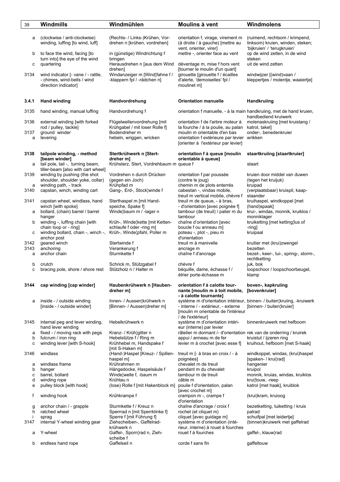| 39        | Windmills                                                                                              | Windmühlen                                                                                  | Moulins à vent                                                                                                     | Windmolens                                                                                          |
|-----------|--------------------------------------------------------------------------------------------------------|---------------------------------------------------------------------------------------------|--------------------------------------------------------------------------------------------------------------------|-----------------------------------------------------------------------------------------------------|
| a         | (clockwise / anti-clockwise)<br>winding, luffing [to wind, luff]                                       | (Rechts- / Links-)Krühen, Vor-<br>drehen n [krühen, vordrehen]                              | orientation f, virage, virement m<br>(à droite / à gauche) [mettre au<br>vent, orienter, virer]                    | (ruimend, rechtsom / krimpend,<br>linksom) kruien, winden, steken;<br>'bijkruien' / 'terugkruien'   |
| b         | to face the wind, facing [to<br>turn into] the eye of the wind                                         | in (günstige) Windrichtung f<br>bringen                                                     | mettre -, orienter face au vent                                                                                    | op de wind zetten, in de wind<br>steken                                                             |
| с         | quartering                                                                                             | Herausdrehen n [aus dem Wind<br>drehen]                                                     | déventage m, mise f hors vent<br>[tourner le moulin d'un quart]                                                    | uit de wind zetten                                                                                  |
| 3134      | wind indicator [- vane / - rattle,<br>- chimes, wind-bells / wind<br>direction indicator]              | Windanzeiger m [Wind fahne f /<br>-klappern fpl / -rädchen n]                               | girouette [girouette f / écailles<br>d'alerte, 'demoiselles' fpl /<br>moulinet m]                                  | windwijzer [(wind)vaan /<br>kleppertjes / molentje, waaiertje]                                      |
| 3.4.1     | <b>Hand winding</b>                                                                                    | Handvordrehung                                                                              | <b>Orientation manuelle</b>                                                                                        | Handkruiing                                                                                         |
| 3135      | hand winding, manual luffing                                                                           | Handvordrehung f                                                                            | orientation f manuelle, - à la main handkruiing, met de hand kruien,                                               | handbediend kruiwerk                                                                                |
| 3136      | external winding [with forked<br>rod / pulley, tackle]                                                 | Flügelwellenvordrehung [mit]<br>Krühgabel / mit loser Rolle f]                              | orientation f de l'arbre moteur à<br>la fourche / à la poulie, au palan                                            | molenaskruiing [met kruistang /<br>katrol, takel]                                                   |
| 3137<br>a | ground winder<br>levering                                                                              | Bodendreher m<br>hebeln, wriggen, wricken                                                   | moulin m orientable d'en bas<br>orientation f extérieure par levier wrikken<br>[orienter à l'extérieur par levier] | onder-, benedenkruier                                                                               |
| 3138<br>a | tailpole winding, - method<br>[beam winder]<br>tail pole, tail -, turning beam,                        | Stertkrühwerk n [Stert-<br>dreher m]<br>Krühsterz, Stert, Vordrehbaum m queue f             | orientation f à queue [moulin<br>orientable à queue]                                                               | staartkruiing [staartkruier]<br>staart                                                              |
| 3139      | tiller-beam [also with cart wheel]<br>winding by pushing (the shot<br>shoulder, shoulder yoke, collar) | Vordrehen n durch Drücken<br>(gegen ein Joch)                                               | orientation f par poussée<br>(contre le joug)                                                                      | kruien door middel van duwen<br>(tegen het kruijuk)                                                 |
| a<br>3140 | winding path, - track<br>capstan, winch, winding cart                                                  | Krühpfad m<br>Gang-, Erd-, Stock¦winde f                                                    | chemin m de plots enterrés<br>cabestan -, vindas mobile,<br>treuil m vertical mobile, chèvre f                     | kruipad<br>(verplaatsbaar) kruispil, kaap-<br>staander                                              |
| 3141      | capstan wheel, windlass, hand<br>winch [with spoke]                                                    | Sterthaspel m [mit Hand-<br>speiche, Spake f]                                               | treuil m de queue, - à bras,<br>- d'orientation [avec poignée f]                                                   | kruihaspel, windkoppel [met<br>(hand)spaak]                                                         |
| а         | bollard, (chain) barrel / barrel<br>hanger                                                             | Winde¦baum m / -lager n                                                                     | tambour (de treuil) / palier m du<br>tambour                                                                       | krui-, windas, monnik, kruiklos /<br>monniklager                                                    |
| b<br>с    | winding -, luffing chain [with<br>chain loop or - ring]<br>winding bollard, chain -, winch -,          | Krüh-, Winde¦kette [mit Ketten-<br>schlaufe f oder -ring m]<br>Krüh-, Winde¦pfahl, Poller m | chaîne d'orientation [avec<br>boucle f ou anneau m]<br>poteau -, plot -, pieu m                                    | kruiketting [met ketting lus of<br>-ring]<br>kruipaal                                               |
| 3142      | anchor post<br>geared winch                                                                            | Stertwinde f                                                                                | d'orientation<br>treuil m à manivelle                                                                              | kruilier met (krui)zwengel                                                                          |
| 3143<br>a | anchoring<br>anchor chain                                                                              | Verankerung f<br>Sturmkette f                                                               | ancrage m<br>chaîne f d'ancrage                                                                                    | bezetten<br>bezet-, keer-, tui-, spring-, storm-,<br>rechtketting                                   |
| b<br>c    | crutch<br>bracing pole, shore / shore rest                                                             | Schrick m, Stützgabel f<br>Stützholz n / Halter m                                           | chèvre f<br>béquille, dame, échasse f /<br>étrier porte-échasse m                                                  | juk, bok<br>loopschoor / loopschoorbeugel,<br>klamp                                                 |
| 3144      | cap winding [cap winder]                                                                               | Haubenkrühwerk n [Hauben-<br>dreher m]                                                      | orientation f à calotte tour-<br>nante [moulin m à toit mobile,<br>- à calotte tournante]                          | boven-, kapkruiing<br>[bovenkruier]                                                                 |
| а         | inside - / outside winding<br>[inside - / outside winder]                                              | Innen- / Aussen¦krühwerk n<br>[Binnen- / Aussen dreher m]                                   | - interne / - extérieur, - externe<br>Imoulin m orientable de l'intérieur<br>/ de l'extérieur]                     | système m d'orientation intérieur, binnen- / buiten¦kruiing, -kruiwerk<br>[binnen- / buiten¦kruier] |
| 3145      | internal peg and lever winding,<br>hand lever winding                                                  | Hebelkrühwerk n                                                                             | système m d'orientation intéri-<br>eur (interne) par levier                                                        | binnenkruiwerk met hefboom                                                                          |
| а<br>b    | fixed - / moving rack with pegs<br>fulcrum / iron ring                                                 | Kranz- / Krüh¦gitter n<br>Hebelstütze f / Ring m                                            | râtelier m dormant /- d'orientation rek van de onderring / kruirek<br>appui / anneau m de fer                      | kruistut / ijzeren ring                                                                             |
| с         | winding lever [with S-hook]                                                                            | Krühhebel m, Handspake f<br>[mit S-Haken m]                                                 | levier m à crochet [avec esse f]                                                                                   | kruihout, hefboom [met S-haak]                                                                      |
| 3146<br>а | windlass<br>windlass frame                                                                             | (Hand-)Haspel [Kreuz- / Spillen-<br>haspel m]<br>Krührahmen m                               | treuil m [- à bras en croix / - à<br>poignées]<br>chevalet m de treuil                                             | windkoppel, windas, (krui)haspel<br>[spaken- / krui¦rad]<br>hangenier                               |
| b         | hanger                                                                                                 | Hängedocke, Haspelsäule f                                                                   | pendant m du chevalet                                                                                              | kruipol                                                                                             |
| с<br>d    | barrel, bollard<br>winding rope                                                                        | Winde¦welle f, -baum m<br>Krühtau n                                                         | tambour m de treuil<br>câble m                                                                                     | monnik, kruias, windas, kruiklos<br>krui¦touw, -reep                                                |
| е         | pulley block [with hook]                                                                               | (lose) Rolle f [mit Hakenblock m]                                                           | poulie f d'orientation, palan<br>[avec crochet m]                                                                  | katrol [met haak], kruiblok                                                                         |
| f         | winding hook                                                                                           | Krühkrampe f                                                                                | crampon m -, crampe f<br>d'orientation                                                                             | (krui)kram, kruioog                                                                                 |
| g<br>h    | anchor chain / - grapple<br>ratched wheel                                                              | Sturmkette f / Kreuz n<br>Sperrrad n [mit Sperrklinke f]                                    | chaîne d'ancrage / croix f<br>rochet (et cliquet m)                                                                | bezetketting, tuiketting / kruis<br>palrad                                                          |
| 3147      | sprag<br>internal Y-wheel winding gear                                                                 | Sperre f [mit Führung f]<br>Ziehscheiben-, Gaffelrad-                                       | cliquet [avec guidage m]<br>système m d'orientation (inté-                                                         | schuifpal [met leidertje]<br>(binnen) kruiwerk met gaffelrad                                        |
| а         | Y-wheel                                                                                                | krühwerk n<br>Gaffel-, Sporn¦rad n, Zieh-                                                   | rieur, interne) à rouet à fourches<br>rouet f à fourches                                                           | gaffel-, klauw¦rad                                                                                  |
| b         | endless hand rope                                                                                      | scheibe f<br>Gaffelseil n                                                                   | corde f sans fin                                                                                                   | gaffeltouw                                                                                          |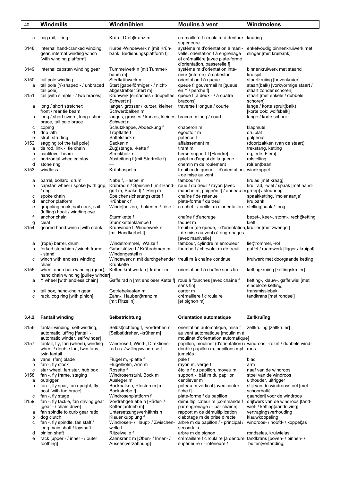| 40        | Windmills                                                                                | Windmühlen                                                                  | Moulins à vent                                                                                                                          | Windmolens                                                                                  |
|-----------|------------------------------------------------------------------------------------------|-----------------------------------------------------------------------------|-----------------------------------------------------------------------------------------------------------------------------------------|---------------------------------------------------------------------------------------------|
|           |                                                                                          |                                                                             |                                                                                                                                         |                                                                                             |
| с         | cog rail, - ring                                                                         | Krüh-, Dreh¦kranz m                                                         | cremaillère f circulaire à denture kruiring<br>supérieure                                                                               |                                                                                             |
| 3148      | internal hand-cranked winding<br>gear, internal winding winch<br>[with winding platform] | Kurbel-Windewerk n [mit Krüh-<br>bank, Bedienungsplattform f]               | système m d'orientation à mani-<br>velle, orientation f à engrenage<br>et crémaillère [avec plate-forme<br>d'orientation, passerelle f] | enkelvoudig binnenkruiwerk met<br>slinger [met kruibank]                                    |
| 3149      | internal capstan winding gear                                                            | Tummelwerk n [mit Tummel-<br>baum ml                                        | système m d'orientation inté-<br>rieur (interne) à cabestan                                                                             | binnenkruiwerk met staand<br>kruispil                                                       |
| 3150<br>a | tail pole winding<br>tail pole [Y-shaped - / unbraced<br>tail pole]                      | Stertkrühwerk n<br>Stert [gabelförmiger - / nicht-<br>abgestrebter Stert m] | orientation f à queue<br>queue f, gouvernail m [queue<br>en Y / perche f]                                                               | staartkruiing [bovenkruier]<br>staart(balk) [vorkvormige staart /<br>staart zonder schoren] |
| 3151      | tail [with simple - / two braces]                                                        | Krühwerk [einfaches / doppeltes<br>Schwert n]                               | queue f [à deux - / à quatre<br>bracons]                                                                                                | staart [met enkele / dubbele<br>schoren]                                                    |
| а         | long / short stretcher;<br>front / rear tie beam                                         | langer, grosser / kurzer, kleiner<br>Schwertbalken m                        | traverse f longue / courte                                                                                                              | lange / korte spruit(balk)<br>[korte ook: wolfsbalk]                                        |
| b         | long / short sword; long / short<br>brace, tail pole brace                               | langes, grosses / kurzes, kleines bracon m long / court<br>Schwert n        |                                                                                                                                         | lange / korte schoor                                                                        |
| с         | coping                                                                                   | Schutzkappe, Abdeckung f                                                    | chaperon m                                                                                                                              | klapmuts                                                                                    |
| d         | drip lath                                                                                | Tropflatte f                                                                | égouttoir m                                                                                                                             | druiplat                                                                                    |
| e         | strut, strutting                                                                         | Sattelstück n                                                               | potence f                                                                                                                               | galghout                                                                                    |
| 3152      | sagging (of the tail pole)                                                               | Sacken n                                                                    | affaissement m                                                                                                                          | (door)zakken (van de staart)                                                                |
| a         | tie rod, link -, tie chain                                                               | Zug¦stange, -kette f                                                        | tirant m                                                                                                                                | trekstang, ketting                                                                          |
| b         | cantilever beam                                                                          | Streckholz n                                                                | herse-support f [Flandre]                                                                                                               | eg, ede [Flem]                                                                              |
| c         | horizontal wheeled stay                                                                  | Absteifung f (mit Stertrolle f)                                             | galet m d'appui de la queue                                                                                                             | rolstelling                                                                                 |
| d         | stone ring                                                                               |                                                                             | chemin m de roulement                                                                                                                   | rol(len)baan                                                                                |
| 3153      | windlass                                                                                 | Krühhaspel m                                                                | treuil m de queue, - d'orientation, windkoppel<br>- de mise au vent                                                                     |                                                                                             |
| а         | barrel, bollard, drum                                                                    | Nabe f, Haspel m                                                            | tambour m                                                                                                                               | kruias [met kraag]                                                                          |
| b         | capstan wheel / spoke [with grip] Krührad n / Speiche f [mit Hand-                       |                                                                             | roue f du treuil / rayon [avec                                                                                                          | krui¦rad, -wiel / spaak [met hand-                                                          |
|           | $/$ ring                                                                                 | griff m, Spake f] / Ring m                                                  | manche m, poignée f] / anneau m greep] / steunring                                                                                      |                                                                                             |
| с         | spoke chain                                                                              | Speichensicherungskette f                                                   | chaîne f de retenue                                                                                                                     | spaakketting, 'molenaartje'                                                                 |
| d         | anchor platform                                                                          | Krühbank f                                                                  | plate-forme f du treuil                                                                                                                 | kruibank                                                                                    |
| e         | grappling hook, sail nock, sail                                                          | Winde¦bolzen, -haken m / -öse f                                             | crochet - / oeillet m d'orientation stelling¦haak / -oog                                                                                |                                                                                             |
|           | (luffing) hook / winding eye                                                             |                                                                             |                                                                                                                                         |                                                                                             |
| f         | anchor chain                                                                             | Sturmkette f                                                                | chaîne f d'ancrage                                                                                                                      | bezet-, keer-, storm-, recht¦ketting                                                        |
| g         | cleat                                                                                    | Sturmkettenklampe f                                                         | taquet m                                                                                                                                | kieft                                                                                       |
| 3154      | geared hand winch [with crank]                                                           | Krühwinde f, Windewerk n                                                    | treuil m (de queue, - d'orientation, kruilier [met zwengel]                                                                             |                                                                                             |
|           |                                                                                          | [mit Handkurbel f]                                                          | - de mise au vent) à engrenages<br>[avec manivelle]                                                                                     |                                                                                             |
| а         | (rope) barrel, drum                                                                      | Windetrommel, Walze f                                                       | tambour, cylindre m enrouleur                                                                                                           | lier¦trommel, -rol                                                                          |
| b         | forked stanchion / winch frame,                                                          | Gabelstütze f / Krührahmen m.                                               | fourche f / chevalet m de treuil                                                                                                        | gaffel / raamwerk [ligger / kruipol]                                                        |
|           | - stand                                                                                  | Windengestell n                                                             |                                                                                                                                         |                                                                                             |
| с         | winch with endless winding                                                               | Windewerk n mit durchgehender treuil m à chaîne continue                    |                                                                                                                                         | kruiwerk met doorgaande ketting                                                             |
|           | chain                                                                                    | Krühkette                                                                   |                                                                                                                                         |                                                                                             |
| 3155      | wheel-and-chain winding (gear),                                                          | Ketten¦krühwerk n [-krüher m]                                               | orientation f à chaîne sans fin                                                                                                         | kettingkruiing [kettingskruier]                                                             |
|           | hand chain winding [pulley winder]                                                       |                                                                             |                                                                                                                                         |                                                                                             |
| а         | Y wheel [with endless chain]                                                             | Gaffelrad n [mit endloser Kette f] roue à fourches [avec chaîne f           | sans fin]                                                                                                                               | ketting-, klauw-, gaffelwiel [met<br>eindeloze ketting]                                     |
| b         | tail box, hand-chain gear                                                                | Getriebekasten m                                                            | carter m                                                                                                                                | transmissiebak                                                                              |
| с         | rack, cog ring [with pinion]                                                             | Zahn-, Hauben¦kranz m                                                       | crémaillère f circulaire                                                                                                                | tandkrans [met rondsel]                                                                     |
|           |                                                                                          | [mit Ritzel n]                                                              | [et pignon m]                                                                                                                           |                                                                                             |
| 3.4.2     | <b>Fantail winding</b>                                                                   | Selbstrichtung                                                              | <b>Orientation automatique</b>                                                                                                          | Zelfkruiïng                                                                                 |
|           |                                                                                          |                                                                             |                                                                                                                                         |                                                                                             |
| 3156      | fantail winding, self-winding,<br>automatic luffing [fantail -,                          | Selbst¦richtung f, -vordrehen n<br>[Selbst¦dreher, -krüher m]               | orientation automatique, mise f<br>au vent automatique [moulin m à                                                                      | zelfkruiing [zelfkruier]                                                                    |
|           | automatic winder, self-winder]                                                           |                                                                             | moulinet d'orientation automatique]                                                                                                     |                                                                                             |
| 3157      | fantail, fly, fan (wheel), winding                                                       | Windrose f, Wind-, Direktions-                                              | papillon, moulinet (d'orientation) / windroos, -rozet / dubbele wind-                                                                   |                                                                                             |
|           | wheel / double fan, twin fans,                                                           | rad n / Zwillingswindrose f                                                 | double papillon m, papillons mpl roos                                                                                                   |                                                                                             |
|           | twin fantail                                                                             |                                                                             | jumelés                                                                                                                                 |                                                                                             |
| а         | vane, (fan) blade                                                                        | Flügel m, -platte f                                                         | pale f                                                                                                                                  | blad                                                                                        |
| b         | fan -, fly stock                                                                         | Flügelholm, Arm m                                                           | rayon m, verge f                                                                                                                        | arm                                                                                         |
| с         | star wheel, fan star, hub box                                                            | Rosette f                                                                   | étoile f du papillon, moyeu m                                                                                                           | naaf van de windroos                                                                        |
| 3158      | fan -, fly frame, staging                                                                | Windrosenstuhl, Bock m                                                      | support -, bâti m du papillon                                                                                                           | stoel van de windroos                                                                       |
| а         | outrigger                                                                                | Ausleger m                                                                  | cantilever m                                                                                                                            | uithouder, uitrigger                                                                        |
| b         | fan -, fly spar, fan upright, fly                                                        | Bockbalken, Pfosten m [mit                                                  | poteau m vertical [avec contre-                                                                                                         | stijl van de windroosstoel [met                                                             |
|           | post [with fan brace]                                                                    | Bockstrebe f                                                                | fiche f $\vert$                                                                                                                         | schoorbalk]                                                                                 |
| с         | fan -, fly stage                                                                         | Windrosenplattform f                                                        | plate-forme f du papillon                                                                                                               | gaanderij voor de windroos                                                                  |
|           |                                                                                          |                                                                             |                                                                                                                                         |                                                                                             |
| 3159      | fan -, fly tackle, fan driving gear                                                      | Vordrehgetriebe n [Räder- /                                                 | démultiplicateur m [commande f                                                                                                          | drijfwerk van de windroos [tand-                                                            |
|           | [gear - / chain drive]                                                                   | Ketten¦antrieb m]                                                           | par engrenage / - par chaîne]                                                                                                           | wiel- / ketting¦aandrijving]                                                                |
| а         | fan spindle to curb gear ratio                                                           | Untersetzungsverhältnis n                                                   | rapport m de démultiplication                                                                                                           | vertragingsverhouding                                                                       |
| b         | dog clutch                                                                               | Klauenkupplung f                                                            | clabotage m de prise directe                                                                                                            | klauwkoppeling                                                                              |
| с         | fan -, fly spindle, fan staff /                                                          | Windrosen- / Haupt- / Zwischen-                                             | arbre m du papillon / - principal /                                                                                                     | windroos- / hoofd- / koppel¦as                                                              |
|           | long main shaft / layshaft                                                               | welle f                                                                     | secondaire                                                                                                                              |                                                                                             |
| d         | pinion shaft                                                                             | Ritzelwelle f                                                               | arbre m de pignon                                                                                                                       | rondselas, kruiwielas                                                                       |
| е         | rack [upper - / inner - / outer                                                          | Zahnkranz m [Oben- / Innen- /                                               | crémaillère f circulaire [à denture tandkrans [boven- / binnen- /                                                                       |                                                                                             |
|           | toothing]                                                                                | Aussen¦verzahnung]                                                          | supérieure / - intérieure /                                                                                                             | buiten, vertanding                                                                          |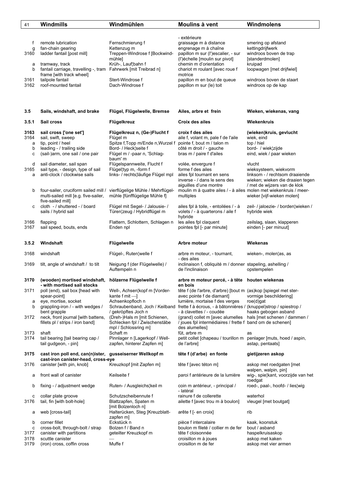| 41                     | <b>Windmills</b>                                                                                  | Windmühlen                                                                                            | Moulins à vent                                                                                                                               | Windmolens                                                                                                                            |
|------------------------|---------------------------------------------------------------------------------------------------|-------------------------------------------------------------------------------------------------------|----------------------------------------------------------------------------------------------------------------------------------------------|---------------------------------------------------------------------------------------------------------------------------------------|
|                        |                                                                                                   |                                                                                                       |                                                                                                                                              |                                                                                                                                       |
| f<br>g<br>3160         | remote lubrication<br>fan-chain gearing<br>ladder fantail [post mill]                             | Fernschmierung f<br>Kettenzug m<br>Treppen-Windrose f [Bockwind-<br>mühlel                            | - extérieure<br>graissage m à distance<br>engrenage m à chaîne<br>papillon m sur (l')escalier, - sur                                         | smering op afstand<br>kettingdrijfwerk<br>windroos boven de trap                                                                      |
| а<br>b                 | tramway, track<br>fantail carriage, travelling -, tram Fahrwerk [mit Treibrad n]                  | Krüh-, Lauf¦bahn f                                                                                    | (l')échelle [moulin sur pivot]<br>chemin m d'orientation<br>chariot m roulant [avec roue f                                                   | [standerdmolen]<br>kruipad<br>loopwagen [met drijfwiel]                                                                               |
| 3161<br>3162           | frame [with track wheel]<br>tailpole fantail<br>roof-mounted fantail                              | Stert-Windrose f<br>Dach-Windrose f                                                                   | motrice<br>papillon m en bout de queue<br>papillon m sur (le) toit                                                                           | windroos boven de staart<br>windroos op de kap                                                                                        |
|                        |                                                                                                   |                                                                                                       |                                                                                                                                              |                                                                                                                                       |
| 3.5                    | Sails, windshaft, and brake                                                                       | Flügel, Flügelwelle, Bremse                                                                           | Ailes, arbre et frein                                                                                                                        | Wieken, wiekenas, vang                                                                                                                |
| 3.5.1                  | Sail cross                                                                                        | Flügelkreuz                                                                                           | Croix des ailes                                                                                                                              | Wiekenkruis                                                                                                                           |
| 3163<br>3164<br>a<br>b | sail cross ['one set']<br>sail, swift, sweep<br>tip, point / heel<br>leading - / trailing side    | Flügelkreuz n, (Ge-)Flucht f<br>Flügel m<br>Spitze f, Topp m/Ende n, Wurzel f<br>Bord- / Heck¦seite f | croix f des ailes<br>aile f, volant m, pale f de l'aile<br>pointe f, bout m / talon m<br>côté m droit / - gauche<br>bras m / paire f d'ailes | (wieken)kruis, gevlucht<br>wiek, eind<br>top / hiel<br>bord- / wiek¦zijde<br>eind, wiek / paar wieken                                 |
| c                      | (sail-)arm, one sail / one pair                                                                   | Flügel m / -paar n, 'Schlag-<br>baum' m                                                               |                                                                                                                                              |                                                                                                                                       |
| d<br>3165<br>a         | sail diameter, sail span<br>sail type, - design, type of sail<br>anti-clock / clockwise sails     | Flügelspannweite, Flucht f<br>Flügel¦typ m, -form f<br>links- / rechts¦läufige Flügel mpl             | volée, envergure f<br>forme f des ailes<br>ailes fpl tournant en sens<br>inverse - / dans le sens des<br>aiquilles d'une montre              | vlucht<br>wieksysteem, wiekvorm<br>linksom - / rechtsom draaiende<br>wieken; wieken die draaien tegen<br>/ met de wijzers van de klok |
| b                      | four-sailer, cruciform sailed mill /<br>multi-sailed mill [e.g. five-sailer,<br>five-sailed mill] | vierflügelige Mühle / Mehrflügel-<br>mühle [fünfflügelige Mühle f]                                    | moulin m à quatre ailes / - à ailes molen met wiekenkruis / meer-<br>multiples                                                               | wieker [vijf-wieken molen]                                                                                                            |
| C                      | cloth - / shuttered - / board<br>sails / hybrid sail                                              | Flügel mit Segel- / Jalousie- /<br>Türen¦zeug / Hybridflügel m                                        | ailes fpl à toile, - entoilées / - à<br>volets / - à quarterons / aile f<br>hybride                                                          | zeil- / jaloezie- / borden¦wieken /<br>hybride wiek                                                                                   |
| 3166<br>3167           | flapping<br>sail speed, bouts, ends                                                               | Flattern, Schlottern, Schlagen n<br>Enden npl                                                         | les ailes fpl claquent<br>pointes fpl [- par minute]                                                                                         | zeilslag, slaan, klapperen<br>einden [- per minuut]                                                                                   |
| 3.5.2                  | Windshaft                                                                                         | Flügelwelle                                                                                           | Arbre moteur                                                                                                                                 | Wiekenas                                                                                                                              |
| 3168                   | windshaft                                                                                         | Flügel-, Ruten¦welle f                                                                                | arbre m moteur, - tournant,<br>- des ailes                                                                                                   | wieken-, molen¦as, as                                                                                                                 |
| 3169                   | tilt, angle of windshaft / to tilt                                                                | Neigung f (der Flügelwelle) /<br>Auftempeln n                                                         | inclinaison f, obliquité m / donner stapeling, ashelling /<br>de l'inclinaison                                                               | opstempelen                                                                                                                           |
| 3170                   | (wooden) mortised windshaft,<br>- with mortised sail stocks                                       | hölzerne Flügelwelle f                                                                                | arbre m moteur percé, - à tête houten wiekenas<br>en bois                                                                                    |                                                                                                                                       |
| 3171<br>a              | poll (end), sail box [head with<br>spear-point]<br>eye, mortise, socket                           | Well-, Achsen¦kopf m [Vorder-<br>kante $f$ mit $\Box$<br>Achsenkopfloch n                             | tête f (de l'arbre, d'arbre) [bout m (as) kop [spiegel met ster-<br>avec pointe f de diamant]<br>lumière, mortaise f des verges              | vormige beschildering]<br>$roe(d)$ gat                                                                                                |
| b                      | grappling-iron / - with wedges /<br>bent grapple                                                  | / gekröpftes Joch n                                                                                   | Schraubenband, Joch / Keilband frette f à écrous, - à bâtonnières / (knuppel)strop / spiestrop /<br>- à clavettes / - coudée                 | haaks gebogen asband                                                                                                                  |
| 3172                   | neck, front journal [with battens,<br>fillets pl / strips / iron band]                            | (Dreh-)Hals m [mit Schienen,<br>Schlecken fpl / Zwischenstäbe<br>mpl / Schlossring m]                 | (grand) collet m [avec alumelles<br>/ joues fpl intermédiaires / frette f band om de schenen]<br>des alumelles]                              | hals [met schenen / dammen /                                                                                                          |
| 3173<br>3174           | shaft<br>tail bearing [tail bearing cap /<br>tail gudgeon, - pin]                                 | Schaft <sub>m</sub><br>Pinnlager n [Lagerkopf / Well-<br>zapfen, hinterer Zapfen m]                   | fût, arbre m<br>petit collet [chapeau / tourillon m<br>de l'arbre]                                                                           | as<br>penlager [muts, hoed / aspin,<br>astap, pentaats]                                                                               |
| 3175                   | cast iron poll end, can(n)ister, gusseiserner Wellkopf m                                          |                                                                                                       | tête f (d'arbe) en fonte                                                                                                                     | gietijzeren askop                                                                                                                     |
| 3176                   | cast-iron canister-head, cross-eye<br>canister [with pin, knob]                                   | Kreuzkopf [mit Zapfen m]                                                                              | tête f [avec téton m]                                                                                                                        | askop met roedgaten [met                                                                                                              |
| а                      | front wall of canister                                                                            | Keilseite f                                                                                           | paroi f antérieure de la lumière                                                                                                             | walpen, walpin, pin]<br>wig-, spie¦kant, voorzijde van het<br>roedgat                                                                 |
| b                      | fixing - / adjustment wedge                                                                       | Ruten- / Ausgleichs¦keil m                                                                            | coin m antérieur, - principal /<br>- latéral                                                                                                 | roed-, paal-, hoofd- / lies¦wig                                                                                                       |
| с<br>3176              | collar plate groove<br>tail, fin [with bolt-hole]                                                 | Schutzscheibennute f<br>Blattzapfen, Spaten m<br>[mit Bolzenloch n]                                   | rainure f de collerette<br>ailette f [avec trou m à boulon]                                                                                  | waterhol<br>vleugel [met boutgat]                                                                                                     |
| а                      | web [cross-tail]                                                                                  | Halterücken, Steg [Kreuzblatt-<br>zapfen m]                                                           | arête f [- en croix]                                                                                                                         | rib                                                                                                                                   |
| b<br>c                 | corner fillet<br>cross-bolt, through-bolt / strap                                                 | Eckstück n<br>Bolzen f / Band n                                                                       | pièce f intercalaire<br>boulon m fileté / collier m de fer                                                                                   | kaak, koonstuk<br>bout / asband                                                                                                       |
| 3177                   | canister with partitions                                                                          | geteilter Kreuzkopf m                                                                                 | tête f cloisonnée                                                                                                                            | haspelkruisaskop                                                                                                                      |
| 3178<br>3179           | scuttle canister<br>(iron) cross, coffin cross                                                    | Muffe f                                                                                               | croisillon m à joues<br>croisillon m de fer                                                                                                  | askop met kaken<br>askop met vier armen                                                                                               |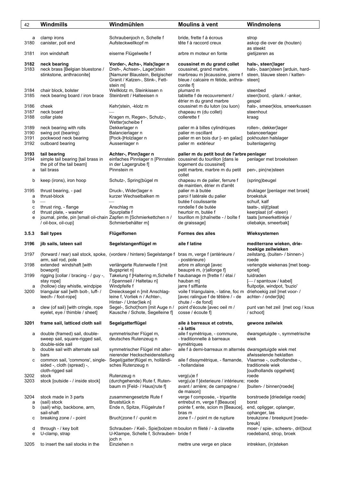| 42                   | Windmills                                                                                      | Windmühlen                                                                                                                                   | Moulins à vent                                                                                                                                        | Windmolens                                                                              |
|----------------------|------------------------------------------------------------------------------------------------|----------------------------------------------------------------------------------------------------------------------------------------------|-------------------------------------------------------------------------------------------------------------------------------------------------------|-----------------------------------------------------------------------------------------|
|                      |                                                                                                |                                                                                                                                              |                                                                                                                                                       |                                                                                         |
| а<br>3180            | clamp irons<br>canister, poll end                                                              | Schraubenjoch n, Schelle f<br>Aufsteckwellkopf m                                                                                             | bride, frette f à écrous<br>tête f à raccord creux                                                                                                    | strop<br>askop die over de (houten)                                                     |
| 3181                 | iron windshaft                                                                                 | eiserne Flügelwelle f                                                                                                                        | arbre m moteur en fonte                                                                                                                               | as steekt<br>gietijzeren as                                                             |
| 3182<br>3183         | neck bearing<br>neck brass [Belgian bluestone /<br>stinkstone, anthraconite]                   | Vorder-, Achs-, Hals¦lager n<br>Dreh-, Achsen-, Lager¦stein<br>[Namurer Blaustein, Belgischer<br>Granit / Katzen-, Stink-, Fett-<br>stein m] | coussinet m du grand collet<br>coussinet, grand marbre,<br>marbreau m [écaussine, pierre f<br>bleue / calcaire m fétide, anthra- steen]<br>conite fl  | hals-, steen¦lager<br>hals-, baan¦steen [arduin, hard-<br>steen, blauwe steen / katten- |
| 3184<br>3185         | chair block, bolster<br>neck bearing board / iron brace                                        | Wellklotz m, Steinkissen n<br>Steinbrett / Halteeisen n                                                                                      | plumard m<br>tablette f de recouvrement /<br>étrier m du grand marbre                                                                                 | steenbed<br>steen¦bord, -plank / -anker,<br>gespel                                      |
| 3186<br>3187         | cheek<br>neck board                                                                            | Kehr¦stein, -klotz m                                                                                                                         | coussinet m du luton (ou luon)<br>chapeau m (du collet)                                                                                               | hals-, smeer¦klos, smeerkussen<br>steenhout                                             |
| 3188<br>3189         | collar plate                                                                                   | Kragen m, Regen-, Schutz-,<br>Wetter¦scheibe f                                                                                               | collerette f                                                                                                                                          | kraag                                                                                   |
| 3190<br>3191<br>3192 | neck bearing with rolls<br>swing pot (bearing)<br>pockwood neck bearing<br>outboard bearing    | Dekkerlager n<br>Balancierlager n<br>[Pock-]Holzlager n<br>Aussenlager n                                                                     | palier m à billes cylindriques<br>palier m oscillant<br>palier m en bois dur [- en gaîac]<br>palier m extérieur                                       | rollen-, dekker¦lager<br>balanceerlager<br>pokhouten halslager<br>buitenlagering        |
| 3193<br>3194         | tail bearing<br>simple tail bearing [tail brass in<br>the pit of the tail beam]                | Achter-, Pinn¦lager n<br>einfaches Pinnlager n [Pinnstein<br>in der Lagergrube fl                                                            | palier m du petit bout de l'arbre penlager<br>coussinet du tourillon [dans le<br>logement du coussinet]                                               | penlager met broeksteen                                                                 |
| a                    | tail brass                                                                                     | Pinnstein m                                                                                                                                  | petit marbre, marbre m du petit<br>collet                                                                                                             | pen-, pin(ne)steen                                                                      |
| b<br>3195            | keep (irons), iron hoop<br>thrust bearing, - pad                                               | Schutz-, Spring¦bügel m<br>Druck-, Wider¦lager n                                                                                             | chapeau m de palier, ferrure f<br>de maintien, étrier m d'arrêt<br>palier m à butée                                                                   | (spring)beugel<br>druklager [penlager met broek]                                        |
| а<br>b               | thrust-block                                                                                   | kurzer Wechselbalken m                                                                                                                       | paroi f latérale du palier<br>butée f coulissante                                                                                                     | broekstuk<br>schuif, kalf                                                               |
| С<br>d               | thrust ring, - flange<br>thrust plate, - washer                                                | Anschlag m<br>Spurplatte f                                                                                                                   | rondelle f de butée<br>heurtoir m, butée f                                                                                                            | taats-, slijt¦plaat<br>keerplaat (of -steen)                                            |
| е                    | journal, pintle, pin [small oil-chain Zapfen m [Schmierkettchen n /<br>/ oil-box, oil-cup]     | Schmierbehälter m]                                                                                                                           | tourillon m [chaînette - / boîte f<br>de graissage]                                                                                                   | taats [smeerkettinkje /<br>oliebakje, smeerbak]                                         |
| 3.5.3                | Sail types                                                                                     | Flügelfomen                                                                                                                                  | <b>Formes des ailes</b>                                                                                                                               | Wieksystemen                                                                            |
|                      |                                                                                                |                                                                                                                                              |                                                                                                                                                       |                                                                                         |
| 3196                 | jib sails, lateen sail                                                                         | Segelstangenflügel m                                                                                                                         | aile f latine                                                                                                                                         | mediterrane wieken, drie-<br>hoekige zeilwieken                                         |
| 3197                 | arm, sail rod, pole                                                                            | (forward / rear) sail stock, spoke, (vordere / hintere) Segelstange f                                                                        | bras m, verge f (antérieure /<br>- postérieure)                                                                                                       | zeilstang, (buiten- / binnen-)<br>roede                                                 |
| 3198                 | extended windshaft [with<br>bowsprit]                                                          | verlängerte Rutenwelle f [mit<br>Bugspriet n]                                                                                                | arbre m allongé [avec<br>beaupré m, (r) allonge f]                                                                                                    | verlengde wiekenas [met boeg-<br>spriet]                                                |
| 3199                 | rigging [collar / bracing - / guy -,<br>stay rope]                                             | Takelung f [Haltering m, Schelle f haubanage m [frette f / étai /<br>/ Spannseil / Haltetau n]                                               | hauban m]                                                                                                                                             | tuidraden<br>[-/ spantouw / kabel]                                                      |
| a<br>3200            | (hollow) clay whistle, windpipe<br>triangular sail [with bolt-, luff- /<br>leech- / foot-rope] | Windpfeife f<br>Dreiecksegel n [mit Anschlag-<br>leine f, Vorliek n / Achter-,<br>Hinter- / Unterliek n]                                     | jarre f sifflante<br>voile f triangulaire, - latine, foc m driehoekig zeil [met voor- /<br>[avec ralingue f de têtière / - de<br>chute $/$ - de fond] | fluitpotje, windpot, 'buzio'<br>achter- / onder¦lijk]                                   |
| a                    | clew (of sail) [with cringle, rope<br>eyelet, eye / thimble / sheet]                           | Segel-, Schot¦horn [mit Auge n /<br>Kausche / Schote, Segelleine f]                                                                          | point d'écoute [avec oeil m /<br>cosse / écoute fl                                                                                                    | punt van het zeil [met oog / kous<br>/ schoot]                                          |
| 3201                 | frame sail, latticed cloth sail                                                                | Segelgatterflügel                                                                                                                            | aile à barreaux et cotrets,<br>- à lattis                                                                                                             | gewone zeilwiek                                                                         |
| а                    | double (framed) sail, double-<br>sweep sail, square-rigged sail,                               | symmetrischer Flügel m,<br>deutsches Rutenzeug n                                                                                             | aile f symétrique, - commune,<br>- traditionnelle à barreaux                                                                                          | dwarsgetuigde -, symmetrische<br>wiek                                                   |
| b                    | double-side sail<br>double sail with alternate sail<br>bars                                    | symmetrischer Flügel mit alter-<br>nierender Heckscheidenstellung                                                                            | symétriques<br>aile f à demi-barreaux m alternés dwarsgetuigde wiek met                                                                               | afwisselende heklatten                                                                  |
| с                    | common sail, 'commons', single-<br>sided -, cloth (spread) -,                                  | Segel(gatter)flügel m, holländi-<br>sches Rutenzeug n                                                                                        | aile f dissymétrique, - flamande,<br>- hollandaise                                                                                                    | Vlaamse -, oudhollandse -,<br>traditionele wiek                                         |
| 3202<br>3203         | cloth-rigged sail<br>stock<br>stock [outside - / inside stock]                                 | Rutenzeug n<br>(durchgehende) Rute f, Ruten-<br>baum m [Feld- / Haus¦rute f]                                                                 | verg(u)e f<br>verg(u)e f [éxterieure / intérieure; roede<br>avant / arrière; de campagne /<br>de maison]                                              | [oudhollands opgehekt]<br>roede<br>[buiten- / binnen¦roede]                             |
| 3204<br>a<br>b       | stock made in 3 parts<br>(sail) stock                                                          | zusammengesetzte Rute f<br>Bruststück n                                                                                                      | verge f composée, - tripartite<br>entrebut m, verge f [Beauce]                                                                                        | borstroede [driedelige roede]<br>borst                                                  |
|                      | (sail) whip, backbone, arm,<br>sail-shaft                                                      | Ende n, Spitze, Flügelrute f                                                                                                                 | pointe f, ente, scion m [Beauce],<br>bras m                                                                                                           | end, opligger, oplanger,<br>ophanger, las                                               |
| с                    | breaking zone / - point                                                                        | Bruch¦zone f / -punkt m                                                                                                                      | zone f - / point m de rupture                                                                                                                         | breukzone / breekpunt [roede-<br>breuk]                                                 |
| d<br>е               | through - / key bolt<br>U-clamp, strap                                                         | Schrauben- / Keil-, Spie¦bolzen m boulon m fileté / - à clavette<br>U-Klampe, Schelle f, Schrauben- bride f<br>joch n                        |                                                                                                                                                       | moer- / spie-, scheers-, drillbout<br>roedeband, strop, broek                           |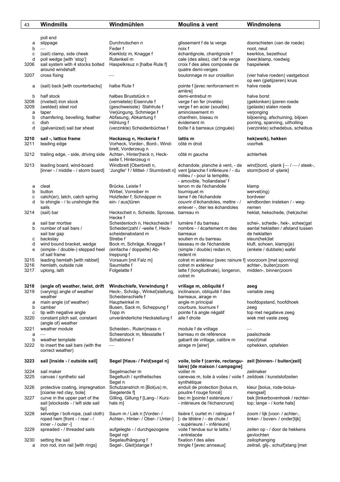| 43           | Windmills                                                           | Windmühlen                                                              | Moulins à vent                                                     | Windmolens                                                       |
|--------------|---------------------------------------------------------------------|-------------------------------------------------------------------------|--------------------------------------------------------------------|------------------------------------------------------------------|
|              |                                                                     |                                                                         |                                                                    |                                                                  |
|              | poll end                                                            |                                                                         |                                                                    |                                                                  |
| а            | slippage                                                            | Durchrutschen n                                                         | glissement f de la verge                                           | doorschieten (van de roede)                                      |
| b<br>c       | (sail) clamp, side cheek                                            | Feder f<br>Kierklotz m, Knagge f                                        | noix f<br>échantignole, chantignole f                              | noot, neut<br>keerklos, bezethout                                |
| d            | poll wedge [with 'stop']                                            | Rutenkeil m                                                             | cale (des ailes), clef f de verge                                  | (keer)klamp, roedwig                                             |
| 3206         | sail system with 4 stocks bolted                                    | Haspelkreuz n [halbe Rute f]                                            | croix f des ailes composée de                                      | haspelwiek                                                       |
|              | around windshaft                                                    |                                                                         | quatre demi-verges                                                 |                                                                  |
| 3207         | cross fixing                                                        |                                                                         | boulonnage m sur croisillon                                        | (vier halve roeden) vastgebout<br>op een (gietijzeren) kruis     |
| а            | (sail) back [with counterbacks]                                     | halbe Rute f                                                            | pointe f [avec renforcement m                                      | halve roede                                                      |
|              |                                                                     |                                                                         | arrière]                                                           |                                                                  |
| b            | half stock                                                          | halbes Bruststück n                                                     | demi-entrebut m                                                    | halve borst                                                      |
| 3208<br>3209 | (riveted) iron stock<br>(welded) steel rod                          | (vernietete) Eisenrute f<br>(geschweisste) Stahlrute f                  | verge f en fer (rivetée)<br>verge f en acier (soudée)              | (geklonken) ijzeren roede<br>(gelaste) stalen roede              |
| a            | taper                                                               | Verjüngung, Schmiege f                                                  | amincissement m                                                    | verjonging                                                       |
| b            | chamfering, bevelling, feather                                      | Abfasung, Abkantung f                                                   | chanfrein, biseau m                                                | biljoening, afschuining, biljoen                                 |
| c<br>d       | dish<br>(galvanized) sail bar sheat                                 | Höhlung f<br>(verzinkte) Scheidenbüchse f                               | évidement m<br>boîte f à barreaux (zinguée)                        | porring, spanning, uitholling<br>(verzinkte) schedebus, scheibus |
|              |                                                                     |                                                                         |                                                                    |                                                                  |
| 3210         | sail -, lattice frame                                               | Heckzeug n, Heckerie f                                                  | lattis m                                                           | hek(werk), hekken                                                |
| 3211         | leading edge                                                        | Vorheck, Vorder-, Bord-, Wind-                                          | côté m droit                                                       | voorhek                                                          |
| 3212         | trailing edge, - side, driving side                                 | brett, Vorderzeug n<br>Achter-, Hinter¦heck n, Heck-                    | côté m gauche                                                      | achterhek                                                        |
|              |                                                                     | seite f, Hinterzeug n                                                   |                                                                    |                                                                  |
| 3213         | leading board, wind-board                                           | Windbrett [Oberbrett n,                                                 | échandole, planche à vent, - de                                    | wind{bord, -plank $[-/$ / steek-,                                |
|              | [inner - / middle - / storm board]                                  | 'Jungfer' f / Mittel- / Sturmbrett n] vent [planche f inférieure / - du | milieu / - pour la tempête,                                        | storm¦bord of -plank]                                            |
|              |                                                                     |                                                                         | - amovible, 'hollandaise' f                                        |                                                                  |
| а            | cleat                                                               | Brücke, Leiste f                                                        | tenon m de l'échandolle                                            | klamp                                                            |
| b            | button                                                              | Wirbel, Vorreiber m                                                     | tourniquet m                                                       | wervel(ing)                                                      |
| с<br>d       | catch(er), latch, catch spring<br>to shingle $-$ / to unshingle the | Holzfeder f, Schnäpper m<br>ein- / aus¦türen                            | lame f de l'échandole<br>couvrir d'échandoles, mettre - /          | bordveer<br>windborden insteken / - weg-                         |
|              | sails                                                               |                                                                         | enlever -, ôter les échandoles                                     | nemen                                                            |
| 3214         | (sail) bar                                                          | Heckscheit n, Scheide, Sprosse,                                         | barreau m                                                          | heklat, hekschede, (hek)schei                                    |
| а            | sail bar mortise                                                    | Hecke f<br>Scheidenloch n, Heckscheide f                                | lumière f du barreau                                               | schei-, schede-, hek-, scheelgat                                 |
| b            | number of sail bars /                                               | Scheiden¦zahl / -weite f, Heck-                                         | nombre - / écartement m des                                        | aantal heklatten / afstand tussen                                |
|              | sail bar gap                                                        | scheidenabstand m                                                       | barreaux                                                           | de heklatten                                                     |
| с            | backstay<br>wind bound bracket, wedge                               | Strebe f<br>Bock m, Schräge, Knagge f                                   | soutien m du barreau                                               | steun(hek)lat                                                    |
| d<br>e       | (simple- / double-) stepped heel                                    | (einfache / doppelte) Ab-                                               | tasseau m de l'échandole<br>(simple / double) redan m,             | kluft, schoen, klamp(je)<br>(enkele / dubbele) wafel             |
|              | of sail frame                                                       | treppung f                                                              | redent m                                                           |                                                                  |
| 3215         | leading hemlath [with rabbet]                                       | Vorsaum [mit Falz m]                                                    | cotret m antérieur [avec rainure f] voorzoom [met sponning]        |                                                                  |
| 3216<br>3217 | hemlath, outside rule<br>uplong, lath                               | Saumlatte f<br>Folgelatte f                                             | cotret m extérieur<br>latte f (longitudinale), longeron,           | achter-, buiten zoom<br>midden-, binnen¦zoom                     |
|              |                                                                     |                                                                         | cotret m                                                           |                                                                  |
|              |                                                                     |                                                                         |                                                                    |                                                                  |
| 3218<br>3219 | (angle of) weather, twist, drift<br>(varying) angle of weather      | Windschiefe, Verwindung f<br>Heck-, Schräg-, Winkel¦stellung,           | vrillage m. obliquité f<br>inclinaison, obliquité f des            | zeeg<br>variable zeeg                                            |
|              | weather                                                             | Scheidenschiefe f                                                       | barreaux, airage m                                                 |                                                                  |
| а            | main angle (of weather)                                             | Hauptwinkel m                                                           | angle m principal                                                  | hoofdopstand, hoofdhoek                                          |
| b<br>c       | camber<br>tip with negative angle                                   | Busen, Sack m, Scheppung f<br>Topp m                                    | courbure, tournure f<br>pointe f à angle négatif                   | zeeg<br>top met negatieve zeeg                                   |
| 3220         | constant pitch sail, constant                                       | unveränderliche Heckstellung f                                          | aile f droite                                                      | wiek met vaste zeeg                                              |
|              | (angle of) weather                                                  |                                                                         |                                                                    |                                                                  |
| 3221         | weather module                                                      | Scheiden-, Ruten¦mass n                                                 | module f de vrillage                                               |                                                                  |
| a<br>b       | weather template                                                    | Scheerstock m, Messlatte f<br>Schablone f                               | barreau m de référence<br>gabarit de vrillage, calibre m           | paalschede<br>roe(d)mal                                          |
| 3222         | to insert the sail bars (with the                                   |                                                                         | airage m [airer]                                                   | ophekken, optafelen                                              |
|              | correct weather)                                                    |                                                                         |                                                                    |                                                                  |
| 3223         |                                                                     |                                                                         |                                                                    |                                                                  |
|              | sail [inside - / outside sail]                                      | Segel [Haus- / Feld¦segel n]                                            | voile, toile f (carrée, rectangu-<br>laire) [de maison / campagne] | zeil [binnen- / buiten¦zeil]                                     |
| 3224         | sail maker                                                          | Segelmacher m                                                           | voilier m                                                          | zeilmaker                                                        |
| 3225         | canvas / synthetic sail                                             | Segeltuch / synthetisches                                               | canevas m, toile à voiles / voile f zeildoek / kunststofzeilen     |                                                                  |
| 3226         | protective coating, impregnation                                    | Segel n<br>Schutzanstrich m [Bol(us) m,                                 | synthétique<br>enduit de protection [bolus m,                      | kleur [bolus, rode-bolus-                                        |
|              | [coarse red clay, bole]                                             | Siegelerde fl                                                           | poudre f rouge foncé]                                              | mengsel]                                                         |
| 3227         | curve in the upper part of the                                      | Gilling, Gillung f [Lang- / Kurz-                                       | bec m [pointe f extérieure /                                       | bek [linkerbovenhoek / rechter-                                  |
|              | sail [stockside - / left side sail<br>tip]                          | hals m]                                                                 | - intérieure de l'échancrure]                                      | top; lange - / korte hals]                                       |
| 3228         | selvedge / bolt-rope, (sail cloth)                                  | Saum m / Liek n [Vorder- /                                              | lisière f, ourlet m / ralingue f                                   | zoom / lijk [voor- / achter-,                                    |
|              | roped hem [front - / rear - /                                       | Achter-, Hinter- / Ober- / Unter-]                                      | [- de têtière / - de chute /                                       | linker- / boven- / onder¦lijk]                                   |
| 3229         | $inner - / outer -]$                                                |                                                                         | - supérieure / - inférieure]<br>voile f tendue sur le lattis /     | zeilen op - / door de hekkens                                    |
|              | spreaded - / threaded sails                                         | aufgelegte - / durchgezogene<br>Segel npl                               | - entrelacée                                                       | gevlochten                                                       |
| 3230         | setting the sail                                                    | Segelaufhängung f                                                       | fixation f des ailes                                               | zeilophanging                                                    |
| a            | iron rod, iron rail [with rings]                                    | Segel-, Gleit¦stange f                                                  | tringle f [avec anneaux]                                           | zeilrail, glij-, schuif¦stang [met                               |
|              |                                                                     |                                                                         |                                                                    |                                                                  |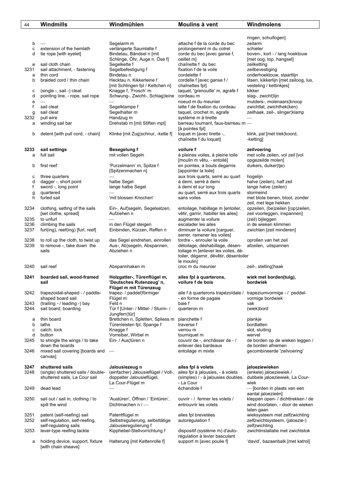| 44           | Windmills                                                    | Windmühlen                                              | Moulins à vent                                                  | Windmolens                                                            |
|--------------|--------------------------------------------------------------|---------------------------------------------------------|-----------------------------------------------------------------|-----------------------------------------------------------------------|
|              |                                                              |                                                         |                                                                 |                                                                       |
|              |                                                              |                                                         |                                                                 | ringen, schuifogen]                                                   |
| b            |                                                              | Segelarm m                                              | attache f de la corde du bec                                    | zeilarm                                                               |
| c<br>d       | extension of the hemlath                                     | verlängerte Saumlatte f<br>Bindetau, Bändsel n [mit     | prolongement m du cotret                                        | schieter                                                              |
|              | tie rope [with eyelet]                                       | Schlinge, Öhr, Auge n, Öse f]                           | corde du bec [avec ganse f,<br>oeillet m]                       | boven-, kort - / lang hoektouw<br>[met oog, top, hangsel]             |
| е            | sail cloth chain                                             | Segelkette f                                            | chaînette f du bec                                              | zeilketting                                                           |
| 3231         | sail attachment, - fastening                                 | Segelbefestigung f                                      | fixation f de la voile                                          | zeilbevestiging                                                       |
| а            | thin cord                                                    | Bindetau n                                              | cordelette f                                                    | onderhoektouw, staartlijn                                             |
| b            | braided cord / thin chain                                    | Hecktau n, Kikkerleine f                                | cordelle f [avec ganse f /                                      | litsen, kikkerlijn [met zeiloog, lus,                                 |
|              |                                                              | [mit Schlingen fpl / Kettchen n]                        | chaînettes fpl]                                                 | vesteling / kettinkjes]                                               |
| с<br>d       | (single -, sail -) cleat<br>pointing line, - rope, sail rope | Knagge f, 'Frosch' m<br>Schwung-, Zwicht-, Schlag¦leine | taquet, 'grenouille' m, agrafe f<br>cordeau m                   | kikker<br>slag-, zwicht¦lijn                                          |
| e            |                                                              |                                                         | noeud m du meunier                                              | mulders-, molenaars¦knoop                                             |
| f            | sail cleat                                                   | Segelklampe f                                           | latte f de fixation du cordeau                                  | zwichtlat, zwichthek(ken)                                             |
| g            | sail cleat                                                   | Segelhalter m                                           | taquet, crochet m, agrafe                                       | zeilhaak, zeil-, slinger¦klamp                                        |
| 3232         | pull wire                                                    | Handzug m                                               | système m à tirette                                             |                                                                       |
| а            | winding sail bar                                             | Drehstab m [mit Stiften mpl]                            | barreau tournant, faux-barreau m -                              |                                                                       |
| b            | detent [with pull cord, - chain]                             | Klinke [mit Zug schnur, -kette f]                       | [à pointes fpl]<br>loquet m [avec tirette -,                    | klink, pal [met trek¦koord,                                           |
|              |                                                              |                                                         | chaînette f du loquet]                                          | -ketting]                                                             |
|              |                                                              |                                                         |                                                                 |                                                                       |
| 3233         | sail settings                                                | <b>Besegelung f</b>                                     | voilure f                                                       | zeilvoering                                                           |
| a            | full sail                                                    | mit vollen Segeln                                       | à pleines voiles, à pleine toile<br>[moulin m vêtu, - entoilé]  | met volle zeilen, vol zeil [vol<br>opgezeilde molen]                  |
| b            | first reef                                                   | 'Purzelmann' m, Spitze f                                | en pointes, à bouts degarnis                                    | duikers, duiker(tje)                                                  |
|              |                                                              | [Spitzenmachen n]                                       | [appointer la toile]                                            |                                                                       |
| с            | three quarters                                               |                                                         | aux trois quarts, serré au quart                                | hogelijn                                                              |
| d            | dagger -, short point                                        | halbe Segel                                             | à demi, serré à demi                                            | halve (zeilen), half zeil                                             |
| f            | sword -, long point                                          | lange halbe Segel                                       | à demi et sur long                                              | lange halve (zeilen)                                                  |
| g<br>h       | quartered<br>furled sail                                     | 'mit blossen Knochen'                                   | au quart, serré aux trois quarts<br>sans voiles                 | stormeind<br>met blote benen, bloot, zonder                           |
|              |                                                              |                                                         |                                                                 | zeil, met lege hekken                                                 |
| 3234         | clothing, setting of the sails                               | Ein-, Auf¦segeln, Segelsetzen,                          | entoilage, habillage m [entoiler,                               | opzeilen, (be)zeilen [(op)zeilen,                                     |
|              | [set clothe, spread]                                         | Aufziehen n                                             | vêtir, garnir, habiller les ailes]                              | zeil voorleggen, inspannen]                                           |
| 3235         | to unfurl                                                    |                                                         | augmenter la voilure                                            | (zeil) bijleggen                                                      |
| 3236<br>3237 | climbing the sails<br>furl(ing), reef(ing) [furl, reef]      | in den Flügel steigen<br>Einbinden, Kürzen, Reffen n    | escalader les ailes<br>diminuer la voilure [carguer,            | in de wieken klimmen<br>zwichten [zeil minderen]                      |
|              |                                                              |                                                         | serrer, ramener les voiles]                                     |                                                                       |
| 3238         | to roll up the cloth, to twist up                            | das Segel eindrehen, einrollen                          | tordre -, enrouler la voile                                     | oprollen van het zeil                                                 |
| 3239         | to remove -, take down the                                   | Aus-, Ab¦segeln, Abspannen,                             | détoilage, déshabillage, désen-                                 | afzeilen, uitspannen                                                  |
|              | sails                                                        | Abziehen n                                              | toilage m [enlever les voiles, dé-                              |                                                                       |
|              |                                                              |                                                         | toiler, dégarnir, dévêtir, désentoiler<br>le moulin]            |                                                                       |
| 3240         | sail reef                                                    | Abspannhaken m                                          | croc m du meunier                                               | zeil-, stelling¦haak                                                  |
|              |                                                              |                                                         |                                                                 |                                                                       |
| 3241         | boarded sail, wood-framed<br>sail                            | Holzgatter-, Türenflügel m,<br>'Deutsches Rutenzeug' n, | ailes fpl à quarterons,<br>voilure f de bois                    | wiek met borden(tuig),<br>bordwiek                                    |
|              |                                                              | Flügel m mit Türenzeug                                  |                                                                 |                                                                       |
| 3242         | trapezoidal-shaped - / paddle-                               | trapez- / paddel¦förmiger                               | aile f à quarterons trapézoïdale / trapeziumvormige - / peddel- |                                                                       |
|              | shaped board sail                                            | Flügel m                                                | - en forme de pagaie                                            | vormige bordwiek                                                      |
| 3243<br>3244 | (trailing - / leading -) bay                                 | Feld n                                                  | baie f                                                          | vak                                                                   |
|              | sail board, boarding                                         | Tür f [Unter- / Mittel- / Sturm- /<br>Jungfern¦tür]     | quarteron m                                                     | (wiek)bord                                                            |
| а            | thin board                                                   | Brettchen n, Spletten, Spliess m                        | planchette f                                                    | plankje                                                               |
| b            | laths                                                        | Türenleisten fpl, Spange f                              | traverse f                                                      | bordlatten                                                            |
| c            | catch, lock                                                  | Knagge f                                                | verrou m                                                        | slot, sluiting                                                        |
| d<br>3245    | button<br>to shingle the wings / to take                     | Vorreiber, Wirbel m<br>Ein- / Aus¦türen n               | tourniquet m<br>couvrir de -, enchâsser de - /                  | wervel<br>de borden op de wieken leggen /                             |
|              | down the boards                                              |                                                         | enlever des bardeaux                                            | de borden afnemen                                                     |
| 3246         | mixed sail covering [boards and                              |                                                         | entoilage m mixte                                               | gecombineerde 'zeilvoering'                                           |
|              | canvas]                                                      |                                                         |                                                                 |                                                                       |
|              |                                                              |                                                         |                                                                 |                                                                       |
| 3247<br>3248 | shuttered sails<br>(single) shuttered sails / double-        | Jalousiezeug n<br>(einfacher) Jalousieflügel / Voll-,   | ailes fpl à volets<br>ailes fpl à jalousies, - à volets         | jaloeziewieken<br>(enkele) jaloeziewiek /                             |
|              | shuttered sails, La Cour sail                                | doppelter Jalousieflügel,                               | (simples) / - à jalousies doubles,                              | dubbele jaloeziewiek, La Cour-                                        |
|              |                                                              | La Cour-Flügel m                                        | - La Cour                                                       | wiek                                                                  |
| 3249         | dead lead                                                    |                                                         | échandole f                                                     | - [borden in plaats van een                                           |
|              |                                                              |                                                         |                                                                 | aantal jaloezieën]                                                    |
| 3250         | sail out / sail in, clothing / to<br>spill the wind          | 'Austüren', Öffnen / 'Eintüren',<br>Dichtmachen n /-    | ouvrir - / fermer les volets /<br>entrouvrir les volets         | kleppen open- / dichttrekken / de<br>wind doorlaten, - door de wieken |
|              |                                                              |                                                         |                                                                 | laten gaan                                                            |
| 3251         | patent (self-reefing) sail                                   | Patentflügel m                                          | ailes fpl brevetées                                             | wieksysteem met zelfzwichting                                         |
| 3252         | self-regulation, self-reefing,                               | Selbstregulierung, selbsttätige                         | autorégulation f                                                | zelfzwichtsysteem, (jaloezie-)                                        |
|              | self-regulating sails                                        | Jalousieregulierung f                                   |                                                                 | zelfzwichting<br>zwichtinstallatie met zwichtstok                     |
| 3253         | lever-type reefing tackle                                    | Kipphebel-Stellvorrichtung f                            | dispositif (système m) d'auto-<br>régulation à levier basculant |                                                                       |
| а            | holding device, support, fixture                             | Halterung [mit Kettenrolle f]                           | support m [avec poulie f]                                       | 'david', bazaanbalk [met katrol]                                      |

[with chain sheave]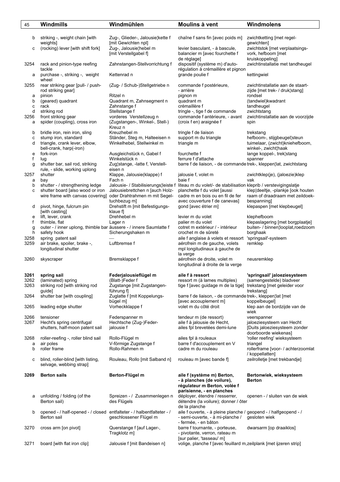| 45           | Windmills                                                                                               | Windmühlen                                                           | Moulins à vent                                                                                                                                                             | Windmolens                                                                                        |
|--------------|---------------------------------------------------------------------------------------------------------|----------------------------------------------------------------------|----------------------------------------------------------------------------------------------------------------------------------------------------------------------------|---------------------------------------------------------------------------------------------------|
| b            | striking -, weight chain [with<br>weights]                                                              | Zug-, Glieder-, Jalousie¦kette f<br>[mit Gewichten npl]              | chaîne f sans fin [avec poids m]                                                                                                                                           | zwichtketting [met regel-<br>gewichten]                                                           |
| с            | (rocking) lever [with shift fork]                                                                       | Zug-, Jalousie¦hebel m<br>[mit Verstellgabel f]                      | levier basculant, - à bascule,<br>balancier m [avec fourchette f<br>de réglage]                                                                                            | zwichtstok [met verplaatsings-<br>vork, hefboom [met<br>kruiskoppeling]                           |
| 3254         | rack and pinion-type reefing<br>tackle                                                                  | Zahnstangen-Stellvorrichtung f                                       | dispositif (système m) d'auto-<br>régulation à crémaillère et pignon                                                                                                       | zwichtinstallatie met tandheugel                                                                  |
| a            | purchase -, striking -, weight<br>wheel                                                                 | Kettenrad n                                                          | grande poulie f                                                                                                                                                            | kettingwiel                                                                                       |
| 3255         | rear striking gear [pull- / push-<br>rod striking gear]                                                 | (Zug- / Schub-)Stellgetriebe n                                       | commande f postérieure,<br>- arrière                                                                                                                                       | zwichtinstallatie aan de staart-<br>zijde [met trek- / druk¦stang]                                |
| a<br>b       | pinion<br>(geared) quadrant                                                                             | Ritzel n<br>Quadrant m, Zahnsegment n                                | pignon m<br>quadrant m                                                                                                                                                     | rondsel<br>(tandwiel) kwadrant                                                                    |
| c<br>d       | rack<br>striking rod                                                                                    | Zahnstange f<br>Stellstange f                                        | crémaillère f<br>tringle -, tige f de commande                                                                                                                             | tandheugel<br>zwichtstang                                                                         |
| 3256<br>а    | front striking gear<br>spider (coupling), cross iron                                                    | vorderes Verstellzeug n<br>(Zugstangen-, Winkel-, Stell-)<br>Kreuz n | commande f antérieure, - avant<br>(croix f en) araignée f                                                                                                                  | zwichtinstallatie aan de voorzijde<br>spin                                                        |
| b<br>С       | bridle iron, rein iron, sling<br>stump iron, standard                                                   | Kreuzhebel m<br>Ständer, Steg m, Halteeisen n                        | tringle f de liaison<br>support m du triangle                                                                                                                              | trekstang<br>hefboom-, stijgbeugel¦steun                                                          |
| d            | triangle, crank lever, elbow,<br>bell-crank, harp(-iron)                                                | Winkelhebel, Stellwinkel m                                           | triangle m                                                                                                                                                                 | tuimelaar, (zwicht)kniehefboom,<br>winkel-, zwicht¦haak                                           |
| e            | fork-iron                                                                                               | Ausgleichstück n, Gabel f                                            | fourchette f                                                                                                                                                               | lange koppel-, trek¦stang                                                                         |
| f<br>g       | lug<br>shutter bar, sail rod, striking                                                                  | Winkelstück n<br>Zug¦stange, -latte f, Verstell-                     | ferrure f d'attache<br>barre f de liaison, - de commande trek-, kleppen¦lat, zwichtstang                                                                                   | spanner                                                                                           |
| 3257         | rule, - slide, working uplong<br>shutter                                                                | eisen n<br>Klappe, Jalousie(klappe) f                                | jalousie f, volet m                                                                                                                                                        | zwichtklep(je), (jaloezie)klep                                                                    |
| а            | bay                                                                                                     | Fach n                                                               | baie f                                                                                                                                                                     | vak                                                                                               |
| b<br>c       | shutter - / strengthening ledge<br>shutter board [also wood or iron<br>wire frame with canvas covering] | Jalousiebrettchen n [auch Holz-<br>oder Drahtrahmen m mit Segel-     | Jalousie- / Stabilisierungs¦leiste f liteau m du volet/- de stabilisation kleprib / verstevigingslatje<br>planchette f du volet [aussi<br>cadre m en bois ou en fil de fer | klep¦deeltje, -plankje [ook houten<br>raam of draadraam met zeildoek-                             |
| d            | pivot, hinge, fulcrum pin<br>[with casting]                                                             | tuchbezug m]<br>Drehstift m [mit Befestigungs-<br>klaue fl           | avec couverture f de canevas]<br>gond [avec étrier m]                                                                                                                      | bespanning]<br>klepaspen [met klepbeugel]                                                         |
| е<br>f       | lift, lever, crank                                                                                      | Drehhebel m                                                          | levier m du volet                                                                                                                                                          | klephefboom                                                                                       |
| g<br>h       | thimble, flat<br>outer - / inner uplong, thimble bar äussere - / innere Saumlatte f<br>safety hook      | Lager n<br>Sicherungshaken m                                         | palier m du volet<br>cotret m extérieur / - intérieur<br>crochet m de sûreté                                                                                               | klepaslagering [met borgplaatje]<br>buiten- / binnen¦looplat,roedzoom<br>borghaak                 |
| 3258<br>3259 | spring patent sail<br>air brake, spoiler, brake -,<br>longitudinal shutter                              | Luftbremse f                                                         | aile f anglaise à volets et ressort<br>aérofrein m de gauche, volets<br>mpl longitudinaux à gauche de<br>la verge                                                          | 'springsail'-systeem<br>remklep                                                                   |
| 3260         | skyscraper                                                                                              | Bremsklappe f                                                        | aérofrein de droite, volet m<br>longitudinal à droite de la verge                                                                                                          | neusremklep                                                                                       |
| 3261         | spring sail                                                                                             | Federjalousieflügel m                                                | aile f à ressort                                                                                                                                                           | 'springsail' jaloeziesysteem                                                                      |
| 3262<br>3263 | (laminated) spring<br>striking rod [with striking rod                                                   | (Blatt-)Feder f<br>Zugstange [mit Zugstangen-                        | ressort m (à lames multiples)<br>tige f [avec guidage m de la tige] trekstang [met geleider voor                                                                           | (samengestelde) bladveer                                                                          |
| 3264         | guide]<br>shutter bar [with coupling]                                                                   | führung f<br>Zuglatte f [mit Koppelungs-<br>bügel m]                 | barre f de liaison, - de commande trek-, kleppen¦lat [met<br>[avec accouplement m]                                                                                         | trekstangl<br>koppelbeugel]                                                                       |
| 3265         | leading edge shutter                                                                                    | Vorheckklappe f                                                      | volet m du côté droit                                                                                                                                                      | klep aan de bordzijde van de<br>wiek                                                              |
| 3266<br>3267 | tensioner<br>Hecht's spring centrifugal<br>shutters, half-moon patent sail                              | Federspanner m<br>Hechtsche (Zug-)Feder-<br>jalousie f               | tendeur m (de ressort)<br>aile f à jalousie de Hecht,<br>ailes fpl brevetées demi-lune                                                                                     | veerspanner<br>jaloeziesysteem van Hecht<br>[Duits jaloeziesysteem zonder<br>doorboorde wiekenas] |
| 3268         | roller-reefing -, roller blind sail                                                                     | Rollo-Flügel m                                                       | ailes fpl à rouleaux                                                                                                                                                       | 'roller reefing' wieksysteem                                                                      |
| a<br>b       | air poles<br>roller frame                                                                               | V-förmige Zugstange f<br>Rollo-Rahmen m                              | barre f d'accouplement en V<br>cadre m du rouleau                                                                                                                          | triangel<br>rollerframe [voor- / achterzoomlat<br>/ koppellatten]                                 |
| с            | blind, roller-blind [with listing,<br>selvage, webbing strap]                                           | Rouleau, Rollo [mit Salband n]                                       | rouleau m [avec bande f]                                                                                                                                                   | zeilrolletje [met trekbandje]                                                                     |
| 3269         | <b>Berton sails</b>                                                                                     | Berton-Flügel m                                                      | aile f (système m) Berton,<br>- à planches (de voilure),<br>régulateur m Berton, volée f<br>parisienne, - en planches                                                      | Bertonwiek, wieksysteem<br>Berton                                                                 |
| а            | unfolding / folding (of the<br>Berton sail)                                                             | Spreizen - / Zusammenlegen n<br>des Flügels                          | déployer, étendre / resserrer,<br>détendre (la voilure); donner / ôter<br>de la planche                                                                                    | openen - / sluiten van de wiek                                                                    |
| b            | opened - / half-opened - / closed entfalteter - / halbentfalteter - /<br>Berton sail                    | geschlossener Flügel m                                               | aile f ouverte, - à pleine planche / geopend - / halfgeopend - /<br>- semi-ouverte, - à mi-planche /<br>- fermée, - en bâton                                               | gesloten wiek                                                                                     |
| 3270         | cross arm [on pivot]                                                                                    | Querstange f [auf Lager-,<br>Tragklotz m]                            | barre f tournante, - porteuse,<br>- pivotante, verron, rateau m<br>[sur palier, 'tasseau' m]                                                                               | dwarsarm [op draaiklos]                                                                           |
| 3271         | board [with flat iron clip]                                                                             | Jalousie f [mit Bandeisen n]                                         | volige, planche f [avec feuillard m,zeilplank [met ijzeren strip]                                                                                                          |                                                                                                   |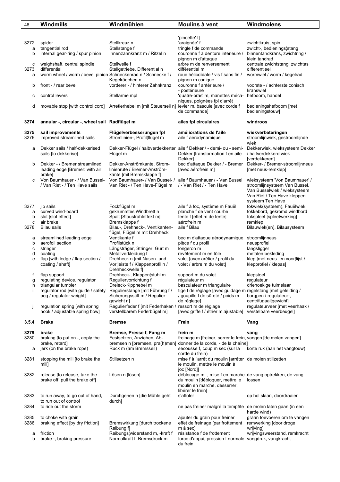| 46     | <b>Windmills</b>                                               | Windmühlen                                                          | Moulins à vent                                                     | Windmolens                                                     |
|--------|----------------------------------------------------------------|---------------------------------------------------------------------|--------------------------------------------------------------------|----------------------------------------------------------------|
|        |                                                                |                                                                     |                                                                    |                                                                |
|        |                                                                |                                                                     | 'pincette' f]                                                      |                                                                |
| 3272   | spider                                                         | Stellkreuz n                                                        | 'araignée' f                                                       | zwichtkruis, spin                                              |
| a      | tangential rod                                                 | Stellstange f<br>Innenzahnkranz m / Ritzel n                        | tringle f de commande<br>couronne f à denture intérieure /         | zwicht-, bedienings¦stang                                      |
| b      | internal gear-ring / spur pinion                               |                                                                     | pignon m d'attaque                                                 | binnentandkrans, zwichtring /<br>klein tandrad                 |
| с      | weighshaft, central spindle                                    | Stellwelle f                                                        | arbre m de renversement                                            | centrale zwichtstang, zwichtas                                 |
| 3273   | differential                                                   | Stellgetriebe, Differential n                                       | différentiel m                                                     | differentieel                                                  |
| а      | worm wheel / worm / bevel pinion Schneckenrad n / Schnecke f / |                                                                     | roue hélicoïdale / vis f sans fin /                                | wormwiel / worm / kegelrad                                     |
|        |                                                                | Kegelrädchen n                                                      | pignon m conique                                                   |                                                                |
| b      | front - / rear bevel                                           | vorderer - / hinterer Zahnkranz                                     | couronne f antérieure /                                            | voorste - / achterste conisch                                  |
|        |                                                                |                                                                     | - postérieure                                                      | kranswiel                                                      |
| с      | control levers                                                 | Stellarme mpl                                                       | 'quatre-bras' m, manettes méca- hefboom, handel                    |                                                                |
|        |                                                                |                                                                     | niques, poignées fpl d'arrêt                                       |                                                                |
| d      | movable stop [with control cord]                               | Arretierhebel m [mit Steuerseil n]                                  | levier m, bascule [avec corde f                                    | bedieningshefboom [met                                         |
|        |                                                                |                                                                     | de commande]                                                       | bedieningstouw]                                                |
| 3274   | annular -, circular -, wheel sail Radflügel m                  |                                                                     | ailes fpl circulaires                                              | windroos                                                       |
|        |                                                                |                                                                     |                                                                    |                                                                |
| 3275   | sail improvements                                              | Flügelverbesserungen fpl                                            | améliorations de l'aile                                            | wiekverbeteringen                                              |
| 3276   | improved streamlined sails                                     | Stromlinien-, Profil¦flügel m                                       | aile f aérodynamique                                               | stroomlijnwiek, gestroomlijnde                                 |
|        |                                                                |                                                                     |                                                                    | wiek                                                           |
| a      | Dekker sails / half-dekkerised                                 | Dekker-Flügel / halbverdekkerter aile f Dekker / - demi- ou - semi- |                                                                    | Dekkerwiek, wieksysteem Dekker                                 |
|        | sails [to dekkerise]                                           | Flügel m                                                            | Dekker [transformation f en aile                                   | / halfverdekkerd wiek                                          |
|        |                                                                |                                                                     | Dekker]                                                            | [verdekkeren]                                                  |
| b      | Dekker - / Bremer streamlined                                  | Dekker-Anströmkante, Strom-                                         | bec d'attaque Dekker / - Bremer Dekker- / Bremer-stroomlijnneus    |                                                                |
|        | leading edge [Bremer: with air                                 | linienrute / Bremer-Anström-                                        | [avec aérofrein m]                                                 | [met neus-remklep]                                             |
|        | brake]                                                         | kante [mit Bremsklappe f]                                           |                                                                    |                                                                |
| C      | Von Baumhauer - / Van Bussel-<br>/ Van Riet - / Ten Have sails | Von Baumhauer- / Van Bussel- /<br>Van Riet - / Ten Have-Flügel m    | aile f Baumhauer / - Van Bussel<br>/ - Van Riet / - Ten Have       | wieksysteem 'Von Baumhauer' /<br>stroomlijnsysteem Van Bussel, |
|        |                                                                |                                                                     |                                                                    | Van Busselwiek / wieksysteem                                   |
|        |                                                                |                                                                     |                                                                    | Van Riet / Ten Have kleppen,                                   |
|        |                                                                |                                                                     |                                                                    | systeem Ten Have                                               |
| 3277   | jib sails                                                      | Fockflügel m                                                        | aile f à foc, système m Fauël                                      | fokwiek(systeem), Fauëlwiek                                    |
| а      | curved wind-board                                              | gekrümmtes Windbrett n                                              | planche f de vent courbe                                           | fokkebord, gekromd windbord                                    |
| b      | slot [slot effect]                                             | Spalt [Staustrahleffekt m]                                          | fente f [effet m de fente]                                         | fokspleet [spleetwerking]                                      |
| с      | air brake                                                      | Bremsklappe f                                                       | aérofrein m                                                        | remklep                                                        |
| 3278   | Bilau sails                                                    | Bilau-, Drehheck-, Ventikanten-                                     | aile f Bilau                                                       | Bilauwiek(en), Bilausysteem                                    |
|        |                                                                | flügel, Flügel m mit Drehheck                                       |                                                                    |                                                                |
| а<br>b | streamlined leading edge<br>aerofoil section                   | Ventikante f<br>Profilstück n                                       | bec m d'attaque aérodynamique<br>pièce f du profil                 | stroomlijnneus<br>neusprofiel                                  |
| с      | stringer                                                       | Längsträger, Stringer, Gurt m                                       | longeron m                                                         | langsligger                                                    |
| d      | coating                                                        | Metallverkleidung f                                                 | revêtement m en tôle                                               | metalen bekleding                                              |
| e      | flap [with ledge / flap section /                              | Drehheck n [mit Nasen- und                                          | volet [avec arêtier / profil du                                    | klep [met neus- en voor lijst /                                |
|        | coating / shaft]                                               | Vor¦leiste f / Klappenprofil n /                                    | volet / arbre m du volet]                                          | klepprofiel / klepas]                                          |
|        |                                                                | Drehheckwelle fl                                                    |                                                                    |                                                                |
| f      | flap support                                                   | Drehheck-, Klappen¦stuhl m                                          | support m du volet                                                 | klepstoel                                                      |
| g      | regulating device, regulator                                   | Reguliervorrichtung f                                               | régulateur m                                                       | regulateur                                                     |
| h      | triangular tumbler                                             | Dreieck-Kipphebel m                                                 | basculateur m triangulaire                                         | driehoekige tuimelaar                                          |
|        | regulator rod [with guide / safety                             | Regulierstange [mit Führung f /                                     | tige f de réglage [avec guidage m regelstang [met geleiding /      |                                                                |
|        | peg / regulator weight]                                        | Sicherungsstift m / Regulier-<br>qewicht n]                         | / goupille f de sûreté / poids m<br>de réglage]                    | borgpen / regulateur-,<br>centrifugaal¦gewicht]                |
| Ĵ      | regulation spring [with spring                                 | Regulierfeder f [mit Federhaken / ressort m de réglage              |                                                                    | regulateurveer [met veerhaak /                                 |
|        | hook / adjustable spring bow]                                  | verstellbarem Federbügel m]                                         | [avec griffe f / étrier m ajustable]                               | verstelbare veerbeugel]                                        |
|        |                                                                |                                                                     |                                                                    |                                                                |
| 3.5.4  | <b>Brake</b>                                                   | <b>Bremse</b>                                                       | Frein                                                              | Vang                                                           |
| 3279   | brake                                                          | Bremse, Presse f, Fang m                                            | frein m                                                            | vang                                                           |
| 3280   | braking [to put on -, apply the                                | Festsetzen, Anziehen, Ab-                                           | freinage m [freiner, serrer le frein, vangen [de molen vangen]     |                                                                |
|        | brake, retard]                                                 |                                                                     | bremsen n [bremsen, pra(h)men] donner de la corde, - de la chaîne] |                                                                |
| а      | jerk (on the brake rope)                                       | Ruck m (am Bremsseil)                                               | secousse f, coup m sec (sur la                                     | korte ruk (aan het vangtouw)                                   |
|        |                                                                |                                                                     | corde du frein)                                                    |                                                                |
| 3281   | stopping the mill [to brake the                                | Stillsetzen n                                                       | mise f à l'arrêt du moulin [arrêter de molen stillzetten           |                                                                |
|        | mill]                                                          |                                                                     | le moulin, mettre le moulin à                                      |                                                                |
|        |                                                                |                                                                     | joc [Nord]]                                                        |                                                                |
| 3282   | release [to release, take the                                  | Lösen n [lösen]                                                     | déblocage m -, mise f en marche de vang optrekken, de vang         |                                                                |
|        | brake off, pull the brake off]                                 |                                                                     | du moulin [débloquer, mettre le                                    | lossen                                                         |
|        |                                                                |                                                                     | moulin en marche, desserrer,<br>libérer le frein]                  |                                                                |
| 3283   | to run away, to go out of hand,                                | Durchgehen n [die Mühle geht                                        | s'affoler                                                          | op hol slaan, doordraaien                                      |
|        | to run out of control                                          | durch]                                                              |                                                                    |                                                                |
| 3284   | to ride out the storm                                          |                                                                     | ne pas freiner malgré la tempête de molen laten gaan (in een       |                                                                |
|        |                                                                |                                                                     |                                                                    | harde wind)                                                    |
| 3285   | to choke with grain                                            |                                                                     | ajouter du grain pour freiner                                      | graan toevoeren om te vangen                                   |
| 3286   | braking effect [by dry friction]                               | Bremswirkung [durch trockene                                        | effet de freinage [par frottement                                  | remwerking [door droge                                         |
|        |                                                                | Reibung fl                                                          | m à secl                                                           | wrijving]                                                      |
| a      | friction                                                       | Reibungs widerstand m, -kraft f                                     | résistance f de frottement                                         | wrijvingsweerstand, remkracht                                  |
| b      | brake -, braking pressure                                      | Normalkraft f, Bremsdruck m                                         | force d'appui, pression f normale vangdruk, vangkracht<br>du frein |                                                                |
|        |                                                                |                                                                     |                                                                    |                                                                |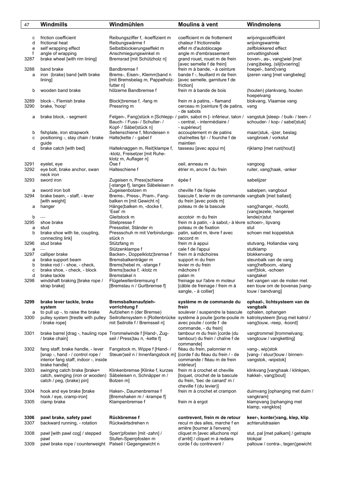| 47             | Windmills                                                                                                                       | Windmühlen                                                                                                | Moulins à vent                                                                                                                      | Windmolens                                                                                    |
|----------------|---------------------------------------------------------------------------------------------------------------------------------|-----------------------------------------------------------------------------------------------------------|-------------------------------------------------------------------------------------------------------------------------------------|-----------------------------------------------------------------------------------------------|
| с<br>d<br>e    | friction coefficient<br>frictional heat<br>self wrapping effect                                                                 | Reibungsziffer f, -koeffizient m<br>Reibungswärme f<br>Selbstblockierungseffekt m                         | coefficient m de frottement<br>chaleur f frictionnelle<br>effet m d'autoblocage                                                     | wrijvingscoëfficiënt<br>wrijvingswarmte<br>zelfblokkered effect                               |
| f<br>3287      | angle of wrapping<br>brake wheel [with rim lining]                                                                              | Anschmiegungswinkel m<br>Bremsrad [mit Schützholz n]                                                      | angle m d'embrassement<br>grand rouet, rouet m de frein<br>[avec semelle f de frein]                                                | omvattingshoek<br>boven-, as-, vang¦wiel [met<br>(vang)beleg, (slijt)voering]                 |
| 3288<br>a      | band brake<br>iron (brake) band [with brake<br>lining]                                                                          | Bandbremse f<br>Brems-, Eisen-, Klemm¦band n<br>[mit Bremsbelag m, Pappelholz-<br>futter nl               | frein m à bande, - à ceinture<br>bande f -, feuillard m de frein<br>[avec semelle, garniture f de<br>friction]                      | hoepel-, band¦vang<br>ijzeren vang [met vangbeleg]                                            |
| b              | wooden band brake                                                                                                               | hölzerne Bandbremse f                                                                                     | frein m à bande de bois                                                                                                             | (houten) plankvang, houten<br>hoepelvang                                                      |
| 3289<br>3290   | block -, Flemish brake<br>brake, 'hoop'                                                                                         | Block¦bremse f, -fang m<br>Pressring m                                                                    | frein m à patins, - flamand<br>cerceau m [ceinture f] de patins,<br>- de sabots                                                     | blokvang, Vlaamse vang<br>vang                                                                |
| а              | brake block, - segment                                                                                                          | Felgen-, Fang¦stück n [Schlepp- /<br>Bauch- / Fuss- / Schulter- /<br>Kopf- / Säbel¦stück n]               | patin, sabot m [- inférieur, talon /<br>- central, - intermédiaire /<br>- supérieur]                                                | vangstuk [sleep- / buik- / teen- /<br>schouder- / kop- / sabel¦stuk]                          |
| b<br>c         | fishplate, iron strapwork<br>positioning -, stay chain / brake<br>guide                                                         | Seitenschiene f, Mondeisen n<br>Halte¦kette / - gabel f                                                   | accouplement m de patins<br>chaînettes fpl - / fourche f de<br>maintien                                                             | maan¦stuk, -ijzer, beslag<br>vangbroek / vorkstut                                             |
| d              | brake catch [with bed]                                                                                                          | Halteknaggen m, Reit¦klampe f,<br>-klotz, Freisetzer [mit Ruhe-<br>klotz m, Auflager n]                   | tasseau [avec appui m]                                                                                                              | rijklamp [met rust(hout)]                                                                     |
| 3291<br>3292   | eyelet, eye<br>eye bolt, brake anchor, swan<br>neck iron                                                                        | Öse f<br>Halteschiene f                                                                                   | oeil, anneau m<br>étrier m, ancre f du frein                                                                                        | vangoog<br>ruiter, vang¦haak, -anker                                                          |
| 3293           | sword iron                                                                                                                      | Zugeisen n, Press¦schiene<br>[-stange f], langes Säbeleisen n                                             | épée f                                                                                                                              | sabelijzer                                                                                    |
| а<br>3294<br>а | sword iron bolt<br>brake beam, - staff, - lever<br>[with weight]<br>hanger                                                      | Zugeisenbolzen m<br>Brems-, Press-, Pram-, Fang-<br>balken m [mit Gewicht n]<br>Hänge¦balken m, -docke f, | cheville f de l'épée<br>bascule f, levier m de commande vangbalk [met ballast]<br>du frein [avec poids m]<br>poteau m de la bascule | sabelpen, vangbout<br>vang¦hanger, -hoofd,                                                    |
| b              |                                                                                                                                 | 'Esel' m<br>Gleitstock m                                                                                  | accotoir m du frein                                                                                                                 | (vang)ezele, hangereel<br>lende(n)stut                                                        |
| 3295<br>a      | shoe brake<br>stud                                                                                                              | Stielpresse f<br>Pressstiel, Ständer m                                                                    | frein m à patin, - à sabot,- à lèvre schoen-, lipvang<br>poteau m de fixation                                                       | stut                                                                                          |
| b              | brake shoe with tie, coupling,<br>connecting link]                                                                              | Pressschuh m mit Verbindungs-<br>stück n                                                                  | patin, sabot m, lèvre f avec<br>raccord m                                                                                           | schoen met koppelstuk                                                                         |
| 3296<br>a      | stud brake                                                                                                                      | Stützfang m<br>Stützenklampe f                                                                            | frein m à appui<br>cale f de l'appui                                                                                                | stutvang, Hollandse vang<br>stutklamp                                                         |
| 3297<br>a      | calliper brake<br>brake support beam                                                                                            | Backen-, Doppelklotz¦bremse f<br>Bremsbalkenträger m                                                      | frein m à mâchoires<br>support m du frein                                                                                           | blokkenvang<br>steunbalk van de vang                                                          |
| b              | brake rod / - shoe, - check,                                                                                                    | Brems¦hebel m, -stange f                                                                                  | levier m du frein                                                                                                                   | vang¦hefboom, -stang                                                                          |
| C              | brake shoe, - check, - block                                                                                                    | Brems¦backe f, -klotz m                                                                                   | mâchoire f                                                                                                                          | vanf¦blok, -schoen                                                                            |
| d<br>3298      | brake tackle<br>windshaft braking [brake rope /<br>strap brake]                                                                 | Bremstakel n<br>Flügelwellenbremsung f<br>[Bremstau n / Gurtbremse f]                                     | palan m<br>freinage sur l'abre m moteur<br>[câble de freinage / frein m à<br>sangle, - à collier]                                   | vangtakel<br>het vangen van de molen met<br>een touw om de bovenas [vang-<br>touw / bandvang] |
| 3299           | brake lever tackle, brake<br>system                                                                                             | Bremsbalkenaufzieh-<br>vorrichtung f<br>Aufziehen n (der Bremse)                                          | système m de commande du<br>frein                                                                                                   | ophaal-, lichtsysteem van de<br>vangbalk                                                      |
| а<br>3300      | to pull up -, to raise the brake<br>pulley system [trestle with pulley<br>/ brake rope]                                         | Seilrollensystem n [Rollenbrücke<br>mit Seilrolle f / Bremsseil n]                                        | soulever / suspendre la bascule<br>système à poulie [porte-poulie m<br>avec poulie / corde f de<br>commande, - du frein]            | ophalen, ophangen<br>katrolsysteem [brug met katrol /<br>vang¦touw, -reep, -koord]            |
| 3301           | brake barrel [drag -, hauling rope Trommelwinde f [Hand-, Zug-<br>/ brake chain]                                                | seil / Press¦tau n, -kette f]                                                                             | tambour m du frein [corde (du<br>tambour) du frein / chaîne f de<br>commande]                                                       | vangtrommel [trommelvang;<br>vangtouw / vangketting]                                          |
| 3302           | fang staff, brake handle, - lever<br>[snap -, hand - / control rope /<br>interior fang staff, indoor -, inside<br>brake handle] | Fangstock m, Wippe f [Hand- /<br>Steuer¦seil n / Innenfangstock m]                                        | fléau du frein, palonnier m<br>[corde f du fléau du frein / - de<br>commande / fléau m de frein<br>intérieur]                       | vang-, wip¦stok<br>[vang- / stuur touw / binnen-<br>vangstok, -wipstok]                       |
| 3303           | swinging catch brake [brake=<br>catch, swinging (iron or wooden)<br>catch / peg, (brake) pin]                                   | Klinkenbremse [Klinke f, kurzes<br>Säbeleisen n, Schnäpper m /<br>Bolzen m]                               | frein m à crochet et cheville<br>floquet, crochet de la bascule<br>du frein, 'bec de canard' m /<br>cheville f (du levier)]         | klinkvang [vanghaak / klinkpen,<br>hakkel-, vang¦bout]                                        |
| 3304           | hook and eye brake [brake                                                                                                       | Haken-, Daumenbremse f                                                                                    | frein m à crochet et crampon                                                                                                        | duimvang [ophanging met duim /                                                                |
| 3305           | hook / eye, cramp-iron]<br>clamp brake                                                                                          | [Bremshaken m / -krampe f]<br>Klampenbremse f                                                             | frein m à ergot                                                                                                                     | vangkram]<br>klampvang [ophanging met<br>klamp, vangklos]                                     |
| 3306<br>3307   | pawl brake, safety pawl<br>backward running, - rotation                                                                         | Rückbremse f<br>Rückwärtsdrehen n                                                                         | contrevent, frein m de retour<br>recul m des ailes, marche f en<br>arrière [tourner à l'envers]                                     | keer-, konter¦vang, klep, klip<br>achteruitdraaien                                            |
| 3308           | pawl [with pawl cog] / stepped<br>pawl                                                                                          | Sperr¦pfosten [mit -zahn] /<br>Stufen-Sperrpfosten m                                                      | cliquet m [avec alluchons mpl<br>d'arrêt] / cliquet m à redans                                                                      | stut, pal [met palkam] / getrapte<br>blokpal                                                  |
| 3309           | pawl brake rope / counterweight  Palseil / Gegengewicht n                                                                       |                                                                                                           | corde f du contrevent /                                                                                                             | paltouw / contra-, tegen¦gewicht                                                              |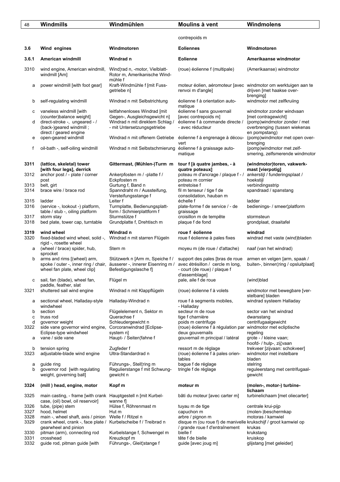| 48           | Windmills                                                                                                                                 | Windmühlen                                                                                                                         | Moulins à vent                                                                                                       | Windmolens                                                                                                                           |
|--------------|-------------------------------------------------------------------------------------------------------------------------------------------|------------------------------------------------------------------------------------------------------------------------------------|----------------------------------------------------------------------------------------------------------------------|--------------------------------------------------------------------------------------------------------------------------------------|
|              |                                                                                                                                           |                                                                                                                                    | contrepoids m                                                                                                        |                                                                                                                                      |
| 3.6          | Wind engines                                                                                                                              | Windmotoren                                                                                                                        | <b>Eoliennes</b>                                                                                                     | Windmotoren                                                                                                                          |
| 3.6.1        | American windmill                                                                                                                         | Windrad n                                                                                                                          | <b>Eolienne</b>                                                                                                      | Amerikaanse windmotor                                                                                                                |
| 3310         | wind engine, American windmill,<br>windmill [Am]                                                                                          | Wind¦rad n, -motor, Vielblatt-<br>Rotor m, Amerikanische Wind-<br>mühle f                                                          | (roue) éolienne f (multipale)                                                                                        | (Amerikaanse) windmotor                                                                                                              |
| а            | power windmill [with foot gear]                                                                                                           | Kraft-Windmühle f [mit Fuss-<br>getriebe n]                                                                                        | moteur éolien, aéromoteur [avec windmotor om werktuigen aan te<br>renvoi m d'angle]                                  | drijven [met haakse over-<br>brenging]                                                                                               |
| b            | self-regulating windmill                                                                                                                  | Windrad n mit Selbstrichtung                                                                                                       | éolienne f à orientation auto-<br>matique                                                                            | windmotor met zelfkruiing                                                                                                            |
| с<br>d       | vaneless windmill [with<br>(counter)balance weight]<br>direct-stroke -, ungeared - /<br>(back-)geared windmill;<br>direct / geared engine | leitfahnenloses Windrad [mit]<br>Gegen-, Ausgleichsgewicht n]<br>Windrad n mit direktem Schlag /<br>- mit Untersetzungsgetriebe    | éolienne f sans gouvernail<br>[avec contrepoids m]<br>éolienne f à commande directe /<br>- avec réducteur            | windmotor zonder windvaan<br>[met contragewicht]<br>(pomp) wind motor zonder / met<br>overbrenging (tussen wiekenas<br>en pompstang) |
| е            | open-geared windmill                                                                                                                      | Windrad n mit offenem Getriebe                                                                                                     | éolienne f à engrenage à décou-<br>vert                                                                              | (pomp)windmotor met open over-<br>brenging                                                                                           |
| f            | oil-bath -, self-oiling windmill                                                                                                          | Windrad n mit Selbstschmierung                                                                                                     | éolienne f à graissage auto-<br>matique                                                                              | (pomp)windmotor met zelf-<br>smering, zelfsmerende windmotor                                                                         |
| 3311         | (lattice, skeletal) tower<br>[with four legs], derrick                                                                                    | Gittermast, (Mühlen-)Turm m                                                                                                        | tour f [à quatre jambes, - à<br>quatre poteaux]                                                                      | (windmotor)toren, vakwerk-<br>mast [vierpotig]                                                                                       |
| 3312         | anchor post / - plate / corner<br>post                                                                                                    | Ankerpfosten m / -platte f /<br>Eckpfosten m                                                                                       | poteau m d'ancrage / plaque f - /<br>poteau m cornier                                                                | ankerstijl / funderingsplaat /<br>hoekstijl                                                                                          |
| 3313<br>3314 | belt, girt<br>brace wire / brace rod                                                                                                      | Gurtung f, Band n<br>Spanndraht m / Aussteifung,<br>Versteifungsstange f                                                           | entretoise f<br>fil m tenseur / tige f de<br>consolidation, hauban m                                                 | verbindingsstrip<br>spandraad / spanstang                                                                                            |
| 3315<br>3316 | ladder                                                                                                                                    | Leiter f<br>Turmplatte, Bedienungsplatt-                                                                                           | échelle f<br>plate-forme f de service / - de                                                                         | ladder                                                                                                                               |
|              | (service -, lookout -) platform,<br>table / stub -, oiling platform                                                                       | form / Schmierplattform f                                                                                                          | graissage                                                                                                            | bedienings- / smeer platform                                                                                                         |
| 3317<br>3318 | storm stay<br>bed plate, tower cap, turntable                                                                                             | Sturmstütze f<br>Grundplatte f, Drehtisch m                                                                                        | croisillon m de tempête<br>plaque f de fond                                                                          | stormsteun<br>grondplaat, draaitafel                                                                                                 |
| 3319<br>3320 | wind wheel<br>fixed-bladed wind wheel, solid -,<br>rigid -, rosette wheel                                                                 | Windrad n<br>Windrad n mit starren Flügeln                                                                                         | roue f éolienne<br>roue f éolienne à pales fixes                                                                     | windrad<br>windrad met vaste (wind)bladen                                                                                            |
| а            | (wheel / brace) spider, hub,<br>sprocket                                                                                                  | Stern m                                                                                                                            | moyeu m (de roue / d'attache)                                                                                        | naaf (van het windrad)                                                                                                               |
| b            | arms and rims ((wheel) arm,<br>wheel fan plate, wheel clip]                                                                               | Stützwerk n [Arm m, Speiche f /<br>spoke / outer -, inner ring / chair, äusserer -, innerer Eisenring m /<br>Befestigungslasche f] | support des pales [bras de roue<br>avec étrésillon / cercle m long,<br>- court (de roue) / plaque f<br>d'assemblage] | armen en velgen [arm, spaak /<br>buiten-, binnen¦ring / opsluitplaat]                                                                |
|              | sail, fan (blade), wheel fan,<br>paddle, feather, slat                                                                                    | Flügel m                                                                                                                           | pale, aile f de roue                                                                                                 | (wind)blad                                                                                                                           |
| 3321         | shuttered sail wind engine                                                                                                                | Windrad n mit Klappflügeln                                                                                                         | (roue) éolienne f à volets                                                                                           | windmotor met bewegbare [ver-<br>stelbare] bladen                                                                                    |
| а            | sectional wheel, Halladay-style<br>windwheel                                                                                              | Halladay-Windrad n                                                                                                                 | roue f à segments mobiles,<br>- Halladay                                                                             | windrad systeem Halladay                                                                                                             |
| b            | section                                                                                                                                   | Flügelelement n, Sektor m                                                                                                          | secteur m de roue                                                                                                    | sector van het windrad                                                                                                               |
| c<br>d       | truss rod<br>governor weight                                                                                                              | Querachse f<br>Schleudergewicht n                                                                                                  | tige f charnière<br>poids m centrifuge                                                                               | dwarsstang<br>centrifugaalgewicht                                                                                                    |
| 3322         | side vane governor wind engine,<br>Eclipse-type windwheel                                                                                 | Corcoranwindrad [Eclipse-<br>system n]                                                                                             | (roue) éolienne f à régulation par windmotor met ecliptische<br>deux gouvernails                                     |                                                                                                                                      |
| а            | vane / side vane                                                                                                                          | Haupt- / Seiten¦fahne f                                                                                                            | gouvernail m principal / latéral                                                                                     | regeling<br>grote - / kleine vaan;<br>hoofd- / hulp-, zij¦vaan                                                                       |
| b<br>3323    | tension spring<br>adjustable-blade wind engine                                                                                            | Zugfeder f<br>Ultra-Standardrad n                                                                                                  | ressort m de réglage<br>(roue) éolienne f à pales orien-<br>tables                                                   | trekveer [zijvaan: schokveer]<br>windmotor met instelbare<br>bladen                                                                  |
| а<br>b       | guide ring<br>governor rod [with regulating<br>weight, governing ball]                                                                    | Führungs-, Stell¦ring m<br>Regulierstange f mit Schwung-<br>gewicht n                                                              | bague f de réglage<br>tringle f de réglage                                                                           | stelring<br>reguleerstang met centrifugaal-<br>gewicht                                                                               |
| 3324         | (mill) head, engine, motor                                                                                                                | Kopf m                                                                                                                             | moteur m                                                                                                             | (molen-, motor-) turbine-<br>lichaam                                                                                                 |
| 3325         | main casting, - frame [with crank Hauptgestell n [mit Kurbel-<br>case, (oil) bowl, oil reservoir]                                         | wanne f]                                                                                                                           | bâti du moteur [avec carter m]                                                                                       | turbinelichaam [met oliecarter]                                                                                                      |
| 3326         | tube, (pipe) stem                                                                                                                         | Hülse f, Röhrenmast m                                                                                                              | tuyau m de tige                                                                                                      | centrale krui-pijp                                                                                                                   |
| 3327<br>3328 | hood, helmet<br>main -, wheel shaft, axis / pinion Welle f / Ritzel n                                                                     | Hut m                                                                                                                              | capuchon m<br>arbre / pignon m                                                                                       | (molen-)beschermkap<br>motoras / kamwiel                                                                                             |
| 3329         | crank wheel, crank -, face plate / Kurbelscheibe f / Treibrad n<br>gearwheel and pinion                                                   |                                                                                                                                    | disque m (ou roue f) de manivelle krukschijf / groot kamwiel op<br>/ grande roue f d'entraînement                    | krukas                                                                                                                               |
| 3330<br>3331 | pitman (arm), connecting rod<br>crosshead                                                                                                 | Kurbelstange f, Schwengel m<br>Kreuzkopf m                                                                                         | bielle f<br>tête f de bielle                                                                                         | krukstang<br>kruiskop                                                                                                                |
| 3332         | guide rod, pitman guide [with                                                                                                             | Führungs-, Gleit¦stange f                                                                                                          | guide [avec joug m]                                                                                                  | glijstang [met geleider]                                                                                                             |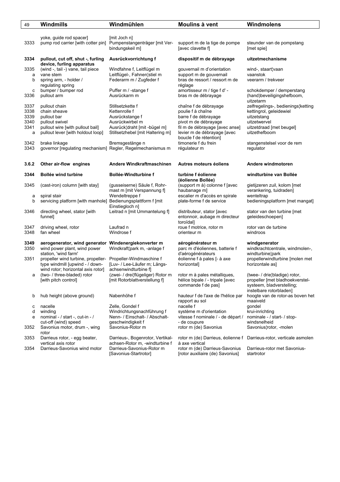| 49        | Windmills                                                             | Windmühlen                                                       | Moulins à vent                                                | Windmolens                                          |
|-----------|-----------------------------------------------------------------------|------------------------------------------------------------------|---------------------------------------------------------------|-----------------------------------------------------|
|           |                                                                       |                                                                  |                                                               |                                                     |
|           | yoke, guide rod spacer]                                               | [mit Joch n]                                                     |                                                               |                                                     |
| 3333      | pump rod carrier [with cotter pin] Pumpenstangenträger [mit Ver-      |                                                                  | support m de la tige de pompe                                 | steunder van de pompstang                           |
|           |                                                                       | bindungskeil m]                                                  | [avec clavette f]                                             | [met spie]                                          |
|           |                                                                       |                                                                  |                                                               |                                                     |
| 3334      | pullout, cut off, shut -, furling                                     | Ausrückvorrichtung f                                             | dispositif m de débrayage                                     | uitzetmechanisme                                    |
|           | device, furling apparatus                                             |                                                                  |                                                               |                                                     |
| 3335      | (wind -, tail -) vane, tail piece                                     | Windfahne f, Leitflügel m                                        | gouvernail m d'orientation                                    | wind-, staart¦vaan                                  |
| a<br>b    | vane stem<br>spring arm, - holder /                                   | Leitflügel-, Fahnen¦stiel m<br>Federarm m / Zugfeder f           | support m de gouvernail<br>bras de ressort / ressort m de     | vaanstok<br>veerarm / trekveer                      |
|           | regulating spring                                                     |                                                                  | réglage                                                       |                                                     |
| c         | bumper / bumper rod                                                   | Puffer m / -stange f                                             | amortisseur m / tige f d' -                                   | schokdemper / demperstang                           |
| 3336      | pullout arm                                                           | Ausrückarm m                                                     | bras m de débrayage                                           | (hand)beveiligingshefboom,                          |
|           |                                                                       |                                                                  |                                                               | uitzetarm                                           |
| 3337      | pullout chain                                                         | Stillsetzkette f                                                 | chaîne f de débrayage                                         | zelfregelings-, bedienings¦ketting                  |
| 3338      | chain sheave                                                          | Kettenrolle f                                                    | poulie f à chaîne                                             | kettingrol, geleidewiel                             |
| 3339      | pullout bar                                                           | Ausrückstange f                                                  | barre f de débrayage                                          | uitzetstang                                         |
| 3340      | pullout swivel                                                        | Ausrückwirbel m                                                  | pivot m de débrayage                                          | uitzetwervel                                        |
| 3341<br>а | pullout wire [with pullout bail]<br>pullout lever [with holdout loop] | Ausrück¦draht [mit -bügel m]<br>Stillsetzhebel [mit Haltering m] | fil m de débrayage [avec anse]<br>levier m de débrayage [avec | uitzetdraad [met beugel]<br>uitzethefboom           |
|           |                                                                       |                                                                  | boucle f de rétention]                                        |                                                     |
| 3342      | brake linkage                                                         | Bremsgestänge n                                                  | timonerie f du frein                                          | stangenstelsel voor de rem                          |
| 3343      | governor [regulating mechanism] Regler, Regelmechanismus m            |                                                                  | régulateur m                                                  | regulator                                           |
|           |                                                                       |                                                                  |                                                               |                                                     |
|           |                                                                       |                                                                  |                                                               |                                                     |
| 3.6.2     | Other air-flow engines                                                | Andere Windkraftmaschinen                                        | Autres moteurs éoliens                                        | Andere windmotoren                                  |
| 3344      | <b>Bollée wind turbine</b>                                            | <b>Bollée-Windturbine f</b>                                      | turbine f éolienne                                            | windturbine van Bollée                              |
|           |                                                                       |                                                                  | (éolienne Bollée)                                             |                                                     |
| 3345      | (cast-iron) column [with stay]                                        | (qusseiserne) Säule f, Rohr-                                     | (support m à) colonne f [avec                                 | gietijzeren zuil, kolom [met                        |
|           |                                                                       | mast m [mit Verspannung f]                                       | haubanage m]                                                  | verankering, tuidraden]                             |
| a         | spiral stair                                                          | Wendeltreppe f                                                   | escalier m d'accès en spirale<br>plate-forme f de service     | wenteltrap                                          |
| b         | servicing platform [with manhole] Bedienungsplattform f [mit]         | Einstiegloch n]                                                  |                                                               | bedieningsplatform [met mangat]                     |
| 3346      | directing wheel, stator [with                                         | Leitrad n [mit Ummantelung f]                                    | distributeur, stator [avec                                    | stator van den turbine [met                         |
|           | funnel]                                                               |                                                                  | entonnoir, aubage m directeur                                 | geleideschoepen]                                    |
|           |                                                                       |                                                                  | toroïdal                                                      |                                                     |
| 3347      | driving wheel, rotor                                                  | Laufrad n                                                        | roue f motrice, rotor m                                       | rotor van de turbine                                |
| 3348      | fan wheel                                                             | Windrose f                                                       | orienteur m                                                   | windroos                                            |
|           |                                                                       |                                                                  |                                                               |                                                     |
| 3349      | aerogenerator, wind generator Windenergiekonverter m                  |                                                                  | aérogénérateur m                                              | windgenerator                                       |
| 3350      | wind power plant, wind power<br>station, 'wind farm'                  | Windkraft¦park m, -anlage f                                      | parc m d'éoliennes, batterie f<br>d'aérogénérateurs           | windkrachtcentrale, windmolen-,<br>windturbine¦park |
| 3351      | propeller wind turbine, propeller-                                    | Propeller-Windmaschine f                                         | éolienne f à pales [- à axe                                   | propellerwindturbine [molen met                     |
|           | type windmill [upwind - / down-                                       | [Luv- / Lee-Läufer m; Längs-                                     | horizontal]                                                   | horizontale as]                                     |
|           | wind rotor; horizontal axis rotor]                                    | achsenwindturbine fl                                             |                                                               |                                                     |
| а         | (two- / three-bladed) rotor                                           | (zwei- / drei¦flügeliger) Rotor m                                | rotor m à pales métalliques,                                  | (twee- / drie¦bladige) rotor,                       |
|           | [with pitch control]                                                  | [mit Rotorblattverstellung f]                                    | hélice bipale / - tripale [avec                               | propeller [met bladhoekverstel-                     |
|           |                                                                       |                                                                  | commande f de pas]                                            | systeem, bladverstelling;                           |
|           |                                                                       |                                                                  |                                                               | instelbare rotorbladen]                             |
| b         | hub height (above ground)                                             | Nabenhöhe f                                                      | hauteur f de l'axe de l'hélice par<br>rapport au sol          | hoogte van de rotor-as boven het<br>maaiveld        |
| с         | nacelle                                                               | Zelle, Gondel f                                                  | nacelle f                                                     | gondel                                              |
| d         | winding                                                               | Windrichtungsnachführung f                                       | système m d'orientation                                       | krui-inrichting                                     |
| e         | nominal - / start -, cut-in - /                                       | Nenn- / Einschalt- / Abschalt-                                   | vitesse f nominale / - de départ /                            | nominale - / start- / stop-                         |
|           | cut-off (wind) speed                                                  | geschwindigkeit f                                                | - de coupure                                                  | windsnelheid                                        |
| 3352      | Savonius motor, drum -, wing                                          | Savonius-Rotor m                                                 | rotor m (de) Savonius                                         | Savonius¦rotor, -molen                              |
|           | rotor                                                                 |                                                                  |                                                               |                                                     |
| 3353      | Darrieus rotor, - egg beater,                                         | Darrieus-, Bogenrotor, Vertikal-                                 | rotor m (de) Darrieus, éolienne f                             | Darrieus-rotor, verticale asmolen                   |
| 3354      | vertical axis rotor<br>Darrieus-Savonius wind motor                   | achsen-Rotor m, -windturbine f<br>Darrieus-Savonius-Rotor m      | à axe vertical<br>rotor m (de) Darrieus-Savonius              | Darrieus-rotor met Savonius-                        |
|           |                                                                       | [Savonius-Startrotor]                                            | [rotor auxiliaire (de) Savonius]                              | startrotor                                          |
|           |                                                                       |                                                                  |                                                               |                                                     |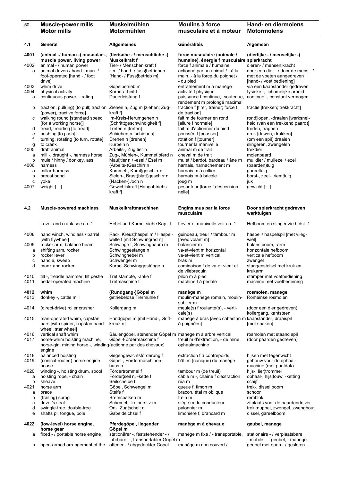| 50           | <b>Muscle-power mills</b><br><b>Motor mills</b>                                                  | Muskelmühlen<br>Motormühlen                                  | Moulins à force<br>musculaire et à moteur                                 | Hand- en diermolens<br><b>Motormolens</b>                           |
|--------------|--------------------------------------------------------------------------------------------------|--------------------------------------------------------------|---------------------------------------------------------------------------|---------------------------------------------------------------------|
| 4.1          | General                                                                                          | <b>Allgemeines</b>                                           | Généralités                                                               | Algemeen                                                            |
| 4001         | (animal -/ human -) muscular -, (tierische -/ menschliche -)<br>muscle power, living power       | Muskelkraft f                                                | force musculaire (animale /<br>humaine), énergie f musculaire spierkracht | (dierlijke - / menselijke -)                                        |
| 4002         | animal - / human power                                                                           | Tier- / Menschen¦kraft f                                     | force f animale / humaine                                                 | dieren- / mensen¦kracht                                             |
| a            | animal-driven / hand-, man- /<br>foot-operated [hand - / foot                                    | tier- / hand- / fuss¦betrieben<br>[Hand- / Fuss¦betrieb m]   | actionné par un animal / - à la<br>main, - à la force du poignet /        | door een dier - / door de mens - /<br>met de voeten aangedreven     |
|              | drive]                                                                                           |                                                              | - du pied                                                                 | [hand- / voet]bediening]                                            |
| 4003<br>4004 | whim drive<br>physical activity                                                                  | Göpelbetrieb m<br>Körperarbeit f                             | entraînement m à manège<br>activité f physique                            | via een kaapstander gedreven<br>fysieke -, lichamelijke arbeid      |
| a            | continuous power, - rating                                                                       | Dauerleistung f                                              | puissance f continue,- soutenue,<br>rendement m prolongé maximal          | continue -, constant vermogen                                       |
| b            | traction, pull(ing) [to pull; traction Ziehen n, Zug m [ziehen; Zug-<br>(power), tractive force] | kraft f                                                      | traction f [tirer, traîner; force f<br>de traction]                       | tractie [trekken; trekkracht]                                       |
| с            | walking round [standard speed                                                                    | Im-Kreis-Herumgehen n                                        | fait m de tourner en rond                                                 | rond¦lopen, -draaien [werksnel-                                     |
| d            | (for a working horse)]<br>tread, treading [to tread]                                             | [Schritttgeschwindigkeit f]<br>Treten n [treten]             | [allure f normale]<br>fait m d'actionner du pied                          | heid (van een trekkend paard)]<br>treden, trappen                   |
| e            | pushing [to push]                                                                                | Schieben n [schieben]                                        | poussée f [pousser]                                                       | druk [duwen, drukken]                                               |
| f            | turning, rotating [to turn, rotate]                                                              | Drehen n [drehen]                                            | rotation f [tourner]                                                      | (om een spil) draaien                                               |
| g<br>4005    | to crank<br>draft animal                                                                         | Kurbeln n<br>Arbeits-, Zug¦tier n                            | tourner la manivelle<br>animal m de trait                                 | slingeren, zwengelen<br>trekdier                                    |
| a            | mill -, draught -, harness horse                                                                 | Zug-, Mühlen-, Kummet¦pferd n                                | cheval m de trait                                                         | molenpaard                                                          |
| b            | mule / hinny / donkey, ass                                                                       | Maul¦tier n / -esel / Esel m                                 | mulet / bardot, bardeau / âne m                                           | muildier / muilezel / ezel                                          |
| 4006         | harness<br>collar-harness                                                                        | (Arbeits-)Geschirr n                                         | harnais, harnachement m                                                   | (paarden)tuig                                                       |
| a<br>b       | breast band                                                                                      | Kummet-, Kumt¦geschirr n<br>Sielen-, Brust(blatt)geschirr n  | harnais m à collier<br>harnais m à bricole                                | gareeltuig<br>borst-, zeel-, riem¦tuig                              |
| C            | yoke                                                                                             | (Nacken-)Joch n                                              | joug m                                                                    | juk                                                                 |
| 4007         | weight $[-]$                                                                                     | Gewichtskraft [Hangabtriebs-<br>kraft f]                     | pesanteur [force f descension-<br>nelle]                                  | gewicht $[-]$                                                       |
| 4.2          | <b>Muscle-powered machines</b>                                                                   | Muskelkraftmaschinen                                         | Engins mus par la force<br>musculaire                                     | Door spierkracht gedreven<br>werktuigen                             |
|              | Lever and crank see ch. 1                                                                        | Hebel und Kurbel siehe Kap. 1                                | Levier et manivelle voir ch. 1                                            | Hefboom en slinger zie hfdst. 1                                     |
| 4008         | hand winch, windlass / barrel<br>[with flywheel]                                                 | Rad-, Kreuz¦haspel m / Haspel-<br>welle f [mit Schwungrad n] | guindeau, treuil / tambour m<br>[avec volant m]                           | haspel / haspelspil [met vlieg-<br>wiel]                            |
| 4009         | rocker arm, balance beam                                                                         | Schwinge f, Schwingbaum m                                    | balancier m                                                               | balans¦boom, -arm                                                   |
| a<br>b       | shifting arm, rocker<br>rocker lever                                                             | Schwinggestänge n<br>Schwinghebel m                          | va-et-vient m horizontal<br>va-et-vient m vertical                        | horizontale hefboom<br>verticale hefboom                            |
| C            | handle, sweep                                                                                    | Schwengel m                                                  | bras m                                                                    | zwengel                                                             |
| d            | crank and rocker                                                                                 | Kurbel-Schwinggestänge n                                     | cominaison f de va-et-vient et<br>de vilebrequin                          | stangenstelsel met kruk en<br>krukarm                               |
| 4010<br>4011 | tilt -, treadle hammer, tilt pestle<br>pedal-operated machine                                    | Tret¦stampfe, -anke f<br>Tretmaschine f                      | pilon m à pied<br>machine f à pédale                                      | stamper met voetbediening<br>machine met voetbediening              |
| 4012         | whim                                                                                             | (Rundgang-)Göpel m                                           | manège m                                                                  | rosmolen, manege                                                    |
| 4013         | donkey -, cattle mill                                                                            | getriebelose Tiermühle f                                     | moulin-manège romain, moulin-<br>sablier m                                | Romeinse rosmolen                                                   |
| 4014         | (direct-drive) roller crusher                                                                    | Kollergang m                                                 | meule(s) f roulante(s), - verti-<br>cale(s)                               | (door een dier gedreven)<br>kollergang, kantsteen                   |
| 4015         | man-operated whim, capstan<br>bars [with spider, capstan hand-<br>wheel, star wheel]             | Handgöpel m [mit Hand-, Griff-<br>kreuz n]                   | manège à bras [avec cabestan m kaapstander, draaispil<br>à poignées]      | [met spaken]                                                        |
| 4016         | vertical shaft whim                                                                              | Säulengöpel, stehender Göpel m manège m à arbre vertical     |                                                                           | rosmolen met staand spil                                            |
| 4017         | horse-whim hoisting machine,<br>horse-gin, mining horse -, winding (actionné par des chevaux)    | Göpel-Fördermaschine f                                       | treuil m d'extraction, - de mine<br>ophaalmachine                         | (door paarden gedreven)                                             |
| 4018         | engine<br>balanced hoisting                                                                      | Gegengewichtsförderung f                                     | extraction f à contrepoids                                                | hijsen met tegenwicht                                               |
| 4019         | (conical-roofed) horse-engine<br>house                                                           | Göpel-, Fördermaschinen-<br>haus n                           | bâti m (conique) du manège                                                | gebouw voor de ophaal-<br>machine (met puntdak)                     |
| 4020         | winding -, hoisting drum, spool                                                                  | Fördertrommel f                                              | tambour m (de treuil)                                                     | hijs-, lier¦trommel                                                 |
| а            | hoisting rope, - chain                                                                           | Förder¦seil n, -kette f                                      | câble m -, chaîne f d'extraction                                          | ophaal-, hijs¦touw, -ketting                                        |
| b<br>4021    | sheave<br>horse arm                                                                              | Seilscheibe f<br>Göpel, Schwengel m                          | réa m<br>queue f, timon m                                                 | schijf<br>trek-, dissel¦boom                                        |
| a            | brace                                                                                            | Steife f                                                     | bracon, étai m oblique                                                    | schoor                                                              |
| b            | (trailing) sprag                                                                                 | Bremsbalken m                                                | frein m                                                                   | remblok                                                             |
| C<br>d       | driver's seat<br>swingle-tree, double-tree                                                       | Schemel, Treibersitz m<br>Ort-, Zug¦scheit n                 | siège m du conducteur<br>palonnier m                                      | zitplaats voor de paardendrijver<br>trekknuppel, zwengel, zwenghout |
| e            | shafts pl, tongue, pole                                                                          | Gabeldeichsel f                                              | limonière f, brancard m                                                   | dissel, gareelboom                                                  |
| 4022         | (low-level) horse engine,                                                                        | Pferdegöpel, liegender                                       | manège m à chevaux                                                        | geubel, manege                                                      |

horse gear **Göpel m** 

- 
- b open-armed arrangement of the offener / abgedeckter Göpel manège m non couvert / geubel met open / gesloten

a fixed - / portable horse engine stationärer -, feststehender - / manège m fixe / - transportable, stationaire - / verplaatsbare

fahrbarer -, transportabler Göpel m - mobile geubel, - manege - mobile geubel, - manege

٦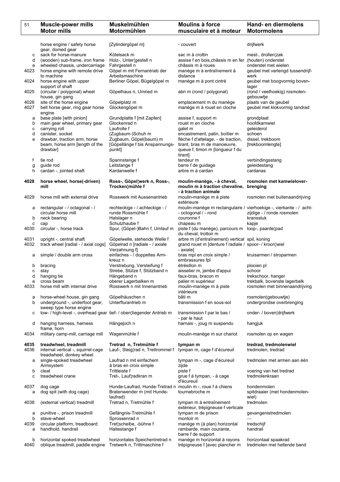| 51           | <b>Muscle-power mills</b><br><b>Motor mills</b>                                         | Muskelmühlen<br>Motormühlen                                                                          | <b>Moulins à force</b><br>musculaire et à moteur                                              | Hand- en diermolens<br><b>Motormolens</b>                      |
|--------------|-----------------------------------------------------------------------------------------|------------------------------------------------------------------------------------------------------|-----------------------------------------------------------------------------------------------|----------------------------------------------------------------|
|              |                                                                                         |                                                                                                      |                                                                                               |                                                                |
|              | horse engine / safety horse<br>gear, domed gear                                         | [Zylindergöpel m]                                                                                    | - couvert                                                                                     | drijfwerk                                                      |
| c            | sack for horse-manure                                                                   | Kötelsack m                                                                                          | sac m à crottin                                                                               | mest-, drollen¦zak                                             |
| d            | (wooden) sub-frame, iron frame                                                          | Holz-, Unter¦gestell n                                                                               | assise f en bois, châssis m en fer (houten) onderstel                                         |                                                                |
| е            | wheeled chassis, undercarriage                                                          | Fahrgestell n                                                                                        | châssis m à roues                                                                             | onderstel met wielen                                           |
| 4023         | horse engine with remote drive<br>to machine                                            | Göpel m mit Fernantrieb der<br>Arbeitsmaschine                                                       | manège m à entraînement à<br>distance                                                         | geubel met verlengd tussendrijf-<br>werk                       |
| 4024         | horse engine with upper                                                                 | Berliner Göpel, Bügelgöpel m                                                                         | manège m à pont cintré                                                                        | geubel met boogvormig boven-                                   |
|              | support of shaft                                                                        |                                                                                                      |                                                                                               | lager                                                          |
| 4025         | (circular / polygonal) wheel<br>house, gin gang                                         | Göpelhaus n, Umried m                                                                                | abri m (rond / polygonal)                                                                     | (rond / veelhoekig) rosmolen-<br>gebouwtje                     |
| 4026         | site of the horse engine                                                                | Göpelplatz m                                                                                         | emplacement m du manège                                                                       | plaats van de geubel                                           |
| 4027         | bell horse gear, ring gear horse                                                        | Glockengöpel m                                                                                       | manège m à rouet en cloche                                                                    | geubel met klokvormig tandrad                                  |
|              | engine                                                                                  |                                                                                                      |                                                                                               |                                                                |
| а<br>b       | base plate [with pinion]<br>main gear wheel, primary gear                               | Grundplatte f [mit Zapfen]<br>Glockenrad n                                                           | assise f, support m<br>rouet m en cloche                                                      | grondplaat<br>hoofdkamwiel                                     |
| с            | carrying roll                                                                           | Laufrolle f                                                                                          | galet m                                                                                       | geleiderol                                                     |
| d            | canister, socket                                                                        | (Zugbaum-)Schuh m                                                                                    | encastrement, patin, boìtier m                                                                | schoen                                                         |
| e            | drawbar, traction arm, horse                                                            | Zugbaum, Göpel(baum) m                                                                               | flèche f d'attelage, - de traction,                                                           | dissel, trekboom                                               |
|              | beam, horse arm [length of the                                                          | [Göpellänge f bis Anspannungs-                                                                       | tirant, bras m de manoeuvre,                                                                  | [trekboomlengte]                                               |
|              | drawbar]                                                                                | punkt]                                                                                               | queue f, timon m [longueur f du                                                               |                                                                |
|              |                                                                                         |                                                                                                      | tirant]                                                                                       |                                                                |
| f            | tie rod<br>guide rod                                                                    | Spannstange f<br>Leitstange f                                                                        | tendeur m<br>barre f de guidage                                                               | verbindingsstang<br>geleidestang                               |
| g<br>h       | cardan -, jointed shaft                                                                 | Kardanwelle f                                                                                        | arbre m à cardan                                                                              | cardanas                                                       |
|              |                                                                                         |                                                                                                      |                                                                                               |                                                                |
| 4028         | horse wheel, horse(-driven)<br>mill                                                     | Ross-, Göpel¦werk n, Ross-,<br>Trocken¦mühle f                                                       | moulin-manège, - à cheval,<br>moulin m à traction chevaline, brenging<br>- à traction animale | rosmolen met kamwielover-                                      |
| 4029         | horse mill with external drive                                                          | Rosswerk mit Aussenantrieb                                                                           | moulin-manège m à piste<br>extérieure                                                         | rosmolen met buitenaandrijving                                 |
| а            | rectangular - / octagonal - /                                                           | rechteckige - / achteckige - /                                                                       | moulin-manège m rectangulaire / vierhoekige -, vierkante - / acht-                            |                                                                |
|              | circular horse mill                                                                     | runde Rossmühle f                                                                                    | - octogonal / - rond                                                                          | zijdige - / ronde rosmolen                                     |
| b<br>c       | neck bearing<br>cap                                                                     | Halslager n<br>Schutzhaube f                                                                         | couronne f<br>chapeau m                                                                       | kransstuk<br>kapje                                             |
| 4030         | circular -, horse track                                                                 | Spur, (Göpel-)Bahn f, Umlauf m                                                                       | piste f (du manège), parcours m<br>du cheval, trottoir m                                      | loop-, paarde¦pad                                              |
| 4031         | upright -, central shaft                                                                | Göpelwelle, stehende Welle f                                                                         | arbre m (d'entraînement) vertical spil, koning                                                |                                                                |
| 4032         | track wheel [radial - / axial cogs]                                                     | Göpelrad n [radiale - / axiale<br>Verzahnung f]                                                      | grand rouet m [denture f radiale / spoor- / kroon¦wiel<br>- axiale]                           |                                                                |
| а            | simple / double arm cross                                                               | einfaches - / doppeltes Arm-<br>kreuz n                                                              | bras mpl en croix simple /<br>embrassures fpl                                                 | kruisarmen / stroparmen                                        |
| b            | bracing                                                                                 | Verstrebung, Versteifung f                                                                           | étrésillon m                                                                                  | plooien pl                                                     |
| с            | stay                                                                                    | Strebe, Stütze f, Stützband n                                                                        | aisselier m, jambe d'appui                                                                    | schoor                                                         |
| d            | hanging tie                                                                             | Hängeband n                                                                                          | faux-bras, bracon m                                                                           | trekschoor, hanger                                             |
| е<br>4033    | cross beam<br>horse mill with internal drive                                            | oberer Lagerbalken m<br>Rosswerk n mit Innenantrieb                                                  | palier m supérieur<br>moulin-manège m à piste                                                 | trekbalk, bovenste lagerbalk<br>rosmolen met binnenaandrijving |
|              |                                                                                         |                                                                                                      | intérieure                                                                                    |                                                                |
| а            | horse-wheel house, gin gang                                                             | Göpelhäuschen n                                                                                      | bâti m                                                                                        | rosmolen(gebouwtje)                                            |
| b            | underground -, underfoot gear,<br>sweep type horse engine                               | Unterflurantrieb m                                                                                   | transmission f en sous-sol                                                                    | ondergrondse overbrenging                                      |
| с            | low- / high-level -, overhead gear tief- / oben¦liegender Antrieb m                     |                                                                                                      | transmission f par le bas /<br>- par le haut                                                  | onder- / boven¦drijfwerk                                       |
| d            | hanging harness, harness<br>frame, horn                                                 | Hängejoch n                                                                                          | harnais -, joug m suspendu                                                                    | hangjuk                                                        |
| 4034         | military camp-mill, carriage mill                                                       | Wagenmühle f                                                                                         | moulin-manège m sur chariot                                                                   | rosmolen op en wagen                                           |
| 4035<br>4036 | treadwheel, treadmill<br>internal vertical -, squirrel-cage<br>treadwheel, donkey wheel | Tretrad n, Tretmühle f<br>Lauf-, Steig¦rad n, Trettrommel f tympan m, cage f d'écureuil              | tympan m                                                                                      | tredrad, tredmolenwiel<br>tredmolen, tredrad                   |
| a            | single-spoked treadwheel<br>Armsystem                                                   | Laufrad n mit einfachem<br>à bras en croix simple                                                    | tympan m -, cage d'écureuil<br>zijde                                                          | tredmolen met armen aan één                                    |
| b            | cleat                                                                                   | Trittleiste f                                                                                        | piste f                                                                                       | voering van het tredrad                                        |
| c            | treadwheel crane                                                                        | Tret-, Lauf¦radkran m                                                                                | grue f à tympan, - à cage                                                                     | tredmolenkraan                                                 |
|              |                                                                                         |                                                                                                      | d'écureuil                                                                                    |                                                                |
| 4037<br>a    | dog cage<br>dog spit (with dog cage)                                                    | Hunde-Laufrad, Hunde-Tretrad n moulin m -, roue f à chiens<br>Bratenwender m (mit Hunde-<br>laufrad) | tournebroche m                                                                                | hondenmolen<br>spitdraaier (met hondenmolen-<br>wiel)          |
| 4038         | (external vertical) treadmill                                                           | Tretrad n, Tretmühle f                                                                               | tympan m à entraînement<br>extérieur, trépigneuse f verticale                                 | tredmolen                                                      |
| а<br>b       | punitive -, prison treadmill<br>stave-wheel                                             | Gefängnis-Tretmühle f<br>Sprossenrad n                                                               | tympan m de prison<br>montoir m                                                               | gevangenistredmolen<br>$\overline{\phantom{0}}$                |
| 4039         | circular platform, treadboard                                                           | Tret¦scheibe, -bühne f                                                                               | manège m (à plan) horizontal                                                                  | tredschijf                                                     |
| а            | handhold, handrail                                                                      | Haltestange f                                                                                        | rambarde, main courante,                                                                      | handrail                                                       |
|              |                                                                                         |                                                                                                      | barre f de support                                                                            |                                                                |
| b<br>4040    | horizontal spoked treadwheel<br>oblique treadmill, paddle engine                        | horizontales Speichentretrad n<br>Tretwerk n, Trittmaschine f                                        | manège m horizontal à rayons<br>trépigneuse f [avec plancher m                                | horizontaal spaakrad<br>tredmolen met hellende band            |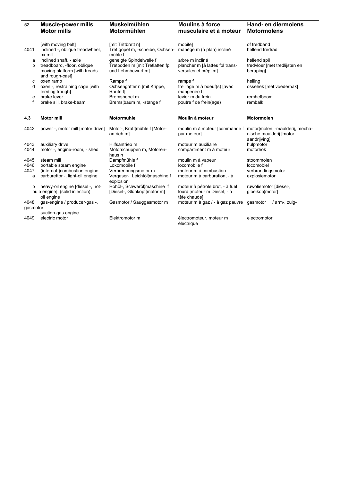| 52       | <b>Muscle-power mills</b><br><b>Motor mills</b>                                   | <b>Muskelmühlen</b><br>Motormühlen                         | <b>Moulins à force</b><br>musculaire et à moteur                               | Hand- en diermolens<br><b>Motormolens</b>                                                                 |
|----------|-----------------------------------------------------------------------------------|------------------------------------------------------------|--------------------------------------------------------------------------------|-----------------------------------------------------------------------------------------------------------|
|          | [with moving belt]                                                                | [mit Trittbrett n]                                         | mobile]                                                                        | of tredband                                                                                               |
| 4041     | inclined -, oblique treadwheel,<br>ox mill                                        | Tret¦göpel m, -scheibe, Ochsen-<br>mühle f                 | manège m (à plan) incliné                                                      | hellend tredrad                                                                                           |
| a        | inclined shaft, - axle                                                            | geneigte Spindelwelle f                                    | arbre m incliné                                                                | hellend spil                                                                                              |
| b        | treadboard, -floor, oblique<br>moving platform [with treads<br>and rough-cast]    | Tretboden m [mit Tretlatten fpl<br>und Lehmbewurf m]       | plancher m [à lattes fpl trans-<br>versales et crépi m]                        | tredvloer [met tredlijsten en<br>berapingl                                                                |
| с        | oxen ramp                                                                         | Rampe f                                                    | rampe f                                                                        | helling                                                                                                   |
| d        | oxen -, restraining cage [with<br>feeding trough]                                 | Ochsengatter n [mit Krippe,<br>Raufe fl                    | treillage m à boeuf(s) [avec<br>mangeoire f                                    | ossehek [met voederbak]                                                                                   |
| e        | brake lever                                                                       | Bremshebel m                                               | levier m du frein                                                              | remhefboom                                                                                                |
| f        | brake sill, brake-beam                                                            | Brems¦baum m, -stange f                                    | poutre f de frein(age)                                                         | rembalk                                                                                                   |
|          |                                                                                   |                                                            |                                                                                |                                                                                                           |
| 4.3      | <b>Motor mill</b>                                                                 | Motormühle                                                 | Moulin à moteur                                                                | <b>Motormolen</b>                                                                                         |
| 4042     | power -, motor mill [motor drive]                                                 | Motor-, Kraft¦mühle f [Motor-<br>antrieb m]                | par moteur]                                                                    | moulin m à moteur [commande f motor molen, -maalderij, mecha-<br>nische maalderij [motor-<br>aandrijving] |
| 4043     | auxiliary drive                                                                   | Hilfsantrieb m                                             | moteur m auxiliaire                                                            | hulpmotor                                                                                                 |
| 4044     | motor -, engine-room, - shed                                                      | Motorschuppen m, Motoren-<br>haus n                        | compartiment m à moteur                                                        | motorhok                                                                                                  |
| 4045     | steam mill                                                                        | Dampfmühle f                                               | moulin m à vapeur                                                              | stoommolen                                                                                                |
| 4046     | portable steam engine                                                             | Lokomobile f                                               | locomobile f                                                                   | locomobiel                                                                                                |
| 4047     | (internal-)combustion engine                                                      | Verbrennungsmotor m                                        | moteur m à combustion                                                          | verbrandingsmotor                                                                                         |
| a        | carburettor -, light-oil engine                                                   | Vergaser-, Leichtöl¦maschine f<br>explosion                | moteur m à carburation, - à                                                    | explosiemotor                                                                                             |
| b        | heavy-oil engine [diesel -, hot-<br>bulb engine], (solid injection)<br>oil engine | Rohöl-, Schweröl¦maschine f<br>[Diesel-, Glühkopf¦motor m] | moteur à pétrole brut, - à fuel<br>lourd [moteur m Diesel, - à<br>tête chaude] | ruwoliemotor [diesel-,<br>gloeikop¦motor]                                                                 |
| 4048     | gas-engine / producer-gas -,                                                      | Gasmotor / Sauggasmotor m                                  | moteur m à gaz / - à gaz pauvre gasmotor                                       | / arm-, zuig-                                                                                             |
| gasmotor |                                                                                   |                                                            |                                                                                |                                                                                                           |
|          | suction-gas engine                                                                |                                                            |                                                                                |                                                                                                           |
| 4049     | electric motor                                                                    | Elektromotor m                                             | électromoteur, moteur m<br>électrique                                          | electromotor                                                                                              |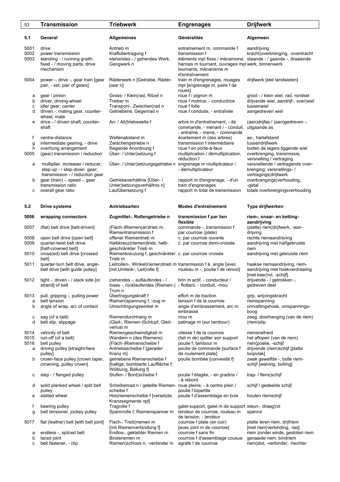| 53                             | <b>Transmission</b>                                                                                                                                              | <b>Triebwerk</b>                                                                                                                                                                          | <b>Engrenages</b>                                                                                                                                                                                                | <b>Drijfwerk</b>                                                                                                                                                               |
|--------------------------------|------------------------------------------------------------------------------------------------------------------------------------------------------------------|-------------------------------------------------------------------------------------------------------------------------------------------------------------------------------------------|------------------------------------------------------------------------------------------------------------------------------------------------------------------------------------------------------------------|--------------------------------------------------------------------------------------------------------------------------------------------------------------------------------|
| 5.1                            | General                                                                                                                                                          | <b>Allgemeines</b>                                                                                                                                                                        | Généralités                                                                                                                                                                                                      | Algemeen                                                                                                                                                                       |
| 5001<br>5002<br>5003           | drive<br>power transmission<br>standing - / running graith;<br>fixed - / moving parts; drive<br>mechanism                                                        | Antrieb m<br>Kraftübertragung f<br>stehendes - / gehendes Werk,<br>Gangwerk n                                                                                                             | entraînement m, commande f<br>transmission f<br>éléments mpl fixes / mécanisme, staande - / gaande -, draaiende<br>harnais m tournant, ouvrages mpl werk, binnenwerk<br>tournants, mécanisme m<br>d'entraînement | aandrijving<br>kracht¦overbrenging, -overdracht                                                                                                                                |
| 5004                           | power -, drive -, gear train [gear<br>pair, - set, pair of gears]                                                                                                | Räderwerk n [Getriebe, Räder-<br>paar nl                                                                                                                                                  | train m d'engrenages, rouages<br>mpl [engrenage m, paire f de<br>roues]                                                                                                                                          | drijfwerk [stel tandwielen]                                                                                                                                                    |
| а<br>b<br>с<br>d               | gear / pinion<br>driver, driving-wheel<br>idler gear, carrier<br>driven -, mating gear, counter-<br>wheel, mate                                                  | Gross- / Klein¦rad, Ritzel n<br>Treiber m<br>Transport-, Zwischen¦rad n<br>Getriebene, Gegenrad n                                                                                         | roue f / pignon m<br>roue f motrice, - conductrice<br>roue f folle<br>roue f conduite, - entraînée                                                                                                               | groot - / klein wiel, rad, rondsel<br>drijvende wiel, aandrijf-, voer¦wiel<br>tussenwiel<br>aangedreven wiel                                                                   |
| е                              | drive - / driven shaft, counter-<br>shaft                                                                                                                        | An- / Ab¦triebswelle f                                                                                                                                                                    | arbre m d'entraînement, - de<br>commande, - menant / - conduit,<br>- entraîné, - mené, - commandé                                                                                                                | (aan)drijfas / (aan)gedreven -,<br>uitgaande as                                                                                                                                |
| f<br>g<br>h<br>5005<br>a       | centre-distance<br>intermediate gearing, - drive<br>overhung arrangement<br>(gear) transmission / reduction<br>multiplier, increaser / reducer;                  | Wellenabstand m<br>Zwischengetriebe n<br>fliegende Anordnung f<br>Über- / Unter¦setzung f<br>Über- / Unter¦setzungsgetriebe n engrenage m multiplicateur /                                | écartement m (des arbres)<br>transmission f intermédiaire<br>roue f en porte-à-faux<br>multiplication / démultiplication,<br>réduction f                                                                         | as-, hartafstand<br>tussendrijfwerk<br>buiten de lagers liggende wiel<br>overbrenging, transmissie,<br>versnelling / vertraging<br>versnellende / vertragende over-            |
| b<br>с                         | step-up - / step-down gear;<br>transmission - / reduction gear<br>gear (train) -, speed -, gear<br>transmission ratio<br>overall gear ratio                      | Getriebeverhältnis [Über- /<br>Unter¦setzungsverhältnis n]<br>Laufübersetzung f                                                                                                           | - démultiplicateur<br>rapport m d'engrenage, - d'un<br>train d'engrenages<br>rapport m total de transmission                                                                                                     | brenging; versnellings-/<br>vertragings¦drijfwerk<br>overbrengings¦verhouding,<br>-getal<br>totale overbrengingsverhouding                                                     |
| 5.2                            | <b>Drive systems</b>                                                                                                                                             | Antriebsarten                                                                                                                                                                             | Modes d'entraînement                                                                                                                                                                                             | Type drijfwerken                                                                                                                                                               |
| 5006                           | wrapping connectors                                                                                                                                              | Zugmittel-, Rollengetriebe n                                                                                                                                                              | transmission f par lien<br>flexible                                                                                                                                                                              | riem-, snaar- en ketting-<br>aandrijving                                                                                                                                       |
| 5007                           | (flat) belt drive [belt-driven]                                                                                                                                  | (Flach-)Riemen(an)trieb m,<br>Riementransmission f                                                                                                                                        | commande -, transmission f<br>par courroie (plate)                                                                                                                                                               | (platte) riem¦drijfwerk, -aan-<br>drijving                                                                                                                                     |
| 5008<br>5009                   | open belt drive [open belt]<br>quarter-twist belt drive<br>[half-crowned belt]                                                                                   | offener Riementrieb m<br>Halbkreuz(riemen)trieb, halb-<br>geschränkter Trieb m                                                                                                            | c. par courroie ouverte<br>c. par courroie demi-croisée                                                                                                                                                          | rechte riemaandrijving<br>aandrijving met halfgekruiste<br>riem                                                                                                                |
| 5010                           | cross(ed) belt drive [crossed<br>belt]                                                                                                                           | Riemenkreuzung f, geschränkter c. par courroie croisée<br>Trieb m                                                                                                                         |                                                                                                                                                                                                                  | aandrijving met gekruiste riem                                                                                                                                                 |
| 5011                           | quarter-turn belt drive, angle-<br>belt drive [with guide pulley]                                                                                                | Leitrollen-, Winkel(riemen)trieb m transmission f à angle [avec<br>[mit Umlenk-, Leit¦rolle f]                                                                                            | rouleau m -, poulie f de renvoi]                                                                                                                                                                                 | haakse riemaandrijving, riem-<br>aandrijving met hoekverdraaiing<br>[met keer¦rol, -schijf]                                                                                    |
| 5012                           | tight -, driven - / slack side [or<br>strand] of belt                                                                                                            | ziehendes -, auflaufendes - / brin m actif, - conducteur /<br>loses -, rücklaufendes (Riemen-) - flottant, - conduit, -mou<br>Trum n                                                      |                                                                                                                                                                                                                  | drijvende - / getrokken -,<br>gedreven deel                                                                                                                                    |
| 5013<br>a<br>b                 | pull, gripping -, pulling power<br>belt tension<br>angle of wrap, arc of contact                                                                                 | Übertragungskraft f<br>Riemen¦spannung f, -zug m<br>Umschlingungswinkel m                                                                                                                 | effort m de traction<br>tension f de la courroie<br>angle d'embrassement, arc m<br>embrassé                                                                                                                      | grip, wrijvingskracht<br>riemspanning<br>omvattingshoek, omspannings-<br>boog                                                                                                  |
| с<br>d                         | sag (of a belt)<br>belt slip, slippage                                                                                                                           | Riemendurchhang m<br>(Gleit-, Riemen-)Schlupf, Gleit-<br>verlust m                                                                                                                        | mou m<br>patinage m (sur tambour)                                                                                                                                                                                | zeeg, doorhanging (van de riem)<br>(riem)slip                                                                                                                                  |
| 5014<br>5015<br>5016<br>a<br>b | velocity of belt<br>run-off (of a belt)<br>belt pulley<br>driving pulley [straight-face<br>pulley]<br>crown-face pulley [crown taper,<br>crowning, pulley crown] | Riemengeschwindigkeit m<br>Wandern n (des Riemens)<br>(Flach-)Riemenscheibe f<br>Antriebsscheibe f [gerader<br>Kranz m<br>getriebene Riemenscheibe f<br>[ballige, bombierte Lauffläche f; | vitesse f de la courroie<br>(fait m de) quitter son support<br>poulie f, tambour m<br>poulie de commande [surface f<br>de roulement plate]<br>poulie bombée [convexité f]                                        | riemsnelheid<br>het aflopen (van de riem)<br>riem¦poelie, -schijf<br>drijvende (riem) schijf [platte<br>loopvlak]<br>zwak gewelfde -, bolle riem-<br>schijf [welving, bolling] |
| с                              | step - / flanged pulley                                                                                                                                          | Wölbung, Ballung f]<br>Stufen- / Bord¦scheibe f                                                                                                                                           | poulie f étagée, - en gradins /<br>- à rebord                                                                                                                                                                    | trap- / flens¦schijf                                                                                                                                                           |
| d<br>e                         | solid planked wheel / split belt<br>pulley<br>slatted wheel                                                                                                      | Scheibenrad n / geteilte Riemen- roue pleine, - à centre plein /<br>scheibe f<br>Holzriemenscheibe f [versetzte                                                                           | poulie f bipartite<br>poulie f d'assemblage en bois                                                                                                                                                              | schijf / gedeelde schijf<br>houten riemschijf                                                                                                                                  |
| f<br>g                         | bearing pulley<br>belt tensioner, jockey pulley                                                                                                                  | Kranzsegmente npl]<br>Tragrolle f<br>Spannrolle f, Riemenspanner m                                                                                                                        | galet-support, galet m de support steun-, draag¦rol<br>tendeur de courroie, rouleau m                                                                                                                            | spanrol                                                                                                                                                                        |
| 5017                           | flat (leather) belt [with belt joint]                                                                                                                            | Flach-, Treib¦riemen m                                                                                                                                                                    | de tension, - tendeur<br>courroie f plate (en cuir)                                                                                                                                                              | platte leren riem, drijfriem                                                                                                                                                   |
| а<br>b<br>c                    | endless -, spliced belt<br>laced joint<br>belt fastener, - clip                                                                                                  | [mit Riemenverbindung f]<br>Endlos-, geklebter Riemen m<br>Binderiemen m<br>Riemen¦schloss n, -verbinder m                                                                                | [avec joint m de courroie]<br>courroie f sans fin<br>courroie f d'assemblage cousue<br>agrafe f de courroie                                                                                                      | [met riem¦verbinding, -las]<br>riem zonder einde, gesloten riem<br>genaaide riem, bindriem<br>riem¦slot, -verbinder, -hechter                                                  |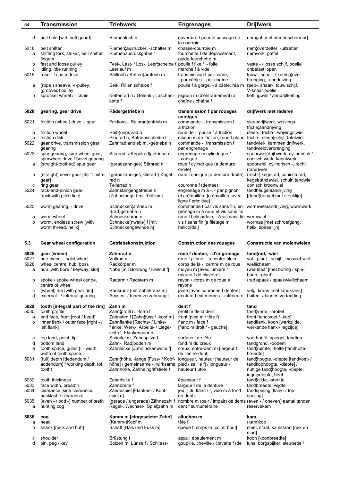| 54           | <b>Transmission</b>                                             | <b>Triebwerk</b>                                                  | <b>Engrenages</b>                                                                                  | <b>Drijfwerk</b>                                                         |
|--------------|-----------------------------------------------------------------|-------------------------------------------------------------------|----------------------------------------------------------------------------------------------------|--------------------------------------------------------------------------|
| d            | belt hole [with belt guard]                                     | Riemenloch n                                                      | ouverture f pour le passage de<br>la courroie                                                      | riemgat [met riembeschermer]                                             |
| 5018<br>a    | belt shifter<br>shifting fork, striker, belt-shifter<br>fingers | Riemen¦ausrücker, -schalter m<br>Riemenausrückgabel f             | chasse-courroie m<br>fourchette f de déplacement,<br>quide-fourchette m                            | riem¦overzetter, -uitzetter<br>riemvork, gaffel                          |
| b            | fast and loose pulley                                           | Fest-, Last- / Los-, Leer¦scheibe f poulie f fixe / - folle       |                                                                                                    | vaste - / losse schijf, poelie                                           |
| с<br>5019    | idling, idle running<br>rope - / chain drive                    | Leerlauf m<br>Seiltrieb / Ketten(an)trieb m                       | marche f à vide<br>transmission f par corde,                                                       | onbelast lopen<br>touw-, snaar- / ketting¦over-                          |
| а            | (rope) sheave, V-pulley,                                        | Seil-, Rillen¦scheibe f                                           | - par câble / - par chaîne<br>poulie f à gorge, - à câble, réa m                                   | brenging, -aandrijving<br>reep-, snaar-, touw¦schijf,                    |
| b            | (grooved) pulley<br>sprocket wheel / - chain                    | Kettenrad n / Gelenk-, Laschen-<br>kette f                        | pignon m (d'entraînement) à<br>chaîne / chaîne f                                                   | V-snaar poelie<br>kettingwiel / aandrijfketting                          |
| 5020         | gearing, gear drive                                             | Rädergetriebe n                                                   | transmission f par rouages                                                                         | drijfwerk met raderen                                                    |
| 5021         | friction (wheel) drive, - gear                                  | Friktions-, Reibrad¦antrieb m                                     | contigus<br>commande -, transmission f<br>à friction                                               | sleepdrijfwerk, wrijvings-,<br>frictie¦aandrijving                       |
| a            | friction wheel                                                  | Reib(ungs)rad n                                                   | roue de -, poulie f à friction                                                                     | sleep-, frictie-, wrijvings¦wiel                                         |
| b<br>5022    | friction disk<br>gear drive, transmission gear,                 | Planrad n, Betriebsscheibe f<br>Zahnrad¦antrieb m, -getriebe n    | disque m de friction, roue f plane frictie-, sleep¦schijf, tafelwiel<br>commande -, transmission f | tandwiel-, kammen¦drijfwerk,                                             |
| 5023         | gearing<br>spur gearing, spur wheel gear,                       | Stirnrad- / Kegelrad¦getriebe n                                   | par engrenage<br>engrenage m cylindrique /                                                         | tandwieloverbrenging<br>spoorwiel(drijf)werk, cylindrisch /              |
| а            | spurwheel drive / bevel gearing<br>(straight-toothed) spur gear | (geradzahniges) Stirnrad n                                        | - conique<br>roue f cylindrique (à denture<br>droite)                                              | conisch werk, kegelwerk<br>spoorwiel, cylindrisch -, recht<br>(tand)wiel |
| b            | (straight) bevel gear [45 °: mitre<br>gear]                     | (geradzahniges, Gerad-) Kegel-<br>rad n                           | roue f conique (à denture droite)                                                                  | (recht) kegelrad, conisch rad,<br>kegel(tand) wiel, schuin tandwiel      |
| с            | ring gear                                                       | Tellerrad n                                                       | couronne f (dentée)                                                                                | conisch kroonwiel                                                        |
| 5024         | rack-and-pinion gear<br>[rack with pitch line]                  | Zahnstangengetriebe n<br>[Zahnstange f mit Teillinie]             | engrenage m à -, - par pignon<br>et crémaillère [crémaillère avec<br>ligne f primitive]            | tandheugelaandrijving<br>[(tand)heugel met steeklijn]                    |
| 5025         | worm gearing, - drive                                           | Schnecken¦antrieb m,<br>-(rad)getriebe n                          | commande f par vis sans fin, en- wormwielaandrijving, wormwerk<br>grenage m à roue et vis sans fin |                                                                          |
| а            | worm wheel                                                      | Schneckenrad n                                                    | roue f hélicoïdale, - à vis sans fin wormwiel                                                      |                                                                          |
| b            | worm, endless screw [with<br>worm thread, helix]                | Schnecke(nwelle) f [mit<br>Schneckengewinde n]                    | vis f sans fin [à filetage m<br>hélicoïdal]                                                        | wormas [met schroefgang,<br>helix, spiraallijn]                          |
| 5.3          | Gear wheel configuration                                        | Getriebekonstruktion                                              | <b>Construction des rouages</b>                                                                    | Constructie van molenwielen                                              |
| 5026         | gear (wheel)                                                    | Zahnrad n<br>Vollrad n                                            | roue f dentée, - d'engrenage                                                                       | tand¦rad, -wiel<br>vol-, plaat-, schijf-, massief wiel                   |
| 5027<br>5028 | one-piece -, solid wheel<br>wheel centre, hub, boss             | Radkörper m                                                       | roue f pleine, - à centre plein<br>corps de la -, centre m de roue                                 | wiellichaam                                                              |
| a            | hub [with bore / keyway, slot]                                  | Nabe [mit Bohrung / Keilnut f]                                    | moyeu m [avec lumière /<br>rainure f de clavette]                                                  | (wiel)naaf [met boring / spie-<br>baan, -gleuf                           |
| b            | spoke / spoke wheel centre,<br>centre of wheel                  | Radarm / Radstern m                                               | rayon / corps m de roue à<br>rayons                                                                | (rad)spaak / spaakwiellichaam                                            |
| с<br>d       | (wheel) rim [with gear rim]<br>external - / internal gearing    | Radkranz [mit Zahnkranz m]<br>Aussen- / Innen¦verzahnung f        | jante [avec couronne f dentée]<br>denture f extérieure / - intérieure                              | velg, krans [met tandkrans]<br>buiten- / binnen¦vertanding               |
| 5029         | tooth [integral part of the rim]                                | Zahn m                                                            | dent f                                                                                             | tand                                                                     |
| 5030<br>a    | tooth profile<br>end face, front [root / head]                  | Zahn¦profil n, -form f<br>Zahnstirn f [Zahn¦fuss / -kopf m]       | profil m de la dent<br>front [pied m / tête f]                                                     | tand¦vorm, -profiel<br>front [tand]voet / -kop]                          |
| b            | inner flank / outer face [right - /                             | Zahnflanke [Rechts- / Links-                                      | flanc m / face f                                                                                   | tandflank, koon [werkzijde,                                              |
|              | left flank]                                                     | flanke; Werk-, Arbeits- / Liege-<br>seite f; Flankenpaar n]       | [flanc m droit / - gauche]                                                                         | werkende flank / legzijde]                                               |
| с<br>d       | top land, point, tip<br>bottom land                             | Scheitel m, Zahnspitze f<br>Zahn-, Rad¦boden m                    | surface f de tête<br>fond m du creux                                                               | voorhoofd, spiegel, tandtop<br>tandgrond, -bodem                         |
| e            | tooth space, gullet [- - width,                                 | Zahnlücke [Zahnlückenweite f]                                     | creux, entre-dent m [largeur f                                                                     | tand¦ruimte, -holte [tandholte-                                          |
| 5031         | width of tooth space]<br>(full) depth [dedendum /               | Zahn¦höhe, -länge [Fuss- / Kopf-                                  | de l'entre-dent]<br>longueur, hauteur [hauteur de                                                  | breedte]<br>tand¦hoogte, -diepte [tandvoet- /                            |
|              | addendum] / working depth (of<br>tooth)                         | höhe] / gemeinsame -, wirksame<br>Zahnhöhe, Zahneingriffstiefe f  | pied / saillie f] / longueur -,<br>hauteur f utile                                                 | tandkophoogte, -diepte] /<br>nuttige tand¦hoogte, -diepte,               |
| 5032         | tooth thickness                                                 | Zahndicke f                                                       | épaisseur f                                                                                        | ingrijpdiepte, beet<br>tand¦dikte, -sterkte                              |
| 5033         | face width, breadth                                             | Zahnbreite f                                                      | largeur f de la denture                                                                            | tandbreedte, wijdte                                                      |
| 5034         | clearance [side clearance,<br>backlash / clearance]             | Zähnespiel [Flanken- / Kopf-<br>spiel n]                          | jeu [- du flanc / -, vide m à fond<br>de dent]                                                     | tandspeling [flank- / top-<br>speling                                    |
| 5035<br>a    | (even - / odd -) number of teeth<br>hunting cog                 | (gerade / ungerade) Zähnezahl f<br>Regel-, Wechsel-, Spiel¦zahn m | nombre m (pair / impair) de dents (even - / oneven) aantal tanden<br>dent f surnuméraire           | reservekam                                                               |
| 5036         | cog                                                             | Kamm m [eingesetzter Zahn]                                        | alluchon m                                                                                         | kam                                                                      |
| a<br>b       | head<br>shank [neck and butt]                                   | (Kamm-)Kopf m<br>Schaft [Hals und Fuss m]                         | tête f<br>queue f, corps m [col et bout]                                                           | (kam)kop<br>steel, staaf, kamstaart [nek en                              |
| с            | shoulder                                                        | Brüstung f                                                        | appui, épaulement m                                                                                | eind]<br>koon [koonbreedte]                                              |
| d            | pin, peg / key                                                  | Bolzen m, Lünse f / Schliess-                                     | goupille, cheville / clavette f (de                                                                | luns, borgspijker, sleutertje /                                          |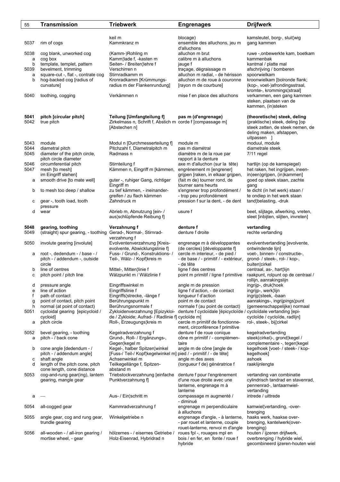| 55   | Transmission                                            | <b>Triebwerk</b>                                                  | <b>Engrenages</b>                                                   | <b>Drijfwerk</b>                                                |
|------|---------------------------------------------------------|-------------------------------------------------------------------|---------------------------------------------------------------------|-----------------------------------------------------------------|
|      |                                                         |                                                                   |                                                                     |                                                                 |
|      |                                                         | keil m                                                            | blocage)                                                            | kamsleutel, borg-, sluit¦wig                                    |
| 5037 | rim of cogs                                             | Kammkranz m                                                       | ensemble des alluchons, jeu m                                       | gang kammen                                                     |
|      |                                                         |                                                                   | d'alluchons                                                         |                                                                 |
| 5038 | cog blank, unworked cog                                 | (Kamm-)Rohling m                                                  | alluchon m brut                                                     | ruwe -,onbewerkte kam, boetkam                                  |
| a    | cog box                                                 | Kamm¦lade f, -kasten m                                            | calibre m à alluchons                                               | kammenbak                                                       |
| b    | template, templet, pattern                              | Seiten- / Breiten¦lehre f                                         | jauge f                                                             | kantmal / platte mal                                            |
| 5039 | bevelment, trimming                                     | Verschirren n                                                     | traçage, dégraissage m                                              | afschrijving / bomberen                                         |
| a    | square-cut -, flat -, contrate cog                      | Stirnradkamm m                                                    | alluchon m radial, - de hérisson                                    | spoorwielkam                                                    |
| b    | hog-backed cog [radius of<br>curvature]                 | Kronradkamm [Krümmungs-<br>radius m der Flankenrundung]           | alluchon m de roue à couronne<br>[rayon m de courbure]              | kroonwielkam [bolronde flank;<br>(kop-, voet-)afrondingsstraal, |
|      |                                                         |                                                                   |                                                                     | kromte-, krommings¦straal]                                      |
| 5040 | toothing, cogging                                       | Verkämmen n                                                       | mise f en place des alluchons                                       | verkammen, een gang kammen                                      |
|      |                                                         |                                                                   |                                                                     | steken, plaatsen van de                                         |
|      |                                                         |                                                                   |                                                                     | kammen, (in)steken                                              |
|      |                                                         |                                                                   |                                                                     |                                                                 |
| 5041 | pitch [circular pitch]                                  | Teilung [Umfangteilung f]                                         | pas m (d'engrenage)                                                 | (theoretische) steek, deling                                    |
| 5042 | true pitch                                              | Zirkelmass n, Schrift f, Abstich m corde f [compassage m]         |                                                                     | (praktische) steek, deling [op                                  |
|      |                                                         | [Abstechen n]                                                     |                                                                     | steek zetten, de steek nemen, de                                |
|      |                                                         |                                                                   |                                                                     | deling maken, afstappen,<br>uitpassen 1                         |
| 5043 | module                                                  | Modul n [Durchmesserteilung f]                                    | module m                                                            | moduul, module                                                  |
| 5044 | diametral pitch                                         | Pitchzahl f, Diametralpitch m                                     | pas m diamétral                                                     | diametrale steek                                                |
| 5045 | diameter of the pitch circle,                           | Radmass n                                                         | diamètre m de la roue par                                           | 7/11 regel                                                      |
|      | pitch circle diameter                                   |                                                                   | rapport à la denture                                                |                                                                 |
| 5046 | circumferential pitch                                   | Stirnteilung f                                                    | axe m d'alluchon (sur la tête)                                      | hartlijn (op de kamspiegel)                                     |
| 5047 | mesh [to mesh]                                          | Kämmen n, Eingriff m [kämmen,                                     | engrènement m [engrener]                                            | het raken, het ingrijpen, ineen-                                |
|      | im Eingriff stehen]                                     |                                                                   | grijpen [raken, in elkaar grijpen,                                  | in(een)grijpen, (in)kammen]                                     |
| а    | smooth drive [to mate well]                             | guter -, ruhiger Gang, richtiger                                  | (fait m de) tourner rond, de                                        | goed op steek staan, zachte                                     |
| b    | to mesh too deep / shallow                              | Eingriff m<br>zu tief kämmen, - ineinander-                       | tourner sans heurts<br>s'engrener trop profondément /               | gang<br>te dicht (in het werk) staan /                          |
|      |                                                         | greifen / zu flach kämmen                                         | - trop peu profondément                                             | te ondiep in het werk staan                                     |
| с    | gear -, tooth load, tooth                               | Zahndruck m                                                       | pression f sur la dent, - de dent                                   | tand belasting, -druk                                           |
|      | pressure                                                |                                                                   |                                                                     |                                                                 |
| d    | wear                                                    | Abrieb m, Abnutzung [ein- /                                       | usure f                                                             | beet, slijtage, afwerking, vreten,                              |
|      |                                                         | aus¦schlüpfende Reibung f]                                        |                                                                     | sleet [inbijten, slijten, invreten]                             |
|      |                                                         |                                                                   |                                                                     |                                                                 |
| 5048 | gearing, toothing                                       | Verzahnung f                                                      | denture f                                                           | vertanding                                                      |
| 5049 | (straight) spur gearing, - toothing                     | Gerad-, Normal-, Stirnrad-<br>verzahnung f                        | denture f droite                                                    | rechte vertanding                                               |
| 5050 | involute gearing [involute]                             | Evolventenverzahnung [Kreis-                                      | engrenage m à développantes                                         | evolventvertanding [evolvente,                                  |
|      |                                                         | evolvente, Abwicklungslinie f]                                    | (de cercles) [développante f]                                       | ontwindende lijn]                                               |
| а    | root -, dedendum - / base - /                           | Fuss- / Grund-, Konstruktions- /                                  | cercle m interieur, - de pied /                                     | voet-, binnen- / constructie-,                                  |
|      | pitch - / addendum -, outside                           | Teil-, Wälz- / Kopf¦kreis m                                       | - de base / - primitif / - extérieur,                               | grond- / steek-, rol- / kop-,                                   |
|      | circle                                                  |                                                                   | - de tête                                                           | buiten¦cirkel                                                   |
| b    | line of centres                                         | Mittel-, Mitten¦linie f                                           | ligne f des centres                                                 | centraal, as-, hart¦lijn                                        |
| c    | pitch point / pitch line                                | Wälzpunkt m / Wälzlinie f                                         | point m primitif / ligne f primitive                                | raakpunt, rolpunt op de centraal /                              |
| d    | pressure angle                                          | Eingriffswinkel m                                                 | angle m de pression                                                 | rollijn, aanrakingslijn<br>ingrijp-, druk¦hoek                  |
| e    | line of action                                          | Eingriffslinie f                                                  | ligne f d'action, - de contact                                      | ingrijp-, werk¦lijn                                             |
| f    | path of contact                                         | Eingriffs¦strecke, -länge f                                       | longueur f d'action                                                 | ingrijp¦steek, -baan                                            |
| g    | point of contact, pitch point                           | Berührungspunkt m                                                 | point m de contact                                                  | aanrakings-, ingrijpings¦punt                                   |
| h    | normal (at point of contact)                            | Berührungsnormale f                                               | normale f (au point de contact)                                     | (gemeenschappelijke) normaal                                    |
| 5051 | cycloidal gearing [epicycloid /                         | Zykloidenverzahnung [Epizykloi-                                   | denture f cycloïdale [épicycloïde / cycloïdale vertanding [epi-     |                                                                 |
|      | cycloid]                                                | de / Zykloide; Aufrad- / Radlinie f] cycloïde m]                  |                                                                     | cycloïde / cycloïde, radlijn]                                   |
| а    | pitch circle                                            | Roll-, Erzeugungs¦kreis m                                         | cercle m primitif de fonctionne-<br>ment, circonférence f primitive | rol-, steek-, bij¦cirkel                                        |
| 5052 | bevel gearing, - toothing                               | Kegelradverzahnung f                                              | denture f de roue conique                                           | kegelradvertanding                                              |
| а    | pitch - / back cone                                     | Grund-, Roll- / Ergänzungs-,                                      | cône m primitif / - complémen-                                      | steek(cirkel)-, grond¦kegel /                                   |
|      |                                                         | Gegen¦kegel m                                                     | taire                                                               | complementaire -, tegen¦kegel                                   |
| b    | cone angle [dedendum - /                                | Kegel-, halber Spitzen¦winkel                                     | angle m de cône [angle de                                           | kegelhoek [voet- / steek- / kop-                                |
|      | pitch - / addendum angle]                               | [Fuss-/ Teil-/ Kopf¦kegelwinkel m] pied / - primitif / - de tête] |                                                                     | kegelhoek]                                                      |
| с    | shaft angle                                             | Achsenwinkel m                                                    | angle m des axes                                                    | ashoek                                                          |
| d    | length of the pitch cone, pitch                         | Teilkegellänge f, Spitzen-                                        | (longueur f de) génératrice f                                       | raaklijnlengte                                                  |
| 5053 | cone length, cone distance                              | abstand m                                                         |                                                                     |                                                                 |
|      | cog-and-rung gear(ing), lantern<br>gearing, mangle gear | Triebstockverzahnung [einfache<br>Punktverzahnung f]              | denture f pour l'engrènement<br>d'une roue droite avec une          | vertanding van combinatie<br>cylindrisch tandrad en stavenrad,  |
|      |                                                         |                                                                   | lanterne, engrenage m à                                             | pennenrad-, lantaarnwiel-                                       |
|      |                                                         |                                                                   | lanterne                                                            | vertanding                                                      |
| а    |                                                         | Aus- / Ein¦schritt m                                              | compassage m augmenté /                                             | intrede / uittrede                                              |
|      |                                                         |                                                                   | - diminué                                                           |                                                                 |
| 5054 | all-cogged gear                                         | Kammradverzahnung f                                               | engrenage m perpendiculaire                                         | kamwiel¦vertanding, -over-                                      |
|      |                                                         |                                                                   | à alluchons                                                         | brenging                                                        |
| 5055 | angle gear, cog and rung gear,                          | Winkelgetriebe n                                                  | engrenage d'angle, - à lanterne,                                    | haaks werk, haakse over-<br>brenging, kantelwerk(over-          |
|      | trundle gearing                                         |                                                                   | - par rouet et lanterne, couple<br>rouet-lanterne, renvoi m d'angle | brenging)                                                       |
| 5056 | all-wooden - / all-iron gearing /                       | hölzernes - / eisernes Getriebe /                                 | roues fpl -, rouages mpl en                                         | houten / ijzeren drijfwerk,                                     |
|      | mortise wheel, - gear                                   | Holz-Eisenrad, Hybridrad n                                        | bois / en fer, en fonte / roue f                                    | overbrenging / hybride wiel,                                    |
|      |                                                         |                                                                   | hybride                                                             | gecombineerd ijzeren-houten wiel                                |
|      |                                                         |                                                                   |                                                                     |                                                                 |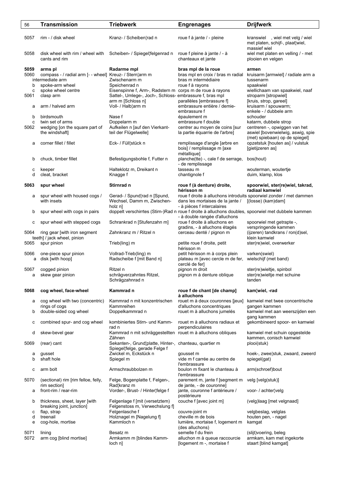| 56   | <b>Transmission</b>                                     | <b>Triebwerk</b>                                                      | <b>Engrenages</b>                                                                                  | <b>Drijfwerk</b>                                                        |
|------|---------------------------------------------------------|-----------------------------------------------------------------------|----------------------------------------------------------------------------------------------------|-------------------------------------------------------------------------|
|      |                                                         |                                                                       |                                                                                                    |                                                                         |
| 5057 | rim - / disk wheel                                      | Kranz- / Scheiben¦rad n                                               | roue f à jante / - pleine                                                                          | kranswiel, wiel met velg / wiel<br>met platen, schijf-, plaat¦wiel,     |
| 5058 | disk wheel with rim / wheel with<br>cants and rim       | Scheiben- / Spiegel¦felgenrad n                                       | roue f pleine à jante / - à<br>chanteaux et jante                                                  | massief wiel<br>wiel met platen en velling / - met<br>plooien en velgen |
| 5059 | arms pl                                                 | Radarme mpl                                                           | bras mpl de la roue                                                                                | armen                                                                   |
| 5060 | compass - / radial arm [- - wheel] Kreuz- / Stern¦arm m |                                                                       | bras mpl en croix / bras m radial                                                                  | kruisarm [armwiel] / radiale arm a                                      |
|      | intermediate arm                                        | Zwischenarm m                                                         | bras m intermédiaire                                                                               | tussenarm                                                               |
| b    |                                                         | Speichenrad n                                                         | roue f à rayons                                                                                    | spaakwiel                                                               |
|      | spoke-arm wheel                                         |                                                                       |                                                                                                    |                                                                         |
| c    | spoke wheel centre                                      | Eisenspinne f, Arm-, Radstern m corps m de roue à rayons              |                                                                                                    | wiellichaam van spaakwiel, naaf                                         |
| 5061 | clasp arm                                               | Sattel-, Umlege-, Joch-, Schloss- embrassure f, bras mpl              |                                                                                                    | stroparm [stropwiel]                                                    |
|      |                                                         | arm m [Schloss n]                                                     | parallèles [embrassure f]                                                                          | [kruis, strop, gareel]                                                  |
| а    | arm / halved arm                                        | Voll- / Halb¦arm m                                                    | embrassure entière / demie-                                                                        | kruisarm / spouwarm;                                                    |
|      |                                                         |                                                                       | embrassure f                                                                                       | enkele - / dubbele arm                                                  |
| b    | birdsmouth                                              | Nase f                                                                | épaulement m                                                                                       | schouder                                                                |
| c    | twin set of arms                                        | Doppelarm m                                                           | embrassure f double                                                                                | katarm, dubbele strop                                                   |
| 5062 | wedging [on the square part of                          | Aufkeilen n [auf den Vierkant-                                        | centrer au moyen de coins [sur                                                                     | centreren -, opwiggen van het                                           |
|      | the windshaft]                                          | teil der Flügelwelle]                                                 | la partie équarrie de l'arbre]                                                                     | aswiel [bovenwielwig, aswig, spie                                       |
|      |                                                         |                                                                       |                                                                                                    | (met) spiebaan) op de spiegel]                                          |
| а    | corner fillet / fillet                                  | Eck- / Füll¦stück n                                                   | remplissage d'angle [arbre en                                                                      | opzetstuk [houten as] / vulstuk                                         |
|      |                                                         |                                                                       | bois] / remplissage m [axe                                                                         | [gietijzeren as]                                                        |
|      |                                                         |                                                                       | métallique]                                                                                        |                                                                         |
| b    | chuck, timber fillet                                    | Befestigungsbohle f, Futter n                                         | planche(tte) -, cale f de serrage,                                                                 | bos(hout)                                                               |
|      |                                                         |                                                                       | - de remplissage                                                                                   |                                                                         |
| с    | keeper                                                  | Halteklotz m, Dreikant n                                              | tasseau m                                                                                          | wouterman, woutertje                                                    |
| d    | cleat, bracket                                          | Knagge f                                                              | chantignole f                                                                                      | duim, klamp, klos                                                       |
|      |                                                         |                                                                       |                                                                                                    |                                                                         |
| 5063 | spur wheel                                              | Stirnrad n                                                            | roue f (à denture) droite,                                                                         | spoorwiel, ster(re)wiel, takrad,                                        |
|      |                                                         |                                                                       | hérisson m                                                                                         | radiaal kamwiel                                                         |
|      | spur wheel with housed cogs /                           | Gerad- / Spund¦rad n [Spund,                                          |                                                                                                    | roue f droite à alluchons introduits spoorwiel zonder / met dammen      |
| а    | with insets                                             | Wechsel, Damm m, Zwischen-                                            |                                                                                                    |                                                                         |
|      |                                                         |                                                                       | dans les mortaises de la jante /                                                                   | [(losse) (kam)dam]                                                      |
|      |                                                         | holz n]                                                               | - à pièces f intercalaires                                                                         |                                                                         |
| b    | spur wheel with cogs in pairs                           |                                                                       | doppelt verschirrtes (Stirn-)Rad n roue f droite à alluchons doubles, spoorwiel met dubbele kammen |                                                                         |
|      |                                                         |                                                                       | - à double rangée d'alluchons                                                                      |                                                                         |
| с    | spur wheel with stepped cogs                            | Schrankrad n [Stufenzahn m]                                           | roue f droite à alluchons en<br>gradins, - à alluchons étagés                                      | spoorwiel met getrapte -,<br>verspringende kammen                       |
| 5064 | ring gear [with iron segment                            | Zahnkranz m / Ritzel n                                                | cerceau denté / pignon m                                                                           | (ijzeren) tandkrans / ron(d)sel,                                        |
|      | teeth] / jack wheel, pinion                             |                                                                       |                                                                                                    | klein kamwiel                                                           |
|      | spur pinion                                             |                                                                       |                                                                                                    |                                                                         |
| 5065 |                                                         | Trieb(ling) m                                                         | petite roue f droite, petit<br>hérisson m                                                          | ster(re)wiel, overwerker                                                |
| 5066 | one-piece spur pinion                                   | Vollrad-Trieb(ling) m                                                 | petit hérisson m à corps plein                                                                     | varken(swiel)                                                           |
| a    | disk [with hoop]                                        | Radscheibe f [mit Band n]                                             | plateau m [avec cercle m de fer,                                                                   | wielschijf (met band)                                                   |
|      |                                                         |                                                                       | cerclé de fer]                                                                                     |                                                                         |
| 5067 |                                                         | Ritzel n                                                              | pignon m droit                                                                                     | ster(re)wieltje, spinbol                                                |
|      | cogged pinion<br>skew gear pinion                       | schrägverzahntes Ritzel,                                              | pignon m à denture oblique                                                                         | ster(re)wieltje met schuine                                             |
| а    |                                                         |                                                                       |                                                                                                    |                                                                         |
|      |                                                         | Schrägzahnrad n                                                       |                                                                                                    | tanden                                                                  |
| 5068 | cog wheel, face-wheel                                   | Kammrad n                                                             | roue f de chant [de champ]                                                                         | kam¦wiel, -rad                                                          |
|      |                                                         |                                                                       | à alluchons                                                                                        |                                                                         |
| а    | cog wheel with two (concentric)                         | Kammrad n mit konzentrischen                                          | rouet m à deux couronnes [jeux]                                                                    | kamwiel met twee concentrische                                          |
|      | rings of cogs                                           | Kammreihen                                                            | d'alluchons concentriques                                                                          | gangen kammen                                                           |
| b    | double-sided cog wheel                                  | Doppelkammrad n                                                       | rouet m à alluchons jumelés                                                                        | kamwiel met aan weerszijden een                                         |
|      |                                                         |                                                                       |                                                                                                    | gang kammen                                                             |
|      |                                                         | kombiniertes Stirn- und Kamm-                                         | rouet m à alluchons radiaux et                                                                     | gekombineerd spoor- en kamwiel                                          |
| с    | combined spur- and cog wheel                            | rad n                                                                 | perpendiculaires                                                                                   |                                                                         |
|      |                                                         |                                                                       |                                                                                                    |                                                                         |
| d    | skew-bevel gear                                         | Kammrad n mit schräggestellten rouet m à alluchons obliques<br>Zähnen |                                                                                                    | kamwiel met schuin opgestelde<br>kammen, conisch kamwiel                |
|      |                                                         |                                                                       |                                                                                                    |                                                                         |
| 5069 | (rear) cant                                             | Sekanten-, Grund¦platte, Hinter-, chanteau, quartier m                |                                                                                                    | plooi(stuk)                                                             |
|      |                                                         | Spiegel¦felge, gerade Felge f                                         |                                                                                                    |                                                                         |
| а    | gusset                                                  | Zwickel m, Eckstück n                                                 | gousset m                                                                                          | hoek-, zwee¦stuk, zwaard, zweerd                                        |
| b    | shaft hole                                              | Spiegel m                                                             | vide m f carrée au centre de                                                                       | spiegel(gat)                                                            |
|      |                                                         |                                                                       | l'embrassure                                                                                       |                                                                         |
| с    | arm bolt                                                | Armschraubbolzen m                                                    | boulon m fixant le chanteau à                                                                      | arm(schroef)bout                                                        |
|      |                                                         |                                                                       | l'embrassure                                                                                       |                                                                         |
| 5070 | (sectional) rim [rim felloe, felly,                     | Felge, Bogenplatte f, Felgen-,                                        | parement m, jante f [segment m                                                                     | velg [velg(stuk)]                                                       |
|      | rim section]                                            | Rad¦kranz m                                                           | de jante, - de couronne]                                                                           |                                                                         |
| а    | front-rim / rear-rim                                    | Vorder-, Brust- / Hinter¦felge f                                      | jante, couronne f antérieure /                                                                     | voor- / achter¦velg                                                     |
|      |                                                         |                                                                       | postérieure                                                                                        |                                                                         |
| b    | thickness, sheet, layer [with                           | Felgenlage f [mit (versetztem)                                        | couche f [avec joint m]                                                                            | (velg)laag [met velgnaad]                                               |
|      | breaking joint, junction]                               | Felgenstoss m, Verwechslung f]                                        |                                                                                                    |                                                                         |
| с    | flap, strap                                             | Felgenlasche f                                                        | couvre-joint m                                                                                     | velgbeslag, velglas                                                     |
| d    | treenail                                                | Holznagel m [Nagelung f]                                              | cheville m de bois                                                                                 | houten pen, - nagel                                                     |
| е    | cog-hole, mortise                                       | Kammloch n                                                            | lumière, mortaise f, logement m                                                                    | kamgat                                                                  |
|      |                                                         |                                                                       | (des alluchons)                                                                                    |                                                                         |
| 5071 | lining                                                  | Besatz m                                                              | semelle f du frein                                                                                 | (slijt) voering, beleg                                                  |
| 5072 | arm cog [blind mortise]                                 | Armkamm m [blindes Kamm-                                              | alluchon m à queue raccourcie                                                                      | armkam, kam met ingekorte                                               |
|      |                                                         | loch n]                                                               | [logement m -, mortaise f                                                                          | staart [blind kamgat]                                                   |
|      |                                                         |                                                                       |                                                                                                    |                                                                         |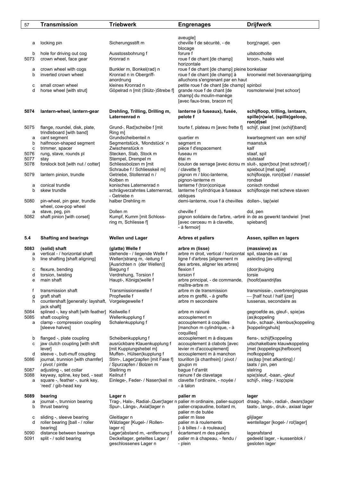| 57           | <b>Transmission</b>                                                               | <b>Triebwerk</b>                                                                          | <b>Engrenages</b>                                                                                                                                                     | <b>Drijfwerk</b>                                                               |
|--------------|-----------------------------------------------------------------------------------|-------------------------------------------------------------------------------------------|-----------------------------------------------------------------------------------------------------------------------------------------------------------------------|--------------------------------------------------------------------------------|
|              |                                                                                   |                                                                                           |                                                                                                                                                                       |                                                                                |
| а            | locking pin                                                                       | Sicherungsstift m                                                                         | aveugle]<br>cheville f de sécurité, - de<br>blocage                                                                                                                   | borg¦nagel, -pen                                                               |
| b<br>5073    | hole for driving out cog<br>crown wheel, face gear                                | Ausstossbohrung f<br>Kronrad n                                                            | forure f<br>roue f de chant [de champ]<br>horizontale                                                                                                                 | uitstootholte<br>kroon-, haaks wiel                                            |
| а<br>b       | crown wheel with cogs<br>inverted crown wheel                                     | Bunkler m, Bonkel(rad) n<br>Kronrad n in Obergriff-                                       | roue f de chant [de champ] pleine bonkelaar<br>roue f de chant [de champ] à                                                                                           | kroonwiel met bovenaangrijping                                                 |
| с<br>d       | small crown wheel<br>horse wheel [with strut]                                     | anordnung<br>kleines Kronrad n<br>Göpelrad n [mit (Stütz-)Strebe f]                       | alluchons s'engrenant par en haut<br>petite roue f de chant [de champ] spinbol<br>grande roue f de chant [de<br>champ] du moulin-manège<br>[avec faux-bras, bracon m] | rosmolenwiel [met schoor]                                                      |
| 5074         | lantern-wheel, lantern-gear                                                       | Drehling, Trilling, Drilling m,<br>Laternenrad n                                          | lanterne (à fuseaux), fusée,<br>pelote f                                                                                                                              | schijfloop, trilling, lantaarn,<br>spille(n)wiel, (spille)geloop,<br>ron(d)sel |
| 5075         | flange, roundel, disk, plate,<br>trindleboard [with band]                         | Grund-, Rad¦scheibe f [mit<br>Ring m]                                                     | tourte f, plateau m [avec frette f]                                                                                                                                   | schijf, plaat [met (schijf)band]                                               |
| а<br>b<br>c  | cant segment<br>halfmoon-shaped segment<br>trimmer, spacer                        | Grundscheibenteil n<br>Segmentstück, 'Mondstück' n<br>Zwischenstück n                     | quartier m<br>segment m<br>pièce f d'espacement                                                                                                                       | kwartsegment van een schijf<br>maanstuk<br>kalf                                |
| 5076         | rung, stave, rounds pl                                                            | Stecken, Stab, Stock m                                                                    | fuseau m                                                                                                                                                              | staaf, spil                                                                    |
| 5077         | stay                                                                              | Stempel, Drempel m                                                                        | étai m                                                                                                                                                                | stutstaaf                                                                      |
| 5078<br>5079 | forelock bolt [with nut / cotter]<br>lantern pinion, trundle                      | Schliessbolzen m [mit<br>Schraube f / Schliesskeil m]<br>Getriebe, Stollenrad n /         | boulon de serrage [avec écrou m sluit-, span; bout [met schroef] /<br>/ clavette f<br>pignon m / bloc-lanterne,                                                       | spiebout [met spie]<br>schijfloopje, ron(d)sel / massief                       |
|              | conical trundle                                                                   | Kolben <sub>m</sub><br>konisches Laternenrad n                                            | pignon-lanterne m<br>lanterne f (tron)conique                                                                                                                         | rondsel<br>conisch rondsel                                                     |
| а<br>b       | skew trundle                                                                      | schrägverzahntes Laternenrad,<br>- Getriebe n                                             | lanterne f cylindrique à fuseaux<br>obliques                                                                                                                          | schijfloopje met scheve staven                                                 |
| 5080         | pin-wheel, pin gear, trundle<br>wheel, cow-pop wheel                              | halber Drehling m                                                                         | demi-lanterne, roue f à chevilles                                                                                                                                     | dollen-, tap¦wiel                                                              |
| а<br>5082    | stave, peg, pin<br>shaft pinion [with corset]                                     | Dollen m<br>Kumpf, Kumm [mit Schloss-<br>ring m, Schliesse f]                             | cheville f<br>pignon solidaire de l'arbre, -arbré in de as gewerkt tandwiel [met<br>[avec cerceau m à clavette,<br>- à fermoir]                                       | dol, pen<br>spieband]                                                          |
| 5.4          | <b>Shafting and bearings</b>                                                      | <b>Wellen und Lager</b>                                                                   | Arbres et paliers                                                                                                                                                     | Assen, spillen en lagers                                                       |
| 5083         | (solid) shaft<br>vertical - / horizontal shaft                                    | (glatte) Welle f<br>stehende - / liegende Welle f                                         | arbre m (lisse)<br>arbre m droit, vertical / horizontal spil, staande as / as                                                                                         | (massieve) as                                                                  |
| а<br>b       | line shafting [shaft aligning]                                                    | Wellen¦strang m, -leitung f<br>[Ausrichten n (der Wellen)]                                | ligne f d'arbres [alignement m<br>des arbres, aligner les arbres]                                                                                                     | asleiding [as-uitlijning]                                                      |
| с            | flexure, bending                                                                  | Biegung f                                                                                 | flexion f                                                                                                                                                             | (door)buiging                                                                  |
| d<br>е       | torsion, twisting<br>main shaft                                                   | Verdrehung, Torsion f<br>Haupt-, Königs¦welle f                                           | torsion f<br>arbre principal, - de commande,<br>maître-arbre m                                                                                                        | torsie<br>(hoofd)aandrijfas                                                    |
| f            | transmission shaft                                                                | Transmissionswelle f                                                                      | arbre m de transmission                                                                                                                                               | transmissie-, overbrengingsas                                                  |
| g<br>h       | graft shaft<br>countershaft [generally: layshaft, Vorgelegewelle f<br>jack shaft] | Propfwelle f                                                                              | arbre m greffé, - à greffe<br>arbre m secondaire                                                                                                                      | - [half hout / half ijzer]<br>tussenas, secondaire as                          |
| 5084         | splined -, key shaft [with feather]                                               | Keilwelle f                                                                               | arbre m rainuré                                                                                                                                                       | gegroefde as, gleuf-, spie¦as                                                  |
| 5085<br>a    | shaft coupling<br>clamp - compression coupling<br>[sleeve halves]                 | Wellenkupplung f<br>Schalenkupplung f                                                     | accouplement m<br>accouplement à coquilles<br>[manchon m cylindrique, - à<br>coquilles]                                                                               | (as)koppeling<br>huls-, schaal-, klembus¦koppeling<br>[koppelingshuls]         |
| b<br>с       | flanged -, plate coupling<br>jaw clutch coupling [with shift                      | Scheibenkupplung f<br>ausrückbare Klauenkupplung f                                        | accouplement m à disques<br>accouplement à clabots [avec                                                                                                              | flens-, schijf¦koppeling<br>uitschakelbare klauwkoppeling                      |
| d<br>5086    | lever]<br>sleeve -, butt-muff coupling<br>journal, trunnion [with chamfer]        | [mit Kupplungshebel m]<br>Muffen-, Hülsen¦kupplung f<br>Stirn-, Lager¦zapfen [mit Fase f] | levier m d'accouplement]<br>accouplement m à manchon<br>tourillon [à chanfrein] / pivot /                                                                             | [met (koppelings)hefboom]<br>mofkoppeling<br>(as)tap [met afkanting] /         |
|              | / pivot / pintle                                                                  | / Spurzapfen / Bolzen m                                                                   | goujon m                                                                                                                                                              | taats / pin, pen                                                               |
| 5087<br>5088 | adjusting -, set collar<br>keyway, spline, key bed, - seat                        | Stellring m<br>Keilnut f                                                                  | bague f d'arrêt<br>rainure f de clavetage                                                                                                                             | stelring<br>spie¦sleuf, -baan, -gleuf                                          |
| а            | square -, feather -, sunk key,<br>'reed' / gib-head key                           | Einlege-, Feder- / Nasen¦keil m                                                           | clavette f ordinaire, - noyée /<br>- à talon                                                                                                                          | schijf-, inleg- / kop¦spie                                                     |
| 5089         | bearing                                                                           | Lager n                                                                                   | palier m                                                                                                                                                              | lager                                                                          |
| a<br>b       | journal -, trunnion bearing<br>thrust bearing                                     | Spur-, Längs-, Axial¦lager n                                                              | Trag-, Hals-, Radial-, Quer¦lager n palier m ordinaire, palier-support draag-, hals-, radial-, dwars¦lager<br>palier-crapaudine, boitard m,<br>palier m de butée      | taats-, langs-, druk-, axiaal lager                                            |
| с<br>d       | sliding -, sleeve bearing<br>roller bearing [ball - / roller                      | Gleitlager n<br>Wälzlager [Kugel- / Rollen-                                               | palier m lisse<br>palier m à roulements                                                                                                                               | glijlager<br>wentellager [kogel- / rol lager]                                  |
| 5090         | bearing<br>distance between bearings                                              | lager n]<br>Lager¦abstand m, -entfernung f                                                | [- à billes / - à rouleaux]<br>écartement m des paliers                                                                                                               | lagerafstand                                                                   |
| 5091         | split - / solid bearing                                                           | Deckellager, geteiltes Lager /                                                            | palier m à chapeau, - fendu /                                                                                                                                         | gedeeld lager, - kussenblok /                                                  |

geschlossenes Lager n and bein bein besteht gesloten lager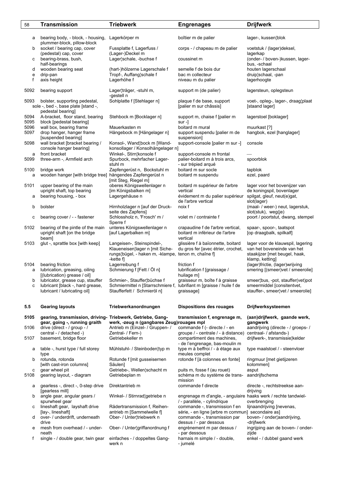| 58           | <b>Transmission</b>                                              | <b>Triebwerk</b>                                                                                     | <b>Engrenages</b>                                                                              | <b>Drijfwerk</b>                                                |
|--------------|------------------------------------------------------------------|------------------------------------------------------------------------------------------------------|------------------------------------------------------------------------------------------------|-----------------------------------------------------------------|
|              |                                                                  |                                                                                                      |                                                                                                |                                                                 |
| а            | bearing body, - block, - housing,<br>plummer-block, pillow-block | Lagerkörper m                                                                                        | boîtier m de palier                                                                            | lager-, kussen¦blok                                             |
| b            | socket / bearing cap, cover<br>(pedestal) cap, cover             | Fussplatte f, Lagerfuss /<br>(Lager-)Deckel m                                                        | corps - / chapeau m de palier                                                                  | voetstuk / (lager)deksel,<br>lagerkap                           |
| с            | bearing-brass, bush,<br>half-bearings                            | Lager¦schale, -buchse f                                                                              | coussinet m                                                                                    | (onder- / boven-)kussen, lager-<br>bus, -schaal                 |
| d            | wooden bearing seat                                              | (hart-)hölzerne Lagerschale f                                                                        | semelle f de bois dur                                                                          | houten lagerschaal                                              |
| e<br>f       | drip-pan<br>axis height                                          | Tropf-, Auffang¦schale f<br>Lagerhöhe f                                                              | bac m collecteur<br>niveau m du palier                                                         | druip¦schaal, -pan<br>lagerhoogte                               |
| 5092         | bearing support                                                  | Lager¦träger, -stuhl m,                                                                              | support m (de palier)                                                                          | lagersteun, oplegsteun                                          |
| 5093         | bolster, supporting pedestal,                                    | -gestell n<br>Sohlplatte f [Stehlager n]                                                             | plaque f de base, support                                                                      | voet-, opleg-, lager-, draag¦plaat                              |
|              | sole -, bed -, base plate [stand -,<br>pedestal bearing]         |                                                                                                      | [palier m sur châssis]                                                                         | [staand lager]                                                  |
| 5094<br>5095 | A-bracket, floor stand, bearing<br>block [pedestal bearing]      | Stehbock m [Bocklager n]                                                                             | support m, chaise f [palier m<br>$sur -]$                                                      | lagerstoel [boklager]                                           |
| 5096         | wall box, bearing frame                                          | Mauerkasten m                                                                                        | boitard m mural                                                                                | muurkast [?]                                                    |
| 5097         | drop hanger, hanger frame<br>[suspended bearing]                 | Hängebock m [Hängelager n]                                                                           | support suspendu [palier m de<br>suspension]                                                   | hangbok, ezel [hanglager]                                       |
| 5098         | wall bracket [bracket bearing /<br>console hanger bearing]       | Konsol-, Wand¦bock m [Wand-<br>konsollager / Konsolhängelager n]                                     | support-console [palier m sur -]                                                               | console                                                         |
| а            | front bracket                                                    | Winkel-, Stirn¦konsole f                                                                             | support-console m frontal                                                                      |                                                                 |
| 5099         | three-arm -, Armfield arch                                       | Spurbock, mehrfacher Lager-<br>stuhl m                                                               | palier-boitard m à trois arcs,<br>- sur trépied arqué                                          | spoorblok                                                       |
| 5100         | bridge work                                                      | Zapfengerüst n, Bockstuhl m                                                                          | boitard m sur socle                                                                            | tapblok                                                         |
| a            | wooden hanger [with bridge tree] hängendes Zapfengerüst n        | [mit Steg, Riegel m]                                                                                 | boitard m suspendu                                                                             | ezel, paard                                                     |
| 5101         | upper bearing of the main<br>upright shaft, top bearing          | oberes Königswellenlager n<br>[im Königsbalken m]                                                    | boitard m supérieur de l'arbre<br>vertical                                                     | lager voor het bovenijzer van<br>de koningspil, bovenlager      |
| а            | bearing housing, - box                                           | Lagergehäuse n                                                                                       | évidement m du palier supérieur<br>de l'arbre vertical                                         | spilgat, gleuf, neut(e)gat,<br>slot(lager)                      |
| b            | bolster                                                          | Hirnholzlager n [auf der Druck-<br>seite des Zapfens]                                                | noix f                                                                                         | (maal- / weer-) neut, lagerstuk,<br>slot(stuk), weg(je)         |
| c            | bearing cover / - - fastener                                     | Schlossholz n, 'Frosch' m /<br>Sperre f                                                              | volet m / contrainte f                                                                         | poort / poortstut, dwang, stempel                               |
| 5102         | bearing of the pintle of the main                                | unteres Königswellenlager n                                                                          | crapaudine f de l'arbre vertical,                                                              | spaar-, spoor-, taatspot                                        |
|              | upright shaft [on the bridge<br>beam]                            | [auf Lagerbalken m]                                                                                  | boitard m inférieur de l'arbre<br>vertical                                                     | [op draagbalk, spilkalf]                                        |
| 5103         | glut -, sprattle box [with keep]                                 | Langeisen-, Steinspindel-,                                                                           | glissière f à baïonnette, boitard                                                              | lager voor de klauwspil, lagering                               |
|              |                                                                  | Klaueneisen¦lager n [mit Siche-<br>rungs¦bügel, - haken m, -klampe, tenon m, chaîne f]<br>-kette $f$ | du gros fer [avec étrier, crochet,                                                             | van het boveneinde van het<br>staakijzer [met beugel, haak,     |
| 5104         | bearing friction                                                 | Lagerreibung f                                                                                       | friction f                                                                                     | klamp, ketting]<br>(lager)frictie, (lager)wrijving              |
| a            | lubrication, greasing, oiling<br>[(lubrication) grease / oil]    | Schmierung f [Fett / Öl n]                                                                           | lubrification f [graissage /<br>huilage m]                                                     | smering [(smeer)vet / smeerolie]                                |
| b            | lubricator, grease cup, stauffer                                 | Schmier-, Stauffer¦büchse f                                                                          | graisseur m, boîte f à graisse                                                                 | smeer¦bus, -pot, stauffer(vet)pot                               |
| c            | lubricant [black -, hard grease,<br>lubricant / lubricating oil] | Schmiermittel n [Starrschmiere f, lubrifiant m [graisse / huile f de<br>Staufferfett / Schmieröl n]  | graissage]                                                                                     | smeermiddel [consitentvet,<br>stauffer-, smeer¦vet / smeerolie] |
| 5.5          | <b>Gearing layouts</b>                                           | Triebwerkanordnungen                                                                                 | <b>Dispositions des rouages</b>                                                                | Drijfwerksysteemen                                              |
| 5105         | gearing, transmission, driving- Triebwerk, Getriebe, Gang-       |                                                                                                      | transmission f, engrenage m,                                                                   | (aan)drijfwerk, gaande werk,                                    |
|              | gear, going -, running graith                                    | werk, -zeug n (gangbares Zeug)rouages mpl                                                            |                                                                                                | gangwerk                                                        |
| 5106         | drive (direct - / group - /                                      | Antrieb m (Einzel- / Gruppen- /                                                                      | commande f (- directe / - en                                                                   | aandrijving (directe - / groeps- /                              |
| 5107         | central - / detached -)<br>basement, bridge floor                | Zentral- / Fern-)<br>Getriebekeller m                                                                | groupe / - centrale / - à distance)<br>compartiment des machines,                              | centraal- / afstands-)<br>drijfwerk-, transmissie¦kelder        |
| а            | table -, hurst type / full storey                                | Mühlstuhl- / Steinboden¦typ m                                                                        | - de l'engrenage, bas-moulin m<br>type m à beffroi / - à étage aux                             | type maalstoel / - steenvloer                                   |
| b            | type<br>rotunda, rotonda                                         | Rotunde f [mit gusseisernen                                                                          | meules complet<br>rotonde f [à colonnes en fonte]                                              | ringmuur [met gietijzeren                                       |
| C            | [with cast-iron columns]<br>gear wheel pit                       | Säulen]<br>Getriebe-, Wellen¦schacht m                                                               | puits m, fosse f (au rouet)                                                                    | kolommen]<br>asput                                              |
| 5108         | gearing layout, - diagram                                        | Getriebeplan m                                                                                       | schéma m du système de trans-<br>mission                                                       | aandrijfschema                                                  |
| а            | gearless -, direct -, 0-step drive<br>[gearless mill]            | Direktantrieb m                                                                                      | commande f directe                                                                             | directe -, rechtstreekse aan-<br>drijving                       |
| b            | angle gear, angular gears /<br>spurwheel gear                    | Winkel- / Stirnrad¦getriebe n                                                                        | engrenage m d'angle, - angulaire haaks werk / rechte tandwiel-<br>/ - parallèle, - cylindrique | overbrenging                                                    |
| с            | lineshaft gear, layshaft drive                                   | Rädertransmission f, Reihen-                                                                         | commande -, transmission f en                                                                  | lijnaandrijving [nevenas,                                       |
| d            | [lay-, lineshaft]<br>over- / underdrift, underneath              | antrieb m [Sammelwelle f]<br>Ober- / Unter¦triebwerk n                                               | série, - en ligne [arbre m commun] secondaire as]<br>commande -, transmission par              | boven- / onder¦aandrijving,                                     |
| e            | drive<br>mesh from overhead / - under-                           | Ober- / Unter¦griffanordnung f                                                                       | dessus / - par dessous<br>engrènement m par dessus /                                           | -drijfwerk<br>ingrijping aan de boven- / onder-                 |
| f            | neath<br>single - / double gear, twin gear                       | einfaches - / doppeltes Gang-                                                                        | - par dessous<br>harnais m simple / - double,                                                  | zijde<br>enkel - / dubbel gaand werk                            |
|              |                                                                  | werk n                                                                                               | - jumelé                                                                                       |                                                                 |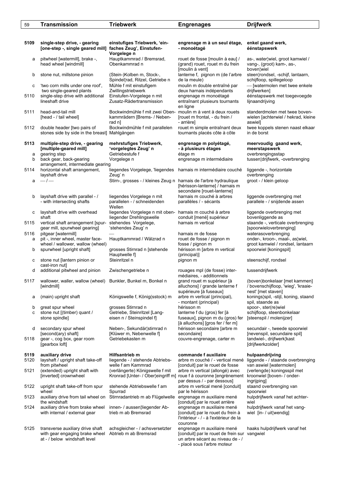| 59             | <b>Transmission</b>                                                                                                      | <b>Triebwerk</b>                                                                                                                   | <b>Engrenages</b>                                                                                                                             | <b>Drijfwerk</b>                                                                                                      |
|----------------|--------------------------------------------------------------------------------------------------------------------------|------------------------------------------------------------------------------------------------------------------------------------|-----------------------------------------------------------------------------------------------------------------------------------------------|-----------------------------------------------------------------------------------------------------------------------|
|                |                                                                                                                          |                                                                                                                                    |                                                                                                                                               |                                                                                                                       |
| 5109           | single-step drive, - gearing<br>[one-step -, single geared mill]                                                         | einstufiges Triebwerk, 'ein-<br>faches Zeug', Einstufen-<br>Vorgelege n                                                            | engrenage m à un seul étage,<br>- monoétagé                                                                                                   | enkel gaand werk,<br>éénstapswerk                                                                                     |
| а              | pitwheel [watermill], brake -,<br>head wheel [windmill]                                                                  | Hauptkammrad / Bremsrad,<br>Obenkammrad n                                                                                          | rouet de fosse [moulin à eau] /<br>(grand) rouet, rouet m du frein<br>[moulin à vent]                                                         | as-, water¦wiel, groot kamwiel /<br>vang-, (groot) kam-, as-,<br>boven¦wiel                                           |
| b              | stone nut, millstone pinion                                                                                              | (Stein-)Kolben m, Stock-,<br>Spindel¦rad, Ritzel, Getriebe n                                                                       | lanterne f, pignon m (de l'arbre<br>de la meule)                                                                                              | steen¦rondsel, -schijf, lantaarn,<br>schijfloop, spillegeloop                                                         |
| с<br>5110      | 'two corn mills under one roof',<br>two single-geared plants<br>single-step drive with additional<br>lineshaft drive     | Mühle f mit einstufigem<br>Zwillingstriebwerk<br>Einstufen-Vorgelege n mit<br>Zusatz-Rädertransmission                             | moulin m double entraîné par<br>deux harnais indépendants<br>engrenage m monoétagé<br>entraînant plusieurs tournants                          | - [watermolen met twee enkele<br>drijfwerken]<br>éénstapswerk met toegevoegde<br>lijnaandrijving                      |
| 5111           | head-and-tail mill<br>[head - / tail wheel]                                                                              | Bockwindmühle f mit zwei Oben-<br>kammrädern [Brems- / Neben-                                                                      | en ligne<br>moulin m à vent à deux rouets<br>[rouet m frontal, - du frein /                                                                   | standerdmolen met twee boven-<br>wielen [achterwiel / hekrad, kleine                                                  |
| 5112           | double header [two pairs of<br>stones side by side in the breast] Mahlgängen                                             | rad n]<br>Bockwindmühle f mit parallelen                                                                                           | - arrière]<br>rouet m simple entraînant deux<br>tournants placés côte à côte                                                                  | aswiel]<br>twee koppels stenen naast elkaar<br>in de borst                                                            |
| 5113<br>a<br>b | multiple-step drive, - gearing<br>[multiple-geared mill]<br>gearing step<br>back gear, back-gearing                      | mehrstufiges Triebwerk,<br>'vorgelegtes Zeug' n<br>Getriebestufe f<br>Vorgelege n                                                  | engrenage m polyétagé,<br>- à plusieurs étages<br>étage m<br>engrenage m intermédiaire                                                        | meervoudig gaand werk,<br>meerstapswerk<br>overbrengingsstap<br>tussen¦drijfwerk, -overbrenging                       |
| 5114           | arrangement, intermediate gearing<br>horizontal shaft arrangement,<br>layshaft drive                                     | liegendes Vorgelege, 'liegendes harnais m intermédiaire couché<br>Zeug' n                                                          |                                                                                                                                               | liggende -, horizontale<br>overbrenging                                                                               |
| a              | $-/-$                                                                                                                    | Stirn-, grosses - / kleines Zeug n harnais de l'arbre hydraulique                                                                  | [hérisson-lanterne] / harnais m<br>secondaire [rouet-lanterne]                                                                                | groot - / klein geloop                                                                                                |
| b              | layshaft drive with parallel - /<br>- with intersecting shafts                                                           | liegendes Vorgelege n mit<br>parallelen - / schneidenden<br>Wellen                                                                 | harnais m couché à arbres<br>parallèles / - sécants                                                                                           | liggende overbrenging met<br>parallele - / snijdende assen                                                            |
| с<br>5115      | layshaft drive with overhead<br>shaft<br>vertical shaft arrangement [spur-<br>gear mill, spurwheel gearing]              | liegendes Vorgelege n mit oben- harnais m couché à arbre<br>liegender Drehlingswelle<br>stehendes Vorgelege,<br>'stehendes Zeug' n | conduit [mené] supérieur<br>harnais m vertical                                                                                                | liggende overbrenging met<br>bovenliggende as<br>staande -, verticale overbrenging<br>[spoorwieloverbrenging]         |
| 5116<br>a<br>b | pitgear [watermill]<br>pit -, inner wheel, master face-<br>wheel / wallower, wallow (wheel)<br>spurwheel [upright shaft] | Hauptkammrad / Wälzrad n<br>grosses Stirnrad n [stehende<br>Hauptwelle fl                                                          | harnais m de fosse<br>rouet de fosse / pignon m<br>fosse / pignon m<br>hérisson m [arbre m vertical<br>(principal)]                           | waterasoverbrenging<br>onder-, kroon-, maal-, as¦wiel,<br>groot kamwiel / rondsel, lantaarn<br>spoorwiel [koningspil] |
| с              | stone nut [lantern pinion or<br>cast-iron nut]                                                                           | Steinritzel n                                                                                                                      | pignon m                                                                                                                                      | steenschijf, rondsel                                                                                                  |
| d              | additional pitwheel and pinion                                                                                           | Zwischengetriebe n                                                                                                                 | rouages mpl (de fosse) inter-<br>médiaires, - additionnels                                                                                    | tussendrijfwerk                                                                                                       |
| 5117           | wallower, waller, wallow (wheel)<br>[windmill]                                                                           | Bunkler, Bunkel m, Bonkel n                                                                                                        | grand rouet m supérieur [à<br>alluchons] / grande lanterne f<br>supérieure [à fuseaux]                                                        | (boven)bonkelaar [met kammen]<br>/ bovenschijfloop, 'wieg', 'kraaie-<br>nest' [met staven]                            |
| а<br>b<br>с    | (main) upright shaft<br>great spur wheel<br>stone nut [(timber) quant /                                                  | Königswelle f, König(sstock) m<br>grosses Stirnrad n<br>Getriebe, Steinritzel [Lang-                                               | arbre m vertical (principal),<br>- montant (principal)<br>hérisson m<br>lanterne f du (gros) fer [à                                           | konings¦spil, -stijl, koning, staand<br>spil, staande as<br>spoor-, ster(re)wiel<br>schijfloop, steenbonkelaar        |
|                | stone spindle]                                                                                                           | eisen n / Steinspindel fl                                                                                                          | fuseaux], pignon m du (gros) fer<br>[à alluchons] [gros fer / fer m]                                                                          | [steenspil / molenijzer]                                                                                              |
| d<br>5118      | secondary spur wheel<br>[second(ary) shaft]<br>gear -, cog box, gear room<br>[gearbox loft]                              | Neben-, Sekundär¦stirnrad n<br>[Klüwer m, Nebenwelle f]<br>Getriebekasten m                                                        | hérisson secondaire [arbre m<br>secondaire]<br>couvre-engrenage, carter m                                                                     | secundair -, tweede spoorwiel<br>[nevenspil, secundaire spil]<br>tandwiel-, drijfwerk¦kast<br>[drijfwerkzolder]       |
| 5119<br>5120   | auxiliary drive<br>layshaft / upright shaft take-off<br>from pitwheel                                                    | Hilfsantrieb m<br>liegende - / stehende Abtriebs-<br>welle f am Kammrad                                                            | commande f auxiliaire<br>arbre m couché / - vertical mené<br>[conduit] par le rouet de fosse                                                  | hulpaandrijving<br>liggende - / staande overbrenging<br>van aswiel [watermolen]                                       |
| 5121           | (extended) upright shaft with<br>[inverted] crownwheel                                                                   | (verlängerte) Königswelle f mit<br>Kronrad [Unter- / Ober¦eingriff m] roue f à couronne [engrènement                               | arbre m vertical (allongé) avec<br>par dessus / - par dessous]                                                                                | (verlengde) koningsspil met<br>kroonwiel [boven- / onder-<br>ingrijping]                                              |
| 5122           | upright shaft take-off from spur<br>wheel                                                                                | stehende Abtriebswelle f am<br>Spurrad                                                                                             | arbre m vertical mené [conduit]<br>par le hérisson                                                                                            | staand overbrenging van<br>spoorwiel                                                                                  |
| 5123           | auxiliary drive from tail wheel on<br>the windshaft                                                                      | Stirnradantrieb m ab Flügelwelle                                                                                                   | engrenage m auxiliaire mené<br>[conduit] par le rouet arrière                                                                                 | hulpdrijfwerk vanaf het achter-<br>wiel                                                                               |
| 5124           | auxiliary drive from brake wheel<br>with internal / external gear                                                        | innen- / aussen¦liegender Ab-<br>trieb m ab Bremsrad                                                                               | engrenage m auxiliaire mené<br>[conduit] par le rouet du frein à<br>l'intérieur - / - à l'extérieur de la<br>couronne                         | hulpdrijfwerk vanaf het vang-<br>wiel [in- / uit¦wendig]                                                              |
| 5125           | transverse auxiliary drive shaft<br>with gear engaging brake wheel<br>at - / below windshaft level                       | achsgleicher - / achsversetzter<br>Abtrieb m ab Bremsrad                                                                           | engrenage m auxiliaire mené<br>[conduit] par le rouet de frein sur vangwiel<br>un arbre sécant au niveau de -/<br>- placé sous l'arbre moteur | haaks hulpdrijfwerk vanaf het                                                                                         |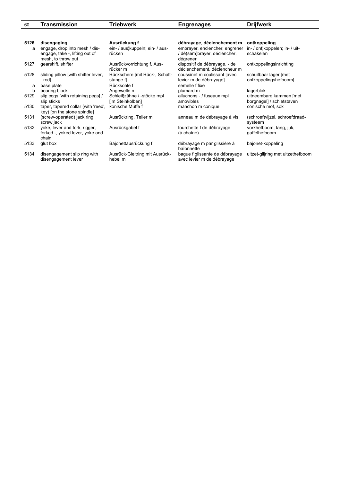| 60   | Transmission                                                                          | Triebwerk                                       | <b>Engrenages</b>                                                          | <b>Drijfwerk</b>                                     |
|------|---------------------------------------------------------------------------------------|-------------------------------------------------|----------------------------------------------------------------------------|------------------------------------------------------|
|      |                                                                                       |                                                 |                                                                            |                                                      |
| 5126 | disengaging                                                                           | Ausrückung f                                    | débrayage, déclenchement m                                                 | ontkoppeling                                         |
| a    | engage, drop into mesh / dis-<br>engage, take -, lifting out of<br>mesh, to throw out | ein- / aus¦kuppeln; ein- / aus-<br>rücken       | embrayer, enclencher, engrener<br>/ dé(sem)brayer, déclencher,<br>dégrener | in- / ont¦koppelen; in- / uit-<br>schakelen          |
| 5127 | gearshift, shifter                                                                    | Ausrückvorrichtung f, Aus-<br>rücker m          | dispositif de débrayage, - de<br>déclenchement, déclencheur m              | ontkoppelingsinrichting                              |
| 5128 | sliding pillow [with shifter lever,<br>- rod]                                         | Rückschere [mit Rück-, Schalt-<br>stange f      | coussinet m coulissant [avec<br>levier m de débrayage]                     | schuifbaar lager [met<br>ontkoppelingshefboom]       |
| a    | base plate                                                                            | Rücksohle f                                     | semelle f fixe                                                             |                                                      |
| b    | bearing block                                                                         | Angewelle n                                     | plumard m                                                                  | lagerblok                                            |
| 5129 | slip cogs [with retaining pegs] /<br>slip sticks                                      | Schleif¦zähne / -stöcke mpl<br>[im Steinkolben] | alluchons - / fuseaux mpl<br>amovibles                                     | uitneembare kammen [met<br>borgnagel] / schietstaven |
| 5130 | taper, tapered collar (with 'reed',<br>key) [on the stone spindle]                    | konische Muffe f                                | manchon m conique                                                          | conische mof, sok                                    |
| 5131 | (screw-operated) jack ring,<br>screw jack                                             | Ausrückring, Teller m                           | anneau m de débrayage à vis                                                | (schroef)vijzel, schroefdraad-<br>systeem            |
| 5132 | yoke, lever and fork, rigger,<br>forked -, yoked lever, yoke and<br>chain             | Ausrückgabel f                                  | fourchette f de débrayage<br>(à chaîne)                                    | vorkhefboom, tang, juk,<br>gaffelhefboom             |
| 5133 | glut box                                                                              | Bajonettausrückung f                            | débrayage m par glissière à<br>baïonnette                                  | bajonet-koppeling                                    |
| 5134 | disengagement slip ring with<br>disengagement lever                                   | Ausrück-Gleitring mit Ausrück-<br>hebel m       | bague f glissante de débrayage<br>avec levier m de débrayage               | uitzet-glijring met uitzethefboom                    |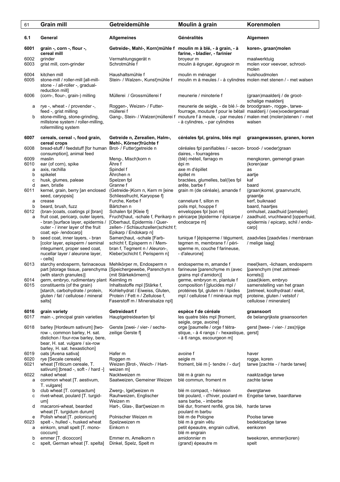| 61                | <b>Grain mill</b>                                                                                                                                                           | Getreidemühle                                                                                                                                               | Moulin à grain                                                                                                                                                                                                                                                              | Korenmolen                                                                                                                                    |
|-------------------|-----------------------------------------------------------------------------------------------------------------------------------------------------------------------------|-------------------------------------------------------------------------------------------------------------------------------------------------------------|-----------------------------------------------------------------------------------------------------------------------------------------------------------------------------------------------------------------------------------------------------------------------------|-----------------------------------------------------------------------------------------------------------------------------------------------|
| 6.1               | General                                                                                                                                                                     | <b>Allgemeines</b>                                                                                                                                          | Généralités                                                                                                                                                                                                                                                                 | Algemeen                                                                                                                                      |
| 6001              | grain -, corn -, flour -,<br>cereal mill                                                                                                                                    | Getreide-, Mahl-, Korn¦mühle f moulin m à blé, - à grain, - à                                                                                               | farine, - bladier, - farinier                                                                                                                                                                                                                                               | koren-, graan¦molen                                                                                                                           |
| 6002<br>6003      | grinder<br>grist mill, corn-grinder                                                                                                                                         | Vermahlungsgerät n<br>Schrotmühle f                                                                                                                         | broyeur m<br>moulin à égruger, égrugeoir m                                                                                                                                                                                                                                  | maalwerktuig<br>molen voor veevoer, schroot-<br>molen                                                                                         |
| 6004<br>6005      | kitchen mill<br>stone-mill / roller-mill [all-mill-<br>stone - / all-roller -, gradual-<br>reduction mill]                                                                  | Haushaltsmühle f<br>Stein- / Walzen-, Kunst¦mühle f                                                                                                         | moulin m ménager<br>moulin m à meules / - à cylindres molen met stenen / - met walsen                                                                                                                                                                                       | huishoudmolen                                                                                                                                 |
| 6006              | (corn-, flour-, grain-) milling                                                                                                                                             | Müllerei / Grossmüllerei f                                                                                                                                  | meunerie / minoterie f                                                                                                                                                                                                                                                      | (graan) maalderij / de groot-<br>schalige maalderij                                                                                           |
| а<br>b            | rye -, wheat - / provender -,<br>feed -, grist milling<br>stone-milling, stone-grinding,<br>millstone system / roller-milling,<br>rollermilling system                      | Roggen-, Weizen- / Futter-<br>müllerei f                                                                                                                    | meunerie de seigle, - de blé /- de broodgraan-, rogge-, tarwe-<br>fourrage, mouture f pour le bétail maalderij / (vee)voedergemaal<br>Gang-, Stein- / Walzen¦müllerei f mouture f à meule, - par meules / malen met (molen)stenen / - met<br>- à cylindres, - par cylindres | walsen                                                                                                                                        |
| 6007              | cereals, cereal -, food grain,<br>cereal crops                                                                                                                              | Getreide n, Zerealien, Halm-,<br>Mehl-, Körner¦früchte f                                                                                                    | céréales fpl, grains, blés mpl                                                                                                                                                                                                                                              | graangewassen, granen, koren                                                                                                                  |
| 6008              | bread-stuff / feedstuff [for human<br>consumption], animal feed                                                                                                             | Brot- / Futter¦getreide n                                                                                                                                   | céréales fpl panifiables / - secon- brood- / voeder¦graan<br>daires, - fourragères                                                                                                                                                                                          |                                                                                                                                               |
| 6009<br>6010<br>a | maslin<br>ear (of corn), spike<br>axis, rachilla                                                                                                                            | Meng-, Misch¦korn n<br>Ähre f<br>Spindel f                                                                                                                  | (blé) méteil, farrago m<br>épi m<br>axe m d'épillet                                                                                                                                                                                                                         | mengkoren, gemengd graan<br>(koren)aar<br>as                                                                                                  |
| b<br>C            | spikelet<br>husk, glumes, paleae                                                                                                                                            | Ährchen n<br>Spelzen fpl                                                                                                                                    | épillet m<br>bractées, glumelles, bal(l)es fpl                                                                                                                                                                                                                              | aartje<br>kaf                                                                                                                                 |
| d                 | awn, bristle                                                                                                                                                                | Granne f                                                                                                                                                    | arête, barbe f                                                                                                                                                                                                                                                              | baard                                                                                                                                         |
| 6011<br>a         | kernel, grain, berry [an enclosed<br>seed, caryopsis]<br>crease                                                                                                             | (Getreide-)Korn n, Kern m [eine<br>Schliessfrucht, Karyopse f<br>Furche, Kerbe f                                                                            | grain m (de céréale), amande f<br>cannelure f, sillon m                                                                                                                                                                                                                     | (graan) korrel, graan vrucht,<br>graantje<br>kerf, buiknaad                                                                                   |
| b                 | beard, brush, fuzz                                                                                                                                                          | Bärtchen n                                                                                                                                                  | poils mpl, houppe f                                                                                                                                                                                                                                                         | baard, haartjes                                                                                                                               |
| 6012<br>a         | (bran-)coats, coatings pl [bran]<br>fruit coat, pericarp, outer layers,<br>- bran [surface layer, epidermis /<br>outer - / inner layer of the fruit<br>coat; epi-/endocarp] | Schalen fpl [Kleie f]<br>Frucht¦haut, -schale f, Perikarp n<br>[Oberhaut, Epidermis / Quer-<br>zellen- / Schlauchzellen¦schicht f;<br>Epikarp / Endokarp n] | enveloppes fpl [son m]<br>péricarpe [épiderme / épicarpe /<br>endocarpe m]                                                                                                                                                                                                  | omhulsel, zaadhuid [zemelen]<br>zaadhuid, vruchtwand (opperhuid,<br>epidermis / epicarp, schil / endo-<br>carp]                               |
| b                 | seed coat, inner layers, - bran<br>[color layer, episperm / seminal<br>integument, proper seed coat,<br>nucellar layer / aleurone layer,<br>- cells]                        | Samen¦haut, -schale [Farb-<br>schicht f, Episperm n / Mem-<br>bran f, Tegment n / Aleuron-,<br>Kleber¦schicht f, Perisperm n]                               | tunique f [épisperme / tégument,<br>tegmen m, membrane f / péri-<br>sperme m, couche f farineuse,<br>- d'aleurone]                                                                                                                                                          | zaadvlies [zaadvlies / membraan<br>/ melige laag]                                                                                             |
| 6013              | starchy endosperm, farinaceous<br>part [storage tissue, parenchyma [Speichergewebe, Parenchym n<br>(with starch granules)]                                                  | Mehlkörper m, Endosperm n<br>(mit Stärkekörnern)]                                                                                                           | endosperme m, amande f<br>farineuse [parenchyme m (avec<br>grains mpl d'amidon)]                                                                                                                                                                                            | meel¦kern, -lichaam, endosperm<br>[parenchym (met zetmeel-<br>korrels)]                                                                       |
| 6014<br>6015      | germ, embryo, rudimentary plant Keimling m<br>constituents (of the grain)<br>[starch, carbohydrate / protein,<br>gluten / fat / cellulose / mineral<br>salts]               | Inhaltsstoffe mpl [Stärke f,<br>Kohlehydrat / Eiweiss, Gluten,<br>Protein / Fett n / Zellulose f,<br>Faserstoff m / Mineralsalze npl]                       | germe, embryon m, plantule f<br>composition f [glucides mpl /<br>protéines fpl, gluten m / lipides<br>mpl / cellulose f / minéraux mpl]                                                                                                                                     | (zaad)kiem, embryo<br>samenstelling van het graan<br>[zetmeel, koolhydraat / eiwit,<br>proteine, gluten / vetstof /<br>cellulose / mineralen] |
| 6016<br>6017      | grain variety<br>main -, principal grain varieties                                                                                                                          | Getreideart f<br>Hauptgetreidearten fpl                                                                                                                     | espèce f de céréale<br>les quatre blés mpl [froment,<br>seigle, orge, avoine]                                                                                                                                                                                               | graansoort<br>de belangrijkste graansoorten                                                                                                   |
| 6018              | barley [Hordeum sativum] [two-<br>row -, common barley, H. sat.<br>distichon / four-row barley, bere,<br>bear, H. sat. vulgare / six-row<br>barley, H. sat. hexastichon]    | Gerste [zwei- / vier- / sechs-<br>zeilige Gerste f]                                                                                                         | orge [paumelle / orge f tétra-<br>stique, - à 4 rangs / - hexastique, gerst]<br>- à 6 rangs, escourgeon m]                                                                                                                                                                  | gerst [twee- / vier- / zes¦rijige                                                                                                             |
| 6019              | oats [Avena sativa]                                                                                                                                                         | Hafer m                                                                                                                                                     | avoine f                                                                                                                                                                                                                                                                    | haver                                                                                                                                         |
| 6020<br>6021      | rye [Secale cereale]<br>wheat [Triticum cereale, T.                                                                                                                         | Roggen m<br>Weizen [Brot-, Weich- / Hart-                                                                                                                   | seigle m<br>froment, blé m [- tendre / - dur]                                                                                                                                                                                                                               | rogge, koren<br>tarwe [zachte - / harde tarwe]                                                                                                |
|                   | sativum] [bread -, soft - / hard -]                                                                                                                                         | weizen m]                                                                                                                                                   |                                                                                                                                                                                                                                                                             |                                                                                                                                               |
| 6022<br>а         | naked wheat<br>common wheat [T. aestivum,<br>T. vulgare]                                                                                                                    | Nacktweizen m<br>Saatweizen, Gemeiner Weizen                                                                                                                | blé m à grain nu<br>blé commun, froment m                                                                                                                                                                                                                                   | naaktzadige tarwe<br>zachte tarwe                                                                                                             |
| b<br>с            | club wheat [T. compactum]<br>rivet-wheat, poulard [T. turgid-<br>um]                                                                                                        | Zwerg-, Igel¦weizen m<br>Rauhweizen, Englischer<br>Weizen m                                                                                                 | blé m compact, - hérisson<br>blé poulard, - d'hiver, poulard m<br>sans barbe, - imberbe                                                                                                                                                                                     | dwergtarwe<br>Engelse tarwe, baardtarwe                                                                                                       |
| d                 | macaroni-wheat, bearded<br>wheat [T. turgidum durum]                                                                                                                        | Hart-, Glas-, Bart¦weizen m                                                                                                                                 | blé dur, froment renflé, gros blé,<br>poulard m barbu                                                                                                                                                                                                                       | harde tarwe                                                                                                                                   |
| е                 | Polish wheat [T. polonicum]                                                                                                                                                 | Polnischer Weizen m                                                                                                                                         | blé m de Pologne                                                                                                                                                                                                                                                            | Poolse tarwe                                                                                                                                  |
| 6023<br>а         | spelt -, hulled -, husked wheat<br>einkorn, small spelt [T. mono-                                                                                                           | Spelzweizen m<br>Einkorn n                                                                                                                                  | blé m à grain vêtu<br>petit épeautre, engrain cultivé,                                                                                                                                                                                                                      | bedektzadige tarwe<br>eenkoren                                                                                                                |
| b<br>c            | coccum]<br>emmer [T. dicoccon]<br>spelt, German wheat [T. spelta]                                                                                                           | Emmer m, Amelkorn n<br>Dinkel, Spelz, Spelt m                                                                                                               | blé m engrain<br>amidonnier m<br>(grand) épeautre m                                                                                                                                                                                                                         | tweekoren, emmer(koren)<br>spelt                                                                                                              |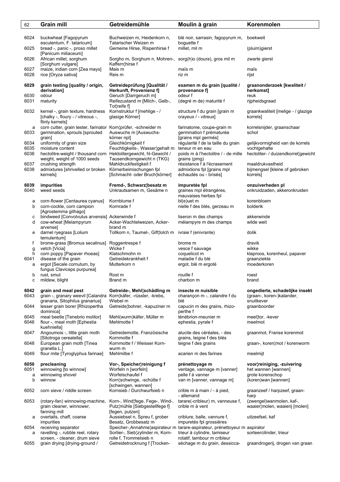| 62           | <b>Grain mill</b>                                                                                                         | Getreidemühle                                                                        | Moulin à grain                                                              | Korenmolen                                                                |
|--------------|---------------------------------------------------------------------------------------------------------------------------|--------------------------------------------------------------------------------------|-----------------------------------------------------------------------------|---------------------------------------------------------------------------|
| 6024         | buckwheat [Fagopyrum                                                                                                      | Buchweizen m, Heidenkorn n,                                                          | blé noir, sarrasin, fagopyrum m,                                            | boekweit                                                                  |
| 6025         | esculentum, F. tataricum]<br>bread -, panic -, proso millet                                                               | Tatarischer Weizen m<br>Gemeine Hirse, Rispenhirse f                                 | boguette f<br>millet, mil m                                                 | (pluim)gierst                                                             |
| 6026         | [Panicum miliaceum]<br>African millet, sorghum                                                                            | Sorgho m, Sorghum n, Mohren-, sorg(h)o (doura), gros mil m                           |                                                                             | zwarte gierst                                                             |
| 6027         | [Sorghum vulgare]<br>maize, indian corn [Zea mays]                                                                        | Kaffern¦hirse f<br>Mais m                                                            | maïs m                                                                      | maïs                                                                      |
| 6028         | rice [Oryza sativa]                                                                                                       | Reis m                                                                               | riz m                                                                       | rijst                                                                     |
| 6029<br>6030 | grain testing [quality / origin,<br>derivation]<br>odour                                                                  | Getreideprüfung [Qualität /<br>Herkunft, Provenienz f]<br>Geruch [Darrgeruch m]      | examen m du grain [qualité /<br>provenance f]<br>odeur f                    | graanonderzoek [kwaliteit /<br>herkomst]<br>reuk                          |
| 6031         | maturity                                                                                                                  | Reifezustand m [Milch-, Gelb-,<br>Tot¦reife f]                                       | (degré m de) maturité f                                                     | rijpheidsgraad                                                            |
| 6032         | kernel -, grain texture, hardness<br>[chalky -, floury - / vitreous -,<br>flinty kernels]                                 | Kornstruktur f [mehlige - /<br>glasige Körner]                                       | structure f du grain [grain m<br>crayeux / - vitreux]                       | graankwaliteit [melige - / glazige<br>korrels]                            |
| a<br>6033    | corn cutter, grain tester, farinator Korn¦prüfer, -schneider m<br>germination, sprouts [sprouted                          | Auswuchs m [Auswuchs-                                                                | farinatome, coupe-grain m<br>germination f prématurée                       | korrelsnijder, graanschaar<br>schot                                       |
| 6034         | grain]<br>uniformity of grain size                                                                                        | körner npl]<br>Gleichkörnigkeit f                                                    | [grains mpl germés]<br>régularité f de la taille du grain                   | gelijkvormigheid van de korrels                                           |
| 6035         | moisture content<br>hectolitre-weight / thousand corn Hektolitergewicht, hl-Gewicht /                                     | Feuchtigkeits-, Wasser¦gehalt m                                                      | teneur m en eau                                                             | vochtgehalte                                                              |
| 6036         | weight, weight of 1000 seeds                                                                                              | Tausendkorngewicht n (TKG)                                                           | poids m à l'hectolitre / - de mille<br>grains (pmg)                         | hectoliter- / duizendkorrel¦gewicht                                       |
| 6037<br>6038 | crushing strength<br>admixtures [shrivelled or broken                                                                     | Mahldruckfestigkeit f                                                                | résistance f à l'écrasement<br>admixtions fpl [grains mpl                   | maaldrukvastheid<br>bijmengsel [kleine of gebroken                        |
|              | kernels]                                                                                                                  | Körnerbeimischungen fpl<br>[Schmacht- oder Bruch¦körner]                             | échaudés ou - brisés]                                                       | korrels]                                                                  |
| 6039<br>6040 | impurities<br>weed seeds                                                                                                  | Fremd-, Schwarz¦besatz m<br>Unkrautsamen m, Gesäme n                                 | impuretés fpl<br>graines mpl étrangères,<br>mauvaises herbes fpl            | onzuiverheden pl<br>onkruidzaden, akkeronkruiden                          |
| а<br>b       | corn-flower [Centaurea cyanus]<br>corn-cockle, corn campion                                                               | Kornblume f<br>Kornrade f                                                            | $bl(e)$ uet m<br>nielle f des blés, gerzeau m                               | korenbloem<br>bolderik                                                    |
|              | [Agrostemma githago]                                                                                                      |                                                                                      |                                                                             |                                                                           |
| с<br>d       | bindweed [Convolvulus arvensis] Ackerwinde f<br>cow-wheat [Melampyrum                                                     | Acker-Wachtelweizen, Acker-                                                          | liseron m des champs<br>mélampyre m des champs                              | akkerwinde<br>wilde weit                                                  |
|              | arvense]                                                                                                                  | brand m                                                                              |                                                                             |                                                                           |
| е            | darnel ryegrass [Lolium<br>temulentum]                                                                                    | Tollkorn n, Taumel-, Gift¦lolch m                                                    | ivraie f (enivrante)                                                        | dolik                                                                     |
| f            | brome-grass [Bromus secalinus] Roggentrespe f                                                                             | Wicke f                                                                              | brome m                                                                     | dravik                                                                    |
| g<br>h.      | vetch [Vicia]<br>corn poppy [Papaver rhoeas]                                                                              | Klatschmohn m                                                                        | vesce f sauvage<br>coquelicot m                                             | wikke<br>klaproos, korenheul, papaver                                     |
| 6041         | disease of the grain                                                                                                      | Getreidekrankheit f                                                                  | maladie f du blé<br>ergot, blé m ergoté                                     | graanziekte                                                               |
| a            | ergot [Secale cornutum, by<br>fungus Claviceps purpurea]                                                                  | Mutterkorn n                                                                         |                                                                             | moederkoren                                                               |
| b<br>C       | rust, smut<br>mildew, blight                                                                                              | Rost m<br>Brand m                                                                    | rouille f<br>charbon m                                                      | roest<br>brand                                                            |
|              |                                                                                                                           |                                                                                      |                                                                             |                                                                           |
| 6042<br>6043 | grain and meal pest<br>grain -, granary weevil [Calandra Korn¦käfer, -rüssler, -krebs,<br>granaria, Sitophilus granarius] | Getreide-, Mehl¦schädling m<br>Wiebel m                                              | insecte m nuisible<br>charançon m -, calandre f du<br>blé                   | ongedierte, schadelijke insekt<br>(graan-, koren-)kalander,<br>snuitkever |
| 6044         | lesser grain borer [Rhizopertha<br>dominica]                                                                              | Getreide¦bohrer, -kapuziner m                                                        | capucin m des grains, rhizo-<br>perthe f                                    | graanboorder                                                              |
| 6045         | meal beetle [Tenebrio molitor]                                                                                            | Mehl(wurm)käfer, Müller m                                                            | ténébrion-meunier m                                                         | meel¦tor, -kever                                                          |
| 6046         | flour -, meal moth [Ephestia<br>kuehniella]                                                                               | Mehlmotte f                                                                          | ephestia, pyrale f                                                          | meelmot                                                                   |
| 6047         | Angoumois -, little grain moth<br>[Sitotroga cerealella]                                                                  | Getreidemotte, Französische<br>Kornmotte f                                           | alucite des céréales, - des<br>grains, teigne f des blés                    | graanmot, Franse korenmot                                                 |
| 6048         | European grain moth [Tinea<br>granella L.]                                                                                | Kornmotte f / Weisser Korn-<br>wurm m                                                | teigne f des grains                                                         | graan-, koren¦mot / korenworm                                             |
| 6049         | flour mite [Tyroglyphus farinae]                                                                                          | Mehlmilbe f                                                                          | acarien m des farines                                                       | meelmijt                                                                  |
| 6050         | precleaning                                                                                                               | Vor-, Speicher¦reinigung f                                                           | prénettoyage m                                                              | voor¦reiniging, -zuivering                                                |
| 6051<br>a    | winnowing [to winnow]<br>winnowing shovel                                                                                 | Worfeln n [worfeln]<br>Worfelschaufel f                                              | ventage, vannage m [vanner]<br>pelle f à vanner                             | het wannen [wannen]<br>grote korenschop                                   |
| b            | winnow                                                                                                                    | Korn¦schwinge, -schütte f<br>[schwingen, wannen]                                     | van m [vanner, vannage m]                                                   | (koren) wan [wannen]                                                      |
| 6052         | corn sieve / riddle screen                                                                                                | Kornsieb / Durchwurfsieb n                                                           | crible m à main / - à pied,<br>- allemand                                   | graanzeef / harpzeef, graan-<br>harp                                      |
| 6053         | (rotary-fan) winnowing-machine,<br>grain cleaner, winnower,<br>fanning mill                                               | Korn-, Wind¦fege, Fege-, Wind-,<br>Putz¦mühle [Siebgestellfege f]<br>[fegen, putzen] | tarare(-cribleur) m, vanneuse f,<br>crible m à vent                         | (zwengel)wanmolen, kaf-,<br>waaier¦molen, waaierij [molen]                |
| a            | overtails, chaff, coarse<br>impurities                                                                                    | Aussiebsel n, Spreu f, grober<br>Besatz, Grobbesatz m                                | criblure, balle, vannure f,<br>impuretés fpl grossières                     | uitzeefsel, kaf                                                           |
| 6054         | receiving separator                                                                                                       |                                                                                      | Speicher-, Annahme¦aspirateur m tarare-aspirateur, prénettoyeur m aspirator |                                                                           |
| а            | ravelling -, rubble reel, rotary<br>screen, - cleaner, drum sieve                                                         | Sortier-, Sieb¦zylinder m, Korn-<br>rolle f, Trommelsieb n                           | trieur à cylindre, tamiseur<br>rotatif, tambour m cribleur                  | sorteercilinder, trieur                                                   |
| 6055         | grain drying [drying-ground /                                                                                             | Getreidetrocknung f [Trocken-                                                        | séchage m du grain, dessicca-                                               | graandrogerij, drogen van graan                                           |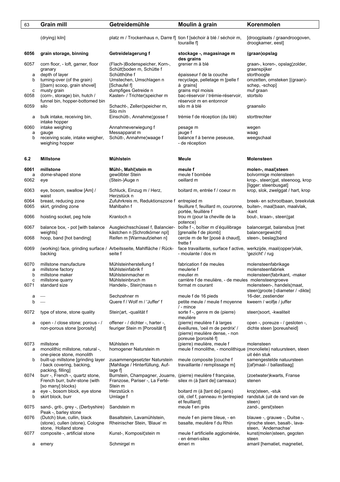| 63                | <b>Grain mill</b>                                                                             | Getreidemühle                                                                                               | Moulin à grain                                                                                                              | Korenmolen                                                                                               |
|-------------------|-----------------------------------------------------------------------------------------------|-------------------------------------------------------------------------------------------------------------|-----------------------------------------------------------------------------------------------------------------------------|----------------------------------------------------------------------------------------------------------|
|                   | (drying) kiln]                                                                                | platz m / Trockenhaus n, Darre f] tion f [séchoir à blé / séchoir m,                                        | touraille fl                                                                                                                | [droogplaats / graandroogoven,<br>droogkamer, eest]                                                      |
| 6056              | grain storage, binning                                                                        | Getreidelagerung f                                                                                          | stockage -, magasinage m<br>des grains                                                                                      | (graan)opslag                                                                                            |
| 6057<br>a<br>b    | corn floor, - loft, garner, floor<br>granary<br>depth of layer<br>turning-over (of the grain) | (Flach-)Bodenspeicher, Korn-,<br>Schütt¦boden m, Schütte f<br>Schütthöhe f<br>Umstechen, Umschlagen n       | grenier m à blé<br>épaisseur f de la couche<br>recyclage, pelletage m [pelle f                                              | graan-, koren-, opslag¦zolder,<br>graanspijker<br>storthoogte<br>omzetten, omsteken [(graan)-            |
| c                 | [(barn) scoop, grain shovel]<br>musty grain                                                   | [Schaufel f]<br>dumpfiges Getreide n                                                                        | à grains]<br>grains mpl moisis                                                                                              | schep, -schop]<br>muf graan                                                                              |
| 6058<br>6059      | (corn-, storage) bin, hutch /<br>funnel bin, hopper-bottomed bin<br>silo                      | Kasten- / Trichter¦speicher m<br>Schacht-, Zellen¦speicher m,                                               | bac-réservoir / trémie-réservoir,<br>réservoir m en entonnoir<br>silo m à blé                                               | stortsilo<br>graansilo                                                                                   |
| а                 | bulk intake, receiving bin,                                                                   | Silo m/n<br>Einschütt-, Annahme¦gosse f                                                                     | trémie f de réception (du blé)                                                                                              | storttrechter                                                                                            |
| 6060              | intake hopper<br>intake weighing                                                              | Annahmeverwiegung f                                                                                         | pesage m                                                                                                                    | wegen                                                                                                    |
| a<br>b            | gauge<br>receiving scale, intake weigher,<br>weighing hopper                                  | Messapparat m<br>Schütt-, Annahme¦waage f                                                                   | jauge f<br>balance f à benne peseuse,<br>- de réception                                                                     | waag<br>weegschaal                                                                                       |
| 6.2               | <b>Millstone</b>                                                                              | Mühlstein                                                                                                   | Meule                                                                                                                       | <b>Molensteen</b>                                                                                        |
| 6061<br>a<br>6062 | millstone<br>dome-shaped stone<br>eye                                                         | Mühl-, Mahl¦stein m<br>gewölbter Stein<br>(Stein-)Auge n                                                    | meule f<br>meule f bombée<br>oeillard m                                                                                     | molen-, maal¦steen<br>bolvormige molensteen<br>krop-, steen¦gat, steenoog, krop<br>[ligger: steenbusgat] |
| 6063              | eye, bosom, swallow [Am] /<br>waist                                                           | Schluck, Einzug m / Herz,<br>Herzstück n                                                                    | boitard m, entrée f / coeur m                                                                                               | krop, slok, zwelggat / hart, krop                                                                        |
| 6064<br>6065      | breast, reducing zone<br>skirt, grinding zone                                                 | Zufuhrkreis m, Reduktionszone f entrepied m<br>Mahlbahn f                                                   | feuillure f, feuillard m, couronne,<br>portée, feuillère f                                                                  | breek- en schrootbaan, breekvlak<br>buiten-, maal¦baan, maalvlak,<br>-kant                               |
| 6066              | hoisting socket, peg hole                                                                     | Kranloch n                                                                                                  | trou m (pour la cheville de la<br>potence)                                                                                  | bout-, kraan-, steen¦gat                                                                                 |
| 6067<br>6068      | balance box, - pot [with balance]<br>weights]<br>hoop, band [hot banding]                     | Ausgleichsschüssel f, Balancier-<br>kästchen n [Schrotkörner npl]<br>Reifen m [Warmaufziehen n]             | boîte f -, boîtier m d'équilibrage<br>[grenaille f de plomb]<br>cercle m de fer [posé à chaud],                             | balancergat, balansbus [met<br>balancergewicht]<br>steen-, beslag¦band                                   |
| 6069              | (working) face, grinding surface / Arbeitsseite, Mahlfläche / Rück-<br>backing                | seite f                                                                                                     | frette f<br>face travaillante, surface f active, werkzijde, maal(opper)vlak,<br>- moulante / dos m                          | 'gezicht' / rug                                                                                          |
| 6070<br>a<br>b    | millstone manufacture<br>millstone factory<br>millstone maker                                 | Mühlsteinherstellung f<br>Mühlsteinfabrik f<br>Mühlsteinmacher m                                            | fabrication f de meules<br>meulerie f<br>meulier m                                                                          | molensteenfabrikage<br>molensteenfabriek<br>molensteen¦fabrikant, -maker                                 |
| c<br>6071         | millstone quarry<br>standard size                                                             | Mühlsteinbruch m<br>Handels-, Stein¦mass n                                                                  | carrière f de meulière, - de meules molensteengroeve<br>format m courant                                                    | molensteen-, handels¦maat,<br>steen¦groote [-diameter / -dikte]                                          |
| а<br>b            |                                                                                               | Sechzehner m<br>Quere f / Wolf m / 'Juffer' f                                                               | meule f de 16 pieds<br>petite meule / meule f moyenne                                                                       | 16-der, zestiender<br>kweern / wolfje / juffer                                                           |
| 6072              | type of stone, stone quality                                                                  | Stein¦art, -qualität f                                                                                      | / - mince<br>sorte f -, genre m de (pierre)<br>meulière                                                                     | steen¦soort, -kwaliteit                                                                                  |
| а                 | open - / close stone; porous - /<br>non-porous stone [porosity]                               | offener - / dichter -, harter -,<br>feuriger Stein m [Porosität f]                                          | (pierre) meulière f à larges<br>éveillures, 'oeil m de perdrix' /<br>(pierre) meulière dense, - non<br>poreuse [porosité f] | open -, poreuze - / gesloten -,<br>dichte steen [poreusheid]                                             |
| 6073<br>а         | millstone<br>monolithic millstone, natural -,<br>one-piece stone, monolith                    | Mühlstein m<br>homogener Naturstein m                                                                       | (pierre) meulière, meule f<br>meule f monolithe, - monolithique (monoliete) natuursteen, steen                              | molensteen<br>uit één stuk                                                                               |
| b                 | built-up millstone [grinding layer<br>/ back covering, backing,<br>packing, filling]          | zusammengesetzter Naturstein<br>[Mahllage / Hinterfüllung, Auf-<br>lage fl                                  | meule composite [couche f<br>travaillante / remplissage m]                                                                  | samengestelde natuursteen<br>[(af)maal- / ballastlaag]                                                   |
| 6074              | burr -, French -, quartz stone,<br>French burr, buhr-stone (with<br>[so many] blocks)         | Burrstein, Champagner, Jouarre, (pierre) meulière f française,<br>Franzose, Pariser -, La Ferté-<br>Stein m | silex m (à [tant de] carreaux)                                                                                              | (zoetwater) kwarts, Franse<br>stenen                                                                     |
| а<br>b            | eye -, bosom block, eye stone<br>skirt block, burr                                            | Herzstück n<br>Umlage f                                                                                     | boitard m (à [tant de] pans)<br>clé, clef f, panneau m [entrepied<br>et feuillard]                                          | krop¦steen, -stuk<br>randstuk (uit de rand van de<br>steen)                                              |
| 6075              | sand-, grit-, grey -, (Derbyshire)<br>Peak -, barley stone                                    | Sandstein m                                                                                                 | meule f en grès                                                                                                             | zand-, gerst¦steen                                                                                       |
| 6076              | (Dutch) blue, cullin, black<br>(stone), cullen (stone), Cologne<br>stone, Holland stone       | Basaltstein, Lavamühlstein,<br>Rheinischer Stein, 'Blaue' m                                                 | meule f en pierre bleue, - en<br>basalte, meulière f du Rhin                                                                | blauwe -, grauwe -, Duitse -,<br>rijnsche steen, basalt-, lava-<br>steen, 'Andernachse'                  |
| 6077              | composite -, artificial stone                                                                 | Kunst-, Komposit¦stein m                                                                                    | meule f artificielle agglomérée,<br>- en émeri-silex                                                                        | kunst(molen)steen, gegoten<br>steen                                                                      |
| а                 | emery                                                                                         | Schmirgel m                                                                                                 | émeri m                                                                                                                     | amaril [hematiet, magnetiet,                                                                             |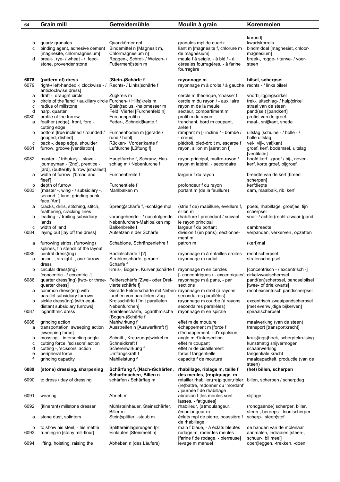| 64             | <b>Grain mill</b>                                                                                                    | Getreidemühle                                                                                                               | Moulin à grain                                                                                                                            | Korenmolen                                                                      |
|----------------|----------------------------------------------------------------------------------------------------------------------|-----------------------------------------------------------------------------------------------------------------------------|-------------------------------------------------------------------------------------------------------------------------------------------|---------------------------------------------------------------------------------|
|                |                                                                                                                      |                                                                                                                             |                                                                                                                                           |                                                                                 |
| b<br>c         | quartz granules<br>binding agent, adhesive cement<br>[magnesite, chlormagnesium]                                     | Quarzkörner npl<br>Bindemittel n [Magnesit m,<br>Chlormagnesium n]                                                          | granules mpl de quartz<br>liant m [magnésite f, chlorure m<br>de magnésium]                                                               | korund]<br>kwartskorrels<br>bindmiddel [magnesiet, chloor-<br>magnesium         |
| d              | break-, rye- / wheat - / feed-<br>stone, provender stone                                                             | Roggen-, Schrot- / Weizen- /<br>Futtermehl¦stein m                                                                          | meule f à seigle, - à blé / - à<br>céréales fourragères, - à farine<br>fourragère                                                         | breek-, rogge- / tarwe- / voer-<br>steen                                        |
| 6078<br>6079   | (pattern of) dress<br>right-/ left-handed -; clockwise - / Rechts- / Links¦schärfe f<br>anticlockwise dress]         | (Stein-)Schärfe f                                                                                                           | rayonnage m<br>rayonnage m à droite / à gauche rechts - / links bilsel                                                                    | bilsel, scherpsel                                                               |
| а<br>b<br>с    | draft -, draught circle<br>circle of the 'land' / auxiliary circle Furchen- / Hilfs¦kreis m<br>radius of millstone   | Zugkreis m<br>Stein¦radius, -halbmesser m                                                                                   | cercle m théorique, 'chasse' f<br>cercle m du rayon / - auxiliaire<br>rayon m de la meule                                                 | voorbijliggingscirkel<br>trek-, uitschlag- / hulp¦cirkel<br>straal van de steen |
| d<br>6080<br>a | harp, quarter<br>profile of the furrow<br>feather (edge), front, fore -,<br>cutting edge                             | Feld, Viertel [Furchenfeld n]<br>Furchenprofil n<br>Feder-, Schneid¦kante f                                                 | secteur, compartiment m<br>profil m du rayon<br>tranchant, bord m coupant,<br>arête f                                                     | pand(sel) [pandkerf]<br>profiel van de groef<br>maal-, snij¦kant, snede         |
| b              | bottom [true inclined / rounded /<br>qouged, dished]                                                                 | Furchenboden m [gerade /<br>rund / hohl]                                                                                    | rampant m [- incliné / - bombé /<br>- creux]                                                                                              | uitslag [schuine - / bolle - /<br>holle uitslag]                                |
| с<br>6081      | back -, deep edge, shoulder<br>furrow, groove [ventilation]                                                          | Rücken-, Vorder¦kante f<br>Luftfurche [Lüftung f]                                                                           | piédroit, pied-droit m, escarpe f<br>rayon, sillon m [aération f]                                                                         | vel-, vijl-, val¦kant<br>groef, kerf, bodemsel, uitslag<br>[ventilatie]         |
| 6082           | master - / tributary -, slave -,<br>journeyman - [2nd], prentice -<br>[3rd], (butter)fly furrow [smallest]           | Hauptfurche f, Schranz, Hau-<br>schlag m / Nebenfurche f                                                                    | rayon principal, maître-rayon /<br>rayon m latéral, - secondaire                                                                          | hoofd¦kerf, -groef / bij-, neven-<br>kerf, korte groef, bijgroef                |
| а              | width of furrow ['broad and<br>fleet']                                                                               | Furchenbreite f                                                                                                             | largeur f du rayon                                                                                                                        | breedte van de kerf [breed<br>scherpen]                                         |
| b<br>6083      | depth of furrow<br>(master -, wing - / subsidiary -,<br>second -) land, grinding bank,<br>face [Am]                  | Furchentiefe f<br>Mahlbalken m                                                                                              | profondeur f du rayon<br>portant m (de la feuillure)                                                                                      | kerfdiepte<br>dam, maalbalk, rib, kerf                                          |
| а              | cracks, drills, stitching, stitch,<br>feathering, cracking lines                                                     | Spreng¦schärfe f, -schläge mpl                                                                                              | (strie f de) rhabillure, éveillure f,<br>sillon m                                                                                         | poets, rhabillage, groefjes, fijn<br>scherpsel                                  |
| b<br>с         | leading - / trailing subsidiary<br>lands<br>width of land                                                            | vorangehende - / nachfolgende<br>Nebenfurchen-Mahlbalken mpl<br>Balkenbreite f                                              | rhabillure f précédant / suivant<br>le rayon principal<br>largeur f du portant                                                            | voor- / achter(recht-/zwaai-)pand<br>dambreedte                                 |
| 6084           | laying out [lay off the dress]                                                                                       | Aufsetzen n der Schärfe                                                                                                     | division f (en pans), sectionne-<br>ment m                                                                                                | verpanden, verkerven, opzetten                                                  |
| а              | furrowing strips, (furrowing)<br>splines, tin stencil of the layout                                                  | Schablone, Schränzenlehre f                                                                                                 | patron m                                                                                                                                  | (kerf)mal                                                                       |
| 6085<br>a      | central dress(ing)<br>union -, straight -, one-furrow<br>dress                                                       | Radialschärfe f [?]<br>Strahlenschärfe, gerade<br>Schärfe f                                                                 | rayonnage m à entailles droites<br>rayonnage m radial                                                                                     | recht scherpsel<br>stralenscherpsel                                             |
| b              | circular dress(ing)                                                                                                  | Kreis-, Bogen-, Kurven¦schärfe f rayonnage m en cercles                                                                     |                                                                                                                                           | [concentrisch - / excentrisch -]                                                |
| 6086           | [concentric - / eccentric -]<br>quarter dress(ing) [two- or three- Felderschärfe [Zwei- oder Drei-<br>quarter dress] | viertelschärfe f]                                                                                                           | [- concentriques / - excentriques] cirkelzwaaischerpsel<br>rayonnage m à pans, - par<br>sections                                          | pand(en)scherpsel, pandselbilsel<br>[twee- of drie]kwarts]                      |
| a<br>b         | common dress(ing) with<br>parallel subsidiary furrows<br>sickle dress(ing) [with equi-                               | Gerade Felderschärfe mit Neben- rayonnage m droit (à rayons<br>furchen von parallelem Zug<br>Kreisschärfe f [mit parallelen | secondaires parallèles)<br>rayonnage m courbe (à rayons                                                                                   | recht excentrisch pandscherpsel<br>excentrisch zwaaipandscherpsel               |
| 6087           | distant subsidiary furrows]<br>logarithmic dress                                                                     | Nebenfurchen]<br>Spiralenschärfe, logarithmische<br>(Bogen-)Schärfe f                                                       | secondaires parallèles)<br>rayonnage m en spirale                                                                                         | [met evenwijdige bijkerven]<br>spiraalscherpsel                                 |
| 6088<br>а      | grinding action<br>transportation, sweeping action<br>[sweeping force]                                               | Mahlwirkung f<br>Ausstreifen n [Auswerfkraft f]                                                                             | effet m de mouture<br>échappement m [force f<br>d'échappement, - d'expulsion]                                                             | maalwerking (van de steen)<br>transport [transportkracht]                       |
| b<br>с         | crossing -, intersecting angle<br>cutting force, 'scissors' action                                                   | Schnitt-, Kreuzungs¦winkel m<br>Schneidkraft f<br>Scherenwirkung f                                                          | angle m d'intersection<br>effet m coupant<br>effet m de cisaillement                                                                      | kruis(ings)hoek, scherptekruising<br>kunstmatig snijvermogen                    |
| d<br>e<br>f    | cutting -, 'scissors' action<br>peripheral force<br>grinding capacity                                                | Umfangskraft f<br>Mahlleistung f                                                                                            | force f tangentielle<br>capacité f de mouture                                                                                             | schaarwerking<br>tangentiale kracht<br>maalcapaciteit, productie (van de        |
| 6089           | (stone) dressing, sharpening                                                                                         | Schärfung f, (Nach-)Schärfen,<br>Scharfmachen, Billen n                                                                     | rhabillage, riblage m, taille f<br>des meules, (re)piquage m                                                                              | steen)<br>(het) billen, scherpen                                                |
| 6090           | to dress / day of dressing                                                                                           | schärfen / Schärftag m                                                                                                      | retailler, rhabiller, (re) piquer, ribler, billen, scherpen / scherpdag<br>(re)battre, redonner du 'mordant'<br>/ journée f de rhabillage |                                                                                 |
| 6091           | wearing                                                                                                              | Abrieb m                                                                                                                    | abrasion f [les meules sont<br>lasses, - fatiguées]                                                                                       | slijtage                                                                        |
| 6092           | (itinerant) millstone dresser                                                                                        | Mühlsteinhauer, Steinschärfer,<br>Biller m                                                                                  | rhabilleur, (a)moulangeur,<br>émoulangeur m                                                                                               | (rondgaande) scherper, biller,<br>steen-, beroeps-, loon¦scherper               |
| а<br>b         | stone dust, splinters<br>to show his steel, - his mettle                                                             | Stein¦splitter, -staub m<br>Splittereinlagerungen fpl                                                                       | éclats mpl de pierre, poussière f<br>de rhabillage<br>main f bleue, - à éclats bleutés                                                    | scherp-, steen¦stof<br>de handen van de molenaar                                |
| 6093           | running-in [stony mill-flour]                                                                                        | Einlaufen [Steinmehl n]                                                                                                     | rodage m, roder les meules<br>[farine f de rodage, - pierreuse]                                                                           | aanmalen, indraaien [steen-,<br>schuur-, bil¦meel]                              |
| 6094           | lifting, hoisting, raising the                                                                                       | Abheben n (des Läufers)                                                                                                     | levage m manuel                                                                                                                           | open¦leggen, -trekken, -doen,                                                   |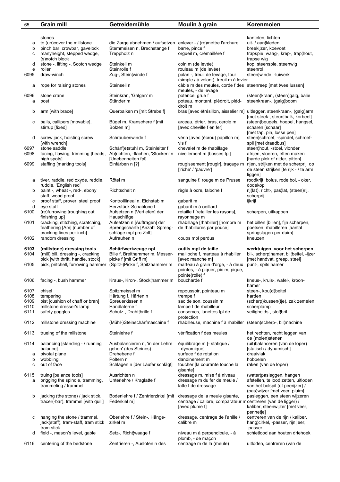| 65           | <b>Grain mill</b>                                                                                     | Getreidemühle                                                        | Moulin à grain                                                                     | Korenmolen                                                            |
|--------------|-------------------------------------------------------------------------------------------------------|----------------------------------------------------------------------|------------------------------------------------------------------------------------|-----------------------------------------------------------------------|
|              |                                                                                                       |                                                                      |                                                                                    |                                                                       |
|              | stones                                                                                                |                                                                      |                                                                                    | kantelen, lichten                                                     |
| а            | to (un)cover the millstone                                                                            | die Zarge abnehmen / aufsetzen enlever - / (re)mettre l'archure      |                                                                                    | uit- / aan¦kleden                                                     |
| b            | pinch bar, crowbar, gavelock                                                                          | Stemmeisen n, Brechstange f                                          | barre, pince f                                                                     | breekijzer, koevoet                                                   |
| с            | manyheight, stepped wedge,                                                                            | Treppholz n                                                          | orgueil m, crémaillère f                                                           | trapspie, waag-, krep-, trap¦hout,                                    |
|              | (s) notch block                                                                                       |                                                                      |                                                                                    | trapse wig                                                            |
| d            | stone -, lifting -, Scotch wedge                                                                      | Steinkeil m                                                          | coin m (de levée)                                                                  | kop, steenspie, steenwig                                              |
| e            | roller                                                                                                | Steinrolle f                                                         | rouleau m (de levée)                                                               | steenrol                                                              |
| 6095         | draw-winch                                                                                            | Zug-, Stein¦winde f                                                  | palan -, treuil de levage, tour                                                    | steen¦winde, -luiwerk                                                 |
|              |                                                                                                       |                                                                      | (simple / à volant), treuil m à levier                                             |                                                                       |
| а            | rope for raising stones                                                                               | Steinseil n                                                          | câble m des meules, corde f des steenreep [met twee lussen]<br>meules, - de levage |                                                                       |
| 6096         | stone crane                                                                                           | Steinkran, 'Galgen' m                                                | potence, grue f                                                                    | (steen)kraan, (steen)galg, balie                                      |
| a            | post                                                                                                  | Ständer m                                                            | poteau, montant, piédroit, piéd-                                                   | steenkraan-, (galg)boom                                               |
|              |                                                                                                       |                                                                      | droit m                                                                            |                                                                       |
| b            | arm [with brace]                                                                                      | Querbalken m [mit Strebe f]                                          | bras [avec étrésillon, aisselier m] uitlegger, steenkraan-, (galg) arm             |                                                                       |
|              |                                                                                                       |                                                                      |                                                                                    | [met steek-, steun¦balk, korbeel]                                     |
| с            | bails, callipers [movable],                                                                           | Bügel m, Kranschere f [mit                                           | arceau, étrier, bras, cercle m                                                     | (steen)beugels, hoepel, hangsel,                                      |
|              | stirrup [fixed]                                                                                       | Bolzen m]                                                            | [avec cheville f en fer]                                                           | scharen [schaar]                                                      |
|              |                                                                                                       |                                                                      |                                                                                    | [met tap, pin, losse pen]                                             |
| d            | screw jack, hoisting screw                                                                            | Schraubenwinde f                                                     | vérin [avec (écrou) papillon m].                                                   | steen¦schroef, -spindel, schroef-                                     |
|              | [with wrench]                                                                                         |                                                                      | vis f<br>chevalet m de rhabillage                                                  | spil [met draadbus]                                                   |
| 6097<br>6098 | stone saddle<br>facing, flawing, trimming [heads,                                                     | Schärf(e)stuhl m, Steinleiter f<br>Ab¦richten, -flächen, 'Stocken' n | nivellement m [bosses fpl]                                                         | steen¦hout, -stoel, vlonder<br>afrijen, vloeren, effen maken          |
|              | high spots]                                                                                           | [Unebenheiten fpl]                                                   |                                                                                    | [harde plek of rijder, pitten]                                        |
| 6099         | staffing [marking tools]                                                                              | Einfärben n [?]                                                      |                                                                                    | rougissement [rougir], traçage m rijen, strijken met de scherprij, op |
|              |                                                                                                       |                                                                      | ['riche' / 'pauvre']                                                               | de steen strijken [te rijk - / te arm                                 |
|              |                                                                                                       |                                                                      |                                                                                    | liggen]                                                               |
| а            | tiver, raddle, red oxyde, reddle,                                                                     | Rötel m                                                              | sanguine f, rouge m de Prusse                                                      | roodkrijt, bolus, rode bol, - oker,                                   |
|              | ruddle, 'English red'                                                                                 |                                                                      |                                                                                    | dodekop                                                               |
| b            | paint -, wheat -, red-, ebony                                                                         | Richtscheit n                                                        | règle à ocre, taloche f                                                            | rij(lat), richt-, pas¦lat, (steen)rij,                                |
|              | staff, wood proof                                                                                     |                                                                      |                                                                                    | scherprij                                                             |
| с            | proof staff, prover, steel proof                                                                      | Kontrolllineal n, Eichstab m                                         | gabarit m                                                                          | ijkrijl                                                               |
| d            | eye staff                                                                                             | Herzstück-Schablone f                                                | gabarit m à oeillard                                                               |                                                                       |
| 6100         | (re)furrowing [roughing out;<br>finishing up]                                                         | Aufsetzen n [Vertiefen] der<br>Hauschläge                            | retaille f [retailler les rayons],<br>rayonnage m                                  | scherpen, uitkappen                                                   |
| 6101         | cracking, stitching, scratching,                                                                      | Aufsetzen n [Auftragen] der                                          | rhabillage [rhabiller] [nombre m                                                   | het billen [billen], fijn scherpen,                                   |
|              | feathering [Am] [number of                                                                            | Sprengschärfe [Anzahl Spreng-                                        | de rhabillures par pouce]                                                          | poetsen, rhabilleren [aantal                                          |
|              | cracking lines per inch]                                                                              | schläge mpl pro Zoll]                                                |                                                                                    | springslagen per duim]                                                |
| 6102         | random dressing                                                                                       | Aufrauhen n                                                          | coups mpl perdus                                                                   | kneuzen                                                               |
|              |                                                                                                       |                                                                      |                                                                                    |                                                                       |
| 6103         | (millstone) dressing tools                                                                            | Schärfwerkzeuge npl                                                  | outils mpl de taille                                                               | werktuigen voor het scherpen                                          |
| 6104         | (mill) bill, dressing -, cracking                                                                     | Bille f, Breithammer m, Messer-<br>picke f [mit Griff m]             | mailloche f, marteau à rhabiller                                                   | bil-, scherp¦hamer, bil¦beitel, -ijzer                                |
| 6105         | pick [with thrift, handle, stock]<br>pick, pritchell, furrowing hammer (Spitz-)Picke f, Spitzhammer m |                                                                      | [avec manche m]<br>marteau à grain d'orge, - à deux punt-, spits¦hamer             | [met handvat, greep, steel]                                           |
|              |                                                                                                       |                                                                      | pointes, - à piquer, pic m, pique,                                                 |                                                                       |
|              |                                                                                                       |                                                                      | pointe(rolle) f                                                                    |                                                                       |
| 6106         | facing -, bush hammer                                                                                 | Kraus-, Kron-, Stock¦hammer m boucharde f                            |                                                                                    | kneus-, kruis-, wafel-, kroon-                                        |
|              |                                                                                                       |                                                                      |                                                                                    | hamer                                                                 |
| 6107         | chisel                                                                                                | Spitzmeissel m                                                       | repoussoir, pointeau m                                                             | steen-, kou(d)beitel                                                  |
| 6108         | tempering                                                                                             | Härtung f, Härten n                                                  | trempe f                                                                           | harden                                                                |
| 6109         | bist [cushion of chaff or bran]                                                                       | Spreuerkissen n                                                      | sac de son, coussin m                                                              | (scherp)kussen(tje), zak zemelen                                      |
| 6110         | millstone dresser's lamp                                                                              | Handlaterne f                                                        | lampe f de rhabilleur                                                              | scherplamp                                                            |
| 6111         | safety goggles                                                                                        | Schutz-, Draht¦brille f                                              | conserves, lunettes fpl de                                                         | veiligheids-, stof¦bril                                               |
| 6112         | millstone dressing machine                                                                            | (Mühl-)Steinschärfmaschine f                                         | protection<br>rhabilleuse, machine f à rhabiller (steen)scherp-, billmachine       |                                                                       |
|              |                                                                                                       |                                                                      |                                                                                    |                                                                       |
| 6113         | trueing of the millstone                                                                              | Steinlehre f                                                         | vérification f des meules                                                          | het rechten, recht leggen van                                         |
|              |                                                                                                       |                                                                      |                                                                                    | de (molen)stenen                                                      |
| 6114         | balancing [standing - / running                                                                       | Ausbalancieren n, 'in der Lehre                                      | équilibrage m [- statique /                                                        | (uit)balanceren (van de loper)                                        |
|              | balance]                                                                                              | gehen' (des Steines)                                                 | - dynamique]                                                                       | [statisch / dynamisch]                                                |
| а            | pivotal plane                                                                                         | Drehebene f                                                          | surface f de rotation                                                              | draaivlak                                                             |
| b            | wobbling                                                                                              | Poltern n                                                            | dandinement m                                                                      | hobbelen                                                              |
| c            | out of face                                                                                           | Schlagen n [der Läufer schlägt]                                      | toucher [la courante touche la                                                     | raken (van de loper)                                                  |
| 6115         | truing [balance tools]                                                                                | Ausrichten n                                                         | gisantel<br>dressage m, mise f à niveau                                            | (water)pasleggen, hangen                                              |
| a            | brigging the spindle, tramming,                                                                       | Unterlehre / Kraglatte f                                             | dressage m du fer de meule /                                                       | afstellen, te lood zetten, uitloden                                   |
|              | trammeling / trammel                                                                                  |                                                                      | latte f de dressage                                                                | van het bolspil (of peerijzer) /                                      |
|              |                                                                                                       |                                                                      |                                                                                    | (pas)wijzer [met veer, pluim]                                         |
| b            | jacking (the stone) / jack stick,                                                                     | Bodenlehre f / Zentrierzirkel [mit dressage de la meule gisante,     |                                                                                    | pasleggen, een steen wijzeren                                         |
|              | tracer(-bar), trammel [with quill]                                                                    | Federkiel m]                                                         | centrage / calibre, comparateur m centreren (van de ligger) /                      |                                                                       |
|              |                                                                                                       |                                                                      | [avec plume f]                                                                     | kaliber, steenwijzer [met veer,                                       |
|              |                                                                                                       |                                                                      |                                                                                    | pennetje]                                                             |
| с            | hanging the stone / trammel,                                                                          | Oberlehre f / Stein-, Hänge-                                         | dressage, centrage de l'anille /                                                   | centreren van de rijn / kaliber,                                      |
|              | jack(staff), tram-staff, tram stick<br>tram stick                                                     | zirkel m                                                             | calibre m                                                                          | hang¦cirkel, -passer, rijn¦leer,<br>-passer                           |
| d            | field -, mason's level, gable                                                                         | Setz-, Richt¦waage f                                                 | niveau m à perpendicule, - à                                                       | schietlood aan houten driehoek                                        |
|              |                                                                                                       |                                                                      | plomb, - de maçon                                                                  |                                                                       |
| 6116         | centering of the bedstone                                                                             | Zentrieren -, Ausloten n des                                         | centrage m de la (meule)                                                           | uitloden, centreren (van de                                           |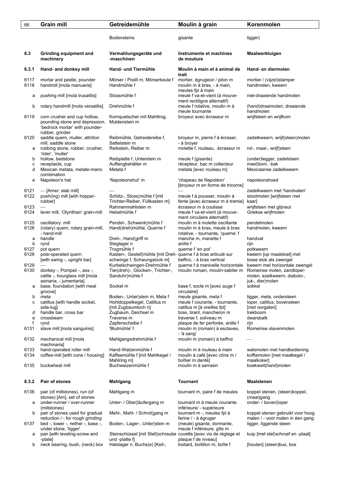| 66           | <b>Grain mill</b>                                                                                                   | Getreidemühle                                                                       | Moulin à grain                                                                                      | Korenmolen                                                                                                       |
|--------------|---------------------------------------------------------------------------------------------------------------------|-------------------------------------------------------------------------------------|-----------------------------------------------------------------------------------------------------|------------------------------------------------------------------------------------------------------------------|
|              |                                                                                                                     | <b>Bodensteins</b>                                                                  | gisante                                                                                             | ligger)                                                                                                          |
| 6.3          | Grinding equipment and<br>machinery                                                                                 | Vermahlungsgeräte und<br>-maschinen                                                 | Instruments et machines<br>de mouture                                                               | Maalwerktuigen                                                                                                   |
| 6.3.1        | Hand- and donkey mill                                                                                               | Hand- und Tiermühle                                                                 | Moulin à main et à animal de<br>trait                                                               | Hand- en diermolen                                                                                               |
| 6117<br>6118 | mortar and pestle, pounder<br>handmill [mola manuaria]                                                              | Mörser / Pistill m, Mörserkeule f<br>Handmühle f                                    | mortier, égrugeoir / pilon m<br>moulin m à bras, - à main,<br>meules fpl à main                     | mortier / (vijzel) stamper<br>handmolen, kweern                                                                  |
| а            | pushing mill [mola trusatilis]                                                                                      | Stossmühle f                                                                        | meule f va-et-vient (à mouve-<br>ment rectiligne alternatif)                                        | niet-draaiende handmolen                                                                                         |
| b            | rotary handmill [mola versatilis]                                                                                   | Drehmühle f                                                                         | meule f rotative, moulin m à<br>meule tournante                                                     | (hand)draaimolen, draaiende<br>handmolen                                                                         |
| 6119         | corn crusher and cup hollow,<br>pounding stone and depression,<br>'bedrock mortar' with pounder-<br>rubber, grinder | Kornquetscher mit Mahltrog,<br>Muldenstein m                                        | broyeur avec écraseur m                                                                             | wrijfsteen en wrijfkom                                                                                           |
| 6120         | saddle quern, muller, attrition<br>mill, saddle stone                                                               | Reibmühle, Getreidereibe f.<br>Sattelstein m                                        | broyeur m, pierre f à écraser,<br>- à broyer                                                        | zadelkweern, wrijf(steen)molen                                                                                   |
| а            | rubbing stone, rubber, crusher,<br>'rider', 'muller'                                                                | Reibstein, Reiber m                                                                 | molette f, rouleau, écraseur m                                                                      | rol-, maal-, wrijf¦steen                                                                                         |
| b<br>С<br>d  | hollow, bedstone<br>receptacle, cup<br>Mexican metata, metate-mano<br>combination                                   | Reibplatte f, Unterstein m<br>Auffangbehälter m<br>Metata f                         | meule f (gisante)<br>récepteur, bac m collecteur<br>metata [avec rouleau m]                         | (onder)legger, zadelsteen<br>meel¦kom, -bak<br>Mexicaanse zadelkweern                                            |
| е            | Napoleon's hat                                                                                                      | 'Napoleonshut' m                                                                    | 'chapeau de Napoléon'<br>[broyeur m en forme de tricorne]                                           | napoleonshoed                                                                                                    |
| 6121<br>6122 | — [Amer: slab mill]<br>push(ing) mill [with hopper-<br>rubber]                                                      | Schlitz-, Stoss¦mühle f [mit<br>Trichter-Reiber, Füllkasten m]                      | meule f à pousser, moulin à<br>fente [avec écraseur m à tremie]                                     | zadelkweern met 'handvaten'<br>stootmolen [wrijfsteen met<br>kaar]                                               |
| 6123<br>6124 | lever mill, 'Olynthian' grain-mill                                                                                  | Rahmenmahlstein m<br>Hebelmühle f                                                   | écraseur m à coulisse<br>meule f va-et-vient (à mouve-<br>ment circulaire alternatif)               | wrijfsteen met glijneut<br>Griekse wrijfmolen                                                                    |
| 6125<br>6126 | oscillatory mill<br>(rotary) quern, rotary grain-mill,<br>- hand-mill                                               | Pendel-, Schwenk¦mühle f<br>Hand(dreh)mühle, Querne f                               | moulin m à molette oscillante<br>moulin m à bras, meule à bras<br>rotative, - tournante, 'querne' f | pendelmolen<br>handmolen, kweern                                                                                 |
| a<br>b       | handle<br>rynd                                                                                                      | Dreh-, Hand¦griff m<br>Steglager n                                                  | manche m, manette f<br>anille f                                                                     | handvat<br>rijn                                                                                                  |
| 6127<br>6128 | pot quern<br>pole-operated quern                                                                                    | Trogmühle f<br>Kasten-, Gestell¦mühle [mit Dreh- querne f à bras articulé sur       | querne f 'en pot'                                                                                   | potkweern<br>kweern [op maalstoel] met                                                                           |
|              | [with swing -, upright bar]                                                                                         | schwinge f, Schwungstock m]                                                         | beffroi, - à bras vertical<br>querne f à manivelle horizontale                                      | losse stok als zwengel                                                                                           |
| 6129<br>6130 | donkey -, Pompeii -, ass -,<br>cattle -, hourglass mill [mola<br>asinaria, - jumentaria]                            | Kurbelschwingen-Drehmühle f<br>Tier(dreh)-, Glocken-, Trichter-,<br>Sanduhr¦mühle f | moulin romain, moulin-sablier m                                                                     | kweern met horizontale zwengel<br>Romeinse molen, zandloper-<br>molen, ezelkweern, diabolo-,<br>juk-, dier¦molen |
| а            | base, foundation [with meal<br>groove]                                                                              | Sockel m                                                                            | base f, socle m [avec auge f<br>circulaire]                                                         | sokkel                                                                                                           |
| b<br>с       | meta<br>catillus [with handle socket,<br>side-lug]                                                                  | Boden-, Unter¦stein m, Meta f<br>Hohldoppelkegel, Catillus m<br>[mit Zugbaumloch n] | meule gisante, meta f<br>meule f courante, - tournante,<br>catillus m [à oreilles fpl]              | ligger, meta, ondersteen<br>loper, catillus, bovensteen<br>[met oorgaten]                                        |
| d<br>e       | handle bar, cross bar<br>crossbeam                                                                                  | Zugbaum, Deichsel m<br>Traverse m                                                   | bras, tirant, mancheron m<br>traverse f, soliveau m                                                 | trekboom<br>dwarsbalk                                                                                            |
| f<br>6131    | rynd<br>slave mill [mola sanguinis]                                                                                 | Zapfenscheibe f<br>'Blutmühle' f                                                    | plaque de fer perforée, anille f<br>moulin m (romain) à esclaves,                                   | rijn<br>Romeinse slavenmolen                                                                                     |
| 6132         | mechanical mill [mola                                                                                               | Mahlgangsdrehmühle f                                                                | - 'à sang'<br>moulin m (romain) à beffroi                                                           |                                                                                                                  |
| 6133<br>6134 | machinaria]<br>hand-operated roller mill<br>coffee-mill [with cone / housing]                                       | Hand-Walzenmühle f<br>Kaffeemühle f [mit Mahlkegel /                                | moulin m à rouleau à main<br>moulin à café [avec cône m /                                           | walsmolen met handbediening<br>koffiemolen [met maalkegel /                                                      |
| 6135         | buckwheat mill                                                                                                      | Mahlring m]<br>Buchweizenmühle f                                                    | boîtier m denté]<br>moulin m à sarrasin                                                             | maalkoker]<br>boekweit(hand)molen                                                                                |
| 6.3.2        | Pair of stones                                                                                                      | <b>Mahlgang</b>                                                                     | Tournant                                                                                            | <b>Maalstenen</b>                                                                                                |
| 6136         | pair (of millstones), run (of                                                                                       | Mahlgang m                                                                          | tournant m, paire f de meules                                                                       | koppel stenen, (steen) koppel,                                                                                   |
| а            | stones) [Am], set of stones<br>under-runner / over-runner<br>(millstones)                                           | Unter- / Ober¦läufergang m                                                          | tournant m à meule courante<br>inférieure/ - supérieure                                             | (maal)gang<br>onder- / boven¦loper                                                                               |
| b            | pair of stones used for gradual<br>reduction / - for rough grinding                                                 | Mehl-, Mahl- / Schrot¦gang m                                                        | tournant m -, meules fpl à<br>farine / - à égruger                                                  | koppel stenen gebruikt voor hoog<br>malen / - voor malen in éen gang                                             |
| 6137         | bed -, lower -, nether -, base -,<br>under stone, 'ligger'                                                          | Boden-, Lager-, Unter¦stein m                                                       | (meule) gisante, dormante,<br>meule f inférieure, gîte m                                            | ligger, liggende steen                                                                                           |
| а            | pan [with leveling-screw and<br>-plate]                                                                             | Steinschüssel [mit Stell¦schraube cuvette [avec vis de réglage et<br>und -platte f] | plaque f de niveau]                                                                                 | kuip [met stel schroef en -plaat]                                                                                |
| b            | neck bearing, bush, (neck) box                                                                                      | Halslager n, Buchs(e) [Keil-,                                                       | boitard, boitillon m, boîte f                                                                       | [houten] (steen)bus, bos                                                                                         |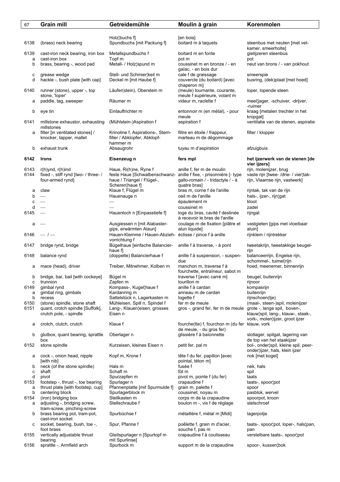| 67           | <b>Grain mill</b>                                                | Getreidemühle                                                            | Moulin à grain                                                                   | Korenmolen                                                        |
|--------------|------------------------------------------------------------------|--------------------------------------------------------------------------|----------------------------------------------------------------------------------|-------------------------------------------------------------------|
|              |                                                                  |                                                                          |                                                                                  |                                                                   |
|              |                                                                  | Holz¦buchs f]                                                            | [en bois]                                                                        |                                                                   |
| 6138         | (brass) neck bearing                                             | Spundbuchs [mit Packung f]                                               | boitard m à taquets                                                              | steenbus met neuten [met vet-                                     |
|              |                                                                  |                                                                          |                                                                                  | kamer, smeerholte]                                                |
| 6139         | cast-iron neck bearing, iron box                                 | Metallspundbuchs f                                                       | boitard m en fonte                                                               | gietijzeren steenbus                                              |
| a            | cast-iron box                                                    | Topf m                                                                   | pot m                                                                            | pot                                                               |
| b            | brass, bearing -, wood pad                                       | Metall- / Holz¦spund m                                                   | coussinet m en bronze / - en<br>gaïac, - en bois dur                             | neut van brons / - van pokhout                                    |
| с            | grease wedge                                                     | Stell- und Schmier¦keil m                                                | cale f de graissage                                                              | smeerspie                                                         |
| d            | hackle -, bush plate [with cap]                                  | Deckel m [mit Haube f]                                                   | couvercle (du boitard) [avec                                                     | busring, (dek)plaat [met hoed]                                    |
|              |                                                                  |                                                                          | chaperon m]                                                                      |                                                                   |
| 6140         | runner (stone), upper -, top                                     | Läufer(stein), Oberstein m                                               | (meule) tournante, courante,                                                     | loper, lopende steen                                              |
|              | stone, 'loper'                                                   |                                                                          | meule f supérieure, volant m                                                     |                                                                   |
| а            | paddle, tag, sweeper                                             | Räumer m                                                                 | videur m, raclette f                                                             | meel¦jager, -schuiver, -drijver,<br>-ruimer                       |
| b            | eye tin                                                          | Einlauftrichter m                                                        | entonnoir m (en métal), - pour                                                   | kraag [metalen trechter in het                                    |
|              |                                                                  |                                                                          | meule                                                                            | kropgat]                                                          |
| 6141         | millstone exhaustor, exhausting                                  | (Mühlstein-)Aspiration f                                                 | aspiration f                                                                     | ventilatie van de stenen, aspiratie                               |
|              | millstones                                                       |                                                                          |                                                                                  |                                                                   |
| а            | filter [in ventilated stones] /                                  | Krinoline f, Aspirations-, Stern-                                        | filtre en étoile / frappeur,                                                     | filter / klopper                                                  |
|              | knocker, tapper, mallet                                          | filter / Abklopfer, Abklopf-                                             | marteau m de dégommage                                                           |                                                                   |
| b            | exhaust trunk                                                    | hammer m<br>Absaugrohr                                                   | tuyau m d'aspiration                                                             | afzuigbuis                                                        |
|              |                                                                  |                                                                          |                                                                                  |                                                                   |
| 6142         | <b>Irons</b>                                                     | Eisenzeug n                                                              | fers mpl                                                                         | het ijzerwerk van de stenen [de                                   |
|              |                                                                  |                                                                          |                                                                                  | vier ijzers]                                                      |
| 6143         | $r(h)$ ynd, $r(h)$ ind                                           | Haue, Ri(h)ne, Ryne f                                                    | anille f, fer m de moulin                                                        | rijn, molenijzer, brug                                            |
| 6144         | fixed -, stiff rynd [two- / three- /                             | feste Haue [Schwalbenschwanz- anille f fixe, - prisonnière [- type]      |                                                                                  | vaste rijn [twee- /drie- / vier¦tak-                              |
|              | four-armed rynd]                                                 | haue / Triangel / Flügel-,                                               | gallo-romain / - tridactyle / - à                                                | rijn, Vlaamse rijn, vastwerk]                                     |
| а            | claw                                                             | Scheren¦haue fl<br>Klaue f, Flügel m                                     | quatre bras]<br>bras m, corne f de l'anille                                      | rijntak, tak van de rijn                                          |
| b            |                                                                  | Hauenauge n                                                              | oeil m de l'anille                                                               | hals-, ijzer-, rijn¦gat                                           |
| с            | $\overline{\phantom{a}}$                                         |                                                                          | épaulement m                                                                     | kloot                                                             |
| d            |                                                                  |                                                                          | coussinet m                                                                      | zadel                                                             |
| 6145         |                                                                  | Hauenloch n [Einpasstiefe f]                                             | loge du bras, cavité f destinée                                                  | rijngat                                                           |
|              |                                                                  |                                                                          | à recevoir le bras de l'anille                                                   |                                                                   |
| a            |                                                                  | Ausgiessen n [mit Alabaster-                                             | coulage m de fixation [plâtre et                                                 | vastgieten [gips met vloeibaar                                    |
|              |                                                                  | gips, erwärmten Alaun]                                                   | alun liquide]                                                                    | aluin]                                                            |
| 6146         | $-$ / $-$                                                        | Hauen-Klemme / Hauen-Abzieh- éclisse / pince f à anille<br>vorrichtung f |                                                                                  | rijnklem / rijntrekker                                            |
| 6147         | bridge rynd, bridge                                              | Bügelhaue [einfache Balancier-                                           | anille f à traverse, - à pont                                                    | tweetakrijn, tweetakkige beugel-                                  |
|              |                                                                  | haue fl                                                                  |                                                                                  | rijn                                                              |
| 6148         | balance rynd                                                     | (doppelte) Balancierhaue f                                               | anille f à suspension, - suspen-                                                 | balanceerrijn, Engelse rijn,                                      |
|              |                                                                  |                                                                          | due                                                                              | schommel-, tuimel¦rijn                                            |
| а            | mace (head), driver                                              | Treiber, Mitnehmer, Kolben m                                             | manchon m, traverse f à                                                          | hoed, meenemer, binnenrijn                                        |
| b            | bridge, bar, bail [with cockeye]                                 | Bügel m                                                                  | fourchette, entraîneur, sabot m<br>traverse f [avec carré m]                     | beugel, buitenrijn                                                |
| с            | trunnion                                                         | Zapfen m                                                                 | tourillon m                                                                      | rijnoor                                                           |
| 6149         | gimbal rynd                                                      | Kompass-, Kugel¦haue f                                                   | anille f à cardan                                                                | kompasrijn                                                        |
| а            | gimbal ring, gimbals                                             | Kardanring m                                                             | anneau m de cardan                                                               | buitenrijn                                                        |
| b            | recess                                                           | Sattelstück n, Lagerkasten m                                             | logette f                                                                        | rijnschoen(tje)                                                   |
| 6150<br>6151 | (stone) spindle, stone shaft<br>quant, crotch spindle [Suffolk], | Mühleisen, Spill n, Spindel f<br>Lang-, Klauen¦eisen, grosses            | fer m de meule<br>gros -, grand fer, fer m de meule grote -, lange spil, boven-, | (maal-, steen-)spil, molenijzer                                   |
|              | crutch pole, - spindle                                           | Eisen n                                                                  |                                                                                  | klauw¦spil, lang-, klauw-, staak-,                                |
|              |                                                                  |                                                                          |                                                                                  | vork-, molen¦ijzer, groot ijzer                                   |
| а            | crotch, clutch, crutch                                           | Klaue f                                                                  | fourche(tte) f, fourchon m (du fer klauw, vork                                   |                                                                   |
|              |                                                                  |                                                                          | de meule, - du gros fer)                                                         |                                                                   |
| b            | glutbox, quant bearing, sprattle                                 | Oberlager n                                                              | glissière f à baïonnette                                                         | slotlager, spilgat, lagering van                                  |
| 6152         | box<br>stone spindle                                             | Kurzeisen, kleines Eisen n                                               | petit fer, pal m                                                                 | de top van het staakijzer<br>bol-, onder¦spil, kleine spil, peer- |
|              |                                                                  |                                                                          |                                                                                  | onder¦ijzer, hals, klein ijzer                                    |
| а            | cock -, onion head, nipple                                       | Kopf m, Krone f                                                          | tête f du fer, papillon [avec                                                    | nok [met kogel]                                                   |
|              | [with nib]                                                       |                                                                          | pointal, téton m]                                                                |                                                                   |
| b            | neck (of the stone spindle)                                      | Hals m                                                                   | fusée f                                                                          | nek, hals                                                         |
| с            | shaft                                                            | Schaft m                                                                 | fût m                                                                            | spil                                                              |
| d<br>6153    | pivot<br>footstep -, thrust -, toe bearing                       | Spurzapfen m<br>Spurlager n                                              | pivot m, pointe f (du fer)<br>crapaudine f                                       | taats<br>taats-, spoor¦pot                                        |
| a            | thrust plate [with footstep, cup]                                | Pfannenplatte [mit Spurmulde f]                                          | grain m, palette f                                                               | spoor                                                             |
| b            | centering block                                                  | Spurlagerblock m                                                         | coussinet, noyau m                                                               | pasblok, wervel                                                   |
| 6154         | (iron) bridging box                                              | Stellkasten m                                                            | corps m de la crapaudine                                                         | spoorpot, kroon                                                   |
| а            | adjusting -, bridging screw,                                     | Stellschraube f                                                          | boulon m -, vis f de réglage                                                     | stelschroef                                                       |
|              | tram-screw, pinching-screw                                       |                                                                          |                                                                                  |                                                                   |
| b            | brass bearing pot, tram-pot,<br>cast-iron socket                 | Spurbüchse f                                                             | métaillère f, métal m [Midi]                                                     | lagerpotje                                                        |
| с            | socket, bearing, bush, toe -,                                    | Spur, Pfanne f                                                           | poêlette f, grain m d'acier,                                                     | taats-, spoor¦pot, loper-, hals¦pan,                              |
|              | foot brass                                                       |                                                                          | souche f, pas m                                                                  | pan                                                               |
| 6155         | vertically adjustable thrust                                     | Gleitspurlager n [Spurtopf m                                             | crapaudine f à coulisseau                                                        | verstelbare taats-, spoorlpot                                     |
|              | bearing                                                          | mit Spurlinse]                                                           |                                                                                  |                                                                   |
| 6156         | sprattle -, Armfield arch                                        | Spurbock m                                                               | support m de la crapaudine                                                       | spoor-, kussen¦bok                                                |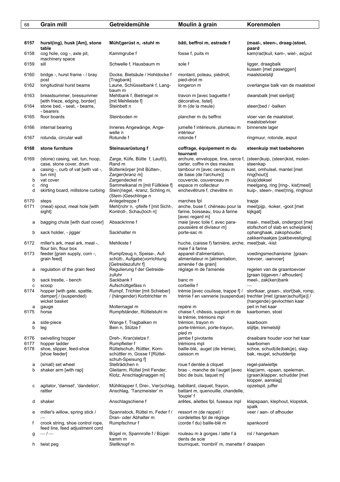| 68           | <b>Grain mill</b>                                                              | Getreidemühle                                                                       | Moulin à grain                                                                                                            | Korenmolen                                                                        |
|--------------|--------------------------------------------------------------------------------|-------------------------------------------------------------------------------------|---------------------------------------------------------------------------------------------------------------------------|-----------------------------------------------------------------------------------|
|              |                                                                                |                                                                                     |                                                                                                                           |                                                                                   |
| 6157         | hurst(ing), husk [Am], stone<br>table                                          | Mühl¦gerüst n, -stuhl m                                                             | bâti, beffroi m, estrade f                                                                                                | (maal-, steen-, draag-)stoel,                                                     |
| 6158         | cog hole, cog -, axle pit,<br>machinery space                                  | Kammgrube f                                                                         | fosse f, puits m                                                                                                          | paard<br>kam(rad)kuil, kam-, wiel-, as¦put                                        |
| 6159         | sill                                                                           | Schwelle f, Hausbaum m                                                              | sole f                                                                                                                    | ligger, draagbalk<br>kussen [met paswiggen]                                       |
| 6160         | bridge -, hurst frame - / bray<br>post                                         | Docke, Bietsäule / Hohldocke f<br>[Tragbank]                                        | montant, poteau, piédroit,<br>pied-droit m                                                                                | maalstoelstijl                                                                    |
| 6162         | longitudinal hurst beams                                                       | Laune, Schlüsselbank f, Lang-<br>baum m                                             | longeron m                                                                                                                | overlangse balk van de maalstoel                                                  |
| 6163         | breastsummer, bressummer<br>[with frieze, edging, border]                      | Mehlbank f, Bietriegel m<br>[mit Mehlleiste f]                                      | travon m [avec baguette f<br>décorative, listel]                                                                          | dwarsbalk [met sierlijst]                                                         |
| 6164         | stone bed, - seat, - beams,<br>- bearers                                       | Steinbett n                                                                         | lit m (de la meule)                                                                                                       | steen¦bed / -balken                                                               |
| 6165         | floor boards                                                                   | Steinboden m                                                                        | plancher m du beffroi                                                                                                     | vloer van de maalstoel,<br>maalstoelvloer                                         |
| 6166         | internal bearing                                                               | Inneres Angewänge, Ange-<br>welle n                                                 | jumelle f intérieure, plumeau m<br>intérieur                                                                              | binnenste lager                                                                   |
| 6167         | rotunda, circular wall                                                         | Rotunde f                                                                           | rotonde f                                                                                                                 | ringmuur, rotonde, asput                                                          |
| 6168         | stone furniture                                                                | Steinausrüstung f                                                                   | coffrage, équipement m du<br>tournant                                                                                     | steenkuip met toebehoren                                                          |
| 6169         | (stone) casing, vat, tun, hoop,<br>case, stone cover, drum                     | Zarge, Küfe, Bütte f, Lauf(t),<br>Rand m                                            | archure, enveloppe, tine, cerce f,<br>carter, coffre m des meules                                                         | (steen)kuip, (steen)kist, molen-<br>steenkap                                      |
| a            | casing -, curb of vat [with vat -,                                             | Büttenkörper [mit Bütten-,                                                          | tambour m [avec cerceau m                                                                                                 | kast, omhulsel, mantel [met                                                       |
| b            | tun rim]<br>vat cover                                                          | Zargen¦kranz m]<br>Zargendeckel m                                                   | de base (de l'archure)]<br>couvercle, couverceau m                                                                        | ring(hout)]<br>(kuip)deksel                                                       |
| с            | ring                                                                           | Sammelkanal m [mit Füllkleie f]                                                     | espace m collecteur                                                                                                       | meelgang, ring [ring-, kist]meel]                                                 |
| d            | skirting board, millstone curbing                                              | Stein¦riegel, -kranz, Schling m,<br>(Stein-)Geschlinge n                            | enchevêtrure f, chevêtre m                                                                                                | kuip-, steen-, meel¦ring, ringhout                                                |
| 6170<br>6171 | steps<br>(meal) spout, meal hole [with                                         | Anlegetreppe f<br>Mehl¦rohr n, -pfeife f [mit Sicht-,                               | marches fpl<br>anche, buse f, chéneau pour la                                                                             | trapje<br>meel¦pijp, -koker, -goot [met                                           |
|              | sight]                                                                         | Kontroll-, Schau¦loch n]                                                            | farine, boisseau, trou à farine<br>[avec regard m]                                                                        | kijkgat]                                                                          |
| а            | bagging chute [with dust cover]                                                | Absackrinne f                                                                       | maie [avec toile f, avec para-<br>poussière et diviseur m]                                                                | maal-, meel¦bak, ondergoot [met<br>stofschort of slab en scheiplank]              |
| b            | sack holder, - jigger                                                          | Sackhalter m                                                                        | porte-sac m                                                                                                               | ophanghaak, zakophouder,<br>zakkenhaakjes [zakbevestiging]                        |
| 6172         | miller's ark, meal ark, meal -,<br>flour bin, flour box                        | Mehlkiste f                                                                         | huche, (caisse f) farinière, arche, meel¦bak, -kist<br>maie f à farine                                                    |                                                                                   |
| 6173         | feeder [grain supply, corn -,<br>grain feed]                                   | Rumpfzeug n, Speise-, Auf-<br>schütt-, Aufgabe¦vorrichtung<br>[Getreidezufuhr f]    | appareil d'alimentation,<br>alimentateur m [alimentation,<br>amenée f de grain]                                           | voedingsmechanisme [graan-<br>toevoer, -aanvoer]                                  |
| а            | regulation of the grain feed                                                   | Regulierung f der Getreide-<br>zufuhr                                               | réglage m de l'amenée                                                                                                     | regelen van de graantoevoer<br>[graan bijgeven / afhouden]                        |
| b            | sack trestle, - bench                                                          | Sackbank f                                                                          | banc m                                                                                                                    | meel-, zak(ken)bank                                                               |
| c<br>6174    | scoop<br>hopper [with gate, spattle,<br>damper] / (suspended)<br>wicket basket | Aufschüttgefäss n<br>Rumpf, Trichter [mit Schieber]<br>/ (hängender) Korbtrichter m | corbeille f<br>trémie Javec coulisse, trappe f] /<br>trémie f en vannerie (suspendue) trechter [met (graan) schuif(je)] / | stortkaar, graan-, stort¦bak, romp,<br>(hangende) gevlochten kaar                 |
| а            | gauge                                                                          | Molternagel m                                                                       | repère m                                                                                                                  | peil in het kaar                                                                  |
| 6175         | horse                                                                          | Rumpfständer, Rüttelstuhl m<br>Wange f, Tragbalken m                                | chaise f, châssis, support m de<br>la trémie, trémions mpl                                                                | kaarbomen, stoel<br>kaarboom                                                      |
| а<br>b       | side-piece<br>leg                                                              | Bein n, Stütze f                                                                    | trémion, trayon m<br>porte-trémion, porte-trayon,<br>pied m                                                               | stijltje, tremelstijl                                                             |
| 6176         | swivelling hopper                                                              | Dreh-, Kran¦stelze f                                                                | jambe f pivotante                                                                                                         | draaibare houder voor het kaar                                                    |
| 6177         | hopper ladder                                                                  | Rumpfleiter f<br>Rüttelschuh, Rüttler, Korn-                                        | trémions mpl                                                                                                              | kaarbomen                                                                         |
| 6178         | shoe, slipper, feed-shoe<br>[shoe feeder]                                      | schüttler m, Gosse f [Rüttel-<br>schuh-Speisung f                                   | baille-blé, auget (de trémie),<br>caisson m                                                                               | schoe, schud(de)bak(je), slag-<br>bak, reugel, schuddertje                        |
| а            | (small) set wheel                                                              | Stellrädchen n                                                                      | roue f dentée à cliquet                                                                                                   | regel-palwieltje                                                                  |
| b            | shaker arm [with rap]                                                          | Gleitarm, Rüttel [mit Fender,<br>Klotz, Anschlagknaggen m]                          | bras -, manche de l'auget [avec<br>bloc de buis, taquet m]                                                                | klap¦arm, -spaan, speleman,<br>(graan)klapper, schudder [met<br>klopper, aanslag] |
| с            | agitator, 'damsel', 'dandelion',<br>rattler                                    | Mühlklapper f, Drei-, Vier¦schlag<br>Anschlag, 'Tanzmeister' m                      | babillard, claquet, frayon,<br>battant m, quenouille, chandelle,<br>'toupie' f                                            | opzetspil, juffer                                                                 |
| d            | shaker                                                                         | Anschlagschiene f                                                                   | arêtes, ailettes fpl, fuseaux mpl                                                                                         | klapspaan, klephout, klopstok,<br>spalk                                           |
| e            | miller's willow, spring stick /                                                | Spannstock, Rüttel m, Feder f /<br>Dran- oder Abhalter m                            | ressort m (de rappel) /<br>cordelettes fpl de réglage                                                                     | veer / aan- of afhouder                                                           |
| f            | crook string, shoe control rope,<br>feed line, feed adjustment cord            | Rumpfschnur f                                                                       | (corde f du) baille-blé m                                                                                                 | spankoord                                                                         |
| g            | $-/-$                                                                          | Bügel m, Spannrolle f / Bügel-<br>kamm m                                            | rouleau m à gorges / latte f à<br>dents de scie                                                                           | rol / hangerkam                                                                   |
| h            | twist peg                                                                      | Stellknopf m                                                                        | tourniquet, 'nombril' m, manette f draaipen                                                                               |                                                                                   |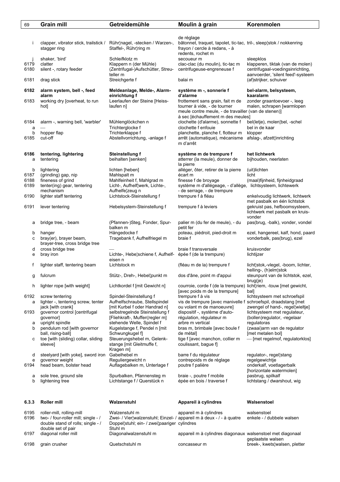| 69           | <b>Grain mill</b>                                                                                                           | Getreidemühle                                                                                                                                    | Moulin à grain                                                                                                                          | Korenmolen                                                                                         |
|--------------|-----------------------------------------------------------------------------------------------------------------------------|--------------------------------------------------------------------------------------------------------------------------------------------------|-----------------------------------------------------------------------------------------------------------------------------------------|----------------------------------------------------------------------------------------------------|
|              |                                                                                                                             |                                                                                                                                                  |                                                                                                                                         |                                                                                                    |
| j            | clapper, vibrator stick, trailstick /<br>stagger ring                                                                       | Rühr¦nagel, -stecken / Warzen-,<br>Staffel-, Rühr¦ring m                                                                                         | de réglage<br>bâtonnet, traquet, tapolet, tic-tac, tril-, sleep¦stok / nokkenring<br>frayon / cercle à redans, - à<br>redents, rochet m |                                                                                                    |
| 6179<br>6180 | shaker, 'bird'<br>clatter<br>silent -, rotary feeder                                                                        | Schleifklotz m<br>Klappern n (der Mühle)<br>(Zentrifugal-)Aufschütter, Streu-                                                                    | secoueur m<br>clac-clac (du moulin), tic-tac m<br>centrifugeuse-engreneuse f                                                            | sleepklos<br>klapperen, tiktak (van de molen)<br>centrifugaal-voedingsinrichting,                  |
| 6181         | drag stick                                                                                                                  | teller m<br>Streichgerte f                                                                                                                       | balai m                                                                                                                                 | aanvoerder, 'silent feed'-systeem<br>(af)strijker, schuiver                                        |
| 6182         | alarm system, bell -, feed                                                                                                  | Meldeanlage, Melde-, Alarm-                                                                                                                      | système m -, sonnerie f                                                                                                                 | bel-alarm, belsysteem,                                                                             |
| 6183         | alarm<br>working dry [overheat, to run<br>hot]                                                                              | einrichtung f<br>Leerlaufen der Steine [Heiss-<br>laufen n]                                                                                      | d'alarme<br>frottement sans grain, fait m de<br>tourner à vide, - de tourner<br>meule contre meule, - de travailler (van de stenen)]    | kaaralarm<br>zonder graantoevoer -, leeg<br>malen, schrapen [warmlopen                             |
| 6184<br>a    | alarm -, warning bell, 'warbler'                                                                                            | Mühlenglöckchen n<br>Trichterglocke f                                                                                                            | à sec [échauffement m des meules]<br>clochette (d'alarme), sonnette f<br>clochette f enfouie                                            | bel(letje), molen¦bel, -schel<br>bel in de kaar                                                    |
| b<br>6185    | hopper flap<br>cut-off                                                                                                      | Trichterklappe f<br>Abstellvorrichtung, -anlage f                                                                                                | planchette, planche f, flotteur m<br>arrêt (automatique), mécanisme                                                                     | klopper<br>afslag-, afzett¦inrichting                                                              |
|              |                                                                                                                             |                                                                                                                                                  | m d'arrêt                                                                                                                               |                                                                                                    |
| 6186<br>a    | tentering, lightering<br>tentering                                                                                          | <b>Steinstellung f</b><br>beihalten [senken]                                                                                                     | système m de trempure f<br>atterrer (la meule), donner de<br>la pierre                                                                  | het lichtwerk<br>bijhouden, neerlaten                                                              |
| b<br>6187    | lightering<br>(grinding) gap, nip                                                                                           | lichten [heben]<br>Mahlspalt m                                                                                                                   | alléger, ôter, retirer de la pierre<br>écart m                                                                                          | (uit)lichten<br>licht                                                                              |
| 6188<br>6189 | fineness of grind<br>tenter(ing) gear, tentering                                                                            | Mahlfeinheit f, Mahlgrad m<br>Licht-, Aufhelf¦werk, Lichte-,                                                                                     | finesse f de broyage<br>système m d'allégeage, - d'allège, lichtsysteem, lichtewerk                                                     | (maal)fijnheid, fijnheidgraad                                                                      |
| 6190         | mechanism<br>lighter staff tentering                                                                                        | Aufhelfe¦zeug n<br>Lichtstock-Steinstellung f                                                                                                    | - de serrage, - de trempure<br>trempure f à fléau                                                                                       | enkelvoudig lichtwerk, lichtwerk                                                                   |
| 6191         | lever tentering                                                                                                             | Hebelsystem-Steinstellung f                                                                                                                      | trempure f à leviers                                                                                                                    | met pasbalk en één lichtstok<br>gekruist pas, hefboomsysteem,<br>lichtwerk met pasbalk en kruis-   |
| а            | bridge tree, - beam                                                                                                         | (Pfannen-)Steg, Fonder, Spur-<br>balken m                                                                                                        | palier m (du fer de meule), - du<br>petit fer                                                                                           | vonder<br>pas(brug, -balk), vonder, vondel                                                         |
| b<br>с       | hanger<br>bray(er), brayer beam,<br>brayer-tree, cross bridge tree                                                          | Hängedocke f<br>Tragebank f, Aufhelfriegel m                                                                                                     | poteau, piédroit, pied-droit m<br>braie f                                                                                               | ezel, hangereel, kalf, hond, paard<br>vonderbalk, pas(brug), ezel                                  |
| d<br>е       | cross bridge tree<br>bray iron                                                                                              | Lichte-, Hebelschiene f, Aufhelf- épée f (de la trempure)                                                                                        | braie f transversale                                                                                                                    | kruisvonder<br>lichtijzer                                                                          |
| f            | lighter staff, tentering beam                                                                                               | eisen n<br>Lichtstock m                                                                                                                          | (fléau m de la) trempure f                                                                                                              | licht¦stok,-vlegel, -boom, lichter,<br>helling-, (h)elm¦stok                                       |
| g            | fulcrum                                                                                                                     | Stütz-, Dreh-, Hebel¦punkt m                                                                                                                     | dos d'âne, point m d'appui                                                                                                              | steunpunt van de lichtstok, ezel,<br>brug(je)                                                      |
| h            | lighter rope [with weight]                                                                                                  | Lichtkordel f [mit Gewicht n]                                                                                                                    | courroie, corde f (de la trempure)<br>[avec poids m de la trempure]                                                                     | licht¦riem, -touw [met gewicht,<br>bal]                                                            |
| 6192<br>a    | screw tentering<br>lighter -, tentering screw, tenter                                                                       | Spindel-Steinstellung f<br>Aufhelfschraube, Stellspindel                                                                                         | trempure f à vis<br>vis de trempure [avec manivelle f                                                                                   | lichtsysteem met schroefspil<br>schroefspil, draadstang [met                                       |
| 6193         | jack [with crank]<br>governor control [centrifugal<br>governor]                                                             | [mit Kurbel f oder Handrad n]<br>selbstregelnde Steinstellung f<br>[Fliehkraft-, Muffen¦regler m]                                                | ou volant m de manoeuvre]<br>dispositif -, système d'auto-<br>régulation, régulateur m                                                  | zwengel of hand-, regellwieltje]<br>lichtsysteem met regulateur.<br>(bollen) regulator, - regelaar |
| а<br>b       | upright spindle<br>pendulum rod [with governor                                                                              | stehende Welle, Spindel f<br>Kugelstange f, Pendel n [mit]                                                                                       | arbre m vertical<br>bras m, brimbale [avec boule f                                                                                      | regulatoras<br>(zwaai) arm van de regulator                                                        |
|              | ball, rising-ball]                                                                                                          | Schwungkugel f]                                                                                                                                  | de métal]                                                                                                                               | [met metalen bol]                                                                                  |
| с            | toe [with (sliding) collar, sliding<br>sleeve]                                                                              | Steuerungshebel m, Gelenk-<br>stange [mit Gleitmuffe f,<br>Kragen m]                                                                             | tige f [avec manchon, collier m<br>coulissant, baque fl                                                                                 | - [met regelmof, regulatorklos]                                                                    |
| d<br>е       | steelyard [with yoke], sword iron<br>governor weight                                                                        | Gabelhebel m<br>Reguliergewicht n                                                                                                                | barre f du régulateur<br>contrepoids m de réglage                                                                                       | regulator-, regel¦stang<br>regelgewichtje                                                          |
| 6194         | head beam, bolster head                                                                                                     | Auflagebalken m, Unterlage f                                                                                                                     | poutre f palière                                                                                                                        | onderkalf, voetlagerbalk<br>[horizontale watermolen]                                               |
| а<br>b       | sole tree, ground sile<br>lightening tree                                                                                   | Spurbalken, Pfannensteg m<br>Lichtstange f / Querstück n                                                                                         | braie -, poutre f mobile<br>épée en bois / traverse f                                                                                   | pasbrug, spilkalf<br>lichtstang / dwarshout, wig                                                   |
| 6.3.3        | Roller mill                                                                                                                 | Walzenstuhl                                                                                                                                      | Appareil à cylindres                                                                                                                    | Walsenstoel                                                                                        |
| 6195<br>6196 | roller-mill, rolling-mill<br>two- / four-roller mill; single - /<br>double stand of rolls; single - /<br>double set of pair | Walzenstuhl m<br>Zwei- / Vier¦walzenstuhl; Einzel- / appareil m à deux - / - à quatre<br>Doppel¦stuhl; ein- / zwei¦paariger cylindres<br>Stuhl m | appareil m à cylindres                                                                                                                  | walsenstoel<br>enkele - / dubbele walsen                                                           |
| 6197         | diagonal roller mill                                                                                                        | Diagonalwalzenstuhl m                                                                                                                            | appareil m à cylindres diagonaux walsenstoel met diagonaal                                                                              |                                                                                                    |
| 6198         | grain crusher                                                                                                               | Quetschstuhl m                                                                                                                                   | concasseur m                                                                                                                            | geplaatste walsen<br>breek-, kwets¦walsen, pletter                                                 |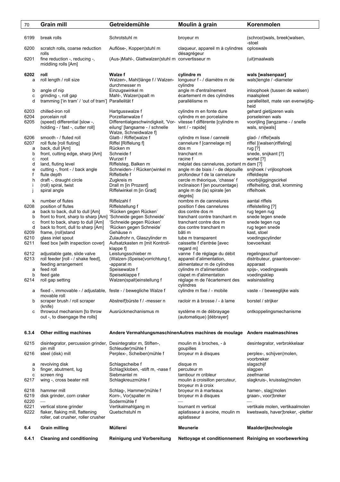| 70                     | <b>Grain mill</b>                                                                                                                                | Getreidemühle                                                                                                                                       | Moulin à grain                                                                                                                                                                                                               | Korenmolen                                                                                                                     |
|------------------------|--------------------------------------------------------------------------------------------------------------------------------------------------|-----------------------------------------------------------------------------------------------------------------------------------------------------|------------------------------------------------------------------------------------------------------------------------------------------------------------------------------------------------------------------------------|--------------------------------------------------------------------------------------------------------------------------------|
| 6199                   | break rolls                                                                                                                                      | Schrotstuhl m                                                                                                                                       | broyeur m                                                                                                                                                                                                                    | (schroot) wals, breek¦ walsen,<br>-stoel                                                                                       |
| 6200                   | scratch rolls, coarse reduction<br>rolls                                                                                                         | Auflöse-, Koppen¦stuhl m                                                                                                                            | claqueur, appareil m à cylindres                                                                                                                                                                                             | oploswals                                                                                                                      |
| 6201                   | fine reduction -, reducing -,<br>middling rolls [Am]                                                                                             | (Aus-)Mahl-, Glattwalzen¦stuhl m convertisseur m                                                                                                    | désagrégeur                                                                                                                                                                                                                  | (uit)maalwals                                                                                                                  |
| 6202<br>a              | roll<br>roll length / roll size                                                                                                                  | <b>Walze f</b><br>Walzen-, Mahl¦länge f / Walzen-<br>durchmesser m                                                                                  | cylindre m<br>longueur f - / diamètre m de<br>cylindre                                                                                                                                                                       | wals [walsenpaar]<br>wals¦lengte / -diameter                                                                                   |
| b<br>C<br>d            | angle of nip<br>grinding -, roll gap<br>tramming ['in tram' / 'out of tram'] Parallelität f                                                      | Einzugswinkel m<br>Mahl-, Walzen¦spalt m                                                                                                            | angle m d'entraînement<br>écartement m des cylindres<br>parallélisme m                                                                                                                                                       | inloophoek (tussen de walsen)<br>maalspleet<br>paralleliteit, mate van evenwijdig-                                             |
| 6203                   | chilled-iron roll                                                                                                                                | Hartgusswalze f                                                                                                                                     | cylindre m en fonte dure                                                                                                                                                                                                     | heid<br>gehard gietijzeren wals                                                                                                |
| 6204<br>6205           | porcelain roll<br>(speed) differential [slow -,<br>holding - / fast -, cutter roll]                                                              | Porzellanwalze f<br>Differentialgeschwindigkeit, 'Vor- vitesse f différente [cylindre m<br>eilung' [langsame - / schnelle<br>Walze, Schneidwalze f] | cylindre m en porcelaine<br>lent / - rapide]                                                                                                                                                                                 | porseleinen wals<br>voorijling [langzame - / snelle<br>wals, snijwals]                                                         |
| 6206<br>6207<br>a<br>b | smooth - / fluted roll<br>roll flute [roll fluting]<br>back, dull [Am]<br>front, cutting edge, sharp [Am]                                        | Glatt- / Riffel¦walze f<br>Riffel [Riffelung f]<br>Rücken m<br>Schneide f                                                                           | cylindre m lisse / cannelé<br>cannelure f [cannelage m]<br>dos m<br>tranchant m                                                                                                                                              | glad- / riffel¦wals<br>riffel [(walsen)riffeling]<br>rug [?]<br>snede, snijkant [?]                                            |
| c<br>d<br>e<br>f<br>h  | root<br>land, fluting level<br>cutting -, front - / back angle<br>flute depth<br>draft -, draught circle<br>(roll) spiral, twist<br>spiral angle | Wurzel f<br>Riffelsteg, Balken m<br>Schneiden- / Rücken¦winkel m<br>Riffeltiefe f<br>Zugkreis m<br>Drall m [in Prozent]<br>Riffelwinkel m [in Grad] | racine f<br>méplat des cannelures, portant m dam [?]<br>angle m de biais / - de dépouille<br>profondeur f de la cannelure<br>cercle m théorique, 'chasse' f<br>inclinaison f [en pourcentage)<br>angle m de (la) spirale [en | wortel [?]<br>snijhoek / vrijloophoek<br>riffeldiepte<br>voorbijliggingscirkel<br>riffelhelling, drall, kromming<br>riffelhoek |
| k<br>6208              | number of flutes<br>position of flutes                                                                                                           | Riffelzahl f<br>Riffelstellung f                                                                                                                    | degrés]<br>nombre m de cannelures<br>position f des cannelures                                                                                                                                                               | aantal riffels<br>riffelstelling [?]                                                                                           |
| а<br>b<br>с            | back to back, dull to dull [Am]<br>front to front, sharp to sharp [Am]<br>front to back, sharp to dull [Am]                                      | 'Rücken gegen Rücken'<br>'Schneide gegen Schneide'<br>'Schneide gegen Rücken'                                                                       | dos contre dos m<br>tranchant contre tranchant m<br>tranchant contre dos m                                                                                                                                                   | rug tegen rug<br>snede tegen snede<br>snede tegen rug                                                                          |
| d<br>6209<br>6210      | back to front, dull to sharp [Am]<br>frame, (roll)stand<br>glass inlet spout                                                                     | 'Rücken gegen Schneide'<br>Gehäuse n<br>Zulaufrohr n, Glaszylinder m                                                                                | dos contre tranchant m<br>bâti m<br>tube m transparent                                                                                                                                                                       | rug tegen snede<br>kast, stoel<br>voedingscylinder                                                                             |
| 6211<br>6212           | feed box [with inspection cover]<br>adjustable gate, slide valve                                                                                 | Aufsatzkasten m [mit Kontroll-<br>klappe f<br>Leistungsschieber m                                                                                   | caissette f d'entrée [avec<br>regard m]<br>vanne f de réglage du débit                                                                                                                                                       | toevoerkast<br>regelingsschuif                                                                                                 |
| 6213                   | roll feeder [roll - / shake feed],<br>feeding arrangement                                                                                        | (Walzen-)Speise¦vorrichtung f,<br>-apparat m                                                                                                        | appareil d'alimentation,<br>alimentateur m de cylindres                                                                                                                                                                      | distributeur, graantoevoer-<br>apparaat                                                                                        |
| a<br>b                 | feed roll<br>feed gate                                                                                                                           | Speisewalze f<br>Speiseklappe f                                                                                                                     | cylindre m d'alimentation<br>clapet m d'alimentation                                                                                                                                                                         | spijs-, voedingswals<br>voedingsklep                                                                                           |
| 6214                   | roll gap setting                                                                                                                                 | Walzen(spalt)einstellung f                                                                                                                          | réglage m de l'écartement des<br>cylindres                                                                                                                                                                                   | walsinstelling                                                                                                                 |
| а                      | fixed -, immovable - / adjustable, feste - / bewegliche Walze f<br>movable roll                                                                  |                                                                                                                                                     | cylindre m fixe / - mobile                                                                                                                                                                                                   | vaste - / beweeglijke wals                                                                                                     |
| b<br>C                 | scraper brush / roll scraper<br>(knife)<br>throwout mechanism [to throw                                                                          | Abstreif¦bürste f / -messer n<br>Ausrückmechanismus m                                                                                               | racloir m à brosse / - à lame<br>système m de débrayage                                                                                                                                                                      | borstel / strijker<br>ontkoppelingsmechanisme                                                                                  |
|                        | out -, to disengage the rolls]                                                                                                                   |                                                                                                                                                     | (automatique) [débrayer]                                                                                                                                                                                                     |                                                                                                                                |
| 6.3.4                  | Other milling machines                                                                                                                           |                                                                                                                                                     | Andere VermahlungsmaschinenAutres machines de moulage Andere maalmaschines                                                                                                                                                   |                                                                                                                                |
| 6215                   | disintegrator, percussion grinder,<br>pin mill                                                                                                   | Desintegrator m, Stiften-,<br>Schleuder¦mühle f                                                                                                     | moulin m à broches, - à<br>goupilles                                                                                                                                                                                         | desintegrator, verbrokkelaar                                                                                                   |
| 6216                   | steel (disk) mill                                                                                                                                | Perplex-, Scheiben¦mühle f                                                                                                                          | broyeur m à disques                                                                                                                                                                                                          | perplex-, schijven¦molen,<br>voorbreker                                                                                        |
| а<br>b<br>с            | revolving disk<br>finger, abutment, lug<br>screen ring                                                                                           | Schlagscheibe f<br>Schlag¦kloben, -stift m, -nase f<br>Siebmantel m                                                                                 | disque m<br>percuteur m<br>tambour m cribleur                                                                                                                                                                                | slagschijf<br>slagpen<br>zeefmantel                                                                                            |
| 6217                   | wing -, cross beater mill                                                                                                                        | Schlagkreuzmühle f                                                                                                                                  | moulin à croisillon percuteur,<br>broyeur m à croix                                                                                                                                                                          | slagkruis-, kruisslag¦molen                                                                                                    |
| 6218<br>6219<br>6220   | hammer mill<br>disk grinder, corn craker                                                                                                         | Schlag-, Hammer¦mühle f<br>Korn-, Vor¦spalter m<br>Sodermühle f                                                                                     | broyeur m à marteaux<br>broyeur m à disques                                                                                                                                                                                  | hamer-, slag¦molen<br>graan-, voor¦breker                                                                                      |
| 6221<br>6222           | vertical stone grinder<br>flaker, flaking mill, flattening<br>roller, oat crusher, roller crusher                                                | Vertikalmahlgang m<br>Quetschstuhl m                                                                                                                | tournant m vertical<br>aplatisseur à avoine, moulin m<br>aplatisseur                                                                                                                                                         | vertikale molen, vertikaalmolen<br>kwetswals, haver¦breker, -pletter                                                           |
| 6.4                    | <b>Grain milling</b>                                                                                                                             | Müllerei                                                                                                                                            | <b>Meunerie</b>                                                                                                                                                                                                              | Maalderijtechnologie                                                                                                           |
| 6.4.1                  | <b>Cleaning and conditioning</b>                                                                                                                 | Reinigung und Vorbereitung                                                                                                                          | Nettoyage et conditionnement Reiniging en voorbewerking                                                                                                                                                                      |                                                                                                                                |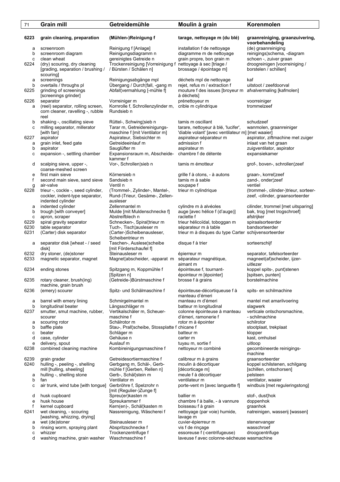| 6223<br>grain cleaning, preparation<br>(Mühlen-)Reinigung f<br>tarage, nettoyage m (du blé)<br>graanreiniging, graanzuivering,<br>voorbehandeling<br>Reinigung f [Anlage]<br>installation f de nettoyage<br>(de) graanreiniging<br>screenroom<br>а<br>Reinigungsdiagramm n<br>diagramme m de nettoyage<br>reinigings¦schema, -diagram<br>b<br>screenroom diagram<br>gereinigtes Getreide n<br>grain propre, bon grain m<br>clean wheat<br>schoen -, zuiver graan<br>c<br>Trockenreinigung [Vorreinigung f nettoyage à sec [triage /<br>droogreinigen [voorreiniging /<br>6224<br>(dry) scouring, dry cleaning<br>/ Bürsten / Schälen n]<br>[grading, separation / brushing /<br>brossage / épointage m]<br>borstelen / schillen]<br>scouring]<br>kaf<br>screenings<br>Reinigungsabgänge mpl<br>déchets mpl de nettoyage<br>a<br>Übergang / Durch¦fall, -gang m<br>uitstoot / zeefdoorval<br>b<br>overtails / throughs pl<br>rejet, refus m / extraction f<br>Abfall¦vermahlung [-mühle f]<br>6225<br>grinding of screenings<br>mouture f des issues [broyeur m<br>afvalvermaling [kafmolen]<br>[screenings grinder]<br>à déchets]<br>6226<br>separator<br>Vorreiniger m<br>prénettoyeur m<br>voorreiniger<br>(reel) separator, rolling screen,<br>Kornrolle f, Schrollenzylinder m,<br>crible m cylindrique<br>trommelzeef<br>a<br>Rundsieb n<br>corn cleaner, ravelling -, rubble<br>reel<br>shaking -, oscillating sieve<br>Rüttel-, Schwing¦sieb n<br>tamis m oscillant<br>schudzeef<br>b<br>Tarar m, Getreidereinigungs-<br>milling separator, millerator<br>tarare, nettoyeur à blé, 'lucifer',<br>wanmolen, graanreiniger<br>с<br>maschine f [mit Ventilator m]<br>'diable volant' [avec ventilateur m] [met waaier]<br>[with fan]<br>Aspirateur, Siebsichter m<br>6227<br>aspirator<br>aspirateur-séparateur m<br>aspirator, ziftmachine met zuiger<br>Getreideeinlauf m<br>grain inlet, feed gate<br>admission f<br>inlaat van het graan<br>а<br>Sauglüfter m<br>b<br>aspirator<br>aspirateur m<br>zuigventilator, aspirator<br>expansion -, settling chamber<br>Expansionsraum m, Abscheide-<br>chambre f de détente<br>expansiekamer<br>с<br>kammer f<br>Vor-, Schrollen¦sieb n<br>tamis m émotteur<br>grof-, boven-, schrollen¦zeef<br>scalping sieve, upper -,<br>d<br>coarse-meshed screen<br>first main sieve<br>Körnersieb n<br>graan-, korrel¦zeef<br>grille f à otons, - à autons<br>е<br>f<br>second main sieve, sand sieve<br>Sandsieb n<br>tamis m à sable<br>zand-, onder zeef<br>Ventil n<br>air-valve<br>soupape f<br>ventiel<br>g<br>6228<br>trieur -, cockle -, seed cylinder,<br>(Trommel-, Zylinder-, Mantel-,<br>trieur m cylindrique<br>(trommel-, cilinder-)trieur, sorteer-<br>Rund-)Trieur, Gesäme-, Zellen-<br>cockler, indent-type separator,<br>zeef, -cilinder, graansorteerder<br>ausleser<br>indented cylinder<br>indented cylinder<br>Zellenmantel m<br>cylindre m à alvéoles<br>cilinder, trommel [met uitsparing]<br>а<br>trough [with conveyer]<br>Mulde [mit Muldenschnecke f]<br>auge [avec hélice f (d'auge)]<br>bak, trog [met trogschroef]<br>b<br>raclette f<br>afstrijker<br>apron, scraper<br>Abstreifblech n<br>с<br>spiral gravity separator<br>trieur hélicoïdal, toboggan m<br>spiraalsorteerder<br>6229<br>Schnecken-, Spiral¦trieur m<br>6230<br>table separator<br>Tuch-, Tisch¦ausleser m<br>séparateur m à table<br>bandsorteerder<br>6231<br>(Carter) disk separator<br>(Carter-)Scheibenausleser,<br>trieur m à disques du type Carter schijvensorteerder<br>Scheibentrieur m<br>separator disk [wheat - / seed<br>Taschen-, Auslese¦scheibe<br>disque f à trier<br>sorteerschijf<br>а<br>disk]<br>[mit Förderschaufel f]<br>6232<br>dry stoner, (de)stoner<br>Steinausleser m<br>separator, tafelsorteerder<br>épierreur m<br>6233<br>magnetic separator, magnet<br>Magnet¦abscheider, -apparat m<br>séparateur magnétique,<br>magneet(af)scheider, ijzer-<br>aimant m<br>uitlezer<br>6234<br>ending stones<br>Spitzgang m, Koppmühle f<br>épointeuse f, tournant-<br>koppel spits-, punt¦stenen<br>[Spitzen n]<br>épointeur m [épointer]<br>[spitsen, punten]<br>6235<br>rotary cleaner, brush(ing)<br>(Getreide-)Bürstmaschine f<br>brosse f à grains<br>borstelmachine<br>machine, grain brush<br>6236<br>(emery) scourer<br>Spitz- und Schälmaschine f<br>épointeuse-décortiqueuse f à<br>spits- en schilmachine<br>manteau d'émeri<br>barrel with emery lining<br>Schmirgelmantel m<br>manteau m d'émeri<br>mantel met amarilvoering<br>а<br>b<br>longitudinal beater<br>Längsschläger m<br>batteur m longitudinal<br>slagwerk<br>6237<br>smutter, smut machine, rubber,<br>Vertikalschäler m. Scheuer-<br>colonne épointeuse à manteau<br>verticale ontschorsmachine,<br>maschine f<br>d'émeri, ramonerie f<br>- schilmachine<br>scourer<br>Schälrotor m<br>rotor m à épointer<br>schilrotor<br>scouring rotor<br>а<br>baffle plate<br>Stau-, Prall¦scheibe, Stossplatte f chicane f<br>b<br>stootplaat, trekplaat<br>beater<br>Schläger m<br>batteur m<br>c<br>klopper<br>Gehäuse n<br>case, cylinder<br>carter m<br>kast, omhulsel<br>d<br>Auslauf m<br>delivery, spout<br>tuyau m, sortie f<br>uitloop<br>e<br>Kombireinigungsmaschine f<br>6238<br>combined cleaning machine<br>nettoyeur m combiné<br>gecombineerde reinigings-<br>machine<br>6239<br>Getreidesortiermaschine f<br>grain grader<br>calibreur m à grains<br>graansorteerder<br>6240<br>hulling -, peeling -, shelling<br>Gerbgang m, Schäl-, Gerb-<br>moulin à décortiquer<br>koppel schilstenen, schilgang<br>mill [hulling, sheeling]<br>mühle f [Gerben, Rellen n]<br>[décorticage m]<br>[schillen, ontschorsen]<br>meule f à décortiquer<br>hulling -, shelling stone<br>Gerb-, Schäl¦stein m<br>pelsteen<br>а<br>Ventilator m<br>ventilateur m<br>ventilator, waaier<br>b<br>fan<br>Gerbröhre f, Spelzrohr n<br>air trunk, wind tube [with tongue]<br>porte-vent m [avec languette f]<br>windbuis [met reguleringstong]<br>с<br>[mit (Regulier-)Zunge f]<br>husk cupboard<br>Spreu(er)kasten m<br>ballier m<br>stof-, dust¦hok<br>d<br>husk house<br>Spreukammer f<br>chambre f à balle, - à vannure<br>doppenhok<br>e<br>f<br>kernel cupboard<br>Kern(en)-, Schäl¦kasten m<br>boisseau f à grain<br>graanhok<br>6241<br>wet cleaning, - scouring<br>Nassreinigung, Wäscherei f<br>nettoyage (par voie) humide,<br>natreinigen, wasserij [wassen]<br>[washing, whizzing, drying]<br>lavage m<br>Steinausleser m<br>wet (de)stoner<br>cuvier-épierreur m<br>stenenvanger<br>а<br>rinsing worm, spraying plant<br>Abspritzschnecke f<br>vis f de rinçage<br>wasschroef<br>b<br>whizzer<br>Trockenzentrifuge f<br>essoreuse f (-centrifugeuse)<br>droogcentrifuge<br>c<br>washing machine, grain washer<br>Waschmaschine f<br>laveuse f avec colonne-sécheuse wasmachine<br>d | 71 | <b>Grain mill</b> | Getreidemühle | Moulin à grain | Korenmolen |
|-------------------------------------------------------------------------------------------------------------------------------------------------------------------------------------------------------------------------------------------------------------------------------------------------------------------------------------------------------------------------------------------------------------------------------------------------------------------------------------------------------------------------------------------------------------------------------------------------------------------------------------------------------------------------------------------------------------------------------------------------------------------------------------------------------------------------------------------------------------------------------------------------------------------------------------------------------------------------------------------------------------------------------------------------------------------------------------------------------------------------------------------------------------------------------------------------------------------------------------------------------------------------------------------------------------------------------------------------------------------------------------------------------------------------------------------------------------------------------------------------------------------------------------------------------------------------------------------------------------------------------------------------------------------------------------------------------------------------------------------------------------------------------------------------------------------------------------------------------------------------------------------------------------------------------------------------------------------------------------------------------------------------------------------------------------------------------------------------------------------------------------------------------------------------------------------------------------------------------------------------------------------------------------------------------------------------------------------------------------------------------------------------------------------------------------------------------------------------------------------------------------------------------------------------------------------------------------------------------------------------------------------------------------------------------------------------------------------------------------------------------------------------------------------------------------------------------------------------------------------------------------------------------------------------------------------------------------------------------------------------------------------------------------------------------------------------------------------------------------------------------------------------------------------------------------------------------------------------------------------------------------------------------------------------------------------------------------------------------------------------------------------------------------------------------------------------------------------------------------------------------------------------------------------------------------------------------------------------------------------------------------------------------------------------------------------------------------------------------------------------------------------------------------------------------------------------------------------------------------------------------------------------------------------------------------------------------------------------------------------------------------------------------------------------------------------------------------------------------------------------------------------------------------------------------------------------------------------------------------------------------------------------------------------------------------------------------------------------------------------------------------------------------------------------------------------------------------------------------------------------------------------------------------------------------------------------------------------------------------------------------------------------------------------------------------------------------------------------------------------------------------------------------------------------------------------------------------------------------------------------------------------------------------------------------------------------------------------------------------------------------------------------------------------------------------------------------------------------------------------------------------------------------------------------------------------------------------------------------------------------------------------------------------------------------------------------------------------------------------------------------------------------------------------------------------------------------------------------------------------------------------------------------------------------------------------------------------------------------------------------------------------------------------------------------------------------------------------------------------------------------------------------------------------------------------------------------------------------------------------------------------------------------------------------------------------------------------------------------------------------------------------------------------------------------------------------------------------------------------------------------------------------------------------------------------------------------------------------------------------------------------------------------------------------------------------------------------------------------------------------------------------------------------------------------------------------------------------------------------------------------------------------------------------------------------------------------------------------------------------------------------------------------------------------------------------------------------------------------------------------------------------------------------------------------------------------|----|-------------------|---------------|----------------|------------|
|                                                                                                                                                                                                                                                                                                                                                                                                                                                                                                                                                                                                                                                                                                                                                                                                                                                                                                                                                                                                                                                                                                                                                                                                                                                                                                                                                                                                                                                                                                                                                                                                                                                                                                                                                                                                                                                                                                                                                                                                                                                                                                                                                                                                                                                                                                                                                                                                                                                                                                                                                                                                                                                                                                                                                                                                                                                                                                                                                                                                                                                                                                                                                                                                                                                                                                                                                                                                                                                                                                                                                                                                                                                                                                                                                                                                                                                                                                                                                                                                                                                                                                                                                                                                                                                                                                                                                                                                                                                                                                                                                                                                                                                                                                                                                                                                                                                                                                                                                                                                                                                                                                                                                                                                                                                                                                                                                                                                                                                                                                                                                                                                                                                                                                                                                                                                                                                                                                                                                                                                                                                                                                                                                                                                                                                                                                                                                                                                                                                                                                                                                                                                                                                                                                                                                                                                                         |    |                   |               |                |            |
|                                                                                                                                                                                                                                                                                                                                                                                                                                                                                                                                                                                                                                                                                                                                                                                                                                                                                                                                                                                                                                                                                                                                                                                                                                                                                                                                                                                                                                                                                                                                                                                                                                                                                                                                                                                                                                                                                                                                                                                                                                                                                                                                                                                                                                                                                                                                                                                                                                                                                                                                                                                                                                                                                                                                                                                                                                                                                                                                                                                                                                                                                                                                                                                                                                                                                                                                                                                                                                                                                                                                                                                                                                                                                                                                                                                                                                                                                                                                                                                                                                                                                                                                                                                                                                                                                                                                                                                                                                                                                                                                                                                                                                                                                                                                                                                                                                                                                                                                                                                                                                                                                                                                                                                                                                                                                                                                                                                                                                                                                                                                                                                                                                                                                                                                                                                                                                                                                                                                                                                                                                                                                                                                                                                                                                                                                                                                                                                                                                                                                                                                                                                                                                                                                                                                                                                                                         |    |                   |               |                |            |
|                                                                                                                                                                                                                                                                                                                                                                                                                                                                                                                                                                                                                                                                                                                                                                                                                                                                                                                                                                                                                                                                                                                                                                                                                                                                                                                                                                                                                                                                                                                                                                                                                                                                                                                                                                                                                                                                                                                                                                                                                                                                                                                                                                                                                                                                                                                                                                                                                                                                                                                                                                                                                                                                                                                                                                                                                                                                                                                                                                                                                                                                                                                                                                                                                                                                                                                                                                                                                                                                                                                                                                                                                                                                                                                                                                                                                                                                                                                                                                                                                                                                                                                                                                                                                                                                                                                                                                                                                                                                                                                                                                                                                                                                                                                                                                                                                                                                                                                                                                                                                                                                                                                                                                                                                                                                                                                                                                                                                                                                                                                                                                                                                                                                                                                                                                                                                                                                                                                                                                                                                                                                                                                                                                                                                                                                                                                                                                                                                                                                                                                                                                                                                                                                                                                                                                                                                         |    |                   |               |                |            |
|                                                                                                                                                                                                                                                                                                                                                                                                                                                                                                                                                                                                                                                                                                                                                                                                                                                                                                                                                                                                                                                                                                                                                                                                                                                                                                                                                                                                                                                                                                                                                                                                                                                                                                                                                                                                                                                                                                                                                                                                                                                                                                                                                                                                                                                                                                                                                                                                                                                                                                                                                                                                                                                                                                                                                                                                                                                                                                                                                                                                                                                                                                                                                                                                                                                                                                                                                                                                                                                                                                                                                                                                                                                                                                                                                                                                                                                                                                                                                                                                                                                                                                                                                                                                                                                                                                                                                                                                                                                                                                                                                                                                                                                                                                                                                                                                                                                                                                                                                                                                                                                                                                                                                                                                                                                                                                                                                                                                                                                                                                                                                                                                                                                                                                                                                                                                                                                                                                                                                                                                                                                                                                                                                                                                                                                                                                                                                                                                                                                                                                                                                                                                                                                                                                                                                                                                                         |    |                   |               |                |            |
|                                                                                                                                                                                                                                                                                                                                                                                                                                                                                                                                                                                                                                                                                                                                                                                                                                                                                                                                                                                                                                                                                                                                                                                                                                                                                                                                                                                                                                                                                                                                                                                                                                                                                                                                                                                                                                                                                                                                                                                                                                                                                                                                                                                                                                                                                                                                                                                                                                                                                                                                                                                                                                                                                                                                                                                                                                                                                                                                                                                                                                                                                                                                                                                                                                                                                                                                                                                                                                                                                                                                                                                                                                                                                                                                                                                                                                                                                                                                                                                                                                                                                                                                                                                                                                                                                                                                                                                                                                                                                                                                                                                                                                                                                                                                                                                                                                                                                                                                                                                                                                                                                                                                                                                                                                                                                                                                                                                                                                                                                                                                                                                                                                                                                                                                                                                                                                                                                                                                                                                                                                                                                                                                                                                                                                                                                                                                                                                                                                                                                                                                                                                                                                                                                                                                                                                                                         |    |                   |               |                |            |
|                                                                                                                                                                                                                                                                                                                                                                                                                                                                                                                                                                                                                                                                                                                                                                                                                                                                                                                                                                                                                                                                                                                                                                                                                                                                                                                                                                                                                                                                                                                                                                                                                                                                                                                                                                                                                                                                                                                                                                                                                                                                                                                                                                                                                                                                                                                                                                                                                                                                                                                                                                                                                                                                                                                                                                                                                                                                                                                                                                                                                                                                                                                                                                                                                                                                                                                                                                                                                                                                                                                                                                                                                                                                                                                                                                                                                                                                                                                                                                                                                                                                                                                                                                                                                                                                                                                                                                                                                                                                                                                                                                                                                                                                                                                                                                                                                                                                                                                                                                                                                                                                                                                                                                                                                                                                                                                                                                                                                                                                                                                                                                                                                                                                                                                                                                                                                                                                                                                                                                                                                                                                                                                                                                                                                                                                                                                                                                                                                                                                                                                                                                                                                                                                                                                                                                                                                         |    |                   |               |                |            |
|                                                                                                                                                                                                                                                                                                                                                                                                                                                                                                                                                                                                                                                                                                                                                                                                                                                                                                                                                                                                                                                                                                                                                                                                                                                                                                                                                                                                                                                                                                                                                                                                                                                                                                                                                                                                                                                                                                                                                                                                                                                                                                                                                                                                                                                                                                                                                                                                                                                                                                                                                                                                                                                                                                                                                                                                                                                                                                                                                                                                                                                                                                                                                                                                                                                                                                                                                                                                                                                                                                                                                                                                                                                                                                                                                                                                                                                                                                                                                                                                                                                                                                                                                                                                                                                                                                                                                                                                                                                                                                                                                                                                                                                                                                                                                                                                                                                                                                                                                                                                                                                                                                                                                                                                                                                                                                                                                                                                                                                                                                                                                                                                                                                                                                                                                                                                                                                                                                                                                                                                                                                                                                                                                                                                                                                                                                                                                                                                                                                                                                                                                                                                                                                                                                                                                                                                                         |    |                   |               |                |            |
|                                                                                                                                                                                                                                                                                                                                                                                                                                                                                                                                                                                                                                                                                                                                                                                                                                                                                                                                                                                                                                                                                                                                                                                                                                                                                                                                                                                                                                                                                                                                                                                                                                                                                                                                                                                                                                                                                                                                                                                                                                                                                                                                                                                                                                                                                                                                                                                                                                                                                                                                                                                                                                                                                                                                                                                                                                                                                                                                                                                                                                                                                                                                                                                                                                                                                                                                                                                                                                                                                                                                                                                                                                                                                                                                                                                                                                                                                                                                                                                                                                                                                                                                                                                                                                                                                                                                                                                                                                                                                                                                                                                                                                                                                                                                                                                                                                                                                                                                                                                                                                                                                                                                                                                                                                                                                                                                                                                                                                                                                                                                                                                                                                                                                                                                                                                                                                                                                                                                                                                                                                                                                                                                                                                                                                                                                                                                                                                                                                                                                                                                                                                                                                                                                                                                                                                                                         |    |                   |               |                |            |
|                                                                                                                                                                                                                                                                                                                                                                                                                                                                                                                                                                                                                                                                                                                                                                                                                                                                                                                                                                                                                                                                                                                                                                                                                                                                                                                                                                                                                                                                                                                                                                                                                                                                                                                                                                                                                                                                                                                                                                                                                                                                                                                                                                                                                                                                                                                                                                                                                                                                                                                                                                                                                                                                                                                                                                                                                                                                                                                                                                                                                                                                                                                                                                                                                                                                                                                                                                                                                                                                                                                                                                                                                                                                                                                                                                                                                                                                                                                                                                                                                                                                                                                                                                                                                                                                                                                                                                                                                                                                                                                                                                                                                                                                                                                                                                                                                                                                                                                                                                                                                                                                                                                                                                                                                                                                                                                                                                                                                                                                                                                                                                                                                                                                                                                                                                                                                                                                                                                                                                                                                                                                                                                                                                                                                                                                                                                                                                                                                                                                                                                                                                                                                                                                                                                                                                                                                         |    |                   |               |                |            |
|                                                                                                                                                                                                                                                                                                                                                                                                                                                                                                                                                                                                                                                                                                                                                                                                                                                                                                                                                                                                                                                                                                                                                                                                                                                                                                                                                                                                                                                                                                                                                                                                                                                                                                                                                                                                                                                                                                                                                                                                                                                                                                                                                                                                                                                                                                                                                                                                                                                                                                                                                                                                                                                                                                                                                                                                                                                                                                                                                                                                                                                                                                                                                                                                                                                                                                                                                                                                                                                                                                                                                                                                                                                                                                                                                                                                                                                                                                                                                                                                                                                                                                                                                                                                                                                                                                                                                                                                                                                                                                                                                                                                                                                                                                                                                                                                                                                                                                                                                                                                                                                                                                                                                                                                                                                                                                                                                                                                                                                                                                                                                                                                                                                                                                                                                                                                                                                                                                                                                                                                                                                                                                                                                                                                                                                                                                                                                                                                                                                                                                                                                                                                                                                                                                                                                                                                                         |    |                   |               |                |            |
|                                                                                                                                                                                                                                                                                                                                                                                                                                                                                                                                                                                                                                                                                                                                                                                                                                                                                                                                                                                                                                                                                                                                                                                                                                                                                                                                                                                                                                                                                                                                                                                                                                                                                                                                                                                                                                                                                                                                                                                                                                                                                                                                                                                                                                                                                                                                                                                                                                                                                                                                                                                                                                                                                                                                                                                                                                                                                                                                                                                                                                                                                                                                                                                                                                                                                                                                                                                                                                                                                                                                                                                                                                                                                                                                                                                                                                                                                                                                                                                                                                                                                                                                                                                                                                                                                                                                                                                                                                                                                                                                                                                                                                                                                                                                                                                                                                                                                                                                                                                                                                                                                                                                                                                                                                                                                                                                                                                                                                                                                                                                                                                                                                                                                                                                                                                                                                                                                                                                                                                                                                                                                                                                                                                                                                                                                                                                                                                                                                                                                                                                                                                                                                                                                                                                                                                                                         |    |                   |               |                |            |
|                                                                                                                                                                                                                                                                                                                                                                                                                                                                                                                                                                                                                                                                                                                                                                                                                                                                                                                                                                                                                                                                                                                                                                                                                                                                                                                                                                                                                                                                                                                                                                                                                                                                                                                                                                                                                                                                                                                                                                                                                                                                                                                                                                                                                                                                                                                                                                                                                                                                                                                                                                                                                                                                                                                                                                                                                                                                                                                                                                                                                                                                                                                                                                                                                                                                                                                                                                                                                                                                                                                                                                                                                                                                                                                                                                                                                                                                                                                                                                                                                                                                                                                                                                                                                                                                                                                                                                                                                                                                                                                                                                                                                                                                                                                                                                                                                                                                                                                                                                                                                                                                                                                                                                                                                                                                                                                                                                                                                                                                                                                                                                                                                                                                                                                                                                                                                                                                                                                                                                                                                                                                                                                                                                                                                                                                                                                                                                                                                                                                                                                                                                                                                                                                                                                                                                                                                         |    |                   |               |                |            |
|                                                                                                                                                                                                                                                                                                                                                                                                                                                                                                                                                                                                                                                                                                                                                                                                                                                                                                                                                                                                                                                                                                                                                                                                                                                                                                                                                                                                                                                                                                                                                                                                                                                                                                                                                                                                                                                                                                                                                                                                                                                                                                                                                                                                                                                                                                                                                                                                                                                                                                                                                                                                                                                                                                                                                                                                                                                                                                                                                                                                                                                                                                                                                                                                                                                                                                                                                                                                                                                                                                                                                                                                                                                                                                                                                                                                                                                                                                                                                                                                                                                                                                                                                                                                                                                                                                                                                                                                                                                                                                                                                                                                                                                                                                                                                                                                                                                                                                                                                                                                                                                                                                                                                                                                                                                                                                                                                                                                                                                                                                                                                                                                                                                                                                                                                                                                                                                                                                                                                                                                                                                                                                                                                                                                                                                                                                                                                                                                                                                                                                                                                                                                                                                                                                                                                                                                                         |    |                   |               |                |            |
|                                                                                                                                                                                                                                                                                                                                                                                                                                                                                                                                                                                                                                                                                                                                                                                                                                                                                                                                                                                                                                                                                                                                                                                                                                                                                                                                                                                                                                                                                                                                                                                                                                                                                                                                                                                                                                                                                                                                                                                                                                                                                                                                                                                                                                                                                                                                                                                                                                                                                                                                                                                                                                                                                                                                                                                                                                                                                                                                                                                                                                                                                                                                                                                                                                                                                                                                                                                                                                                                                                                                                                                                                                                                                                                                                                                                                                                                                                                                                                                                                                                                                                                                                                                                                                                                                                                                                                                                                                                                                                                                                                                                                                                                                                                                                                                                                                                                                                                                                                                                                                                                                                                                                                                                                                                                                                                                                                                                                                                                                                                                                                                                                                                                                                                                                                                                                                                                                                                                                                                                                                                                                                                                                                                                                                                                                                                                                                                                                                                                                                                                                                                                                                                                                                                                                                                                                         |    |                   |               |                |            |
|                                                                                                                                                                                                                                                                                                                                                                                                                                                                                                                                                                                                                                                                                                                                                                                                                                                                                                                                                                                                                                                                                                                                                                                                                                                                                                                                                                                                                                                                                                                                                                                                                                                                                                                                                                                                                                                                                                                                                                                                                                                                                                                                                                                                                                                                                                                                                                                                                                                                                                                                                                                                                                                                                                                                                                                                                                                                                                                                                                                                                                                                                                                                                                                                                                                                                                                                                                                                                                                                                                                                                                                                                                                                                                                                                                                                                                                                                                                                                                                                                                                                                                                                                                                                                                                                                                                                                                                                                                                                                                                                                                                                                                                                                                                                                                                                                                                                                                                                                                                                                                                                                                                                                                                                                                                                                                                                                                                                                                                                                                                                                                                                                                                                                                                                                                                                                                                                                                                                                                                                                                                                                                                                                                                                                                                                                                                                                                                                                                                                                                                                                                                                                                                                                                                                                                                                                         |    |                   |               |                |            |
|                                                                                                                                                                                                                                                                                                                                                                                                                                                                                                                                                                                                                                                                                                                                                                                                                                                                                                                                                                                                                                                                                                                                                                                                                                                                                                                                                                                                                                                                                                                                                                                                                                                                                                                                                                                                                                                                                                                                                                                                                                                                                                                                                                                                                                                                                                                                                                                                                                                                                                                                                                                                                                                                                                                                                                                                                                                                                                                                                                                                                                                                                                                                                                                                                                                                                                                                                                                                                                                                                                                                                                                                                                                                                                                                                                                                                                                                                                                                                                                                                                                                                                                                                                                                                                                                                                                                                                                                                                                                                                                                                                                                                                                                                                                                                                                                                                                                                                                                                                                                                                                                                                                                                                                                                                                                                                                                                                                                                                                                                                                                                                                                                                                                                                                                                                                                                                                                                                                                                                                                                                                                                                                                                                                                                                                                                                                                                                                                                                                                                                                                                                                                                                                                                                                                                                                                                         |    |                   |               |                |            |
|                                                                                                                                                                                                                                                                                                                                                                                                                                                                                                                                                                                                                                                                                                                                                                                                                                                                                                                                                                                                                                                                                                                                                                                                                                                                                                                                                                                                                                                                                                                                                                                                                                                                                                                                                                                                                                                                                                                                                                                                                                                                                                                                                                                                                                                                                                                                                                                                                                                                                                                                                                                                                                                                                                                                                                                                                                                                                                                                                                                                                                                                                                                                                                                                                                                                                                                                                                                                                                                                                                                                                                                                                                                                                                                                                                                                                                                                                                                                                                                                                                                                                                                                                                                                                                                                                                                                                                                                                                                                                                                                                                                                                                                                                                                                                                                                                                                                                                                                                                                                                                                                                                                                                                                                                                                                                                                                                                                                                                                                                                                                                                                                                                                                                                                                                                                                                                                                                                                                                                                                                                                                                                                                                                                                                                                                                                                                                                                                                                                                                                                                                                                                                                                                                                                                                                                                                         |    |                   |               |                |            |
|                                                                                                                                                                                                                                                                                                                                                                                                                                                                                                                                                                                                                                                                                                                                                                                                                                                                                                                                                                                                                                                                                                                                                                                                                                                                                                                                                                                                                                                                                                                                                                                                                                                                                                                                                                                                                                                                                                                                                                                                                                                                                                                                                                                                                                                                                                                                                                                                                                                                                                                                                                                                                                                                                                                                                                                                                                                                                                                                                                                                                                                                                                                                                                                                                                                                                                                                                                                                                                                                                                                                                                                                                                                                                                                                                                                                                                                                                                                                                                                                                                                                                                                                                                                                                                                                                                                                                                                                                                                                                                                                                                                                                                                                                                                                                                                                                                                                                                                                                                                                                                                                                                                                                                                                                                                                                                                                                                                                                                                                                                                                                                                                                                                                                                                                                                                                                                                                                                                                                                                                                                                                                                                                                                                                                                                                                                                                                                                                                                                                                                                                                                                                                                                                                                                                                                                                                         |    |                   |               |                |            |
|                                                                                                                                                                                                                                                                                                                                                                                                                                                                                                                                                                                                                                                                                                                                                                                                                                                                                                                                                                                                                                                                                                                                                                                                                                                                                                                                                                                                                                                                                                                                                                                                                                                                                                                                                                                                                                                                                                                                                                                                                                                                                                                                                                                                                                                                                                                                                                                                                                                                                                                                                                                                                                                                                                                                                                                                                                                                                                                                                                                                                                                                                                                                                                                                                                                                                                                                                                                                                                                                                                                                                                                                                                                                                                                                                                                                                                                                                                                                                                                                                                                                                                                                                                                                                                                                                                                                                                                                                                                                                                                                                                                                                                                                                                                                                                                                                                                                                                                                                                                                                                                                                                                                                                                                                                                                                                                                                                                                                                                                                                                                                                                                                                                                                                                                                                                                                                                                                                                                                                                                                                                                                                                                                                                                                                                                                                                                                                                                                                                                                                                                                                                                                                                                                                                                                                                                                         |    |                   |               |                |            |
|                                                                                                                                                                                                                                                                                                                                                                                                                                                                                                                                                                                                                                                                                                                                                                                                                                                                                                                                                                                                                                                                                                                                                                                                                                                                                                                                                                                                                                                                                                                                                                                                                                                                                                                                                                                                                                                                                                                                                                                                                                                                                                                                                                                                                                                                                                                                                                                                                                                                                                                                                                                                                                                                                                                                                                                                                                                                                                                                                                                                                                                                                                                                                                                                                                                                                                                                                                                                                                                                                                                                                                                                                                                                                                                                                                                                                                                                                                                                                                                                                                                                                                                                                                                                                                                                                                                                                                                                                                                                                                                                                                                                                                                                                                                                                                                                                                                                                                                                                                                                                                                                                                                                                                                                                                                                                                                                                                                                                                                                                                                                                                                                                                                                                                                                                                                                                                                                                                                                                                                                                                                                                                                                                                                                                                                                                                                                                                                                                                                                                                                                                                                                                                                                                                                                                                                                                         |    |                   |               |                |            |
|                                                                                                                                                                                                                                                                                                                                                                                                                                                                                                                                                                                                                                                                                                                                                                                                                                                                                                                                                                                                                                                                                                                                                                                                                                                                                                                                                                                                                                                                                                                                                                                                                                                                                                                                                                                                                                                                                                                                                                                                                                                                                                                                                                                                                                                                                                                                                                                                                                                                                                                                                                                                                                                                                                                                                                                                                                                                                                                                                                                                                                                                                                                                                                                                                                                                                                                                                                                                                                                                                                                                                                                                                                                                                                                                                                                                                                                                                                                                                                                                                                                                                                                                                                                                                                                                                                                                                                                                                                                                                                                                                                                                                                                                                                                                                                                                                                                                                                                                                                                                                                                                                                                                                                                                                                                                                                                                                                                                                                                                                                                                                                                                                                                                                                                                                                                                                                                                                                                                                                                                                                                                                                                                                                                                                                                                                                                                                                                                                                                                                                                                                                                                                                                                                                                                                                                                                         |    |                   |               |                |            |
|                                                                                                                                                                                                                                                                                                                                                                                                                                                                                                                                                                                                                                                                                                                                                                                                                                                                                                                                                                                                                                                                                                                                                                                                                                                                                                                                                                                                                                                                                                                                                                                                                                                                                                                                                                                                                                                                                                                                                                                                                                                                                                                                                                                                                                                                                                                                                                                                                                                                                                                                                                                                                                                                                                                                                                                                                                                                                                                                                                                                                                                                                                                                                                                                                                                                                                                                                                                                                                                                                                                                                                                                                                                                                                                                                                                                                                                                                                                                                                                                                                                                                                                                                                                                                                                                                                                                                                                                                                                                                                                                                                                                                                                                                                                                                                                                                                                                                                                                                                                                                                                                                                                                                                                                                                                                                                                                                                                                                                                                                                                                                                                                                                                                                                                                                                                                                                                                                                                                                                                                                                                                                                                                                                                                                                                                                                                                                                                                                                                                                                                                                                                                                                                                                                                                                                                                                         |    |                   |               |                |            |
|                                                                                                                                                                                                                                                                                                                                                                                                                                                                                                                                                                                                                                                                                                                                                                                                                                                                                                                                                                                                                                                                                                                                                                                                                                                                                                                                                                                                                                                                                                                                                                                                                                                                                                                                                                                                                                                                                                                                                                                                                                                                                                                                                                                                                                                                                                                                                                                                                                                                                                                                                                                                                                                                                                                                                                                                                                                                                                                                                                                                                                                                                                                                                                                                                                                                                                                                                                                                                                                                                                                                                                                                                                                                                                                                                                                                                                                                                                                                                                                                                                                                                                                                                                                                                                                                                                                                                                                                                                                                                                                                                                                                                                                                                                                                                                                                                                                                                                                                                                                                                                                                                                                                                                                                                                                                                                                                                                                                                                                                                                                                                                                                                                                                                                                                                                                                                                                                                                                                                                                                                                                                                                                                                                                                                                                                                                                                                                                                                                                                                                                                                                                                                                                                                                                                                                                                                         |    |                   |               |                |            |
|                                                                                                                                                                                                                                                                                                                                                                                                                                                                                                                                                                                                                                                                                                                                                                                                                                                                                                                                                                                                                                                                                                                                                                                                                                                                                                                                                                                                                                                                                                                                                                                                                                                                                                                                                                                                                                                                                                                                                                                                                                                                                                                                                                                                                                                                                                                                                                                                                                                                                                                                                                                                                                                                                                                                                                                                                                                                                                                                                                                                                                                                                                                                                                                                                                                                                                                                                                                                                                                                                                                                                                                                                                                                                                                                                                                                                                                                                                                                                                                                                                                                                                                                                                                                                                                                                                                                                                                                                                                                                                                                                                                                                                                                                                                                                                                                                                                                                                                                                                                                                                                                                                                                                                                                                                                                                                                                                                                                                                                                                                                                                                                                                                                                                                                                                                                                                                                                                                                                                                                                                                                                                                                                                                                                                                                                                                                                                                                                                                                                                                                                                                                                                                                                                                                                                                                                                         |    |                   |               |                |            |
|                                                                                                                                                                                                                                                                                                                                                                                                                                                                                                                                                                                                                                                                                                                                                                                                                                                                                                                                                                                                                                                                                                                                                                                                                                                                                                                                                                                                                                                                                                                                                                                                                                                                                                                                                                                                                                                                                                                                                                                                                                                                                                                                                                                                                                                                                                                                                                                                                                                                                                                                                                                                                                                                                                                                                                                                                                                                                                                                                                                                                                                                                                                                                                                                                                                                                                                                                                                                                                                                                                                                                                                                                                                                                                                                                                                                                                                                                                                                                                                                                                                                                                                                                                                                                                                                                                                                                                                                                                                                                                                                                                                                                                                                                                                                                                                                                                                                                                                                                                                                                                                                                                                                                                                                                                                                                                                                                                                                                                                                                                                                                                                                                                                                                                                                                                                                                                                                                                                                                                                                                                                                                                                                                                                                                                                                                                                                                                                                                                                                                                                                                                                                                                                                                                                                                                                                                         |    |                   |               |                |            |
|                                                                                                                                                                                                                                                                                                                                                                                                                                                                                                                                                                                                                                                                                                                                                                                                                                                                                                                                                                                                                                                                                                                                                                                                                                                                                                                                                                                                                                                                                                                                                                                                                                                                                                                                                                                                                                                                                                                                                                                                                                                                                                                                                                                                                                                                                                                                                                                                                                                                                                                                                                                                                                                                                                                                                                                                                                                                                                                                                                                                                                                                                                                                                                                                                                                                                                                                                                                                                                                                                                                                                                                                                                                                                                                                                                                                                                                                                                                                                                                                                                                                                                                                                                                                                                                                                                                                                                                                                                                                                                                                                                                                                                                                                                                                                                                                                                                                                                                                                                                                                                                                                                                                                                                                                                                                                                                                                                                                                                                                                                                                                                                                                                                                                                                                                                                                                                                                                                                                                                                                                                                                                                                                                                                                                                                                                                                                                                                                                                                                                                                                                                                                                                                                                                                                                                                                                         |    |                   |               |                |            |
|                                                                                                                                                                                                                                                                                                                                                                                                                                                                                                                                                                                                                                                                                                                                                                                                                                                                                                                                                                                                                                                                                                                                                                                                                                                                                                                                                                                                                                                                                                                                                                                                                                                                                                                                                                                                                                                                                                                                                                                                                                                                                                                                                                                                                                                                                                                                                                                                                                                                                                                                                                                                                                                                                                                                                                                                                                                                                                                                                                                                                                                                                                                                                                                                                                                                                                                                                                                                                                                                                                                                                                                                                                                                                                                                                                                                                                                                                                                                                                                                                                                                                                                                                                                                                                                                                                                                                                                                                                                                                                                                                                                                                                                                                                                                                                                                                                                                                                                                                                                                                                                                                                                                                                                                                                                                                                                                                                                                                                                                                                                                                                                                                                                                                                                                                                                                                                                                                                                                                                                                                                                                                                                                                                                                                                                                                                                                                                                                                                                                                                                                                                                                                                                                                                                                                                                                                         |    |                   |               |                |            |
|                                                                                                                                                                                                                                                                                                                                                                                                                                                                                                                                                                                                                                                                                                                                                                                                                                                                                                                                                                                                                                                                                                                                                                                                                                                                                                                                                                                                                                                                                                                                                                                                                                                                                                                                                                                                                                                                                                                                                                                                                                                                                                                                                                                                                                                                                                                                                                                                                                                                                                                                                                                                                                                                                                                                                                                                                                                                                                                                                                                                                                                                                                                                                                                                                                                                                                                                                                                                                                                                                                                                                                                                                                                                                                                                                                                                                                                                                                                                                                                                                                                                                                                                                                                                                                                                                                                                                                                                                                                                                                                                                                                                                                                                                                                                                                                                                                                                                                                                                                                                                                                                                                                                                                                                                                                                                                                                                                                                                                                                                                                                                                                                                                                                                                                                                                                                                                                                                                                                                                                                                                                                                                                                                                                                                                                                                                                                                                                                                                                                                                                                                                                                                                                                                                                                                                                                                         |    |                   |               |                |            |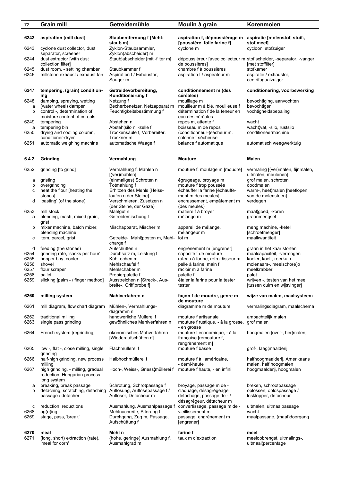| 72             | <b>Grain mill</b>                                                                 | Getreidemühle                                                                        | Moulin à grain                                                                                              | Korenmolen                                                                                 |
|----------------|-----------------------------------------------------------------------------------|--------------------------------------------------------------------------------------|-------------------------------------------------------------------------------------------------------------|--------------------------------------------------------------------------------------------|
| 6242<br>6243   | aspiration [mill dust]                                                            | <b>Staubentfernung f [Mehl-</b><br>staub m]                                          | aspiration f, dépoussiérage m<br>[poussière, folle farine f]<br>cyclone m                                   | aspiratie [molenstof, stuif-,<br>stof¦meel]                                                |
| 6244           | cyclone dust collector, dust<br>separator, screener<br>dust extractor [with dust  | Zyklon-Staubsammler,<br>Zyklon(abscheider) m<br>Staub¦abscheider [mit -filter m]     |                                                                                                             | cycloon, stofzuiger<br>dépoussiéreur [avec collecteur m stof¦scheider, -separator, -vanger |
| 6245           | collection filter]<br>dust room, - settling chamber                               | Staubkammer f                                                                        | de poussières]<br>chambre f à poussières                                                                    | [met stoffilter]<br>stofkamer                                                              |
| 6246           | millstone exhaust / exhaust fan                                                   | Aspiration f / Exhaustor,<br>Sauger m                                                | aspiration f / aspirateur m                                                                                 | aspiratie / exhaustor,<br>centrifugaalzuiger                                               |
| 6247           | tempering, (grain) condition-<br>ing                                              | Getreidevorbereitung,<br>Konditionierung f                                           | conditionnement m (des<br>céréales)                                                                         | conditionering, voorbewerking                                                              |
| 6248<br>а<br>b | damping, spraying, wetting<br>(water wheel) damper<br>control -, determination of | Netzung f<br>Becherbenetzer, Netzapparat m<br>Feuchtigkeitsbestimmung f              | mouillage m<br>mouilleur m à blé, mouilleuse f<br>détermination f de la teneur en                           | bevochtiging, aanvochten<br>bevochtiger<br>vochtigheidsbepaling                            |
| 6249           | moisture content of cereals<br>tempering                                          | Abstehen n                                                                           | eau des céréales<br>repos m, attente f                                                                      | wacht                                                                                      |
| a              | tempering bin                                                                     | Absteh¦silo n, -zelle f                                                              | boisseau m de repos                                                                                         | wacht¦vat, -silo, rustsilo                                                                 |
| 6250<br>6251   | drying and cooling column,<br>conditioner-dryer<br>automatic weighing machine     | Trockensäule f, Vorbereiter,<br>Trockner m<br>automatische Waage f                   | (conditionneur-)sécheur m,<br>colonne f sécheuse<br>balance f automatique                                   | conditioneermachine<br>automatisch weegwerktuig                                            |
|                |                                                                                   |                                                                                      |                                                                                                             |                                                                                            |
| 6.4.2          | Grinding                                                                          | Vermahlung                                                                           | <b>Mouture</b>                                                                                              | Malen                                                                                      |
| 6252           | grinding [to grind]                                                               | Vermahlung f, Mahlen n<br>$[$ (ver)mahlen $]$                                        | mouture f, moulage m [moudre]                                                                               | vermaling [(ver)malen, fijnmalen,<br>uitmalen, meulenen]                                   |
| а<br>b         | gristing<br>overgrinding                                                          | (einmaliges) Schroten n<br>Totmahlung f                                              | égrugeage, broyage m<br>mouture f trop poussée                                                              | grof malen, schroten<br>doodmalen                                                          |
| с              | heat the flour [heating the                                                       | Erhitzen des Mehls [Heiss-                                                           | échauffer la farine [échauffe-                                                                              | warm-, heet¦malen [heetlopen                                                               |
| d              | stones]<br>'pasting' (of the stone)                                               | laufen n der Steine]<br>Verschmieren, Zusetzen n<br>(der Steine, der Gaze)           | ment m des meules]<br>encrassement, empâtement m<br>(des meules)                                            | van de molensteen]<br>verdegen                                                             |
| 6253           | mill stock                                                                        | Mahlgut n                                                                            | matière f à broyer                                                                                          | maal¦goed, -koren                                                                          |
| a<br>b         | blending, mash, mixed grain,<br>grist<br>mixer machine, batch mixer,              | Getreidemischung f<br>Mischapparat, Mischer m                                        | mélange m<br>appareil de mélange,                                                                           | graanmengsel<br>meng¦machine, -ketel                                                       |
|                | blending machine                                                                  |                                                                                      | mélangeur m                                                                                                 | [schroefmenger]                                                                            |
| с              | item, parcel, grist                                                               | Getreide-, Mahl¦posten m, Mahl-<br>charge f                                          | lot m                                                                                                       | maalkwantiteit                                                                             |
| d<br>6254      | feeding (the stones)<br>grinding rate, 'sacks per hour'                           | Aufschütten n<br>Durchsatz m, Leistung f                                             | engrènement m [engrener]<br>capacité f de mouture                                                           | graan in het kaar storten<br>maalcapaciteit, -vermogen                                     |
| 6255           | hopper boy, cooler                                                                | Kühlrechen m                                                                         | rateau à farine, refroidisseur m                                                                            | koeler, koel-, roerkuip                                                                    |
| 6256<br>6257   | shovel<br>flour scraper                                                           | Mehlschaufel f<br>Mehlschaber m                                                      | pelle à farine, main f<br>racloir m à farine                                                                | molenaars-, meelscho(e)p<br>meelkrabber                                                    |
| 6258           | pallet                                                                            | Probierpalette f                                                                     | palette f                                                                                                   | palet                                                                                      |
| 6259           | slicking [palm - / finger method]                                                 | Ausstreichen n [Streck-, Aus-<br>breite-, Griff¦probe f]                             | étaler la farine pour la tester<br>tester                                                                   | wrijven -, testen van het meel<br>[tussen duim en wijsvinger]                              |
| 6260           | milling system                                                                    | Mahlverfahren n                                                                      | façon f de moudre, genre m<br>de mouture                                                                    | wijze van malen, maalsysteem                                                               |
| 6261           | mill diagram, flow chart diagram                                                  | Mühlen-, Vermahlungs-<br>diagramm n                                                  | diagramme m de mouture                                                                                      | vermalingsdiagram, maalschema                                                              |
| 6262<br>6263   | traditional milling<br>single pass grinding                                       | handwerliche Müllerei f<br>gewöhnliches Mahlverfahren n                              | mouture f artisanale<br>mouture f rustique, - à la grosse,<br>- en grosse                                   | ambachtelijk malen<br>grof malen                                                           |
| 6264           | French system [regrinding]                                                        | ökonomisches Mahverfahren<br>[Wiederaufschütten n]                                   | mouture f économique, - à la<br>française [remouture f,<br>rengrènement m]                                  | hoogmalen [over-, her¦malen]                                                               |
| 6265           | low -, flat -, close milling, single<br>grinding                                  | Flachmüllerei f                                                                      | mouture f basse                                                                                             | grof-, laag¦maalderij                                                                      |
| 6266           | half-high grinding, new process<br>milling                                        | Halbhochmüllerei f                                                                   | mouture f à l'américaine,<br>- demi-haute                                                                   | halfhoogmaalderij, Amerikaans<br>malen, half hoogmalen                                     |
| 6267           | high grinding, - milling, gradual<br>reduction, Hungarian process,<br>long system | Hoch-, Weiss-, Griess¦müllerei f                                                     | mouture f haute, - en infini                                                                                | hoogmaalderij, hoogmalen                                                                   |
| а<br>b         | breaking, break passage<br>detaching, scratching, detaching<br>passage / detacher | Schrotung, Schrotpassage f<br>Auflösung, Auflösepassage f /<br>Auflöser, Detacheur m | broyage, passage m de -<br>claquage, désagrégeage,<br>détachage, passage de - /<br>désagrégeur, détacheur m | breken, schrootpassage<br>oplossen, oplospassage /<br>losklopper, detacheur                |
| с<br>6268      | reduction, reductions<br>$aq(e)$ ing                                              | Ausmahlung, Ausmahlpassage f<br>Mehlnachreife, Alterung f                            | convertissage, passage m de -<br>vieillissement m                                                           | uitmalen, uitmaalpassage<br>wacht                                                          |
| 6269           | stage, pass, 'break'                                                              | Durchgang, Zug m, Passage,<br>Aufschüttung f                                         | passage, engrènement m<br>[engrener]                                                                        | maalpassage, (maal)doorgang                                                                |
| 6270           | meal                                                                              | Mehl n                                                                               | farine f                                                                                                    | meel                                                                                       |
| 6271           | (long, short) extraction (rate),<br>'meal for corn'                               | (hohe, geringe) Ausmahlung f,<br>Ausmahlgrad m                                       | taux m d'extraction                                                                                         | meelopbrengst, uitmalings-,<br>uitmaal¦percentage                                          |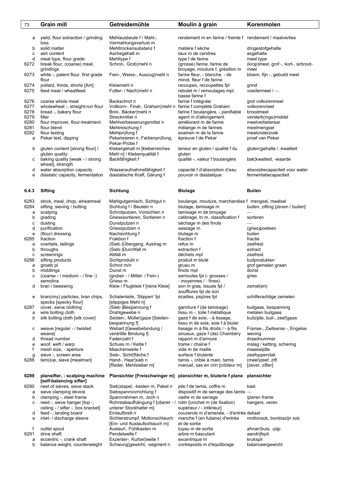| 73           | <b>Grain mill</b>                                       | Getreidemühle                                               | Moulin à grain                                            | Korenmolen                                |
|--------------|---------------------------------------------------------|-------------------------------------------------------------|-----------------------------------------------------------|-------------------------------------------|
|              |                                                         |                                                             |                                                           |                                           |
| а            | yield, flour extraction / grinding                      | Mehlausbeute f / Mahl-,                                     | rendement m en farine / freinte f rendement / maalverlies |                                           |
|              | loss                                                    | Vermahlungsverlust m                                        |                                                           |                                           |
| b            | solid matter                                            | Mehltrockensubstanz f                                       | matière f sèche                                           | drogestofgehalte                          |
| с            | ash content                                             | Aschegehalt m                                               | taux m de cendres                                         | asgehalte                                 |
| d            | meal type, flour grade                                  | Mehltype f                                                  | type f de farine                                          | meel type                                 |
| 6272         | break flour, (coarse) meal,                             | Schrot-, Grob¦mehl n                                        | (grosse) farine, farine de                                | (krop)meel, grof -, kort-, schroot-       |
|              | grindings                                               |                                                             | broyage, mouture f, grésillon m                           | meel                                      |
| 6273         | white -, patent flour, first grade                      | Fein-, Weiss-, Auszug¦mehl n                                | farine fleur, - blanche, - de                             | bloem, fijn -, gebuild meel               |
|              | flour<br>pollard, thirds, shorts [Am]                   | Kleiemehl n                                                 | minot, fleur f de farine                                  |                                           |
| 6274<br>6275 | feed meal / wheatfeed                                   | Futter- / Nach¦mehl n                                       | recoupes, recoupettes fpl<br>rebulet m / remoulages mpl,  | grind<br>voedermeel $/$ —                 |
|              |                                                         |                                                             | basse farine f                                            |                                           |
| 6276         | coarse whole meal                                       | Backschrot n                                                | farine f intégrale                                        | grot volkorenmeel                         |
| 6277         | wholewheat -, straight-run flour                        | Vollkorn-, Final-, Graham¦mehl n farine f complète Graham   |                                                           | volkorenmeel                              |
| 6278         | bread -, bakery flour                                   | Brot-, Bäcker¦mehl n                                        | farine f boulangère, - panifiable                         | broodmeel                                 |
| 6279         | filler                                                  | Streckmittel n                                              | agent m d'allongement                                     | versterk(ings)middel                      |
| 6280         | flour improver, flour-treatment                         | Mehlverbesserungsmittel n                                   | améliorant m de farine                                    | meelverbeteraar                           |
| 6281         | flour blend                                             | Mehlmischung f                                              | mélange m de farines                                      | meelmengsel                               |
| 6282         | flour testing                                           | Mehlprüfung f                                               | examen m de la farine                                     | meelonderzoek                             |
| a            | Pekar test, dipping                                     | Pekarisieren n, Farbenprüfung,                              | épreuve f de Pekar                                        | proef van Pekar                           |
|              |                                                         | Pekar-Probe f                                               |                                                           |                                           |
| b            | gluten content [strong flour] /<br>gluten quality       | Klebergehalt m [kleberreiches<br>Mehl n] / Kleberqualität f | teneur en gluten / qualité f du<br>gluten                 | gluten¦gehalte / - kwaliteit              |
| с            | baking quality [weak - / strong                         | Backfähigkeit f                                             | qualité -, valeur f boulangère                            | bak¦kwaliteit, -waarde                    |
|              | wheat], strength                                        |                                                             |                                                           |                                           |
| d            | water absorption capacity                               | Wasseraufnahmefähigkeit f                                   | capacité f d'absorption d'eau                             | absorptiecapaciteit voor water            |
| е            | diastatic capacity, fermentation                        | diastatische Kraft, Gärung f                                | pouvoir m diastatique                                     | fermentatiecapaciteit                     |
|              |                                                         |                                                             |                                                           |                                           |
|              |                                                         |                                                             |                                                           |                                           |
| 6.4.3        | <b>Sifting</b>                                          | Sichtung                                                    | <b>Blutage</b>                                            | <b>Builen</b>                             |
|              |                                                         |                                                             |                                                           |                                           |
| 6283         | stock, meal, chop, wheatmeal                            | Mahlgutgemisch, Sichtgut n                                  | boulange, mouture, marchandise f mengsel, maalsel         |                                           |
| 6284         | sifting, sieving / bolting                              | Sichtung f / Beuteln n                                      | blutage, tamisage m                                       | builen, zifting [zeven / builen]          |
| а            | scalping                                                | Schrotputzen, Vorsichten n                                  | tamisage m de broyage                                     |                                           |
| b            | grading                                                 | Griesssortieren, Sortieren n                                | calibrage, tri m, classification f                        | sorteren                                  |
| с<br>d       | dusting<br>purification                                 | Dunstputzen n                                               | séchage m des finots                                      |                                           |
| е            | (flour) dressing                                        | Griessputzen n<br>Nachsichtung f                            | sassage m<br>blutage m                                    | (gries)poetsen<br>builen                  |
| 6285         | fraction                                                | Fraktion f                                                  | fraction f                                                | fractie                                   |
| а            | overtails, tailings                                     | (Sieb-)Übergang, Austrag m                                  | refus m                                                   | zeefrest                                  |
| b            | throughs                                                | (Sieb-)Durchfall m                                          | extraction f                                              | extract                                   |
| C            | screenings                                              | Abfall m                                                    | déchets mpl                                               | zeefrest                                  |
| 6286         | sifting products                                        | Sichtprodukt n                                              | produit m bluté                                           | builprodukten                             |
| а            | groats pl                                               | Schrot m/n                                                  | gruau m                                                   | grof gemalen graan                        |
| b            | middlings                                               | Dunst m                                                     | finots mpl                                                | donst                                     |
| с            | (coarse - / medium - / fine -)                          | (grober - / Mittel- / Fein-)                                | semoules fpl (- grosses /                                 | gries                                     |
|              | semolina                                                | Griess m                                                    | - moyennes / - fines)                                     |                                           |
| d            | bran / beeswing                                         | Kleie / Flugkleie f [reine Kleie]                           | son m gras, issues fpl /<br>soufflures fpl de son         | zemel(en)                                 |
| е            | bran(nny) particles, bran chips,                        | Schalenteile, 'Stippen' fpl                                 | écailles, pigûres fpl                                     | schilferachtige zemelen                   |
|              | specks [specky flour]                                   | [stippiges Mehl n]                                          |                                                           |                                           |
| 6287         | cover, sieve clothing                                   | (Sieb-)Bespannung f                                         | garniture f (de tamisage)                                 | builgaas, bespanning                      |
| а            | wire bolting cloth                                      | Drahtgewebe n                                               | tissu m -, toile f métallique                             | metalen builgaas                          |
| b            | silk bolting cloth [silk cover]                         | Seiden-, Müller¦gaze [Seiden-                               | gaze f de soie, - à tissage,                              | builzijde, buil-, zeef¦gaas               |
|              |                                                         | bespannung fl                                               | tissu m de soie, soie f à bluter                          |                                           |
| с            | weave [regular - / twisted                              | Webart [Gewebebindung /                                     | tissage m à fils droits / - à fils                        | Franse-, Zwitserse -, Engelse             |
|              | weave]                                                  | verdrillte Bindung f]                                       | sinueux, gaze f (de) Chambéry                             | weving                                    |
| d            | thread number<br>woof, weft / warp                      | Fadenzahl f<br>Schuss m / Kette f                           | rapport m d'armure<br>trame / chaîne f                    | draadnummer<br>inslag / ketting, schering |
| е<br>f       | mesh size, - aperture                                   | Maschenweite f                                              | vide m de maille                                          | maaswijdte                                |
| g            | sieve -, screen area                                    | Sieb-, Sicht¦fläche f                                       | surface f blutante                                        | zeefoppervlak                             |
| 6288         | tem(s)e, sieve [mealman]                                | Hand-, Haar¦sieb n                                          | tamis -, crible à main, tamis                             | (meel)zeef, zift                          |
|              |                                                         | [Reder, Mehlsieber m]                                       | manuel, sas en crin [cribleur m]                          | [zever, zifter]                           |
|              |                                                         |                                                             |                                                           |                                           |
| 6289         | plansifter, - scalping machine                          | Plansichter [Freischwinger m]                               | plansichter m, bluterie f plane                           | plansichter                               |
|              | [self-balancing sifter]                                 |                                                             |                                                           |                                           |
| 6290         | nest of sieves, sieve stack                             | Sieb¦stapel, -kasten m, Paket n                             | pile f de tamis, coffre m                                 | kast                                      |
| a            | sieve clamping device                                   | Siebspannvorrichtung f                                      | dispositif m de serrage des tamis                         |                                           |
| b<br>с       | clamping -, steel frame<br>reed -, sieve hanger [top -, | Spannrahmen m, Joch n<br>Rohrstabaufhängung f [oberer - /   | cadre m de serrage<br>rotin [crochet m (de fixation)      | ijzeren frame                             |
|              | ceiling - / sifter -, box bracket]                      | unterer Stockhalter m]                                      | supérieur / - inférieur]                                  | hangers, veren                            |
| d            | feed -, landing board                                   | Einlaufbrett n                                              | couvercle m d'amenée, - d'entrée deksel                   |                                           |
| е            | inlet- / discharge sleeve                               | Sichterstrumpf, Moltonschlauch                              | manche f (en futaine) d'entrée                            | moltonsok, bombazijn sok                  |
|              |                                                         | [Ein- und Auslaufschlauch m]                                | et de sortie                                              |                                           |
| t            | outlet spout                                            | Auslauf-, Fühlkasten m                                      | tuyau m de sortie                                         | afvoer¦buis, -pijp                        |
| 6291         | drive shaft                                             | Pendelwelle f                                               | arbre m basculant                                         | aandrijfspil                              |
| a            | eccentric -, crank shaft                                | Exzenter-, Kurbel¦welle f                                   | excentrique m                                             | krukspil                                  |
| b            | balance weight, counterweight                           | Schwung¦gewicht, -segment n                                 | contrepoids m d'équilibrage                               | balanceergewicht                          |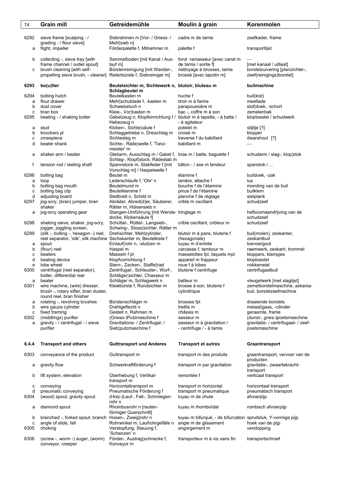| 74        | Grain mill                                                                                                                        | Getreidemühle                                                                                   | Moulin à grain                                                                | Korenmolen                                                                            |
|-----------|-----------------------------------------------------------------------------------------------------------------------------------|-------------------------------------------------------------------------------------------------|-------------------------------------------------------------------------------|---------------------------------------------------------------------------------------|
| 6292      | sieve frame [scalping - /<br>grading - / flour sieve]                                                                             | Siebrahmen m [Vor- / Griess- /<br>Mehl¦sieb n]                                                  | cadre m de tamis                                                              | zeefkader, frame                                                                      |
| a         | flight, impeller                                                                                                                  | Förderpalette f, Mitnehmer m                                                                    | palette f                                                                     | transportlijst                                                                        |
| b         | collecting -, sieve tray [with                                                                                                    | Sammelboden [mit Kanal / Aus-                                                                   | fond ramasseur [avec canal m                                                  |                                                                                       |
| с         | frame channel / outlet spout]<br>brush cleaning [with self-<br>propelling sieve brush, - cleaner] Reiterbürste f, Siebreiniger m] | lauf m]<br>Bürstenreinigung [mit Wander-,                                                       | de tamis / sortie f]<br>nettoyage à brosses, tamis<br>brossé [avec tapotin m] | [met kanaal / uitlaat]<br>borstelzuivering [planzichter-,<br>zeef(reinigings)borstel] |
| 6293      | bo(u)Iter                                                                                                                         | Beutelsichter m, Sichtewerk n, blutoir, bluteau m<br>Schlagbeutel m                             |                                                                               | builmachine                                                                           |
| 6294      | bolting hutch                                                                                                                     | Beutelkasten m                                                                                  | huche f                                                                       | buil(kist)                                                                            |
| а         | flour drawer                                                                                                                      | Mehl¦schublade f, -kasten m                                                                     | tiroir m à farine                                                             | meellade                                                                              |
| b         | dust cover                                                                                                                        | Schweisstuch n                                                                                  | parapoussière m                                                               | stof¦doek, -schort                                                                    |
| c<br>6295 | bran box<br>beating - / shaking bolter                                                                                            | Kleie-, Vor¦kasten m<br>Gabelzeug n, Klopfeinrichtung f /<br>Hebezeug n                         | bac -, coffre m à son<br>blutoir m à tapette, - à batte /<br>- à agitateur    | zemelenbak<br>kloptoestel / schudwerk                                                 |
| а         | stud                                                                                                                              | Kloben-, Sichte¦säule f                                                                         | potelet m                                                                     | stijltje [?]                                                                          |
| b         | knockers pl                                                                                                                       | Schlaggetriebe n, Dreischlag m                                                                  | croisé m                                                                      | klopper                                                                               |
| с         | crosspiece                                                                                                                        | Sichtesteg m                                                                                    | traverse f du babillard                                                       | dwarshout [?]                                                                         |
| d         | beater shank                                                                                                                      | Sichte-, Räde¦welle f, 'Tanz-<br>meister' m                                                     | babillard m                                                                   |                                                                                       |
| е         | shaker arm / beater                                                                                                               | Gleitarm, Ausschlag m / Gabel f, bras m / batte, baguette f<br>Schlag-, Klopf¦stock, Rädestab m |                                                                               | schudarm / slag-, klop¦stok                                                           |
| f         | tension rod / reeling shaft                                                                                                       | Spannstock m, Stabfeder f [mit]<br>Vorschlag m] / Haspelwelle f                                 | bâton - / axe m tendeur                                                       | spanstok /                                                                            |
| 6296      | bolting bag                                                                                                                       | Beutel m                                                                                        | étamine f                                                                     | buildoek, -zak                                                                        |
| a         | loop                                                                                                                              | Lederschlaufe f. 'Ohr' n                                                                        | lanière, attache f                                                            | lus                                                                                   |
| b<br>c    | bolting bag mouth<br>bolting bag clip                                                                                             | Beutelmund m<br>Beutelklemme f                                                                  | bouche f de l'étamine<br>pince f de l'étamine                                 | monding van de buil<br>builklem                                                       |
| d         | adjusting board                                                                                                                   | Stellbrett n, Schild m                                                                          | planche f de réglage                                                          | stelplank                                                                             |
| 6297      | jog-scry, (bran) jumper, bran<br>shaker                                                                                           | Abräder, Abred(d)er, Säuberer,<br>Rätter m, Hülsensieb n                                        | crible m oscillant                                                            | schudzeef                                                                             |
| а         | jog-scry operating gear                                                                                                           | Stangen-Umführung [mit Wende-tringlage m<br>docke, Klobensäule f]                               |                                                                               | hefboomaandrijving van de<br>schudzeef                                                |
| 6298      | shaking sieve, shaker, jog-scry,<br>jogger, joggling screen,                                                                      | Schüttel-, Rüttel-, Langsieb-,<br>Schwing-, Stoss¦sichter, Rätter m                             | crible oscillant, cribleur m                                                  | schudzeef                                                                             |
| 6299      | (silk -, bolting -, hexagon -) reel,                                                                                              | Drehsichter, Mehlzylinder,                                                                      | blutoir m à pans, bluterie f                                                  | buil(molen), zeskanter,<br>zeskantbuil                                                |
| а         | reel separator, 'silk', silk machine Sechskanter m, Beutelkiste f<br>spout                                                        | Einlauf¦rohr n, -stutzen m                                                                      | (hexagonale)<br>tuyau m d'entrée                                              | toevoergoot                                                                           |
| b         | (flour) reel                                                                                                                      | Haspel m                                                                                        | carcasse f, tambour m                                                         | raamwerk, zeskant, trommel                                                            |
| с         | beaters                                                                                                                           | Masseln f pl                                                                                    | masselottes fpl, taquets mpl                                                  | kloppers, klampjes                                                                    |
| d         | beating device                                                                                                                    | Klopfvorrichtung f                                                                              | appareil m frappeur                                                           | kloptoestel                                                                           |
| e         | lobe wheel                                                                                                                        | Stern-, Zacken-, Staffel¦rad                                                                    | roue f à lobes                                                                | nokkenwiel                                                                            |
| 6300      | centrifugal (reel separator),<br>bolter, differential reel                                                                        | Zentrifugal-, Schleuder-, Wurf-,<br>Schläger¦sichter, Chasseur m                                | bluterie f centrifuge                                                         | centrifugaalbuil                                                                      |
| а         | beater                                                                                                                            | Schläger m, Schlagwerk n                                                                        | batteur m                                                                     | vleugelwerk [met slaglijst]                                                           |
| 6301      | wire machine, (wire) dresser,<br>brush -, rotary sifter, bran duster,<br>round reel, bran finisher                                | Kleiebürste f. Rundsichter m                                                                    | brosse à son, bluterie f<br>cylindrique                                       | zemelborstelmaschine, askania-<br>buil, borstelzeefmachine                            |
| а         | rotating -, revolving brushes                                                                                                     | Bürstenschläger m                                                                               | brosses fpl                                                                   | draaiende borstels                                                                    |
| b         | wire gauze cylinder                                                                                                               | Drahtgeflecht n                                                                                 | treillis m                                                                    | metaal¦gaas, -cilinder                                                                |
| с         | fixed framing                                                                                                                     | Gestell n, Rahmen m                                                                             | châssis m                                                                     | geraamte, frame                                                                       |
| 6302      | (middlings) purifier                                                                                                              | (Griess-)Putzmaschine f                                                                         | sasseur m                                                                     | (dunst-, gries-)poetsmaschine                                                         |
| a         | gravity - / centrifugal - / sieve<br>purifier                                                                                     | Gravitations- / Zentrifugal- /<br>Sieb¦putzmaschine f                                           | sasseur m à gravitation /<br>- centrifuge / - à tamis                         | gravitatie- / centrifugaal- / zeef-<br>poetsmaschine                                  |
| 6.4.4     | <b>Transport and others</b>                                                                                                       | <b>Guttransport und Anderes</b>                                                                 | <b>Transport et autres</b>                                                    | Graantransport                                                                        |
| 6303      | conveyance of the product                                                                                                         | Guttransport m                                                                                  | transport m des produits                                                      | graantransport, vervoer van de<br>producten                                           |
| а         | gravity flow                                                                                                                      | Schwerkraftförderung f                                                                          | transport m par gravitation                                                   | gravitatie-, zwaartekracht-<br>transport                                              |
| b         | lift system, elevation                                                                                                            | Uberhebung f, Vertikal-                                                                         | remontée f                                                                    | verticaal transport                                                                   |
| с         | conveying                                                                                                                         | transport m<br>Horizontaltransport m                                                            | transport m horizontal                                                        | horizontaal transport                                                                 |
| d<br>6304 | pneumatic conveying<br>(wood) spout, gravity spout                                                                                | Pneumatische Förderung f<br>(Holz-)Lauf-, Fall-, Schmiegen-                                     | transport m pneumatique<br>tuyau m de chute                                   | pneumatisch transport<br>afvoerpijp                                                   |
| а         | diamond spout                                                                                                                     | rohr n<br>Rhombusrohr n [rauten-                                                                | tuyau m rhomboïdal                                                            | rombisch afvoerpijp                                                                   |
| b         | branched -, forked spout, branch Hosen-, Zweig¦rohr n                                                                             | förmiger Querschnitt]                                                                           | tuyau m bifurqué, - de bifurcation spruitstuk, Y-vormige pijp                 |                                                                                       |
| c<br>6305 | angle of slide, fall<br>choking                                                                                                   | Rohrwinkel m, Laufrohrgefälle n<br>Verstopfung, Stauung f,                                      | angle m de glissement<br>engorgement m                                        | hoek van de pijp<br>verstopping                                                       |
| 6306      | (screw -, worm -) auger, (worm)                                                                                                   | 'Schanzen' n<br>Förder-, Austrag¦schnecke f,                                                    | transporteur m à vis sans fin                                                 | transportschroef                                                                      |
|           | conveyor, creeper                                                                                                                 | Konveyor m                                                                                      |                                                                               |                                                                                       |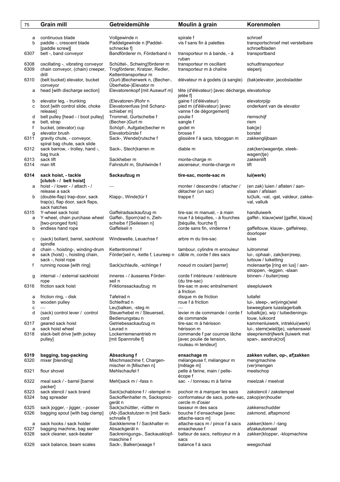| 75           | <b>Grain mill</b>                                           | Getreidemühle                                                   | Moulin à grain                                                                   | Korenmolen                                                                            |
|--------------|-------------------------------------------------------------|-----------------------------------------------------------------|----------------------------------------------------------------------------------|---------------------------------------------------------------------------------------|
|              |                                                             |                                                                 |                                                                                  |                                                                                       |
| а            | continuous blade                                            | Vollgewinde n                                                   | spirale f                                                                        | schroef                                                                               |
| b            | paddle -, crescent blade<br>[paddle screw][                 | Paddelgewinde n [Paddel-<br>schnecke f]                         | vis f sans fin à palettes                                                        | transportschroef met verstelbare<br>schroefbladen                                     |
| 6307         | belt -, band conveyor                                       | Bandförderer m, Förderband n                                    | transporteur m à bande, - à<br>ruban                                             | transportband                                                                         |
| 6308         | oscillating -, vibrating conveyor                           | Schüttel-, Schwing¦förderer m                                   | transporteur m oscillant                                                         | schudtransporteur                                                                     |
| 6309         | chain conveyor, (chain) creeper,<br>drill                   | Trogförderer, Kratzer, Redler,<br>Kettentransporteur m          | transporteur m à chaîne                                                          | sleperij                                                                              |
| 6310         | (belt bucket) elevator, bucket<br>conveyor                  | (Gurt-)Becherwerk n, (Becher-,<br>Überhebe-)Elevator m          | élévateur m à godets (à sangle)                                                  | (bak) elevator, jacobsladder                                                          |
| а            | head [with discharge section]                               | Elevatorenkopf [mit Auswurf m]                                  | tête (d'élévateur) [avec décharge, elevatorkop<br>jetée f                        |                                                                                       |
| b<br>с       | elevator leg, - trunking<br>boot [with control slide, choke | (Elevatoren-)Rohr n<br>Elevatorenfuss [mit Schanz-              | gaine f (d'élévateur)<br>pied m (d'élévateur) [avec                              | elevatorpijp<br>onderkant van de elevator                                             |
| d            | release]<br>belt pulley [head - / boot pulley]              | schieber m]<br>Trommel, Gurtscheibe f                           | vanne f de dégorgement]<br>poulie f                                              | riemschijf                                                                            |
| е            | belt, strap                                                 | (Becher-)Gurt m                                                 | sangle f                                                                         | riem                                                                                  |
| f            | bucket, (elevator) cup                                      | Schöpf-, Aufgabe¦becher m                                       | godet m                                                                          | bak(je)                                                                               |
| g            | elevator brush                                              | Elevatorbürste f                                                | brosse f                                                                         | borstel                                                                               |
| 6311         | gravity chute, - conveyor,<br>spiral bag chute, sack slide  | Sack-, Wendel¦rutsche f                                         | glissière f à sacs, toboggan m                                                   | zakkenglijbaan                                                                        |
| 6312         | sack barrow, - trolley, hand -,<br>bag truck                | Sack-, Stech¦karren m                                           | diable m                                                                         | zak(ken)wagentje, steek-<br>wagen(tje)                                                |
| 6313<br>6314 | sack lift<br>man lift                                       | Sackheber m<br>Fahrstuhl m, Stuhlwinde f                        | monte-charge m<br>ascenseur, monte-charge m                                      | zakkenlift<br>lift                                                                    |
| 6314         | sack hoist, - tackle<br>[clutch - / belt hoist]             | Sackaufzug m                                                    | tire-sac, monte-sac m                                                            | lui(werk)                                                                             |
| а            | hoist - / lower - / attach - /<br>release a sack            |                                                                 | monter / descendre / attacher /<br>détacher (un sac)                             | (en zak) luien / aflaten / aan-<br>slaan / afslaan                                    |
| b            | (double-flap) trap-door, sack                               | Klapp-, Winde¦tür f                                             | trappe f                                                                         | lui¦luik, -val, -gat, valdeur, zakke-                                                 |
|              | trap(s), flap door, sack flaps,<br>sack hatches             |                                                                 |                                                                                  | val, valluik                                                                          |
| 6315         | Y-wheel sack hoist                                          | Gaffelradsackaufzug m                                           | tire-sac m manuel, - à main                                                      | handluiwerk                                                                           |
| а            | Y-wheel, chain purchase wheel                               | Gaffel-, Sporn¦rad n, Zieh-<br>scheibe f [Seileisen n]          | roue f à béquilles, - à fourches                                                 | gaffel-, klauw¦wiel [gaffel, klauw]                                                   |
| b            | [two-pronged fork]<br>endless hand rope                     | Gaffelseil n                                                    | [béquille, fourche f]<br>corde sans fin, vindenne f                              | gaffeltouw, klauw-, gaffelreep,<br>doorloper                                          |
| с            | (sack) bollard, barrel, sackhoist<br>spindle                | Windewelle, Leuachse f                                          | arbre m du tire-sac                                                              | luias                                                                                 |
| d            | chain -, hoisting-, winding-drum                            | Kettentrommel f                                                 | tambour, cylindre m enrouleur                                                    | luitrommel                                                                            |
| е            | sack (hoist) -, hoisting chain,                             | Förder¦seil n, -kette f, Leureep n                              | câble m, corde f des sacs                                                        | lui-, ophaal-, zak(ken)reep,                                                          |
| f            | sack -, hoist rope<br>running noose [with ring]             | Sack¦schlaufe, -schlinge f                                      | noeud m coulant [serrer]                                                         | luitouw / luiketting<br>molenaartje [ring en lus] / aan-<br>stroppen, -leggen, -slaan |
| g            | internal - / external sackhoist<br>rope                     | inneres - / äusseres Förder-<br>seil n                          | corde f intérieure / extérieure<br>(du tire-sac)                                 | binnen- / buiten¦reep                                                                 |
| 6316         | friction sack hoist                                         | Friktionssackaufzug m                                           | tire-sac m avec entraînement<br>à friction                                       | sleepluiwerk                                                                          |
| а<br>b       | friction ring, - disk<br>wooden pulley                      | Tafelrad n<br>Schleifrad n                                      | disque m de friction<br>roue f à friction                                        | luitafel<br>lui-, sleep-, wrijvings¦wiel                                              |
| с            |                                                             | Leu¦balken, -steg m                                             | $\overbrace{\phantom{12333}}$                                                    | beweegbare luiaslagerbalk                                                             |
| d            | (sack) control lever / control                              | Steuerhebel m / Steuerseil,                                     | levier m de commande / corde f                                                   | luibalk(je), wip / luibedienings-                                                     |
| 6317         | cord<br>geared sack hoist                                   | Bedienungstau n<br>Getriebesackaufzug m                         | de commande<br>tire-sac m à hérisson                                             | touw, luikoord<br>kammenluiwerk, intreklui(werk)                                      |
| а            | sack hoist wheel                                            | Leurad n                                                        | hérisson m                                                                       | lui-, sterre¦wiel(tje), varkenswiel                                                   |
| 6318         | slack-belt drive [with jockey<br>pulley]                    | Lockerriemenantrieb m<br>[mit Spannrolle f]                     | commande f par courroie lâche<br>[avec poulie de tension,<br>rouleau m tendeur]  | sleepriemdrijfwerk [luiwerk met<br>span-, aandruk¦rol]                                |
|              |                                                             |                                                                 |                                                                                  |                                                                                       |
| 6319<br>6320 | bagging, bag-packing                                        | Absackung f<br>Mischmaschine f, Chargen-                        | ensachage m                                                                      | zakken vullen, op-, af¦zakken                                                         |
| 6321         | mixer [blending]<br>flour shovel                            | mischer m [Mischen n]<br>Mehlschaufel f                         | mélangeuse f, mélangeur m<br>[mêlage m]<br>pelle à farine, main / pelle-         | mengmachine<br>(ver)mengen<br>meelschop                                               |
| 6322         | meal sack / - barrel [barrel                                | Mehl¦sack m / -fass n                                           | écope f<br>sac - / tonneau m à farine                                            | meelzak / meelvat                                                                     |
|              | packer]                                                     |                                                                 |                                                                                  |                                                                                       |
| 6323<br>6324 | sack stencil / sack brand<br>bag spreader                   | Sack¦schablone f / -stempel m<br>Sackoffenhalter m, Sackspreiz- | pochoir m à marquer les sacs<br>conformateur de sacs, porte-sac, zakop(en)houder | zakstencil / zakstempel                                                               |
| 6325         | sack jogger, - jigger, - posser                             | gerät n<br>Sack¦schüttler, -rüttler m                           | cercle m d'osier<br>tasseur m des sacs                                           | zakkenschudder                                                                        |
| 6326         | bagging spout [with bag clamp]                              | (Ab-)Sackstutzen m [mit Sack-<br>schnalle f                     | bouche f d'ensachage [avec<br>attache-sacs m]                                    | zakmond, aftapmond                                                                    |
| а            | sack hooks / sack holder                                    | Sackklemme f / Sackhalter m                                     | attache-sacs m / pince f à sacs                                                  | zakken¦klem / -tang                                                                   |
| 6327         | bagging machine, bag sealer                                 | Absackgerät n                                                   | ensacheuse f                                                                     | afzakautomaat                                                                         |
| 6328         | sack cleaner, sack-beater                                   | Sackreinigungs-, Sackausklopf-                                  | batteur de sacs, nettoyeur m à                                                   | zakken¦klopper, -klopmachine                                                          |
| 6329         | sack balance, beam scales                                   | maschine f<br>Sack-, Balken¦waage f                             | sacs<br>balance f à sacs                                                         | weegschaal                                                                            |
|              |                                                             |                                                                 |                                                                                  |                                                                                       |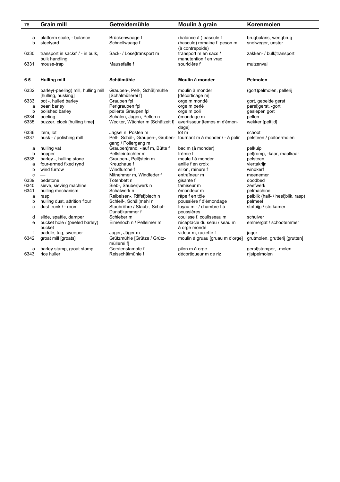| 76   | <b>Grain mill</b>                       | Getreidemühle                                                    | Moulin à grain                              | Korenmolen                        |
|------|-----------------------------------------|------------------------------------------------------------------|---------------------------------------------|-----------------------------------|
|      |                                         |                                                                  |                                             |                                   |
| а    | platform scale, - balance               | Brückenwaage f                                                   | (balance à ) bascule f                      | brugbalans, weegbrug              |
| b    | steelyard                               | Schnellwaage f                                                   | (bascule) romaine f, peson m                | snelweger, unster                 |
|      |                                         |                                                                  | (à contrepoids)                             |                                   |
| 6330 | transport in sacks' / - in bulk,        | Sack- / Lose¦transport m                                         | transport m en sacs /                       | zakken- / bulk¦transport          |
|      | bulk handling                           |                                                                  | manutention f en vrac                       |                                   |
| 6331 | mouse-trap                              | Mausefalle f                                                     | souricière f                                | muizenval                         |
|      |                                         |                                                                  |                                             |                                   |
| 6.5  | <b>Hulling mill</b>                     | Schälmühle                                                       | Moulin à monder                             | Pelmolen                          |
|      |                                         |                                                                  |                                             |                                   |
| 6332 | barley(-peeling) mill, hulling mill     | Graupen-, Pell-, Schäl¦mühle                                     | moulin à monder                             | (gort)pelmolen, pellerij          |
|      | [hulling, husking]                      | [Schälmüllerei f]                                                | [décorticage m]                             |                                   |
| 6333 | pot -, hulled barley                    | Graupen fpl                                                      | orge m mondé                                | gort, gepelde gerst               |
| a    | pearl barley                            | Perlgraupen fpl                                                  | orge m perlé                                | parellgerst, -gort                |
| b    | polished barley                         | polierte Graupen fpl                                             | orge m poli                                 | geslepen gort                     |
| 6334 | peeling                                 | Schälen, Jagen, Pellen n                                         | émondage m                                  | pellen                            |
| 6335 | buzzer, clock [hulling time]            | Wecker, Wächter m [Schälzeit f]                                  | avertisseur [temps m d'émon-                | wekker [peltijd]                  |
|      |                                         |                                                                  | dage]                                       |                                   |
| 6336 | item, lot                               | Jagsel n, Posten m                                               | lot m                                       | schoot                            |
| 6337 | husk - / polishing mill                 | Pell-, Schäl-, Graupen-, Gruben- tournant m à monder / - à polir |                                             | pelsteen / poitoermolen           |
|      |                                         | gang / Poliergang m                                              |                                             |                                   |
| a    | hulling vat                             | Graupen¦rand, -lauf m, Bütte f                                   | bac m (à monder)                            | pelkuip                           |
| b    | hopper                                  | Pellsteintrichter m                                              | trémie f                                    | pel¦romp, -kaar, maalkaar         |
| 6338 | barley -, hulling stone                 | Graupen-, Pell¦stein m                                           | meule f à monder                            | pelsteen                          |
| a    | four-armed fixed rynd                   | Kreuzhaue f                                                      | anille f en croix                           | viertakrijn                       |
| b    | wind furrow                             | Windfurche f                                                     | sillon, rainure f                           | windkerf                          |
| C    |                                         | Mitnehmer m, Windfeder f                                         | entraîneur m                                | meenemer                          |
| 6339 | bedstone                                | Totenbett n                                                      | gisante f                                   | doodbed                           |
| 6340 | sieve, sieving machine                  | Sieb-, Sauber¦werk n                                             | tamiseur m                                  | zeefwerk                          |
| 6341 | hulling mechanism                       | Schälwerk n                                                      | émondeur m                                  | pelmachine                        |
| a    | rasp                                    | Reibeisen-, Riffel¦blech n                                       | râpe f en tôle                              | pelblik (half- / heel¦blik, rasp) |
| b    | hulling dust, attrition flour           | Schleif-, Schäl¦mehl n                                           | poussière f d'émondage                      | pelmeel                           |
| c    | dust trunk / - room                     | Staubröhre / Staub-, Schal-                                      | tuyau m - / chambre f à                     | stofpijp / stofkamer              |
|      |                                         | Dunst¦kammer f<br>Schieber m                                     | poussières                                  |                                   |
| d    | slide, spattle, damper                  | Eimerloch n / Pelleimer m                                        | coulisse f, coulisseau m                    | schuiver                          |
| e    | bucket hole / (peeled barley)<br>bucket |                                                                  | réceptacle du seau / seau m<br>à orge mondé | emmergat / schootemmer            |
| f    | paddle, tag, sweeper                    | Jager, Jäger m                                                   | videur m, raclette f                        | jager                             |
| 6342 | groat mill [groats]                     | Grützmühle [Grütze / Grütz-                                      | moulin à gruau [gruau m d'orge]             | grutmolen, grutterij [grutten]    |
|      |                                         | müllerei fl                                                      |                                             |                                   |
| a    | barley stamp, groat stamp               | Gerstenstampfe f                                                 | pilon m à orge                              | gerst¦stamper, -molen             |
| 6343 | rice huller                             | Reisschälmühle f                                                 | décortiqueur m de riz                       | rijstpelmolen                     |
|      |                                         |                                                                  |                                             |                                   |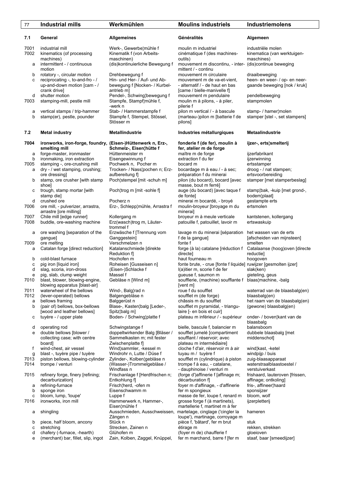| 77                | <b>Industrial mills</b>                                                                                                 | Werkmühlen                                                                                            | <b>Moulins industriels</b>                                                                                                                     | Industriemolens                                                                |
|-------------------|-------------------------------------------------------------------------------------------------------------------------|-------------------------------------------------------------------------------------------------------|------------------------------------------------------------------------------------------------------------------------------------------------|--------------------------------------------------------------------------------|
| 7.1               | General                                                                                                                 | <b>Allgemeines</b>                                                                                    | Généralités                                                                                                                                    | Algemeen                                                                       |
| 7001<br>7002<br>а | industrial mill<br>kinematics (of processing<br>machines)<br>intermittent - / continuous                                | Werk-, Gewerbe¦mühle f<br>Kinematik f (von Arbeits-<br>maschinen)<br>(dis) kontinuierliche Bewegung f | moulin m industriel<br>cinématique f (des machines-<br>outils)<br>mouvement m discontinu, - inter- (dis)continue beweging                      | industriële molen<br>kinematica (van werktuigen-<br>maschines)                 |
| b<br>с            | motion<br>rotatory -, circular motion<br>reciprocating -, to-and-fro - /<br>up-and-down motion [cam - /<br>crank drive] | Drehbewegung f<br>Hin- und Her- / Auf- und Ab-<br>bewegung f [Nocken- / Kurbel-<br>antrieb m]         | mittent / - continu<br>mouvement m circulaire<br>mouvement m de va-et-vient.<br>- alternatif / - de haut en bas<br>[came / bielle-manivelle f] | draaibeweging<br>heen- en weer- / op- en neer-<br>gaande beweging [nok / kruk] |
| d<br>7003         | shutter motion<br>stamping-mill, pestle mill                                                                            | Pendel-, Schwing¦bewegung f<br>Stampfe, Stampf¦mühle f,<br>-werk n                                    | mouvement m pendulaire<br>moulin m à pilons, - à piler,<br>pilerie f                                                                           | pendelbeweging<br>stampmolen                                                   |
| а<br>b            | vertical stamps / trip-hammer<br>stamp(er), pestle, pounder                                                             | Stab- / Hammerstampfe f<br>Stampfe f, Stempel, Stössel,<br>Stösser m                                  | pilon m vertical / - à bascule<br>(marteau-)pilon m [batterie f de<br>pilons]                                                                  | stamp- / hamer¦molen<br>stamper [stel -, set stampers]                         |
| 7.2               | <b>Metal industry</b>                                                                                                   | <b>Metallindustrie</b>                                                                                | Industries métallurgiques                                                                                                                      | <b>Metaalindustrie</b>                                                         |
| 7004<br>а         | ironworks, iron-forge, foundry, (Eisen-)Hüttenwerk n, Erz-,<br>smelting mill<br>forge-master, ironmaster                | Schmelz-, Eisen¦hütte f<br>Hüttenmeister m                                                            | fonderie f (de fer), moulin à<br>fer, atelier m de forge<br>maître m de forge                                                                  | ijzer-, erts¦smelterij<br>ijzerfabrikant                                       |
| b                 | ironmaking, iron extraction                                                                                             | Eisengewinnung f                                                                                      | extraction f du fer                                                                                                                            | ijzerwinning                                                                   |
| 7005              | stamping -, ore-crushing mill                                                                                           | Pochwerk n, Pocher m                                                                                  | bocard m                                                                                                                                       | ertsstamper                                                                    |
| a                 | dry - / wet stamping, crushing;                                                                                         | Trocken- / Nass¦pochen n; Erz-<br>aufbereitung f]                                                     | bocardage m à eau / - à sec;                                                                                                                   | droog - / nat stampen;                                                         |
| b                 | ore dressing]<br>stamp, ore crusher [with stamp<br>shoel                                                                | Poch¦stempel [mit -schuh m]                                                                           | préparation f du minerai<br>pilon (du bocard), bocard [avec<br>masse, bout m ferré]                                                            | ertsvoorbereiding<br>stamper [met stamperbeslag]                               |
| с                 | trough, stamp mortar [with<br>stamp die]                                                                                | Poch¦trog m [mit -sohle f]                                                                            | auge (du bocard) [avec taque f<br>de fonte]                                                                                                    | stamp¦bak, -kuip [met grond-,<br>bodem¦plaat]                                  |
| d<br>7006         | crushed ore<br>ore mill, - pulverizer, arrastra,<br>arrastre [ore milling]                                              | Pocherz n<br>Erz-, Schlepp¦mühle, Arrastra f                                                          | minerai m bocardé, - broyé<br>moulin-broyeur [broyage m du<br>minerail                                                                         | gestampte erts<br>ertsmolen                                                    |
| 7007<br>7008      | Chile mill [edge runner]<br>buddle, ore-washing machine                                                                 | Kollergang m<br>Erz(wasch)trog m, Läuter-<br>trommel f                                                | broyeur m à meule verticale<br>patouille f, patouillet, lavoir m                                                                               | kantstenen, kollergang<br>ertswaskuip                                          |
| а                 | ore washing [separation of the                                                                                          | Erzwäsche f [Trennung vom                                                                             | lavage m du minerai [séparation                                                                                                                | het wassen van de erts                                                         |
|                   | gangue]                                                                                                                 | Ganggestein]                                                                                          | f de la gangue]                                                                                                                                | [afscheiden van mijnsteen]                                                     |
| 7009<br>a         | ore melting<br>Catalan forge [direct reduction]                                                                         | Verschmelzen n<br>Katalanschmiede [direkte                                                            | fonte f<br>forge (à la) catalane [réduction f                                                                                                  | smelten<br>Catalaanse (hoog) oven [directe                                     |
|                   |                                                                                                                         | Reduktion f                                                                                           | directe]                                                                                                                                       | reductie]                                                                      |
| b<br>C            | cold-blast furnace<br>pig iron [liquid iron]                                                                            | Hochofen m<br>Roheisen [Gusseisen n]                                                                  | haut fourneau m<br>fonte brute, - crue [fonte f liquide] ruwijzer [gesmolten ijzer]                                                            | hoogoven                                                                       |
| d                 | slag, scoria, iron-dross                                                                                                | (Eisen-)Schlacke f                                                                                    | I(a)itier m, scorie f de fer                                                                                                                   | slak(ken)                                                                      |
| e                 | pig, slab, clump weight                                                                                                 | Massel f                                                                                              | gueuse f, saumon m                                                                                                                             | gieteling, geus                                                                |
| 7010              | blast, blower, blowing-engine,<br>blowing apparatus [blast-air]                                                         | Gebläse n [Wind m]                                                                                    | soufflerie, (machine) soufflante f blaas machine, -balg<br>[vent m]                                                                            |                                                                                |
| 7011              | waterwheel of the bellows                                                                                               | Wind-, Balg¦rad n                                                                                     | roue f du soufflet                                                                                                                             | waterrad van de blaasbalg(en)                                                  |
| 7012              | (lever-operated) bellows<br>bellows framing                                                                             | Balgengebläse n<br>Balggerüst n                                                                       | soufflet m (de forge)<br>châssis m du soufflet                                                                                                 | blaasbalg(en)<br>het raam van de blaasbalg(en)                                 |
| a<br>b            | (pair of) bellows, box-bellows                                                                                          | Blase-, Kasten¦balg [Leder-,                                                                          | soufflet m pyramidal, - triangu-                                                                                                               | (gewone) blaasbalg(en)                                                         |
|                   | [wood and leather bellows]                                                                                              | Spitz¦balg m]                                                                                         | laire [- en bois et cuir]                                                                                                                      |                                                                                |
| с                 | tuyère - / upper plate                                                                                                  | Boden- / Schwing¦platte f                                                                             | plateau m inférieur / - supérieur                                                                                                              | onder- / boven¦kant van de<br>blaasbalg                                        |
| d<br>е            | operating rod<br>double bellows [blower /                                                                               | Schwingstange f<br>doppeltwirkender Balg [Bläser /                                                    | bielle, bascule f, balancier m<br>soufflet jumelé [compartiment]                                                                               | balansboom<br>dubbele blaasbalg [met                                           |
|                   | collecting case; with centre                                                                                            | Sammelkasten m; mit fester                                                                            | soufflant / réservoir; avec                                                                                                                    | middenschot]                                                                   |
|                   | board]                                                                                                                  | Zwischenplatte f]                                                                                     | plateau m intermédiaire]                                                                                                                       |                                                                                |
| f                 | wind-chest, air vessel                                                                                                  | Wind¦sammler, -kessel m                                                                               | cloche f d'air, réservoir m à air                                                                                                              | wind¦kast, -ketel                                                              |
| g<br>7013         | blast -, tuyère pipe / tuyère<br>piston bellows, blowing-cylinder                                                       | Windrohr n, Lutte / Düse f<br>Zylinder-, Kolben¦gebläse n                                             | tuyau m / tuyère f<br>soufflet m (cylindrique) à piston                                                                                        | windpijp / buis<br>zuig-blaasapparaat                                          |
| 7014              | trompe / venturi                                                                                                        | (Wasser-)Trommelgebläse /<br>Windfass n                                                               | trompe f à eau, - catalane,<br>- dauphinoise / venturi m                                                                                       | waterstraalblaastoestel /<br>verstuiverkast                                    |
| 7015              | refinery forge, finery [refining;<br>decarburization]                                                                   | Frischanlage f [Herdfrischen n;<br>Entkohlung f]                                                      | (forge d')affinerie f [affinage m;<br>décarburation f]                                                                                         | frishaard, lauteroven [frissen,<br>affinage; ontkoling]                        |
| a<br>b            | refining-furnace<br>sponge iron                                                                                         | Frisch¦herd, -ofen m<br>Eisenschwamm m                                                                | foyer m d'affinage, - d'affinerie<br>fer m spongieux                                                                                           | fris-, affineer¦haard<br>sponsijzer                                            |
| с                 | bloom, lump, 'loupe'                                                                                                    | Luppe f                                                                                               | masse de fer, loupe f, renard m                                                                                                                | bloom, wolf                                                                    |
| 7016              | ironworks, iron mill                                                                                                    | Hammerwerk n, Hammer-,                                                                                | grosse forge f (à martinets),                                                                                                                  | ijzerpletterij                                                                 |
| а                 | shingling                                                                                                               | Eisen¦mühle f<br>Ausschmieden, Ausschweissen,                                                         | martellerie f, martinet m à fer<br>martelage, cinglage ('cingler la                                                                            | hameren                                                                        |
| b                 | piece, half bloom, ancony                                                                                               | Zängen n<br>Stück n                                                                                   | loupe'), martinage, corroyage m<br>pièce f, 'bâtard', fer m brut                                                                               | stuk                                                                           |
| с                 | stretching                                                                                                              | Strecken, Zainen n                                                                                    | étirage m                                                                                                                                      | rekken, strekken                                                               |
| d                 | chafery (-furnace, -hearth)                                                                                             | Glühofen m                                                                                            | (foyer m de) chaufferie f                                                                                                                      | gloeioven                                                                      |
| e                 | (merchant) bar, fillet, slip, ingot                                                                                     | Zain, Kolben, Zaggel, Knüppel,                                                                        | fer m marchand, barre f [fer m                                                                                                                 | staaf, baar [smeedijzer]                                                       |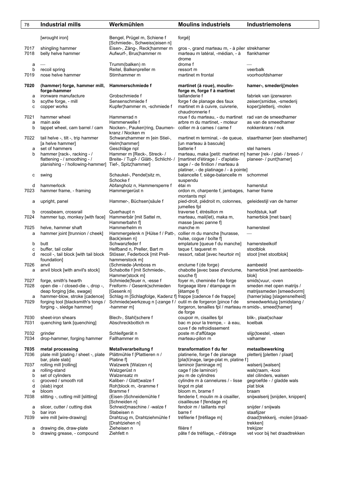| 78           | Industrial mills                                                | Werkmühlen                                                       | <b>Moulins industriels</b>                                                       | <b>Industriemolens</b>                                 |
|--------------|-----------------------------------------------------------------|------------------------------------------------------------------|----------------------------------------------------------------------------------|--------------------------------------------------------|
|              | [wrought iron]                                                  | Bengel, Prügel m, Schiene f                                      | forgé]                                                                           |                                                        |
|              |                                                                 | [Schmiede-, Schweiss¦eisen n]                                    |                                                                                  |                                                        |
| 7017<br>7018 | shingling hammer<br>belly helve hammer                          | Eisen-, Zäng-, Reck¦hammer m<br>Aufwurf-, Brus¦hammer m          | gros -, grand marteau m, - à piler strekhamer<br>marteau m latéral, -médian, - à | flankhamer                                             |
| а            |                                                                 | Trumm(balken) m                                                  | drome<br>drome f                                                                 |                                                        |
| b            | recoil spring                                                   | Reitel, Balkenpreller m                                          | ressort m                                                                        | veerbalk                                               |
| 7019         | nose helve hammer                                               | Stirnhammer m                                                    | martinet m frontal                                                               | voorhoofdshamer                                        |
| 7020         | (hammer) forge, hammer mill,                                    | Hammerschmiede f                                                 | martinet (à roue), moulin-                                                       | hamer-, smederij¦molen                                 |
|              | forge-hammer                                                    |                                                                  | forge m, forge f à martinet                                                      |                                                        |
| а            | ironware manufacture                                            | Grobschmiede f                                                   | taillanderie f                                                                   | fabriek van ijzerwaren                                 |
| b<br>С       | scythe forge, - mill<br>copper works                            | Sensenschmiede f<br>Kupfer¦hammer m, -schmiede f                 | forge f de planage des faux<br>martinet m à cuivre, cuivrerie,                   | zeisen¦smidse, -smederij<br>koper¦pletterij, -molen    |
|              |                                                                 |                                                                  | chaudronnerie f                                                                  |                                                        |
| 7021         | hammer wheel                                                    | Hammerrad n                                                      | roue f du marteau, - du martinet                                                 | rad van de smeedhamer                                  |
| a            | main axle                                                       | Hammerwelle f                                                    | arbre m du martinet, - moteur                                                    | as van de smeedhamer                                   |
| b            | tappet wheel, cam barrel / cam                                  | Nocken-, Pauken¦ring, Daumen-<br>kranz / Nocken m                | collier m à cames / came f                                                       | nokkenkrans / nok                                      |
| 7022         | tail helve -, tilt -, trip hammer                               | Schwanzhammer m [ein Stiel-,                                     | martinet m terminal, - de queue,                                                 | staarthamer [een steelhamer]                           |
|              | [a helve hammer]                                                | Helm¦hammer]                                                     | [un marteau à bascule]                                                           |                                                        |
| a<br>b       | set of hammers<br>hammer [rack-, racking - /                    | Geschläge npl<br>Hammer m [Reck-, Streck- /                      | batterie f<br>marteau, maka [petit: martinet m] hamer [rek- / plat- / breed- /   | stel hamers                                            |
|              | flattening - / smoothing - /                                    | Breite- / Tupf- / Glätt-, Schlicht- /                            | [martinet d'étirage / - d'aplatis-                                               | planeer- / punt¦hamer]                                 |
|              | planishing - / hollowing-hammer]                                | Tief-, Spitz¦hammer]                                             | sage / - de finition / marteau à                                                 |                                                        |
|              |                                                                 |                                                                  | platiner, - de platinage / - à pointe]<br>balancelle f, siège-balancelle m       |                                                        |
| с            | swing                                                           | Schaukel-, Pendel¦sitz m,<br>Schocke f                           | suspendu                                                                         | schommel                                               |
| d            | hammerlock                                                      | Abfangholz n, Hammersperre f                                     | étai m                                                                           | hamerstut                                              |
| 7023         | hammer frame, - framing                                         | Hammergerüst n                                                   | ordon m, charpente f, jambages, hamer frame                                      |                                                        |
| а            | upright, panel                                                  | Hammer-, Büchsen¦säule f                                         | montants mpl<br>pied-droit, piédroit m, colonnes,                                | geleidestijl van de hamer                              |
|              |                                                                 |                                                                  | jumelles fpl                                                                     |                                                        |
| b            | crossbeam, crossrail                                            | Querhaupt n                                                      | traverse f, étrésillon m                                                         | hoofdstuk, kalf                                        |
| 7024         | hammer tup, monkey [with face]                                  | Hammerbär [mit Sattel m,<br>Hammerbahn fl                        | marteau, mail(let), maka m,<br>masse [avec panne f]                              | hamerblok [met baan]                                   |
| 7025         | helve, hammer shaft                                             | Hammerhelm m                                                     | manche m                                                                         | hamersteel                                             |
| a            | hammer joint [trunnion / cheek]                                 | Hammergelenk n [Hülse f / Patt-,                                 | collier m du manche [hurasse,                                                    |                                                        |
|              |                                                                 | Backleisen nl                                                    | hulse, cogue / boîte f]                                                          | hamersteelkolf                                         |
| b<br>с       | butt<br>buffer, tail collar                                     | Schwanzfeder f<br>Helfband n, Preller, Bart m                    | emplature [queue f du manche]<br>taque f, taqueret m                             | stootblok                                              |
| d            | recoil -, tail block [with tail block                           | Stösser, Federbock [mit Prell-                                   | ressort, rabat [avec heurtoir m]                                                 | stoot [met stootblok]                                  |
|              | foundation]                                                     | hammerstock m]                                                   |                                                                                  |                                                        |
| 7026<br>a    | anvil<br>anvil block [with anvil's stock]                       | (Schmiede-)Amboss m<br>Schabotte f [mit Schmiede-,               | enclume f (de forge)<br>chabotte [avec base d'enclume,                           | aambeeld<br>hamerblok [met aambeelds-                  |
|              |                                                                 | Hammer¦stock m]                                                  | souche f]                                                                        | blok]                                                  |
| 7027         | forge, smith's hearth                                           | Schmiede¦feuer n, -esse f                                        | foyer m, cheminée f de forge                                                     | smids¦vuur, -oven                                      |
| 7028         | open die - / closed-die -, drop -,<br>deap forging [die, swage] | Freiform- / Gesenk¦schmieden<br>[Gesenk n]                       | forgeage libre / étampage m<br>[étampe f]                                        | smeden met open matrijs /<br>matrijssmeden [smeedvorm] |
| а            | hammer-blow, stroke [cadence]                                   | Schlag m [Schlagfolge, Kadenz f] frappe [cadence f de frappe]    |                                                                                  | (hamer)slag [slagensnelheid]                           |
| 7029         | forging tool [blacksmith's tongs /                              | Schmiede, werkzeug n [-zange f / outil m de forgeron [pince f de |                                                                                  | smeedwerktuig [smidstang /                             |
|              | forging -, sledge hammer]                                       | -hammer m]                                                       | forgeron, tenailles fpl / marteau m smids-, smeed¦hamer]                         |                                                        |
| 7030         | sheet-iron shears                                               | Blech-, Stahl¦schere f                                           | de forge<br>coupoir m, cisailles fpl                                             | blik-, plaat¦schaar                                    |
| 7031         | quenching tank [quenching]                                      | Abschreckbottich m                                               | bac m pour la trempe, - à eau,                                                   | koelbak                                                |
|              |                                                                 |                                                                  | cuve f de refroidissement                                                        |                                                        |
| 7032<br>7034 | grinder<br>drop-hammer, forging hammer                          | Schleifgerät n<br>Fallhammer m                                   | poste m d'affûtage<br>marteau-pilon m                                            | slijp¦toestel, -steen<br>valhamer                      |
|              |                                                                 |                                                                  |                                                                                  |                                                        |
| 7035<br>7036 | metal processing<br>plate mill [plating / sheet -, plate        | Metallverarbeitung f<br>Plättmühle f [Plattieren n /             | transformation f du fer<br>platinerie, forge f de planage                        | metaalbewerking<br>pletterij [pletten / plaat]         |
|              | bar, plate slab]                                                | Platine f                                                        | [pla(ti)nage, large-plat m, platine f]                                           |                                                        |
| 7037         | rolling mill [rolling]                                          | Walzwerk [Walzen n]                                              | laminoir [laminage m]                                                            | walserij [walsen]                                      |
| а            | rolling-stand                                                   | Walzgerüst n                                                     | cage f (de laminoir)                                                             | wals¦raam, -kooi                                       |
| b<br>с       | set of cylinders<br>grooved / smooth roll                       | Walzensatz m<br>Kaliber- / Glatt¦walze f                         | jeu m de cylindres<br>cylindre m à cannelures / - lisse                          | stel cilinders, walsen<br>gegroefde - / gladde wals    |
| d            | (slab) ingot                                                    | Roh¦block m, -bramme f                                           | lingot m plat                                                                    | plat blok                                              |
| е            | bloom                                                           | Bramme f                                                         | bloom m, brame f                                                                 | braam                                                  |
| 7038         | slitting -, cutting mill [slitting]                             | (Eisen-)Schneidemühle f<br>[Schneiden n]                         | fenderie f, moulin m à cisailler,<br>cisailleuse f [fendage m]                   | snijwalserij [snijden, knippen]                        |
| а            | slicer, cutter / cutting disk                                   | Schneid¦maschine / -walze f                                      | fendoir m / taillants mpl                                                        | snijder / snijwals                                     |
| b<br>7039    | bar iron<br>wire mill [wire-drawing]                            | Stabeisen n                                                      | barre f<br>tréfilerie f [tréfilage m]                                            | staafijzer<br>draad¦trekkerij, -molen [draad-          |
|              |                                                                 | Drahtzug m, Drahtziehmühle f<br>[Drahtziehen n]                  |                                                                                  | trekken]                                               |
| а            | drawing die, draw-plate                                         | Zieheisen n                                                      | filière f                                                                        | trekijzer                                              |
| b            | drawing grease, - compound                                      | Ziehfett n                                                       | pâte f de tréfilage, - d'étirage                                                 | vet voor bij het draadtrekken                          |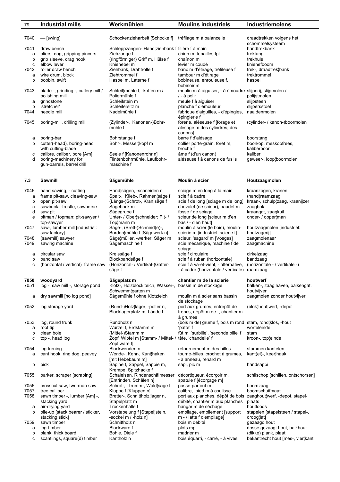| 79     | <b>Industrial mills</b>             | Werkmühlen                                             | <b>Moulins industriels</b>                                      | <b>Industriemolens</b>                      |
|--------|-------------------------------------|--------------------------------------------------------|-----------------------------------------------------------------|---------------------------------------------|
|        |                                     |                                                        |                                                                 |                                             |
| 7040   | $-\sqrt{3}$                         | Schockenzieharbeit [Schocke f]                         | tréfilage m à balancelle                                        | draadtrekken volgens het<br>schommelsysteem |
| 7041   | draw bench                          | Schleppzangen-, Hand¦ziehbank f filière f à main       |                                                                 | handtrekbank                                |
| a      | pliers, dog, gripping pincers       | Ziehzange f                                            | chien m, tenailles fpl                                          | trektang                                    |
| b      | grip sleeve, drag hook              | (ringförmiger) Griff m, Hülse f                        | chaînon m                                                       | trekhuls                                    |
| с      | elbow lever                         | Kniehebel m                                            | levier m coudé                                                  | kniehefboom                                 |
| 7042   | roller draw bench                   | Ziehbank, Drahtrolle f                                 | banc m d'étirage, tréfileuse f                                  | trek-, draadtrek¦bank                       |
| a      | wire drum, block                    | Ziehtrommel f                                          | tambour m d'étirage                                             | trektrommel                                 |
| b      | bobbin, swift                       | Haspel m, Laterne f                                    | bobineuse, enrouleuse f,                                        | haspel                                      |
|        |                                     |                                                        | bobinoir m                                                      |                                             |
| 7043   | blade -, grinding -, cutlery mill / | Schleif¦mühle f, -kotten m /                           | moulin m à aiguiser, - à émoudre slijperij, slijpmolen /        |                                             |
|        | polishing mill                      | Poliermühle f                                          | / - à polir                                                     | polijstmolen                                |
| а      | grindstone                          | Schleifstein m                                         | meule f à aiguiser                                              | slijpsteen                                  |
| b      | 'stretcher'                         | Schleifersitz m                                        | planche f d'émouleur                                            | slijpersstoel                               |
| 7044   | needle mill                         | Nadelmühle f                                           | fabrique d'aiguilles, - d'épingles,                             | naaldenmolen                                |
|        |                                     |                                                        | épinglerie f                                                    |                                             |
| 7045   | boring-mill, drilling mill          | (Zylinder-, Kanonen-)Bohr-                             | forerie, aléseuse f [forage et                                  | (cylinder- / kanon-)boormolen               |
|        |                                     | mühle f                                                | alésage m des cylindres, des<br>canons]                         |                                             |
|        | boring-bar                          | Bohrstange f                                           | barre f d'alésage                                               | boorstang                                   |
| а<br>b | cutter(-head), boring-head          | Bohr-, Messer¦kopf m                                   | collier porte-grain, foret m,                                   | boorkop, meskopfrees,                       |
|        | with cutting-blade                  |                                                        | broche f                                                        | kaliberboor                                 |
|        | calibre, caliber, bore [Am]         |                                                        |                                                                 | kaliber                                     |
| с<br>d | boring-machinery for                | Seele f [Kanonenrohr n]                                | âme f (d'un canon)                                              |                                             |
|        |                                     | Flintenbohrmühle, Laufbohr-                            | aléseuse f à canons de fusils                                   | geweer-, loop¦boormolen                     |
|        | gun-barrels, barrel drill           | maschine f                                             |                                                                 |                                             |
| 7.3    | <b>Sawmill</b>                      | Sägemühle                                              | Moulin à scier                                                  | Houtzaagmolen                               |
|        |                                     |                                                        |                                                                 |                                             |
| 7046   | hand sawing, - cutting              | Hand¦sägen, -schneiden n                               | sciage m en long à la main                                      | kraanzagen, kranen                          |
| a      | frame pit-saw, cleaving-saw         | Spalt-, Klieb-, Rahmen¦säge f                          | scie f à cadre                                                  | (hand)raamzaag                              |
| b      | open pit-saw                        | (Längs-)Schrot-, Kran¦säge f                           | scie f de long [sciage m de long]                               | kraan-, schulp¦zaag, kraanijzer             |
| C      | sawbuck, -trestle, sawhorse         | Sägebock m                                             | chevalet (de scieur), baudet m.                                 | zaagbok                                     |
| d      | saw pit                             | Sägegrube f                                            | fosse f de sciage                                               | kraangat, zaagkuil                          |
| e      | pitman / topman; pit-sawyer /       | Unter- / Ober¦schneider; Pit- /                        | scieur de long [scieur m d'en                                   | onder- / opper¦man                          |
|        | top-sawyer                          | Top¦mann m                                             | bas / - d'en haut]                                              |                                             |
| 7047   | saw-, lumber mill [industrial:      | Säge-, (Brett-)Schneid(e)-,                            | moulin à scier (le bois), moulin-                               | houtzaagmolen [industriël:                  |
|        | saw factory]                        | Borden¦mühle f [Sägewerk n]                            | scierie m [industriel: scierie f]                               | houtzagerij]                                |
| 7048   | (sawmill) sawyer                    | Säge¦müller, -werker, Säger m                          | scieur, 'sagard' m [Vosges]                                     | zaagmolenaar                                |
| 7049   | sawing machine                      | Sägemaschine f                                         | scie mécanique, machine f de                                    | zaagmachine                                 |
|        |                                     |                                                        | sciage                                                          |                                             |
| а      | circular saw                        | Kreissäge f                                            | scie f circulaire                                               | cirkelzaag                                  |
| b      | band saw                            | Blockbandsäge f                                        | scie f à ruban (horizontale)                                    | bandzaag                                    |
| c      | (horizontal / vertical) frame saw   | (Horizontal- / Vertikal-)Gatter-                       | scie f à va-et-vient, - alternative,                            | (horizontale - / vertikale -)               |
|        |                                     | säge f                                                 | - à cadre (horizontale / verticale) raamzaag                    |                                             |
| 7050   | woodyard                            | Sägeplatz m                                            | chantier m de la scierie                                        | houtwerf                                    |
| 7051   | log -, saw mill -, storage pond     | Klotz-, Holzblock¦teich, Wasser-,                      | bassin m de stockage                                            | balken-, zaag¦haven, balkengat,             |
|        |                                     | Schwemm¦garten m                                       |                                                                 | houtvijver                                  |
| a      | dry sawmill [no log pond]           | Sägemühle f ohne Klotzteich                            | moulin m à scier sans bassin                                    | zaagmolen zonder houtvijver                 |
|        |                                     |                                                        | de stockage                                                     |                                             |
| 7052   |                                     | (Rund-)Holz¦lager, -polter n,                          | port aux grumes, entrepôt de                                    | (blok)hout¦werf, -depot                     |
|        | log storage yard                    | Blocklagerplatz m, Lände f                             | troncs, dépôt m de -, chantier m                                |                                             |
|        |                                     |                                                        | à grumes                                                        |                                             |
| 7053   | log, round trunk                    | Rundholz n                                             | (bois m de) grume f, bois m rond stam, rond klos, -hout         |                                             |
| а      | root tip                            | Wurzel f, Erdstamm m                                   | 'patte' f                                                       | worteleinde                                 |
| b      | clean bole                          | (Mittel-)Stamm m                                       | fût m, 'surbille', 'seconde bille' f                            | stam                                        |
| c      | top -, head log                     | Zopf, Wipfel m [Stamm- / Mittel- / tête, 'chandelle' f |                                                                 | kroon-, topleinde                           |
|        |                                     | Zopf¦ware f]                                           |                                                                 |                                             |
| 7054   | log turning                         | Blockwenden n                                          | retournement m des billes                                       | stammen kantelen                            |
| a      | cant hook, ring dog, peavey         | Wende-, Kehr-, Kant¦haken                              | tourne-billes, crochet à grumes,                                | kant(el)-, keer¦haak                        |
|        |                                     | [mit Hebebaum m]                                       | - à anneau, renard m                                            |                                             |
| b      | pick                                | Sapine f, Sappel, Sappie m,                            | sapi, pic m                                                     | handsappi                                   |
|        |                                     | Krempe, Spitzhacke f                                   |                                                                 |                                             |
| 7055   | barker, scraper [scraping]          | Schäleisen, Rindenschälmesser                          | décortiqueur, écorçoir m,                                       | schilschop [schillen, ontschorsen]          |
|        |                                     | [Entrinden, Schälen n]                                 | spatule f [écorçage m]                                          |                                             |
| 7056   | crosscut saw, two-man saw           | Schrot-, Trumm-, Wald¦säge f                           | passe-partout m                                                 | boomzaag                                    |
| 7057   | tree calliper                       | Kluppe f [Kluppen n]                                   | calibre, pied m à coulisse                                      | boomschuifmaat                              |
| 7058   | sawn timber -, lumber [Am] -,       | Bretter-, Schnittholz¦lager n,                         | port aux planches, dépôt de bois zaaghout werf, -depot, stapel- |                                             |
|        | stacking yard                       | Stapelplatz m                                          | débité, chantier m aux planches                                 | plaats                                      |
| a      | air-drying yard                     | Trockenhalle f                                         | hangar m de séchage                                             | houtloods                                   |
| b      | pile-up [stack bearer / sticker,    | Vorstapelung f [Stapel¦stein,                          | empilage, empilement [support                                   | stapelen [stapelsteen / stapel-,            |
|        | stacking stick]                     | -sockel m / -holz n]                                   | m - / latte f d'empilage]                                       | droog¦lat]                                  |
| 7059   | sawn timber                         | Schnittholz n                                          | bois m débité                                                   | gezaagd hout                                |
| a      | log-timber                          | Blockware f                                            | plots mpl                                                       | dosse gezaagt hout, balkhout                |
| b      | plank, thick board                  | Bohle, Diele f                                         | madrier m                                                       | (dikke) plank, plaat                        |
| с      | scantlings, square(d) timber        | Kantholz n                                             | bois équarri, - carré, - à vives                                | bekantrecht hout [mes-, vier¦kant           |
|        |                                     |                                                        |                                                                 |                                             |
|        |                                     |                                                        |                                                                 |                                             |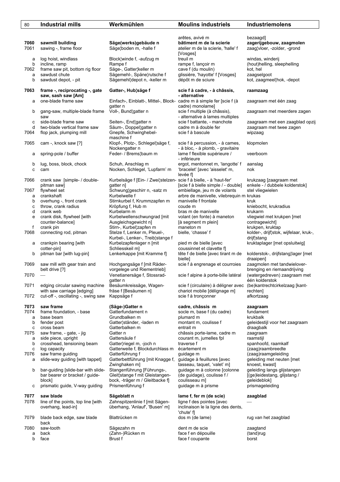| 80           | <b>Industrial mills</b>                                           | Werkmühlen                                                                                  | <b>Moulins industriels</b>                                                                    | Industriemolens                                                           |
|--------------|-------------------------------------------------------------------|---------------------------------------------------------------------------------------------|-----------------------------------------------------------------------------------------------|---------------------------------------------------------------------------|
|              |                                                                   |                                                                                             |                                                                                               |                                                                           |
| 7060<br>7061 | sawmill building<br>sawing -, frame floor                         | Säge(werks)gebäude n<br>Säge¦boden m, -halle f                                              | arêtes, avivé m<br>bâtiment m de la scierie<br>atelier m de la scierie, 'halle' f<br>[Vosges] | bezaagd]<br>zagerijgebouw, zaagmolen<br>zaag¦vloer, -zolder, -grond       |
| а<br>b       | log hoist, windlass<br>incline, ramp                              | Block, winde f, -aufzug m<br>Rampe f                                                        | treuil m<br>rampe f, lançoir m                                                                | windas, winderij<br>(hout)helling, sleephelling                           |
| 7062         | frame saw pit, bottom rig floor                                   | Säge-, Gatter¦keller m                                                                      | cave f (du moulin)                                                                            | kot, hel                                                                  |
| a<br>b       | sawdust chute<br>sawdust depot, - pit                             | Sägemehl-, Späne¦rutsche f<br>Sägemehl¦depot n, -keller m                                   | glissière, 'hayotte' f [Vosges]<br>dépôt m de sciure                                          | zaagselgoot<br>kot, zaagmeel¦hok, -depot                                  |
| 7063         | frame -, reciprocating -, gate<br>saw, sash saw [Am]              | Gatter-, Hub¦säge f                                                                         | scie f à cadre, - à châssis,<br>- alternative                                                 | raamzaag                                                                  |
| a            | one-blade frame saw                                               | Einfach-, Einblatt-, Mittel-, Block- cadre m à simple fer [scie f (à<br>gatter n            | cadre) monolame]                                                                              | zaagraam met één zaag                                                     |
| b            | gang-saw, multiple-blade frame<br>saw                             | Voll-, Bund¦gatter n                                                                        | scie f multiple (à châssis),<br>- alternative à lames multiples                               | zaagraam met meerdere zagen                                               |
| с            | side-blade frame saw                                              | Seiten-, End¦gatter n                                                                       | scie f battante, - manchote                                                                   | zaagraam met een zaagblad opzij                                           |
| d<br>7064    | two-blade vertical frame saw<br>flop jack, plumping mill          | Säum-, Doppel¦gatter n<br>Gnepfe, Schwinghebel-<br>maschine f                               | cadre m à double fer<br>scie f à bascule                                                      | zaagraam met twee zagen<br>wipzaag                                        |
| 7065         | cam -, knock saw [?]                                              | Klopf-, Plotz-, Schlegel¦säge f,<br>Nockengatter n                                          | scie f à percussion, - à cames,<br>- à bloc, - à plomb, - gravitaire                          | klopmolen                                                                 |
| а            | spring-pole / buffer                                              | Feder- / Brems¦baum m                                                                       | lame f flexible supérieure /<br>- inférieure                                                  | veerboom                                                                  |
| b<br>c       | lug, boss, block, chock<br>cam                                    | Schuh, Anschlag m<br>Nocken, Schlegel, 'Lupfarm' m                                          | ergot, mentonnet m, 'langotte' f<br>'bracelet' [avec 'aisselet' m,<br>levée fl                | aanslag<br>nok                                                            |
| 7066         | crank saw [simple- / double-<br>pitman saw]                       | Kurbelsäge f [Ein- / Zwei¦stelzen-<br>gatter n]                                             | scie f à bielle, - à 'haut-fer'<br>[scie f à bielle simple / - double]                        | krukzaag [zaagraam met<br>enkele - / dubbele kolderstok]                  |
| 7067         | flywheel set                                                      | Schwung¦geschirr n, -satz m                                                                 | embiellage, jeu m de volants                                                                  | stel vliegwielen                                                          |
| a            | crankshaft                                                        | Kurbelwelle f                                                                               | arbre de manivelle, vilebrequin m krukas                                                      |                                                                           |
| b<br>с       | overhung -, front crank<br>throw, crank radius                    | Stirnkurbel f, Krummzapfen m<br>Kröpfung f, Hub m                                           | manivelle f frontale<br>coude m                                                               | kruk<br>kniebocht, krukradius                                             |
| d            | crank web                                                         | Kurbelarm m                                                                                 | bras m de manivelle                                                                           | krukarm                                                                   |
| e            | crank disk, flywheel [with                                        | Kurbelwellenschwungrad [mit                                                                 | volant (en fonte) à maneton                                                                   | vliegwiel met krukpen [met                                                |
|              | counter-balance]                                                  | Ausgleichsgewicht n]                                                                        | [à segment m plein]                                                                           | contragewicht]                                                            |
| f<br>7068    | crank pin<br>connecting rod, pitman                               | Stirn-, Kurbel¦zapfen m<br>Stelze f, Lenker m, Pleuel-,<br>Kurbel-, Lenker-, Treib¦stange f | maneton m<br>bielle, 'chasse' f                                                               | krukpen, kruktap<br>kolder-, drijf¦stok, wijfelaar, kruk-,<br>drijf¦stang |
| а            | crankpin bearing [with<br>cotter-pin]                             | Kurbelzapfenlager n [mit<br>Schliesskeil m]                                                 | pied m de bielle [avec<br>coussinnet et clavette fl                                           | kruktaplager [met opsluitwig]                                             |
| b            | pitman bar [with lug-pin]                                         | Lenkerkappe [mit Kramme f]                                                                  | tête f de bielle [avec tirant m de<br>bielle]                                                 | kolderstok-, drijfstang¦lager [met<br>draaipen]                           |
| 7069         | saw mill with gear train and<br>belt drive [?]                    | Hochgangsäge f [mit Räder-<br>vorgelege und Riementrieb]                                    | scie f à engrenage et courroies                                                               | zaagmolen met tandwielover-<br>brenging en riemaandrijving                |
| 7070         |                                                                   | Venetianersäge f, Stossrad-<br>gatter n                                                     | scie f alpine à porte-bille latéral                                                           | (watergedreven) zaagraam met<br>één kolderstok                            |
| 7071         | edging circular sawing machine                                    | Besäumkreissäge, Wagen-                                                                     | scie f (circulaire) à déligner avec                                                           | (be)kantrechtcirkelzaag [kant-                                            |
| 7072         | with saw carriage [edging]<br>cut-off -, oscillating -, swing saw | fräse f [Besäumen n]<br>Kappsäge f                                                          | chariot mobile [délignage m]<br>scie f à tronçonner                                           | rechten]<br>afkortzaag                                                    |
| 7073<br>7074 | saw frame<br>frame foundation, - base                             | (Säge-)Gatter n<br>Gatterfundament n                                                        | cadre, châssis m<br>socle m, base f (du cadre)                                                | zaagraam<br>fundament                                                     |
| a            | base beam                                                         | Grundbalken m                                                                               | plumard m                                                                                     | krukbalk                                                                  |
| b            | fender post                                                       | Gatter¦ständer, -laden m                                                                    | montant m, coulisse f                                                                         | geleidestijl voor het zaagraam                                            |
| с<br>7075    | cross beam<br>saw frame, - gate, - jig                            | Gatterbalken m<br>Gatter n                                                                  | entrait m<br>châssis porte-lame, cadre m                                                      | draagbalk<br>zaagraam                                                     |
| a            | side piece, upright                                               | Gattersäule f                                                                               | courant m, jumelles fpl                                                                       | raamstijl                                                                 |
| b            | crosshead, tensioning beam                                        | Gatter¦riegel m, -joch n                                                                    | traverse f                                                                                    | spanhoofd, raamkalf                                                       |
| с            | log capacity                                                      | Gatterweite f, Blockdurchlass m                                                             | écartement m                                                                                  | (zaag)raambreedte                                                         |
| 7076<br>a    | saw frame guiding<br>slide-way guiding [with tappet]              | Gatterführung f<br>Gatterbettführung [mit Knagge f,<br>Zwinghaken m]                        | guidage m<br>guidage à feuillures [avec<br>tasseau, taquet, 'valet' m]                        | (zaag)raamgeleiding<br>geleiding met neuten [met<br>knoest, kwast]        |
| b            | bar-guiding [slide-bar with slide-                                | Stangenführung [Führungs-,                                                                  | guidage m à colonne [colonne                                                                  | geleiding langs glijstangen                                               |
|              | bar bearer or bracket / guide-                                    | Gleit¦stange f mit Gleistangen-                                                             | (de guidage), coulisse f/                                                                     | [(ge)leidestang, glijstang /                                              |
| с            | block]<br>prismatic guide, V-way guiding                          | bock, -träger m / Gleitbacke f]<br>Prismenführung f                                         | coulisseau m]<br>guidage m à prisme                                                           | geleideblok]<br>prismageleiding                                           |
| 7077         | saw blade                                                         | Sägeblatt n                                                                                 | lame f, fer m (de scie)                                                                       | zaagblad                                                                  |
| 7078         | line of the points, top line [with]<br>overhang, lead-in]         | Zahnspitzenlinie f [mit Sägen-<br>überhang, 'Anlauf', 'Busen' m]                            | ligne f des pointes [avec<br>inclinaison le la ligne des dents,                               |                                                                           |
| 7079         | blade back edge, saw blade<br>back                                | Blattrücken m                                                                               | 'chute' fl<br>dos m (de lame)                                                                 | rug van het zaagblad                                                      |
| 7080         | saw-tooth                                                         | Sägezahn m                                                                                  | dent m de scie                                                                                | zaagtand                                                                  |
| a            | back                                                              | (Zahn-)Rücken m                                                                             | face f en dépouille                                                                           | (tand)rug                                                                 |
| b            | face                                                              | Brust f                                                                                     | face f coupante                                                                               | borst                                                                     |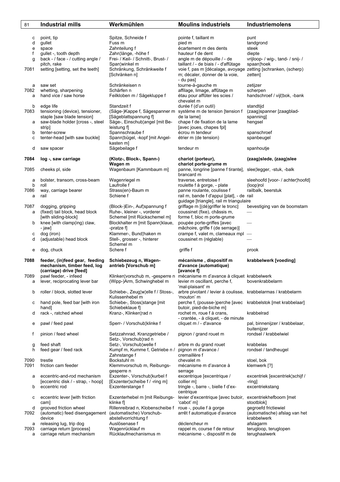| 81     | <b>Industrial mills</b>                                       | Werkmühlen                                             | <b>Moulins industriels</b>                                                 | <b>Industriemolens</b>                        |
|--------|---------------------------------------------------------------|--------------------------------------------------------|----------------------------------------------------------------------------|-----------------------------------------------|
| с      | point, tip                                                    | Spitze, Schneide f                                     | pointe f, taillant m                                                       | punt                                          |
| d      | gullet                                                        | Fuss m                                                 | pied m                                                                     | tandgrond                                     |
| е      | space                                                         | Zahnteilung f                                          | écartement m des dents                                                     | steek                                         |
| f      | gullet -, tooth depth                                         | Zahn¦länge, -höhe f                                    | hauteur f de dent                                                          | diepte                                        |
| g      | back - / face - / cutting angle /                             | Frei- / Keil- / Schnitt-, Brust- /                     | angle m de dépouille / - de                                                | vrijloop- / wig-, tand- / snij- /             |
|        | pitch, rake                                                   | Span¦winkel m                                          | taillant / - de biais / - d'affûtage                                       | spaan¦hoek                                    |
| 7081   | setting [setting, set the teeth]                              | Schränkung, Schränkweite f                             | voie f, pas m [décalage, avoyage zetting [schranken, (scherp)              |                                               |
|        |                                                               | [Schränken n]                                          | m; décaler, donner de la voie,                                             | zetten]                                       |
|        |                                                               |                                                        | - du pas]                                                                  |                                               |
| а      | saw set                                                       | Schränkeisen n                                         | tourne-à-gauche m                                                          | zetijzer                                      |
| 7082   | whetting, sharpening                                          | Schärfen n                                             | affilage, limage, affûtage m                                               | scherpen                                      |
| а      | hand vice / saw horse                                         | Feilkloben m / Sägekluppe f                            | étau pour affûter les scies /                                              | handschroef / vijl¦bok, -bank                 |
|        |                                                               |                                                        | chevalet m                                                                 |                                               |
| b      | edge life                                                     | Standzeit f                                            | durée f (d'un outil)                                                       | standtijd                                     |
| 7083   | tensioning (device), tensioner,<br>staple [saw blade tension] | (Säge-)Kappe f, Sägespanner m<br>[Sägeblattspannung f] | système m de tension [tension f<br>de la lame]                             | (zaag)spanner [zaagblad-<br>spanning          |
| а      | saw-blade holder [cross -, steel                              | Säge-, Einschub¦angel [mit Be-                         | chape f de fixation de la lame                                             | hengsel                                       |
|        | strip]                                                        | leistung f                                             | [avec joues, chapes fpl]                                                   |                                               |
| b      | tenter-screw                                                  | Spannschraube f                                        | écrou m tendeur                                                            | spanschroef                                   |
| с      | tenter-head [with saw buckle]                                 | Spann¦bügel, -kopf [mit Angel-                         | étrier m (de tension)                                                      | spanbeugel                                    |
|        |                                                               | kasten m]                                              |                                                                            |                                               |
| d      | saw spacer                                                    | Sägebeilage f                                          | tendeur m                                                                  | spanhoutje                                    |
|        |                                                               |                                                        |                                                                            |                                               |
| 7084   | log -, saw carriage                                           | (Klotz-, Block-, Spann-)                               | chariot (porteur),                                                         | (zaag)slede, (zaag)slee                       |
|        |                                                               | Wagen m                                                | chariot porte-grume m                                                      |                                               |
| 7085   | cheeks pl, side                                               | Wagenbaum [Kammbaum m]                                 | panne, longrine [panne f tirante], slee; legger, -stuk, -balk              |                                               |
|        |                                                               |                                                        | brancard m<br>traverse, entretoise f                                       |                                               |
| а<br>b | bolster, transom, cross-beam<br>roll                          | Wagenriegel m<br>Laufrolle f                           | roulette f à gorge, - plate                                                | sleehoofd [voor- / achter hoofd]<br>(loop)rol |
| 7086   | way, carriage bearer                                          | Strass(en)-Baum m                                      | panne roulante, coulisse f                                                 | railbalk, beerstuk                            |
| а      | rail                                                          | Schiene f                                              | rail m, bande f d'appui [plat], - de rail                                  |                                               |
|        |                                                               |                                                        | guidage [triangle], rail m triangulaire                                    |                                               |
| 7087   | dogging, gripping                                             | (Block-)Ein-, Auf¦spannung f                           | griffage m [(dé)griffer le tronc]                                          | bevestiging van de boomstam                   |
| а      | (fixed) tail block, head block                                | Ruhe-, kleiner -, vorderer                             | coussinet (fixe), châssis m,                                               |                                               |
|        | [with sliding-block]                                          | Schemel [mit Rückschemel m]                            | forme f, bloc m porte-grume                                                |                                               |
| b      | knee [with clamp(ing) claw,                                   | Blockhalter m [mit Spann klaue,                        | poupée porte-griffes [avec                                                 |                                               |
|        | - jaw]                                                        | -pratze f]                                             | mâchoire, griffe f (de serrage)]                                           |                                               |
| с      | dog (iron)                                                    | Klammer-, Bund¦haken m                                 | crampe f, valet m, clameaux mpl                                            | $\overline{\phantom{m}}$                      |
| d      | (adjustable) head block                                       | Stell-, grosser -, hinterer                            | coussinet m (réglable)                                                     |                                               |
|        |                                                               | Schemel m<br>Schere f                                  |                                                                            |                                               |
| е      | dog, chuck                                                    |                                                        | griffe f                                                                   | prook                                         |
| 7088   | feeder, (in)feed gear, feeding                                | Schiebezeug n, Wagen-                                  | mécanisme, dispositif m                                                    | krabbelwerk [voeding]                         |
|        | mechanism, timber feed, log                                   | antrieb [Vorschub m]                                   | d'avance (automatique)                                                     |                                               |
|        | (carriage) drive [feed]                                       |                                                        | [avance f]                                                                 |                                               |
| 7089   | pawl feeder, - infeed                                         |                                                        | Klinken¦vorschub m, -gesperre n mécanisme m d'avance à cliquet krabbelwerk |                                               |
| а      | lever, reciprocating lever bar                                | (Wipp-)Arm, Schwinghebel m                             | levier m oscillant, perche f,                                              | bovenkrabbelarm                               |
|        |                                                               |                                                        | 'mal-plaisant' m                                                           |                                               |
| b      | roller / block, slotted lever                                 | Schiebe-, Zeug¦w¦elle f / Stoss-,                      | arbre pivotant / levier à coulisse, krabbelarmas / krabbelarm              |                                               |
|        | hand pole, feed bar [with iron                                | Kulissenhebel m                                        | 'mouton' m<br>perche f, (pousse-)perche [avec                              |                                               |
| с      | hand]                                                         | Schiebe-, Stoss¦stange [mit]<br>Schiebeklaue fl        | butoir, pied-de-biche m]                                                   | krabbelstok [met krabbelaar]                  |
| d      | rack -, ratched wheel                                         | Kranz-, Klinken¦rad n                                  | rochet m, roue f à crans,                                                  | krabbelrad                                    |
|        |                                                               |                                                        | - crantée, - à cliquet, - de minute                                        |                                               |
| е      | pawl / feed pawl                                              | Sperr- / Vorschub¦klinke f                             | cliquet m / - d'avance                                                     | pal, binnenijzer / krabbelaar,                |
|        |                                                               |                                                        |                                                                            | buitenijzer                                   |
| f      | pinion / feed wheel                                           | Setzzahnrad, Kranzgetriebe /                           | pignon / grand rouet m                                                     | rondsel / krabbelwiel                         |
|        |                                                               | Setz-, Vorschub¦rad n                                  |                                                                            |                                               |
| g      | feed shaft                                                    | Setz-, Vorschub¦welle f                                | arbre m du grand rouet                                                     | krabbelas                                     |
| h      | feed gear / feed rack                                         | Kumpf m, Kumme f, Getriebe n /                         | pignon m d'avance /<br>cremaillère f                                       | rondsel / tandheugel                          |
| 7090   | trestle                                                       | Zahnstange f<br>Bockstuhl m                            | chevalet m                                                                 | stoel, bok                                    |
| 7091   | friction cam feeder                                           | Klemmvorschub m, Reibungs-                             | mécanisme m d'avance à                                                     | klemwerk [?]                                  |
|        |                                                               | gesperre n                                             | serrage                                                                    |                                               |
| а      | eccentric-and-rod mechanism                                   | Exzenter-, Vorschub¦kurbel f                           | excentrique [excentrique /                                                 | excentriek [excentriek schijf /               |
|        | [eccentric disk / - strap, - hoop]                            | [Exzenter scheibe f / -ring m]                         | collier m]                                                                 | -ring]                                        |
| b      | eccentric rod                                                 | Exzenterstange f                                       | tringle -, barre -, bielle f d'ex-                                         | excentriekstang                               |
|        |                                                               |                                                        | centrique                                                                  |                                               |
| с      | eccentric lever [with friction                                | Exzenterhebel m [mit Reibungs-                         | levier d'excentrique [avec butoir,                                         | excentriekhefboom [met                        |
|        | cam]                                                          | klinke f]                                              | 'cabot' m]                                                                 | stootblok]                                    |
| d      | grooved friction wheel                                        | Rillenreibrad n, Klobenscheibe f                       | roue -, poulie f à gorge                                                   | gegroefd frictiewiel                          |
| 7092   | (automatic) feed disengagement<br>device                      | (automatische) Vorschub-<br>abstellvorrichtung f       | arrêt f automatique d'avance                                               | (automatische) afslag van het<br>krabbelwerk  |
| а      | releasing lug, trip dog                                       | Auslösenase f                                          | déclencheur m                                                              | afslagarm                                     |
| 7093   | carriage return [process]                                     | Wagenrücklauf m                                        | rappel m, course f de retour                                               | terugloop, teruglopen                         |
| а      | carriage return mechanism                                     | Rücklaufmechanismus m                                  | mécanisme -, dispositif m de                                               | terughaalwerk                                 |
|        |                                                               |                                                        |                                                                            |                                               |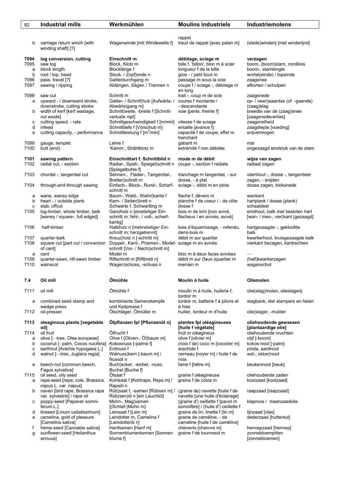| 82        | <b>Industrial mills</b>                                                | Werkmühlen                                                                             | <b>Moulins industriels</b>                                                                                 | Industriemolens                                      |
|-----------|------------------------------------------------------------------------|----------------------------------------------------------------------------------------|------------------------------------------------------------------------------------------------------------|------------------------------------------------------|
|           |                                                                        |                                                                                        |                                                                                                            |                                                      |
| b         | carriage return winch [with<br>winding shaft] [?]                      | Wagenwinde [mit Windewelle f]                                                          | rappel<br>treuil de rappel [avec palan m]                                                                  | (slede) winderij [met winderijrol]                   |
| 7094      | log conversion, cutting                                                | Einschnitt m                                                                           | débitage, sciage m                                                                                         | verzagen                                             |
| 7095      | saw log                                                                | Block, Klotz m                                                                         | bille f, 'billon', bloc m à scier                                                                          | boom, (boom)stam, rondklos                           |
| a<br>b    | block length<br>root / top, head                                       | Blocklänge f<br>Stock- / Zopf¦ende n                                                   | longueur f de la bille<br>gros - / petit bout m                                                            | boom-, stamlengte<br>wortel(einde) / topeinde        |
| 7096      | pass, travel [?]                                                       | Gatterdurchgang m                                                                      | passage m sous la scie                                                                                     | zaagsnee                                             |
| 7097      | sawing / ripping                                                       | Ablängen, Sägen / Trennen n                                                            | coupe f / sciage -, débitage m<br>en long                                                                  | afkorten / schulpen                                  |
| 7098      | saw cut                                                                | Schnitt m                                                                              | trait -, coup m de scie                                                                                    | zaagsnede                                            |
| a         | upward - / downward stroke,<br>downstroke, cutting stroke              | Gatter- / Schnitt¦hub [Aufwärts- /<br>Abwärts¦gang m]                                  | course f montante /<br>- descendante                                                                       | op-/neer waardse (of -gaande)<br>(zaag)slag          |
| b         | width of kerf [kerf wastage,                                           | Schnitt¦weite, -breite f [Schnitt-                                                     | voie [perte, freinte f]                                                                                    | breedte van de (zaag)snee                            |
|           | cut waste]                                                             | verluste mpl]                                                                          |                                                                                                            | [zaagsnedeverlies]                                   |
| с         | cutting speed, - rate                                                  | Schnittgeschwindigkeit f [m/min]                                                       | vitesse f de sciage                                                                                        | zaagsnelheid                                         |
| d<br>e    | infeed<br>cutting capacity, - performance                              | Schnitttiefe f [Vorschub m]<br>Schnittleistung f [m <sup>2</sup> /min]                 | entaille [avance f]<br>capacité f de coupe, effet m<br>tranchant                                           | zaagdiepte [voeding]<br>snijvermogen                 |
| 7099      | gauge, templet                                                         | Lehre f                                                                                | gabarit m                                                                                                  | mal                                                  |
| 7100      | butt (end)                                                             | 'Kamm', Strählklotz m                                                                  | extrémité f non débitée                                                                                    | ongezaagd eindstuk van de stam                       |
| 7101      | sawing pattern                                                         | Einschnittart f, Schnittbild n                                                         | mode m de débit                                                                                            | wijze van zagen                                      |
| 7102      | radial cut, - section                                                  | Radial-, Spalt-, Spiegel¦schnitt n<br>[Spiegelbohle f]                                 | coupe -, section f radiale                                                                                 | radiaal zagen                                        |
| 7103      | chordal -, tangential cut                                              | Sehnen-, Flader-, Tangential-,<br>Bretter¦schnitt m                                    | tranchage m tangentiel, - sur<br>dosse, - à plat                                                           | vlamhout -, dosse -, tangentieel<br>zagen, - snijden |
| 7104      | through-and-through sawing                                             | Einfach-, Block-, Rund-, Scharf-<br>schnitt m                                          | sciage -, débit m en plots                                                                                 | dosse zagen, bloksnede                               |
| а         | wane, waney edge                                                       | Baum-, Wald-, Wahn¦kante f                                                             | flache f, dévers m                                                                                         | wankant                                              |
| b         | heart - / outside plank                                                | Kern- / Seiten¦brett n                                                                 | planche f de coeur / - de côte                                                                             | hartplank / dosse (plank)                            |
| c<br>7105 | slab, offcut<br>log-timber, whole timber, balk                         | Schwarte f, Schwartling m<br>Ganzholz n [einstieliger Ein-                             | dosse f<br>bois m de brin [non avivé,                                                                      | schaaldeel<br>eindhout, balk met besloten hart       |
|           | [waney / square-, full edged]                                          | schnitt m; fehl-, / voll-, scharf-<br>kantig]                                          | flacheux / en avivés, avivé]                                                                               | [wan- / mes-, vier¦kant (gezaagd]                    |
| 7106      | half-timber                                                            | Halbholz n [mehrstieliger Ein-<br>schnitt m; herzgetrennt]                             | bois d'équarrissage, - refendu,<br>demi-bois m                                                             | hartgezaagde -, gekloofde<br>balk                    |
| 7107      | quarter-balk                                                           | Kreuz¦holz n [-schnitt m]                                                              | débit m sur quartier                                                                                       | kwartierhout, kruisgezaagde balk                     |
| 7108      | square cut [part cut / conversion<br>of cant]                          | Doppel-, Kant-, Prismen-, Model- sciage m en avivés<br>schnitt [Vor- / Nach¦schnitt m] |                                                                                                            | vierkant bezagen, kantrechten                        |
| а<br>7109 | cant<br>quarter-sawn, rift-sawn timber                                 | Model m<br>Riftschnitt m [Riftbrett n]                                                 | bloc m à deux faces avivées<br>débit m sur (faux-)quartier m                                               | (half)kwartierzagen                                  |
| 7110      | wainscot                                                               | Wagen¦schoss, -schuss n                                                                | merrain m                                                                                                  | wagenschot                                           |
| 7.4       | Oil mill                                                               | Ölmühle                                                                                | Moulin à huile                                                                                             | Oliemolen                                            |
| 7111      | oil mill                                                               | Ölmühle f                                                                              | moulin m à huile, huilerie f,<br>tordoir m                                                                 | olie(slag)molen, olieslagerij                        |
| а         | combined seed stamp and<br>wedge press                                 | kombinierte Samenstampfe<br>und Keilpresse f                                           | tordoir m, batterie f à pilons et<br>à hies                                                                | slagbank, stel stampers en heien                     |
| 7112      | oil-presser                                                            | Ölschläger, Ölmüller m                                                                 | huilier, tordeur m d'huile                                                                                 | olie¦slager, -mulder                                 |
| 7113      | oleaginous plants [vegetable<br>oil]                                   | Ölpflanzen fpl [Pflanzenöl n]                                                          | plantes fpl oléagineuses<br>[huile f végétale]                                                             | oliehoudende gewassen<br>[plantaardige olie]         |
| 7114      | oil fruit                                                              | Ölfrucht f                                                                             | fruit m oléagineux                                                                                         | oliehoudende vruchten                                |
| a         | olive [--tree, Olea europeae]                                          | Olive f [Oliven-, Öl¦baum m]                                                           | olive f [olivier m]                                                                                        | olijf [-boom]                                        |
| b<br>c    | coconut [- palm, Cocos nucifera]<br>earthnut [Arachis hypogaea L.]     | Kokosnuss [-palme f]<br>Erdnuss f                                                      | (noix f de) coco m [cocotier m]<br>arachide f                                                              | kokos-noot [-palm]<br>pinda, aardnoot                |
| d         | walnut [--tree, Juglans regia]                                         | Walnuss¦kern [-baum m] /<br>Nussöl n                                                   | cerneau [noyer m] / huile f de<br>noix                                                                     | wal-, okker¦noot                                     |
| е         | beech-nut [common beech,<br>Fagus sylvatica]                           | Buch¦ecker, -eichel, -nuss,<br>Buchel [Buche f]                                        | faine f [hêtre m]                                                                                          | beukennoot [beuk]                                    |
| 7115<br>a | oil seed, oily seed<br>rape-seed [rape, cole, Brassica                 | Ölsaat f<br>Kohlsaat f [Kohlraps, Reps m] /                                            | graine f oléagineuse<br>graine f de colza m                                                                | oliehoudende zaden<br>koolzaad [koolzaad]            |
| b         | napus L. var. napus]<br>naven [bird rape, Brassica rapa                | Rapsöl n<br>Rüb¦saat f, -samen [Rübsen m] /                                            | (graine de) navette [huile f de                                                                            | raapzaad [raapzaad]                                  |
| с         | var. sylvestris] / rape oil<br>poppy-seed [Papaver somni-<br>ferum L.] | Rüb(sen)öl n [ein Leuchtöl]<br>Mohn-, Mag¦samen                                        | navette [une huile d'éclairage]<br>(graine d') oeillette f [pavot m<br>somnifère] / (huile d') oeillette f | klaproos / maanzaadolie                              |
| d         | linseed [Linum usitatissimum]                                          | [(Schlaf-)Mohn m]<br>Leinsaat f [Lein m]                                               | graine de lin, linette f [lin m]                                                                           | lijnzaad [vlas]                                      |
| е         | camelina, gold of pleasure<br>[Camelina sativa]                        | Leindotter m, Camelina f<br>[Leindotteröl n]                                           | graine de caméline, - de<br>cameline [huile f de caméline]                                                 | dederzaad [huttentut]                                |
| f         | hemp-seed [Cannabis sativa]                                            | Hanfsamen [Hanf m]                                                                     | chènevis [chanvre m]                                                                                       | hennepzaad [hennep]                                  |
| g         | sunflower-seed [Helianthus<br>annuus]                                  | Sonnenblumenkernen [Sonnen-<br>blume f]                                                | graine f de tournesol m                                                                                    | zonnebloempitten<br>[zonnebloemen]                   |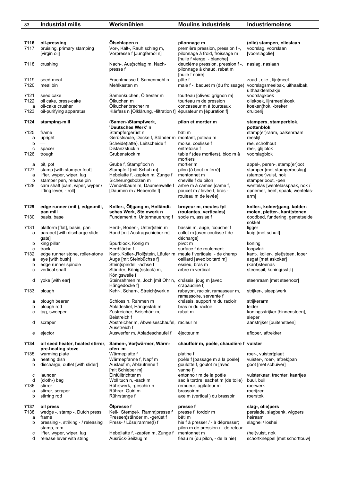| 83           | <b>Industrial mills</b>                                                         | Werkmühlen                                                                                               | <b>Moulins industriels</b>                                                                                       | Industriemolens                                                              |
|--------------|---------------------------------------------------------------------------------|----------------------------------------------------------------------------------------------------------|------------------------------------------------------------------------------------------------------------------|------------------------------------------------------------------------------|
|              |                                                                                 |                                                                                                          |                                                                                                                  |                                                                              |
| 7116<br>7117 | oil-pressing<br>bruising, primary stamping<br>[virgin oil]                      | Ölschlagen n<br>Vor-, Kalt-, Rauh¦schlag m,<br>Vorpresse f [Jungfernöl n]                                | pilonnage m<br>première pression, pression f -,<br>pilonnage à froid, froissage m<br>[huile f vierge, - blanche] | (olie) stampen, olieslaan<br>voorslag, voorslaan<br>[voorslagolie]           |
| 7118         | crushing                                                                        | Nach-, Aus¦schlag m, Nach-<br>presse f                                                                   | deuxième pression, pression f -,<br>pilonnage à chaud, rebat m<br>[huile f noire]                                | naslag, naslaan                                                              |
| 7119<br>7120 | seed-meal<br>meal bin                                                           | Fruchtmasse f, Samenmehl n<br>Mehlkasten m                                                               | pâte f<br>maie f -, baquet m (du froissage)                                                                      | zaad-, olie-, lijn¦meel<br>voorslagsmeelbak, uithaalbak,<br>uithaaldersbakje |
| 7121<br>7122 | seed cake<br>oil cake, press-cake                                               | Samenkuchen, Öltrester m<br>Ölkuchen m                                                                   | tourteau [olives: grignon m]<br>tourteau m de pression                                                           | voorslagkoek<br>oliekoek, lijn(meel)koek                                     |
| а<br>7123    | oil-cake crusher<br>oil-purifying apparatus                                     | Ölkuchenbrecher m<br>Klärfass n [Ölklärung, -filtration f] épurateur m [épuration f]                     | concasseur m à tourteaux                                                                                         | koeken¦hok, -breker<br>druiperij                                             |
| 7124         | stamping-mill                                                                   | (Samen-)Stampfwerk,<br>'Deutsches Werk' n                                                                | pilon et mortier m                                                                                               | stampers, stamperblok,<br>pottenblok                                         |
| 7125         | frame                                                                           | Stampfergerüst n                                                                                         | bâti m                                                                                                           | stamp(er)raam, balkenraam                                                    |
| а            | upright                                                                         | Gerüstsäule, Docke f, Ständer m montant, poteau m                                                        |                                                                                                                  | reestijl                                                                     |
| b            | $\overline{\phantom{m}}$                                                        | Scheide(latte), Leitscheide f                                                                            | moise, coulisse f                                                                                                | ree, schofhout                                                               |
| С            | spacer                                                                          | Distanzstück n                                                                                           | entretoise f                                                                                                     | ree-, glij¦blok                                                              |
| 7126         | trough                                                                          | Grubenstock m                                                                                            | table f (des mortiers), bloc m à<br>mortiers                                                                     | voorslagblok                                                                 |
| а            | pit, pot                                                                        | Grube f, Stampfloch n                                                                                    | mortier m                                                                                                        | appel-, peren-, stamp(er)pot                                                 |
| 7127         | stamp [with stamper foot]                                                       | Stampfe f [mit Schuh m]                                                                                  | pilon [à bout m ferré]                                                                                           | stamper [met stamperbeslag]                                                  |
| а            | lifter, wyper, wiper, lug                                                       | Hebelatte f, -zapfen m, Zunge f                                                                          | mentonnet m                                                                                                      | (stamper) vuist, nok                                                         |
| b            | stamper pen, release pin                                                        | Sicherungsbolzen m                                                                                       | cheville f du pilon                                                                                              | stamper¦bout, -pen                                                           |
| 7128         | cam shaft [cam, wiper, wyper /<br>lifting lever, - roll]                        | Wendelbaum m, Daumenwelle f<br>[Daumen m / Heberolle f]                                                  | arbre m à cames [came f,<br>poucet m / levée f, bras -,                                                          | wentelas [wentelasspaak, nok /<br>opnemer, heef, spaak, wentelas-            |
|              |                                                                                 |                                                                                                          | rouleau m de levée]                                                                                              | arm]                                                                         |
| 7129         | edge runner (mill), edge-mill,                                                  | Koller-, Öl¦gang m, Holländi-                                                                            | broyeur m, meules fpl                                                                                            | koller-, kolder¦gang, kolder-                                                |
| 7130         | pan mill<br>basis, base                                                         | sches Werk, Steinwerk n<br>Fundament n, Untermauerung f                                                  | (roulantes, verticales)<br>socle m, assise f                                                                     | molen, pletter-, kant¦stenen<br>doodbed, fundering, gemetselde               |
| 7131         | platform [flat], basin, pan                                                     | Herd-, Boden-, Unter¦stein m                                                                             | bassin m, auge, 'couche' f                                                                                       | sokkel<br>ligger                                                             |
| а            | parapet [with discharge slide]<br>gate]                                         | Rand [mit Austragschieber m]                                                                             | collet m [avec coulisse f de<br>décharge]                                                                        | kuip [met schuif]                                                            |
| b            | king pillar                                                                     | Spurblock, König m                                                                                       | pivot m                                                                                                          | koning                                                                       |
| C<br>7132    | track<br>edge runner stone, roller-stone                                        | Herdfläche f<br>Kant-, Koller-, Roll¦stein, Läufer m meule f verticale, - de champ                       | surface f de roulement                                                                                           | loopvlak<br>kant-, koller-, plet¦steen, loper                                |
| а            | eve [with bush]                                                                 | Auge [mit Steinbüchse f]                                                                                 | oeillard [avec boitard m]                                                                                        | asgat [met askoker]                                                          |
| b            | edge runner spindle                                                             | Stein¦spindel, -achse f                                                                                  | essieu, bras m                                                                                                   | (kant)steenas                                                                |
| c            | vertical shaft                                                                  | Ständer, König(sstock) m,<br>Königswelle f                                                               | arbre m vertical                                                                                                 | steenspil, koning(sstijl)                                                    |
| d<br>7133    | yoke [with ear]<br>plough                                                       | Steinrahmen m, Joch [mit Ohr n, châssis, joug m [avec<br>Hängedocke f]<br>Kehr-, Scharr-, Streich¦werk n | crapaudine f]<br>rabayon, racloir, ramasseur m,                                                                  | steenraam [met steenoor]<br>strijker-, sleep¦werk                            |
| а            | plough bearer                                                                   | Schloss n, Rahmen m                                                                                      | ramassoire, servante f<br>châssis, support m du racloir                                                          | strijkerarm                                                                  |
| b            | plough rod                                                                      | Abladestiel, Hängestab m                                                                                 | bras m du racloir                                                                                                | leider                                                                       |
| с            | tag, sweeper                                                                    | Zustreicher, Beischärr m,<br>Beistreich f                                                                | rabat m                                                                                                          | koningsstrijker [binnensteen],<br>sleper                                     |
| d            | scraper                                                                         | Abstreicher m, Abweiseschaufel, racleur m<br>Ausstreich f                                                |                                                                                                                  | aanstrijker [buitensteen]                                                    |
| е            | ejector                                                                         | Auswerfer m, Abladeschaufel f                                                                            | éjecteur m                                                                                                       | afloper, aftrekker                                                           |
| 7134         | oil seed heater, heated stirrer, Samen-, Vor¦wärmer, Wärm-<br>pre-heating stove | ofen m                                                                                                   | chauffoir m, poêle, chaudière f vuister                                                                          |                                                                              |
| 7135         | warming plate                                                                   | Wärmeplatte f                                                                                            | platine f                                                                                                        | roer-, vuister¦plaat                                                         |
| а            | heating dish                                                                    | Wärmepfanne f, Napf m                                                                                    | poêle f [passage m à la poêle]                                                                                   | vuister-, roer-, aftrek¦pan                                                  |
| b            | discharge, outlet [with slider]                                                 | Auslauf m, Ablaufrinne f<br>[mit Schieber m]                                                             | goulotte f, goulot m [avec<br>vanne f]                                                                           | goot [met schuiver]                                                          |
| с<br>d       | launder<br>(cloth-) bag                                                         | Einfülltrichter m<br>Woll¦tuch n, -sack m                                                                | entonnoir m de la poêle<br>sac à tordre, sachet m (de toile)                                                     | vuisterkaar, trechter, kaartjes<br>buul, buil                                |
| 7136         | stirrer                                                                         | Rühr¦werk, -geschirr n                                                                                   | remueur, agitateur m                                                                                             | roerwerk                                                                     |
| а            | stirrer, scraper                                                                | Rührer, Quirl m                                                                                          | brassoir m                                                                                                       | roerijzer                                                                    |
| b            | stirring rod                                                                    | Rührstange f                                                                                             | axe m (vertical) du brassoir                                                                                     | roerstok                                                                     |
|              |                                                                                 |                                                                                                          |                                                                                                                  |                                                                              |
| 7137<br>7138 | oil press<br>wedge -, stamp -, Dutch press                                      | Ölpresse f<br>Keil-, Stempel-, Ramm¦presse f                                                             | presse f<br>presse f, tordoir m                                                                                  | slag-, olie¦pers<br>perslade, slagbank, wigpers                              |
| а            | frame                                                                           | Pressen¦ständer m, -gerüst f                                                                             | bâti m                                                                                                           | heiraam                                                                      |
| b            | pressing -, striking - / releasing                                              | Press- / Löse¦ramme(I) f                                                                                 | hie f à presser / - à dépresser;                                                                                 | slaghei / loshei                                                             |
|              | stamp, ram                                                                      |                                                                                                          | pilon m de pression / - de retour                                                                                |                                                                              |
| с<br>d       | lifter, wyper, wiper, lug<br>release lever with string                          | Hebellatte f, -zapfen m, Zunge f<br>Ausrück-Seilzug m                                                    | mentonnet m<br>fléau m (du pilon, - de la hie)                                                                   | (hei) vuist, nok<br>schortkneppel [met schorttouw]                           |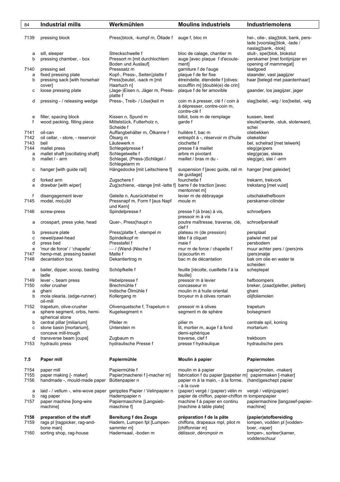| 84           | <b>Industrial mills</b>                                 | Werkmühlen                                                    | <b>Moulins industriels</b>                                                                                    | <b>Industriemolens</b>                                              |
|--------------|---------------------------------------------------------|---------------------------------------------------------------|---------------------------------------------------------------------------------------------------------------|---------------------------------------------------------------------|
|              |                                                         |                                                               |                                                                                                               |                                                                     |
| 7139         | pressing block                                          | Press¦block, -kumpf m, Öllade f                               | auge f, bloc m                                                                                                | hei-, olie-, slag¦blok, bank, pers-<br>lade [voorslag]blok, -lade / |
|              |                                                         |                                                               |                                                                                                               | naslag¦bank, -blok]                                                 |
| а<br>b       | sill, sleeper<br>pressing chamber, - box                | Streckschwelle f<br>Pressort m [mit durchlochtem              | bloc de calage, chantier m<br>auge [avec plaque f d'ecoule-                                                   | stuit-, spei¦blok, blokstut<br>perskamer [met fontijnijzer en       |
|              |                                                         | Boden und Auslauf                                             | ment]                                                                                                         | opening of mammegat]                                                |
| 7140         | pressing set                                            | Presssatz m                                                   | garniture f de l'auge                                                                                         | laadgoed                                                            |
| a            | fixed pressing plate                                    | Kopf-, Press-, Seiten¦platte f                                | plaque f de fer fixe                                                                                          | staander, vast jaagijzer                                            |
| b            | pressing sack [with horsehair                           | Press¦beutel, -sack m [mit                                    | étreindelle, étendelle f [olives:                                                                             | haar [belegd met paardenhaar]                                       |
|              | cover]                                                  | Haartuch n]                                                   | scoufflin m] [doublé(e) de crin]                                                                              |                                                                     |
| с            | loose pressing plate                                    | (Jage-)Eisen n, Jäger m, Press-<br>platte f                   | plaque f de fer amovible                                                                                      | gaander, los jaagijzer, jager                                       |
| d            | pressing - / releasing wedge                            | Press-, Treib- / Löse¦keil m                                  | coin m à presser, clé f / coin à<br>à dépresser, contre-coin m,<br>contre-clé f                               | slag¦beitel, -wig / los¦beitel, -wig                                |
| e<br>f       | filler, spacing block<br>wood packing, filling piece    | Kissen n, Spund m<br>Mittelstück, Futterholz n,               | billot, bois m de remplage<br>garde f                                                                         | kussen, leest<br>sleutel¦warde, -stuk, sloterward,                  |
|              |                                                         | Scheide f                                                     |                                                                                                               | schei                                                               |
| 7141         | oil-can                                                 | Auffangbehälter m, Ölkanne f                                  | huilière f, bac m                                                                                             | oliebekken                                                          |
| 7142         | oil cellar, - store, - reservoir                        | Ölsarg m                                                      | entrepôt à -, réservoir m d'huile                                                                             | oliekelder                                                          |
| 7143         | bell                                                    | Läutewerk n                                                   | clochette f                                                                                                   | bel, schelrad [met telwerk]                                         |
| 7144         | mallet press                                            | Schlegelpresse f                                              | presse f à maillet                                                                                            | sleg(ge)pers                                                        |
| a            | mallet shaft [oscillating shaft]                        | Schlegelwelle f                                               | arbre m pivotant                                                                                              | sleg(ge)as, sleias                                                  |
| b            | mallet / - arm                                          | Schlegel, (Press-)Schlägel /                                  | maillet / bras m du -                                                                                         | sleg(ge), slei / -arm                                               |
| с            | hanger [with guide rail]                                | Schlegelarm <sub>m</sub><br>Hängedocke [mit Leitschiene f]    | suspension f [avec guide, rail m hanger [met geleider]                                                        |                                                                     |
|              |                                                         |                                                               | de guidage]                                                                                                   |                                                                     |
| d            | forked arm                                              | Zugschere f                                                   | fourchette f                                                                                                  | trekarm, trekvork                                                   |
| е            | drawbar [with wiper]                                    | Zug¦schiene, -stange [mit -latte f] barre f de traction [avec | mentonnet m]                                                                                                  | trekstang [met vuist]                                               |
| f            | disengagement lever                                     | Geleite n, Ausrückhebel m                                     | levier m de débrayage                                                                                         | uitschakelhefboom                                                   |
| 7145         | model, mo(u)ld                                          | Pressnapf m, Form f [aus Napf<br>und Kern]                    | moule m                                                                                                       | perskamer-cilinder                                                  |
| 7146         | screw-press                                             | Spindelpresse f                                               | presse f (à bras) à vis,<br>pressoir m à vis                                                                  | schroefpers                                                         |
| а            | crosspart, press yoke, head                             | Quer-, Press¦haupt n                                          | poutre maîtresse, traverse, clé,<br>clef f                                                                    | schroefperskalf                                                     |
| b            | pressure plate                                          | Press¦platte f, -stempel m                                    | plateau m (de pression)                                                                                       | persplaat                                                           |
| с            | newel/pawl-head                                         | Spindelkopf m                                                 | tête f à cliquet                                                                                              | palwiel met pal                                                     |
| d            | press bed                                               | Presstafel f                                                  | maie f                                                                                                        | persbodem                                                           |
| e            | 'mur de force' / 'chapelle'                             | -/ (Wand-)Nische f                                            | mur m de force / chapelle f                                                                                   | muur achter pers / (pers)nis                                        |
| 7147         | hemp-mat, pressing basket                               | Matte f                                                       | (e)scourtin m                                                                                                 | (pers)matje                                                         |
| 7148         | decantation box                                         | Dekantiertrog m                                               | bac m de décantation                                                                                          | bak om olie en water te<br>scheiden                                 |
| a            | bailer, dipper, scoop, basting<br>ladle                 | Schöpfkelle f                                                 | feuille [récolte, cueillette f à la<br>feuille]                                                               | scheplepel                                                          |
| 7149         | lever -, beam press                                     | Hebelpresse f                                                 | pressoir m à levier                                                                                           | hefboompers                                                         |
| 7150         | roller crusher                                          | Brechmühle f                                                  | concasseur m                                                                                                  | breker, (zaad)pletter, pletterij                                    |
| a            | ghani                                                   | Indische Ölmühle f                                            | moulin m à huile oriental                                                                                     | ghani                                                               |
| b            | mola olearia, (edge-runner)                             | Kollergang m                                                  | broyeur m à olives romain                                                                                     | olijfoliemolen                                                      |
|              | oil-mill                                                |                                                               |                                                                                                               |                                                                     |
| 7152<br>a    | trapetum, olive-crusher<br>sphere segment, orbis, hemi- | Olivenquetsche f, Trapetum n<br>Kugelsegment n                | pressoir m à olives<br>segment m de sphère                                                                    | trapetum<br>bolsegment                                              |
|              | spherical stone                                         |                                                               |                                                                                                               |                                                                     |
| b            | central pillar [miliarium]                              | Pfeiler m                                                     | pilier m                                                                                                      | centrale spil, koning                                               |
| с            | stone basin [mortarium],                                | Unterstein m                                                  | lit, mortier m, auge f à fond                                                                                 | mortarium                                                           |
| d            | concave mill-trough<br>transverse beam [cupa]           | Zugbaum m                                                     | demi-sphérique<br>traverse, clef f                                                                            | trekboom                                                            |
| 7153         | hydraulic press                                         | hydraulische Presse f                                         | presse f hydraulique                                                                                          | hydraulische pers                                                   |
| 7.5          | Paper mill                                              | Papiermühle                                                   | Moulin à papier                                                                                               | Papiermolen                                                         |
|              |                                                         |                                                               |                                                                                                               |                                                                     |
| 7154<br>7155 | paper mill                                              | Papiermühle f<br>Papier¦macherei f [-macher m]                | moulin m à papier                                                                                             | papier¦molen, -makerij                                              |
| 7156         | paper making [- maker]<br>handmade -, mould-made paper  | Büttenpapier n                                                | fabrication f du papier [papetier m] papiermaken [-maker]<br>papier m à la main, - à la forme,<br>- à la cuve | (hand)geschept papier                                               |
| a            | laid - / vellum -, wire-wove paper                      | geripptes Papier / Velinpapier n                              | (papier) vergé / (papier) vélin m                                                                             | vergé / velijn(papier)                                              |
| b            | rag paper                                               | Hadernpapier n                                                | papier de chiffon, papier-chiffon m lompenpapier                                                              |                                                                     |
| 7157         | paper machine [long-wire                                | Papiermaschine [Langsieb-                                     | machine f à papier en continu                                                                                 | papiermachine [langzeef-papier-                                     |
|              | machine]                                                | maschine f]                                                   | [machine à table plate]                                                                                       | machine]                                                            |
| 7158         | preparation of the stuff                                | <b>Bereitung f des Zeugs</b>                                  | préparation f de la pâte                                                                                      | (papier)stofbereiding                                               |
| 7159         | rags pl [ragpicker, rag-and-                            | Hadern, Lumpen fpl [Lumpen-                                   | chiffons, drapeaux mpl, pilot m                                                                               | lompen, vodden pl [vodden-                                          |
|              | bone man]                                               | sammler m]                                                    | [chiffonnier m]                                                                                               | boer, -raper]                                                       |
| 7160         | sorting shop, rag-house                                 | Hadernsaal, -boden m                                          | délissoir, dérompoir m                                                                                        | lompen-, sorteer¦kamer,<br>voddenschuur                             |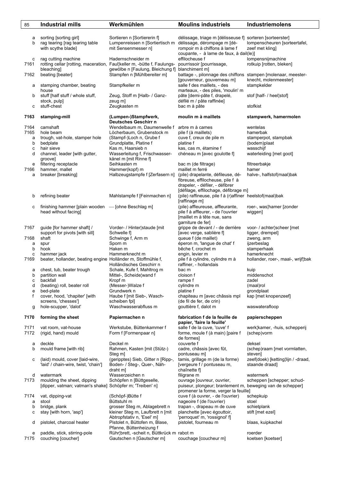| 85           | <b>Industrial mills</b>                                                                               | Werkmühlen                                                                                                                       | <b>Moulins industriels</b>                                                                                                                       | Industriemolens                                                 |
|--------------|-------------------------------------------------------------------------------------------------------|----------------------------------------------------------------------------------------------------------------------------------|--------------------------------------------------------------------------------------------------------------------------------------------------|-----------------------------------------------------------------|
| а<br>b       | sorting [sorting girl]<br>rag tearing [rag tearing table<br>with scythe blade]                        | Sortieren n [Sortiererin f]<br>Lumpenreissen n [Sortiertisch m délissage, dérompage m [dé-<br>mit Sensenmesser nl                | délissage, triage m [délisseuse f] sorteren [sorteerster]<br>rompoir m à chiffons à lame f<br>coupante, - à lame de faux, à dail(le)]            | lompenscheuren [sorteertafel,<br>zeef met kling]                |
| с<br>7161    | rag cutting machine<br>bleaching                                                                      | Hadernschneider m<br>rotting cellar [rotting, maceration, Faul keller m, -bütte f, Faulungs-<br>gewölbe n [Faulung, Bleichung f] | effilocheuse f<br>pourrissoir [pourrissage,<br>blanchiment m]                                                                                    | lompensnijmachine<br>rotkuip [rotten, bleken]                   |
| 7162<br>а    | beating [beater]<br>stamping chamber, beating                                                         | Stampfen n [Mühlbereiter m]<br>Stampfkeller m                                                                                    | battage -, pilonnage des chiffons stampen [molenaar, meester-<br>[gouverneur, gouverneau m]<br>salle f des maillets, - des                       | knecht, molenmeester]<br>stampkelder                            |
| b            | house<br>stuff [half stuff / whole stuff,<br>stock, pulp]                                             | Zeug, Stoff m [Halb- / Ganz-<br>zeug m]                                                                                          | marteaux, - des piles, 'moulin' m<br>pâte [demi-pâte f, drapelé,<br>défilé m / pâte raffinée]                                                    | stof [half- / heel stof]                                        |
| с            | stuff-chest                                                                                           | Zeugkasten m                                                                                                                     | bac m à pâte                                                                                                                                     | stofkist                                                        |
| 7163         | stamping-mill                                                                                         | (Lumpen-)Stampfwerk,<br>Deutsches Geschirr n                                                                                     | moulin m à maillets                                                                                                                              | stampwerk, hamermolen                                           |
| 7164<br>7165 | camshaft<br>hole beam                                                                                 | Wendelbaum m, Daumenwelle f<br>Löcherbaum, Grubenstock m                                                                         | arbre m à cames<br>pile f (à maillets)                                                                                                           | wentelas<br>hamerbak                                            |
| a            | trough, vat-hole, stamper hole                                                                        | (Stampf-)Loch n, Grube f                                                                                                         | cuve f, creux de pile m                                                                                                                          | stamperpot, stampbak                                            |
| b            | bedplate                                                                                              | Grundplatte, Platine f                                                                                                           | platine f                                                                                                                                        | (bodem)plaat                                                    |
| с            | hair sieve                                                                                            | Kas m, Haarsieb n                                                                                                                | kas, cas m, étamine f                                                                                                                            | wasschijf                                                       |
| d            | channel, leader [with gutter,<br>groovel                                                              | Wasserleitung f, Frischwasser-<br>känel m [mit Rinne f]                                                                          | chéneau m [avec goulotte f]                                                                                                                      | waterleiding [met goot]                                         |
| e            | filtering receptacle                                                                                  | Seihkasten m                                                                                                                     | bac m (de filtrage)                                                                                                                              | filtreerbakje                                                   |
| 7166         | hammer, mallet                                                                                        | Hammer(kopf) m                                                                                                                   | maillet m ferré                                                                                                                                  | hamer                                                           |
| a            | breaker [breaking]                                                                                    | Halbzeugstampfe f [Zerfasern n]                                                                                                  | (pile) drapelante, défileuse, dé-<br>fibreuse, effilocheuse, pile f à<br>drapeler, - défiler, - défibrer                                         | halve-, halfstof(maal)bak                                       |
| b            | refining beater                                                                                       | Mahlstampfe f [Feinmachen n]                                                                                                     | [défilage, effilochage, défibrage m]<br>(pile) raffineuse, pile f à (r) affiner heelstof(maal) bak<br>[raffinage m]                              |                                                                 |
| с            | finishing hammer [plain wooden – [ohne Beschlag m]<br>head without facing]                            |                                                                                                                                  | (pile) affleureuse, affleurante,<br>pile f à affleurer, - de l'ouvrier<br>[maillet m à tête nue, sans<br>garniture de fer]                       | roer-, was¦hamer [zonder<br>wiggen]                             |
| 7167         | guide [for hammer shaft] /                                                                            | Vorder- / Hinter¦staude [mit                                                                                                     | grippe de devant / - de derrière                                                                                                                 | voor- / achter¦scheer [met                                      |
|              | support for pivots [with sill]                                                                        | Schwelle fl                                                                                                                      | [avec verge, sablière f]                                                                                                                         | ligger, drempel]                                                |
| 7168         | shaft                                                                                                 | Schwinge f, Arm m                                                                                                                | queue f (de maillet)                                                                                                                             | zweng, arm<br>ijzerbeslag                                       |
| a<br>b       | spur<br>hook                                                                                          | Sporn m<br>Haken m                                                                                                               | éperon m, 'langue de chat' f<br>bêche f, crochet m                                                                                               | stamperhaak                                                     |
| c            | hammer jack                                                                                           | Hammerknecht m                                                                                                                   | engin, levier m                                                                                                                                  | hamerknecht                                                     |
| 7169         | beater, hollander, beating engine Holländer m, Stoffmühle f,                                          | Holländisches Geschirr n                                                                                                         | pile f à cylindre, cylindre m à<br>raffiner, - hollandais<br>bac m                                                                               | hollander, roer-, maal-, wrijf¦bak                              |
| a<br>b       | chest, tub, beater trough<br>partition wall                                                           | Schale, Kufe f, Mahltrog m<br>Mittel-, Scheide¦wand f                                                                            | cloison f                                                                                                                                        | kuip<br>middenschot                                             |
| с            | backfall                                                                                              | Kropf m                                                                                                                          | rampe f                                                                                                                                          | zadel                                                           |
| d            | (beating) roll, beater roll                                                                           | (Messer-)Walze f                                                                                                                 | cylindre m                                                                                                                                       | (maal)rol                                                       |
| е<br>f       | bed-plate<br>cover, hood, 'chapiter' [with<br>screens, 'chesses']                                     | Grundwerk n<br>Haube f [mit Sieb-, Wasch-<br>scheiben fpl]                                                                       | platine f<br>chapiteau m [avec châssis mpl<br>(de fil de fer, de crin)                                                                           | grondplaat<br>kap [met knopenzeef]                              |
| g            | hole-scupper, 'dalot'                                                                                 | Waschwasserabfluss m                                                                                                             | gouttière f, dalot m                                                                                                                             | waswaterafloop                                                  |
| 7170         | forming the sheet                                                                                     | Papiermachen n                                                                                                                   | fabrication f de la feuille de<br>papier, 'faire la feuille'                                                                                     | papierscheppen                                                  |
| 7171<br>7172 | vat room, vat-house<br>(rigid, hand) mould                                                            | Werkstube, Büttenkammer f<br>Form f [Formenpaar n]                                                                               | salle f de la cuve, 'cuve' f<br>forme, moule f (à main) [paire f<br>de formes]                                                                   | werk¦kamer, -huis, schepperij<br>(schep)vorm                    |
| а<br>b       | deckle<br>mould frame [with rib]                                                                      | Deckel m<br>Rahmen, Kasten [mit (Stütz-)                                                                                         | couverte f<br>cadre, châssis [avec fût,                                                                                                          | deksel<br>(schep)raam [met vormlatten,                          |
| с            | (laid) mould, cover [laid-wire,<br>'laid' / chain-wire, twist, 'chain']                               | Steg m]<br>(geripptes) Sieb, Gitter n [Ripp-,<br>Boden- / Steg-, Quer-, Näh-<br>draht m]                                         | pontuseau m]<br>tamis, grillage m (de la forme)<br>[vergeure f / pontuseau m,<br>chaînette f]                                                    | steven]<br>zeef(doek) [ketting lijn / -draad,<br>staande draad] |
| d<br>7173    | watermark<br>moulding the sheet, dipping<br>[dipper, vatman; vatman's shake] Schöpfer m; 'Treiben' n] | Wasserzeichen n<br>Schöpfen n [Büttgeselle,                                                                                      | filigrane m<br>ouvrage [ouvreur, ouvrier,<br>puiseur, plongeur; branlement m, beweging van de schepper]<br>promener la forme, verger la feuille] | watermerk<br>scheppen [schepper; schud-                         |
| 7174         | vat, dipping-vat                                                                                      | (Schöpf-)Bütte f                                                                                                                 | cuve f (à ouvrer, - de l'ouvrier)                                                                                                                | schepkuip                                                       |
| а<br>b       | stool<br>bridge, plank                                                                                | Büttstuhl m<br>grosser Steg m, Ablagebrett n                                                                                     | nageoire f (de l'ouvrier)<br>trapan -, drapeau m de cuve                                                                                         | stoel<br>schietplank                                            |
| с            | stay [with horn, 'asp']                                                                               | kleiner Steg m, Laufbrett n [mit]                                                                                                | planchette [avec égouttoir,                                                                                                                      | stift [met ezel]                                                |
|              |                                                                                                       | Abtropfstativ n, 'Esel' m]                                                                                                       | 'perroquet' m, 'rossignol' f]                                                                                                                    |                                                                 |
| d            | pistolet, charcoal heater                                                                             | Pistolet n, Büttofen m, Blase,<br>Pfanne, Büttenheizung f                                                                        | pistolet, fourneau m                                                                                                                             | blaas, kuipkachel                                               |
| e<br>7175    | paddle, stick, stirring-pole<br>couching [coucher]                                                    | Rühr¦brett, -scheit n, Büttkrück m rabot m<br>Gautschen n [Gautscher m]                                                          | couchage [coucheur m]                                                                                                                            | roerder<br>koetsen [koetser]                                    |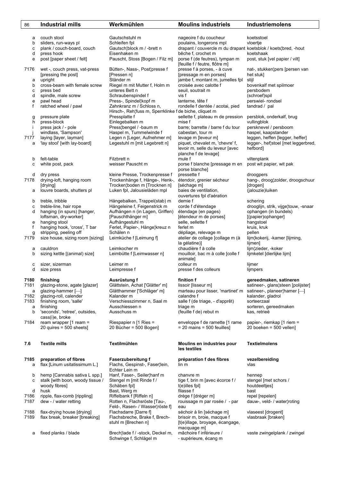| 86   | <b>Industrial mills</b>                              | Werkmühlen                                                                         | <b>Moulins industriels</b>                                                                 | <b>Industriemolens</b>                          |
|------|------------------------------------------------------|------------------------------------------------------------------------------------|--------------------------------------------------------------------------------------------|-------------------------------------------------|
|      |                                                      |                                                                                    |                                                                                            |                                                 |
| а    | couch stool                                          | Gautschstuhl m                                                                     | nageoire f du coucheur                                                                     | koetsstoel                                      |
| b    | sliders, run-ways pl                                 | Schleifen fpl                                                                      | poulains, longerons mpl                                                                    | vloertje                                        |
| с    | plank / couch-board, couch                           | Gautsch¦block m / -brett n                                                         | drapant / couvercle m du drapant koetsblok / koets¦bred, -hout                             |                                                 |
| d    | press hook                                           | Eisenhaken m                                                                       | bêche f, crochet m                                                                         | koetshaak                                       |
| e    | post [paper sheet / felt]                            | Pauscht, Stoss [Bogen / Filz m]                                                    | porse f (de feutres), tympan m<br>[feuille f / feutre, flôtre m]                           | post, stuk [vel papier / vilt]                  |
| 7176 | wet -, couch press, vat-press<br>[pressing the post] | Bütten-, Nass-, Post¦presse f<br>[Pressen n]                                       | presse f à porses, - à cuve<br>[pressage m en porses]                                      | nat-, stukken¦pers [persen van<br>het stuk]     |
| a    | upright                                              | Ständer m                                                                          | jambe f, montant m, jumelles fpl                                                           | stijl                                           |
| b    | cross-beam with female screw                         | Riegel m mit Mutter f, Holm m                                                      | croisée avec calotte f                                                                     | bovenkalf met spilmoer                          |
| с    | press bed                                            | unteres Bett n                                                                     | seuil, soutrait m                                                                          | persbodem                                       |
| d    | spindle, male screw                                  | Schraubenspindel f                                                                 | vis f                                                                                      | (schroef)spil                                   |
| e    | pawl head                                            | Press-, Spindel¦kopf m                                                             | lanterne, tête f                                                                           | perswiel- rondsel                               |
| f    | ratched wheel / pawl                                 | Zahnkranz m / Schloss n,<br>Hirsch-, Reh¦fuss m, Sperrklinke f de biche, cliquet m | rondelle f dentée / acotai, pied                                                           | tandrad / pal                                   |
| g    | pressure plate                                       | Pressplatte f                                                                      | sellette f, plateau m de pression                                                          | persblok, onderkalf, brug                       |
| h    | press-block                                          | Einlegebalken m                                                                    | mise f                                                                                     | vullingblok                                     |
| j.   | press jack / - pole                                  | Press¦bengel / -baum m                                                             | barre; barrette / barre f du tour                                                          | persknevel / persboom                           |
| j    | windlass, 'Sampson'                                  | Haspel m, Tummelwinde f                                                            | cabestan, tour m                                                                           | haspel, kaapstander                             |
| 7177 | laying [layer, layman]                               | Legen n [Leger, Aufnehmer m]                                                       | levage m [leveur m]                                                                        | leggen, heffen [legger, heffer]                 |
| a    | 'lay stool' [with lay-board]                         | Legestuhl m [mit Legebrett n]                                                      | piquet, chevalet m, 'chevre' f,<br>levoir m, selle du leveur [avec<br>planche f de levage] | legger-, hef¦stoel [met leggerbred,<br>hefbord] |
| b    | felt-table                                           | Filzbrett n                                                                        | mule f                                                                                     | viltenplank                                     |
| c    | white post, pack                                     | weisser Pauscht m                                                                  | porse f blanche [pressage m en                                                             | post wit papier, wit pak                        |
| d    | dry press                                            | kleine Presse, Trockenpresse f                                                     | porse blanche]<br>pressette f                                                              | droogpers                                       |
| 7178 | drying-loft, hanging room                            | Trockenhänge f, Hänge-, Henk-,                                                     | étendoir, grenier sécheur                                                                  | hang-, droog¦zolder, droogschuur                |
|      | [drying]                                             | Trocken¦boden m [Trocknen n]                                                       | [séchage m]                                                                                | [drogen]                                        |
| а    | louvre boards, shutters pl                           | Luken fpl, Jalousieläden mpl                                                       | baies de ventilation,                                                                      | (jalouzie)luiken                                |
|      |                                                      |                                                                                    | ouvertures fpl d'aération                                                                  |                                                 |
| b    | treble, tribble                                      | Hängebalken, Trappel(stab) m                                                       | demie f                                                                                    | schering                                        |
| c    | treble-line, hair rope                               | Hängeleine f, Feigenstrick m                                                       | corde f d'étendage                                                                         | drooglijn, strik, vijge¦touw, -snaar            |
| d    | hanging (in spurs) [hanger,                          | Aufhängen n (in Lagen, Griffen)                                                    | étendage (en pages)                                                                        | ophangen (in bundels)                           |
|      | loftsman, dry-worker]                                | [Pauschthänger m]                                                                  | [étendeur m de porses]                                                                     | [(papier)ophanger]                              |
| e    | hanging stool                                        | Aufhängestuhl m                                                                    | selle, sellette f                                                                          | hangstoel                                       |
| f    | hanging hook, 'cross', T bar                         | Ferlet, Papier-, Hänge¦kreuz n                                                     | ferlet m                                                                                   | kruis, kruk                                     |
| g    | stripping, peeling off                               | Schälen n                                                                          | dépliage, relevage m                                                                       | pellen                                          |
| 7179 | size house, sizing room [sizing]                     | Leimküche f [Leimung f]                                                            | atelier de collage [collage m (à                                                           | lijm¦kokerij, -kamer [lijming,                  |
|      |                                                      |                                                                                    | la gélatine)]                                                                              | lijmen]                                         |
| а    | cauldron                                             | Leimkocher m                                                                       | chaudière f à colle                                                                        | lijm¦zieder, -koker                             |
| b    | sizing kettle [(animal) size]                        | Leimbütte f [Leimwasser n]                                                         | mouilloir, bac m à colle [colle f                                                          | lijmketel [dierlijke lijm]                      |
|      |                                                      |                                                                                    | animale]                                                                                   |                                                 |
| c    | sizer, sizerman                                      | Leimer m                                                                           | colleur m                                                                                  | lijmer                                          |
| d    | size press                                           | Leimpresse f                                                                       | presse f des colleurs                                                                      | lijmpers                                        |
| 7180 | finishing                                            | Ausrüstung f                                                                       | finition f                                                                                 | gereedmaken, satineren                          |
| 7181 | glazing-stone, agate [glazer]                        | Glättstein, Achat ['Glätter' m]                                                    | lissoir [lisseur m]                                                                        | satineer-, glans¦steen [polijster]              |
| a    | $qlaz$ ing-hammer $\Box$                             | Glätthammer ['Schläger' m]                                                         | marteau pour lisser, 'martinet' m                                                          | satineer-, planeer hamer [-                     |
| 7182 | glazing-roll, calender                               | Kalander m                                                                         | calandre f                                                                                 | kalander, gladrol                               |
| 7183 | finishing room, 'salle'                              | Verschiesszimmer n. Saal m                                                         | salle f (de triage, - d'apprêt)                                                            | sorteerzaal                                     |
| a    | finishing                                            | Ausschiessen n                                                                     | triage m                                                                                   | sorteren, gereedmaken                           |
| b    | 'seconds', 'retree', outsides,                       | Ausschuss m                                                                        | (feuille f de) rebut m                                                                     | kas, retrieë                                    |
|      | cass(i)e, broke                                      |                                                                                    |                                                                                            |                                                 |
| 7184 | ream wrapper $\lceil 1$ ream =                       | Riespapier $n$ [1 Ries =                                                           | enveloppe f de ramette [1 rame                                                             | papier-, riemkap [1 riem =                      |
|      | 20 quires = $500$ sheets]                            | 20 Bücher = 500 Bogen]                                                             | $= 20$ mains $= 500$ feuilles]                                                             | 20 boeken = 500 vellen]                         |
| 7.6  | <b>Textile mills</b>                                 | Textilmühlen                                                                       | Moulins en industries pour                                                                 | <b>Textielmolens</b>                            |
|      |                                                      |                                                                                    | les textiles                                                                               |                                                 |
| 7185 | preparation of fibres                                | Faserzubereitung f                                                                 | préparation f des fibres                                                                   | vezelbereiding                                  |
| а    | flax [Linum usitatissimum L.]                        | Flachs, Gespinst-, Faser¦lein,<br>Echter Lein m                                    | lin m                                                                                      | vlas                                            |
| b    | hemp [Cannabis sativa L spp.]                        | Hanf, Faser-, Seiler¦hanf m                                                        | chanvre m                                                                                  | hennep                                          |
| с    | stalk [with boon, woody tissue /                     | Stengel m [mit Rinde f /                                                           | tige f, brin m [avec écorce f /                                                            | stengel [met schors /                           |
|      | woody fibres]                                        | Schäben fpl]                                                                       | t(e)illes fpl]                                                                             | houtdeeltjes]                                   |
| d    | husk                                                 | Bast, Werg m                                                                       | filasse f                                                                                  | bast                                            |
| 7186 | ripple, flax-comb [rippling]                         | Riffelbank f [Riffeln n]                                                           | drège f [dréger m]                                                                         | repel [repelen]                                 |
| 7187 | dew - / water retting                                | Rotten n, Flachsröste [Tau-,                                                       | rouissage m par rosée / - par                                                              | dauw-, veld- / water¦roting                     |
|      |                                                      | Feld-, Rasen- / Wasser¦röste f]                                                    | eau                                                                                        |                                                 |
| 7188 | flax-drying house [drying]                           | Flachsdarre [Darre f]                                                              | séchoir à lin [séchage m]                                                                  | vlaseest [drogent]                              |
| 7189 | flax break, breaker [breaking]                       | Flachsbreche, Brake f, Brech-                                                      | brisoir m, broie, macque f                                                                 | vlasbraak [braken]                              |

L

a fixed planks / blade Brech¦lade f / -stock, Deckel m, mâchoire f inférieure / vaste zwingelplank / zwingel Schwinge f, Schlägel m - supérieure, écang m

 stuhl m [Brechen n] [t(e)illage, broyage, écangage, macquage m]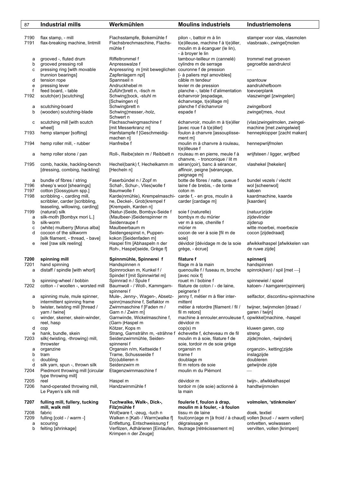| 87                        | <b>Industrial mills</b>                                                                                         | Werkmühlen                                                                                                        | <b>Moulins industriels</b>                                                                                            | Industriemolens                                                                          |
|---------------------------|-----------------------------------------------------------------------------------------------------------------|-------------------------------------------------------------------------------------------------------------------|-----------------------------------------------------------------------------------------------------------------------|------------------------------------------------------------------------------------------|
| 7190<br>7191              | flax stamp, - mill<br>flax-breaking machine, lintmill                                                           | Flachsstampfe, Bokemühle f<br>Flachsbrechmaschine, Flachs-<br>mühle f                                             | pilon -, battoir m à lin<br>t(e)illeuse, machine f à t(e)iller,<br>moulin m à écanguer (le lin),<br>- à broyer le lin | stamper voor vlas, vlasmolen<br>vlasbraak-, zwingel¦molen                                |
| а<br>b<br>с               | grooved -, fluted drum<br>grooved pressing roll<br>pressing ring [with movable                                  | Riffeltrommel f<br>Anpresswalze f<br>Anpressring m [mit beweglichen couronne f de pression                        | tambour-teilleur m (cannelé)<br>cylindre m de serrage                                                                 | trommel met groeven<br>gegroefde aandrukrol                                              |
| d<br>е                    | trunnion bearings]<br>tension rope<br>pressing lever                                                            | Zapfenlagern npl]<br>Spannseil n<br>Andruckhebel m                                                                | [- à paliers mpl amovibles]<br>câble m tendeur<br>levier m de pression                                                | spantouw<br>aandrukhefboom                                                               |
| f<br>7192                 | feed board, - table<br>scutch(er) [scutching]                                                                   | Zuführ¦brett n, -tisch m<br>Schwing¦bock, -stuhl m<br>[Schwingen n]                                               | planche -, table f d'alimentation<br>échanvroir [espadage,<br>échanvrage, t(e)illage m]<br>planche f d'échanvroir     | toevoerplank<br>vlaszwingel [zwingelen]                                                  |
| а<br>b                    | scutching-board<br>(wooden) scutching-blade                                                                     | Schwingbrett n<br>Schwing¦messer,-holz,<br>Schwert n                                                              | espade f                                                                                                              | zwingelbord<br>zwingel¦mes, -hout                                                        |
| с<br>7193                 | scutching mill [with scutch<br>wheel]<br>hemp stamper [softing]                                                 | Flachsschwingmaschine f<br>[mit Messerkranz m]<br>Hanfstampfe f [Geschmeidig-<br>machen n]                        | échanvroir, moulin m à t(e)iller<br>[avec roue f à t(e)iller]<br>foulon à chanvre [assouplisse-                       | (vlas)zwingelmolen, zwingel-<br>machine [met zwingelwiel]<br>hennepklopper [zacht maken] |
| 7194                      | hemp roller mill, - rubber                                                                                      | Hanfreibe f                                                                                                       | ment m]<br>moulin m à chanvre à rouleau,<br>t(e)illeuse f                                                             | hennepwrijfmolen                                                                         |
| а                         | hemp roller stone / pan                                                                                         | Roll-, Reibe¦stein m / Reibbett n                                                                                 | rouleau m en pierre, meule f à<br>chanvre, - tronconique / lit m                                                      | wrijfsteen / ligger, wrijfbed                                                            |
| 7195                      | comb, hackle, hackling-bench<br>[dressing, combing, hackling]                                                   | Hechel(bank) f, Hechelkamm m<br>[Hecheln n]                                                                       | séran(çoir), banc à sérancer,<br>affinoir, peigne [sérançage,<br>peignage m]                                          | vlashekel [hekelen]                                                                      |
| а<br>7196<br>7197<br>7198 | bundle of fibres / string<br>sheep's wool [shearings]<br>cotton [Gossypium spp.]<br>scribbling -, carding mill, | Faserbündel n / Zopf m<br>Schaf-, Schur-, Vlies¦wolle f<br>Baumwolle f<br>Karde(nmühle), Krempelmaschi-           | botte de fibres / natte, queue f<br>laine f de brebis, - de tonte<br>coton m<br>carde f, - en gros, moulin à          | bundel yezels / ylecht<br>wol [scheerwol]<br>katoen<br>kaardmachine, kaarde              |
| 7199                      | scribbler, carder [scribbling,<br>teaseling, willowing, carding]<br>(natural) silk                              | ne, Deckel-, Grob¦krempel f<br>[Krempeln, Karden n]<br>(Natur-)Seide, Bombyx-Seide f                              | carder [cardage m]<br>soie f (naturelle)                                                                              | [kaarden]<br>(natuur)zijde                                                               |
| а<br>b<br>C               | silk-moth [Bombyx mori L.]<br>silk-worm<br>(white) mulberry [Morus alba]                                        | (Maulbeer-)Seidenspinner m<br>Seidenraupe f<br>Maulbeerbaum m                                                     | bombyx m du mûrier<br>ver m à soie, chenille f<br>mûrier m                                                            | zijdevlinder<br>zijderup<br>witte moerbei, moerbezie                                     |
| d<br>е                    | cocoon of the silkworm<br>[silk filament, - thread, - bave]<br>reel [raw silk reeling]                          | Seidengespinst n, Puppen-<br>kokon [Seidenfaden m]<br>Haspel f/m [Abhaspeln n der<br>Roh-, Haspel¦seide, Grège f] | cocon de ver à soie [fil m de<br>soie]<br>dévidoir [dévidage m de la soie<br>grège, - écrue]                          | cocon [zijdedraad]<br>afwikkelhaspel [afwikkelen van<br>de ruwe zijde]                   |
| 7200                      | spinning mill                                                                                                   | Spinnmühle, Spinnerei f                                                                                           | filature f                                                                                                            | spinnerij                                                                                |
| 7201<br>a                 | hand spinning<br>distaff / spindle [with whorl]                                                                 | Handspinnen n<br>Spinnrocken m, Kunkel f /<br>Spindel f [mit Spinnwirtel m]                                       | filage m à la main<br>quenouille f / fuseau m, broche<br>[avec noix f]                                                | handspinnen<br>spinrok(ken) / spil [met-]                                                |
| b<br>7202                 | spinning-wheel / bobbin<br>cotton - / woollen -, worsted mill                                                   | Spinnrad n / Spule f<br>Baumwoll - / Woll-, Kammgarn-<br>spinnerei f                                              | rouet m / bobine f<br>filature de coton / - de laine,<br>peignerie f                                                  | spinnewiel / spoel<br>katoen- / kamgaren¦spinnerij                                       |
| а                         | spinning mule, mule spinner,<br>intermittent spinning frame                                                     | Mule-, Jenny-, Wagen-, Absetz-<br>spinn¦maschine f, Selfaktor m                                                   | jenny f, métier m à filer inter-<br>mittent                                                                           | selfactor, discontinu-spinmachine                                                        |
| b<br>с                    | twister, twisting mill [thread /<br>yarn / twine]<br>winder, skeiner, skein-winder,                             | Zwirnmaschine f [Faden m /<br>Garn n / Zwirn m]<br>Garnwinde, Wickelmaschine f,                                   | métier à retordre [filament / fil /<br>fil m retors]<br>machine à enrouler, enrouleuse f, opwikkel¦machine, -haspel   | twijner, twijnmolen [draad /<br>garen / twijn]                                           |
| d<br>е                    | reel, hasp<br>cop<br>hank, bundle, skein                                                                        | (Garn-)Haspel m<br>Kötzer, Kops m<br>Strang, Garnsträhn m, -strähne f                                             | dévidoir m<br>$cop(s)$ m<br>échevette f, écheveau m de fil                                                            | kluwen garen, cop<br>streng                                                              |
| 7203                      | silk(-twisting, -throwing) mill,<br>throwster                                                                   | Seidenzwirnmühle, Seiden-<br>spinnerei f                                                                          | moulin m à soie, filature f de<br>soie, tordoir m de soie grège                                                       | zijde¦molen, -twijnderij                                                                 |
| а<br>b<br>с               | organzine<br>tram<br>doubling                                                                                   | Organsin n/m, Kettseide f<br>Trame, Schussseide f<br>$D(o)$ ublieren n                                            | organsin m<br>trame f<br>doublage m                                                                                   | organzin-, ketting¦zijde<br>inslagzijde<br>doubleren                                     |
| d<br>7204                 | silk yarn, spun -, thrown silk<br>Piedmont throwing mill [circular<br>type throwing mill]                       | Seidenzwirn m<br>Etagenzwirnmaschine f                                                                            | fil m retors de soie<br>moulin m du Piémont                                                                           | getwijnde zijde                                                                          |
| 7205<br>7206              | reel<br>hand-operated throwing mill,                                                                            | Haspel m<br>Handzwirnmühle f                                                                                      | dévidoir m<br>tordoir m (de soie) actionné à                                                                          | twijn-, afwikkelhaspel<br>handtwijnmolen                                                 |

Le Payen's silk mill

## **7207 fulling mill, fullery, tucking Tuchwalke, Walk-, Dick-, foulerie f, foulon à drap, volmolen, 'stinkmolen'**

- 
- 
- -

**mill, walk mill Filz¦mühle f** moulin m à fouler, - à foulon 7208 fabric moulin m à foulon  $\frac{1}{20}$  moulin m à foulon  $\frac{1}{20}$  fabric

7208 fabric Woll¦ware f, -zeug, -tuch n tissu m de laine doek, textiel 7209 fulling [cold - / warm -] Walken n [Kalt- / Warm¦walke f] foul(onn)age m [à froid / à chaud] vollen [koud - / warm vollen] a scouring Entfettung, Entschweissung f dégraissage m ontvetten, wolwassen b felting [shrinkage] Verfilzen, Adhärieren [Einlaufen, feutrage [rétrécissement m] vervilten, vollen [krimpen] felting [shrinkage] Verfilzen, Adhärieren [<br>Krimpen n der Zeuge]

zorizon ...<br>tordoir m (de soie) actionné à la main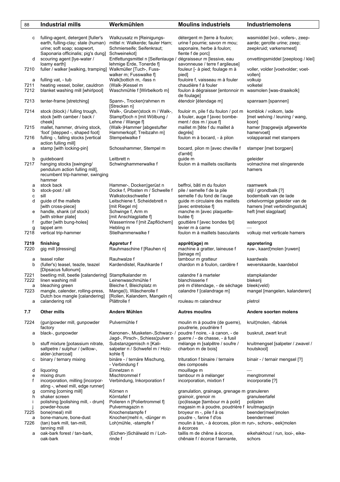| 88                               | <b>Industrial mills</b>                                                                                                                                                  | Werkmühlen                                                                                                                                           | <b>Moulins industriels</b>                                                                                                                                                                                                                                                   | Industriemolens                                                                                   |
|----------------------------------|--------------------------------------------------------------------------------------------------------------------------------------------------------------------------|------------------------------------------------------------------------------------------------------------------------------------------------------|------------------------------------------------------------------------------------------------------------------------------------------------------------------------------------------------------------------------------------------------------------------------------|---------------------------------------------------------------------------------------------------|
| c                                | fulling-agent, detergent [fuller's<br>earth, fulling-clay; stale (human)<br>urine; soft soap; soapwort,<br>Saponaria officinalis; pig's dung]                            | Walkzusatz m [Reinigungs-<br>mittel n: Walkerde; fauler Harn;<br>Schmierseife; Seifenkraut;<br>Schweinekot]                                          | détergent m [terre à foulon;<br>urine f pourrie; savon m mou;<br>saponaire, herbe à foulon;<br>fiente f de porcl                                                                                                                                                             | wasmiddel [vol-, vollers-, zeep-<br>aarde; gerotte urine; zeep;<br>zeepkruid; varkensmest]        |
| d                                | scouring agent [lye-water /<br>loamy earth]                                                                                                                              | Entfettungsmittel n [Seifenlauge /<br>lehmige Erde, Tonerde f]                                                                                       | dégraisseur m [lessive, eau<br>savonneuse / terre f argileuse]                                                                                                                                                                                                               | onvettingsmiddel [zeeploog / klei]                                                                |
| 7210                             | fuller / walker [walking, tramping] Walkmüller [Tuch-, Fuss-                                                                                                             | walker m; Fusswalke f]                                                                                                                               | fouleur [- à pied; foulage m à<br>pied]                                                                                                                                                                                                                                      | voller, volder [voetvolder; voet-<br>vollen]                                                      |
| a<br>7211<br>7212                | fulling vat, - tub<br>heating vessel, boiler, cauldron<br>blanket washing mill [whirlpool]                                                                               | Walk¦bottich m, -fass n<br>(Walk-)Kessel m<br>Waschmühle f [Wirbelkorb m]                                                                            | fouloire f, vaisseau m à fouler<br>chaudière f à fouler<br>foulon à dégraisser [entonnoir m wasmolen [was-draaikolk]<br>de foulage]                                                                                                                                          | volkuip<br>volketel                                                                               |
| 7213                             | tenter-frame [stretching]                                                                                                                                                | Spann-, Trocken¦rahmen m<br>[Strecken n]                                                                                                             | étendoir [étendage m]                                                                                                                                                                                                                                                        | spanraam [spannen]                                                                                |
| 7214<br>7215                     | stock (block) / fulling trough,<br>stock [with camber / back /<br>cheek]<br>mallet, hammer, driving stock,                                                               | Walk-, Gruben¦stock m / Walk-,<br>Stampf¦loch n [mit Wölbung /<br>Lehne / Wange f]<br>(Walk-)Hammer [abgestufter                                     | fouloir m, pile f du foulon / pot m<br>à fouler, auge f [avec bombe-<br>ment / dos m / joue $f$ ]<br>maillet m [tête f du maillet à                                                                                                                                          | komblok / volkom, lade<br>[met welving / leuning / wang,<br>koon]<br>hamer [trapgewijs afgewerkte |
| 7216                             | 'foot' [stepped -, shaped foot]<br>fulling -, falling stocks [vertical                                                                                                   | Hammerkopf; Treibzahn m]<br>Stempelwalke f                                                                                                           | degrés]<br>foulon m à bocard, - à pilon                                                                                                                                                                                                                                      | hamervoet]<br>volapparaat met stampers                                                            |
| a                                | action fulling mill]<br>stamp [with locking-pin]                                                                                                                         | Schosshammer, Stempel m                                                                                                                              | bocard, pilon m [avec cheville f<br>d'arrêt]                                                                                                                                                                                                                                 | stamper [met borgpen]                                                                             |
| b<br>7217                        | guideboard<br>hanging stocks [swinging/<br>pendulum action fulling mill],<br>recumbent trip-hammer, swinging<br>hammer                                                   | Leitbrett n<br>Schwinghammerwalke f                                                                                                                  | quide m<br>foulon m à maillets oscillants                                                                                                                                                                                                                                    | geleider<br>volmachine met slingerende<br>hamers                                                  |
| а<br>b<br>c<br>d                 | stock back<br>stock-post / sill<br>sill<br>guide of the mallets                                                                                                          | Hammer-, Docken¦gerüst n<br>Docke f, Pfosten m / Schwelle f<br>Walkstockschwelle f<br>Leitschiene f, Scheidebrett n                                  | beffroi, bâti m du foulon<br>pile / semelle f de la pile<br>semelle f du fond de l'auge<br>quide m circulaire des maillets                                                                                                                                                   | raamwerk<br>stijl / grondbalk [?]<br>bodembalk van de lade<br>cirkelvormige geleider van de       |
| е                                | [with cross-piece]<br>handle, shank (of stock)<br>[with striker plate]                                                                                                   | [mit Riegel m]<br>Schwinge f, Arm m<br>[mit Anschlagplatte f]                                                                                        | [avec entretoise f]<br>manche m [avec plaquette-<br>butée f                                                                                                                                                                                                                  | hamers [met verbindingsstuk]<br>heft [met slagplaat]                                              |
| f<br>g<br>7218                   | gutter [with bung-holes]<br>tappet arm<br>vertical trip-hammer                                                                                                           | Wasserrinne f [mit Zapflöchern]<br>Hebling m<br>Stielhammerwalke f                                                                                   | gouttière f [avec bondes fpl]<br>levier m à came<br>foulon m à maillets basculants                                                                                                                                                                                           | watergoot<br>volkuip met verticale hamers                                                         |
| 7219<br>7220                     | finishing<br>gig mill [dressing]                                                                                                                                         | Appretur f<br>Rauhmaschine f [Rauhen n]                                                                                                              | apprêt(age) m<br>machine à gratter, laineuse f<br>[lainage m]                                                                                                                                                                                                                | appretering<br>ruw-, kaard¦molen [ruwen]                                                          |
| а<br>b                           | teasel roller<br>(fuller's) teasel, teazle, teazel                                                                                                                       | Rauhwalze f<br>Kardendistel, Rauhkarde f                                                                                                             | tambour m gratteur<br>chardon m à foulon, cardère f                                                                                                                                                                                                                          | kaardwals<br>weverskaarde, kaardebol                                                              |
| 7221<br>7222<br>a                | [Dipsacus fullonum]<br>beetling mill, beetle [calandering] Stampfkalander m<br>linen washing mill<br>bleaching green                                                     | Leinenwaschmühle f<br>Bleiche f, Bleichplatz m                                                                                                       | calandre f à marteler<br>blanchisserie f<br>pré m d'étendage, - de séchage                                                                                                                                                                                                   | stampkalander<br>blekerij<br>bleek(veld)                                                          |
| 7223<br>a                        | mangle, calender, rolling-press,<br>Dutch box mangle [calandering]<br>calandering roll                                                                                   | Mange(I), Wäscherolle f<br>[Rollen, Kalandern, Mangeln n]<br>Plättrolle f                                                                            | calandre f [calandrage m]<br>rouleau m calandreur                                                                                                                                                                                                                            | mangel [mangelen, kalanderen]<br>pletrol                                                          |
| 7.7                              | Other mills                                                                                                                                                              | Andere Mühlen                                                                                                                                        | <b>Autres moulins</b>                                                                                                                                                                                                                                                        | Andere soorten molens                                                                             |
| 7224                             | (gun)powder mill, gunpowder                                                                                                                                              | Pulvermühle f                                                                                                                                        | moulin m à poudre (de guerre),                                                                                                                                                                                                                                               | kruit¦molen, -fabriek                                                                             |
| а                                | factory<br>black-, gunpowder                                                                                                                                             | Kanonen-, Musketen-, Schwarz- /<br>Jagd-, Pirsch-, Schiess¦pulver n                                                                                  | poudrerie, poudrière f<br>poudre f noire, - à canon, - de<br>guerre / - de chasse, - à fusil                                                                                                                                                                                 | buskruit, zwart kruit                                                                             |
| b                                | stuff mixture [potassium nitrate,<br>saltpetre / sulphur / (willow-,                                                                                                     | Substanzgemisch n [Kali-<br>salpeter n / Schwefel m / Holz-                                                                                          | mélange m [salpêtre / soufre /<br>charbon m de bois]                                                                                                                                                                                                                         | kruitmengsel [salpeter / zwavel /<br>houtskool]                                                   |
| с                                | alder-)charcoal]<br>binary / ternary mixing                                                                                                                              | kohle fl<br>binäre - / ternäre Mischung,<br>- Verbindung f                                                                                           | trituration f binaire / ternaire<br>des composés                                                                                                                                                                                                                             | binair - / ternair mengsel [?]                                                                    |
| d<br>e<br>f                      | liquoring<br>mixing drum<br>incorporation, milling [incorpor-<br>ating -, wheel mill, edge runner]                                                                       | Einnetzen n<br>Mischtrommel f<br>Verbindung, Inkorporation f                                                                                         | mouillage m<br>tambour m à mélanger<br>incorporation, mixtion f                                                                                                                                                                                                              | mengtrommel<br>incorporatie [?]                                                                   |
| g<br>h<br>Ť<br>7225<br>а<br>7226 | corning [corning mill]<br>shaker screen<br>polishing [polishing mill, - drum]<br>powder-house<br>bone(meal) mill<br>bone-manure, bone-dust<br>(tan) bark mill, tan-mill, | Körnen n<br>Körntafel f<br>Polieren n [Poliertrommel f]<br>Pulvermagazin n<br>Knochenstampfe f<br>Knochen¦mehl n, -dünger m<br>Loh¦mühle, -stampfe f | granulation, grainage, grenage m granuleren<br>grainoir, grenoir m<br>(po)lissage [tambour m à polir]<br>magasin m à poudre, poudrière f kruitmagazijn<br>broyeur m -, pile f à os<br>poudre -, farine f d'os<br>moulin à tan, - à écorces, pilon m run-, schors-, eek¦molen | granuleertafel<br>polijsten<br>beender(meel)molen<br>beendermeel                                  |
| a                                | tanning mill<br>oak-bark forest / tan-bark,<br>oak-bark                                                                                                                  | (Eichen-)Schälwald m / Loh-<br>rinde f                                                                                                               | à écorces<br>taillis m de chêne à écorce,<br>chênaie f / écorce f tannante,                                                                                                                                                                                                  | eikehakhout / run, looi-, eike-<br>schors                                                         |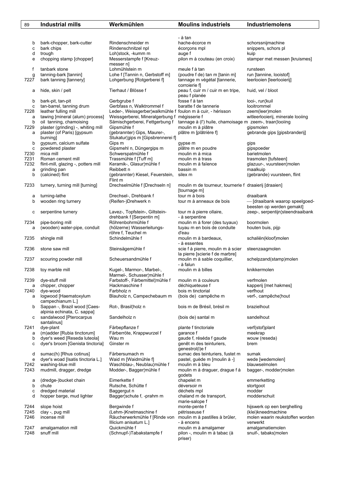| 89           | <b>Industrial mills</b>                                       | Werkmühlen                                                  | <b>Moulins industriels</b>                                                   | Industriemolens                                       |
|--------------|---------------------------------------------------------------|-------------------------------------------------------------|------------------------------------------------------------------------------|-------------------------------------------------------|
|              |                                                               |                                                             |                                                                              |                                                       |
|              |                                                               |                                                             | - à tan                                                                      |                                                       |
| b            | bark-chopper, bark-cutter                                     | Rindenschneider m                                           | hache-écorce m                                                               | schorssnijmachine                                     |
| c            | bark chips                                                    | Rindenschnitzel npl                                         | écorçons mpl                                                                 | snippers, schors pl                                   |
| d            | trough                                                        | Loh¦stock, -kumm m                                          | auge f                                                                       | kuip                                                  |
| e            | chopping stamp [chopper]                                      | Messerstampfe f [Kreuz-<br>messer n]                        | pilon m à couteau (en croix)                                                 | stamper met messen [kruismes]                         |
| f            | tanbark stone                                                 | Lohmühlstein m                                              | meule f à tan                                                                | runsteen                                              |
| g            | tanning-bark [tannin]                                         | Lohe f [Tannin n, Gerbstoff m]                              | (poudre f de) tan m [tanin m]                                                | run [tannine, looistof]                               |
| 7227         | bark tanning [tannery]                                        | Lohgerbung [Rotgerberei f]                                  | tannage m végétal [tannerie,                                                 | leerlooien [leerlooierij]                             |
|              |                                                               |                                                             | corroierie f]                                                                |                                                       |
| а            | hide, skin / pelt                                             | Tierhaut / Blösse f                                         | peau f, cuir m / cuir m en tripe,<br>peau f planée                           | huid, vel / bloot                                     |
| b            | bark-pit, tan-pit                                             | Gerbgrube f                                                 | fosse f à tan                                                                | looi-, run¦kuil                                       |
| c            | tan-barrel, tanning drum                                      | Gerbfass n, Walktrommel f                                   | baratte f de tannerie                                                        | looitrommel                                           |
| 7228         | leather fulling mill                                          | Leder-, Weissgerber¦walkmühle f foulon m à cuir, - hérisson |                                                                              | zeem(leer)molen                                       |
| a            | tawing [mineral (alum) process]                               | Weissgerberei, Mineralgerbung f                             | mégisserie f                                                                 | witleerlooierij, minerale looiing                     |
| b<br>7229    | oil tanning, chamoising<br>plaster (grinding) -, whiting mill | Sämischgerberei, Fettgerbung f<br>Gipsmühle f               | tannage à (I') huile, chamoisage m zeem-, traan¦looiing<br>moulin m à plâtre | gipsmolen                                             |
| a            | plaster (of Paris) [gypsum                                    | (gebrannter) Gips, Maurer-,                                 | plâtre m [plâtrière f]                                                       | gebrande gips [gipsbranderij]                         |
|              | burning                                                       | Stukatur¦gips m [Gipsbrennerei f]                           |                                                                              |                                                       |
| b            | gypsum, calcium sulfate                                       | Gips m                                                      | gypse m                                                                      | gips                                                  |
| c            | powdered plaster                                              | Gipsmehl n, Düngergips m                                    | plâtre m en poudre                                                           | gipspoeder                                            |
| 7230         | mica mill                                                     | Schwerspatmühle f                                           | moulin m à mica                                                              | barietmolen                                           |
| 7231<br>7232 | Roman cement mill<br>flint-mill, glazing -, potters mill      | Trassmühle f [Tuff m]<br>Keramik-, Glasur¦mühle f           | moulin m à trass<br>moulin m à faïence                                       | trasmolen [tufsteen]<br>glazuur-, vuursteen¦molen     |
| a            | grinding pan                                                  | Reibbett n                                                  | bassin m                                                                     | maalkuip                                              |
| b            | (calcined) flint                                              | (gebrannter) Kiesel, Feuerstein,                            | silex m                                                                      | (gebrande) vuursteen, flint                           |
|              |                                                               | Flint m                                                     |                                                                              |                                                       |
| 7233         | turnery, turning mill [turning]                               | Drechselmühle f [Drechseln n]                               | moulin m de tourneur, tournerie f draaierij [draaien]                        |                                                       |
|              |                                                               |                                                             | [tournage m]<br>tour m à bois                                                | draaibank                                             |
| а<br>b       | turning-lathe<br>wooden ring turnery                          | Drechsel-, Drehbank f<br>(Reifen-)Drehwerk n                | tour m à anneaux de bois                                                     | - [draaibank waarop speelgoed-                        |
|              |                                                               |                                                             |                                                                              | beesten op werden gemakt]                             |
| с            | serpentine turnery                                            | Lavez-, Topfstein-, Giltstein-                              | tour m à pierre ollaire,                                                     | zeep-, serpentijn¦steendraaibank                      |
|              |                                                               | drehbank f [Serpentin m]                                    | - à serpentine                                                               |                                                       |
| 7234         | pipe-boring mill                                              | Röhrenbohrmühle f                                           | moulin m à forer (des tuyaux)                                                | boormolen                                             |
| a            | (wooden) water-pipe, conduit                                  | (hölzerne) Wasserleitungs-<br>röhre f, Teuchel m            | tuyau m en bois de conduite<br>d'eau                                         | houten buis, pijp                                     |
| 7235         | shingle mill                                                  | Schindelmühle f                                             | moulin m à bardeaux,                                                         | schaliën(kloof)molen                                  |
|              |                                                               |                                                             | - à essentes                                                                 |                                                       |
| 7236         | stone saw mill                                                | Steinsägemühle f                                            | scie f à pierre, moulin m à scier                                            | steenzaagmolen                                        |
| 7237         | scouring powder mill                                          | Scheuersandmühle f                                          | la pierre [scierie f de marbre]<br>moulin m à sable coquillier,              | schelpzand(stamp)molen                                |
|              |                                                               |                                                             | - à falun                                                                    |                                                       |
| 7238         | toy marble mill                                               | Kugel-, Marmor-, Marbel-,                                   | moulin m à billes                                                            | knikkermolen                                          |
|              |                                                               | Marmel-, Schusser¦mühle f                                   |                                                                              |                                                       |
| 7239         | dye-stuff mill                                                | Farbstoff-, Färbemittel¦mühle f                             | moulin m à couleurs                                                          | verfmolen                                             |
| a<br>7240    | chipper, chopper<br>dye-wood                                  | Hackmaschine f<br>Farbholz n                                | déchiqueteuse f<br>bois m tinctorial                                         | kapperij [met hakmes]<br>verfhout                     |
| а            | logwood [Haematoxylum                                         | Blauholz n. Campechebaum m                                  | (bois de) campêche m                                                         | verf-, campêche¦hout                                  |
|              | campechianum L.]                                              |                                                             |                                                                              |                                                       |
| b            | Sappan -, Brazil wood [Caes-                                  | Rot-, Brasil¦holz n                                         | bois m de Brésil, brésil m                                                   | brazielhout                                           |
|              | alpinia echinata, C. sappa]                                   | Sandelholz n                                                |                                                                              | sandelhout                                            |
| с            | sandalwood [Pterocarpus<br>santalinus]                        |                                                             | (bois de) santal m                                                           |                                                       |
| 7241         | dye-plant                                                     | Färbepflanze f                                              | plante f tinctoriale                                                         | verf(stof)plant                                       |
| а            | (m)adder [Rubia tinctorum]                                    | Färberröte, Krappwurzel f                                   | qarance f                                                                    | meekrap                                               |
| b            | dyer's weed [Reseda luteola]                                  | Wau m                                                       | gaude f, réséda f gaude                                                      | wouw (reseda)                                         |
| c            | dyer's broom [Genista tinctoria]                              | Ginster m                                                   | genêt m des teinturiers,                                                     | brem                                                  |
| d            | sumac(h) [Rhus cotinus]                                       | Färbersumach m                                              | genestrol(I)e f<br>sumac des teinturiers, fustet m                           | sumak                                                 |
| e            | dyer's woad [Isatis tinctoria L.]                             | Waid m [Waidmühle f]                                        | pastel, guède m [moulin à -]                                                 | wede [wedemolen]                                      |
| 7242         | washing-blue mill                                             | Waschblau-, Neublau¦mühle f                                 | moulin m à bleu                                                              | blauwselmolen                                         |
| 7243         | mudmill, dragger, dredge                                      | Modder-, Bagger¦mühle f                                     | moulin m à draguer, drague f à                                               | bagger-, modder¦molen                                 |
|              |                                                               |                                                             | godets                                                                       |                                                       |
| а<br>b       | (dredge-)bucket chain<br>chute                                | Eimerkette f<br>Rutsche, Schütte f                          | chapelet m<br>déversoir m                                                    | emmerketting<br>stortgoot                             |
| c            | dredged material                                              | Baggergut n                                                 | déchets mpl                                                                  | modder                                                |
| d            | hopper barge, mud lighter                                     | Bagger¦schute f, -prahm m                                   | chaland m de transport,                                                      | modderschuit                                          |
|              |                                                               |                                                             | marie-salope f                                                               |                                                       |
| 7244         | slope hoist                                                   | Bergwinde f                                                 | monte-pente f                                                                | hijswerk op een berghelling                           |
| 7245<br>7246 | clay -, pug mill<br>incense mill                              | (Lehm-)Knetmaschine f<br>Räucherwerkmühle f [Rinde von      | pétrisseuse f<br>moulin m à pastilles à brûler,                              | (klei)kneedmachine<br>molen waarin reukstoffen worden |
|              |                                                               | Illicium anisatum L.]                                       | - à encens                                                                   | verwerkt                                              |
| 7247         | amalgamation mill                                             | Quickmühle f                                                | moulin m à amalgamer                                                         | amalgamatiemolen                                      |
| 7248         | snuff mill                                                    | (Schnupf-)Tabakstampfe f                                    | pilon -, moulin m à tabac (à                                                 | snuif-, tabaks¦molen                                  |
|              |                                                               |                                                             | priser)                                                                      |                                                       |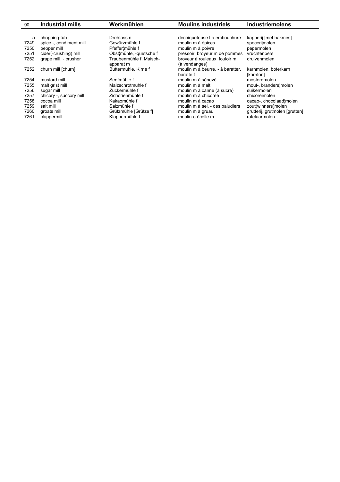| 90   | <b>Industrial mills</b> | Werkmühlen              | <b>Moulins industriels</b>                    | <b>Industriemolens</b>            |
|------|-------------------------|-------------------------|-----------------------------------------------|-----------------------------------|
|      |                         |                         |                                               |                                   |
| a    | chopping-tub            | Drehfass n              | déchiqueteuse f à embouchure                  | kapperij [met hakmes]             |
| 7249 | spice -, condiment mill | Gewürzmühle f           | moulin m à épices                             | specerijmolen                     |
| 7250 | pepper mill             | Pfeffer¦mühle f         | moulin m à poivre                             | pepermolen                        |
| 7251 | cider(-crushing) mill   | Obst¦mühle, -quetsche f | pressoir, broyeur m de pommes                 | vruchtenpers                      |
| 7252 | grape mill, - crusher   | Traubenmühle f, Maisch- | broyeur à rouleaux, fouloir m                 | druivenmolen                      |
|      |                         | apparat m               | (à vendanges)                                 |                                   |
| 7252 | churn mill [churn]      | Buttermühle, Kirne f    | moulin m à beurre, - à baratter,<br>baratte f | karnmolen, boterkarn<br>[karnton] |
| 7254 | mustard mill            | Senfmühle f             | moulin m à sénevé                             | mosterdmolen                      |
| 7255 | malt grist mill         | Malzschrotmühle f       | moulin m à malt                               | mout-, branders!molen             |
| 7256 | sugar mill              | Zuckermühle f           | moulin m à canne (à sucre)                    | suikermolen                       |
| 7257 | chicory -, succory mill | Zichorienmühle f        | moulin m à chicorée                           | chicoreimolen                     |
| 7258 | cocoa mill              | Kakaomühle f            | moulin m à cacao                              | cacao-, chocolaad¦molen           |
| 7259 | salt mill               | Salzmühle f             | moulin m à sel, - des paludiers               | zout(winners)molen                |
| 7260 | groats mill             | Grützmühle [Grütze f]   | moulin m à gruau                              | grutterij, grutmolen [grutten]    |
| 7261 | clappermill             | Klappermühle f          | moulin-crécelle m                             | ratelaarmolen                     |
|      |                         |                         |                                               |                                   |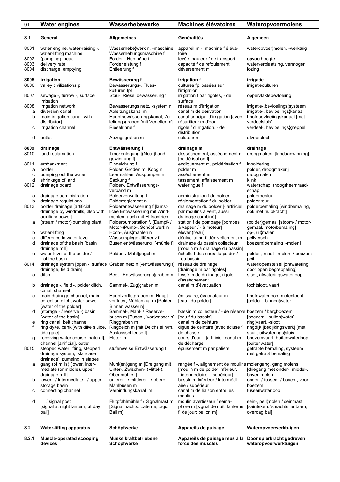| 91           | <b>Water engines</b>                                            | Wasserhebewerke                                                  | <b>Machines élévatoires</b>                                                                | Wateropvoermolens                                         |
|--------------|-----------------------------------------------------------------|------------------------------------------------------------------|--------------------------------------------------------------------------------------------|-----------------------------------------------------------|
| 8.1          | General                                                         | <b>Allgemeines</b>                                               | Généralités                                                                                | Algemeen                                                  |
| 8001         | water engine, water-raising -,<br>water-lifting machine         | Wasserhebelwerk n, -maschine,<br>Wasserhebungsmaschine f         | appareil m -, machine f éléva-<br>toire                                                    | wateropvoer¦molen, -werktuig                              |
| 8002         | (pumping) head                                                  | Förder-, Hub¦höhe f                                              | levée, hauteur f de transport                                                              | opvoerhoogte                                              |
| 8003<br>8004 | delivery rate<br>discharge, emptying                            | Förderleistung f<br>Entleerung f                                 | capacité f de refoulement<br>déversement m                                                 | waterverplaatsing, vermogen<br>lozing                     |
|              |                                                                 |                                                                  |                                                                                            |                                                           |
| 8005         | irrigation                                                      | Bewässerung f                                                    | irrigation f                                                                               | irrigatie                                                 |
| 8006         | valley civilizations pl                                         | Bewässerungs-, Fluss-<br>kulturen fpl                            | cultures fpl basées sur<br>l'irrigation                                                    | irrigatieculturen                                         |
| 8007         | sewage -, furrow -, surface<br>irrigation                       | Stau-, Riesel¦bewässerung f                                      | irrigation f par rigoles, - de<br>surface                                                  | oppervlaktebevloeiing                                     |
| 8008         | irrigation network                                              | Bewässerungs¦netz, -system n                                     | réseau m d'irrigation                                                                      | irrigatie-, bevloeiings¦systeem                           |
| a            | diversion canal                                                 | Ableitungskanal m                                                | canal m de dérivation                                                                      | irrigatie-, bevloeiings¦kanaal                            |
| b            | main irrigation canal [with<br>distributor]                     | Hauptbewässerungskanal, Zu-<br>leitungsgraben [mit Verteiler m]  | canal principal d'irrigation [avec<br>répartiteur m d'eau]                                 | hoofdbevloeiingskanaal [met<br>verdeelsluis]              |
| с            | irrigation channel                                              | Rieselrinne f                                                    | rigole f d'irrigation, - de                                                                | verdeel-, bevloeiings¦greppel                             |
|              |                                                                 |                                                                  | distribution                                                                               |                                                           |
| d            | outlet                                                          | Abzugsgraben m                                                   | colateur m                                                                                 | afvoersloot                                               |
| 8009         | drainage                                                        | Entwässerung f                                                   | drainage m                                                                                 | drainage                                                  |
| 8010         | land reclamation                                                | Trockenlegung [(Neu-)Land-                                       | dessèchement, assèchement m                                                                | droogmakerij [landaanwinning]                             |
| 8011         | embankment                                                      | gewinnung f]<br>Eindeichung f                                    | [poldérisation f]<br>endiguement m, poldérisation f                                        | inpoldering                                               |
| a            | polder                                                          | Polder, Groden m, Koog n                                         | polder m                                                                                   | polder, droogmakerij                                      |
| C            | pumping out the water                                           | Leermahlen, Auspumpen n                                          | assèchement m                                                                              | droogmalen                                                |
| d<br>8012    | shrinkage of land<br>drainage board                             | Sackung f<br>Polder-, Entwässerungs-                             | tassement, affaissement m<br>wateringue f                                                  | klink<br>waterschap, (hoog)heemraad-                      |
|              |                                                                 | verband m                                                        |                                                                                            | schap                                                     |
| а            | drainage administration                                         | Polderverwaltung f                                               | administration f du polder                                                                 | polderbestuur                                             |
| b            | drainage regulations                                            | Polderreglement n                                                | réglementation f du polder                                                                 | polderkeur                                                |
| 8013         | polder drainage [artificial<br>drainage by windmills, also with | Polderentwässerung f [künst-<br>liche Entwässerung mit Wind-     | drainage m du polder [- artificiel<br>par moulins à vent, aussi                            | polderbemaling [windbemaling,<br>ook met hulpkracht]      |
|              | auxiliary power]                                                | mühlen, auch mit Hilfsantrieb]                                   | drainage combiné]                                                                          |                                                           |
| а            | (steam / motor) pumping plant                                   | Polderpumpstation f, (Dampf- /                                   | station f de pompage [pompes<br>à vapeur / - à moteur]                                     | (polder)gemaal [stoom- / motor-<br>gemaal, motorbemaling] |
| b            | water-lifting                                                   | Motor-)Pump-, Schöpf¦werk n<br>Hoch-, Aus¦mahlen n               | élever (l'eau)                                                                             | op-, uit¦malen                                            |
| C            | difference in water level                                       | Wasserspiegeldifferenz f                                         | dénivellation f, dénivellement m                                                           | peilverschil                                              |
| d            | drainage of the basin [basin                                    | Busen¦entwässerung [-mühle f]                                    | drainage du bassin collecteur<br>[moulin m à drainage du bassin]                           | boezem¦bemaling [-molen]                                  |
| е            | drainage mill]<br>water-level of the polder /                   | Polder- / Mahl¦pegel m                                           | échelle f des eaux du polder /                                                             | polder-, maal-, molen- / boezem-                          |
|              | - of the basin                                                  |                                                                  | - du bassin                                                                                | peil                                                      |
| 8014         | drainage, field drain]                                          | drainage system [open -, surface Graben¦netz n [-entwässerung f] | réseau de drainage<br>[drainage m par rigoles]                                             | waterlopenstelsel [ontwatering<br>door open begreppeling] |
| а            | ditch                                                           | Beet-, Entwässerungs¦graben m fossé m de drainage, rigole f      |                                                                                            | sloot, afwateringswaterloop                               |
|              |                                                                 |                                                                  | d'assèchement                                                                              |                                                           |
| b            | drainage -, field -, polder ditch,<br>canal, channel            | Sammel-, Zug¦graben m                                            | canal m d'évacuation                                                                       | tochtsloot, vaart                                         |
| с            | main drainage channel, main<br>collection ditch, water-sewer    | Hauptvorflutgraben m, Haupt-<br>vorfluter, Mühlenzug m [Polder-, | émissaire, évacuateur m<br>[eau f du polder]                                               | hoofdwaterloop, molentocht<br>[polder-, binnen water]     |
|              | [water of the polder]                                           | Binnen¦wasser n]                                                 |                                                                                            |                                                           |
| d            | (storage - / reserve -) basin                                   | Sammel-, Mahl- / Reserve-                                        | bassin m collecteur / - de réserve boezem / bergboezem                                     |                                                           |
|              | [water of the basin]                                            | busen m [Busen-, Vor¦wasser n]<br>Ringgraben m                   | [eau f du bassin]<br>canal m de ceinture                                                   | [boezem-, buiten¦water]<br>ring¦vaart, -sloot             |
| е<br>f       | ring canal, belt channel<br>ring dyke, bank [with dike sluice,  | Ringdeich m [mit Deichsiel n/m,                                  | digue de ceinture [avec écluse f                                                           | ringdijk [bedijkingswerk] [met                            |
|              | tide gate]                                                      | Auslassschleuse fl                                               | de chasse]                                                                                 | spui-, uitwaterings¦sluis]                                |
| g            | receiving water course [natural],                               | Fluter m                                                         | cours d'eau - [artificiel: canal m]                                                        | boezemvaart, buitenwaterloop                              |
| 8015         | channel [artificial], outlet<br>stepped water lifting, stepped  | stufenweise Entwässerung f                                       | de décharge<br>épuisement m par paliers                                                    | [buitenwater]<br>getrapte bemaling, systeem               |
|              | drainage system, 'staircase                                     |                                                                  |                                                                                            | met getrapt bemaling                                      |
|              | drainage', pumping in stages                                    |                                                                  |                                                                                            |                                                           |
| а            | gang (of mills) [lower, inter-<br>mediate (or middle), upper    | Mühl(en)gang m [Dreigang mit<br>Unter-, Zwischen- (Mittel-),     | rangée f -, alignement de moulins molengang, gang molens<br>[moulin m de polder inférieur, | [driegang met onder-, middel-,                            |
|              | drainage mill]                                                  | Ober¦mühle fl                                                    | - intermédiaire, - supérieur]                                                              | boven¦molen]                                              |
| b            | lower - / intermediate - / upper                                | unterer - / mittlerer - / oberer                                 | bassin m inférieur / intermédi-                                                            | onder- / tussen- / boven-, voor-                          |
| с            | storage basin<br>connecting channel                             | Mahlbusen m<br>Verbindungskanal m                                | aire / supérieur<br>canal m de liaison entre les                                           | boezem<br>tussenwaterloop                                 |
|              |                                                                 |                                                                  | moulins                                                                                    |                                                           |
| d            | $-$ / signal post                                               | Flutpfahlmühle f / Signalmast m                                  | moulin avertisseur / séma-                                                                 | sein-, peil¦molen / seinmast                              |
|              | [signal at night lantern, at day<br>ball]                       | [Signal nachts: Laterne, tags:<br>Ball m]                        | phore m [signal de nuit: lanterne<br>f, de jour: ballon m]                                 | [seinteken: 's nachts lantaarn,<br>overdag bal]           |
|              |                                                                 |                                                                  |                                                                                            |                                                           |
| 8.2          | <b>Water-lifting apparatus</b>                                  | Schöpfwerke                                                      | Appareils de puisage                                                                       | Wateropvoerwerktuigen                                     |
|              |                                                                 |                                                                  |                                                                                            |                                                           |
| 8.2.1        | Muscle-operated scooping<br>devices                             | Muskelkraftbetriebene<br>Schöpfwerke                             | Appareils de puisage mus à la Door spierkracht gedreven<br>force des muscles               | wateropvoerwerktuigen                                     |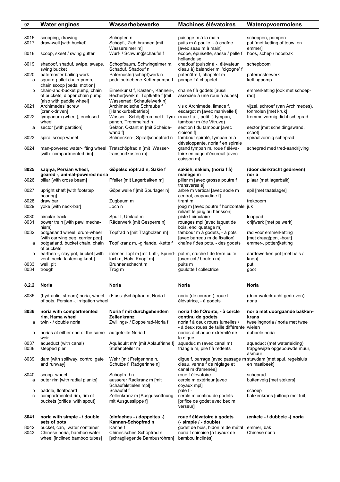| 92           | <b>Water engines</b>                                         | Wasserhebewerke                                                | <b>Machines élévatoires</b>                                          | Wateropvoermolens                                           |
|--------------|--------------------------------------------------------------|----------------------------------------------------------------|----------------------------------------------------------------------|-------------------------------------------------------------|
|              |                                                              |                                                                |                                                                      |                                                             |
| 8016         | scooping, drawing                                            | Schöpfen n                                                     | puisage m à la main                                                  | scheppen, pompen                                            |
| 8017         | draw-well [with bucket]                                      | Schöpf-, Zieh¦brunnen [mit                                     | puits m à poulie, - à chaîne                                         | put [met ketting of touw, en                                |
|              |                                                              | Wassereimer m]<br>Wurf- / Schwung¦schaufel f                   | [avec seau m à main]<br>écope, épuisette, sasse / pelle f            | emmer]                                                      |
| 8018         | scoop, skeet / swing gutter                                  |                                                                | hollandaise                                                          | hoos, schep / hoosbak                                       |
| 8019         | shadoof, shaduf, swipe, swape,<br>swing bucket               | Schöpfbaum, Schwingeimer m,<br>Schaduf, Shadouf n              | chadouf (puisoir à -, élévateur<br>d'eau à) balancier m, 'cigogne' f | schepboom                                                   |
| 8020         | paternoster bailing work                                     | Paternoster(schöpf)werk n                                      | patenôtre f, chapelet m                                              | paternosterwerk                                             |
| a            | square-pallet chain-pump,                                    | pedalbetriebene Kettenpumpe f                                  | pompe f à chapelet                                                   | kettingpomp                                                 |
|              | chain scoop [pedal motion]                                   |                                                                |                                                                      |                                                             |
| b            | chain-and-bucket pump, chain                                 | Eimerkunst f, Kasten-, Kannen-,                                | chaîne f à godets [aussi                                             | emmerketting [ook met schoep-                               |
|              | of buckets, dipper chain pump<br>[also with paddle wheel]    | Becher¦werk n, Topfkette f [mit]<br>Wasserrad: Schaufelwerk n] | associée à une roue à aubes]                                         | rad]                                                        |
| 8021         | Archimedes' screw                                            | Archimedische Schraube f                                       | vis d'Archimède, limace f,                                           | vijzel, schroef (van Archimedes),                           |
|              | [crank-driven]                                               | [Handkurbelbetrieb]                                            | escargot m [avec manivelle f]                                        | tonmolen [met kruk]                                         |
| 8022         | tympanum (wheel), enclosed                                   | Wasser-, Schöpf¦trommel f, Tym- (roue f à -, petit -) tympan,  |                                                                      | trommelvormig dicht scheprad                                |
|              | wheel                                                        | panon, Trommelrad n                                            | tambour m (de Vitruve)<br>section f du tambour [avec                 |                                                             |
| a            | sector [with partition]                                      | Sektor, Oktant m [mit Scheide-<br>wand fl                      | cloison f                                                            | sector [met scheidingswand,<br>schot]                       |
| 8023         | spiral scoop wheel                                           | Schnecken-, Spiral¦schöpfrad n                                 | tambour spiralé, tympan mà                                           | spiraalvormig scheprad                                      |
|              |                                                              |                                                                | développante, noria f en spirale                                     |                                                             |
| 8024         | man-powered water-lifting wheel Tretschöpfrad n [mit Wasser- |                                                                | grand tympan m, roue f éléva-                                        | scheprad med tred-aandrijving                               |
|              | [with compartmented rim]                                     | transportkasten m]                                             | toire en cage d'écureuil [avec<br>caisson m]                         |                                                             |
|              |                                                              |                                                                |                                                                      |                                                             |
| 8025         | saqiya, Persian wheel,                                       | Göpelschöpfrad n, Sakie f                                      | sakièh, sakieh, (noria fà)                                           | (door dierkracht gedreven)                                  |
|              | geared -, animal-powered noria                               |                                                                | manège m                                                             | noria                                                       |
| 8026         | pillar [with cross beam]                                     | Pfeiler [mit Lagerbalken m]                                    | pilier m [avec grosse poutre f                                       | pilaar [met lagerbalk]                                      |
| 8027         | upright shaft [with footstep                                 | Göpelwelle f [mit Spurlager n]                                 | transversale]<br>arbre m vertical [avec socle m                      | spil [met taatslager]                                       |
|              | bearing]                                                     |                                                                | central, crapaudine f]                                               |                                                             |
| 8028         | draw bar                                                     | Zugbaum m                                                      | tirant m                                                             | trekboom                                                    |
| 8029         | yoke [with neck-bar]                                         | Joch n                                                         | joug m avec poutre f horizontale juk                                 |                                                             |
| 8030         | circular track                                               | Spur f, Umlauf m                                               | reliant le joug au hérisson]<br>piste f circulaire                   | looppad                                                     |
| 8031         | power train [with pawl mecha-                                | Räderwerk [mit Gesperre n]                                     | rouages mpl [avec taquet de                                          | drijfwerk [met palwerk]                                     |
|              | nism]                                                        |                                                                | bois, encliquetage m]                                                |                                                             |
| 8032         | potgarland wheel, drum-wheel                                 | Topfrad n [mit Tragbolzen m]                                   | tambour m à godets, - à pots                                         | rad voor emmerketting                                       |
|              | [with carrying peg, carrier peg]                             |                                                                | [avec barreau m de fixation]                                         | [met draag¦pen, -bout]                                      |
| а            | potgarland, bucket chain, chain<br>of buckets                | Topf¦kranz m, -girlande, -kette f                              | chaîne f des pots, - des godets                                      | emmer-, potten¦ketting                                      |
| b            | earthen -, clay pot, bucket [with                            | irdener Topf m [mit Luft-, Spund-                              | pot m, cruche f de terre cuite                                       | aardewerken pot [met hals /                                 |
|              | vent, neck, fastening knob]                                  | loch n, Hals, Knopf m]                                         | [avec col / bouton m]                                                | knop]                                                       |
| 8033         | well, pit                                                    | Brunnenschacht m                                               | puits m                                                              | put                                                         |
| 8034         | trough                                                       | Trog m                                                         | goulotte f collectrice                                               | goot                                                        |
|              |                                                              |                                                                |                                                                      |                                                             |
| 8.2.2        | Noria                                                        | Noria                                                          | Noria                                                                | Noria                                                       |
| 8035         | (hydraulic, stream) noria, wheel                             | (Fluss-)Schöpfrad n, Noria f                                   | noria (de courant), roue f                                           | (door waterkracht gedreven)                                 |
|              | of pots, Persian -, irrigation wheel                         |                                                                | élévatrice, - à godets                                               | noria                                                       |
|              |                                                              |                                                                |                                                                      |                                                             |
| 8036         | noria with compartmented                                     | Noria f mit durchgehendem                                      | noria f de l'Oronte, - à cercle                                      | noria met doorgaande bakken-                                |
|              | rim, Hama wheel<br>twin - / double noria                     | Zellenkranz<br>Zwillings- / Doppelrad-Noria f                  | continu de godets<br>noria f à deux roues jumelles /                 | krans<br>tweelingnoria / noria met twee                     |
| а            |                                                              |                                                                | - à deux roues de taille différente wielen                           |                                                             |
| b            | norias at either end of the same                             | aufgeteilte Noria f                                            | norias à chaque extrémité de                                         | dubbele noria                                               |
|              | weir                                                         |                                                                | la digue                                                             |                                                             |
| 8037<br>8038 | aqueduct (with canal)<br>stepped pier                        | Aquädukt m/n [mit Ablaufrinne f]<br>Stufenpfeiler m            | aqueduc m (avec canal m)<br>triangle m, pile f à redents             | aquaduct (met waterleiding)<br>trapgewijze opgebouwde muur, |
|              |                                                              |                                                                |                                                                      | asmuur                                                      |
| 8039         | dam [with spillway, control gate                             | Wehr [mit Freigerinne n,                                       | digue f, barrage [avec passage m stuwdam [met spui, regelsluis       |                                                             |
|              | and runway]                                                  | Schütze f, Radgerinne n]                                       | d'eau, vanne f de réglage et                                         | en maalbeek]                                                |
|              |                                                              |                                                                | canal m d'amenée]                                                    |                                                             |
| 8040<br>а    | scoop wheel<br>outer rim [with radial planks]                | Schöpfrad n<br>äusserer Radkranz m [mit                        | roue f élévatoire<br>cercle m extérieur [avec                        | scheprad<br>buitenvelg [met stekers]                        |
|              |                                                              | Schaufelstielen mpl]                                           | coyaux mpl]                                                          |                                                             |
| b            | paddle, floatboard                                           | Schaufel f                                                     | pale f -                                                             | schoep                                                      |
| c            | compartmented rim, rim of                                    | Zellenkranz m [Ausgussöffnung                                  | cercle m continu de godets                                           | bakkenkrans [uitloop met tuit]                              |
|              | buckets [orifice with spout]                                 | mit Ausgusslippe f                                             | [orifice de godet avec bec m<br>verseur]                             |                                                             |
|              |                                                              |                                                                |                                                                      |                                                             |
| 8041         | noria with simple - / double                                 | (einfaches - / doppeltes -)                                    | roue f élévatoire à godets                                           | (enkele - / dubbele -) noria                                |
|              | sets of pots                                                 | Kannen-Schöpfrad n                                             | (- simple / - double)                                                |                                                             |
| 8042<br>8043 | bucket, can, water container<br>Chinese noria, bamboo water  | Kanne f<br>Chinesisches Schöpfrad n                            | godet de bois, bidon m de métal<br>noria f chinoise [à tuyaux de     | emmer, bak<br>Chinese noria                                 |
|              | wheel [inclined bamboo tubes]                                | [schrägliegende Bambusröhren]                                  | bambou inclinés]                                                     |                                                             |
|              |                                                              |                                                                |                                                                      |                                                             |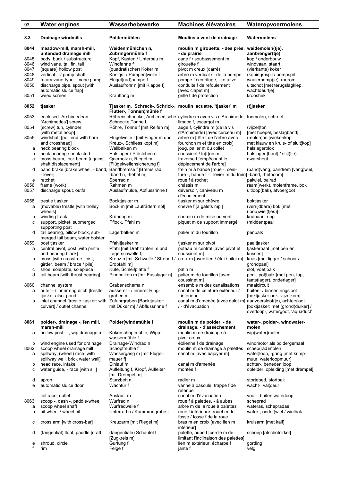| 93           | <b>Water engines</b>                                                | Wasserhebewerke                                                                             | <b>Machines élévatoires</b>                                                                              | Wateropvoermolens                                                     |
|--------------|---------------------------------------------------------------------|---------------------------------------------------------------------------------------------|----------------------------------------------------------------------------------------------------------|-----------------------------------------------------------------------|
| 8.3          | <b>Drainage windmills</b>                                           | Poldermühlen                                                                                | Moulins à vent de drainage                                                                               | Watermolens                                                           |
| 8044         | meadow-mill, marsh-mill,                                            | Weidenmühlchen n,                                                                           | moulin m girouette, - des prés, weidemolen(tje),                                                         |                                                                       |
| 8045         | untended drainage mill<br>body, buck / substructure                 | Zubringermühle f<br>Kopf, Kasten / Unterbau m                                               | - de prairie<br>cage f / soubassement m                                                                  | aanbrenger(tje)<br>kop / onderbouw                                    |
| 8046         | wind vane, tail fin, tail                                           | Windfahne f                                                                                 | girouette f                                                                                              | windvaan, staart                                                      |
| 8047         | (square) hollow post                                                | (quadratischer) Koker m                                                                     | pivot m creux (carré)                                                                                    | (vierkante) koker                                                     |
| 8048<br>8049 | vertical - / pump shaft                                             | Königs- / Pumpen¦welle f<br>Flügel(rad)pumpe f                                              | arbre m vertical / - de la pompe<br>pompe f centrifuge, - rotative                                       | (konings)spil / pompspil                                              |
| 8050         | rotary vane-type -, vane pump<br>discharge pipe, spout [with        | Auslaufrohr n [mit Klappe f]                                                                | conduite f de refoulement                                                                                | waaierpomp(je), roerom<br>uitschot [met terugslagklep,                |
|              | automatic sluice flap]                                              |                                                                                             | [avec clapet m]                                                                                          | wachtdeurtje]                                                         |
| 8051         | weed screen                                                         | Krautfang m                                                                                 | grille f de protection                                                                                   | krooshek                                                              |
| 8052         | tjasker                                                             | Tjasker m, Schreck-, Schrick-, moulin lacustre, 'tjasker' m<br>Flutter-, Tonnen¦mühle f     |                                                                                                          | (t)jasker                                                             |
| 8053         | enclosed Archimedean<br>[Archimedes'] screw                         | Schnecke, Tonne f                                                                           | Röhrenschnecke, Archimedische cylindre m avec vis d'Archimède, tonmolen, schroef<br>limace f, escargot m |                                                                       |
| 8054         | (screw) tun, cylinder                                               | Röhre, Tonne f [mit Reifen m]                                                               | auge f, cylindre m (de la vis                                                                            | (vijzel)ton                                                           |
| 8055         | [with metal hoop]<br>windshaft [poll end with horn                  | Flügelwelle f [mit Finger m und                                                             | d'Archimède) [avec cerceau m]<br>arbre m [tête f de l'arbre avec                                         | [met hoepel, beslagband]<br>(molen)as [wiekenkop                      |
|              | and crosshead]                                                      | Kreuz-, Schliess¦kopf m]                                                                    | fourchon m et tête en croix]                                                                             | met klauw en kruis- of sluit¦kop]                                     |
| а            | neck bearing block                                                  | Wellbalken m                                                                                | joug, palier m du collet                                                                                 | halslagerblok                                                         |
| b            | neck bearing / neck stud                                            | Halslager / Pföstchen n                                                                     | coussinet / lu(t)on m                                                                                    | halslager [hout] / stijl(tje)<br>dwarshout                            |
| с            | cross beam, lock beam [against<br>shaft displacement]               | Querholz n, Riegel m<br>[Flügelwellensicherung f]                                           | traverse f [empêchant le<br>déplacement de l'arbre]                                                      |                                                                       |
| d            | band brake [brake wheel, - band, Bandbremse f [Brems]rad,           |                                                                                             | frein m à bande [roue -, cein-                                                                           | (band) vang, bandrem [vang wiel,                                      |
|              | - lever]<br>ratchet                                                 | -band n, -hebel m]                                                                          | ture -, bande f -, levier m du frein] -band, -hefboom]                                                   |                                                                       |
| e<br>8056    | frame (work)                                                        | Sperrad n<br>Rahmen m                                                                       | roue f à rochet<br>châssis m                                                                             | palwiel, palrad<br>raam(werk), molenframe, bok                        |
| 8057         | discharge spout, outfall                                            | Auslaufmulde, Abflussrinne f                                                                | déversoir, caniveau m                                                                                    | uitloop(bak), afvoergoot                                              |
| 8058         | trestle tjasker                                                     | Bocktjasker m                                                                               | d'écoulement<br>tjasker m sur chèvre                                                                     | boktjasker                                                            |
| a            | (movable) trestle [with trolley                                     | Bock m [mit Laufrädern npl]                                                                 | chèvre f [à galets mpl]                                                                                  | (verrijdbare) bok [met                                                |
|              | wheels]                                                             |                                                                                             |                                                                                                          | (loop)wiel(tjes)]                                                     |
| b<br>с       | winding track<br>support, picket, submerged                         | Krühring m<br>Pflock, Pfahl m                                                               | chemin m de mise au vent<br>piquet m de support immergé                                                  | kruibaan, ring<br>(midden)paal                                        |
|              | supporting post                                                     |                                                                                             |                                                                                                          |                                                                       |
| d            | tail bearing, pillow block, sub-<br>merged tail beam, water bolster | Lagerbalken m                                                                               | palier m du tourillon                                                                                    | penbalk                                                               |
| 8059         | post tjasker                                                        | Pfahltjasker m                                                                              | tjasker m sur pivot                                                                                      | paaltjasker                                                           |
| a            | central pivot, post [with pintle                                    | Pfahl [mit Drehzapfen m und                                                                 | poteau m central [avec pivot et                                                                          | tjaskerpaal [met pen en                                               |
| b            | and bearing block]<br>cross [with crosstree, joist,                 | Lagerschwelle f]<br>Kreuz n [mit Schwelle / Strebe f / croix m [avec lien / étai / pilot m] | coussinet m]                                                                                             | kussen]<br>kruis [met ligger / schoor /                               |
|              | girder, beam / brace / pile]                                        | Erdpfahl m]                                                                                 |                                                                                                          | grondpaal]                                                            |
| с<br>d       | shoe, soleplate, solepiece<br>tail beam [with thrust bearing]       | Kufe, Schleifplatte f<br>Pinnbalken m [mit Fusslager n]                                     | patin m<br>palier m du tourillon [avec                                                                   | slof, voet¦balk<br>pen-, pot¦balk [met pen, tap,                      |
|              |                                                                     |                                                                                             | coussinet m]                                                                                             | taats(lager), onderlager]                                             |
| 8060         | channel system                                                      | Grabenschema n                                                                              | ensemble m des canalisations                                                                             | maalcircuit                                                           |
| a            | outer - / inner ring ditch [trestle<br>tjasker also: pond]          | äusserer - / innerer Ring-<br>graben m                                                      | canal m de ceinture extérieur /<br>- intérieur                                                           | buiten- / binnen¦ringsloot<br>[boktjasker ook: vijzelkom]             |
| b            | inlet channel [trestle tjasker: with Zufuhrgraben [Bocktjasker:     |                                                                                             | canal m d'amenée [avec dalot m] aanvoersloot(je), achtersloot                                            |                                                                       |
|              | culvert] / outlet channel                                           | mit Düker m] / Abflussrinne f                                                               | / - d'évacuation                                                                                         | [boktjasker: met (grond)duiker] /<br>overloop-, watergoot, 'aquaduct' |
| 8061         | polder-, drainage -, fen mill,                                      | Polder(wind)mühle f                                                                         | moulin m de polder, - de                                                                                 | water-, polder-, windwater-                                           |
|              | marsh-mill                                                          |                                                                                             | drainage, - d'assèchement                                                                                | molen                                                                 |
| а            | hollow post - -, wip drainage mill                                  | Kokerschöpfmühle, Wipp-<br>wassermühle f                                                    | moulin m de drainage à<br>pivot creux                                                                    | wip(water)molen                                                       |
| b            | wind engine used for drainage                                       | Drainage-Windrad n                                                                          | éolienne f de drainage                                                                                   | windmotor als poldergemaal                                            |
| 8062         | scoop wheel drainage mill                                           | Schöpfmühle f                                                                               | moulin m de drainage à palettes                                                                          | schep(rad)molen                                                       |
| а            | spillway, (wheel) race [with<br>spillway wall, brick water wall]    | Wassergang m [mit Flügel-<br>mauer fl                                                       | canal m [avec bajoyer m]                                                                                 | waterloop, -gang [met krimp-<br>muur, waterloopmuur]                  |
| b            | head race, intake                                                   | Einlauf m                                                                                   | canal m d'amenée                                                                                         | achter-, beneden¦loop                                                 |
| с            | water guide, - race [with sill]                                     | Aufleitung f, Kropf, Aufleiter                                                              | montée f                                                                                                 | opleider, opleiding [met drempel]                                     |
| d            | apron                                                               | [mit Drempel m]<br>Sturzbett n                                                              | radier m                                                                                                 | stortebed, stortbak                                                   |
| е            | automatic sluice door                                               | Wachtür f                                                                                   | vanne à bascule, trappe f de                                                                             | wacht-, valldeur                                                      |
|              |                                                                     |                                                                                             | retenue                                                                                                  |                                                                       |
| f<br>8063    | tail race, outlet<br>scoop -, dash -, paddle-wheel                  | Auslauf m<br>Wurfrad n                                                                      | canal m d'évacuation<br>roue f à palettes, - à aubes                                                     | voor-, buiten¦waterloop<br>scheprad                                   |
| a            | scoop wheel shaft                                                   | Wurfradwelle f                                                                              | arbre m de la roue à palettes                                                                            | wateras, schepradas                                                   |
| b            | pit wheel / wheel pit                                               | Unterrad n / Kammradgrube f                                                                 | roue f inférieure, rouet m de                                                                            | water-, onder¦wiel / wielbak                                          |
| с            | cross arm [with cross-bar]                                          | Kreuzarm [mit Riegel m]                                                                     | fosse / fosse f de la roue<br>bras m en croix [avec lien m                                               | kruisarm [met kalf]                                                   |
| d            | (tangential) float, paddle [draft]                                  | (tangentiale) Schaufel f                                                                    | intérieur]<br>palette, aube f [cercle m dé-                                                              | schoep [afschotcirkel]                                                |
| e            | shroud, circle                                                      | [Zugkreis m]<br>Gurtung f                                                                   | limitant l'inclinaison des palettes]<br>lien m extérieur, écharpe f                                      | gording                                                               |
| f            | rim                                                                 | Felge f                                                                                     | jante f                                                                                                  | velg                                                                  |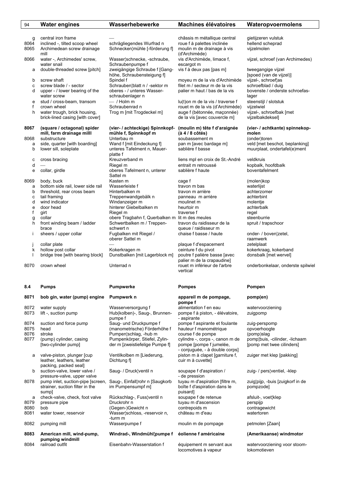| 94           | <b>Water engines</b>                                             | Wasserhebewerke                                             | <b>Machines élévatoires</b>                                    | Wateropvoermolens                              |
|--------------|------------------------------------------------------------------|-------------------------------------------------------------|----------------------------------------------------------------|------------------------------------------------|
|              |                                                                  |                                                             |                                                                |                                                |
| g            | central iron frame                                               |                                                             | châssis m métallique central                                   | gietijzeren vulstuk                            |
| 8064<br>8065 | inclined -, tilted scoop wheel<br>Archimedean screw drainage     | schrägliegendes Wurfrad n<br>Schnecken¦mühle [-förderung f] | roue f à palettes inclinée<br>moulin m de drainage à vis       | hellend scheprad<br>vijzelmolen                |
|              | mill                                                             |                                                             | (d'Archimède)                                                  |                                                |
| 8066         | water -, Archimedes' screw,                                      | Wasser¦schnecke, -schraube,                                 | vis d'Archimède, limace f,                                     | vijzel, schroef (van Archimedes)               |
|              | water snail                                                      | Schraubenpumpe f                                            | escargot m                                                     |                                                |
| а            | double-threaded screw [pitch]                                    | zweigängige Schraube f [Gang-                               | vis f à deux pas [pas m]                                       | tweegangige vijzel                             |
| b            | screw shaft                                                      | höhe, Schraubensteigung f]<br>Spindel f                     | moyeu m de la vis d'Archimède                                  | [spoed (van de vijzel)]<br>vijzel-, schroef¦as |
| с            | screw blade / - sector                                           | Schrauben¦blatt n / -sektor m                               | filet m / secteur m de la vis                                  | schroefblad / duig                             |
| d            | upper - / lower bearing of the                                   | oberes - / unteres Wasser-                                  | palier m haut / bas de la vis                                  | bovenste / onderste schroefas-                 |
|              | water screw                                                      | schraubenlager n                                            |                                                                | lager                                          |
| е            | stud / cross-beam, transom                                       | $-$ / Holm m                                                | lu(t) on m de la vis / traverse f                              | steenstijl / slotstuk                          |
| f<br>h       | crown wheel<br>water trough, brick housing,                      | Schraubenrad n<br>Trog m [mit Trogdeckel m]                 | rouet m de la vis (d'Archimède)<br>auge f (bétonnée, maçonnée) | vijzelwiel<br>vijzel-, schroefbak [met         |
|              | brick-lined casing [with cover]                                  |                                                             | de la vis [avec couvercle m]                                   | vijzelbakdeksel]                               |
|              |                                                                  |                                                             |                                                                |                                                |
| 8067         | (square / octagonal) spider<br>mill, farm drainage milll         | (vier- / achteckige) Spinnkopf-<br>mühle f, Spinnkopf m     | (moulin m) tête f d'araignée<br>$(\hat{a} 4/8 \hat{c}$         | (vier- / achtkante) spinnekop-<br>molen        |
| 8068         | substructure                                                     | Unterbau m                                                  | soubassement m                                                 | (onder)toren                                   |
| a            | side, quarter [with boarding]                                    | Wand f [mit Eindeckung f]                                   | pan m [avec bardage m]                                         | veld [met beschot, beplanking]                 |
| b            | lower sill, soleplate                                            | unteres Tafelment n, Mauer-                                 | sablière f basse                                               | muurplaat, ondertafel(e)ment                   |
| с            | cross bracing                                                    | platte f<br>Kreuzverband m                                  | liens mpl en croix de St.-André                                | veldkruis                                      |
| d            |                                                                  | Riegel m                                                    | entrait m retroussé                                            | kopbalk, hoofdbalk                             |
| е            | collar, girdle                                                   | oberes Tafelment n, unterer                                 | sablière f haute                                               | boventafelment                                 |
|              |                                                                  | Sattel m                                                    |                                                                |                                                |
| 8069         | body, buck                                                       | Kasten m                                                    | cage f                                                         | (molen)kop                                     |
| а            | bottom side rail, lower side rail                                | Wasserleiste f                                              | travon m bas                                                   | waterlijst                                     |
| b<br>C       | threshold, rear cross beam<br>tail framing                       | Hinterbalken m<br>Treppenwandgebälk n                       | travon m arrière<br>panneau m arrière                          | achterzomer<br>achterbint                      |
| d            | wind indicator                                                   | Windanzeiger m                                              | moulinet m                                                     | molentje                                       |
| е            | door head                                                        | hinterer Giebelbalken m                                     | heurtoir m                                                     | achterbalk                                     |
| f            | girt                                                             | Riegel m                                                    | traverse f                                                     | regel                                          |
| g            | collar                                                           | obere Tragbahn f, Querbalken m lit m des meules             |                                                                | steenburrie                                    |
| h            | front winding beam / ladder<br>brace                             | Schwertbalken m / Treppen-<br>schwert n                     | travon du raidisseur de la<br>queue / raidisseur m             | spruit / trapschoor                            |
| Ť            | sheers / upper collar                                            | Fugbalken mit Riegel /                                      | chaise f basse / haute                                         | onder- / boven¦zetel,                          |
|              |                                                                  | oberer Sattel m                                             |                                                                | raamwerk                                       |
|              | collar plate                                                     |                                                             | plaque f d'espacement                                          | zetelplaat                                     |
| k            | hollow post collar                                               | Kokerkragen m                                               | ceinture f du pivot                                            | kokerkraag, kokerband                          |
|              | bridge tree [with bearing block]                                 | Dunstbalken [mit Lagerblock m]                              | poutre f palière basse [avec<br>palier m de la crapaudine]     | donsbalk [met wervel]                          |
| 8070         | crown wheel                                                      | Unterrad n                                                  | rouet m inférieur de l'arbre                                   | onderbonkelaar, onderste spilwiel              |
|              |                                                                  |                                                             | vertical                                                       |                                                |
| 8.4          | <b>Pumps</b>                                                     | Pumpwerke                                                   | <b>Pompes</b>                                                  | Pompen                                         |
|              |                                                                  |                                                             |                                                                |                                                |
| 8071         | bob gin, water (pump) engine                                     | Pumpwerk n                                                  | appareil m de pompage,<br>pompe f                              | pomp(en)                                       |
| 8072         | water supply                                                     | Wasserversorgung f                                          | alimentation f en eau                                          | watervoorziening                               |
| 8073         | lift -, suction pump                                             | Hub(kolben)-, Saug-, Brunnen-                               | pompe f à piston, - élévatoire,                                | zuigpomp                                       |
|              |                                                                  | pumpe f                                                     | - aspirante                                                    |                                                |
| 8074<br>8075 | suction and force pump                                           | Saug- und Druckpumpe f<br>(manometrische) Förderhöhe f      | pompe f aspirante et foulante<br>hauteur f manométrique        | zuig-perspomp<br>opvoerhoogte                  |
| 8076         | head<br>stroke                                                   | Pumpen¦schlag, -hub m                                       | course f de pompe                                              | (pomp)slag                                     |
| 8077         | (pump) cylinder, casing                                          | Pumpenkörper, Stiefel, Zylin-                               | cylindre -, corps -, canon m de                                | pomp¦buis, -cilinder, -lichaam                 |
|              | [two-cylinder pump]                                              | der m [zweistiefelige Pumpe f]                              | pompe [pompe f jumelée,                                        | [pomp met twee cilinders]                      |
|              |                                                                  |                                                             | - conjuguée, - à double corps]                                 |                                                |
| a            | valve-piston, plunger [cup<br>leather, leathers, leather         | Ventilkolben m [Liederung,<br>Dichtung f                    | piston m à clapet [garniture f,<br>cuir m à cuvette]           | zuiger met klep [pakking]                      |
|              | packing, packed seal]                                            |                                                             |                                                                |                                                |
| b            | suction-valve, lower valve /                                     | Saug- / Druck¦ventil n                                      | soupape f d'aspiration /                                       | zuig- / pers¦ventiel, -klep                    |
|              | pressure-valve, upper valve<br>pump inlet, suction-pipe [screen, | Saug-, Einfall¦rohr n [Saugkorb                             | - de pression<br>tuyau m d'aspiration [filtre m,               |                                                |
| 8078         | strainer, suction filter in the                                  | im Pumpensumpf m]                                           | boîte f d'aspiration dans le                                   | zuig¦pijp, -buis [zuigkorf in de<br>pompzode]  |
|              | sumpl                                                            |                                                             | puisard]                                                       |                                                |
| а            | check-valve, check, foot valve                                   | Rückschlag-, Fuss¦ventil n                                  | soupape f de retenue                                           | afsluit-, voet¦klep                            |
| 8079         | pressure pipe                                                    | Druckrohr n                                                 | tuyau m d'ascension                                            | perspijp                                       |
| 8080<br>8081 | bob<br>water tower, reservoir                                    | (Gegen-)Gewicht n<br>Wasser¦schloss, -reservoir n,          | contrepoids m<br>château m d'eau                               | contragewicht<br>watertoren                    |
|              |                                                                  | -turm m                                                     |                                                                |                                                |
| 8082         | pumping mill                                                     | Wasserpumpe f                                               | moulin m de pompage                                            | petmolen [Zaan]                                |
| 8083         | American mill, wind-pump,                                        | Windrad-, Windmühl¦pumpe f                                  | éolienne f américaine                                          | (Amerikaanse) windmotor                        |
|              | pumping windmill                                                 |                                                             |                                                                |                                                |
| 8084         | railroad outfit                                                  | Eisenbahn-Wasserstation f                                   | équipement m servant aux<br>locomotives à vapeur               | watervoorziening voor stoom-<br>lokomotieven   |

 $\overline{1}$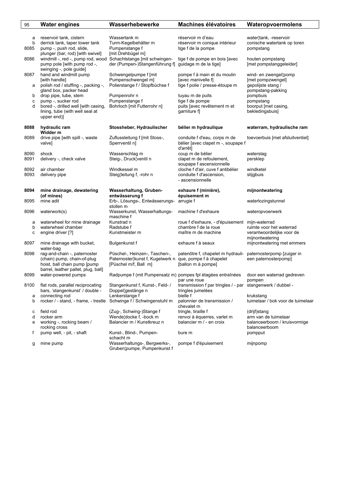| 95             | <b>Water engines</b>                                                                                                                                           | Wasserhebewerke                                                                                                    | <b>Machines élévatoires</b>                                                                   | Wateropvoermolens                                                                     |
|----------------|----------------------------------------------------------------------------------------------------------------------------------------------------------------|--------------------------------------------------------------------------------------------------------------------|-----------------------------------------------------------------------------------------------|---------------------------------------------------------------------------------------|
| a<br>b<br>8085 | reservoir tank, cistern<br>derrick tank, taper tower tank<br>pump -, push rod, slide,<br>plunger (bar, rod) [with swivel]                                      | Wassertank m<br>Turm-Kegelbehälter m<br>Pumpenstange f<br>[mit Drehbügel m]                                        | réservoir m d'eau<br>réservoir m conique intérieur<br>tige f de la pompe                      | water¦tank, -reservoir<br>conische watertank op toren<br>pompstang                    |
| 8086           | windmill -, red -, pump rod, wood Schachtstange [mit schwingen-<br>pump pole [with pump rod -,<br>swinging -, pole guide]                                      | der (Pumpen-)Stangenführung f]                                                                                     | tige f de pompe en bois [avec<br>guidage m de la tige]                                        | houten pompstang<br>[met pompstanggeleider]                                           |
| 8087<br>а      | hand and windmill pump<br>[with handle]<br>polish rod / stuffing -, packing -,                                                                                 | Schwengelpumpe f [mit<br>Pumpenschwengel m]<br>Polierstange f / Stopfbüchse f                                      | pompe f à main et du moulin<br>[avec manivelle f]<br>tige f polie / presse-étoupe m           | wind- en zwengel¦pomp<br>[met pompzwengel]<br>qepolijste stang /<br>pompstang-pakking |
| b<br>c<br>d    | gland box, packer head<br>drop pipe, tube, stem<br>pump -, sucker rod<br>bored -, drilled well [with casing,<br>lining, tube (with well seal at<br>upper end)] | Pumpenrohr n<br>Pumpenstange f<br>Bohrloch [mit Futterrohr n]                                                      | tuyau m de puits<br>tige f de pompe<br>puits [avec revêtement m et<br>garniture f             | pompbuis<br>pompstang<br>boorput [met casing,<br>bekledingsbuis]                      |
| 8088           | hydraulic ram<br>Widder m                                                                                                                                      | Stossheber, Hydraulischer                                                                                          | bélier m hydraulique                                                                          | waterram, hydraulische ram                                                            |
| 8089           | drive pipe [with spill -, waste<br>valve]                                                                                                                      | Zuflussleitung f [mit Stoss-,<br>Sperrventil nl                                                                    | conduite f d'eau, corps m de<br>bélier [avec clapet m -, soupape f<br>d'arrêt]                | toevoerbuis [met afsluitventiel]                                                      |
| 8090<br>8091   | shock<br>delivery -, check valve                                                                                                                               | Wasserschlag m<br>Steig-, Druck¦ventil n                                                                           | coup m de bélier<br>clapet m de refoulement,<br>soupape f ascensionnelle                      | waterslag<br>persklep                                                                 |
| 8092<br>8093   | air chamber<br>delivery pipe                                                                                                                                   | Windkessel m<br>Steig¦leitung f, -rohr n                                                                           | cloche f d'air, cuve f antibélier<br>conduite f d'ascension,<br>- ascensionnelle              | windketel<br>stijgbuis                                                                |
| 8094           | mine drainage, dewatering<br>(of mines)                                                                                                                        | Wasserhaltung, Gruben-<br>entwässerung f                                                                           | exhaure f (minière),<br>épuisement m                                                          | mijnontwatering                                                                       |
| 8095           | mine adit                                                                                                                                                      | Erb-, Lösungs-, Entwässerungs-<br>stollen m                                                                        | arrugie f                                                                                     | waterlozingstunnel                                                                    |
| 8096           | waterwork(s)                                                                                                                                                   | Wasserkunst, Wasserhaltungs-<br>maschine f                                                                         | machine f d'exhaure                                                                           | wateropvoerwerk                                                                       |
| а<br>b<br>c    | waterwheel for mine drainage<br>waterwheel chamber<br>engine driver [?]                                                                                        | Kunstrad n<br>Radstube f<br>Kunstmeister m                                                                         | roue f d'exhaure, - d'épuisement mijn-waterrad<br>chambre f de la roue<br>maître m de machine | ruimte voor het waterrad<br>verantwoordelijke voor de<br>mijnontwatering              |
| 8097           | mine drainage with bucket,<br>water-bag                                                                                                                        | Bulgenkunst f                                                                                                      | exhaure f à seaux                                                                             | mijnontwatering met emmers                                                            |
| 8098           | rag-and-chain -, paternoster<br>(chain) pump, chain-of-plug<br>hoist, ball chain pump [pump<br>barrel, leather pallet, plug, ball]                             | Püschel-, Heinzen-, Taschen-,<br>Paternoster¦kunst f, Kugelwerk n que, pompe f à chapelet<br>[Püschel m/f, Ball m] | patenôtre f, chapelet m hydrauli-<br>[ballon m à pompe]                                       | paternosterpomp [zuiger in<br>een paternosterpomp]                                    |
| 8099           | water-powered pumps                                                                                                                                            | Radpumpe f (mit Pumpensatz m) pompes fpl étagées entraînées                                                        | par une roue                                                                                  | door een waterrad gedreven<br>pompen                                                  |
| 8100<br>а      | flat rods, parallel reciprocating<br>bars, 'stangenkunst' / double -<br>connecting rod                                                                         | Stangenkunst f, Kunst-, Feld-/<br>Doppel¦gestänge n<br>Lenkerstange f                                              | transmission f par tringles / - par stangenwerk / dubbel -<br>tringles jumelées<br>bielle f   | krukstang                                                                             |
| b              | rocker / - stand, - frame, - trestle Schwinge f / Schwingenstuhl m                                                                                             |                                                                                                                    | palonnier de transmission /<br>chevalet m                                                     | tuimelaar / bok voor de tuimelaar                                                     |
| с              | field rod                                                                                                                                                      | (Zug-, Schwing-)Stange f                                                                                           | tringle, tiraille f                                                                           | (drijf)stang                                                                          |
| d<br>e         | rocker arm<br>working -, rocking beam /<br>rocking cross                                                                                                       | Wende¦docke f, -bock m<br>Balancier m / Kunstkreuz n                                                               | renvoi à équerres, varlet m<br>balancier m / - en croix                                       | arm van de tuimelaar<br>balanceerboom / kruisvormige<br>balanceerboom                 |
| t              | pump well, - pit, - shaft                                                                                                                                      | Kunst-, Blind-, Pumpen-<br>schacht m                                                                               | bure m                                                                                        | pompput                                                                               |
| g              | mine pump                                                                                                                                                      | Wasserhaltungs-, Bergwerks-,<br>Gruben¦pumpe, Pumpenkunst f                                                        | pompe f d'épuisement                                                                          | mijnpomp                                                                              |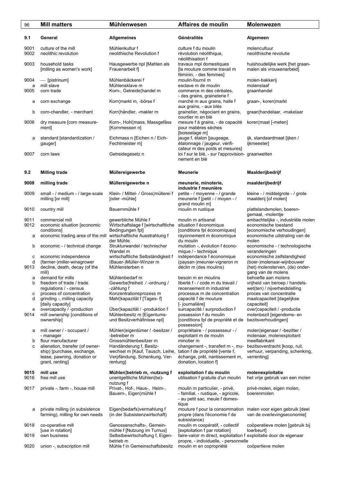| 96           | <b>Mill matters</b>                                                | Mühlenwesen                                                     | Affaires de moulin                                                                                               | <b>Molenwezen</b>                                               |
|--------------|--------------------------------------------------------------------|-----------------------------------------------------------------|------------------------------------------------------------------------------------------------------------------|-----------------------------------------------------------------|
| 9.1          | General                                                            | <b>Allgemeines</b>                                              | Généralités                                                                                                      | Algemeen                                                        |
| 9001<br>9002 | culture of the mill<br>neolithic revolution                        | Mühlenkultur f<br>neolithische Revolution f                     | culture f du moulin<br>révolution néolithique,<br>néolithisation f                                               | molencultuur<br>neolithische revolutie                          |
| 9003         | household tasks<br>[milling as women's work]                       | Hausgewerbe npl [Mahlen als<br>Frauenarbeit fl                  | travaux mpl domestiques<br>[la mouture comme travail m<br>féminin, - des femmes]                                 | huishoudelijke werk [het graan-<br>malen als vrouwenarbeid]     |
| 9004         | — [pistrinum]                                                      | Mühlenbäckerei f                                                | moulin-fournil m                                                                                                 | molen-bakkerij                                                  |
| a            | mill slave                                                         | Mühlensklave m                                                  | esclave m de moulin                                                                                              | molenslaaf                                                      |
| 9005         | corn trade                                                         | Korn-, Getreide¦handel m                                        | commerce m des céréales,<br>- des grains, graineterie f                                                          | graanhandel                                                     |
| а            | corn exchange                                                      | Korn¦markt m, -börse f                                          | marché m aux grains, halle f<br>aux grains, - aux blés                                                           | graan-, koren¦markt                                             |
| b            | corn-chandler, - merchant                                          | Korn¦händler, -makler m                                         | grainetier, négociant en grains,<br>courtier m en blé                                                            | graan¦handelaar, -makelaar                                      |
| 9006         | dry measure [corn measure-<br>ment]                                | Korn-, Hohl¦mass, Massgefäss<br>[Kornmessen n]                  | mesure f à grains, - de capacité<br>pour matières sèches<br>[boisselage m]                                       | koren¦maat [-meten]                                             |
| а            | standard [standardization /<br>gauger]                             | Eichmass n [Eichen n / Eich-<br>Fechtmeister m]                 | jauge f, étalon [jaugeage,<br>étalonnage / jaugeur, vérifi-                                                      | ijk, standaardmaat [ijken /<br>ijkmeester]                      |
| 9007         | corn laws                                                          | Getreidegesetz n                                                | cateur m des poids et mesures]<br>loi f sur le blé, - sur l'approvision- graanwetten<br>nement en blé            |                                                                 |
| 9.2          | <b>Milling trade</b>                                               | Müllereigewerbe                                                 | <b>Meunerie</b>                                                                                                  | Maalderijbedrijf                                                |
| 9008         | milling trade                                                      | Müllereigewerbe n                                               | meunerie, minoterie,<br>industrie f meunière                                                                     | maalderijbedrijf                                                |
| 9009         | small - / medium - / large-scale<br>milling [or mill]              | Klein- / Mittel- / Gross¦müllerei f<br>[oder -mühle]            | petite - / moyenne - / grande<br>meunerie f [petit - / moyen - /<br>grand moulin m]                              | kleine - / middelgrote - / grote<br>maalderij [of molen]        |
| 9010         | country mill                                                       | Bauernmühle f                                                   | moulin m rustique                                                                                                | plattelandsmolen, boeren-<br>gemaal, -molentje                  |
| 9011         | commercial mill                                                    | gewerbliche Mühle f                                             | moulin m artisanal                                                                                               | ambachtelijke -, industriële molen                              |
| 9012         | economic situation [economic                                       | Wirtschaftslage f [wirtschaftliche                              | situation f économique                                                                                           | economische toestand                                            |
|              | conditions]                                                        | Bedingungen fpl]                                                | [conditions fpl économiques]                                                                                     | [economische verhoudingen]                                      |
| а            | economic trading area of the mill                                  | wirtschaftliche Ausstrahlung f<br>der Mühle                     | rayonnement m économique<br>du moulin                                                                            | economische uitstraling van de<br>molen                         |
| b            | economic - / technical change                                      | Strukturwandel / technischer<br>Wandel m                        | mutation -, évolution f écono-<br>mique / - technique                                                            | economische - / technologische<br>veranderingen                 |
| c            | economic independence                                              | wirtschaftliche Selbständigkeit f                               | indépendance f économique                                                                                        | economische zelfstandigheid                                     |
| d            | (farmer-)miller-winegrower                                         | (Bauer-)Müller-Winzer m                                         | (paysan-)meunier-vigneron m                                                                                      | (boer-)molenaar-wijnbouwer                                      |
| 9013         | decline, death, decay (of the<br>mill)                             | Mühlensterben n                                                 | déclin m (des moulins)                                                                                           | (het) molensterven, (de) onder-<br>gang van de molens           |
| а            | demand for mills                                                   | Mühlenbedarf m                                                  | besoin m en moulins                                                                                              | behoefte aan molens                                             |
| b            | freedom of trade / trade<br>regulations / - census                 | Gewerbe¦freiheit / -ordnung /<br>-zählung f                     | liberté f - / code m du travail /<br>recensement m industriel                                                    | vrijheid van beroep / handels-<br>wet(ten) / nijverheidstelling |
| с            | process of concentration                                           | Konzentrationsprozess m                                         | processus m de concentration                                                                                     | proces van concentratie                                         |
| d            | grinding -, milling capacity<br>[daily capacity]                   | Mahl¦kapazität f [Tages-f]                                      | capacité f de mouture<br>[- journalière]                                                                         | maalcapaciteit [dagelijkse<br>capaciteit]                       |
| e            | overcapacity / -production                                         | Über¦kapazität / -produktion f                                  | surcapacité / surproduction f                                                                                    | over¦capaciteit / -productie                                    |
| 9014         | mill ownership [conditions of<br>ownership]                        | Mühlenbesitz m [Eigentums-<br>und Besitzverhältnisse npl]       | possession f du moulin<br>[conditions fpl de propriété et de<br>possession]                                      | molenbezit [eigendoms- en<br>bezitsverhoudingen]                |
| а            | mill owner / - occupant /<br>- manager                             | Mühlen¦eigentümer / -besitzer /<br>-betreiber m                 | propriétaire - / possesseur - /<br>exploitant m de moulin                                                        | molen¦eigenaar / -bezitter /<br>molenaar, molenexploitant       |
| b            | flour manufacturer                                                 | Grossmühlenbesitzer m                                           | minotier m                                                                                                       | meelfabrikant                                                   |
| c            | alienation, transfer (of owner-                                    | Handänderung f, Besitz-                                         | changement -, transfert m -, mu-                                                                                 | bezitsoverdracht [koop, ruil,                                   |
|              | ship) [purchase, exchange,<br>lease, pawning, donation or          | wechsel m [Kauf, Tausch, Leihe,<br>Verpfändung, Schenkung, Ver- | tation f de propriété [vente f,<br>échange, prêt, nantissement m,                                                | verhuur, verpanding, schenking,<br>verrenting                   |
|              | grant, renting]                                                    | rentung]                                                        | donation, location f]                                                                                            |                                                                 |
| 9015<br>9016 | mill use<br>free mill use                                          | Mühlen¦betrieb m, -nutzung f<br>unentgeltliche Mühlen(be)-      | exploitation f du moulin<br>utilisation f gratuite d'un moulin                                                   | molenexploitatie<br>het vrije gebruik van een molen             |
|              |                                                                    | nutzung f                                                       |                                                                                                                  |                                                                 |
| 9017         | private -, farm -, house mill                                      | Privat-, Hof-, Haus-, Heim-,<br>Bauern-, Eigen¦mühle f          | moulin m particulier, - privé,<br>- familial, - rustique, - agricole,<br>- au petit sac, meule f domes-<br>tique | privé-molen, eigen molen,<br>boerenmolen                        |
| а            | private milling (in subsistence<br>farming), milling for own needs | Eigen(bedarfs) vermahlung f<br>(in der Subsistenzwirtschaft)    | mouture f pour la consommation<br>propre (dans l'économie f de<br>subsistance)                                   | malen voor eigen gebruik [deel<br>van de overlevingseconomie]   |
| 9018         | co-operative mill<br>[use in rotation]                             | Genossenschafts-, Gemein-<br>mühle f [Nutzung im Turnus]        | moulin m coopératif, - collectif<br>[exploitation f par rotation]                                                | coöperatieve molen [gebruik bij<br>toerbeurt]                   |
| 9019         | own business                                                       | Selbstbewirtschaftung f, Eigen-<br>betrieb m                    | faire-valoir m direct, exploitation f exploitatie door de eigenaar<br>propre, - individuelle, - personnelle      |                                                                 |
| 9020         | union -, subscription mill                                         | Mühle f in Gemeinschaftsbesitz                                  | moulin m en copropriété                                                                                          | coöpertieve molen                                               |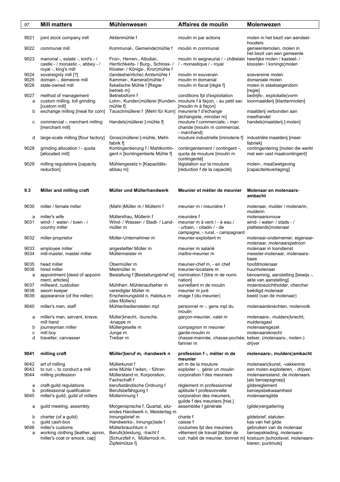| 97           | <b>Mill matters</b>                                                                          | <b>Mühlenwesen</b>                                                                                   | Affaires de moulin                                                                          | <b>Molenwezen</b>                                                 |
|--------------|----------------------------------------------------------------------------------------------|------------------------------------------------------------------------------------------------------|---------------------------------------------------------------------------------------------|-------------------------------------------------------------------|
|              |                                                                                              |                                                                                                      |                                                                                             |                                                                   |
| 9021         | joint stock company mill                                                                     | Aktienmühle f                                                                                        | moulin m par actions                                                                        | molen in het bezit van aandeel-<br>houders                        |
| 9022         | communal mill                                                                                | Kommunal-, Gemeinde¦mühle f                                                                          | moulin m communal                                                                           | gemeentemolen, molen in<br>het bezit van een gemeente             |
| 9023         | manorial -, estate -, lord's - /<br>castle - / monastic -, abbey - /<br>royal -, king's mill | Fron-, Herren-, Allodial-,<br>Herrlichkeits- / Burg-, Schloss- /<br>Kloster- / Königs-, Kron¦mühle f | moulin m seigneurial / - châtelain heerlijke molen / kasteel- /<br>/ - monastique / - royal | klooster- / konings¦molen                                         |
| 9024         | sovereignly mill [?]                                                                         | (landesherrliche) Amtsmühle f                                                                        | moulin m souverain                                                                          | soevereine molen                                                  |
| 9025         | domain -, demesne mill                                                                       | Kammer-, Kameral¦mühle f                                                                             | moulin m domanial                                                                           | domaniale molen                                                   |
| 9026         | state-owned mill                                                                             | fiskalische Mühle f [Regie-<br>betrieb m]                                                            | moulin m fiscal [régie f]                                                                   | molen in staatseigendom<br>[regie]                                |
| 9027<br>a    | method of management<br>custom milling, toll grinding                                        | Betriebsform f<br>Lohn-, Kunden¦müllerei [Kunden- mouture f à façon, - au petit sac                  | conditions fpl d'exploitation                                                               | bedrijfs-, exploitatie¦vorm<br>loonmaalderij [klantenmolen]       |
| b            | [custom mill]<br>exchange milling [meal for corn]                                            | mühle fl<br>Tauschmüllerei f [Mehl für Korn] meunerie f d'échange                                    | [moulin m à façon]                                                                          | maalderij verbonden aan                                           |
|              |                                                                                              |                                                                                                      | [échangiste, minotier m]                                                                    | meelhandel                                                        |
| с            | commercial -, merchant milling<br>[merchant mill]                                            | Handels¦müllerei [-mühle f]                                                                          | mouture f commerciale, - mar-<br>chande [moulin m commercial,<br>- marchand]                | handels¦maalderij [-molen]                                        |
| d            | large-scale milling [flour factory]                                                          | Gross¦müllerei [-mühle, Mehl-<br>fabrik fl                                                           | mouture industrielle [minoterie f]                                                          | industriële maalderij [meel-<br>fabriek]                          |
| 9028         | grinding allocation / - quota<br>[allocated mill]                                            | Kontingentierung f / Mahlkontin-<br>gent n [kontingentierte Mühle f]                                 | contingentement / contingent -,<br>quota de mouture [moulin m<br>contingenté]               | contingentering [molen die werkt<br>met een vast maalcontingent]  |
| 9029         | milling regulations [capacity<br>reduction]                                                  | Mühlengesetz n [Kapazitäts-<br>abbau m]                                                              | législation sur la mouture<br>[réduction f de la capacité]                                  | molen-, maal¦wetgeving<br>[capaciteitsverlaging]                  |
|              |                                                                                              |                                                                                                      |                                                                                             |                                                                   |
| 9.3          | Miller and milling craft                                                                     | Müller und Müllerhandwerk                                                                            | Meunier et métier de meunier                                                                | Molenaar en molenaars-<br>ambacht                                 |
| 9030         | miller / female miller                                                                       | (Mahl-)Müller m / Müllerin f                                                                         | meunier m / meunière f                                                                      | molenaar, mulder / molenarin,<br>mulderin                         |
| a            | miller's wife                                                                                | Müllersfrau, Müllerin f                                                                              | meunière f                                                                                  | molenaarsvrouw                                                    |
| 9031         | wind- / water- / town - /<br>country miller                                                  | Wind- / Wasser- / Stadt- / Land-<br>müller m                                                         | meunier m à vent / - à eau /<br>- urbain, - citadin / - de                                  | wind- / water- / stads - /<br>plattelands¦molenaar                |
|              |                                                                                              |                                                                                                      | campagne, - rural, - campagnard                                                             |                                                                   |
| 9032         | miller-proprietor                                                                            | Müller-Unternehmer m                                                                                 | meunier-exploitant m                                                                        | molenaar-ondernemer, eigenaar-<br>molenaar, molenaarspatroon      |
| 9033<br>9034 | employee miller<br>mill-master, master miller                                                | angestellter Müller m<br>Müllermeister m                                                             | meunier m salarié<br>maître-meunier m                                                       | molenaar in loondienst<br>meester-molenaar, molenaars-<br>baas    |
| 9035         | head miller                                                                                  | Obermüller m                                                                                         | meunier-chef m, - en chef                                                                   | hoofdmolenaar                                                     |
| 9036         | hired miller                                                                                 | Mietmüller m                                                                                         | meunier-locataire m                                                                         | huurmolenaar                                                      |
| a            | appointment [deed of appoint-                                                                | Bestallung f [Bestallungsbrief m] nomination f [titre m de nomi-                                     |                                                                                             | benoeming, aanstelling [bewijs -,                                 |
| 9037         | ment, articles<br>millward, custodian                                                        | Mühlherr, Mühlenaufseher m                                                                           | nation<br>surveillant m de moulin                                                           | akte van aanstelling]<br>molentoezichtholder, chercher            |
| 9038         | sworn keeper                                                                                 | vereidigter Müller m                                                                                 | meunier m juré                                                                              | beëdigd molenaar                                                  |
| 9039         | appearance (of the miller)                                                                   | Erscheinungsbild n, Habitus m                                                                        | image f (du meunier)                                                                        | beeld (van de molenaar)                                           |
| 9040         | miller's men, staff                                                                          | (des Müllers)<br>Mühlenbediensteten mpl                                                              | personnel m -, gens mpl du<br>moulin                                                        | molenaarsknechten, molenvolk                                      |
| а            | miller's man, servant, knave,                                                                | Müller¦knecht, -bursche,                                                                             | garçon-meunier, valet m                                                                     | molenaars-, mulders¦knecht,                                       |
| b            | mill hand<br>journeyman miller                                                               | -knappe m<br>Müllergeselle m                                                                         | compagnon m meunier                                                                         | muldersgast<br>molenaarsgezel                                     |
| с            | mill boy                                                                                     | Junge m                                                                                              | garde-moulin m                                                                              | molenaarsknecht                                                   |
| d            | traveller, canvasser                                                                         | Treiber m                                                                                            | chasse-mannée, chasse-pochée, ketser, (molenaars-, molen-)<br>farinier m                    | drijver                                                           |
| 9041         | milling craft                                                                                | Müller¦beruf m, -handwerk n                                                                          | profession f -, métier m de                                                                 | molenaars-, mulders¦ambacht                                       |
|              |                                                                                              |                                                                                                      | meunier                                                                                     |                                                                   |
| 9042<br>9043 | art of milling<br>to run -, to conduct a mill                                                | Müllerkunst f<br>eine Mühle f leiten, - führen                                                       | art m de la mouture<br>exploiter -, gérer un moulin                                         | molenaars¦kunst, -vakkennis<br>een molen exploiteren, - drijven   |
| 9044         | milling profession                                                                           | Müllerstand m, Korporation,                                                                          | corporation f des meuniers                                                                  | molenaarsstand, de molenaars                                      |
| a            | craft-guild regulations                                                                      | Fachschaft f<br>berufsständische Ordnung f                                                           | règlement m professionnel                                                                   | [als beroepsgroep]<br>gildereglement                              |
| b            | professional qualification                                                                   | Berufsbefähigung f                                                                                   | aptitude f profesionnelle                                                                   | beroepsbekwaamheid                                                |
| 9045         | miller's guild, guild of millers                                                             | Müllerinnung f                                                                                       | corporation des meuniers,<br>guilde f des meuniers [hist.]                                  | molenaarsgilde                                                    |
| а            | guild meeting, assembly                                                                      | Morgensprache f, Quartal, sitz-                                                                      | assemblée f générale                                                                        | (gilde)vergadering                                                |
|              |                                                                                              | endes Handwerk n, Meistertag m                                                                       |                                                                                             |                                                                   |
| b            | charter (of a guild)                                                                         | Innungsbrief m                                                                                       | charte f                                                                                    | gildebrief, statuten                                              |
| с<br>9046    | guild cash-box<br>miller's customs                                                           | Handwerks-, Innungs¦lade f<br>Müllerbrauchtum n                                                      | caisse f<br>coutumes fpl des meuniers                                                       | kas van het gilde<br>gebruiken van de molenaar                    |
| a            | working clothing [leather, apron,                                                            | Berufs¦kleidung, -tracht f                                                                           | vêtement de travail [tablier de                                                             | beroepskleding, molenaars-                                        |
|              | miller's coat or smock, cap]                                                                 | [Schurzfell n, Müllerrock m,                                                                         |                                                                                             | cuir, habit de meunier, bonnet m] kostuum [schootsvel, molenaars- |
|              |                                                                                              | Zipfelmütze f]                                                                                       |                                                                                             | kleren, puntmuts]                                                 |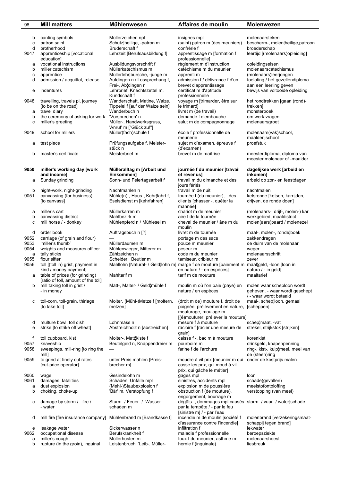| 98           | <b>Mill matters</b>                                | <b>Mühlenwesen</b>                                  | Affaires de moulin                                                                         | <b>Molenwezen</b>                                            |
|--------------|----------------------------------------------------|-----------------------------------------------------|--------------------------------------------------------------------------------------------|--------------------------------------------------------------|
|              |                                                    |                                                     |                                                                                            |                                                              |
| b            | canting symbols                                    | Müllerzeichen npl                                   | insignes mpl                                                                               | molenaarsteken                                               |
| c            | patron saint                                       | Schutz¦heilige, -patron m                           | (saint) patron m (des meuniers)                                                            | bescherm-, molen¦heilige, patroon                            |
| d            | brotherhood                                        | Bruderschaft f                                      | confrérie f                                                                                | broederschap                                                 |
| 9047         | apprenticeship [vocational                         | Lehrzeit [Berufsausbildung f]                       | apprentissage m [formation f                                                               | leertijd [(molenaars)opleiding]                              |
|              | education]                                         |                                                     | professionnelle]                                                                           |                                                              |
| а            | vocational instructions                            | Ausbildungsvorschrift f                             | règlement m d'instruction                                                                  | opleidingseisen                                              |
| b            | miller catechism                                   | Müllerkatechismus m                                 | catéchisme m du meunier                                                                    | molenaarscatechismus                                         |
| c            | apprentice                                         | Müllerlehr¦bursche, -junge m                        | apprenti m                                                                                 | (molenaars) leerjongen                                       |
| d            | admission / acquittal, release                     | Aufdingen n / Lossprechung f,<br>Frei-, Ab¦dingen n | admission f / délivrance f d'un<br>brevet d'apprentissage                                  | toelating / het gezellendiploma<br>aan een leerling geven    |
| е            | indentures                                         | Lehrbrief, Knechtszettel m,                         | certificat m d'aptitude                                                                    | bewijs van voltooide opleiding                               |
|              |                                                    | Kundschaft f                                        | professionnelle                                                                            |                                                              |
| 9048         | travelling, travels pl, journey                    | Wanderschaft, Matine, Walze,                        | voyage m [trimarder, être sur                                                              | het rondtrekken [gaan (rond)-                                |
|              | [to be on the road]                                | Tippelei f [auf der Walze sein]                     | le trimard]                                                                                | trekken]                                                     |
| a            | travel diary                                       | Wanderbuch n                                        | livret m (de travail)                                                                      | monsterboek                                                  |
| b            | the ceremony of asking for work                    | 'Vorsprechen' n                                     | demande f d'embauche                                                                       | om werk vragen                                               |
| c            | miller's greeting                                  | Müller-, Handwerksgruss,                            | salut m de compagnonnage                                                                   | molenaarsgroet                                               |
|              |                                                    | 'Anruf' m ["Glück zu!"]                             |                                                                                            |                                                              |
| 9049         | school for millers                                 | Müller(fach)schule f                                | école f professionnelle de<br>meunerie                                                     | molenaars(vak)school,<br>maalderijschool                     |
| а            | test piece                                         | Prüfungsaufgabe f, Meister-                         | sujet m d'examen, épreuve f                                                                | proefstuk                                                    |
|              |                                                    | stück n                                             | (d'examen)                                                                                 |                                                              |
| b            | master's certificate                               | Meisterbrief m                                      | brevet m de maîtrise                                                                       | meesterdiploma, diploma van                                  |
|              |                                                    |                                                     |                                                                                            | meester¦molenaar of -maalder                                 |
|              |                                                    |                                                     |                                                                                            |                                                              |
| 9050         | miller's working day [work                         | Mülleralltag m [Arbeit und                          | journée f du meunier [travail                                                              | dagelijkse werk [arbeid en                                   |
|              | and income]                                        | Einkommen]                                          | et revenus]                                                                                | inkomen]                                                     |
| а            | Sunday grinding                                    | Sonn- und Feiertagsarbeit f                         | travail m du dimanche et des                                                               | arbeid op zon- en feestdagen                                 |
| b            | night-work, night-grinding                         | Nachtmahlen n                                       | jours fériés<br>travail m de nuit                                                          | nachtmalen                                                   |
| 9051         | canvassing (for business)                          | Mühle(n)-, Haus-, Kehr¦fahrt f,                     | tournée f (du meunier), - des                                                              | ketsronde [ketsen, karrijden,                                |
|              | [to canvass]                                       | Eselsdienst m [kehrfahren]                          | clients [chasser -, quêter la                                                              | drijven, de ronde doen]                                      |
|              |                                                    |                                                     | mannée]                                                                                    |                                                              |
| а            | miller's cart                                      | Müllerkarren m                                      | chariot m de meunier                                                                       | (molenaars-, drijf-, molen-) kar                             |
| b            | canvassing district                                | Mahlbezirk m                                        | aire f de la tournée                                                                       | werkgebied, maaldistrict                                     |
| c            | mill horse / - donkey                              | Mühlenpferd n / Mühlesel m                          | cheval de meunier / âne m du                                                               | molen(aars)paard / molenezel                                 |
|              |                                                    |                                                     | moulin                                                                                     |                                                              |
| d            | order book                                         | Auftragsbuch n [?]                                  | livret m de tournée                                                                        | maal-, molen-, ronde¦boek                                    |
| 9052<br>9053 | carriage (of grain and flour)<br>'miller's thumb'  | Müllerdaumen m                                      | portage m des sacs                                                                         | zakkendragen                                                 |
| 9054         | weights and measures officer                       | Mühlenwieger, Mitterer m                            | pouce m meunier<br>peseur m                                                                | de duim van de molenaar<br>weger                             |
| a            | tally sticks                                       | Zählzeichen n                                       | code m du meunier                                                                          | molenaarsschrift                                             |
| 9055         | flour sifter                                       | Scheider, Beutler m                                 | tamiseur, cribleur m                                                                       | zever                                                        |
| 9056         | toll [(toll in) grist, payment in                  |                                                     | Mahllohn [Natural- / Geld¦lohn m] marge f de mouture [paiement m maal¦geld, -loon [loon in |                                                              |
|              | kind / money payment]                              |                                                     | en nature / - en espèces]                                                                  | natura / - in geld]                                          |
| a            | table of prices (for grinding)                     | Mahltarif m                                         | tarif m de mouture                                                                         | maaltarief                                                   |
|              | [ratio of toll, amount of the toll]                |                                                     |                                                                                            |                                                              |
| b            | mill taking toll in grist /<br>- in money          | Matt-, Malter- / Geld¦mühle f                       | moulin m où l'on paie (paye) en<br>nature / en espèces                                     | molen waar scheploon wordt<br>geheven, - waar wordt geschept |
|              |                                                    |                                                     |                                                                                            | / - waar wordt betaald                                       |
| с            | toll-corn, toll-grain, thirlage                    | Molter, (Mühl-)Metze f [moltern,                    | (droit m de) mouture f, droit de                                                           | maal-, schep¦loon, gemaal                                    |
|              | [to take toll]                                     | metzen1                                             | poignée, prélèvement en nature,                                                            | [scheppen]                                                   |
|              |                                                    |                                                     | mouturage, moulage m                                                                       |                                                              |
|              |                                                    |                                                     | [(é)mouturer, prélever la mouture]                                                         |                                                              |
| d            | multure bowl, toll dish                            | Lohnmass n                                          | mesure f à mouture                                                                         | schep¦maat, -vat                                             |
| е            | strike [to strike off wheat]                       | Abstreichholz n [abstreichen]                       | racloire f [racler une mesure de                                                           | strekel, strijkstok [strijken]                               |
| f            | toll cupboard, kist                                | Molter-, Matt¦kiste f                               | grain]<br>caisse f -, bac m à mouture                                                      | korenkist                                                    |
| 9057         | knaveship                                          | Beutelgeld n, Knappendreier m                       | pourboire m                                                                                | drinkgeld, knapenpenning                                     |
| 9058         | sweepings, mill-ring [to ring the                  |                                                     | farine f de l'archure                                                                      | ring-, kist-, kuip¦meel, meel van                            |
|              | mill1                                              |                                                     |                                                                                            | de (steen)ring                                               |
| 9059         | to grind at finely cut rates                       | unter Preis mahlen [Preis-                          | moudre à vil prix [meunier m qui                                                           | onder de kostprijs malen                                     |
|              | [cut-price operator]                               | brecher m]                                          | casse les prix, qui moud à vil                                                             |                                                              |
|              |                                                    |                                                     | prix, qui gâche le métier]                                                                 |                                                              |
| 9060         | wage                                               | Gesindelohn m                                       | gages mpl                                                                                  | loon                                                         |
| 9061         | damages, fatalities                                | Schäden, Unfälle mpl                                | sinistres, accidents mpl                                                                   | schade(gevallen)                                             |
| a            | dust explosion                                     | (Mehl-)Staubexplosion f<br>'Bär' m, Verstopfung f   | explosion m de poussière<br>obstruction f (de mouture),                                    | meelstofontploffing                                          |
| b            | choking, choke-up                                  |                                                     | engorgement, bourrage m                                                                    | verstopping (van meel)                                       |
| с            | damage by storm / - fire /                         | Sturm- / Feuer- / Wasser-                           | dégâts -, dommages mpl causés storm- / vuur- / water¦schade                                |                                                              |
|              | - water                                            | schaden m                                           | par la tempête / - par le feu                                                              |                                                              |
|              |                                                    |                                                     | [sinistre m] / - par l'eau                                                                 |                                                              |
| d            | mill fire [fire insurance company]                 | Mühlenbrand m [Brandkasse f]                        | incendie m de moulin [société f                                                            | molenbrand [verzekeringsmaat-                                |
|              |                                                    |                                                     | d'assurance contre l'incendie]                                                             | schappij tegen brand]                                        |
| е            | leakage water                                      | Sickerwasser n                                      | infiltration f                                                                             | lekwater                                                     |
| 9062         | occupational disease                               | Berufskrankheit f                                   | maladie f professionnelle                                                                  | beroepsziekte                                                |
| a<br>b       | miller's cough<br>rupture (in the groin), inguinal | Müllerhusten m<br>Leistenbruch, 'Leib-, Müller-     | toux f du meunier, asthme m<br>hernie f (inguinale)                                        | molenaarshoest<br>liesbreuk                                  |
|              |                                                    |                                                     |                                                                                            |                                                              |
|              |                                                    |                                                     |                                                                                            |                                                              |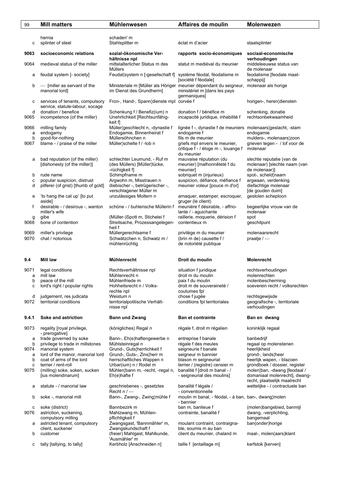| 99           | <b>Mill matters</b>                                                | <b>Mühlenwesen</b>                                                                   | Affaires de moulin                                                                                                | <b>Molenwezen</b>                                                                             |
|--------------|--------------------------------------------------------------------|--------------------------------------------------------------------------------------|-------------------------------------------------------------------------------------------------------------------|-----------------------------------------------------------------------------------------------|
|              |                                                                    |                                                                                      |                                                                                                                   |                                                                                               |
| с            | hernia<br>splinter of steel                                        | schaden' m<br>Stahlsplitter m                                                        | éclat m d'acier                                                                                                   | staalsplinter                                                                                 |
| 9063         | socioeconomic relations                                            | sozial-ökonomische Ver-<br>hältnisse npl                                             | rapports socio-économiques                                                                                        | sociaal-economische<br>verhoudingen                                                           |
| 9064         | medieval status of the miller                                      | mittelalterlicher Status m des<br><b>Müllers</b>                                     | statut m mediéval du meunier                                                                                      | middeleeuwse status van<br>de molenaar                                                        |
| а            | feudal system [- society]                                          | Feudal¦system n [-gesellschaft f]                                                    | système féodal, féodalisme m<br>[société f féodale]                                                               | feodalisme [feodale maat-<br>schappij]                                                        |
| b            | - [miller as servant of the<br>manorial lord]                      | im Dienst des Grundherrn]                                                            | Ministeriale m [Müller als Höriger meunier dépendant du seigneur,<br>ministériel m [dans les pays<br>germaniques] | molenaar als horige                                                                           |
| с            | services of tenants, compulsory<br>service, statute-labour, socage | Fron-, Hand-, Spann¦dienste mpl corvée f                                             |                                                                                                                   | horigen-, heren¦diensten                                                                      |
| d<br>9065    | donation / benefice<br>incompetence (of the miller)                | Schenkung f / Benefiz(ium) n<br>Unehrlichkeit [Rechtsunfähig-<br>keit f]             | donation f / bénéfice m<br>incapacité juridique, inhabilité f                                                     | schenking, donatie<br>rechtsonbekwaamheid                                                     |
| 9066<br>a    | milling family<br>endogamy                                         | Müller¦geschlecht n, -dynastie f<br>Endogamie, Binnenheirat f                        | lignée f -, dynastie f de meuniers molenaars¦geslacht, -stam<br>endogamie f                                       | endogamie                                                                                     |
| b            | good-for-nothing                                                   | Müllersöhnchen n                                                                     | fils m de meunier                                                                                                 | mulders-, molenaars¦zoon                                                                      |
| 9067         | blame - / praise of the miller                                     | Müller¦schelte f / -lob n                                                            | griefs mpl envers le meunier,<br>critique f - / éloge m -, louange f<br>du meunier                                | grieven tegen - / lof voor de<br>molenaar                                                     |
| а            | bad reputation (of the miller)<br>[dishonesty (of the miller)]     | schlechter Leumund, - Ruf m<br>(des Müllers) [Müller¦tücke,<br>-rüchigkeit f]        | mauvaise réputation (du<br>meunier) [malhonnêteté f du<br>meunier]                                                | slechte reputatie (van de<br>molenaar) [slechte naam (van<br>de molenaar)]                    |
| b            | rude name                                                          | Schimpfname m                                                                        | sobriquet m (injurieux)                                                                                           | spot-, scheld¦naam                                                                            |
| с<br>d       | popular suspicion, distrust<br>pilferer (of grist) [thumb of gold] | Argwohn m, Misstrauen n<br>diebischer -, betrügerischer -,<br>verschlagener Müller m | suspicion, défiance, méfiance f<br>meunier voleur [pouce m d'or]                                                  | argwaan, verdenking<br>diefachtige molenaar<br>[de gouden duim]                               |
| e            | 'to hang the cat up' [to put<br>aside]                             | unzulässiges Moltern n                                                               | arnaquer, estamper, escroquer,<br>gruger (le client)                                                              | gestolen scheploon                                                                            |
| f            | desirable - / desirous -, wanton<br>miller's wife                  | schöne - / buhlerische Müllerin f                                                    | meunière f désirable, - affrio-<br>lante / - aguichante                                                           | begeerlijke vrouw van de<br>molenaar                                                          |
| g<br>9068    | gibe<br>bone of contention                                         | (Müller-)Spott m, Stichelei f<br>Streitsache, Prozessangelegen-<br>heit f            | raillerie, moquerie, dérision f<br>contentieux m                                                                  | spot<br>geschilpunt                                                                           |
| 9069<br>9070 | miller's privilege<br>chat / notorious                             | Müllergerechtsame f<br>Schwätzchen n, Schwatz m /<br>mühlenrüchtig                   | privilège m du meunier<br>(brin m de) causette f /<br>de notoriété publique                                       | molenaarsrecht<br>praatje $/$ —                                                               |
| 9.4          | Mill law                                                           | Mühlenrecht                                                                          | Droit du moulin                                                                                                   | Molenrecht                                                                                    |
| 9071         | legal conditions                                                   | Rechtsverhältnisse npl                                                               | situation f juridique                                                                                             | rechtsverhoudingen                                                                            |
| a<br>b       | mill law<br>peace of the mill                                      | Mühlenrecht n<br>Mühlenfriede m                                                      | droit m du moulin<br>paix f du moulin                                                                             | molenrechten<br>molenbescherming                                                              |
| c            | lord's right / popular rights                                      | Hohheitsrecht n / Volks-<br>rechte npl                                               | droit m de souveraineté /<br>coutumes fpl                                                                         | soeverein recht / volksrechten                                                                |
| d<br>9072    | judgement, res judicata<br>territorial conditions                  | Weistum n<br>territorialpolitische Verhält-<br>nisse npl                             | chose f jugée<br>conditions fpl territoriales                                                                     | rechtsgewijsde<br>geografische -, territoriale<br>verhoudingen                                |
| 9.4.1        | Soke and astriction                                                | <b>Bann und Zwang</b>                                                                | <b>Ban et contrainte</b>                                                                                          | Ban en dwang                                                                                  |
| 9073         | regality [royal privilege,                                         | (königliches) Regal n                                                                | régale f, droit m régalien                                                                                        | koninklijk regaal                                                                             |
| а            | - prerogative]<br>trade governed by soke                           | Bann-, Eh(e)haftengewerbe n                                                          | entreprise f banale                                                                                               | banbedrijf                                                                                    |
| b            | privilege to trade in millstones                                   | Mühlsteinregal n                                                                     | régale f des meules                                                                                               | regaal op molenstenen                                                                         |
| 9074         | manorial system                                                    | Grund-, Guts¦herrlichkeit f                                                          | seigneurie f banale                                                                                               | heerlijkheid                                                                                  |
| а            | lord of the manor, manorial lord                                   | Grund-, Guts-, Zins¦herr m                                                           | seigneur m bannier                                                                                                | grond-, lands¦heer                                                                            |
| b<br>с       | coat of arms of the lord<br>terrier / rent-roll                    | herrschaftliches Wappen n<br>Urbar(ium) n / Rodel m                                  | blason m seigneurial<br>terrier / (registre) censier m                                                            | heerlijk wapen, - blazoen<br>grondboek / dossier, register                                    |
| 9075         | (milling) soke, soken, sucken<br>[ius molendinarum]                | Mühlen¦bann m, -recht, -regal n,<br>Eh(e)hafte f                                     | banalité f [droit m banal - /<br>- seigneurial des moulins]                                                       | molen¦ban, -dwang [feodaal /<br>domaniaal molenrecht], dwang-<br>recht, plaatselijk maalrecht |
| а            | statute - / manorial law                                           | geschriebenes -, gesetztes<br>Recht $n$ / $-$                                        | banalité f légale /<br>- conventionnelle                                                                          | wettelijke - / contractuele ban                                                               |
| b            | soke -, manorial mill                                              | Bann-, Zwang-, Zwing¦mühle f                                                         | moulin m banal, - féodal, - à ban, ban-, dwang¦molen<br>- bannier                                                 |                                                                                               |
| с<br>9076    | soke (district)<br>astriction, suckening,                          | Bannbezirk m<br>Mahlzwang m, Mühlen-                                                 | ban m, banlieue f<br>contrainte, banalité f                                                                       | (molen)bangebied, banmijl<br>dwang, -verplichting,                                            |
| а            | compulsory milling<br>astricted tenant, compulsory                 | pflichtigkeit f<br>Zwangsgast, 'Bannmähler' m,                                       | moulant contraint, contraigna-                                                                                    | bangemaal<br>ban(onder)horige                                                                 |
| b            | client, suckener<br>customer                                       | Zwangskundschaft f<br>(freier) Mahlgast, Mahlkunde,                                  | ble, soumis m au ban<br>client du meunier, chaland m                                                              | maal-, molen(aars)klant                                                                       |
|              |                                                                    | 'Ausmähler' m                                                                        |                                                                                                                   |                                                                                               |
| c            | tally [tallying, to tally]                                         | Kerbholz [Anschneiden n]                                                             | taille f [entaillage m]                                                                                           | kerfstok [kerven]                                                                             |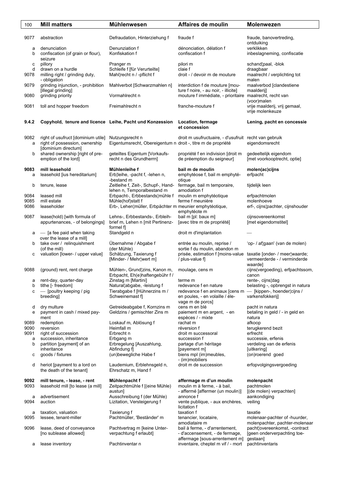| 100            | <b>Mill matters</b>                                                                         | <b>Mühlenwesen</b>                                                              | Affaires de moulin                                                                                                | <b>Molenwezen</b>                                               |
|----------------|---------------------------------------------------------------------------------------------|---------------------------------------------------------------------------------|-------------------------------------------------------------------------------------------------------------------|-----------------------------------------------------------------|
|                |                                                                                             |                                                                                 |                                                                                                                   |                                                                 |
| 9077           | abstraction                                                                                 | Defraudation, Hinterziehung f                                                   | fraude f                                                                                                          | fraude, banovertreding,<br>ontduiking                           |
| а<br>b         | denunciation<br>confiscation (of grain or flour),<br>seizure                                | Denunziation f<br>Konfiskation f                                                | dénonciation, délation f<br>confiscation f                                                                        | verklikken<br>inbeslagneming, confiscatie                       |
| с<br>d<br>9078 | pillory<br>drawn on a hurdle<br>milling right / grinding duty,                              | Pranger m<br>Schleife f [für Verurteilte]<br>Mahl¦recht n / -pflicht f          | pilori m<br>claie f<br>droit - / devoir m de mouture                                                              | schand¦paal, -blok<br>draagbaar<br>maalrecht / verplichting tot |
| 9079           | - obligation<br>grinding injunction, - prohibition                                          | Mahlverbot [Schwarzmahlen n]                                                    | interdiction f de mouture [mou-                                                                                   | malen<br>maalverbod [clandestiene                               |
| 9080           | [illegal grinding]<br>grinding priority                                                     | Vormahlrecht n                                                                  | ture f noire, - au noir, - illicite]<br>mouture f immédiate, - prioritaire maalrecht, recht van                   | maalderijl<br>(voor)malen                                       |
| 9081           | toll and hopper freedom                                                                     | Freimahlrecht n                                                                 | franche-mouture f                                                                                                 | vrije maalderij, vrij gemaal,<br>vrije molenkeuze               |
| 9.4.2          | Copyhold, tenure and licence Leihe, Pacht und Konzession                                    |                                                                                 | Location, fermage<br>et concession                                                                                | Lening, pacht en concessie                                      |
| 9082<br>a      | right of usufruct [dominium utile]<br>right of possession, ownership<br>[dominium directum] | Nutzungsrecht n<br>Eigentumsrecht, Obereigentum n droit -, titre m de propriété | droit m usufructuaire, - d'usufruit recht van gebruik                                                             | eigendomsrecht                                                  |
| b              | shared ownership [right of pre-<br>emption of the lord]                                     | geteiltes Eigentum [Vorkaufs-<br>recht n des Grundherrn]                        | propriété f en indivision [droit m<br>de préemption du seigneur]                                                  | gedeeltelijk eigendom<br>[met voorkooptrecht, optie]            |
| 9083<br>a      | mill leasehold<br>leasehold [ius hereditarium]                                              | Mühlenleihe f<br>Erb¦leihe, -pacht f, -lehen n,<br>-bestand m                   | bail m de moulin<br>emphytéose f, bail m emphyté-<br>otique                                                       | molen(ac)cijns<br>erfpacht                                      |
| b              | tenure, lease                                                                               | Zeitleihe f, Zeit-, Schupf-, Hand-<br>lehen n, Temporalbestand m                | fermage, bail m temporaire,<br>amodiation f                                                                       | tijdelijk leen                                                  |
| 9084           | leased mill                                                                                 | Erbpacht-, Erbbestands¦mühle f                                                  | moulin m emphytéotique                                                                                            | erfpachtmolen                                                   |
| 9085<br>9086   | mill estate<br>leaseholder                                                                  | Mühle(hof)statt f<br>Erb-, Lehen¦müller, Erbpächter m meunier emphytéotique,    | ferme f meunière<br>emphytéote m                                                                                  | molenhoeve<br>erf-, cijns¦pachter, cijnshouder                  |
| 9087           | lease(hold) [with formula of<br>appurtenances, - of belongings]                             | Lehns-, Erbbestands-, Erbleih-<br>brief m, Lehen n [mit Pertinenz-<br>formel fl | bail m [pl: baux m]<br>[avec titre m de propriété]                                                                | cijnsovereenkomst<br>[met eigendomstitel]                       |
| а              | - [a fee paid when taking<br>over the lease of a mill]                                      | Standgeld n                                                                     | droit m d'implantation                                                                                            |                                                                 |
| b              | take over / relinquishment<br>(of the mill)                                                 | Übernahme / Abgabe f<br>(der Mühle)                                             | entrée au moulin, reprise /<br>sortie f du moulin, abandon m                                                      | 'op- / af¦gaan' (van de molen)                                  |
| с              | valuation [lower- / upper value]                                                            | Schätzung, Taxierung f<br>[Minder- / Mehr¦wert m]                               | prisée, estimation f [moins-value taxatie [onder- / meer waarde;<br>/ plus-value f]                               | vermeerderde - / verminderde                                    |
| 9088           | (ground) rent, rent charge                                                                  | Mühlen-, Grund¦zins, Kanon m,<br>Erbpacht, Eh(e)haftengebühr f /                | moulage, cens m                                                                                                   | waardel<br>cijns(vergoeding), erfpachtssom,<br>canon            |
| a              | rent-day, quarter-day                                                                       | Zinstag m [Martini]                                                             | terme m                                                                                                           | rente-, cijns¦dag                                               |
| b              | tithe [- freedom]                                                                           | Natural¦abgabe, -leistung f                                                     | redevance f en nature                                                                                             | belasting -, opbrengst in natura                                |
| с              | - [poultry keeping / pig<br>breeding]                                                       | Tierabgabe f [Hühnerzins m /<br>Schweinemast fl                                 | redevance f en animaux [cens m - [kippen-, hoender cijns /<br>en poules, - en volaille / éle-<br>vage m de porcs] | varkensfokkerij]                                                |
| d<br>е         | dry multure<br>payment in cash / mixed pay-                                                 | Getreideabgabe f, Kornzins m<br>Geldzins / gemischter Zins m                    | cens m en blé<br>paiement m en argent, - en                                                                       | pacht in natura<br>betaling in geld / - in geld en              |
| 9089           | ment<br>redemption                                                                          | Loskauf m, Ablösung f                                                           | espèces / - mixte<br>rachat m                                                                                     | natura<br>afkoop                                                |
| 9090           | reversion                                                                                   | Heimfall m                                                                      | réversion f                                                                                                       | terugkerend bezit                                               |
| 9091           | right of succession                                                                         | Erbrecht n                                                                      | droit m successoral                                                                                               | erfrecht                                                        |
| а              | succession, inheritance                                                                     | Erbgang m                                                                       | succession f                                                                                                      | successie, erfenis                                              |
| b              | partition [payment] of an<br>inheritance                                                    | Erbregelung [Auszahlung,<br>Abfindung f                                         | partage d'un héritage<br>[payement m]                                                                             | verdeling van de erfenis<br>[uitkering]                         |
| с              | goods / fixtures                                                                            | (un)bewegliche Habe f                                                           | biens mpl (im)meubles,<br>- (im)mobiliers                                                                         | (on)roerend goed                                                |
| d              | heriot [payment to a lord on<br>the death of the tenant]                                    | Laudemium, Erblehnsgeld n,<br>Ehrschatz m, Hand f                               | droit m de succession                                                                                             | erfopvolgingsvergoeding                                         |
| 9092<br>9093   | mill tenure, - lease, - rent<br>leasehold mill [to lease (a mill]                           | Mühlenpacht f<br>Zeitpachtmühle f [(eine Mühle)<br>austunl                      | affermage m d'un moulin<br>moulin m à ferme, - à bail,<br>- affermé [affermer (un moulin)]                        | molenpacht<br>pachtmolen<br>[(de molen) verpachten]             |
| а<br>9094      | advertisement<br>auction                                                                    | Ausschreibung f (der Mühle)<br>Lizitation, Versteigerung f                      | annonce f<br>vente publique, - aux enchères,                                                                      | aankondiging<br>veiling                                         |
| а<br>9095      | taxation, valuation                                                                         | Taxierung f<br>Pachtmüller, 'Beständer' m                                       | licitation f<br>taxation f                                                                                        | taxatie<br>molenaar-pachter of -huurder,                        |
| 9096           | lessee, tenant-miller<br>lease, deed of conveyance                                          | Pachtvertrag m [keine Unter-                                                    | tenancier, locataire,<br>amodiataire m<br>bail à ferme, - d'arrentement,                                          | molenpachter, pachter-molenaar<br>pacht¦overeenkomst, -contract |
|                | [no sublease allowed]                                                                       | verpachtung f erlaubt]                                                          | - d'accensement, - de fermage,<br>affermage [sous-arrentement m]                                                  | [geen onderverpachting toe-<br>gestaan]                         |
| а              | lease inventory                                                                             | Pachtinventar n                                                                 | inventaire, cheptel m vif / - mort                                                                                | pachtinventaris                                                 |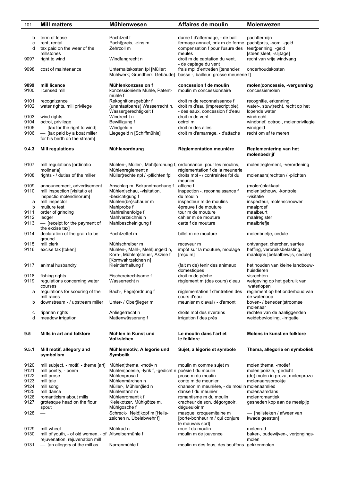| 101          | <b>Mill matters</b>                                  | <b>Mühlenwesen</b>                                                                  | Affaires de moulin                                                  | <b>Molenwezen</b>                                 |
|--------------|------------------------------------------------------|-------------------------------------------------------------------------------------|---------------------------------------------------------------------|---------------------------------------------------|
|              |                                                      |                                                                                     |                                                                     |                                                   |
| b            | term of lease                                        | Pachtzeit f                                                                         | durée f d'affermage, - de bail                                      | pachttermijn                                      |
| C            | rent, rental                                         | Pacht¦preis, -zins m                                                                | fermage annuel, prix m de ferme                                     | pacht¦prijs, -som, -geld                          |
| d            | tax paid on the wear of the<br>millstones            | Zehrzoll m                                                                          | compensation f pour l'usure des<br>meules                           | teer¦penning, -geld<br>[steen¦sleet, -slijtage]   |
| 9097         | right to wind                                        | Windfangrecht n                                                                     | droit m de captation du vent,                                       | recht van vrije windvang                          |
|              |                                                      |                                                                                     | - de captage du vent                                                |                                                   |
| 9098         | cost of maintenance                                  | Unterhaltskosten fpl [Müller:                                                       | frais mpl d'entretien [tenancier:                                   | onderhoudskosten                                  |
|              |                                                      | Mühlwerk; Grundherr: Gebäude]                                                       | basse -, bailleur: grosse meunerie f]                               |                                                   |
| 9099         | mill licence                                         | Mühlenkonzession f                                                                  | concession f de moulin                                              | molen¦concessie, -vergunning                      |
| 9100         | licensed mill                                        | konzessionierte Mühle, Patent-                                                      | moulin m concessionnaire                                            | concessiemolen                                    |
|              |                                                      | mühle f                                                                             |                                                                     |                                                   |
| 9101         | recognizance                                         | Rekognitionsgebühr f                                                                | droit m de reconnaissance f                                         | recognitie, erkenning                             |
| 9102         | water rights, mill privilege                         | (unantastbares) Wasserrecht n,<br>Wassergerechtigkeit f                             | droit m d'eau (imprescriptible),<br>- des eaux, concession f d'eau  | water-, stuw¦recht, recht op het<br>lopende water |
| 9103         | wind rights                                          | Windrecht n                                                                         | droit m de vent                                                     | windrecht                                         |
| 9104         | octroi, privilege                                    | Bewilligung f                                                                       | octroi m                                                            | windbrief, octrooi, molenprivilegie               |
| 9105         | - [tax for the right to wind]                        | Windgeld n                                                                          | droit m des ailes                                                   | windgeld                                          |
| 9106         | - [tax paid by a boat miller                         | Liegegeld n [Schiffmühle]                                                           | droit m d'amarrage, - d'attache                                     | recht om af te meren                              |
|              | for his berth on the stream]                         |                                                                                     |                                                                     |                                                   |
| 9.4.3        | <b>Mill regulations</b>                              | Mühlenordnung                                                                       | Réglementation meunière                                             | Reglementering van het                            |
|              |                                                      |                                                                                     |                                                                     | molenbedrijf                                      |
|              |                                                      |                                                                                     |                                                                     |                                                   |
| 9107         | mill regulations [ordinatio<br>molinaria]            | Mühlen-, Müller-, Mahl¦ordnung f, ordonnance pour les moulins,<br>Mühlenreglement n | réglementation f de la meunerie                                     | molen¦reglement, -verordening                     |
| 9108         | rights - / duties of the miller                      | Müller¦rechte npl / -pflichten fpl                                                  | droits mpl - / contraintes fpl du                                   | molenaars¦rechten / -plichten                     |
|              |                                                      |                                                                                     | meunier                                                             |                                                   |
| 9109         | announcement, advertisement                          | Anschlag m, Bekanntmachung f                                                        | affiche f                                                           | (molen)plakkaat                                   |
| 9110         | mill inspection [visitatio et                        | Mühlen¦schau, -visitation,                                                          | inspection -, reconnaissance f                                      | molen¦schouw, -kontrole,                          |
| a            | inspectio molendinorum]<br>mill inspector            | -besichtigung f<br>Mühlen(be)schauer m                                              | du moulin<br>inspecteur m de moulins                                | -visitatie<br>inspecteur, molenschouwer           |
| b            | multure test                                         | Mahlprobe f                                                                         | épreuve f de mouture                                                | maalproef                                         |
| 9111         | order of grinding                                    | Mahlreihenfolge f                                                                   | tour m de mouture                                                   | maalbeurt                                         |
| 9112         | ledger                                               | Mahlverzeichnis n                                                                   | cahier m de mouture                                                 | maalregister                                      |
| 9113         | - [receipt for the payment of                        | Mahlbescheinigung f                                                                 | carte f de mouture                                                  | maalbriefje                                       |
| 9114         | the excise tax]<br>declaration of the grain to be    | Pachtzettel m                                                                       | billet m de mouture                                                 | molenbriefje, cedule                              |
|              | ground                                               |                                                                                     |                                                                     |                                                   |
| 9115         | mill clerk                                           | Mühlschreiber m                                                                     | receveur m                                                          | ontvanger, chercher, sarries                      |
| 9116         | excise tax [token]                                   | Mühlen-, Mahl-, Mehl¦ungeld n,                                                      | impôt sur la mouture, moulage                                       | heffing, verbruiksbelasting,                      |
|              |                                                      | Korn-, Mühlen¦steuer, Akzise f<br>[Kornwahrzeichen n]                               | $[$ reçu m $]$                                                      | maalcijns [betaalbewijs, cedule]                  |
| 9117         | animal husbandry                                     | Kleintierhaltung f                                                                  | (fait m de) tenir des animaux                                       | het houden van kleine landbouw-                   |
|              |                                                      |                                                                                     | domestiques                                                         | huisdieren                                        |
| 9118         | fishing rights                                       | Fischereirechtsame f                                                                | droit m de pêche                                                    | visrechten                                        |
| 9119         | regulations concerning water<br>courses              | Wasserrecht n                                                                       | règlement m (des cours) d'eau                                       | wetgeving op het gebruik van<br>waterlopen        |
| а            | regulations for scouring of the                      | Bach-, Fege¦ordnung f                                                               | réglementation f d'entretien des                                    | reglement op het onderhoud van                    |
|              | mill races                                           |                                                                                     | cours d'eau                                                         | de waterloop                                      |
| b            | downstream - / upstream miller                       | Unter- / Ober¦lieger m                                                              | meunier m d'aval / - d'amont                                        | boven- / beneden¦stroomse                         |
| с            | riparian rights                                      | Anliegerrecht n                                                                     | droits mpl des riverains                                            | molenaar<br>rechten van de aanliggenden           |
| d            | meadow irrigation                                    | Mattenwässerung f                                                                   | irrigation f des prés                                               | weidebevloeiing, -irrigatie                       |
|              |                                                      |                                                                                     |                                                                     |                                                   |
|              |                                                      |                                                                                     |                                                                     |                                                   |
| 9.5          | Mills in art and folklore                            | Mühlen in Kunst und<br><b>Volksleben</b>                                            | Le moulin dans l'art et<br>le folklore                              | Molens in kunst en folklore                       |
|              |                                                      |                                                                                     |                                                                     |                                                   |
| 9.5.1        | Mill motif, allegory and                             | Mühlenmotiv, Allegorie und                                                          | Sujet, allégorie et symbole                                         | Thema, allegorie en symboliek                     |
|              | symbolism                                            | Symbolik                                                                            |                                                                     |                                                   |
| 9120         | mill subject, - motif, - theme [art]                 | Mühlen¦thema, -motiv n                                                              | moulin m comme sujet m                                              | molen¦thema, -motief                              |
| 9121         | mill poetry, - poem                                  | Mühlen¦poesie, -lyrik f, -gedicht n poésie f du moulin                              |                                                                     | molen¦poëzie, -gedicht                            |
| 9122         | mill prose                                           | Mühlenprosa f                                                                       | prose m du moulin                                                   | (de) molen in proza, molenproza                   |
| 9123<br>9124 | mill tale                                            | Mühlenmärchen n                                                                     | conte m de meunier                                                  | molenaarssprookje                                 |
| 9125         | mill song<br>mill dance                              | Müller-, Mühlen¦lied n<br>Mühlentanz m                                              | chanson m meunière, - de moulin molenaarslied<br>danse f du meunier | molenaarsdans                                     |
| 9126         | romanticism about mills                              | Mühlenromantik f                                                                    | romantisme m du moulin                                              | molenromantiek                                    |
| 9127         | grotesque head on the flour                          | Kleiekotzer, Mühlgötze m,                                                           | cracheur de son, dégorgeoir,                                        | gesneden kop aan de meelpijp                      |
|              | spout                                                | Mühlgosche f                                                                        | dégueuloir m                                                        |                                                   |
| 9128         |                                                      | Schreck-, Neid¦kopf m [Heils-                                                       | masque, croquemitaine m                                             | - [heilsteken / afweer van                        |
|              |                                                      | zeichen n, Übelabwehr f]                                                            | [porte-bonheur m / qui conjure<br>le mauvais sort]                  | kwade geesten]                                    |
| 9129         | mill-wheel                                           | Mühlrad n                                                                           | roue f du moulin                                                    | molenrad                                          |
| 9130         | mill of youth, - of old women, - of Altweibermühle f |                                                                                     | moulin m de jouvence                                                | baker-, oudewijven-, verjongings-                 |
|              | rejuvenation, rejuvenation mill                      | Narrenmühle f                                                                       |                                                                     | molen                                             |
| 9131         | - [an allegory of the mill as                        |                                                                                     | moulin m des fous, des bouffons gekkenmolen                         |                                                   |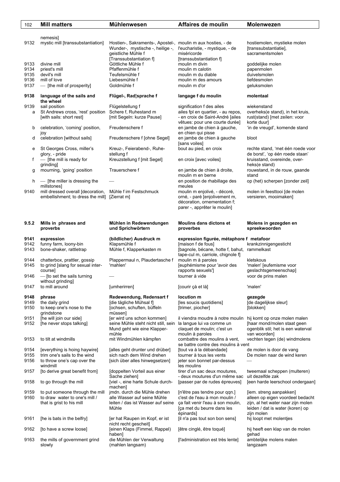| 102                  | <b>Mill matters</b>                                                                           | Mühlenwesen                                                                                                                                      | Affaires de moulin                                                                                                                                  | Molenwezen                                                                                                                                          |
|----------------------|-----------------------------------------------------------------------------------------------|--------------------------------------------------------------------------------------------------------------------------------------------------|-----------------------------------------------------------------------------------------------------------------------------------------------------|-----------------------------------------------------------------------------------------------------------------------------------------------------|
|                      |                                                                                               |                                                                                                                                                  |                                                                                                                                                     |                                                                                                                                                     |
| 9132                 | nemesisl<br>mystic mill [transsubstantiation]                                                 | Hostien-, Sakraments-, Apostel-, moulin m aux hosties, - de<br>Wunder-, mystische -, heilige -,<br>geistliche Mühle f<br>[Transsubstantiation f] | l'eucharistie, - mystique, - de<br>miséricorde<br>[transsubstantiation f]                                                                           | hostiemolen, mystieke molen<br>[transsubstantiatie],<br>sacramentsmolen                                                                             |
| 9133                 | divine mill                                                                                   | Göttliche Mühle f                                                                                                                                | moulin m divin                                                                                                                                      | goddelijke molen                                                                                                                                    |
| 9134                 | priest's mill                                                                                 | Pfaffenmühle f                                                                                                                                   | moulin m calotin                                                                                                                                    | papenmolen                                                                                                                                          |
| 9135                 | devil's mill                                                                                  | Teufelsmühle f                                                                                                                                   | moulin m du diable                                                                                                                                  | duivelsmolen                                                                                                                                        |
| 9136                 | mill of love                                                                                  | Liebesmühle f                                                                                                                                    | moulin m des amours                                                                                                                                 | liefdesmolen                                                                                                                                        |
| 9137                 | - [the mill of prosperity]                                                                    | Goldmühle f                                                                                                                                      | moulin m d'or                                                                                                                                       | geluksmolen                                                                                                                                         |
| 9138                 | language of the sails and<br>the wheel                                                        | Flügel-, Rad¦sprache f                                                                                                                           | langage f du moulin                                                                                                                                 | molentaal                                                                                                                                           |
| 9139<br>a            | sail position<br>St Andrews cross, 'rest' position<br>[with sails: short rest]                | Flügelstellung f<br>Schere f, Ruhestand m<br>[mit Segeln: kurze Pause]                                                                           | signification f des ailes<br>ailes fpl en quartier, - au repos,<br>- en croix de Saint-André [ailes                                                 | wiekenstand<br>overheks(e stand), in het kruis,<br>rust(stand) [met zeilen: voor                                                                    |
| b                    | celebration, 'coming' position,                                                               | Freudenschere f                                                                                                                                  | vêtues: pour une courte durée]<br>en jambe de chien à gauche,                                                                                       | korte duur]<br>'in de vreugd', komende stand                                                                                                        |
| d                    | joy<br>celebration [without sails]                                                            | Freudenschere f [ohne Segel]                                                                                                                     | en chien qui pisse<br>en jambe de chien à gauche<br>[sans voiles]                                                                                   | bloot                                                                                                                                               |
| е                    | St Georges Cross, miller's<br>glory, - pride                                                  | Kreuz-, Feierabend-, Ruhe-<br>stellung f                                                                                                         | bout au pied, en croix                                                                                                                              | rechte stand, 'met één roede voor<br>de borst', 'op één roede staan'                                                                                |
| f                    | - [the mill is ready for<br>grinding                                                          | Kreuzstellung f [mit Segel]                                                                                                                      | en croix [avec voiles]                                                                                                                              | kruisstand, overeinde, over-<br>heks(e stand)                                                                                                       |
| g                    | mourning, 'going' position                                                                    | Trauerschere f                                                                                                                                   | en jambe de chien à droite,<br>moulin m en berne                                                                                                    | rouwstand, in de rouw, gaande<br>stand                                                                                                              |
| h                    | - [the miller is dressing the<br>millstones]                                                  |                                                                                                                                                  | en position de rhabillage des<br>meules                                                                                                             | op (het) scherpen [zonder zeil]                                                                                                                     |
| 9140                 | mill dressed overall [decoration,<br>embellishment; to dress the mill] [Zierrat m]            | Mühle f im Festschmuck                                                                                                                           | moulin m enjolivé, - décoré,<br>orné, - paré [enjolivement m,<br>décoration, ornementation f;<br>parer -, apprêter le moulin]                       | molen in feesttooi [de molen<br>versieren, mooimaken]                                                                                               |
| 9.5.2                | Mills in phrases and<br>proverbs                                                              | Mühlen in Redewendungen<br>und Sprichwörtern                                                                                                     | Moulins dans dictons et<br>proverbes                                                                                                                | Molens in gezegden en<br>spreekwoorden                                                                                                              |
| 9141<br>9142<br>9143 | expression<br>funny farm, loony-bin<br>bone-shaker, rattletrap                                | (bildlicher) Ausdruck m<br>Klapsmühle f<br>Mühle f, Klapperkasten m                                                                              | expression figurée, métaphore f metafoor<br>[maison f de fous]<br>[bagnole, bécane, hotte f, bahut, rammelkast<br>tape-cul m, carriole, chignole f] | krankzinnigengesticht                                                                                                                               |
| 9144<br>9145         | chatterbox, prattler, gossip<br>to grind [slang for sexual inter-                             | Plappermaul n, Plaudertasche f<br>'mahlen'                                                                                                       | moulin m à paroles<br>[euphémisme pour 'avoir des                                                                                                   | kletskous<br>'malen' [eufemisme voor                                                                                                                |
| 9146                 | coursel<br>— Ito set the sails turning<br>without grinding]                                   |                                                                                                                                                  | rapports sexuels']<br>tourner à vide                                                                                                                | geslachtsgemeenschap]<br>voor de prins malen                                                                                                        |
| 9147                 | to mill around                                                                                | [umherirren]                                                                                                                                     | [courir çà et là]                                                                                                                                   | 'malen'                                                                                                                                             |
| 9148<br>9149<br>9150 | phrase<br>the daily grind<br>to keep one's nose to the<br>grindstone                          | Redewendung, Redensart f<br>[die tägliche Mühsal f]<br>[ochsen, schuften, büffeln<br>müssen]                                                     | locution m<br>[les soucis quotidiens]<br>[trimer, piocher]                                                                                          | gezegde<br>[de dagelijkse sleur]<br>[blokken]                                                                                                       |
| 9151<br>9152         | [he will join our side]<br>[he never stops talking]                                           | [er wird uns schon kommen]<br>seine Mühle steht nicht still, sein                                                                                | il viendra moudre à notre moulin<br>la langue lui va comme un                                                                                       | hij komt op onze molen malen<br>[haar mond/molen staat geen                                                                                         |
|                      |                                                                                               | Mund geht wie eine Klapper-<br>mühle                                                                                                             | claquet de moulin; c'est un<br>moulin à paroles                                                                                                     | ogenblik stil; het is een waterval<br>van woorden]                                                                                                  |
| 9153                 | to tilt at windmills                                                                          | mit Windmühlen kämpfen                                                                                                                           | combattre des moulins à vent,<br>se battre contre des moulins à vent                                                                                | vechten tegen (de) windmolens                                                                                                                       |
| 9154                 | [everything is hoing haywire]                                                                 | [alles geht drunter und drüber]                                                                                                                  | [tout va à la débandade]                                                                                                                            | de molen is door de vang                                                                                                                            |
| 9155<br>9156         | trim one's sails to the wind<br>to throw one's cap over the<br>windmill                       | sich nach dem Wind drehen<br>[sich über alles hinwegsetzen]                                                                                      | tourner à tous les vents<br>jeter son bonnet par-dessus<br>les moulins                                                                              | De molen naar de wind keren                                                                                                                         |
| 9157                 | [to derive great benefit from]                                                                | [doppelten Vorteil aus einer<br>Sache ziehen]                                                                                                    | tirer d'un sac deux moutures,<br>- deux moutures d'un même sac                                                                                      | tweemaal scheppen (multeren)<br>uit dezelfde zak                                                                                                    |
| 9158                 | to go through the mill                                                                        | [viel -, eine harte Schule durch-<br>machen]                                                                                                     | [passer par de rudes épreuves]                                                                                                                      | [een harde leerschool ondergaan]                                                                                                                    |
| 9159<br>9160         | to put someone through the mill<br>to draw water to one's mill /<br>that is grist to his mill | jmdn. durch die Mühle drehen<br>alle Wasser auf seine Mühle<br>leiten / das ist Wasser auf seine<br>Mühle                                        | [n'être pas tendre pour qqn.]<br>c'est de l'eau à mon moulin /<br>ça fait venir l'eau à son moulin,<br>[ça met du beurre dans les<br>épinards]      | [iem. streng aanpakken]<br>alleen op eigen voordeel bedacht<br>zijn, al het water naar zijn molen<br>leiden / dat is water (koren) op<br>zijn molen |
| 9161                 | [he is bats in the belfry]                                                                    | [er hat Raupen im Kopf, er ist<br>nicht recht gescheit]                                                                                          | [il n'a pas tout son bon sens]                                                                                                                      | hij loopt met molentjes                                                                                                                             |
| 9162                 | [to have a screw loose]                                                                       | [einen Klaps (Fimmel, Rappel)<br>haben]                                                                                                          | [être cinglé, être toqué]                                                                                                                           | hij heeft een klap van de molen<br>qehad                                                                                                            |
| 9163                 | the mills of government grind<br>slowly                                                       | die Mühlen der Verwaltung<br>(mahlen langsam)                                                                                                    | [l'administration est très lente]                                                                                                                   | ambtelijke molens malen<br>langzaam                                                                                                                 |